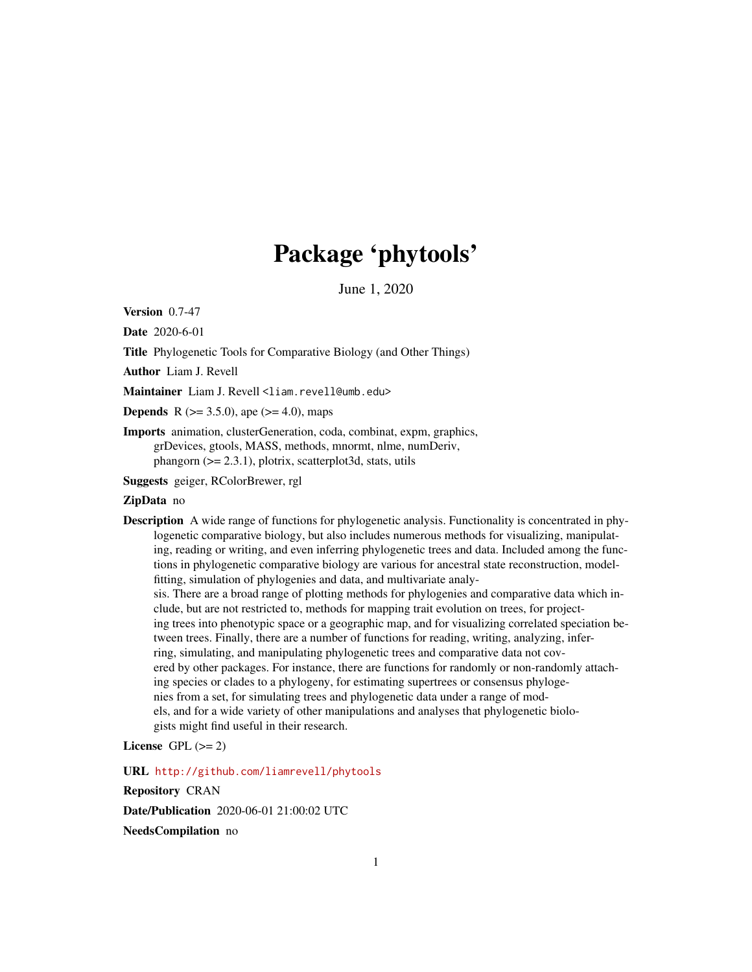# Package 'phytools'

June 1, 2020

<span id="page-0-0"></span>Version 0.7-47

Date 2020-6-01

Title Phylogenetic Tools for Comparative Biology (and Other Things)

Author Liam J. Revell

Maintainer Liam J. Revell <liam.revell@umb.edu>

**Depends** R  $(>= 3.5.0)$ , ape  $(>= 4.0)$ , maps

Imports animation, clusterGeneration, coda, combinat, expm, graphics, grDevices, gtools, MASS, methods, mnormt, nlme, numDeriv, phangorn  $(>= 2.3.1)$ , plotrix, scatterplot3d, stats, utils

Suggests geiger, RColorBrewer, rgl

# ZipData no

Description A wide range of functions for phylogenetic analysis. Functionality is concentrated in phylogenetic comparative biology, but also includes numerous methods for visualizing, manipulating, reading or writing, and even inferring phylogenetic trees and data. Included among the functions in phylogenetic comparative biology are various for ancestral state reconstruction, modelfitting, simulation of phylogenies and data, and multivariate analy-

sis. There are a broad range of plotting methods for phylogenies and comparative data which include, but are not restricted to, methods for mapping trait evolution on trees, for projecting trees into phenotypic space or a geographic map, and for visualizing correlated speciation between trees. Finally, there are a number of functions for reading, writing, analyzing, inferring, simulating, and manipulating phylogenetic trees and comparative data not covered by other packages. For instance, there are functions for randomly or non-randomly attaching species or clades to a phylogeny, for estimating supertrees or consensus phylogenies from a set, for simulating trees and phylogenetic data under a range of models, and for a wide variety of other manipulations and analyses that phylogenetic biologists might find useful in their research.

# License GPL  $(>= 2)$

URL <http://github.com/liamrevell/phytools>

Repository CRAN

Date/Publication 2020-06-01 21:00:02 UTC

NeedsCompilation no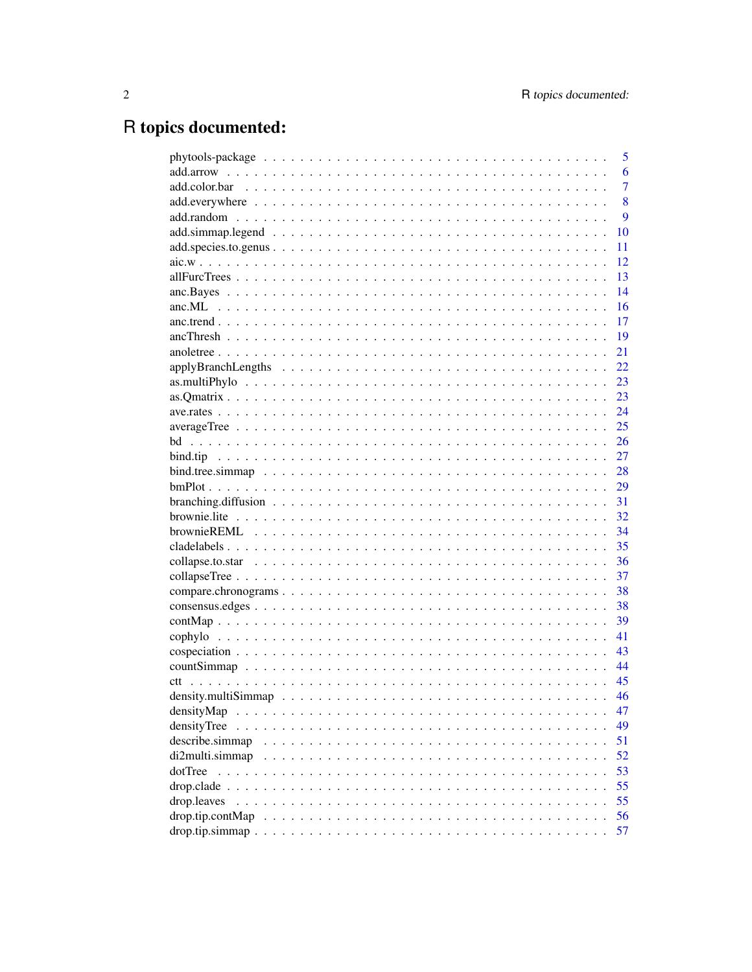# R topics documented:

| 6<br>$\overline{7}$<br>8<br>9<br>10<br>11<br>12<br>13<br>14<br>16<br>17<br>19<br>21<br>22<br>23<br>23<br>24<br>25<br>26<br>27<br>28<br>29<br>$branching.diffusion \dots \dots \dots \dots \dots \dots \dots \dots \dots \dots \dots \dots \dots \dots \dots \dots$<br>31<br>32<br>34<br>35<br>36<br>37 |
|--------------------------------------------------------------------------------------------------------------------------------------------------------------------------------------------------------------------------------------------------------------------------------------------------------|
|                                                                                                                                                                                                                                                                                                        |
|                                                                                                                                                                                                                                                                                                        |
|                                                                                                                                                                                                                                                                                                        |
|                                                                                                                                                                                                                                                                                                        |
|                                                                                                                                                                                                                                                                                                        |
|                                                                                                                                                                                                                                                                                                        |
|                                                                                                                                                                                                                                                                                                        |
|                                                                                                                                                                                                                                                                                                        |
|                                                                                                                                                                                                                                                                                                        |
|                                                                                                                                                                                                                                                                                                        |
|                                                                                                                                                                                                                                                                                                        |
|                                                                                                                                                                                                                                                                                                        |
|                                                                                                                                                                                                                                                                                                        |
|                                                                                                                                                                                                                                                                                                        |
|                                                                                                                                                                                                                                                                                                        |
|                                                                                                                                                                                                                                                                                                        |
|                                                                                                                                                                                                                                                                                                        |
|                                                                                                                                                                                                                                                                                                        |
|                                                                                                                                                                                                                                                                                                        |
|                                                                                                                                                                                                                                                                                                        |
|                                                                                                                                                                                                                                                                                                        |
|                                                                                                                                                                                                                                                                                                        |
|                                                                                                                                                                                                                                                                                                        |
|                                                                                                                                                                                                                                                                                                        |
|                                                                                                                                                                                                                                                                                                        |
|                                                                                                                                                                                                                                                                                                        |
|                                                                                                                                                                                                                                                                                                        |
|                                                                                                                                                                                                                                                                                                        |
| 38                                                                                                                                                                                                                                                                                                     |
| 38                                                                                                                                                                                                                                                                                                     |
| 39                                                                                                                                                                                                                                                                                                     |
| 41                                                                                                                                                                                                                                                                                                     |
| 43                                                                                                                                                                                                                                                                                                     |
| 44                                                                                                                                                                                                                                                                                                     |
| 45                                                                                                                                                                                                                                                                                                     |
| 46                                                                                                                                                                                                                                                                                                     |
| densityMap<br>47                                                                                                                                                                                                                                                                                       |
| densityTree<br>49                                                                                                                                                                                                                                                                                      |
| describe.simmap<br>51                                                                                                                                                                                                                                                                                  |
| 52<br>di2multi.simmap                                                                                                                                                                                                                                                                                  |
| dotTree<br>53                                                                                                                                                                                                                                                                                          |
| 55                                                                                                                                                                                                                                                                                                     |
| 55<br>drop.leaves                                                                                                                                                                                                                                                                                      |
| 56<br>drop.tip.contMap                                                                                                                                                                                                                                                                                 |
| 57                                                                                                                                                                                                                                                                                                     |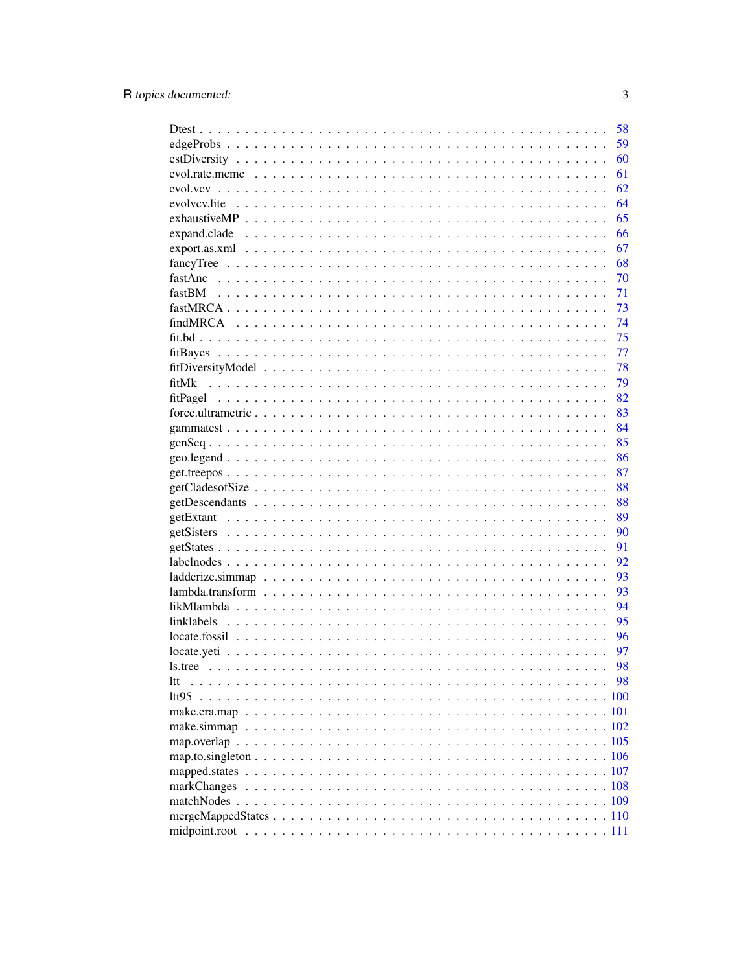| 58                                                                                                                              |  |
|---------------------------------------------------------------------------------------------------------------------------------|--|
| 59                                                                                                                              |  |
| 60                                                                                                                              |  |
| 61                                                                                                                              |  |
| 62                                                                                                                              |  |
| 64                                                                                                                              |  |
| 65                                                                                                                              |  |
| 66                                                                                                                              |  |
| 67                                                                                                                              |  |
| 68                                                                                                                              |  |
| 70                                                                                                                              |  |
| 71                                                                                                                              |  |
| 73                                                                                                                              |  |
| 74                                                                                                                              |  |
| 75                                                                                                                              |  |
| 77                                                                                                                              |  |
| 78                                                                                                                              |  |
| 79<br>fitMk                                                                                                                     |  |
| 82                                                                                                                              |  |
| 83                                                                                                                              |  |
| 84                                                                                                                              |  |
| 85                                                                                                                              |  |
| 86                                                                                                                              |  |
| 87                                                                                                                              |  |
| 88                                                                                                                              |  |
| 88                                                                                                                              |  |
| 89                                                                                                                              |  |
| 90                                                                                                                              |  |
| 91                                                                                                                              |  |
| 92                                                                                                                              |  |
| 93                                                                                                                              |  |
| 93<br>$lambda. transform \dots \dots \dots \dots \dots \dots \dots \dots \dots \dots \dots \dots \dots \dots \dots \dots \dots$ |  |
| 94                                                                                                                              |  |
| 95                                                                                                                              |  |
| 96                                                                                                                              |  |
| 97                                                                                                                              |  |
| 98                                                                                                                              |  |
| 98<br>ltt                                                                                                                       |  |
|                                                                                                                                 |  |
|                                                                                                                                 |  |
|                                                                                                                                 |  |
|                                                                                                                                 |  |
|                                                                                                                                 |  |
|                                                                                                                                 |  |
|                                                                                                                                 |  |
|                                                                                                                                 |  |
|                                                                                                                                 |  |
|                                                                                                                                 |  |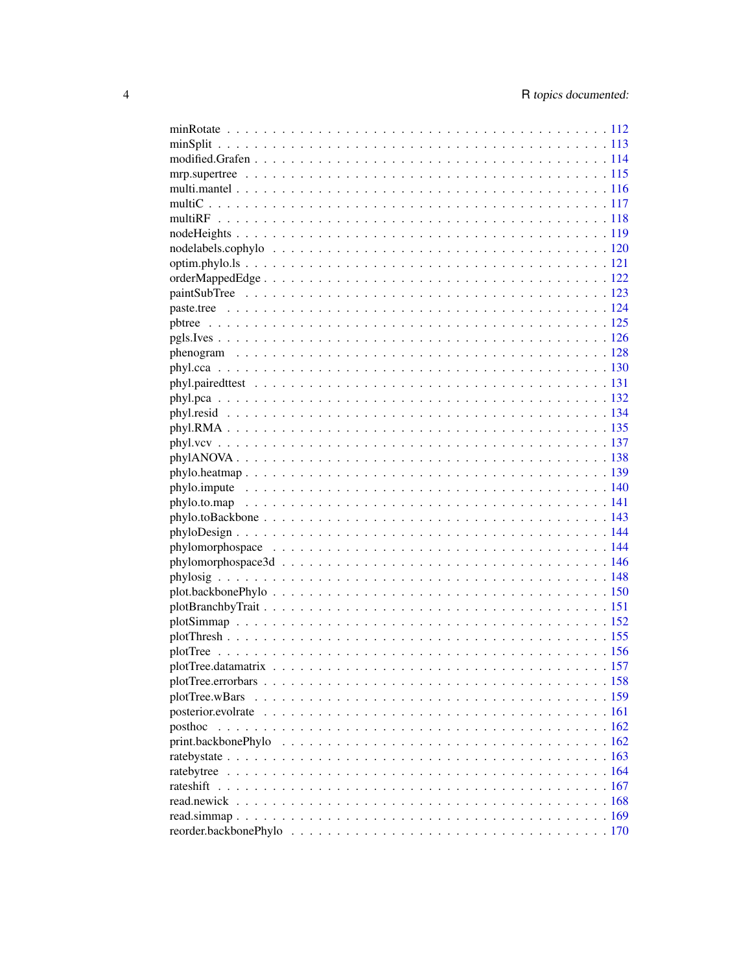| plotTree.wBars |  |
|----------------|--|
|                |  |
| posthoc        |  |
|                |  |
|                |  |
|                |  |
| rateshift      |  |
|                |  |
|                |  |
|                |  |
|                |  |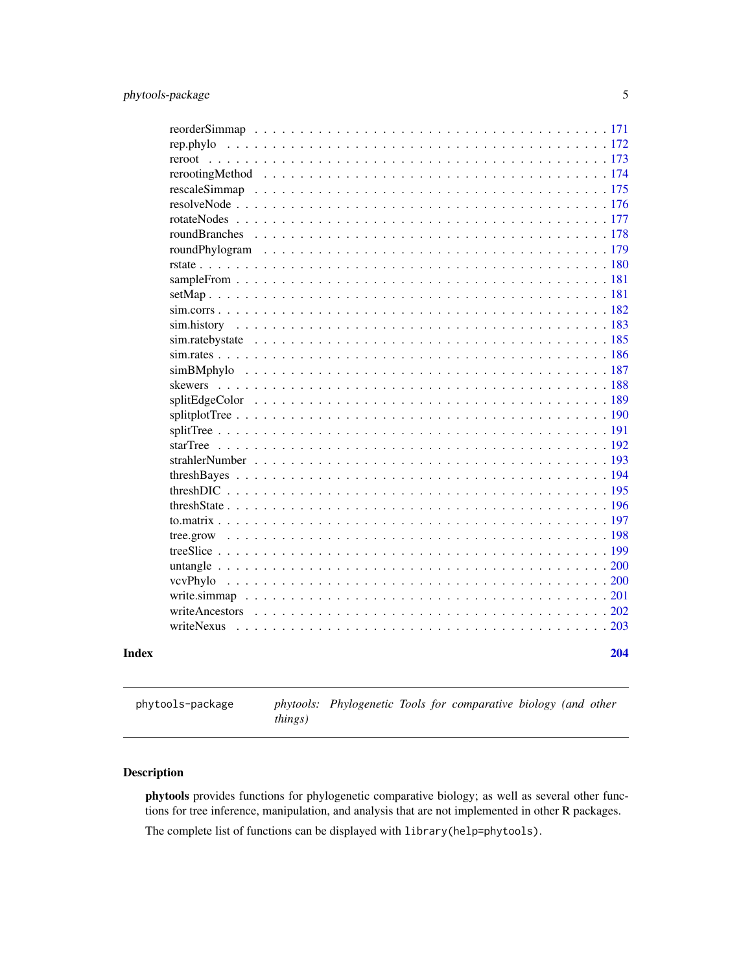<span id="page-4-0"></span>

|       | rep.phylo                            |     |
|-------|--------------------------------------|-----|
|       | reroot                               |     |
|       |                                      |     |
|       |                                      |     |
|       |                                      |     |
|       |                                      |     |
|       |                                      |     |
|       |                                      |     |
|       |                                      |     |
|       |                                      |     |
|       |                                      |     |
|       |                                      |     |
|       |                                      |     |
|       |                                      |     |
|       |                                      |     |
|       |                                      |     |
|       |                                      |     |
|       |                                      |     |
|       |                                      |     |
|       |                                      |     |
|       |                                      |     |
|       |                                      |     |
|       |                                      |     |
|       |                                      |     |
|       |                                      |     |
|       | threshState                          |     |
|       | to matrix $\ldots$ $\ldots$ $\ldots$ |     |
|       | tree.grow                            |     |
|       |                                      |     |
|       |                                      |     |
|       | vcvPhylo                             |     |
|       |                                      |     |
|       |                                      |     |
|       | writeNexus                           |     |
| Index |                                      | 204 |
|       |                                      |     |

phytools-package *phytools: Phylogenetic Tools for comparative biology (and other things)*

# Description

phytools provides functions for phylogenetic comparative biology; as well as several other functions for tree inference, manipulation, and analysis that are not implemented in other R packages.

The complete list of functions can be displayed with library(help=phytools).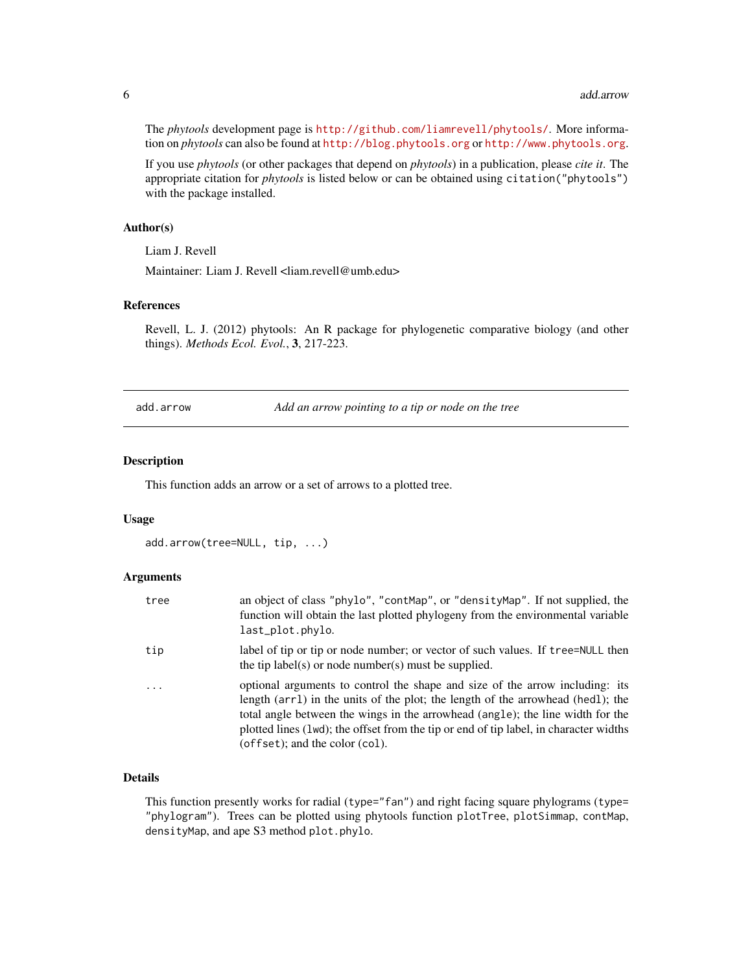The *phytools* development page is <http://github.com/liamrevell/phytools/>. More information on *phytools* can also be found at <http://blog.phytools.org> or <http://www.phytools.org>.

If you use *phytools* (or other packages that depend on *phytools*) in a publication, please *cite it*. The appropriate citation for *phytools* is listed below or can be obtained using citation("phytools") with the package installed.

### Author(s)

Liam J. Revell

Maintainer: Liam J. Revell <liam.revell@umb.edu>

# References

Revell, L. J. (2012) phytools: An R package for phylogenetic comparative biology (and other things). *Methods Ecol. Evol.*, 3, 217-223.

add.arrow *Add an arrow pointing to a tip or node on the tree*

# Description

This function adds an arrow or a set of arrows to a plotted tree.

# Usage

```
add.arrow(tree=NULL, tip, ...)
```
### Arguments

| tree       | an object of class "phylo", "contMap", or "densityMap". If not supplied, the<br>function will obtain the last plotted phylogeny from the environmental variable<br>last_plot.phylo.                                                                                                                                                                                                |
|------------|------------------------------------------------------------------------------------------------------------------------------------------------------------------------------------------------------------------------------------------------------------------------------------------------------------------------------------------------------------------------------------|
| tip        | label of tip or tip or node number; or vector of such values. If tree=NULL then<br>the tip label(s) or node number(s) must be supplied.                                                                                                                                                                                                                                            |
| $\ddots$ . | optional arguments to control the shape and size of the arrow including: its<br>length (arr1) in the units of the plot; the length of the arrowhead (hed1); the<br>total angle between the wings in the arrowhead (angle); the line width for the<br>plotted lines (1wd); the offset from the tip or end of tip label, in character widths<br>$(offset)$ ; and the color $(col)$ . |

# Details

This function presently works for radial (type="fan") and right facing square phylograms (type= "phylogram"). Trees can be plotted using phytools function plotTree, plotSimmap, contMap, densityMap, and ape S3 method plot.phylo.

<span id="page-5-0"></span>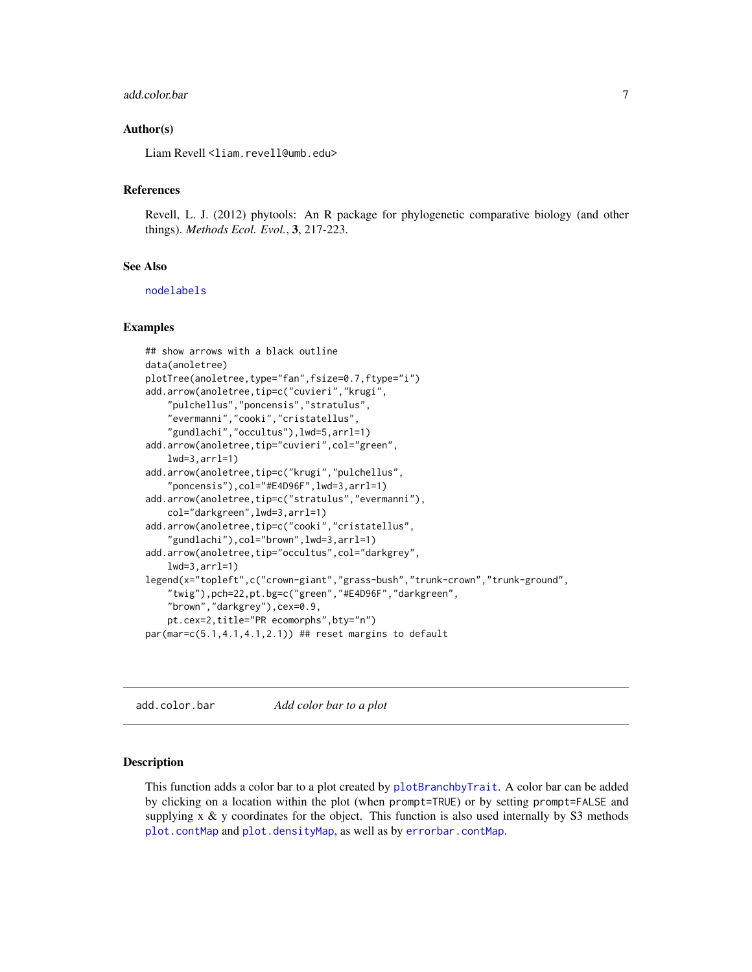### <span id="page-6-0"></span>add.color.bar 7

### Author(s)

Liam Revell <liam.revell@umb.edu>

### References

Revell, L. J. (2012) phytools: An R package for phylogenetic comparative biology (and other things). *Methods Ecol. Evol.*, 3, 217-223.

### See Also

[nodelabels](#page-0-0)

### Examples

```
## show arrows with a black outline
data(anoletree)
plotTree(anoletree,type="fan",fsize=0.7,ftype="i")
add.arrow(anoletree,tip=c("cuvieri","krugi",
    "pulchellus","poncensis","stratulus",
    "evermanni","cooki","cristatellus",
    "gundlachi","occultus"),lwd=5,arrl=1)
add.arrow(anoletree,tip="cuvieri",col="green",
    lwd=3,arrl=1)
add.arrow(anoletree,tip=c("krugi","pulchellus",
    "poncensis"),col="#E4D96F",lwd=3,arrl=1)
add.arrow(anoletree,tip=c("stratulus","evermanni"),
    col="darkgreen",lwd=3,arrl=1)
add.arrow(anoletree,tip=c("cooki","cristatellus",
    "gundlachi"),col="brown",lwd=3,arrl=1)
add.arrow(anoletree,tip="occultus",col="darkgrey",
    lwd=3,arrl=1)
legend(x="topleft",c("crown-giant","grass-bush","trunk-crown","trunk-ground",
    "twig"),pch=22,pt.bg=c("green","#E4D96F","darkgreen",
    "brown","darkgrey"),cex=0.9,
    pt.cex=2,title="PR ecomorphs",bty="n")
par(mar=c(5.1,4.1,4.1,2.1)) ## reset margins to default
```
add.color.bar *Add color bar to a plot*

# **Description**

This function adds a color bar to a plot created by [plotBranchbyTrait](#page-150-1). A color bar can be added by clicking on a location within the plot (when prompt=TRUE) or by setting prompt=FALSE and supplying  $x \& y$  coordinates for the object. This function is also used internally by S3 methods [plot.contMap](#page-38-1) and [plot.densityMap](#page-46-1), as well as by [errorbar.contMap](#page-38-1).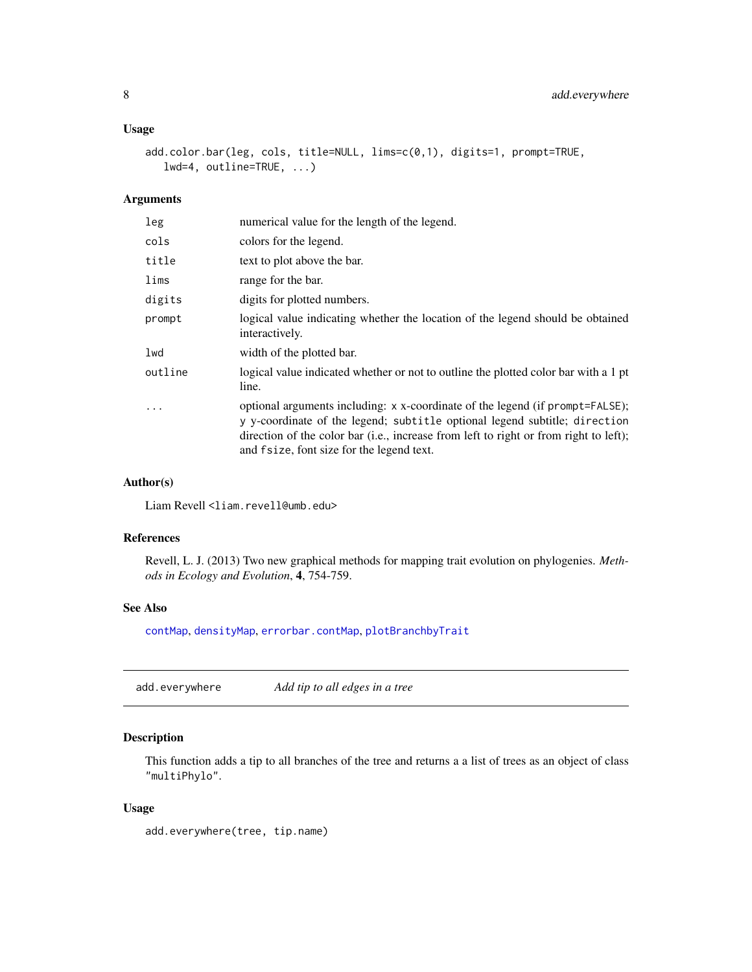# <span id="page-7-0"></span>Usage

```
add.color.bar(leg, cols, title=NULL, lims=c(0,1), digits=1, prompt=TRUE,
   lwd=4, outline=TRUE, ...)
```
# Arguments

| leg     | numerical value for the length of the legend.                                                                                                                                                                                                                                                     |
|---------|---------------------------------------------------------------------------------------------------------------------------------------------------------------------------------------------------------------------------------------------------------------------------------------------------|
| cols    | colors for the legend.                                                                                                                                                                                                                                                                            |
| title   | text to plot above the bar.                                                                                                                                                                                                                                                                       |
| lims    | range for the bar.                                                                                                                                                                                                                                                                                |
| digits  | digits for plotted numbers.                                                                                                                                                                                                                                                                       |
| prompt  | logical value indicating whether the location of the legend should be obtained<br>interactively.                                                                                                                                                                                                  |
| lwd     | width of the plotted bar.                                                                                                                                                                                                                                                                         |
| outline | logical value indicated whether or not to outline the plotted color bar with a 1 pt<br>line.                                                                                                                                                                                                      |
| $\cdot$ | optional arguments including: x x-coordinate of the legend (if prompt=FALSE);<br>y y-coordinate of the legend; subtitle optional legend subtitle; direction<br>direction of the color bar (i.e., increase from left to right or from right to left);<br>and fsize, font size for the legend text. |

### Author(s)

Liam Revell <liam.revell@umb.edu>

### References

Revell, L. J. (2013) Two new graphical methods for mapping trait evolution on phylogenies. *Methods in Ecology and Evolution*, 4, 754-759.

# See Also

[contMap](#page-38-2), [densityMap](#page-46-2), [errorbar.contMap](#page-38-1), [plotBranchbyTrait](#page-150-1)

<span id="page-7-1"></span>add.everywhere *Add tip to all edges in a tree*

# Description

This function adds a tip to all branches of the tree and returns a a list of trees as an object of class "multiPhylo".

### Usage

add.everywhere(tree, tip.name)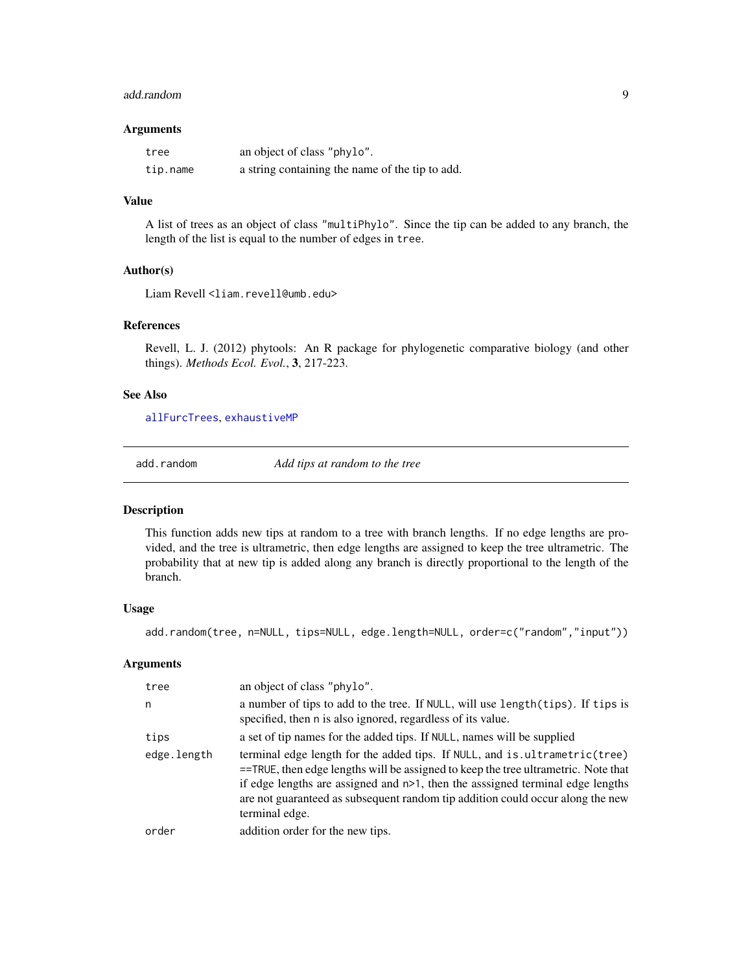### <span id="page-8-0"></span>add.random 9

### Arguments

| tree     | an object of class "phylo".                     |
|----------|-------------------------------------------------|
| tip.name | a string containing the name of the tip to add. |

# Value

A list of trees as an object of class "multiPhylo". Since the tip can be added to any branch, the length of the list is equal to the number of edges in tree.

# Author(s)

Liam Revell <liam.revell@umb.edu>

# References

Revell, L. J. (2012) phytools: An R package for phylogenetic comparative biology (and other things). *Methods Ecol. Evol.*, 3, 217-223.

### See Also

[allFurcTrees](#page-12-1), [exhaustiveMP](#page-64-1)

<span id="page-8-1"></span>

add.random *Add tips at random to the tree*

### Description

This function adds new tips at random to a tree with branch lengths. If no edge lengths are provided, and the tree is ultrametric, then edge lengths are assigned to keep the tree ultrametric. The probability that at new tip is added along any branch is directly proportional to the length of the branch.

### Usage

add.random(tree, n=NULL, tips=NULL, edge.length=NULL, order=c("random","input"))

| tree        | an object of class "phylo".                                                                                                                                                                                                                                                                                                                                 |
|-------------|-------------------------------------------------------------------------------------------------------------------------------------------------------------------------------------------------------------------------------------------------------------------------------------------------------------------------------------------------------------|
| n           | a number of tips to add to the tree. If NULL, will use length (tips). If tips is<br>specified, then n is also ignored, regardless of its value.                                                                                                                                                                                                             |
| tips        | a set of tip names for the added tips. If NULL, names will be supplied                                                                                                                                                                                                                                                                                      |
| edge.length | terminal edge length for the added tips. If NULL, and is ultrametric (tree)<br>$=$ TRUE, then edge lengths will be assigned to keep the tree ultrametric. Note that<br>if edge lengths are assigned and $n>1$ , then the assigned terminal edge lengths<br>are not guaranteed as subsequent random tip addition could occur along the new<br>terminal edge. |
| order       | addition order for the new tips.                                                                                                                                                                                                                                                                                                                            |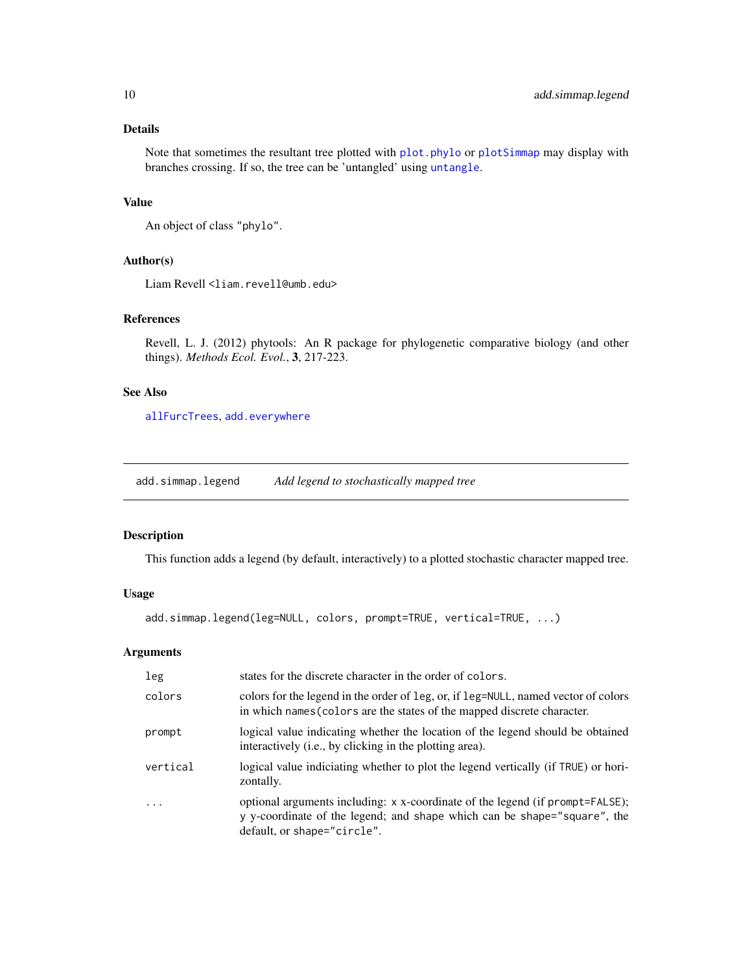# <span id="page-9-0"></span>Details

Note that sometimes the resultant tree plotted with [plot.phylo](#page-0-0) or [plotSimmap](#page-151-1) may display with branches crossing. If so, the tree can be 'untangled' using [untangle](#page-199-1).

# Value

An object of class "phylo".

# Author(s)

Liam Revell <liam.revell@umb.edu>

# References

Revell, L. J. (2012) phytools: An R package for phylogenetic comparative biology (and other things). *Methods Ecol. Evol.*, 3, 217-223.

# See Also

[allFurcTrees](#page-12-1), [add.everywhere](#page-7-1)

add.simmap.legend *Add legend to stochastically mapped tree*

# Description

This function adds a legend (by default, interactively) to a plotted stochastic character mapped tree.

# Usage

```
add.simmap.legend(leg=NULL, colors, prompt=TRUE, vertical=TRUE, ...)
```

| leg       | states for the discrete character in the order of colors.                                                                                                                                |
|-----------|------------------------------------------------------------------------------------------------------------------------------------------------------------------------------------------|
| colors    | colors for the legend in the order of leg, or, if leg=NULL, named vector of colors<br>in which names (colors are the states of the mapped discrete character.                            |
| prompt    | logical value indicating whether the location of the legend should be obtained<br>interactively (i.e., by clicking in the plotting area).                                                |
| vertical  | logical value indiciating whether to plot the legend vertically (if TRUE) or hori-<br>zontally.                                                                                          |
| $\ddotsc$ | optional arguments including: x x-coordinate of the legend (if prompt=FALSE);<br>y y-coordinate of the legend; and shape which can be shape="square", the<br>default, or shape="circle". |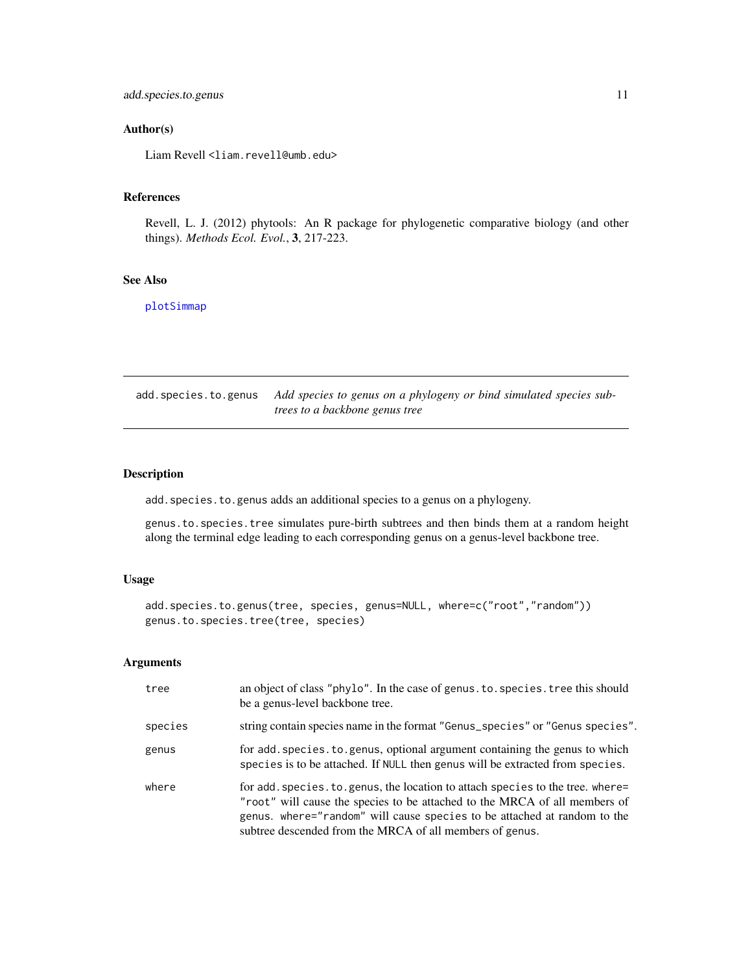# <span id="page-10-0"></span>add.species.to.genus 11

# Author(s)

Liam Revell <liam.revell@umb.edu>

### References

Revell, L. J. (2012) phytools: An R package for phylogenetic comparative biology (and other things). *Methods Ecol. Evol.*, 3, 217-223.

# See Also

[plotSimmap](#page-151-1)

add.species.to.genus *Add species to genus on a phylogeny or bind simulated species subtrees to a backbone genus tree*

# Description

add.species.to.genus adds an additional species to a genus on a phylogeny.

genus.to.species.tree simulates pure-birth subtrees and then binds them at a random height along the terminal edge leading to each corresponding genus on a genus-level backbone tree.

# Usage

add.species.to.genus(tree, species, genus=NULL, where=c("root","random")) genus.to.species.tree(tree, species)

| tree    | an object of class "phylo". In the case of genus. to. species. tree this should<br>be a genus-level backbone tree.                                                                                                                                                                                    |
|---------|-------------------------------------------------------------------------------------------------------------------------------------------------------------------------------------------------------------------------------------------------------------------------------------------------------|
| species | string contain species name in the format "Genus_species" or "Genus species".                                                                                                                                                                                                                         |
| genus   | for add. species. to. genus, optional argument containing the genus to which<br>species is to be attached. If NULL then genus will be extracted from species.                                                                                                                                         |
| where   | for add. species. to. genus, the location to attach species to the tree. where=<br>"root" will cause the species to be attached to the MRCA of all members of<br>genus. where="random" will cause species to be attached at random to the<br>subtree descended from the MRCA of all members of genus. |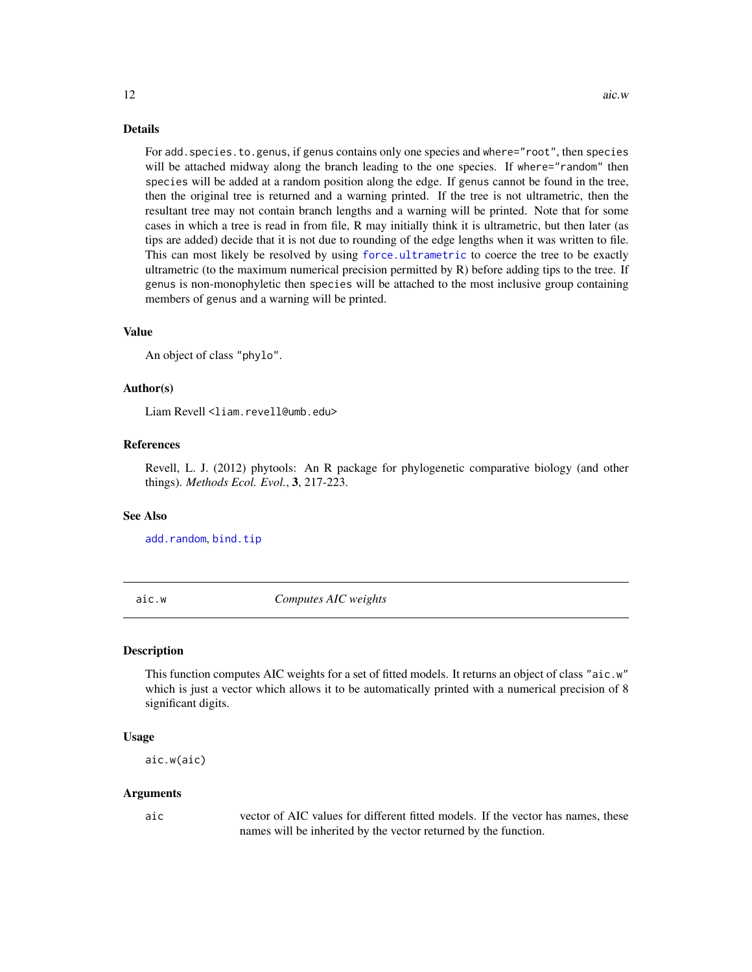<span id="page-11-0"></span>For add.species.to.genus, if genus contains only one species and where="root", then species will be attached midway along the branch leading to the one species. If where="random" then species will be added at a random position along the edge. If genus cannot be found in the tree, then the original tree is returned and a warning printed. If the tree is not ultrametric, then the resultant tree may not contain branch lengths and a warning will be printed. Note that for some cases in which a tree is read in from file, R may initially think it is ultrametric, but then later (as tips are added) decide that it is not due to rounding of the edge lengths when it was written to file. This can most likely be resolved by using [force.ultrametric](#page-82-1) to coerce the tree to be exactly ultrametric (to the maximum numerical precision permitted by R) before adding tips to the tree. If genus is non-monophyletic then species will be attached to the most inclusive group containing members of genus and a warning will be printed.

### Value

An object of class "phylo".

### Author(s)

Liam Revell <liam.revell@umb.edu>

# References

Revell, L. J. (2012) phytools: An R package for phylogenetic comparative biology (and other things). *Methods Ecol. Evol.*, 3, 217-223.

### See Also

[add.random](#page-8-1), [bind.tip](#page-26-1)

aic.w *Computes AIC weights*

### Description

This function computes AIC weights for a set of fitted models. It returns an object of class "aic.w" which is just a vector which allows it to be automatically printed with a numerical precision of 8 significant digits.

### Usage

aic.w(aic)

### Arguments

aic vector of AIC values for different fitted models. If the vector has names, these names will be inherited by the vector returned by the function.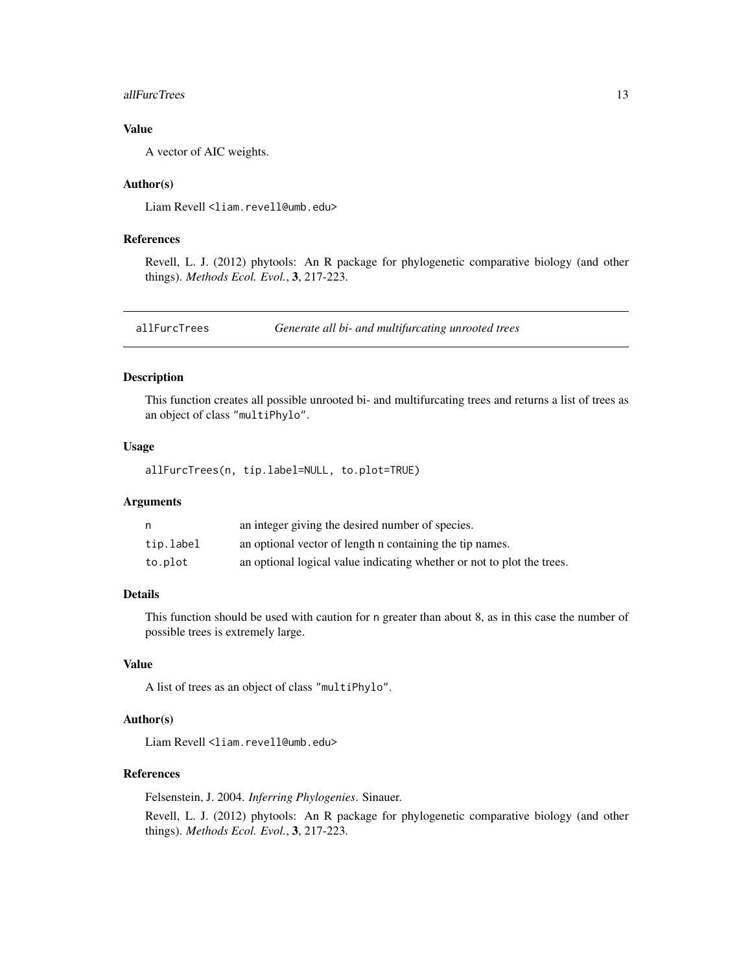### <span id="page-12-0"></span>allFurcTrees 23 and 23 and 23 and 23 and 23 and 23 and 23 and 23 and 23 and 23 and 23 and 23 and 23 and 23 and 23 and 23 and 23 and 23 and 23 and 23 and 23 and 23 and 23 and 23 and 23 and 23 and 23 and 23 and 23 and 23 and

# Value

A vector of AIC weights.

# Author(s)

Liam Revell <liam.revell@umb.edu>

# References

Revell, L. J. (2012) phytools: An R package for phylogenetic comparative biology (and other things). *Methods Ecol. Evol.*, 3, 217-223.

<span id="page-12-1"></span>allFurcTrees *Generate all bi- and multifurcating unrooted trees*

# Description

This function creates all possible unrooted bi- and multifurcating trees and returns a list of trees as an object of class "multiPhylo".

# Usage

allFurcTrees(n, tip.label=NULL, to.plot=TRUE)

### Arguments

| n         | an integer giving the desired number of species.                       |
|-----------|------------------------------------------------------------------------|
| tip.label | an optional vector of length n containing the tip names.               |
| to.plot   | an optional logical value indicating whether or not to plot the trees. |

# Details

This function should be used with caution for n greater than about 8, as in this case the number of possible trees is extremely large.

### Value

A list of trees as an object of class "multiPhylo".

# Author(s)

Liam Revell <liam.revell@umb.edu>

### References

Felsenstein, J. 2004. *Inferring Phylogenies*. Sinauer.

Revell, L. J. (2012) phytools: An R package for phylogenetic comparative biology (and other things). *Methods Ecol. Evol.*, 3, 217-223.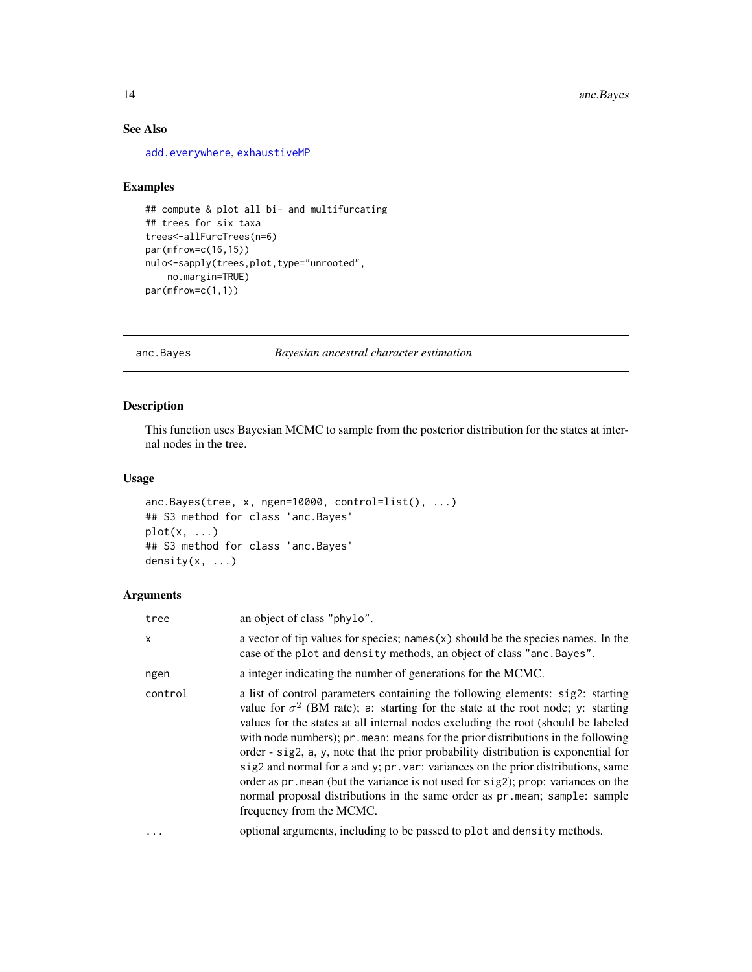# See Also

[add.everywhere](#page-7-1), [exhaustiveMP](#page-64-1)

### Examples

```
## compute & plot all bi- and multifurcating
## trees for six taxa
trees<-allFurcTrees(n=6)
par(mfrow=c(16,15))
nulo<-sapply(trees,plot,type="unrooted",
    no.margin=TRUE)
par(mfrow=c(1,1))
```
<span id="page-13-1"></span>anc.Bayes *Bayesian ancestral character estimation*

# Description

This function uses Bayesian MCMC to sample from the posterior distribution for the states at internal nodes in the tree.

### Usage

```
anc.Bayes(tree, x, ngen=10000, control=list(), ...)
## S3 method for class 'anc.Bayes'
plot(x, \ldots)## S3 method for class 'anc.Bayes'
density(x, \ldots)
```

| tree     | an object of class "phylo".                                                                                                                                                                                                                                                                                                                                                                                                                                                                                                                                                                                                                                                                                                         |
|----------|-------------------------------------------------------------------------------------------------------------------------------------------------------------------------------------------------------------------------------------------------------------------------------------------------------------------------------------------------------------------------------------------------------------------------------------------------------------------------------------------------------------------------------------------------------------------------------------------------------------------------------------------------------------------------------------------------------------------------------------|
| X        | a vector of tip values for species; names $(x)$ should be the species names. In the<br>case of the plot and density methods, an object of class "anc. Bayes".                                                                                                                                                                                                                                                                                                                                                                                                                                                                                                                                                                       |
| ngen     | a integer indicating the number of generations for the MCMC.                                                                                                                                                                                                                                                                                                                                                                                                                                                                                                                                                                                                                                                                        |
| control  | a list of control parameters containing the following elements: sig2: starting<br>value for $\sigma^2$ (BM rate); a: starting for the state at the root node; y: starting<br>values for the states at all internal nodes excluding the root (should be labeled<br>with node numbers); pr. mean: means for the prior distributions in the following<br>order - sig2, a, y, note that the prior probability distribution is exponential for<br>sig2 and normal for a and y; pr. var: variances on the prior distributions, same<br>order as $pr$ . mean (but the variance is not used for $sig2$ ); prop: variances on the<br>normal proposal distributions in the same order as pr. mean; sample: sample<br>frequency from the MCMC. |
| $\cdots$ | optional arguments, including to be passed to plot and density methods.                                                                                                                                                                                                                                                                                                                                                                                                                                                                                                                                                                                                                                                             |

<span id="page-13-0"></span>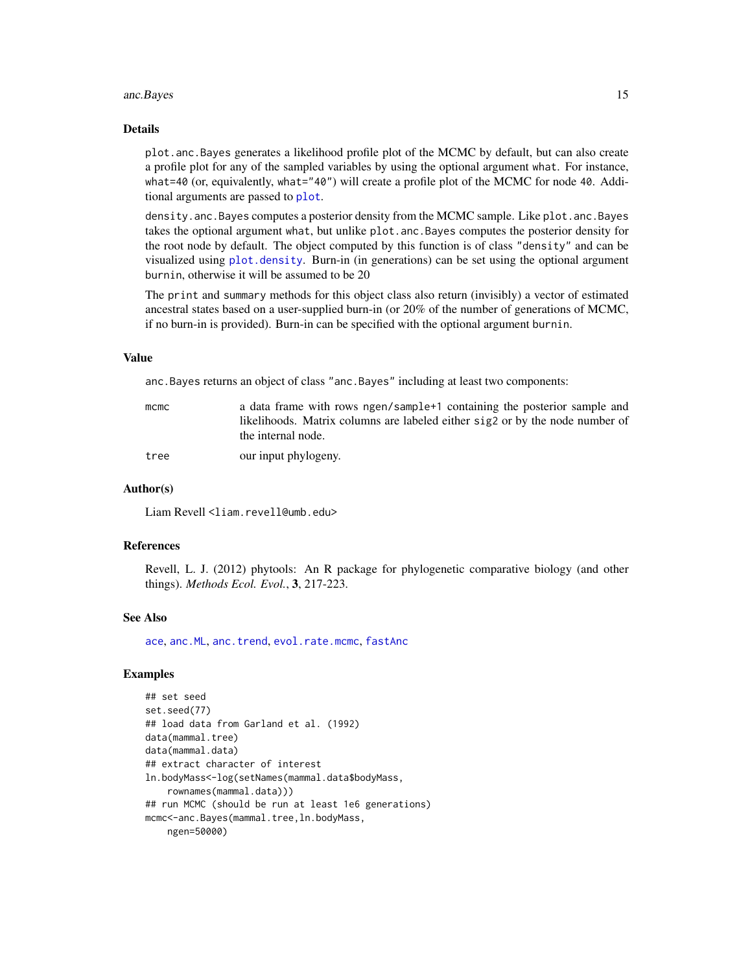### anc.Bayes 15

### Details

plot.anc.Bayes generates a likelihood profile plot of the MCMC by default, but can also create a profile plot for any of the sampled variables by using the optional argument what. For instance, what=40 (or, equivalently, what="40") will create a profile plot of the MCMC for node 40. Additional arguments are passed to [plot](#page-0-0).

density.anc.Bayes computes a posterior density from the MCMC sample. Like plot.anc.Bayes takes the optional argument what, but unlike plot.anc.Bayes computes the posterior density for the root node by default. The object computed by this function is of class "density" and can be visualized using [plot.density](#page-0-0). Burn-in (in generations) can be set using the optional argument burnin, otherwise it will be assumed to be 20

The print and summary methods for this object class also return (invisibly) a vector of estimated ancestral states based on a user-supplied burn-in (or 20% of the number of generations of MCMC, if no burn-in is provided). Burn-in can be specified with the optional argument burnin.

# Value

anc.Bayes returns an object of class "anc.Bayes" including at least two components:

| mcmc | a data frame with rows ngen/sample+1 containing the posterior sample and     |
|------|------------------------------------------------------------------------------|
|      | likelihoods. Matrix columns are labeled either sig2 or by the node number of |
|      | the internal node.                                                           |
| tree | our input phylogeny.                                                         |

### Author(s)

Liam Revell <liam.revell@umb.edu>

### References

Revell, L. J. (2012) phytools: An R package for phylogenetic comparative biology (and other things). *Methods Ecol. Evol.*, 3, 217-223.

### See Also

[ace](#page-0-0), [anc.ML](#page-15-1), [anc.trend](#page-16-1), [evol.rate.mcmc](#page-60-1), [fastAnc](#page-69-1)

# Examples

```
## set seed
set.seed(77)
## load data from Garland et al. (1992)
data(mammal.tree)
data(mammal.data)
## extract character of interest
ln.bodyMass<-log(setNames(mammal.data$bodyMass,
    rownames(mammal.data)))
## run MCMC (should be run at least 1e6 generations)
mcmc<-anc.Bayes(mammal.tree,ln.bodyMass,
   ngen=50000)
```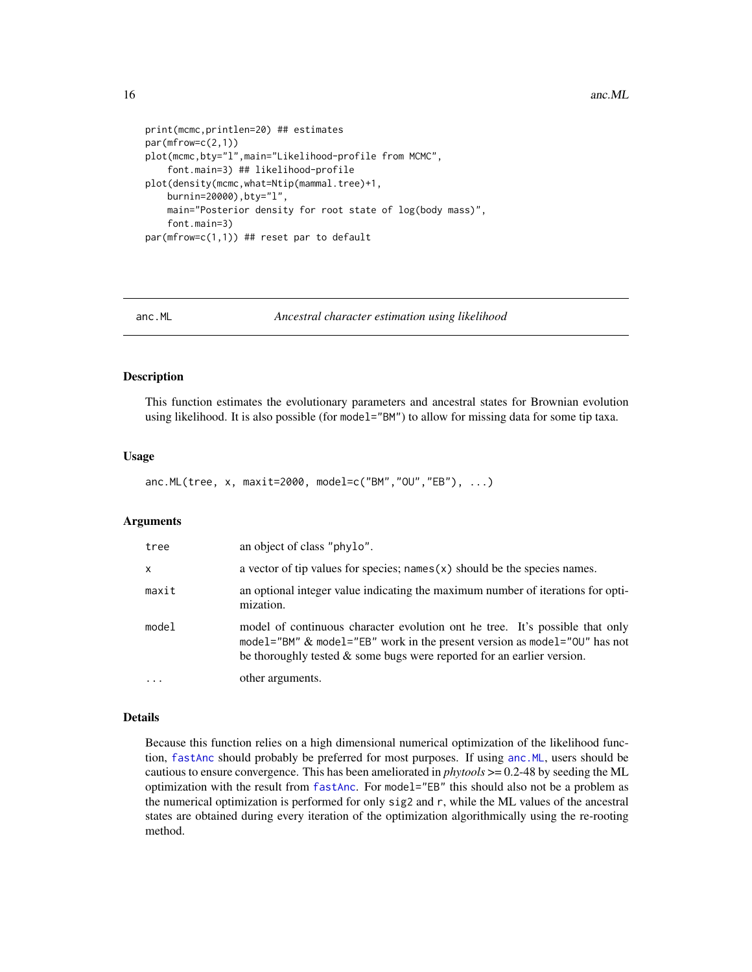<span id="page-15-0"></span>16 and 200 and 200 and 200 and 200 and 200 and 200 and 200 and 200 and 200 and 200 and 200 and 200 and 200 and 200 and 200 and 200 and 200 and 200 and 200 and 200 and 200 and 200 and 200 and 200 and 200 and 200 and 200 and

```
print(mcmc,printlen=20) ## estimates
par(mfrow=c(2,1))
plot(mcmc,bty="l",main="Likelihood-profile from MCMC",
    font.main=3) ## likelihood-profile
plot(density(mcmc,what=Ntip(mammal.tree)+1,
   burnin=20000),bty="l",
   main="Posterior density for root state of log(body mass)",
    font.main=3)
par(mfrow=c(1,1)) ## reset par to default
```
<span id="page-15-1"></span>

anc.ML *Ancestral character estimation using likelihood*

# Description

This function estimates the evolutionary parameters and ancestral states for Brownian evolution using likelihood. It is also possible (for model="BM") to allow for missing data for some tip taxa.

### Usage

anc.ML(tree, x, maxit=2000, model=c("BM","OU","EB"), ...)

### Arguments

| tree     | an object of class "phylo".                                                                                                                                                                                                            |
|----------|----------------------------------------------------------------------------------------------------------------------------------------------------------------------------------------------------------------------------------------|
| $\times$ | a vector of tip values for species; names $(x)$ should be the species names.                                                                                                                                                           |
| maxit    | an optional integer value indicating the maximum number of iterations for opti-<br>mization.                                                                                                                                           |
| model    | model of continuous character evolution ont he tree. It's possible that only<br>model="BM" & model="EB" work in the present version as model="0U" has not<br>be thoroughly tested $\&$ some bugs were reported for an earlier version. |
|          | other arguments.                                                                                                                                                                                                                       |

### Details

Because this function relies on a high dimensional numerical optimization of the likelihood function, [fastAnc](#page-69-1) should probably be preferred for most purposes. If using [anc.ML](#page-15-1), users should be cautious to ensure convergence. This has been ameliorated in *phytools* >= 0.2-48 by seeding the ML optimization with the result from [fastAnc](#page-69-1). For model="EB" this should also not be a problem as the numerical optimization is performed for only sig2 and r, while the ML values of the ancestral states are obtained during every iteration of the optimization algorithmically using the re-rooting method.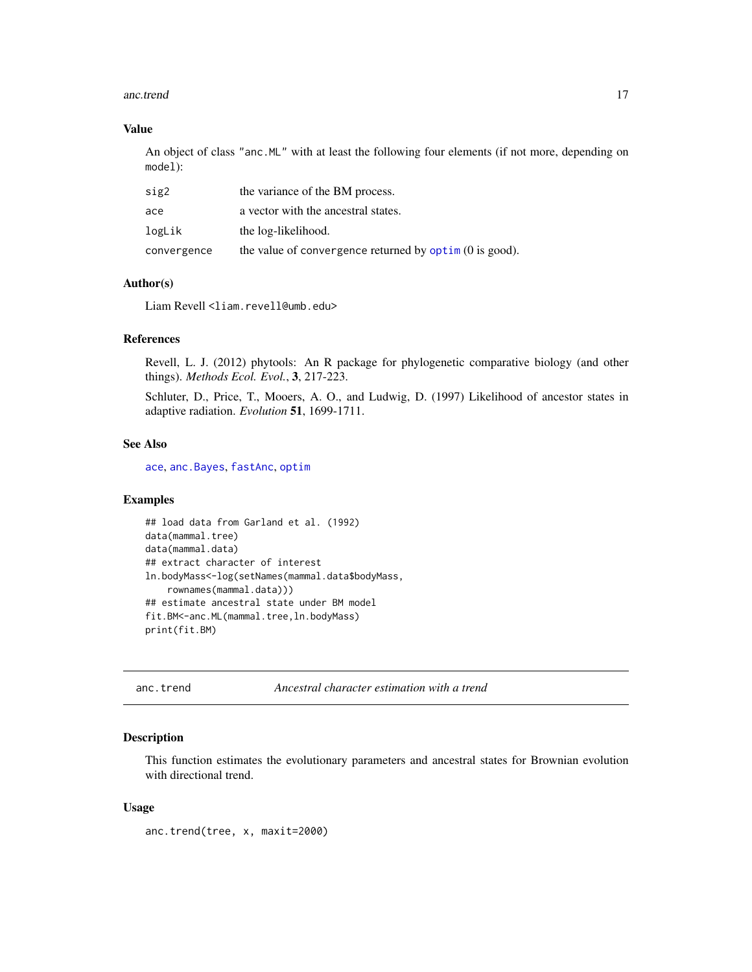### <span id="page-16-0"></span>anc.trend 17

# Value

An object of class "anc.ML" with at least the following four elements (if not more, depending on model):

| sig2        | the variance of the BM process.                                |
|-------------|----------------------------------------------------------------|
| ace         | a vector with the ancestral states.                            |
| logLik      | the log-likelihood.                                            |
| convergence | the value of convergence returned by $\phi$ optim (0 is good). |

# Author(s)

Liam Revell <liam.revell@umb.edu>

### References

Revell, L. J. (2012) phytools: An R package for phylogenetic comparative biology (and other things). *Methods Ecol. Evol.*, 3, 217-223.

Schluter, D., Price, T., Mooers, A. O., and Ludwig, D. (1997) Likelihood of ancestor states in adaptive radiation. *Evolution* 51, 1699-1711.

# See Also

[ace](#page-0-0), [anc.Bayes](#page-13-1), [fastAnc](#page-69-1), [optim](#page-0-0)

# Examples

```
## load data from Garland et al. (1992)
data(mammal.tree)
data(mammal.data)
## extract character of interest
ln.bodyMass<-log(setNames(mammal.data$bodyMass,
    rownames(mammal.data)))
## estimate ancestral state under BM model
fit.BM<-anc.ML(mammal.tree,ln.bodyMass)
print(fit.BM)
```
<span id="page-16-1"></span>anc.trend *Ancestral character estimation with a trend*

# Description

This function estimates the evolutionary parameters and ancestral states for Brownian evolution with directional trend.

### Usage

anc.trend(tree, x, maxit=2000)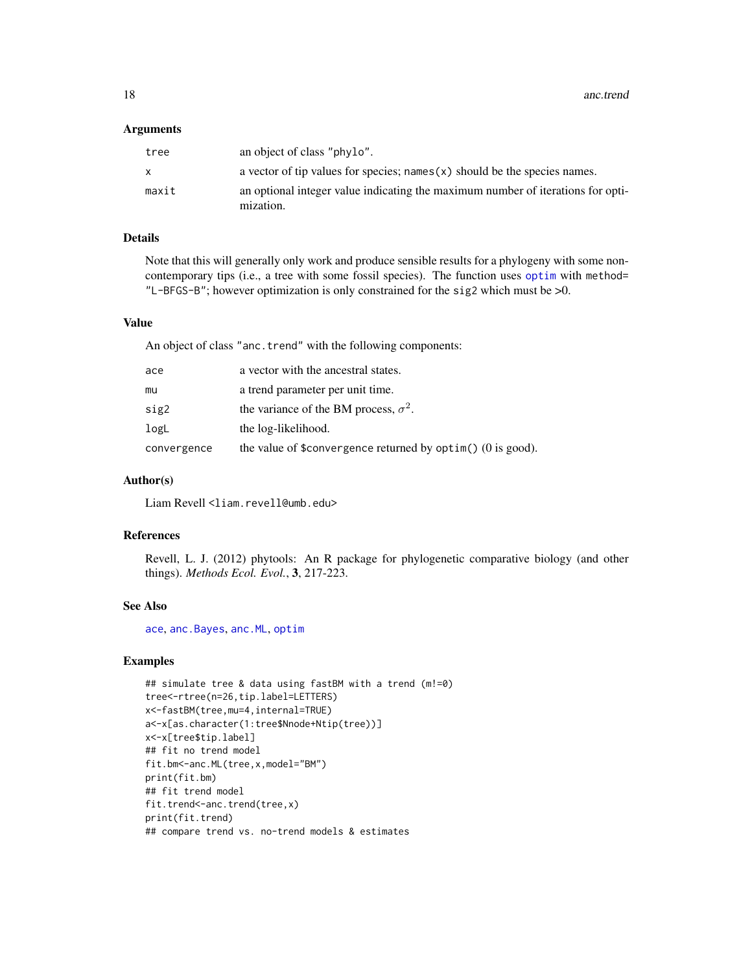18 and the contract of the contract of the contract of the contract of the contract of the contract of the contract of the contract of the contract of the contract of the contract of the contract of the contract of the con

### **Arguments**

| tree  | an object of class "phylo".                                                                  |
|-------|----------------------------------------------------------------------------------------------|
| X.    | a vector of tip values for species; names $(x)$ should be the species names.                 |
| maxit | an optional integer value indicating the maximum number of iterations for opti-<br>mization. |

# Details

Note that this will generally only work and produce sensible results for a phylogeny with some noncontemporary tips (i.e., a tree with some fossil species). The function uses [optim](#page-0-0) with method= "L-BFGS-B"; however optimization is only constrained for the sig2 which must be >0.

# Value

An object of class "anc.trend" with the following components:

| ace         | a vector with the ancestral states.                            |
|-------------|----------------------------------------------------------------|
| mu          | a trend parameter per unit time.                               |
| sig2        | the variance of the BM process, $\sigma^2$ .                   |
| logL        | the log-likelihood.                                            |
| convergence | the value of \$convergence returned by $option()$ (0 is good). |

### Author(s)

Liam Revell <liam.revell@umb.edu>

# References

Revell, L. J. (2012) phytools: An R package for phylogenetic comparative biology (and other things). *Methods Ecol. Evol.*, 3, 217-223.

# See Also

[ace](#page-0-0), [anc.Bayes](#page-13-1), [anc.ML](#page-15-1), [optim](#page-0-0)

# Examples

```
## simulate tree & data using fastBM with a trend (m!=0)
tree<-rtree(n=26,tip.label=LETTERS)
x<-fastBM(tree,mu=4,internal=TRUE)
a<-x[as.character(1:tree$Nnode+Ntip(tree))]
x<-x[tree$tip.label]
## fit no trend model
fit.bm<-anc.ML(tree,x,model="BM")
print(fit.bm)
## fit trend model
fit.trend<-anc.trend(tree,x)
print(fit.trend)
## compare trend vs. no-trend models & estimates
```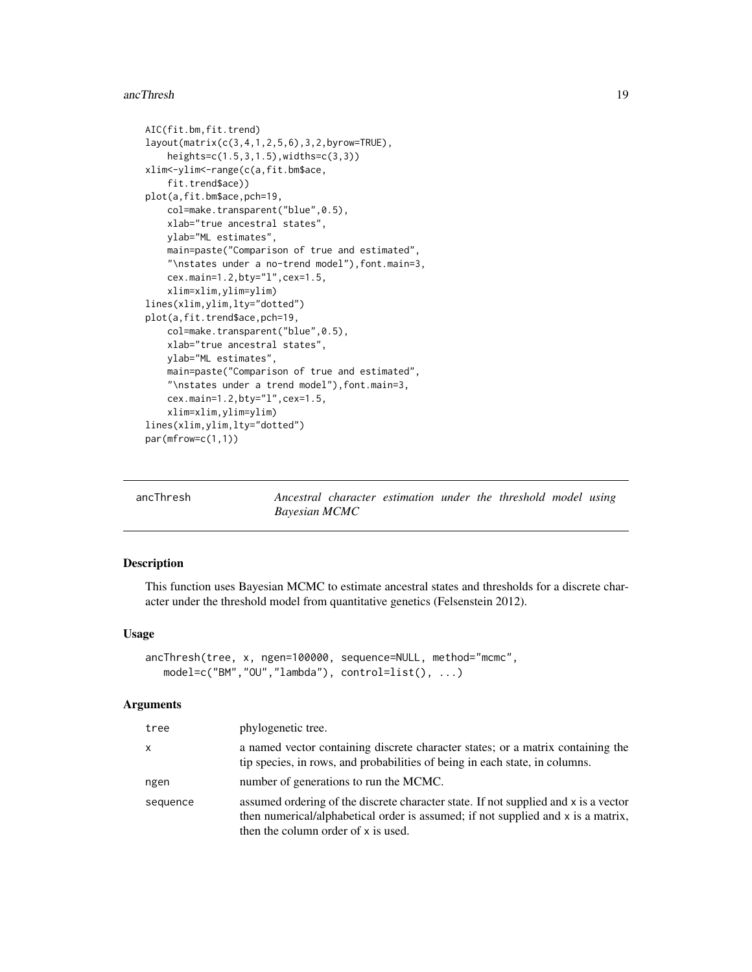### <span id="page-18-0"></span>ancThresh 19

```
AIC(fit.bm,fit.trend)
layout(matrix(c(3,4,1,2,5,6),3,2,byrow=TRUE),
    heights=c(1.5,3,1.5),widths=c(3,3))
xlim<-ylim<-range(c(a,fit.bm$ace,
    fit.trend$ace))
plot(a,fit.bm$ace,pch=19,
   col=make.transparent("blue",0.5),
   xlab="true ancestral states",
   ylab="ML estimates",
   main=paste("Comparison of true and estimated",
    "\nstates under a no-trend model"),font.main=3,
    cex.main=1.2,bty="l",cex=1.5,
    xlim=xlim,ylim=ylim)
lines(xlim,ylim,lty="dotted")
plot(a,fit.trend$ace,pch=19,
    col=make.transparent("blue", 0.5),
   xlab="true ancestral states",
   ylab="ML estimates",
    main=paste("Comparison of true and estimated",
    "\nstates under a trend model"),font.main=3,
   cex.main=1.2,bty="l",cex=1.5,
    xlim=xlim,ylim=ylim)
lines(xlim,ylim,lty="dotted")
par(mfrow=c(1,1))
```
ancThresh *Ancestral character estimation under the threshold model using Bayesian MCMC*

### Description

This function uses Bayesian MCMC to estimate ancestral states and thresholds for a discrete character under the threshold model from quantitative genetics (Felsenstein 2012).

# Usage

```
ancThresh(tree, x, ngen=100000, sequence=NULL, method="mcmc",
   model=c("BM","OU","lambda"), control=list(), ...)
```

| tree     | phylogenetic tree.                                                                                                                                                                                             |
|----------|----------------------------------------------------------------------------------------------------------------------------------------------------------------------------------------------------------------|
| x        | a named vector containing discrete character states; or a matrix containing the<br>tip species, in rows, and probabilities of being in each state, in columns.                                                 |
| ngen     | number of generations to run the MCMC.                                                                                                                                                                         |
| sequence | assumed ordering of the discrete character state. If not supplied and x is a vector<br>then numerical/alphabetical order is assumed; if not supplied and x is a matrix,<br>then the column order of x is used. |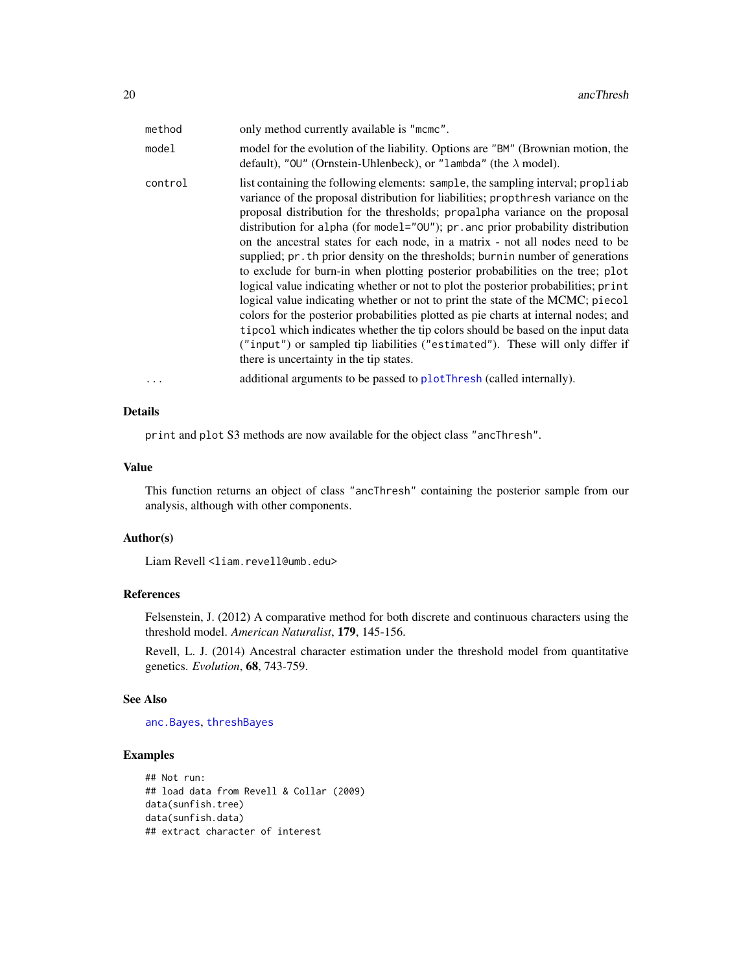| method  | only method currently available is "mcmc".                                                                                                                                                                                                                                                                                                                                                                                                                                                                                                                                                                                                                                                                                                                                                                                                                                                                                                                                                                                                                                 |
|---------|----------------------------------------------------------------------------------------------------------------------------------------------------------------------------------------------------------------------------------------------------------------------------------------------------------------------------------------------------------------------------------------------------------------------------------------------------------------------------------------------------------------------------------------------------------------------------------------------------------------------------------------------------------------------------------------------------------------------------------------------------------------------------------------------------------------------------------------------------------------------------------------------------------------------------------------------------------------------------------------------------------------------------------------------------------------------------|
| model   | model for the evolution of the liability. Options are "BM" (Brownian motion, the<br>default), "00" (Ornstein-Uhlenbeck), or "lambda" (the $\lambda$ model).                                                                                                                                                                                                                                                                                                                                                                                                                                                                                                                                                                                                                                                                                                                                                                                                                                                                                                                |
| control | list containing the following elements: sample, the sampling interval; propliab<br>variance of the proposal distribution for liabilities; propthresh variance on the<br>proposal distribution for the thresholds; propalpha variance on the proposal<br>distribution for alpha (for model="00"); pr. anc prior probability distribution<br>on the ancestral states for each node, in a matrix - not all nodes need to be<br>supplied; pr. th prior density on the thresholds; burnin number of generations<br>to exclude for burn-in when plotting posterior probabilities on the tree; plot<br>logical value indicating whether or not to plot the posterior probabilities; print<br>logical value indicating whether or not to print the state of the MCMC; piecol<br>colors for the posterior probabilities plotted as pie charts at internal nodes; and<br>tipcol which indicates whether the tip colors should be based on the input data<br>("input") or sampled tip liabilities ("estimated"). These will only differ if<br>there is uncertainty in the tip states. |
|         | additional arguments to be passed to plotThresh (called internally).                                                                                                                                                                                                                                                                                                                                                                                                                                                                                                                                                                                                                                                                                                                                                                                                                                                                                                                                                                                                       |

# Details

print and plot S3 methods are now available for the object class "ancThresh".

### Value

This function returns an object of class "ancThresh" containing the posterior sample from our analysis, although with other components.

### Author(s)

Liam Revell <liam.revell@umb.edu>

# References

Felsenstein, J. (2012) A comparative method for both discrete and continuous characters using the threshold model. *American Naturalist*, 179, 145-156.

Revell, L. J. (2014) Ancestral character estimation under the threshold model from quantitative genetics. *Evolution*, 68, 743-759.

### See Also

[anc.Bayes](#page-13-1), [threshBayes](#page-193-1)

# Examples

```
## Not run:
## load data from Revell & Collar (2009)
data(sunfish.tree)
data(sunfish.data)
## extract character of interest
```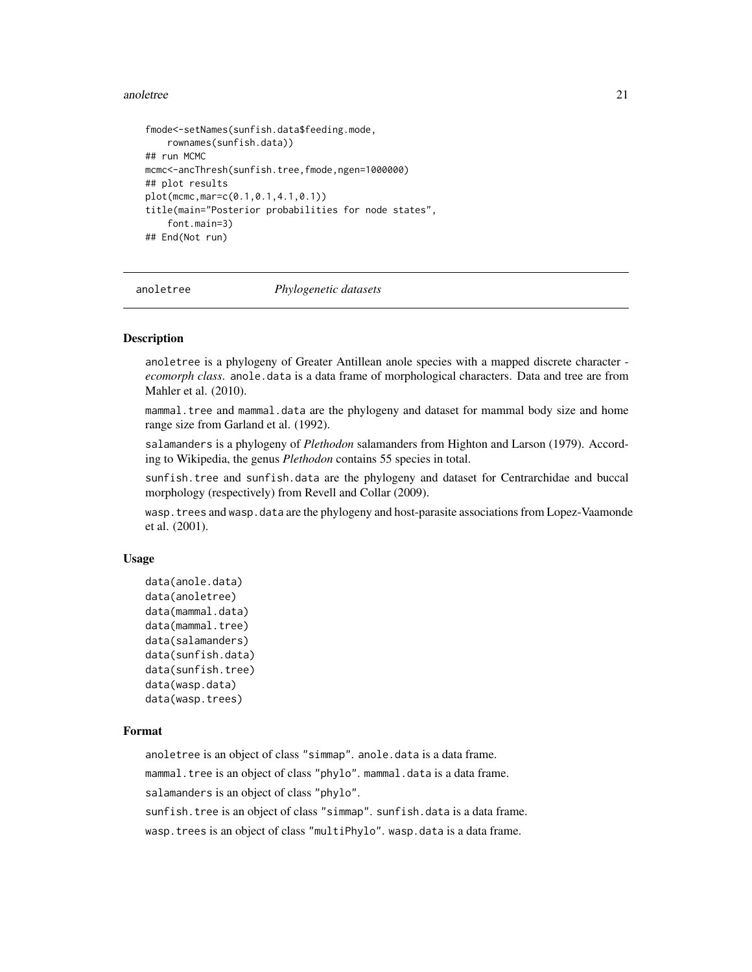### <span id="page-20-0"></span>anoletree 21

```
fmode<-setNames(sunfish.data$feeding.mode,
    rownames(sunfish.data))
## run MCMC
mcmc<-ancThresh(sunfish.tree,fmode,ngen=1000000)
## plot results
plot(mcmc,mar=c(0.1,0.1,4.1,0.1))
title(main="Posterior probabilities for node states",
    font.main=3)
## End(Not run)
```
anoletree *Phylogenetic datasets*

## Description

anoletree is a phylogeny of Greater Antillean anole species with a mapped discrete character *ecomorph class*. anole.data is a data frame of morphological characters. Data and tree are from Mahler et al. (2010).

mammal.tree and mammal.data are the phylogeny and dataset for mammal body size and home range size from Garland et al. (1992).

salamanders is a phylogeny of *Plethodon* salamanders from Highton and Larson (1979). According to Wikipedia, the genus *Plethodon* contains 55 species in total.

sunfish.tree and sunfish.data are the phylogeny and dataset for Centrarchidae and buccal morphology (respectively) from Revell and Collar (2009).

wasp.trees and wasp.data are the phylogeny and host-parasite associations from Lopez-Vaamonde et al. (2001).

### Usage

```
data(anole.data)
data(anoletree)
data(mammal.data)
data(mammal.tree)
data(salamanders)
data(sunfish.data)
data(sunfish.tree)
data(wasp.data)
data(wasp.trees)
```
### Format

anoletree is an object of class "simmap". anole.data is a data frame.

mammal.tree is an object of class "phylo".mammal.data is a data frame.

salamanders is an object of class "phylo".

sunfish.tree is an object of class "simmap". sunfish.data is a data frame.

wasp.trees is an object of class "multiPhylo". wasp.data is a data frame.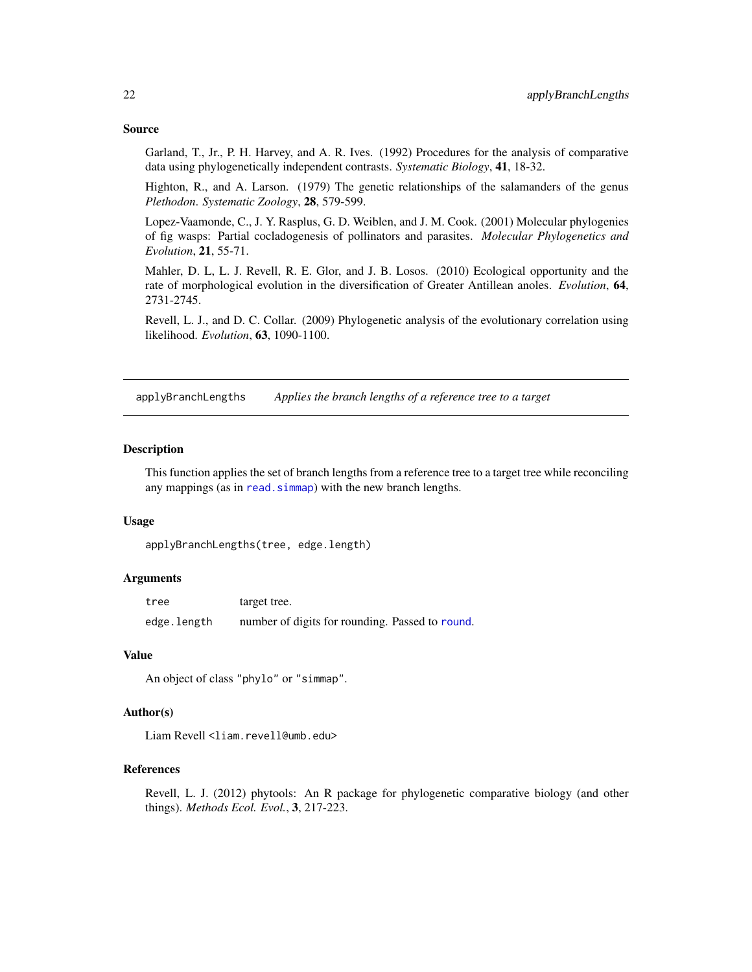### <span id="page-21-0"></span>Source

Garland, T., Jr., P. H. Harvey, and A. R. Ives. (1992) Procedures for the analysis of comparative data using phylogenetically independent contrasts. *Systematic Biology*, 41, 18-32.

Highton, R., and A. Larson. (1979) The genetic relationships of the salamanders of the genus *Plethodon*. *Systematic Zoology*, 28, 579-599.

Lopez-Vaamonde, C., J. Y. Rasplus, G. D. Weiblen, and J. M. Cook. (2001) Molecular phylogenies of fig wasps: Partial cocladogenesis of pollinators and parasites. *Molecular Phylogenetics and Evolution*, 21, 55-71.

Mahler, D. L, L. J. Revell, R. E. Glor, and J. B. Losos. (2010) Ecological opportunity and the rate of morphological evolution in the diversification of Greater Antillean anoles. *Evolution*, 64, 2731-2745.

Revell, L. J., and D. C. Collar. (2009) Phylogenetic analysis of the evolutionary correlation using likelihood. *Evolution*, 63, 1090-1100.

applyBranchLengths *Applies the branch lengths of a reference tree to a target*

### Description

This function applies the set of branch lengths from a reference tree to a target tree while reconciling any mappings (as in read. simmap) with the new branch lengths.

### Usage

applyBranchLengths(tree, edge.length)

### Arguments

| tree        | target tree.                                    |
|-------------|-------------------------------------------------|
| edge.length | number of digits for rounding. Passed to round. |

# Value

An object of class "phylo" or "simmap".

# Author(s)

Liam Revell <liam.revell@umb.edu>

### References

Revell, L. J. (2012) phytools: An R package for phylogenetic comparative biology (and other things). *Methods Ecol. Evol.*, 3, 217-223.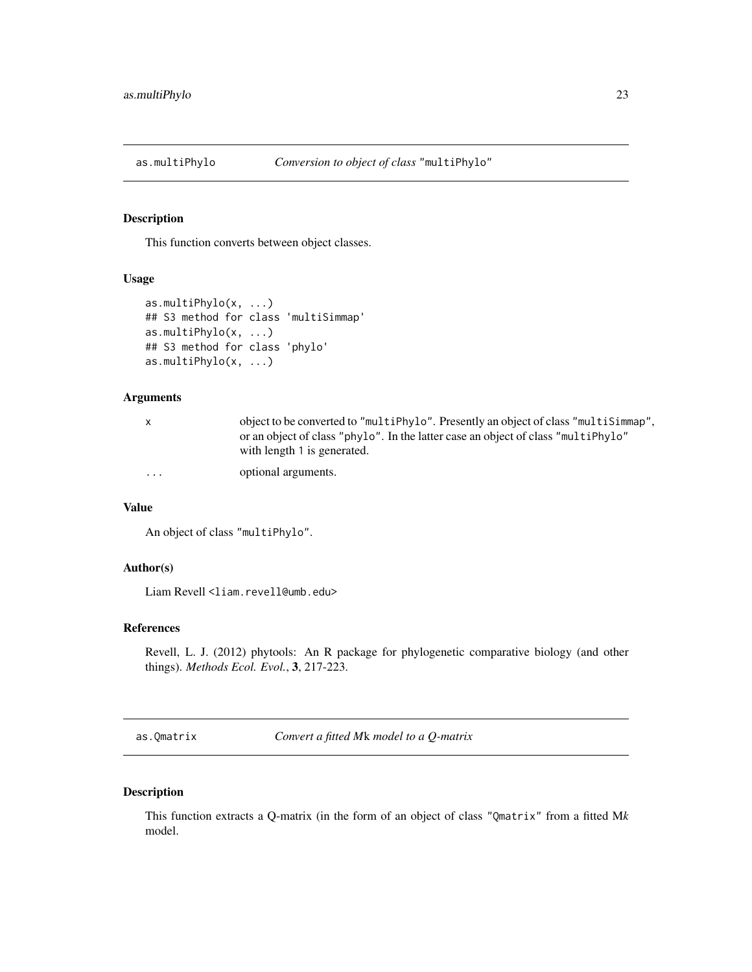<span id="page-22-0"></span>

# Description

This function converts between object classes.

### Usage

```
as.multiPhylo(x, ...)
## S3 method for class 'multiSimmap'
as.multiPhylo(x, ...)
## S3 method for class 'phylo'
as.multiPhylo(x, ...)
```
# Arguments

| $\mathsf{X}$ | object to be converted to "multiPhylo". Presently an object of class "multiSimmap", |
|--------------|-------------------------------------------------------------------------------------|
|              | or an object of class "phylo". In the latter case an object of class "multiPhylo"   |
|              | with length 1 is generated.                                                         |

... optional arguments.

### Value

An object of class "multiPhylo".

# Author(s)

Liam Revell <liam.revell@umb.edu>

# References

Revell, L. J. (2012) phytools: An R package for phylogenetic comparative biology (and other things). *Methods Ecol. Evol.*, 3, 217-223.

as.Qmatrix *Convert a fitted M*k *model to a Q-matrix*

# Description

This function extracts a Q-matrix (in the form of an object of class "Qmatrix" from a fitted M*k* model.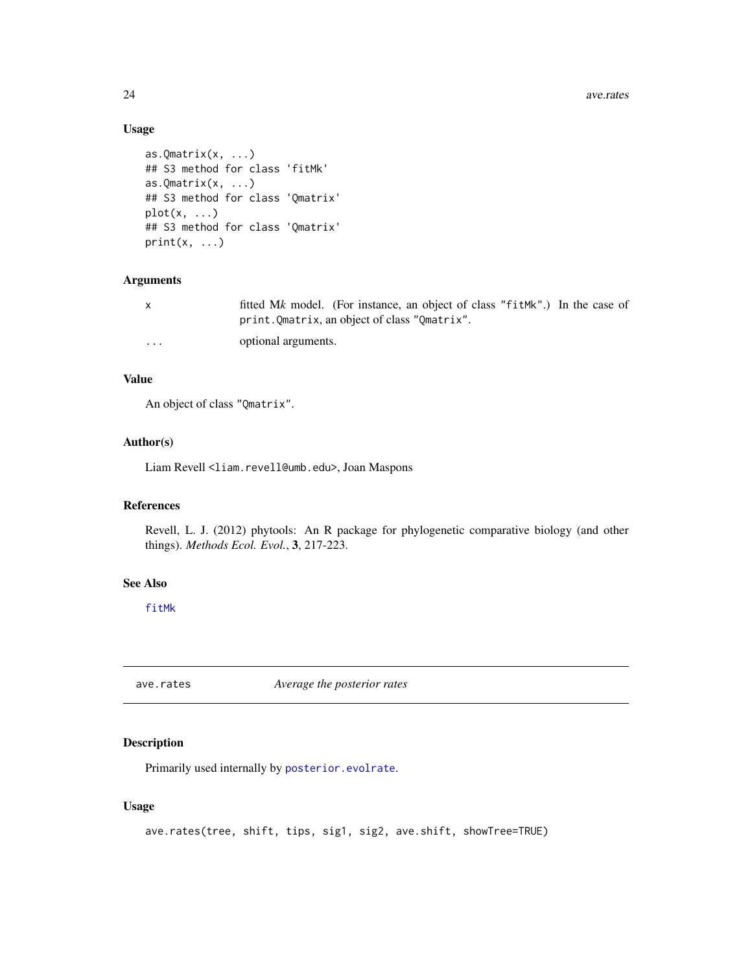<span id="page-23-0"></span>24 ave. rates and the contract of the contract of the contract of the contract of the contract of the contract of the contract of the contract of the contract of the contract of the contract of the contract of the contract

# Usage

```
as.Qmatrix(x, \ldots)## S3 method for class 'fitMk'
as.Qmatrix(x, \ldots)## S3 method for class 'Qmatrix'
plot(x, \ldots)## S3 method for class 'Qmatrix'
print(x, \ldots)
```
# Arguments

| $\mathsf{X}$ | fitted Mk model. (For instance, an object of class "fitMk".) In the case of<br>print. Qmatrix, an object of class "Qmatrix". |
|--------------|------------------------------------------------------------------------------------------------------------------------------|
| $\cdots$     | optional arguments.                                                                                                          |

# Value

An object of class "Qmatrix".

### Author(s)

Liam Revell <liam.revell@umb.edu>, Joan Maspons

# References

Revell, L. J. (2012) phytools: An R package for phylogenetic comparative biology (and other things). *Methods Ecol. Evol.*, 3, 217-223.

### See Also

[fitMk](#page-78-1)

ave.rates *Average the posterior rates*

# Description

Primarily used internally by [posterior.evolrate](#page-160-1).

# Usage

```
ave.rates(tree, shift, tips, sig1, sig2, ave.shift, showTree=TRUE)
```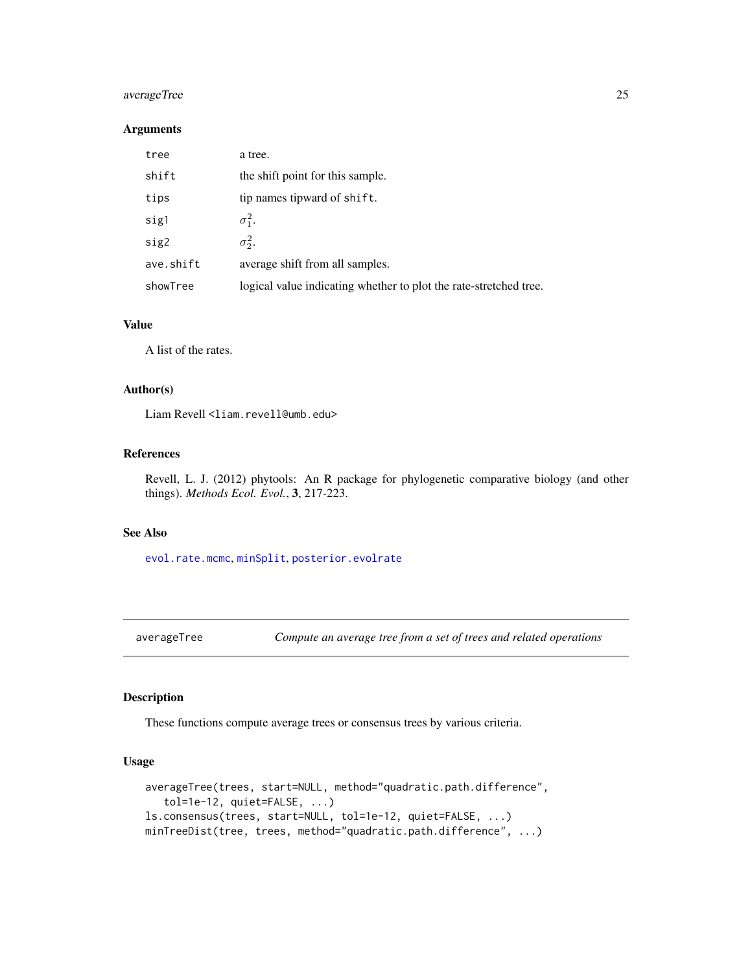# <span id="page-24-0"></span>averageTree 25

### Arguments

| tree      | a tree.                                                           |
|-----------|-------------------------------------------------------------------|
| shift     | the shift point for this sample.                                  |
| tips      | tip names tipward of shift.                                       |
| sig1      | $\sigma_1^2$ .                                                    |
| sig2      | $\sigma_2^2$ .                                                    |
| ave.shift | average shift from all samples.                                   |
| showTree  | logical value indicating whether to plot the rate-stretched tree. |

## Value

A list of the rates.

### Author(s)

Liam Revell <liam.revell@umb.edu>

# References

Revell, L. J. (2012) phytools: An R package for phylogenetic comparative biology (and other things). *Methods Ecol. Evol.*, 3, 217-223.

# See Also

[evol.rate.mcmc](#page-60-1), [minSplit](#page-112-1), [posterior.evolrate](#page-160-1)

averageTree *Compute an average tree from a set of trees and related operations*

# Description

These functions compute average trees or consensus trees by various criteria.

# Usage

```
averageTree(trees, start=NULL, method="quadratic.path.difference",
   tol=1e-12, quiet=FALSE, ...)
ls.consensus(trees, start=NULL, tol=1e-12, quiet=FALSE, ...)
minTreeDist(tree, trees, method="quadratic.path.difference", ...)
```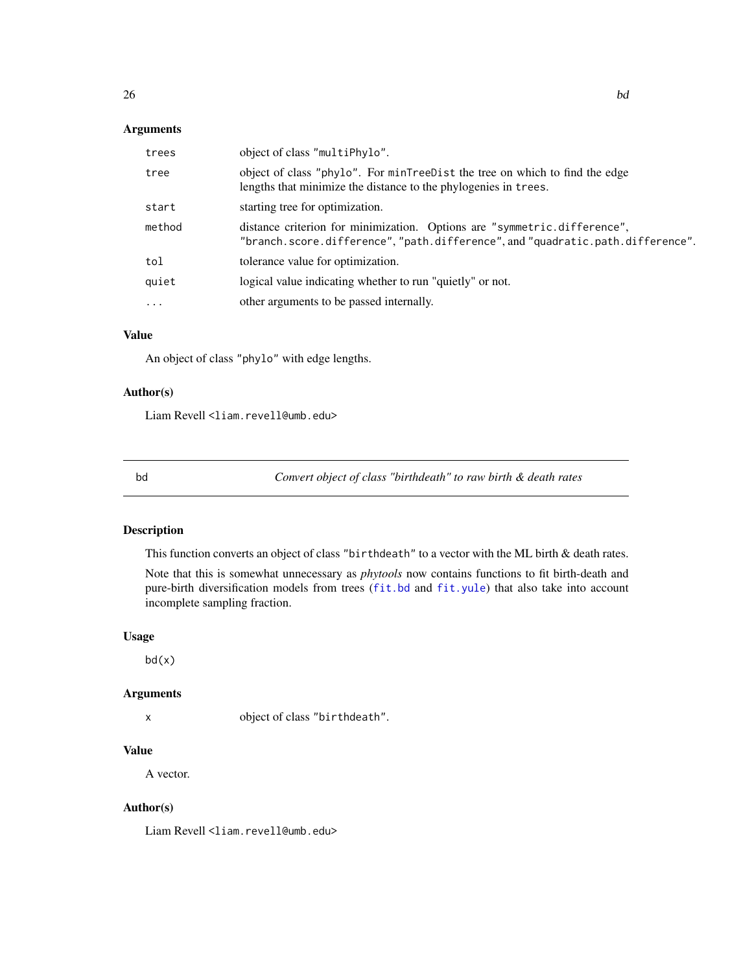# <span id="page-25-0"></span>Arguments

| trees    | object of class "multiPhylo".                                                                                                                              |
|----------|------------------------------------------------------------------------------------------------------------------------------------------------------------|
| tree     | object of class "phylo". For minTreeDist the tree on which to find the edge<br>lengths that minimize the distance to the phylogenies in trees.             |
| start    | starting tree for optimization.                                                                                                                            |
| method   | distance criterion for minimization. Options are "symmetric.difference",<br>"branch.score.difference", "path.difference", and "quadratic.path.difference". |
| tol      | tolerance value for optimization.                                                                                                                          |
| quiet    | logical value indicating whether to run "quietly" or not.                                                                                                  |
| $\ddots$ | other arguments to be passed internally.                                                                                                                   |

# Value

An object of class "phylo" with edge lengths.

# Author(s)

Liam Revell <liam.revell@umb.edu>

bd *Convert object of class "birthdeath" to raw birth & death rates*

# Description

This function converts an object of class "birthdeath" to a vector with the ML birth & death rates.

Note that this is somewhat unnecessary as *phytools* now contains functions to fit birth-death and pure-birth diversification models from trees ([fit.bd](#page-74-1) and [fit.yule](#page-74-2)) that also take into account incomplete sampling fraction.

# Usage

bd(x)

### Arguments

x object of class "birthdeath".

# Value

A vector.

# Author(s)

Liam Revell <liam.revell@umb.edu>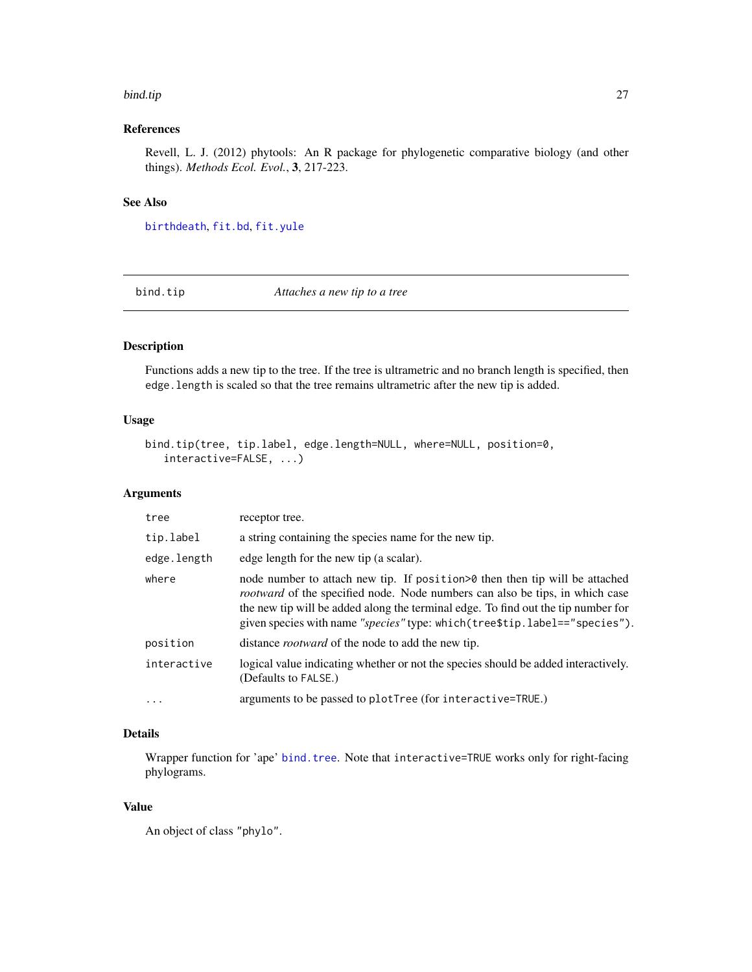### <span id="page-26-0"></span>bind.tip 27

# References

Revell, L. J. (2012) phytools: An R package for phylogenetic comparative biology (and other things). *Methods Ecol. Evol.*, 3, 217-223.

# See Also

[birthdeath](#page-0-0), [fit.bd](#page-74-1), [fit.yule](#page-74-2)

<span id="page-26-1"></span>bind.tip *Attaches a new tip to a tree*

# Description

Functions adds a new tip to the tree. If the tree is ultrametric and no branch length is specified, then edge.length is scaled so that the tree remains ultrametric after the new tip is added.

### Usage

```
bind.tip(tree, tip.label, edge.length=NULL, where=NULL, position=0,
   interactive=FALSE, ...)
```
# Arguments

| tree              | receptor tree.                                                                                                                                                                                                                                                                                                                           |
|-------------------|------------------------------------------------------------------------------------------------------------------------------------------------------------------------------------------------------------------------------------------------------------------------------------------------------------------------------------------|
| tip.label         | a string containing the species name for the new tip.                                                                                                                                                                                                                                                                                    |
| edge.length       | edge length for the new tip (a scalar).                                                                                                                                                                                                                                                                                                  |
| where             | node number to attach new tip. If position > 0 then then tip will be attached<br><i>rootward</i> of the specified node. Node numbers can also be tips, in which case<br>the new tip will be added along the terminal edge. To find out the tip number for<br>given species with name "species" type: which (tree\$tip.label=="species"). |
| position          | distance <i>rootward</i> of the node to add the new tip.                                                                                                                                                                                                                                                                                 |
| interactive       | logical value indicating whether or not the species should be added interactively.<br>(Defaults to FALSE.)                                                                                                                                                                                                                               |
| $\cdot\cdot\cdot$ | arguments to be passed to plotTree (for interactive=TRUE.)                                                                                                                                                                                                                                                                               |

# Details

Wrapper function for 'ape' [bind.tree](#page-0-0). Note that interactive=TRUE works only for right-facing phylograms.

### Value

An object of class "phylo".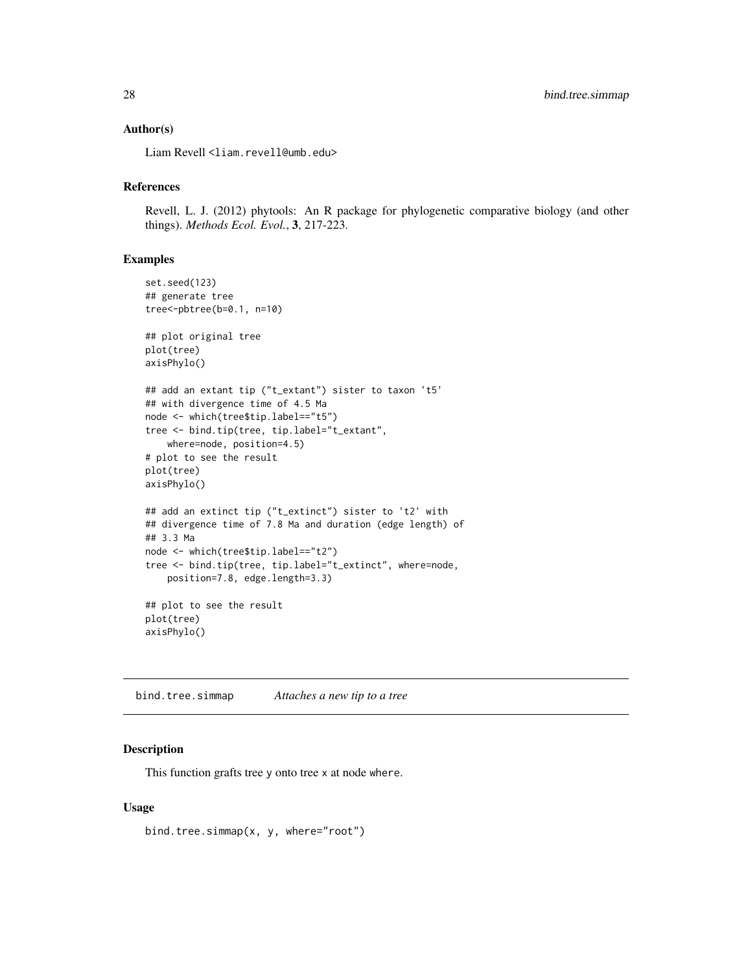### <span id="page-27-0"></span>Author(s)

Liam Revell <liam.revell@umb.edu>

## References

Revell, L. J. (2012) phytools: An R package for phylogenetic comparative biology (and other things). *Methods Ecol. Evol.*, 3, 217-223.

### Examples

```
set.seed(123)
## generate tree
tree<-pbtree(b=0.1, n=10)
## plot original tree
plot(tree)
axisPhylo()
## add an extant tip ("t_extant") sister to taxon 't5'
## with divergence time of 4.5 Ma
node <- which(tree$tip.label=="t5")
tree <- bind.tip(tree, tip.label="t_extant",
    where=node, position=4.5)
# plot to see the result
plot(tree)
axisPhylo()
## add an extinct tip ("t_extinct") sister to 't2' with
## divergence time of 7.8 Ma and duration (edge length) of
## 3.3 Ma
node <- which(tree$tip.label=="t2")
tree <- bind.tip(tree, tip.label="t_extinct", where=node,
   position=7.8, edge.length=3.3)
## plot to see the result
plot(tree)
axisPhylo()
```
bind.tree.simmap *Attaches a new tip to a tree*

# Description

This function grafts tree y onto tree x at node where.

### Usage

bind.tree.simmap(x, y, where="root")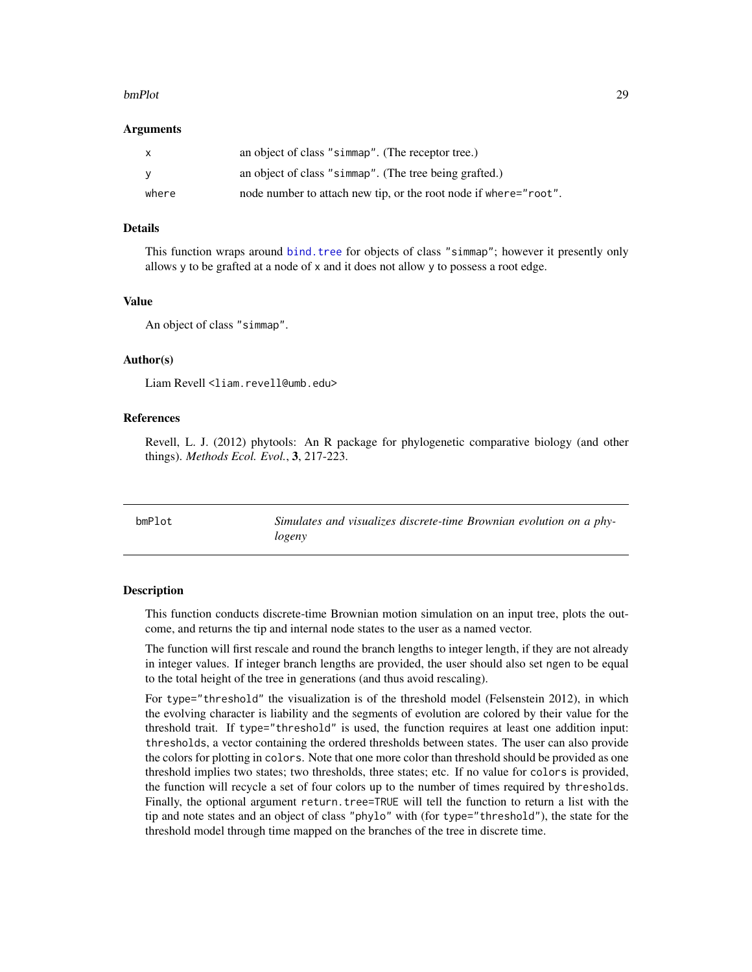### <span id="page-28-0"></span>bmPlot 29

### Arguments

| $\mathsf{x}$ | an object of class "simmap". (The receptor tree.)                |
|--------------|------------------------------------------------------------------|
| <b>V</b>     | an object of class "simmap". (The tree being grafted.)           |
| where        | node number to attach new tip, or the root node if where="root". |

### Details

This function wraps around [bind.tree](#page-0-0) for objects of class "simmap"; however it presently only allows y to be grafted at a node of x and it does not allow y to possess a root edge.

### Value

An object of class "simmap".

# Author(s)

Liam Revell <liam.revell@umb.edu>

# References

Revell, L. J. (2012) phytools: An R package for phylogenetic comparative biology (and other things). *Methods Ecol. Evol.*, 3, 217-223.

<span id="page-28-1"></span>

bmPlot *Simulates and visualizes discrete-time Brownian evolution on a phylogeny*

### Description

This function conducts discrete-time Brownian motion simulation on an input tree, plots the outcome, and returns the tip and internal node states to the user as a named vector.

The function will first rescale and round the branch lengths to integer length, if they are not already in integer values. If integer branch lengths are provided, the user should also set ngen to be equal to the total height of the tree in generations (and thus avoid rescaling).

For type="threshold" the visualization is of the threshold model (Felsenstein 2012), in which the evolving character is liability and the segments of evolution are colored by their value for the threshold trait. If type="threshold" is used, the function requires at least one addition input: thresholds, a vector containing the ordered thresholds between states. The user can also provide the colors for plotting in colors. Note that one more color than threshold should be provided as one threshold implies two states; two thresholds, three states; etc. If no value for colors is provided, the function will recycle a set of four colors up to the number of times required by thresholds. Finally, the optional argument return.tree=TRUE will tell the function to return a list with the tip and note states and an object of class "phylo" with (for type="threshold"), the state for the threshold model through time mapped on the branches of the tree in discrete time.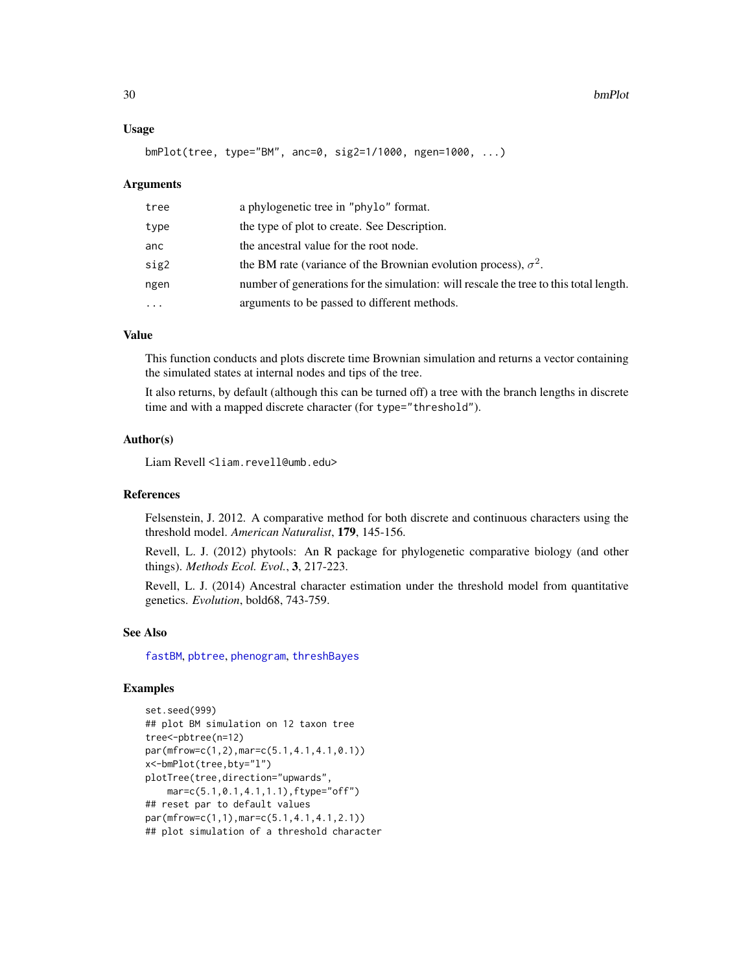### Usage

```
bmPlot(tree, type="BM", anc=0, sig2=1/1000, ngen=1000, ...)
```
### Arguments

| tree     | a phylogenetic tree in "phylo" format.                                                |
|----------|---------------------------------------------------------------------------------------|
| type     | the type of plot to create. See Description.                                          |
| anc      | the ancestral value for the root node.                                                |
| sig2     | the BM rate (variance of the Brownian evolution process), $\sigma^2$ .                |
| ngen     | number of generations for the simulation: will rescale the tree to this total length. |
| $\ddots$ | arguments to be passed to different methods.                                          |

### Value

This function conducts and plots discrete time Brownian simulation and returns a vector containing the simulated states at internal nodes and tips of the tree.

It also returns, by default (although this can be turned off) a tree with the branch lengths in discrete time and with a mapped discrete character (for type="threshold").

### Author(s)

Liam Revell <liam.revell@umb.edu>

### References

Felsenstein, J. 2012. A comparative method for both discrete and continuous characters using the threshold model. *American Naturalist*, 179, 145-156.

Revell, L. J. (2012) phytools: An R package for phylogenetic comparative biology (and other things). *Methods Ecol. Evol.*, 3, 217-223.

Revell, L. J. (2014) Ancestral character estimation under the threshold model from quantitative genetics. *Evolution*, bold68, 743-759.

### See Also

[fastBM](#page-70-1), [pbtree](#page-124-1), [phenogram](#page-127-1), [threshBayes](#page-193-1)

### Examples

```
set.seed(999)
## plot BM simulation on 12 taxon tree
tree<-pbtree(n=12)
par(mfrow=c(1,2),mar=c(5.1,4.1,4.1,0.1))
x<-bmPlot(tree,bty="l")
plotTree(tree,direction="upwards",
    mar=c(5.1,0.1,4.1,1.1),ftype="off")
## reset par to default values
par(mfrow=c(1,1),mar=c(5.1,4.1,4.1,2.1))
## plot simulation of a threshold character
```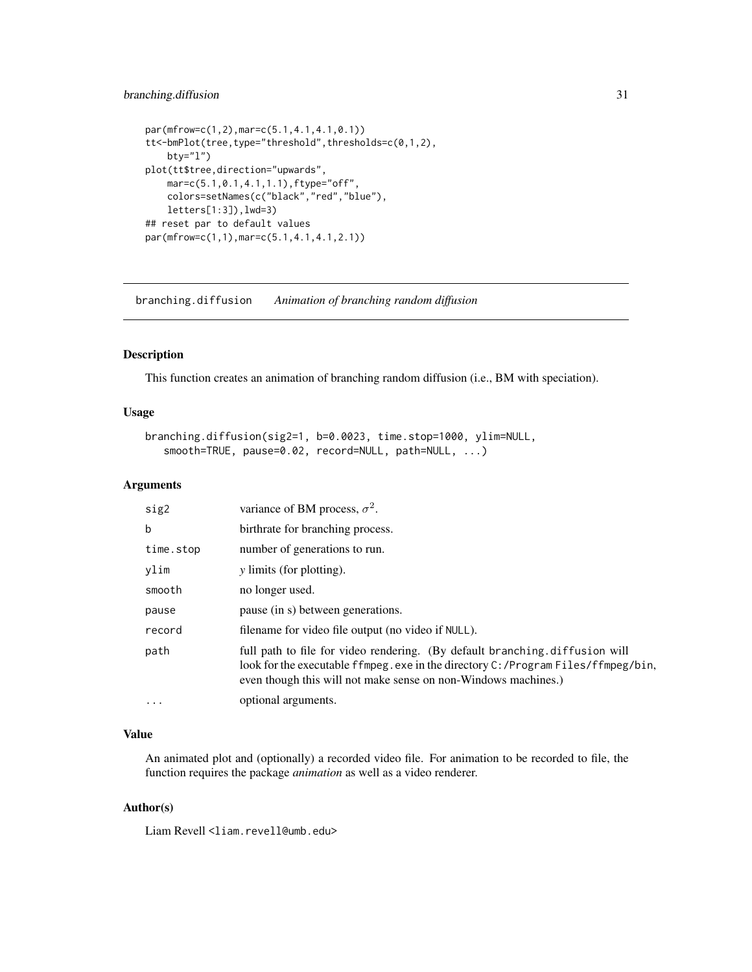# <span id="page-30-0"></span>branching.diffusion 31

```
par(mfrow=c(1,2),mar=c(5.1,4.1,4.1,0.1))
tt<-bmPlot(tree,type="threshold",thresholds=c(0,1,2),
   bty="l")
plot(tt$tree,direction="upwards",
   mar=c(5.1,0.1,4.1,1.1),ftype="off",
   colors=setNames(c("black","red","blue"),
   letters[1:3]),lwd=3)
## reset par to default values
par(mfrow=c(1,1),mar=c(5.1,4.1,4.1,2.1))
```
branching.diffusion *Animation of branching random diffusion*

# Description

This function creates an animation of branching random diffusion (i.e., BM with speciation).

# Usage

```
branching.diffusion(sig2=1, b=0.0023, time.stop=1000, ylim=NULL,
   smooth=TRUE, pause=0.02, record=NULL, path=NULL, ...)
```
# Arguments

| sig2        | variance of BM process, $\sigma^2$ .                                                                                                                                                                                              |
|-------------|-----------------------------------------------------------------------------------------------------------------------------------------------------------------------------------------------------------------------------------|
| $\mathbf b$ | birthrate for branching process.                                                                                                                                                                                                  |
| time.stop   | number of generations to run.                                                                                                                                                                                                     |
| ylim        | <i>y</i> limits (for plotting).                                                                                                                                                                                                   |
| smooth      | no longer used.                                                                                                                                                                                                                   |
| pause       | pause (in s) between generations.                                                                                                                                                                                                 |
| record      | filename for video file output (no video if NULL).                                                                                                                                                                                |
| path        | full path to file for video rendering. (By default branching.diffusion will<br>look for the executable ffmpeg.exe in the directory C:/Program Files/ffmpeg/bin,<br>even though this will not make sense on non-Windows machines.) |
| $\cdots$    | optional arguments.                                                                                                                                                                                                               |

# Value

An animated plot and (optionally) a recorded video file. For animation to be recorded to file, the function requires the package *animation* as well as a video renderer.

### Author(s)

Liam Revell <liam.revell@umb.edu>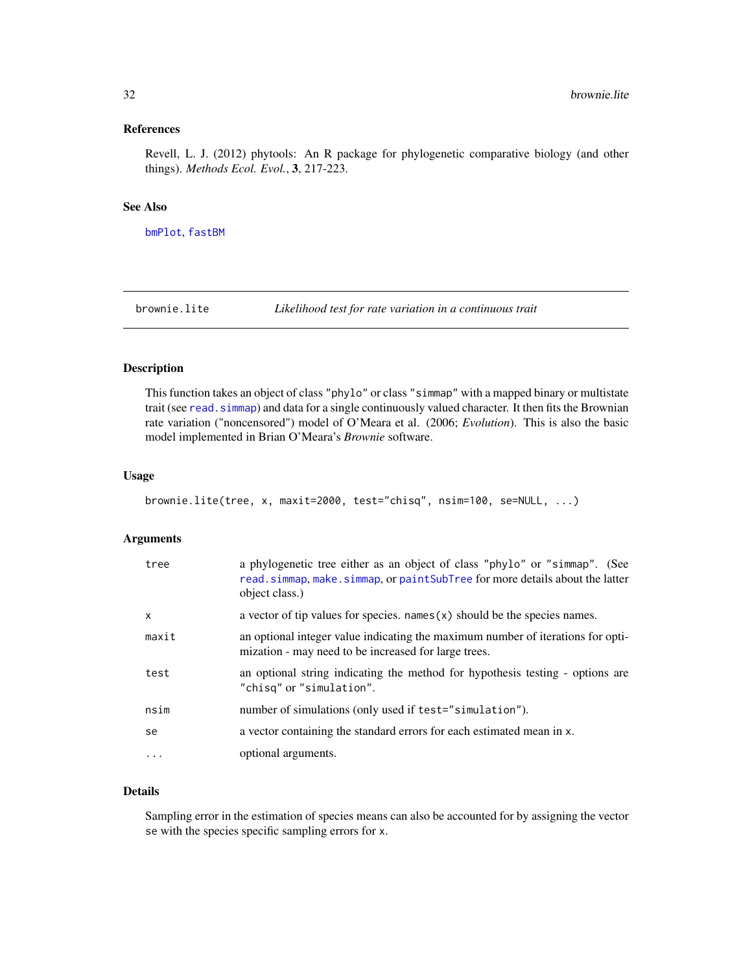### <span id="page-31-0"></span>References

Revell, L. J. (2012) phytools: An R package for phylogenetic comparative biology (and other things). *Methods Ecol. Evol.*, 3, 217-223.

### See Also

[bmPlot](#page-28-1), [fastBM](#page-70-1)

<span id="page-31-1"></span>brownie.lite *Likelihood test for rate variation in a continuous trait*

# Description

This function takes an object of class "phylo" or class "simmap" with a mapped binary or multistate trait (see [read.simmap](#page-168-1)) and data for a single continuously valued character. It then fits the Brownian rate variation ("noncensored") model of O'Meara et al. (2006; *Evolution*). This is also the basic model implemented in Brian O'Meara's *Brownie* software.

### Usage

```
brownie.lite(tree, x, maxit=2000, test="chisq", nsim=100, se=NULL, ...)
```
# Arguments

| tree         | a phylogenetic tree either as an object of class "phylo" or "simmap". (See<br>read.simmap, make.simmap, or paintSubTree for more details about the latter<br>object class.) |
|--------------|-----------------------------------------------------------------------------------------------------------------------------------------------------------------------------|
| $\mathsf{x}$ | a vector of tip values for species. names $(x)$ should be the species names.                                                                                                |
| maxit        | an optional integer value indicating the maximum number of iterations for opti-<br>mization - may need to be increased for large trees.                                     |
| test         | an optional string indicating the method for hypothesis testing - options are<br>"chisq" or "simulation".                                                                   |
| nsim         | number of simulations (only used if test="simulation").                                                                                                                     |
| se           | a vector containing the standard errors for each estimated mean in x.                                                                                                       |
| $\cdots$     | optional arguments.                                                                                                                                                         |

# Details

Sampling error in the estimation of species means can also be accounted for by assigning the vector se with the species specific sampling errors for x.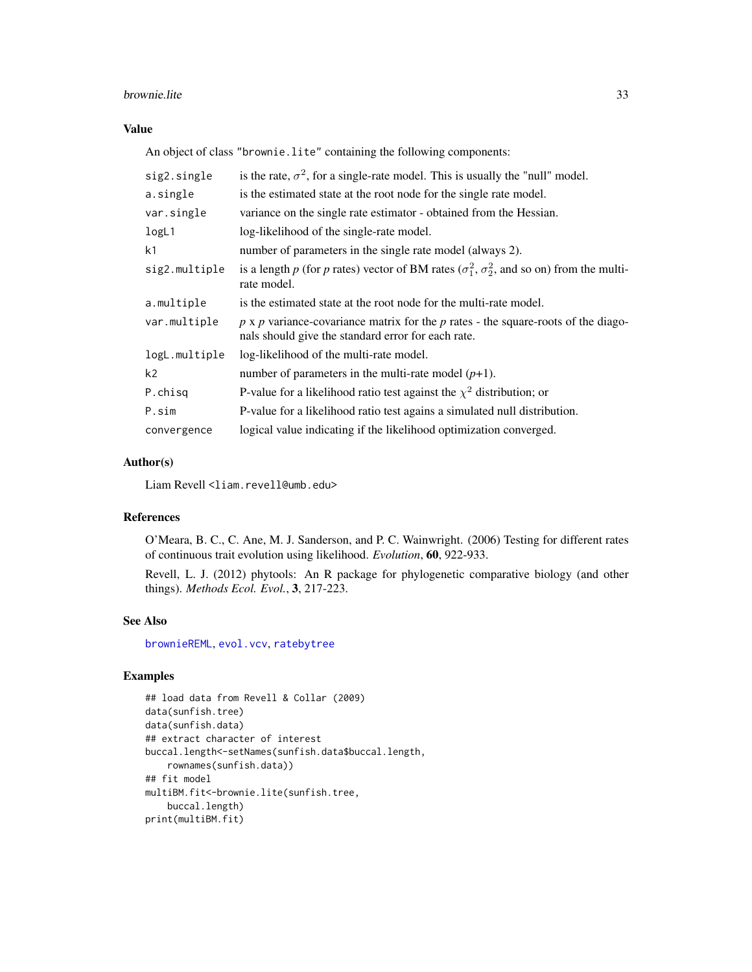### brownie.lite 33

# Value

An object of class "brownie.lite" containing the following components:

| sig2.single    | is the rate, $\sigma^2$ , for a single-rate model. This is usually the "null" model.                                                             |  |
|----------------|--------------------------------------------------------------------------------------------------------------------------------------------------|--|
| a.single       | is the estimated state at the root node for the single rate model.                                                                               |  |
| var.single     | variance on the single rate estimator - obtained from the Hessian.                                                                               |  |
| logL1          | log-likelihood of the single-rate model.                                                                                                         |  |
| k <sub>1</sub> | number of parameters in the single rate model (always 2).                                                                                        |  |
| sig2.multiple  | is a length p (for p rates) vector of BM rates ( $\sigma_1^2$ , $\sigma_2^2$ , and so on) from the multi-<br>rate model.                         |  |
| a.multiple     | is the estimated state at the root node for the multi-rate model.                                                                                |  |
| var.multiple   | $p \times p$ variance-covariance matrix for the $p$ rates - the square-roots of the diago-<br>nals should give the standard error for each rate. |  |
| logL.multiple  | log-likelihood of the multi-rate model.                                                                                                          |  |
| k <sub>2</sub> | number of parameters in the multi-rate model $(p+1)$ .                                                                                           |  |
| P.chisg        | P-value for a likelihood ratio test against the $\chi^2$ distribution; or                                                                        |  |
| P.sim          | P-value for a likelihood ratio test agains a simulated null distribution.                                                                        |  |
| convergence    | logical value indicating if the likelihood optimization converged.                                                                               |  |

# Author(s)

Liam Revell <liam.revell@umb.edu>

# References

O'Meara, B. C., C. Ane, M. J. Sanderson, and P. C. Wainwright. (2006) Testing for different rates of continuous trait evolution using likelihood. *Evolution*, 60, 922-933.

Revell, L. J. (2012) phytools: An R package for phylogenetic comparative biology (and other things). *Methods Ecol. Evol.*, 3, 217-223.

# See Also

[brownieREML](#page-33-1), [evol.vcv](#page-61-1), [ratebytree](#page-163-1)

# Examples

```
## load data from Revell & Collar (2009)
data(sunfish.tree)
data(sunfish.data)
## extract character of interest
buccal.length<-setNames(sunfish.data$buccal.length,
   rownames(sunfish.data))
## fit model
multiBM.fit<-brownie.lite(sunfish.tree,
   buccal.length)
print(multiBM.fit)
```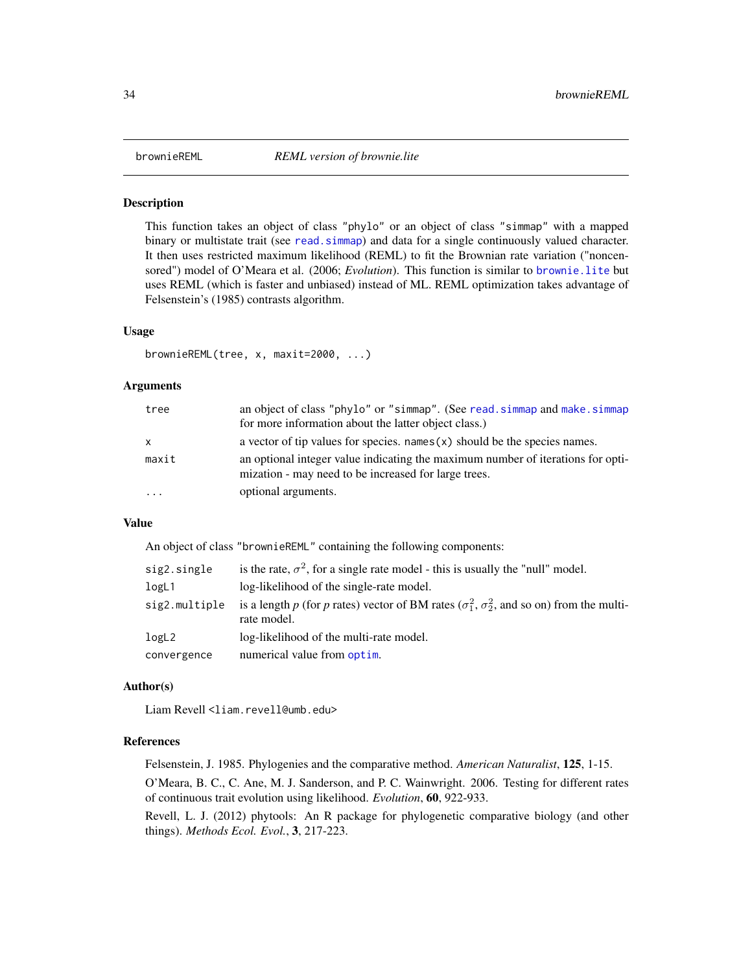<span id="page-33-1"></span><span id="page-33-0"></span>

### Description

This function takes an object of class "phylo" or an object of class "simmap" with a mapped binary or multistate trait (see read. simmap) and data for a single continuously valued character. It then uses restricted maximum likelihood (REML) to fit the Brownian rate variation ("noncensored") model of O'Meara et al. (2006; *Evolution*). This function is similar to [brownie.lite](#page-31-1) but uses REML (which is faster and unbiased) instead of ML. REML optimization takes advantage of Felsenstein's (1985) contrasts algorithm.

### Usage

```
brownieREML(tree, x, maxit=2000, ...)
```
### Arguments

| tree      | an object of class "phylo" or "simmap". (See read. simmap and make. simmap                                                              |
|-----------|-----------------------------------------------------------------------------------------------------------------------------------------|
|           | for more information about the latter object class.)                                                                                    |
| x         | a vector of tip values for species. names $(x)$ should be the species names.                                                            |
| maxit     | an optional integer value indicating the maximum number of iterations for opti-<br>mization - may need to be increased for large trees. |
| $\ddotsc$ | optional arguments.                                                                                                                     |

### Value

An object of class "brownieREML" containing the following components:

| sig2.single   | is the rate, $\sigma^2$ , for a single rate model - this is usually the "null" model.                                    |
|---------------|--------------------------------------------------------------------------------------------------------------------------|
| logL1         | log-likelihood of the single-rate model.                                                                                 |
| sig2.multiple | is a length p (for p rates) vector of BM rates ( $\sigma_1^2$ , $\sigma_2^2$ , and so on) from the multi-<br>rate model. |
| logL2         | log-likelihood of the multi-rate model.                                                                                  |
| convergence   | numerical value from optim.                                                                                              |

### Author(s)

Liam Revell <liam.revell@umb.edu>

### References

Felsenstein, J. 1985. Phylogenies and the comparative method. *American Naturalist*, 125, 1-15.

O'Meara, B. C., C. Ane, M. J. Sanderson, and P. C. Wainwright. 2006. Testing for different rates of continuous trait evolution using likelihood. *Evolution*, 60, 922-933.

Revell, L. J. (2012) phytools: An R package for phylogenetic comparative biology (and other things). *Methods Ecol. Evol.*, 3, 217-223.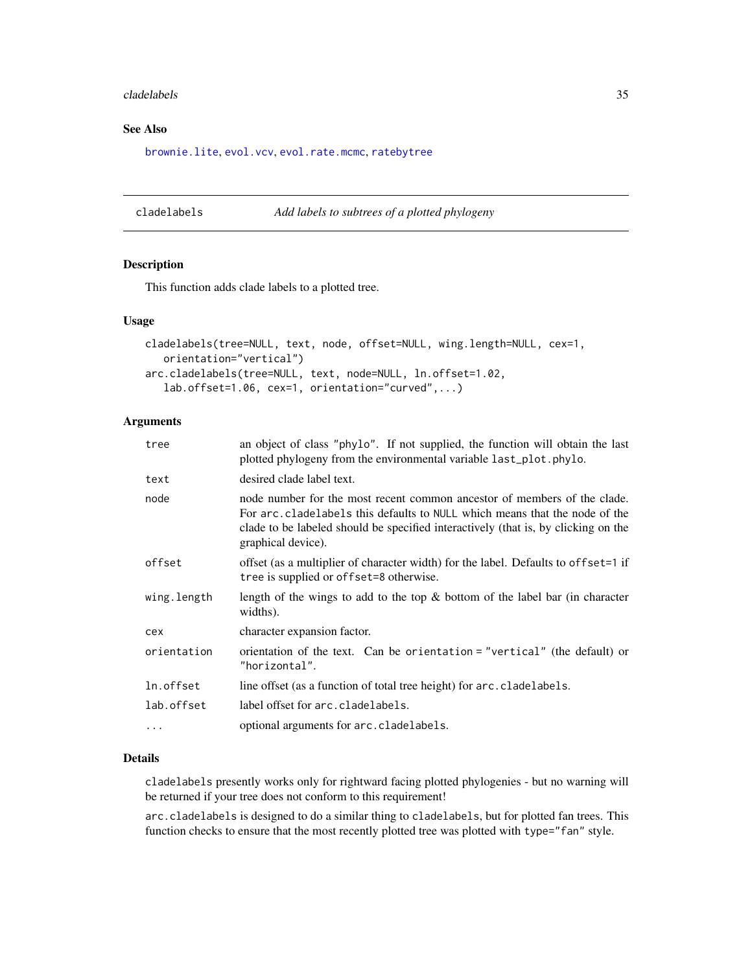### <span id="page-34-0"></span>cladelabels 35

# See Also

[brownie.lite](#page-31-1), [evol.vcv](#page-61-1), [evol.rate.mcmc](#page-60-1), [ratebytree](#page-163-1)

cladelabels *Add labels to subtrees of a plotted phylogeny*

### Description

This function adds clade labels to a plotted tree.

### Usage

```
cladelabels(tree=NULL, text, node, offset=NULL, wing.length=NULL, cex=1,
   orientation="vertical")
arc.cladelabels(tree=NULL, text, node=NULL, ln.offset=1.02,
   lab.offset=1.06, cex=1, orientation="curved",...)
```
# Arguments

| an object of class "phylo". If not supplied, the function will obtain the last<br>plotted phylogeny from the environmental variable last_plot.phylo.                                                                                                                |  |
|---------------------------------------------------------------------------------------------------------------------------------------------------------------------------------------------------------------------------------------------------------------------|--|
| desired clade label text.                                                                                                                                                                                                                                           |  |
| node number for the most recent common ancestor of members of the clade.<br>For arc. cladelabels this defaults to NULL which means that the node of the<br>clade to be labeled should be specified interactively (that is, by clicking on the<br>graphical device). |  |
| offset (as a multiplier of character width) for the label. Defaults to offset=1 if<br>tree is supplied or offset=8 otherwise.                                                                                                                                       |  |
| length of the wings to add to the top $\&$ bottom of the label bar (in character<br>widths).                                                                                                                                                                        |  |
| character expansion factor.                                                                                                                                                                                                                                         |  |
| orientation of the text. Can be orientation = "vertical" (the default) or<br>"horizontal".                                                                                                                                                                          |  |
| line offset (as a function of total tree height) for arc.cladelabels.                                                                                                                                                                                               |  |
| label offset for arc.cladelabels.                                                                                                                                                                                                                                   |  |
| optional arguments for arc.cladelabels.                                                                                                                                                                                                                             |  |
|                                                                                                                                                                                                                                                                     |  |

# Details

cladelabels presently works only for rightward facing plotted phylogenies - but no warning will be returned if your tree does not conform to this requirement!

arc.cladelabels is designed to do a similar thing to cladelabels, but for plotted fan trees. This function checks to ensure that the most recently plotted tree was plotted with type="fan" style.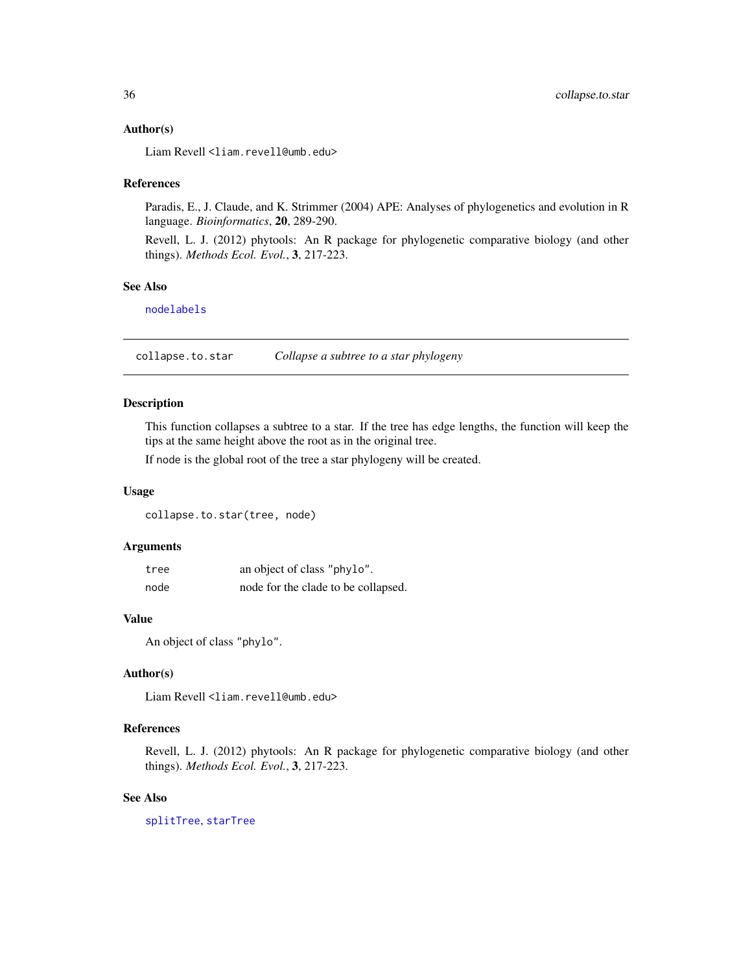### <span id="page-35-0"></span>Author(s)

Liam Revell <liam.revell@umb.edu>

### References

Paradis, E., J. Claude, and K. Strimmer (2004) APE: Analyses of phylogenetics and evolution in R language. *Bioinformatics*, 20, 289-290.

Revell, L. J. (2012) phytools: An R package for phylogenetic comparative biology (and other things). *Methods Ecol. Evol.*, 3, 217-223.

### See Also

[nodelabels](#page-0-0)

collapse.to.star *Collapse a subtree to a star phylogeny*

# Description

This function collapses a subtree to a star. If the tree has edge lengths, the function will keep the tips at the same height above the root as in the original tree.

If node is the global root of the tree a star phylogeny will be created.

### Usage

collapse.to.star(tree, node)

# Arguments

| tree | an object of class "phylo".         |
|------|-------------------------------------|
| node | node for the clade to be collapsed. |

### Value

An object of class "phylo".

# Author(s)

Liam Revell <liam.revell@umb.edu>

# References

Revell, L. J. (2012) phytools: An R package for phylogenetic comparative biology (and other things). *Methods Ecol. Evol.*, 3, 217-223.

# See Also

[splitTree](#page-190-1), [starTree](#page-191-1)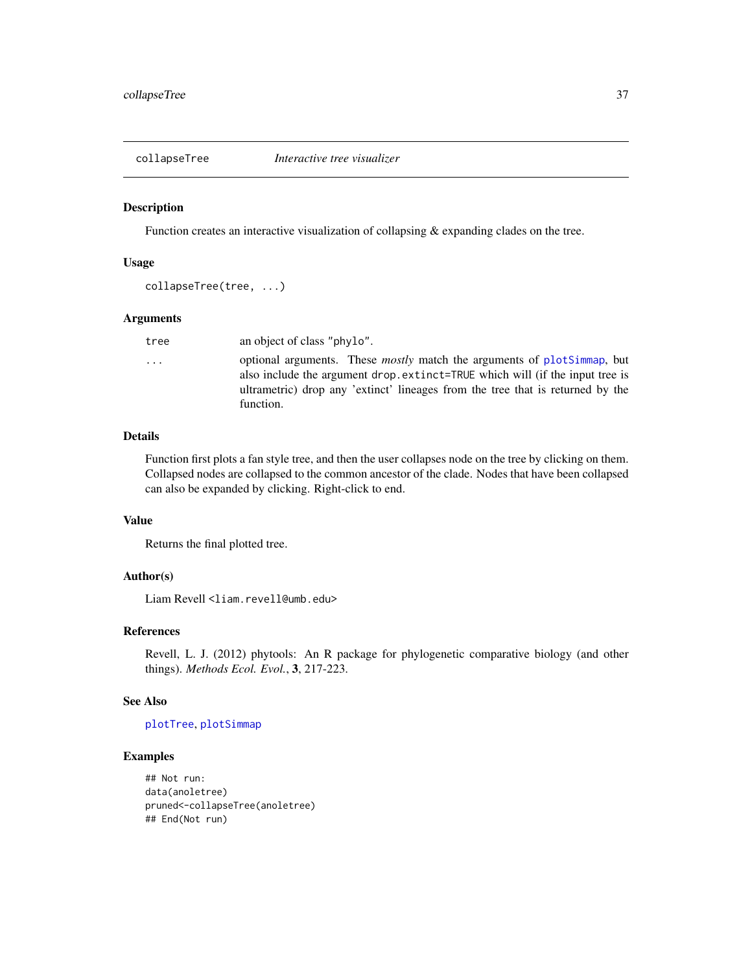Function creates an interactive visualization of collapsing & expanding clades on the tree.

## Usage

```
collapseTree(tree, ...)
```
## Arguments

| tree | an object of class "phylo".                                                                                                                                                                                                                                   |
|------|---------------------------------------------------------------------------------------------------------------------------------------------------------------------------------------------------------------------------------------------------------------|
| .    | optional arguments. These <i>mostly</i> match the arguments of plotSimmap, but<br>also include the argument drop.extinct=TRUE which will (if the input tree is<br>ultrametric) drop any 'extinct' lineages from the tree that is returned by the<br>function. |
|      |                                                                                                                                                                                                                                                               |

## Details

Function first plots a fan style tree, and then the user collapses node on the tree by clicking on them. Collapsed nodes are collapsed to the common ancestor of the clade. Nodes that have been collapsed can also be expanded by clicking. Right-click to end.

## Value

Returns the final plotted tree.

### Author(s)

Liam Revell <liam.revell@umb.edu>

## References

Revell, L. J. (2012) phytools: An R package for phylogenetic comparative biology (and other things). *Methods Ecol. Evol.*, 3, 217-223.

## See Also

## [plotTree](#page-155-0), [plotSimmap](#page-151-0)

## Examples

```
## Not run:
data(anoletree)
pruned<-collapseTree(anoletree)
## End(Not run)
```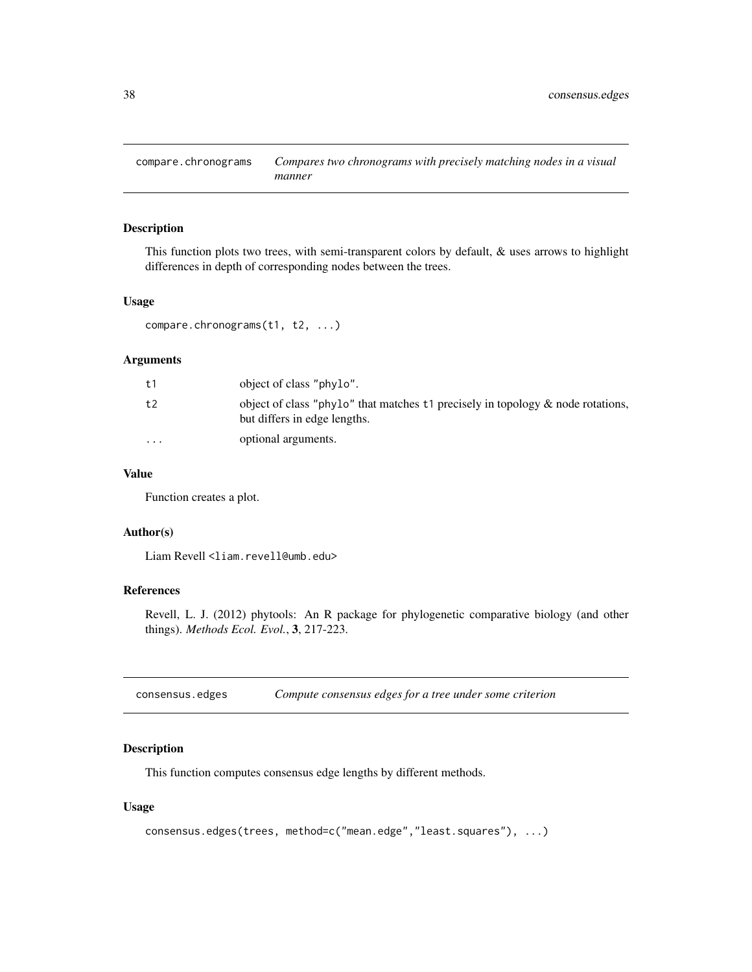This function plots two trees, with semi-transparent colors by default, & uses arrows to highlight differences in depth of corresponding nodes between the trees.

### Usage

compare.chronograms(t1, t2, ...)

## Arguments

| t 1                     | object of class "phylo".                                                                                           |
|-------------------------|--------------------------------------------------------------------------------------------------------------------|
| t2                      | object of class "phylo" that matches $t_1$ precisely in topology & node rotations,<br>but differs in edge lengths. |
| $\cdot$ $\cdot$ $\cdot$ | optional arguments.                                                                                                |

## Value

Function creates a plot.

### Author(s)

Liam Revell <liam.revell@umb.edu>

## References

Revell, L. J. (2012) phytools: An R package for phylogenetic comparative biology (and other things). *Methods Ecol. Evol.*, 3, 217-223.

consensus.edges *Compute consensus edges for a tree under some criterion*

## Description

This function computes consensus edge lengths by different methods.

### Usage

```
consensus.edges(trees, method=c("mean.edge","least.squares"), ...)
```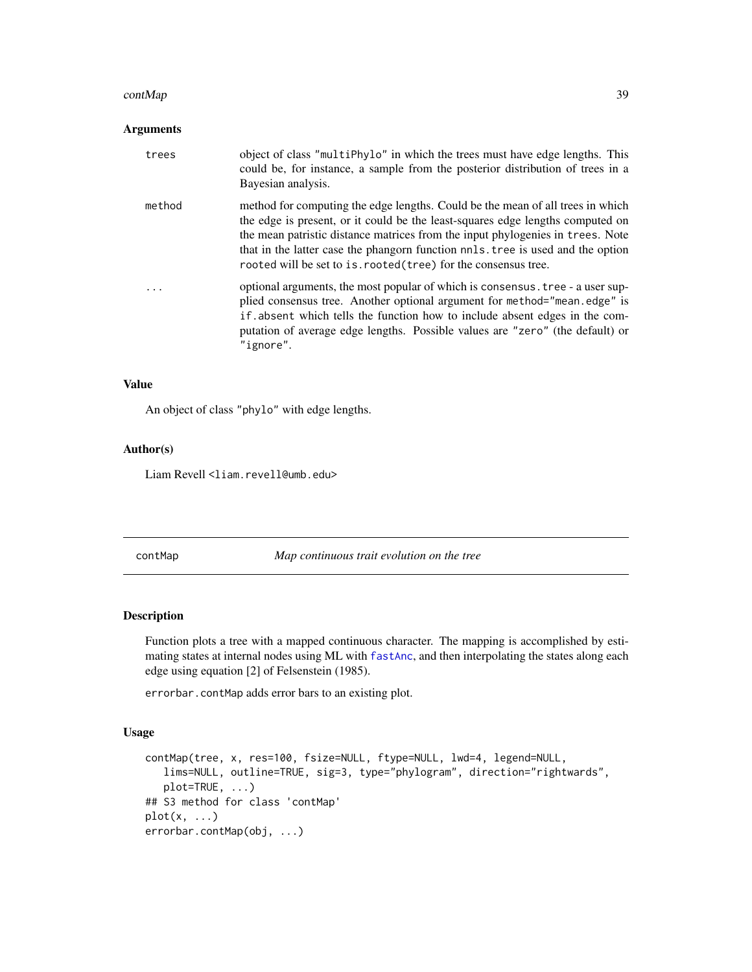#### contMap 39

## Arguments

| trees  | object of class "multiphylo" in which the trees must have edge lengths. This<br>could be, for instance, a sample from the posterior distribution of trees in a<br>Bayesian analysis.                                                                                                                                                                                                                     |
|--------|----------------------------------------------------------------------------------------------------------------------------------------------------------------------------------------------------------------------------------------------------------------------------------------------------------------------------------------------------------------------------------------------------------|
| method | method for computing the edge lengths. Could be the mean of all trees in which<br>the edge is present, or it could be the least-squares edge lengths computed on<br>the mean patristic distance matrices from the input phylogenies in trees. Note<br>that in the latter case the phangorn function nnls. tree is used and the option<br>rooted will be set to is. rooted (tree) for the consensus tree. |
|        | optional arguments, the most popular of which is consensus. tree - a user sup-<br>plied consensus tree. Another optional argument for method="mean.edge" is<br>if absent which tells the function how to include absent edges in the com-<br>putation of average edge lengths. Possible values are "zero" (the default) or<br>"ignore".                                                                  |

### Value

An object of class "phylo" with edge lengths.

### Author(s)

Liam Revell <liam.revell@umb.edu>

<span id="page-38-0"></span>contMap *Map continuous trait evolution on the tree*

### Description

Function plots a tree with a mapped continuous character. The mapping is accomplished by estimating states at internal nodes using ML with [fastAnc](#page-69-0), and then interpolating the states along each edge using equation [2] of Felsenstein (1985).

errorbar.contMap adds error bars to an existing plot.

#### Usage

```
contMap(tree, x, res=100, fsize=NULL, ftype=NULL, lwd=4, legend=NULL,
   lims=NULL, outline=TRUE, sig=3, type="phylogram", direction="rightwards",
   plot=TRUE, ...)
## S3 method for class 'contMap'
plot(x, \ldots)errorbar.contMap(obj, ...)
```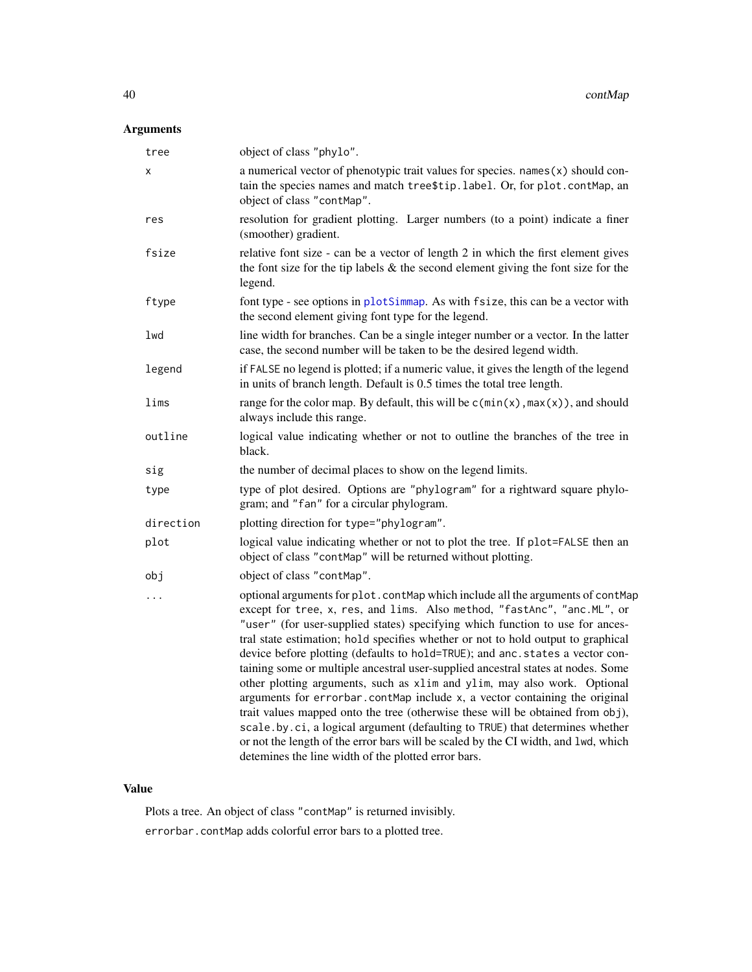# Arguments

| tree      | object of class "phylo".                                                                                                                                                                                                                                                                                                                                                                                                                                                                                                                                                                                                                                                                                                                                                                                                                                                                                                                                                    |
|-----------|-----------------------------------------------------------------------------------------------------------------------------------------------------------------------------------------------------------------------------------------------------------------------------------------------------------------------------------------------------------------------------------------------------------------------------------------------------------------------------------------------------------------------------------------------------------------------------------------------------------------------------------------------------------------------------------------------------------------------------------------------------------------------------------------------------------------------------------------------------------------------------------------------------------------------------------------------------------------------------|
| Χ         | a numerical vector of phenotypic trait values for species. names (x) should con-<br>tain the species names and match tree\$tip.label. Or, for plot.contMap, an<br>object of class "contMap".                                                                                                                                                                                                                                                                                                                                                                                                                                                                                                                                                                                                                                                                                                                                                                                |
| res       | resolution for gradient plotting. Larger numbers (to a point) indicate a finer<br>(smoother) gradient.                                                                                                                                                                                                                                                                                                                                                                                                                                                                                                                                                                                                                                                                                                                                                                                                                                                                      |
| fsize     | relative font size - can be a vector of length 2 in which the first element gives<br>the font size for the tip labels $\&$ the second element giving the font size for the<br>legend.                                                                                                                                                                                                                                                                                                                                                                                                                                                                                                                                                                                                                                                                                                                                                                                       |
| ftype     | font type - see options in plotSimmap. As with fsize, this can be a vector with<br>the second element giving font type for the legend.                                                                                                                                                                                                                                                                                                                                                                                                                                                                                                                                                                                                                                                                                                                                                                                                                                      |
| lwd       | line width for branches. Can be a single integer number or a vector. In the latter<br>case, the second number will be taken to be the desired legend width.                                                                                                                                                                                                                                                                                                                                                                                                                                                                                                                                                                                                                                                                                                                                                                                                                 |
| legend    | if FALSE no legend is plotted; if a numeric value, it gives the length of the legend<br>in units of branch length. Default is 0.5 times the total tree length.                                                                                                                                                                                                                                                                                                                                                                                                                                                                                                                                                                                                                                                                                                                                                                                                              |
| lims      | range for the color map. By default, this will be $c(min(x), max(x))$ , and should<br>always include this range.                                                                                                                                                                                                                                                                                                                                                                                                                                                                                                                                                                                                                                                                                                                                                                                                                                                            |
| outline   | logical value indicating whether or not to outline the branches of the tree in<br>black.                                                                                                                                                                                                                                                                                                                                                                                                                                                                                                                                                                                                                                                                                                                                                                                                                                                                                    |
| sig       | the number of decimal places to show on the legend limits.                                                                                                                                                                                                                                                                                                                                                                                                                                                                                                                                                                                                                                                                                                                                                                                                                                                                                                                  |
| type      | type of plot desired. Options are "phylogram" for a rightward square phylo-<br>gram; and "fan" for a circular phylogram.                                                                                                                                                                                                                                                                                                                                                                                                                                                                                                                                                                                                                                                                                                                                                                                                                                                    |
| direction | plotting direction for type="phylogram".                                                                                                                                                                                                                                                                                                                                                                                                                                                                                                                                                                                                                                                                                                                                                                                                                                                                                                                                    |
| plot      | logical value indicating whether or not to plot the tree. If plot=FALSE then an<br>object of class "contMap" will be returned without plotting.                                                                                                                                                                                                                                                                                                                                                                                                                                                                                                                                                                                                                                                                                                                                                                                                                             |
| obj       | object of class "contMap".                                                                                                                                                                                                                                                                                                                                                                                                                                                                                                                                                                                                                                                                                                                                                                                                                                                                                                                                                  |
| .         | optional arguments for plot.contMap which include all the arguments of contMap<br>except for tree, x, res, and lims. Also method, "fastAnc", "anc.ML", or<br>"user" (for user-supplied states) specifying which function to use for ances-<br>tral state estimation; hold specifies whether or not to hold output to graphical<br>device before plotting (defaults to hold=TRUE); and anc.states a vector con-<br>taining some or multiple ancestral user-supplied ancestral states at nodes. Some<br>other plotting arguments, such as xlim and ylim, may also work. Optional<br>arguments for errorbar.contMap include x, a vector containing the original<br>trait values mapped onto the tree (otherwise these will be obtained from obj),<br>scale.by.ci, a logical argument (defaulting to TRUE) that determines whether<br>or not the length of the error bars will be scaled by the CI width, and lwd, which<br>detemines the line width of the plotted error bars. |

# Value

Plots a tree. An object of class "contMap" is returned invisibly. errorbar.contMap adds colorful error bars to a plotted tree.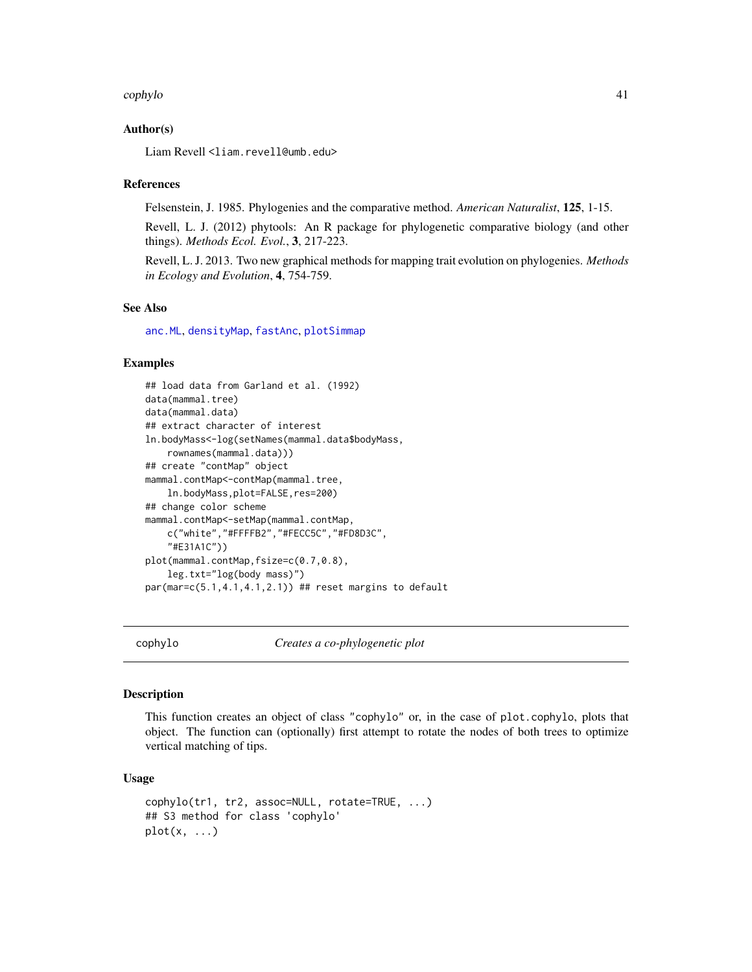#### cophylo 41

### Author(s)

Liam Revell <liam.revell@umb.edu>

#### References

Felsenstein, J. 1985. Phylogenies and the comparative method. *American Naturalist*, 125, 1-15.

Revell, L. J. (2012) phytools: An R package for phylogenetic comparative biology (and other things). *Methods Ecol. Evol.*, 3, 217-223.

Revell, L. J. 2013. Two new graphical methods for mapping trait evolution on phylogenies. *Methods in Ecology and Evolution*, 4, 754-759.

### See Also

[anc.ML](#page-15-0), [densityMap](#page-46-0), [fastAnc](#page-69-0), [plotSimmap](#page-151-0)

### Examples

```
## load data from Garland et al. (1992)
data(mammal.tree)
data(mammal.data)
## extract character of interest
ln.bodyMass<-log(setNames(mammal.data$bodyMass,
    rownames(mammal.data)))
## create "contMap" object
mammal.contMap <- contMap(mammal.tree,
    ln.bodyMass,plot=FALSE,res=200)
## change color scheme
mammal.contMap<-setMap(mammal.contMap,
    c("white","#FFFFB2","#FECC5C","#FD8D3C",
    "#E31A1C"))
plot(mammal.contMap,fsize=c(0.7,0.8),
    leg.txt="log(body mass)")
par(mar=c(5.1,4.1,4.1,2.1)) ## reset margins to default
```
<span id="page-40-0"></span>

cophylo *Creates a co-phylogenetic plot*

#### **Description**

This function creates an object of class "cophylo" or, in the case of plot.cophylo, plots that object. The function can (optionally) first attempt to rotate the nodes of both trees to optimize vertical matching of tips.

#### Usage

```
cophylo(tr1, tr2, assoc=NULL, rotate=TRUE, ...)
## S3 method for class 'cophylo'
plot(x, \ldots)
```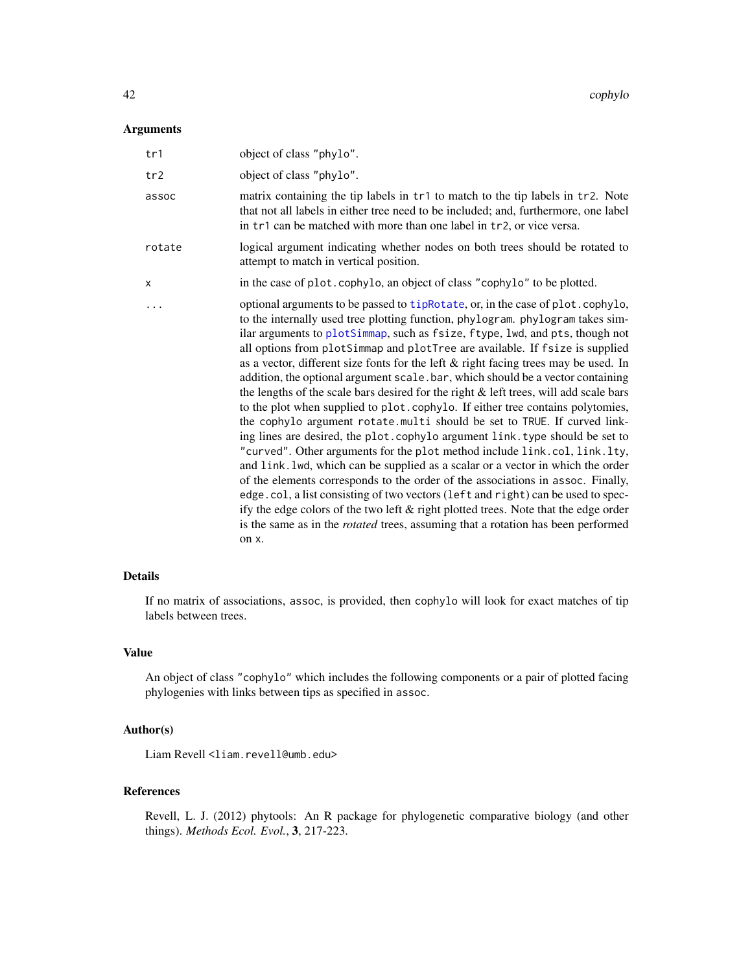### Arguments

| tr1    | object of class "phylo".                                                                                                                                                                                                                                                                                                                                                                                                                                                                                                                                                                                                                                                                                                                                                                                                                                                                                                                                                                                                                                                                                                                                                                                                                                                                                                                                                          |
|--------|-----------------------------------------------------------------------------------------------------------------------------------------------------------------------------------------------------------------------------------------------------------------------------------------------------------------------------------------------------------------------------------------------------------------------------------------------------------------------------------------------------------------------------------------------------------------------------------------------------------------------------------------------------------------------------------------------------------------------------------------------------------------------------------------------------------------------------------------------------------------------------------------------------------------------------------------------------------------------------------------------------------------------------------------------------------------------------------------------------------------------------------------------------------------------------------------------------------------------------------------------------------------------------------------------------------------------------------------------------------------------------------|
| tr2    | object of class "phylo".                                                                                                                                                                                                                                                                                                                                                                                                                                                                                                                                                                                                                                                                                                                                                                                                                                                                                                                                                                                                                                                                                                                                                                                                                                                                                                                                                          |
| assoc  | matrix containing the tip labels in tr1 to match to the tip labels in tr2. Note<br>that not all labels in either tree need to be included; and, furthermore, one label<br>in tr1 can be matched with more than one label in tr2, or vice versa.                                                                                                                                                                                                                                                                                                                                                                                                                                                                                                                                                                                                                                                                                                                                                                                                                                                                                                                                                                                                                                                                                                                                   |
| rotate | logical argument indicating whether nodes on both trees should be rotated to<br>attempt to match in vertical position.                                                                                                                                                                                                                                                                                                                                                                                                                                                                                                                                                                                                                                                                                                                                                                                                                                                                                                                                                                                                                                                                                                                                                                                                                                                            |
| X      | in the case of plot.cophylo, an object of class "cophylo" to be plotted.                                                                                                                                                                                                                                                                                                                                                                                                                                                                                                                                                                                                                                                                                                                                                                                                                                                                                                                                                                                                                                                                                                                                                                                                                                                                                                          |
|        | optional arguments to be passed to tipRotate, or, in the case of plot.cophylo,<br>to the internally used tree plotting function, phylogram. phylogram takes sim-<br>ilar arguments to plotSimmap, such as fsize, ftype, lwd, and pts, though not<br>all options from plotSimmap and plotTree are available. If fsize is supplied<br>as a vector, different size fonts for the left & right facing trees may be used. In<br>addition, the optional argument scale.bar, which should be a vector containing<br>the lengths of the scale bars desired for the right & left trees, will add scale bars<br>to the plot when supplied to plot.cophylo. If either tree contains polytomies,<br>the cophylo argument rotate.multi should be set to TRUE. If curved link-<br>ing lines are desired, the plot.cophylo argument link.type should be set to<br>"curved". Other arguments for the plot method include link.col, link.lty,<br>and link. lwd, which can be supplied as a scalar or a vector in which the order<br>of the elements corresponds to the order of the associations in assoc. Finally,<br>edge.col, a list consisting of two vectors (left and right) can be used to spec-<br>ify the edge colors of the two left & right plotted trees. Note that the edge order<br>is the same as in the <i>rotated</i> trees, assuming that a rotation has been performed<br>on x. |

# Details

If no matrix of associations, assoc, is provided, then cophylo will look for exact matches of tip labels between trees.

## Value

An object of class "cophylo" which includes the following components or a pair of plotted facing phylogenies with links between tips as specified in assoc.

## Author(s)

Liam Revell <liam.revell@umb.edu>

## References

Revell, L. J. (2012) phytools: An R package for phylogenetic comparative biology (and other things). *Methods Ecol. Evol.*, 3, 217-223.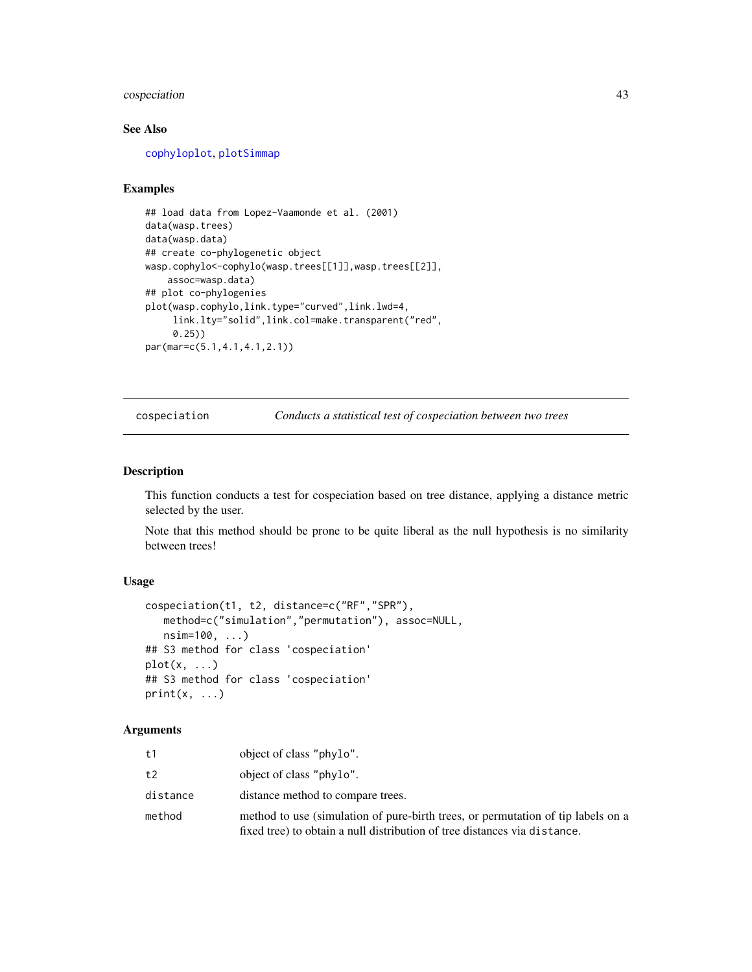## cospeciation 43

## See Also

[cophyloplot](#page-0-0), [plotSimmap](#page-151-0)

## Examples

```
## load data from Lopez-Vaamonde et al. (2001)
data(wasp.trees)
data(wasp.data)
## create co-phylogenetic object
wasp.cophylo<-cophylo(wasp.trees[[1]],wasp.trees[[2]],
    assoc=wasp.data)
## plot co-phylogenies
plot(wasp.cophylo,link.type="curved",link.lwd=4,
     link.lty="solid",link.col=make.transparent("red",
     0.25))
par(mar=c(5.1,4.1,4.1,2.1))
```
cospeciation *Conducts a statistical test of cospeciation between two trees*

## Description

This function conducts a test for cospeciation based on tree distance, applying a distance metric selected by the user.

Note that this method should be prone to be quite liberal as the null hypothesis is no similarity between trees!

## Usage

```
cospeciation(t1, t2, distance=c("RF","SPR"),
   method=c("simulation","permutation"), assoc=NULL,
   nsim=100, ...)
## S3 method for class 'cospeciation'
plot(x, \ldots)## S3 method for class 'cospeciation'
print(x, \ldots)
```
## Arguments

| t1       | object of class "phylo".                                                                                                                                      |
|----------|---------------------------------------------------------------------------------------------------------------------------------------------------------------|
| t2       | object of class "phylo".                                                                                                                                      |
| distance | distance method to compare trees.                                                                                                                             |
| method   | method to use (simulation of pure-birth trees, or permutation of tip labels on a<br>fixed tree) to obtain a null distribution of tree distances via distance. |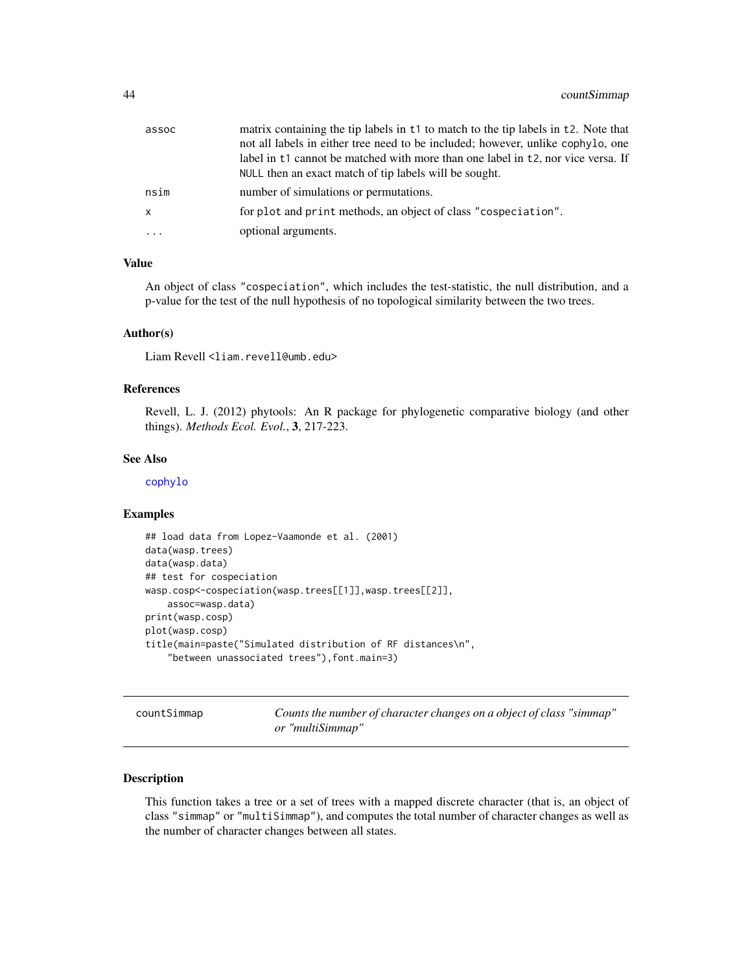| assoc | matrix containing the tip labels in t1 to match to the tip labels in t2. Note that |
|-------|------------------------------------------------------------------------------------|
|       | not all labels in either tree need to be included; however, unlike cophylo, one    |
|       | label in t1 cannot be matched with more than one label in t2, nor vice versa. If   |
|       | NULL then an exact match of tip labels will be sought.                             |
| nsim  | number of simulations or permutations.                                             |
| x     | for plot and print methods, an object of class "cospeciation".                     |
| .     | optional arguments.                                                                |

## Value

An object of class "cospeciation", which includes the test-statistic, the null distribution, and a p-value for the test of the null hypothesis of no topological similarity between the two trees.

#### Author(s)

Liam Revell <liam.revell@umb.edu>

#### References

Revell, L. J. (2012) phytools: An R package for phylogenetic comparative biology (and other things). *Methods Ecol. Evol.*, 3, 217-223.

#### See Also

[cophylo](#page-40-0)

### Examples

```
## load data from Lopez-Vaamonde et al. (2001)
data(wasp.trees)
data(wasp.data)
## test for cospeciation
wasp.cosp<-cospeciation(wasp.trees[[1]],wasp.trees[[2]],
   assoc=wasp.data)
print(wasp.cosp)
plot(wasp.cosp)
title(main=paste("Simulated distribution of RF distances\n",
    "between unassociated trees"),font.main=3)
```
<span id="page-43-0"></span>countSimmap *Counts the number of character changes on a object of class "simmap" or "multiSimmap"*

### Description

This function takes a tree or a set of trees with a mapped discrete character (that is, an object of class "simmap" or "multiSimmap"), and computes the total number of character changes as well as the number of character changes between all states.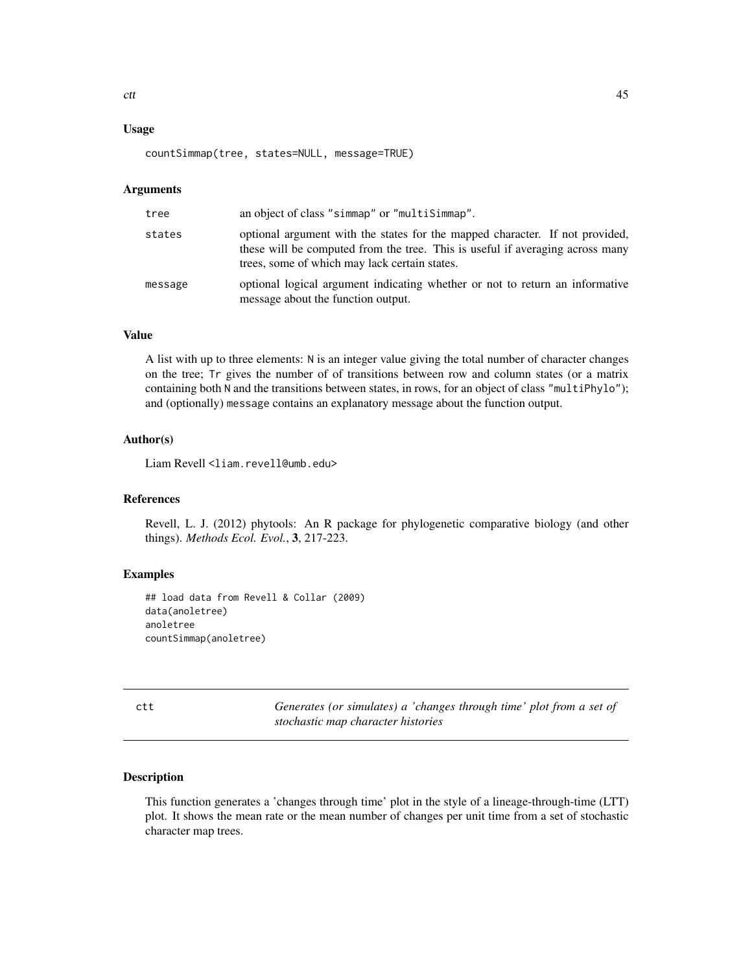## Usage

countSimmap(tree, states=NULL, message=TRUE)

#### Arguments

| tree    | an object of class "simmap" or "multiSimmap".                                                                                                                                                                  |
|---------|----------------------------------------------------------------------------------------------------------------------------------------------------------------------------------------------------------------|
| states  | optional argument with the states for the mapped character. If not provided,<br>these will be computed from the tree. This is useful if averaging across many<br>trees, some of which may lack certain states. |
| message | optional logical argument indicating whether or not to return an informative<br>message about the function output.                                                                                             |

## Value

A list with up to three elements: N is an integer value giving the total number of character changes on the tree; Tr gives the number of of transitions between row and column states (or a matrix containing both N and the transitions between states, in rows, for an object of class "multiPhylo"); and (optionally) message contains an explanatory message about the function output.

### Author(s)

Liam Revell <liam.revell@umb.edu>

### References

Revell, L. J. (2012) phytools: An R package for phylogenetic comparative biology (and other things). *Methods Ecol. Evol.*, 3, 217-223.

## Examples

```
## load data from Revell & Collar (2009)
data(anoletree)
anoletree
countSimmap(anoletree)
```
ctt *Generates (or simulates) a 'changes through time' plot from a set of stochastic map character histories*

#### Description

This function generates a 'changes through time' plot in the style of a lineage-through-time (LTT) plot. It shows the mean rate or the mean number of changes per unit time from a set of stochastic character map trees.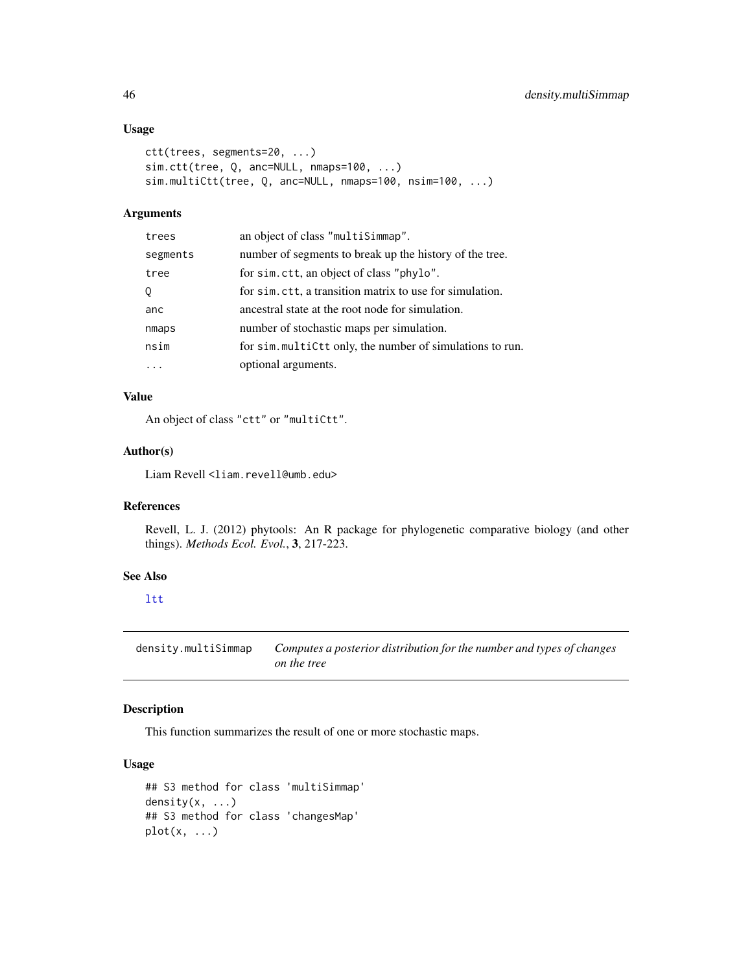## Usage

```
ctt(trees, segments=20, ...)
sim.ctt(tree, Q, anc=NULL, nmaps=100, ...)
sim.multiCtt(tree, Q, anc=NULL, nmaps=100, nsim=100, ...)
```
### Arguments

| trees    | an object of class "multiSimmap".                         |
|----------|-----------------------------------------------------------|
| segments | number of segments to break up the history of the tree.   |
| tree     | for sim. ctt, an object of class "phylo".                 |
| Q        | for sim.ctt, a transition matrix to use for simulation.   |
| anc      | ancestral state at the root node for simulation.          |
| nmaps    | number of stochastic maps per simulation.                 |
| nsim     | for sim. multiCtt only, the number of simulations to run. |
|          | optional arguments.                                       |

## Value

An object of class "ctt" or "multiCtt".

## Author(s)

Liam Revell <liam.revell@umb.edu>

# References

Revell, L. J. (2012) phytools: An R package for phylogenetic comparative biology (and other things). *Methods Ecol. Evol.*, 3, 217-223.

## See Also

[ltt](#page-97-0)

density.multiSimmap *Computes a posterior distribution for the number and types of changes on the tree*

## Description

This function summarizes the result of one or more stochastic maps.

## Usage

```
## S3 method for class 'multiSimmap'
density(x, ...)
## S3 method for class 'changesMap'
plot(x, \ldots)
```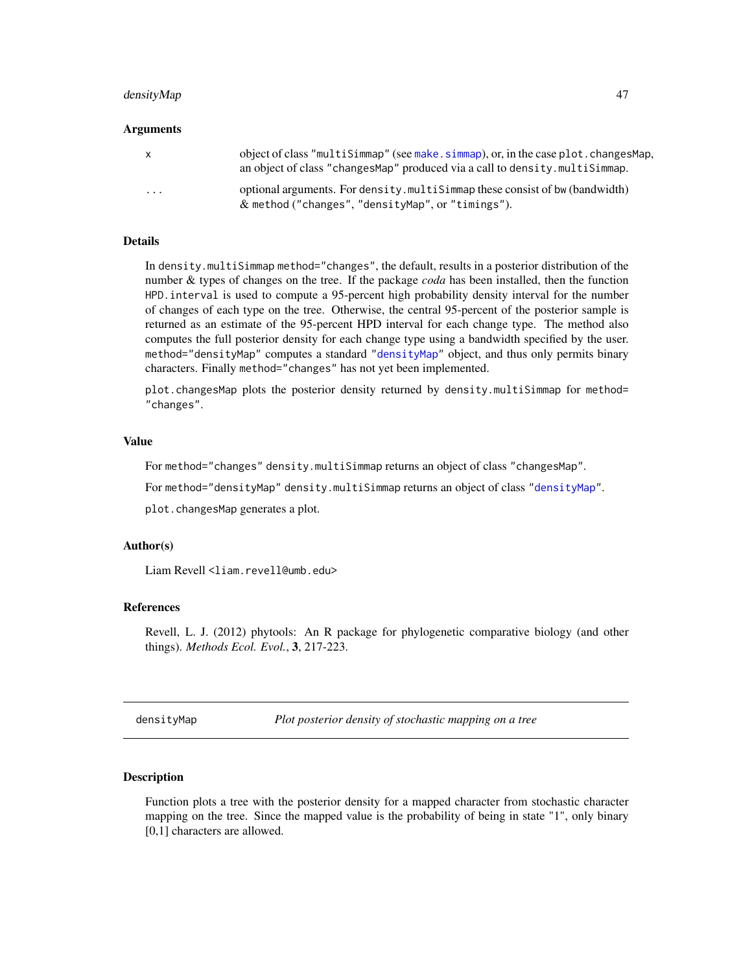### densityMap 47

#### Arguments

| X.       | object of class "multiSimmap" (see make.simmap), or, in the case plot.changesMap,<br>an object of class "changes Map" produced via a call to density. multiSimmap. |
|----------|--------------------------------------------------------------------------------------------------------------------------------------------------------------------|
| $\cdots$ | optional arguments. For density multisimizing these consist of bw (bandwidth)<br>$\&$ method ("changes", "densityMap", or "timings").                              |

#### **Details**

In density.multiSimmap method="changes", the default, results in a posterior distribution of the number & types of changes on the tree. If the package *coda* has been installed, then the function HPD.interval is used to compute a 95-percent high probability density interval for the number of changes of each type on the tree. Otherwise, the central 95-percent of the posterior sample is returned as an estimate of the 95-percent HPD interval for each change type. The method also computes the full posterior density for each change type using a bandwidth specified by the user. method="densityMap" computes a standard ["densityMap"](#page-46-0) object, and thus only permits binary characters. Finally method="changes" has not yet been implemented.

plot.changesMap plots the posterior density returned by density.multiSimmap for method= "changes".

### Value

For method="changes" density.multiSimmap returns an object of class "changesMap".

For method="densityMap" density.multiSimmap returns an object of class ["densityMap"](#page-46-0).

plot.changesMap generates a plot.

### Author(s)

Liam Revell <liam.revell@umb.edu>

### References

Revell, L. J. (2012) phytools: An R package for phylogenetic comparative biology (and other things). *Methods Ecol. Evol.*, 3, 217-223.

<span id="page-46-0"></span>densityMap *Plot posterior density of stochastic mapping on a tree*

#### Description

Function plots a tree with the posterior density for a mapped character from stochastic character mapping on the tree. Since the mapped value is the probability of being in state "1", only binary [0,1] characters are allowed.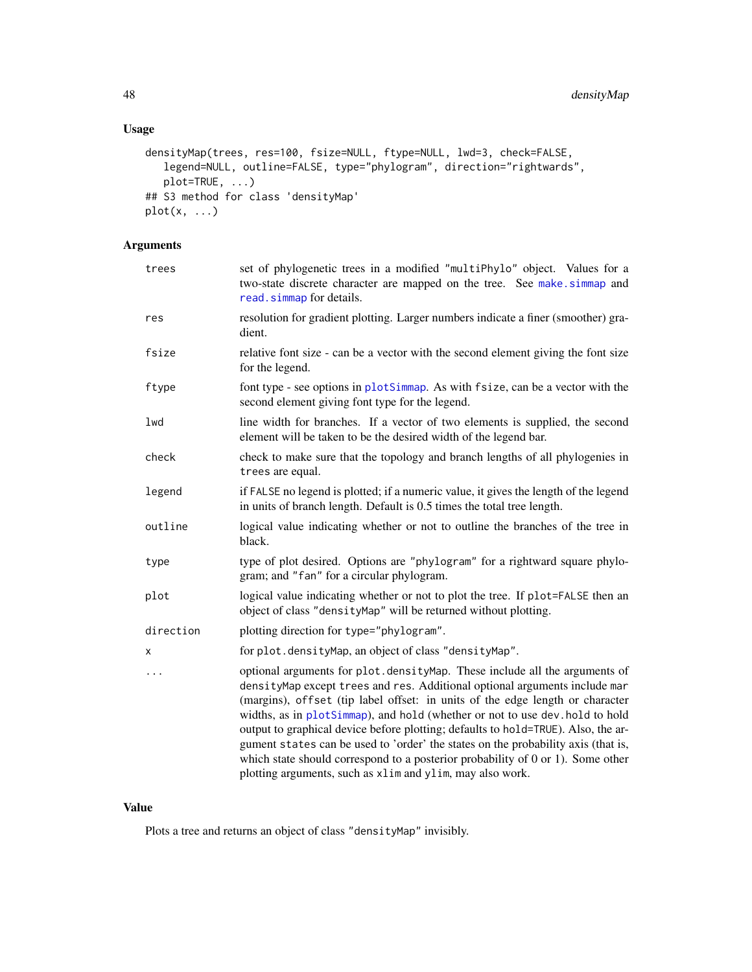# Usage

```
densityMap(trees, res=100, fsize=NULL, ftype=NULL, lwd=3, check=FALSE,
  legend=NULL, outline=FALSE, type="phylogram", direction="rightwards",
   plot=TRUE, ...)
## S3 method for class 'densityMap'
plot(x, \ldots)
```
# Arguments

| trees     | set of phylogenetic trees in a modified "multiPhylo" object. Values for a<br>two-state discrete character are mapped on the tree. See make.simmap and<br>read.simmap for details.                                                                                                                                                                                                                                                                                                                                                                                                                                                                        |
|-----------|----------------------------------------------------------------------------------------------------------------------------------------------------------------------------------------------------------------------------------------------------------------------------------------------------------------------------------------------------------------------------------------------------------------------------------------------------------------------------------------------------------------------------------------------------------------------------------------------------------------------------------------------------------|
| res       | resolution for gradient plotting. Larger numbers indicate a finer (smoother) gra-<br>dient.                                                                                                                                                                                                                                                                                                                                                                                                                                                                                                                                                              |
| fsize     | relative font size - can be a vector with the second element giving the font size<br>for the legend.                                                                                                                                                                                                                                                                                                                                                                                                                                                                                                                                                     |
| ftype     | font type - see options in plotSimmap. As with fsize, can be a vector with the<br>second element giving font type for the legend.                                                                                                                                                                                                                                                                                                                                                                                                                                                                                                                        |
| lwd       | line width for branches. If a vector of two elements is supplied, the second<br>element will be taken to be the desired width of the legend bar.                                                                                                                                                                                                                                                                                                                                                                                                                                                                                                         |
| check     | check to make sure that the topology and branch lengths of all phylogenies in<br>trees are equal.                                                                                                                                                                                                                                                                                                                                                                                                                                                                                                                                                        |
| legend    | if FALSE no legend is plotted; if a numeric value, it gives the length of the legend<br>in units of branch length. Default is 0.5 times the total tree length.                                                                                                                                                                                                                                                                                                                                                                                                                                                                                           |
| outline   | logical value indicating whether or not to outline the branches of the tree in<br>black.                                                                                                                                                                                                                                                                                                                                                                                                                                                                                                                                                                 |
| type      | type of plot desired. Options are "phylogram" for a rightward square phylo-<br>gram; and "fan" for a circular phylogram.                                                                                                                                                                                                                                                                                                                                                                                                                                                                                                                                 |
| plot      | logical value indicating whether or not to plot the tree. If plot=FALSE then an<br>object of class "densityMap" will be returned without plotting.                                                                                                                                                                                                                                                                                                                                                                                                                                                                                                       |
| direction | plotting direction for type="phylogram".                                                                                                                                                                                                                                                                                                                                                                                                                                                                                                                                                                                                                 |
| X         | for plot.densityMap, an object of class "densityMap".                                                                                                                                                                                                                                                                                                                                                                                                                                                                                                                                                                                                    |
| .         | optional arguments for plot.densityMap. These include all the arguments of<br>densityMap except trees and res. Additional optional arguments include mar<br>(margins), offset (tip label offset: in units of the edge length or character<br>widths, as in plotSimmap), and hold (whether or not to use dev. hold to hold<br>output to graphical device before plotting; defaults to hold=TRUE). Also, the ar-<br>gument states can be used to 'order' the states on the probability axis (that is,<br>which state should correspond to a posterior probability of $0$ or $1$ ). Some other<br>plotting arguments, such as xlim and ylim, may also work. |

### Value

Plots a tree and returns an object of class "densityMap" invisibly.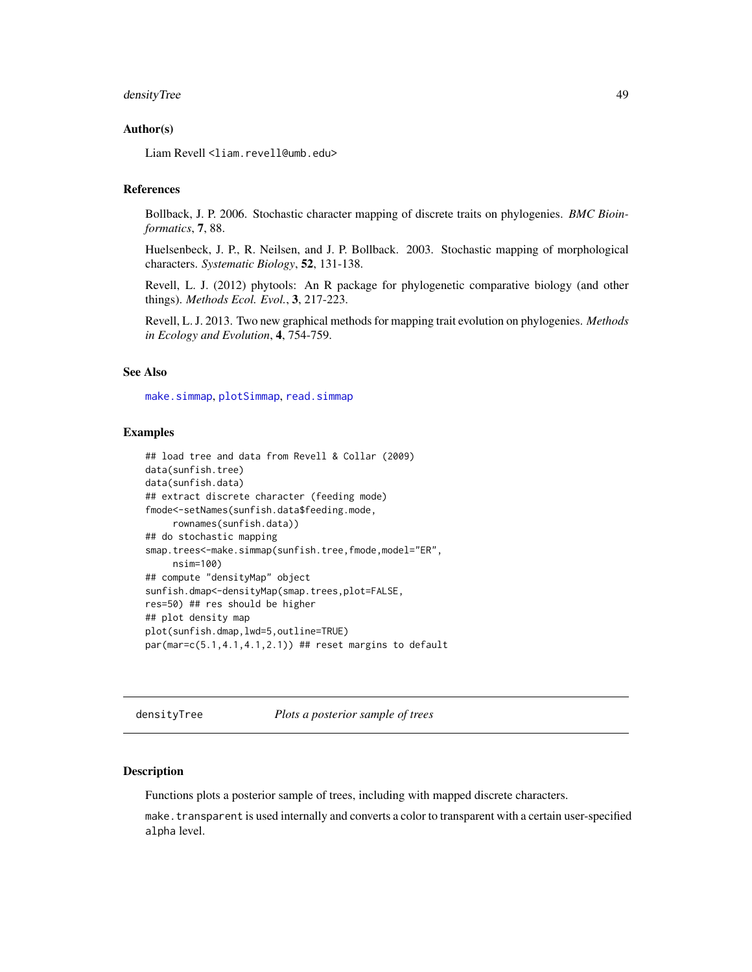### densityTree 49

#### Author(s)

Liam Revell <liam.revell@umb.edu>

## References

Bollback, J. P. 2006. Stochastic character mapping of discrete traits on phylogenies. *BMC Bioinformatics*, 7, 88.

Huelsenbeck, J. P., R. Neilsen, and J. P. Bollback. 2003. Stochastic mapping of morphological characters. *Systematic Biology*, 52, 131-138.

Revell, L. J. (2012) phytools: An R package for phylogenetic comparative biology (and other things). *Methods Ecol. Evol.*, 3, 217-223.

Revell, L. J. 2013. Two new graphical methods for mapping trait evolution on phylogenies. *Methods in Ecology and Evolution*, 4, 754-759.

## See Also

[make.simmap](#page-101-0), [plotSimmap](#page-151-0), [read.simmap](#page-168-0)

### Examples

```
## load tree and data from Revell & Collar (2009)
data(sunfish.tree)
data(sunfish.data)
## extract discrete character (feeding mode)
fmode<-setNames(sunfish.data$feeding.mode,
     rownames(sunfish.data))
## do stochastic mapping
smap.trees<-make.simmap(sunfish.tree,fmode,model="ER",
     nsim=100)
## compute "densityMap" object
sunfish.dmap<-densityMap(smap.trees,plot=FALSE,
res=50) ## res should be higher
## plot density map
plot(sunfish.dmap,lwd=5,outline=TRUE)
par(mar=c(5.1, 4.1, 4.1, 2.1)) ## reset margins to default
```
densityTree *Plots a posterior sample of trees*

#### **Description**

Functions plots a posterior sample of trees, including with mapped discrete characters.

make.transparent is used internally and converts a color to transparent with a certain user-specified alpha level.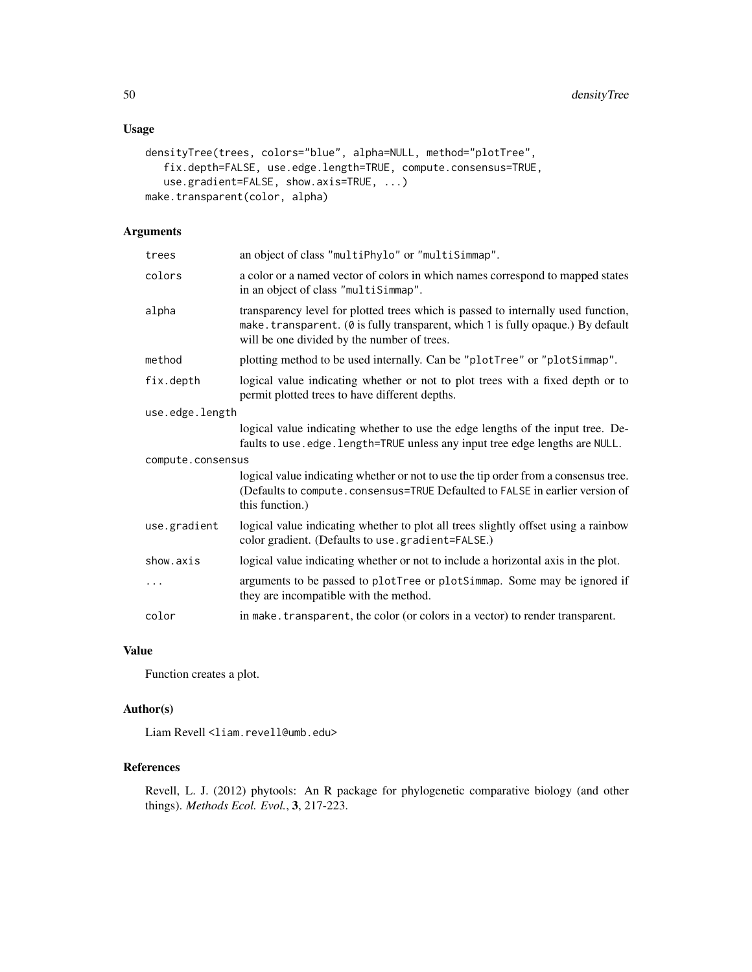## Usage

```
densityTree(trees, colors="blue", alpha=NULL, method="plotTree",
   fix.depth=FALSE, use.edge.length=TRUE, compute.consensus=TRUE,
   use.gradient=FALSE, show.axis=TRUE, ...)
make.transparent(color, alpha)
```
## Arguments

| trees             | an object of class "multiPhylo" or "multiSimmap".                                                                                                                                                                   |  |  |
|-------------------|---------------------------------------------------------------------------------------------------------------------------------------------------------------------------------------------------------------------|--|--|
| colors            | a color or a named vector of colors in which names correspond to mapped states<br>in an object of class "multiSimmap".                                                                                              |  |  |
| alpha             | transparency level for plotted trees which is passed to internally used function,<br>make.transparent. (0 is fully transparent, which 1 is fully opaque.) By default<br>will be one divided by the number of trees. |  |  |
| method            | plotting method to be used internally. Can be "plotTree" or "plotSimmap".                                                                                                                                           |  |  |
| fix.depth         | logical value indicating whether or not to plot trees with a fixed depth or to<br>permit plotted trees to have different depths.                                                                                    |  |  |
|                   | use.edge.length                                                                                                                                                                                                     |  |  |
|                   | logical value indicating whether to use the edge lengths of the input tree. De-<br>faults to use.edge.length=TRUE unless any input tree edge lengths are NULL.                                                      |  |  |
| compute.consensus |                                                                                                                                                                                                                     |  |  |
|                   | logical value indicating whether or not to use the tip order from a consensus tree.<br>(Defaults to compute.consensus=TRUE Defaulted to FALSE in earlier version of<br>this function.)                              |  |  |
| use.gradient      | logical value indicating whether to plot all trees slightly offset using a rainbow<br>color gradient. (Defaults to use.gradient=FALSE.)                                                                             |  |  |
| show.axis         | logical value indicating whether or not to include a horizontal axis in the plot.                                                                                                                                   |  |  |
| .                 | arguments to be passed to plotTree or plotSimmap. Some may be ignored if<br>they are incompatible with the method.                                                                                                  |  |  |
| color             | in make. transparent, the color (or colors in a vector) to render transparent.                                                                                                                                      |  |  |

### Value

Function creates a plot.

# Author(s)

Liam Revell <liam.revell@umb.edu>

### References

Revell, L. J. (2012) phytools: An R package for phylogenetic comparative biology (and other things). *Methods Ecol. Evol.*, 3, 217-223.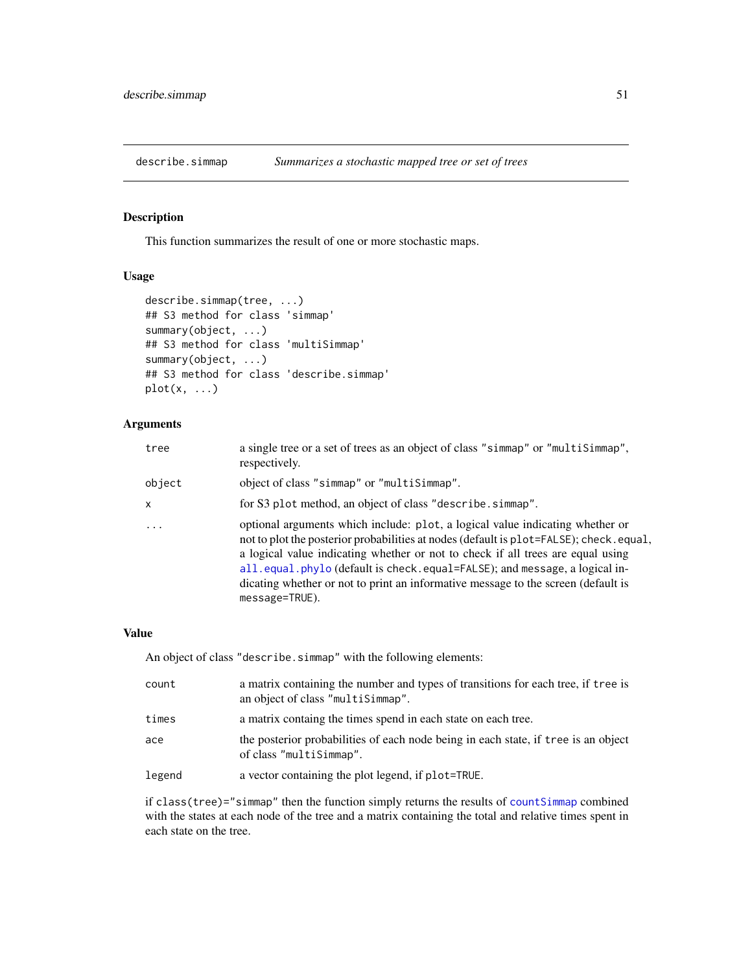This function summarizes the result of one or more stochastic maps.

### Usage

```
describe.simmap(tree, ...)
## S3 method for class 'simmap'
summary(object, ...)
## S3 method for class 'multiSimmap'
summary(object, ...)
## S3 method for class 'describe.simmap'
plot(x, \ldots)
```
## Arguments

| tree       | a single tree or a set of trees as an object of class "simmap" or "multiSimmap",<br>respectively.                                                                                                                                                                                                                                                                                                                                               |
|------------|-------------------------------------------------------------------------------------------------------------------------------------------------------------------------------------------------------------------------------------------------------------------------------------------------------------------------------------------------------------------------------------------------------------------------------------------------|
| object     | object of class "simmap" or "multiSimmap".                                                                                                                                                                                                                                                                                                                                                                                                      |
| X          | for S3 plot method, an object of class "describe.simmap".                                                                                                                                                                                                                                                                                                                                                                                       |
| $\ddots$ . | optional arguments which include: plot, a logical value indicating whether or<br>not to plot the posterior probabilities at nodes (default is plot=FALSE); check.equal,<br>a logical value indicating whether or not to check if all trees are equal using<br>all.equal.phylo (default is check.equal=FALSE); and message, a logical in-<br>dicating whether or not to print an informative message to the screen (default is<br>message=TRUE). |

### Value

An object of class "describe.simmap" with the following elements:

| count  | a matrix containing the number and types of transitions for each tree, if tree is<br>an object of class "multiSimmap". |
|--------|------------------------------------------------------------------------------------------------------------------------|
| times  | a matrix containg the times spend in each state on each tree.                                                          |
| ace    | the posterior probabilities of each node being in each state, if t ree is an object<br>of class "multiSimmap".         |
| legend | a vector containing the plot legend, if plot=TRUE.                                                                     |

if class(tree)="simmap" then the function simply returns the results of [countSimmap](#page-43-0) combined with the states at each node of the tree and a matrix containing the total and relative times spent in each state on the tree.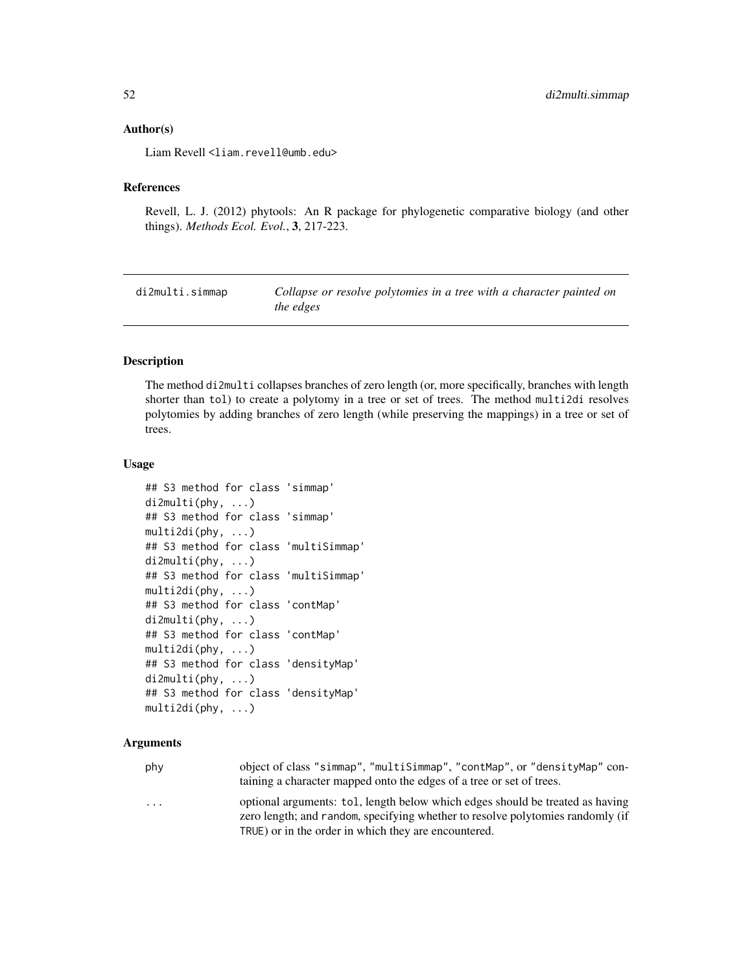#### Author(s)

Liam Revell <liam.revell@umb.edu>

### References

Revell, L. J. (2012) phytools: An R package for phylogenetic comparative biology (and other things). *Methods Ecol. Evol.*, 3, 217-223.

di2multi.simmap *Collapse or resolve polytomies in a tree with a character painted on the edges*

### Description

The method di2multi collapses branches of zero length (or, more specifically, branches with length shorter than tol) to create a polytomy in a tree or set of trees. The method multi2di resolves polytomies by adding branches of zero length (while preserving the mappings) in a tree or set of trees.

#### Usage

```
## S3 method for class 'simmap'
di2multi(phy, ...)
## S3 method for class 'simmap'
multi2di(phy, ...)
## S3 method for class 'multiSimmap'
di2multi(phy, ...)
## S3 method for class 'multiSimmap'
multi2di(phy, ...)
## S3 method for class 'contMap'
di2multi(phy, ...)
## S3 method for class 'contMap'
multi2di(phy, ...)
## S3 method for class 'densityMap'
di2multi(phy, ...)
## S3 method for class 'densityMap'
multi2di(phy, ...)
```
## Arguments

| phy                     | object of class "simmap", "multiSimmap", "contMap", or "densityMap" con-<br>taining a character mapped onto the edges of a tree or set of trees.                |
|-------------------------|-----------------------------------------------------------------------------------------------------------------------------------------------------------------|
| $\cdot$ $\cdot$ $\cdot$ | optional arguments: tol, length below which edges should be treated as having<br>zero length; and random, specifying whether to resolve polytomies randomly (if |

TRUE) or in the order in which they are encountered.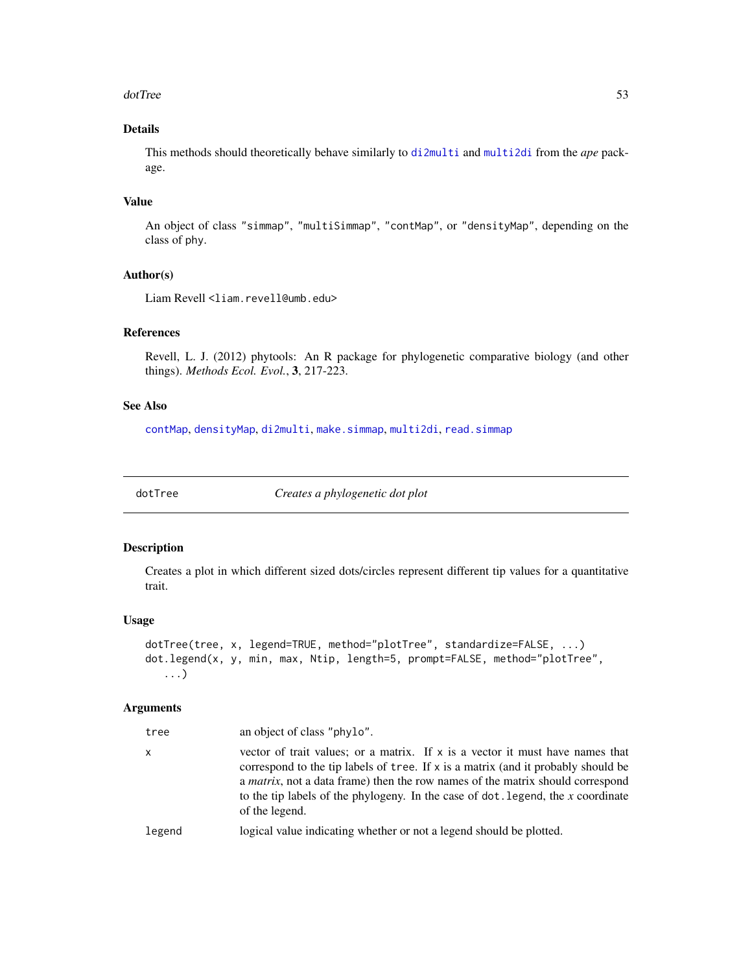#### dotTree 53

## Details

This methods should theoretically behave similarly to [di2multi](#page-0-0) and [multi2di](#page-0-0) from the *ape* package.

## Value

An object of class "simmap", "multiSimmap", "contMap", or "densityMap", depending on the class of phy.

### Author(s)

Liam Revell <liam.revell@umb.edu>

## References

Revell, L. J. (2012) phytools: An R package for phylogenetic comparative biology (and other things). *Methods Ecol. Evol.*, 3, 217-223.

## See Also

[contMap](#page-38-0), [densityMap](#page-46-0), [di2multi](#page-0-0), [make.simmap](#page-101-0), [multi2di](#page-0-0), [read.simmap](#page-168-0)

dotTree *Creates a phylogenetic dot plot*

### Description

Creates a plot in which different sized dots/circles represent different tip values for a quantitative trait.

## Usage

```
dotTree(tree, x, legend=TRUE, method="plotTree", standardize=FALSE, ...)
dot.legend(x, y, min, max, Ntip, length=5, prompt=FALSE, method="plotTree",
   ...)
```
## Arguments

| tree   | an object of class "phylo".                                                                                                                                                                                                                                                                                                                                           |
|--------|-----------------------------------------------------------------------------------------------------------------------------------------------------------------------------------------------------------------------------------------------------------------------------------------------------------------------------------------------------------------------|
| x      | vector of trait values; or a matrix. If x is a vector it must have names that<br>correspond to the tip labels of tree. If x is a matrix (and it probably should be<br>a <i>matrix</i> , not a data frame) then the row names of the matrix should correspond<br>to the tip labels of the phylogeny. In the case of $dot$ . legend, the x coordinate<br>of the legend. |
| legend | logical value indicating whether or not a legend should be plotted.                                                                                                                                                                                                                                                                                                   |
|        |                                                                                                                                                                                                                                                                                                                                                                       |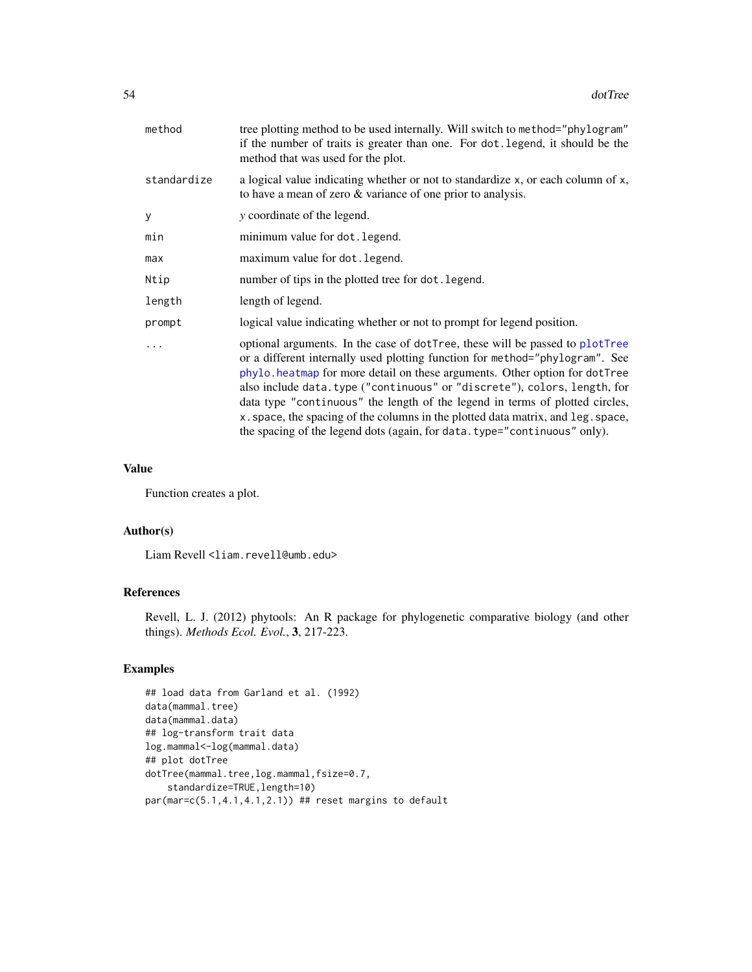| method      | tree plotting method to be used internally. Will switch to method="phylogram"<br>if the number of traits is greater than one. For dot. legend, it should be the<br>method that was used for the plot.                                                                                                                                                                                                                                                                                                                                                                    |
|-------------|--------------------------------------------------------------------------------------------------------------------------------------------------------------------------------------------------------------------------------------------------------------------------------------------------------------------------------------------------------------------------------------------------------------------------------------------------------------------------------------------------------------------------------------------------------------------------|
| standardize | a logical value indicating whether or not to standardize x, or each column of x,<br>to have a mean of zero & variance of one prior to analysis.                                                                                                                                                                                                                                                                                                                                                                                                                          |
| y           | y coordinate of the legend.                                                                                                                                                                                                                                                                                                                                                                                                                                                                                                                                              |
| min         | minimum value for dot. legend.                                                                                                                                                                                                                                                                                                                                                                                                                                                                                                                                           |
| max         | maximum value for dot. legend.                                                                                                                                                                                                                                                                                                                                                                                                                                                                                                                                           |
| Ntip        | number of tips in the plotted tree for dot. legend.                                                                                                                                                                                                                                                                                                                                                                                                                                                                                                                      |
| length      | length of legend.                                                                                                                                                                                                                                                                                                                                                                                                                                                                                                                                                        |
| prompt      | logical value indicating whether or not to prompt for legend position.                                                                                                                                                                                                                                                                                                                                                                                                                                                                                                   |
|             | optional arguments. In the case of dotTree, these will be passed to plotTree<br>or a different internally used plotting function for method="phylogram". See<br>phylo. heatmap for more detail on these arguments. Other option for dotTree<br>also include data.type ("continuous" or "discrete"), colors, length, for<br>data type "continuous" the length of the legend in terms of plotted circles,<br>x. space, the spacing of the columns in the plotted data matrix, and leg. space,<br>the spacing of the legend dots (again, for data. type="continuous" only). |

#### Value

Function creates a plot.

#### Author(s)

Liam Revell <liam.revell@umb.edu>

#### References

Revell, L. J. (2012) phytools: An R package for phylogenetic comparative biology (and other things). *Methods Ecol. Evol.*, 3, 217-223.

## Examples

```
## load data from Garland et al. (1992)
data(mammal.tree)
data(mammal.data)
## log-transform trait data
log.mammal<-log(mammal.data)
## plot dotTree
dotTree(mammal.tree,log.mammal,fsize=0.7,
   standardize=TRUE,length=10)
par(mar=c(5.1,4.1,4.1,2.1)) ## reset margins to default
```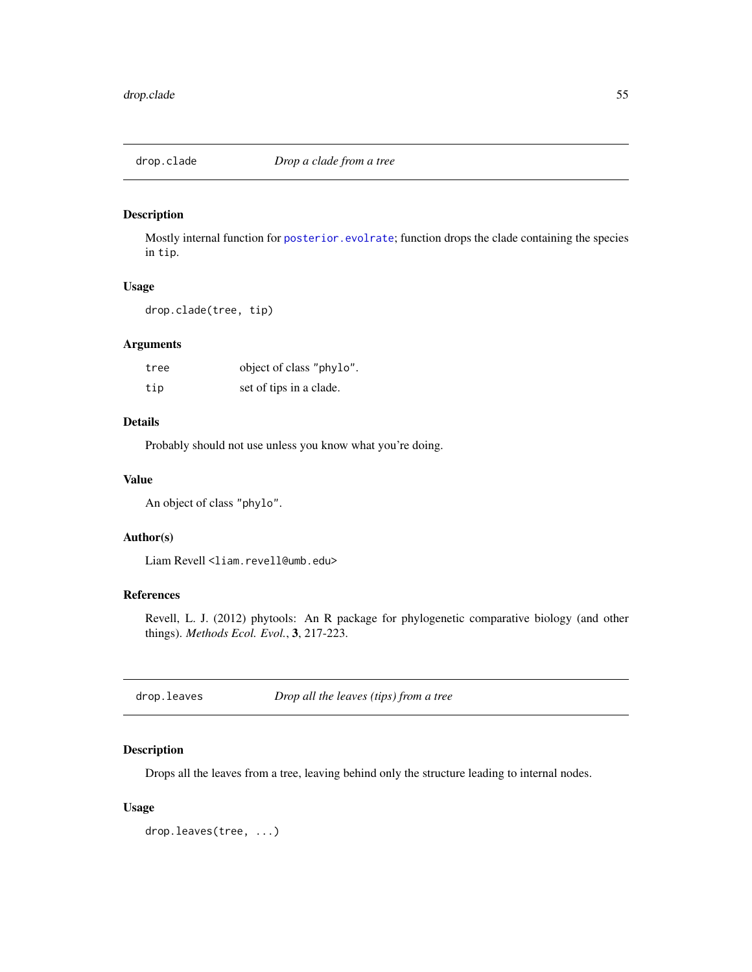Mostly internal function for [posterior.evolrate](#page-160-0); function drops the clade containing the species in tip.

#### Usage

drop.clade(tree, tip)

## Arguments

| tree | object of class "phylo". |
|------|--------------------------|
| tip  | set of tips in a clade.  |

## Details

Probably should not use unless you know what you're doing.

### Value

An object of class "phylo".

#### Author(s)

Liam Revell <liam.revell@umb.edu>

## References

Revell, L. J. (2012) phytools: An R package for phylogenetic comparative biology (and other things). *Methods Ecol. Evol.*, 3, 217-223.

drop.leaves *Drop all the leaves (tips) from a tree*

## Description

Drops all the leaves from a tree, leaving behind only the structure leading to internal nodes.

### Usage

drop.leaves(tree, ...)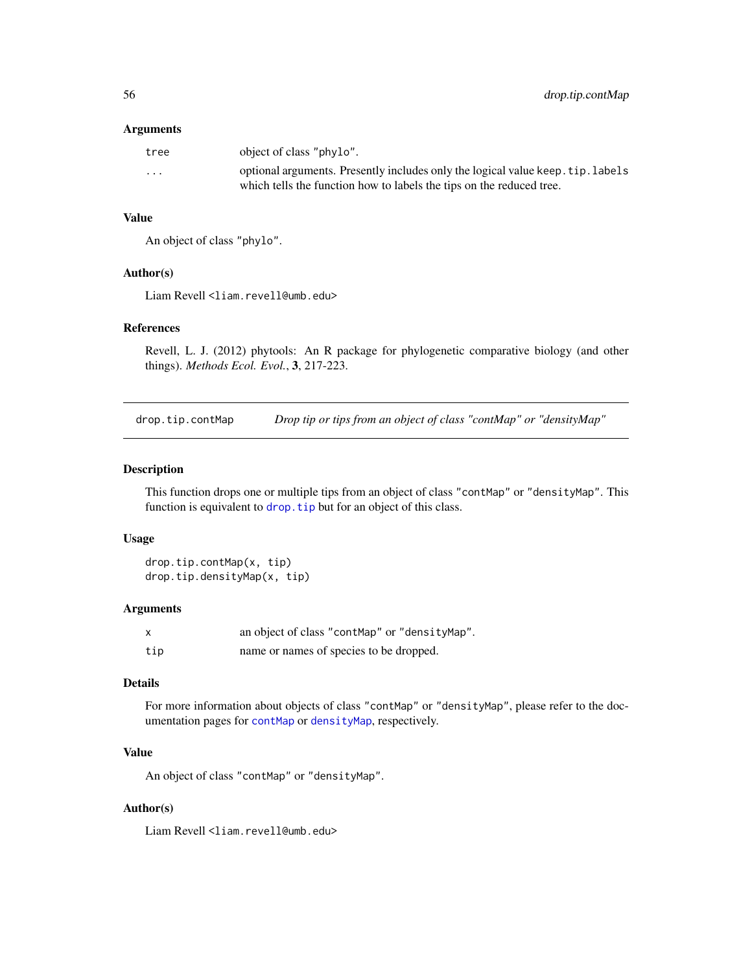#### Arguments

| tree                    | object of class "phylo".                                                                                                                                |
|-------------------------|---------------------------------------------------------------------------------------------------------------------------------------------------------|
| $\cdot$ $\cdot$ $\cdot$ | optional arguments. Presently includes only the logical value keep. tip. labels<br>which tells the function how to labels the tips on the reduced tree. |

## Value

An object of class "phylo".

## Author(s)

Liam Revell <liam.revell@umb.edu>

### References

Revell, L. J. (2012) phytools: An R package for phylogenetic comparative biology (and other things). *Methods Ecol. Evol.*, 3, 217-223.

drop.tip.contMap *Drop tip or tips from an object of class "contMap" or "densityMap"*

#### Description

This function drops one or multiple tips from an object of class "contMap" or "densityMap". This function is equivalent to drop. tip but for an object of this class.

## Usage

```
drop.tip.contMap(x, tip)
drop.tip.densityMap(x, tip)
```
#### Arguments

|     | an object of class "contMap" or "densityMap". |
|-----|-----------------------------------------------|
| tip | name or names of species to be dropped.       |

# Details

For more information about objects of class "contMap" or "densityMap", please refer to the documentation pages for [contMap](#page-38-0) or [densityMap](#page-46-0), respectively.

# Value

An object of class "contMap" or "densityMap".

## Author(s)

Liam Revell <liam.revell@umb.edu>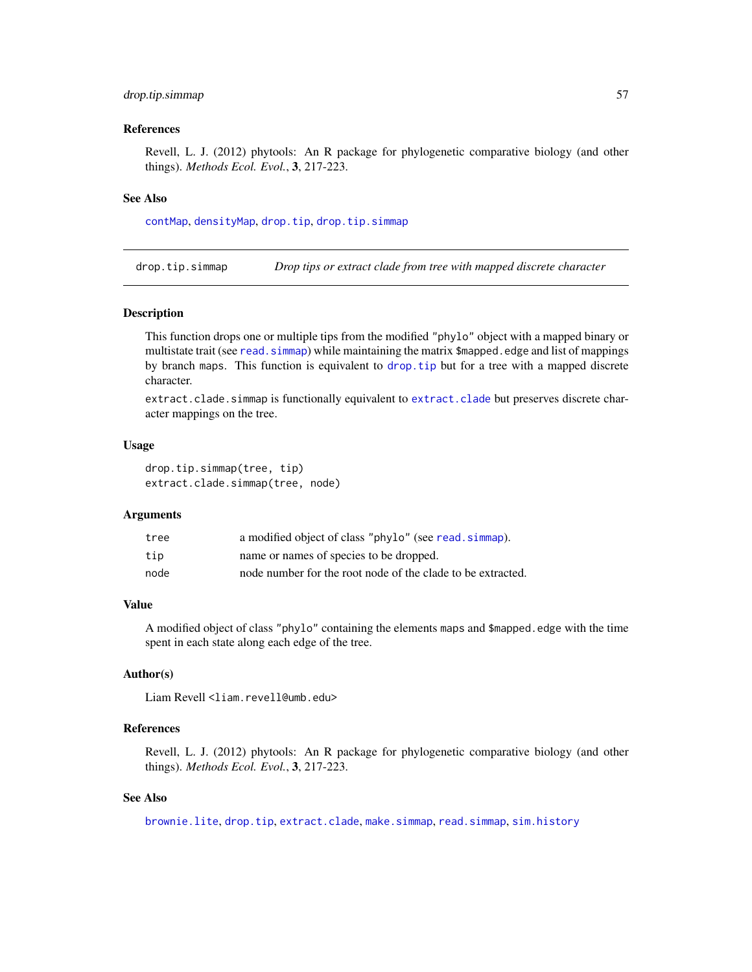## drop.tip.simmap 57

#### References

Revell, L. J. (2012) phytools: An R package for phylogenetic comparative biology (and other things). *Methods Ecol. Evol.*, 3, 217-223.

#### See Also

[contMap](#page-38-0), [densityMap](#page-46-0), [drop.tip](#page-0-0), [drop.tip.simmap](#page-56-0)

<span id="page-56-0"></span>drop.tip.simmap *Drop tips or extract clade from tree with mapped discrete character*

### Description

This function drops one or multiple tips from the modified "phylo" object with a mapped binary or multistate trait (see read. simmap) while maintaining the matrix \$mapped. edge and list of mappings by branch maps. This function is equivalent to [drop.tip](#page-0-0) but for a tree with a mapped discrete character.

[extract.clade](#page-0-0).simmap is functionally equivalent to extract.clade but preserves discrete character mappings on the tree.

### Usage

```
drop.tip.simmap(tree, tip)
extract.clade.simmap(tree, node)
```
#### Arguments

| tree | a modified object of class "phylo" (see read. simmap).      |
|------|-------------------------------------------------------------|
| tip  | name or names of species to be dropped.                     |
| node | node number for the root node of the clade to be extracted. |

#### Value

A modified object of class "phylo" containing the elements maps and \$mapped.edge with the time spent in each state along each edge of the tree.

## Author(s)

Liam Revell <liam.revell@umb.edu>

### References

Revell, L. J. (2012) phytools: An R package for phylogenetic comparative biology (and other things). *Methods Ecol. Evol.*, 3, 217-223.

# See Also

[brownie.lite](#page-31-0), [drop.tip](#page-0-0), [extract.clade](#page-0-0), [make.simmap](#page-101-0), [read.simmap](#page-168-0), [sim.history](#page-182-0)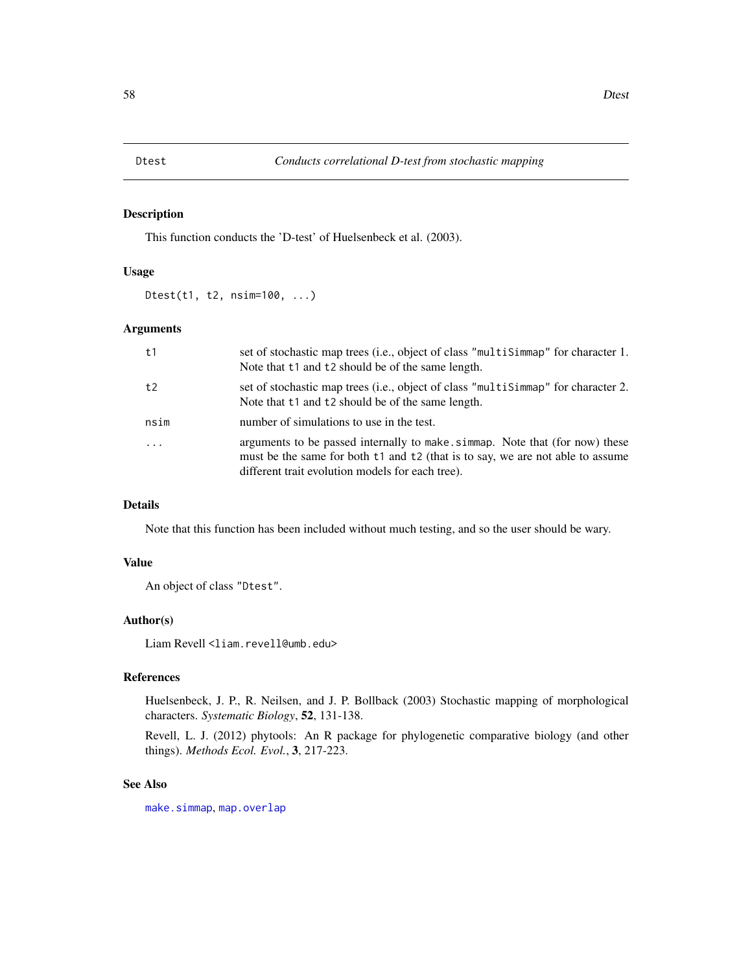This function conducts the 'D-test' of Huelsenbeck et al. (2003).

## Usage

Dtest(t1, t2, nsim=100, ...)

#### Arguments

| t1       | set of stochastic map trees (i.e., object of class "multiSimmap" for character 1.<br>Note that t1 and t2 should be of the same length.                                                                            |
|----------|-------------------------------------------------------------------------------------------------------------------------------------------------------------------------------------------------------------------|
| t2       | set of stochastic map trees (i.e., object of class "multisimmap" for character 2.<br>Note that t1 and t2 should be of the same length.                                                                            |
| nsim     | number of simulations to use in the test.                                                                                                                                                                         |
| $\cdots$ | arguments to be passed internally to make simmap. Note that (for now) these<br>must be the same for both t1 and t2 (that is to say, we are not able to assume<br>different trait evolution models for each tree). |

## Details

Note that this function has been included without much testing, and so the user should be wary.

## Value

An object of class "Dtest".

## Author(s)

Liam Revell <liam.revell@umb.edu>

### References

Huelsenbeck, J. P., R. Neilsen, and J. P. Bollback (2003) Stochastic mapping of morphological characters. *Systematic Biology*, 52, 131-138.

Revell, L. J. (2012) phytools: An R package for phylogenetic comparative biology (and other things). *Methods Ecol. Evol.*, 3, 217-223.

### See Also

[make.simmap](#page-101-0), [map.overlap](#page-104-0)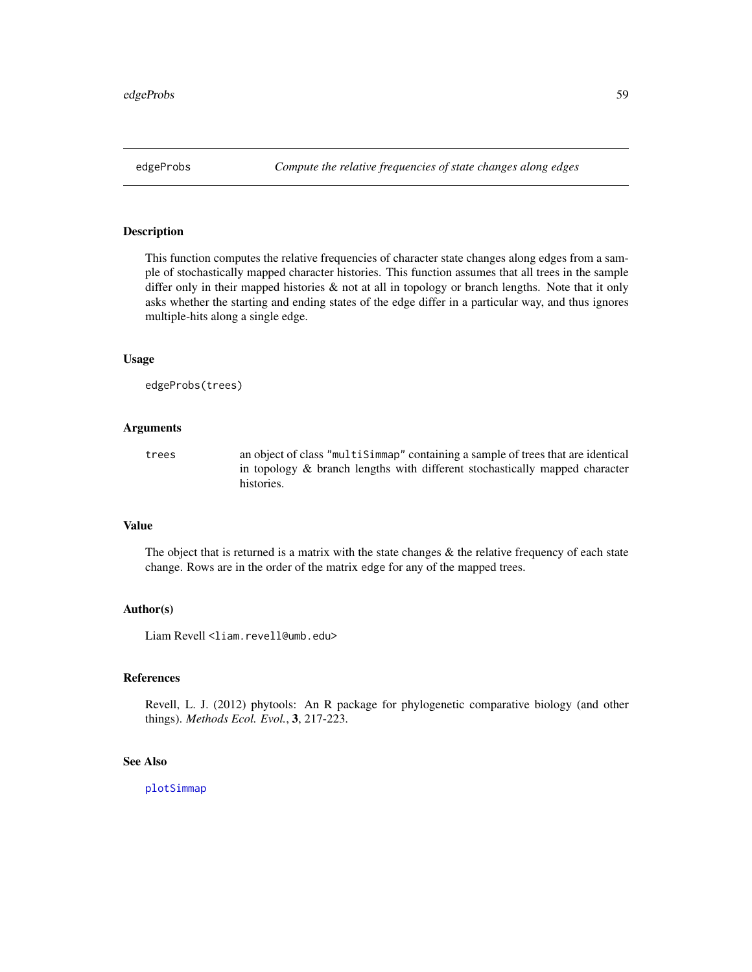This function computes the relative frequencies of character state changes along edges from a sample of stochastically mapped character histories. This function assumes that all trees in the sample differ only in their mapped histories & not at all in topology or branch lengths. Note that it only asks whether the starting and ending states of the edge differ in a particular way, and thus ignores multiple-hits along a single edge.

### Usage

```
edgeProbs(trees)
```
### Arguments

trees an object of class "multiSimmap" containing a sample of trees that are identical in topology & branch lengths with different stochastically mapped character histories.

## Value

The object that is returned is a matrix with the state changes  $\&$  the relative frequency of each state change. Rows are in the order of the matrix edge for any of the mapped trees.

#### Author(s)

Liam Revell <liam.revell@umb.edu>

## References

Revell, L. J. (2012) phytools: An R package for phylogenetic comparative biology (and other things). *Methods Ecol. Evol.*, 3, 217-223.

### See Also

[plotSimmap](#page-151-0)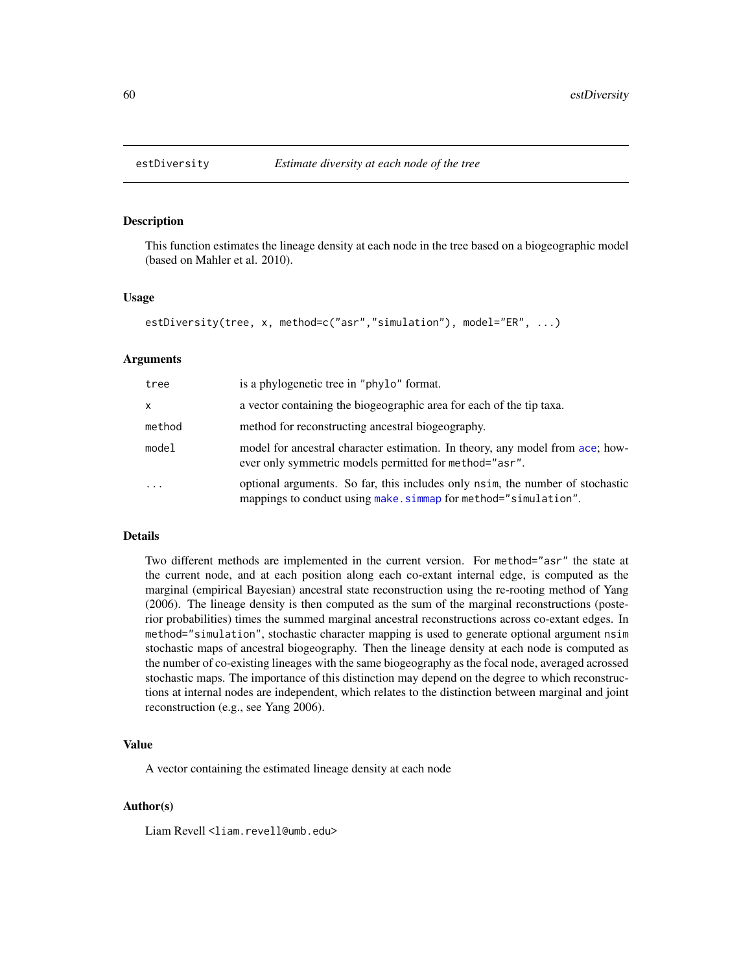This function estimates the lineage density at each node in the tree based on a biogeographic model (based on Mahler et al. 2010).

#### Usage

```
estDiversity(tree, x, method=c("asr","simulation"), model="ER", ...)
```
#### Arguments

| tree                    | is a phylogenetic tree in "phylo" format.                                                                                                        |
|-------------------------|--------------------------------------------------------------------------------------------------------------------------------------------------|
| X                       | a vector containing the biogeographic area for each of the tip taxa.                                                                             |
| method                  | method for reconstructing ancestral biogeography.                                                                                                |
| model                   | model for ancestral character estimation. In theory, any model from ace; how-<br>ever only symmetric models permitted for method="asr".          |
| $\cdot$ $\cdot$ $\cdot$ | optional arguments. So far, this includes only nsim, the number of stochastic<br>mappings to conduct using make. simmap for method="simulation". |

#### Details

Two different methods are implemented in the current version. For method="asr" the state at the current node, and at each position along each co-extant internal edge, is computed as the marginal (empirical Bayesian) ancestral state reconstruction using the re-rooting method of Yang (2006). The lineage density is then computed as the sum of the marginal reconstructions (posterior probabilities) times the summed marginal ancestral reconstructions across co-extant edges. In method="simulation", stochastic character mapping is used to generate optional argument nsim stochastic maps of ancestral biogeography. Then the lineage density at each node is computed as the number of co-existing lineages with the same biogeography as the focal node, averaged acrossed stochastic maps. The importance of this distinction may depend on the degree to which reconstructions at internal nodes are independent, which relates to the distinction between marginal and joint reconstruction (e.g., see Yang 2006).

#### Value

A vector containing the estimated lineage density at each node

#### Author(s)

Liam Revell <liam.revell@umb.edu>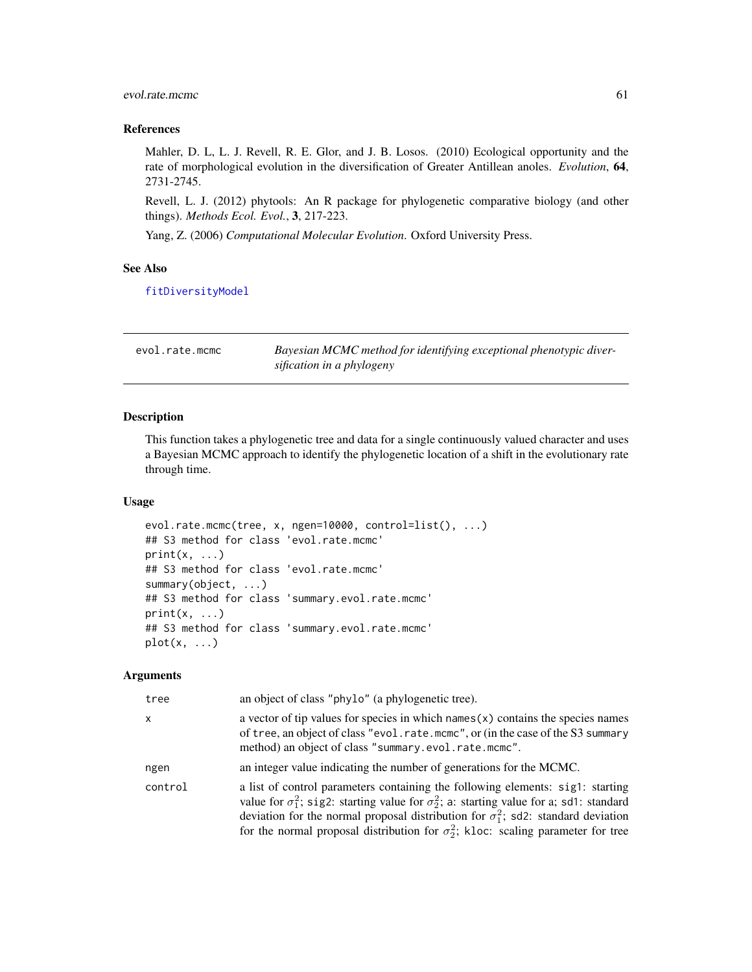## evol.rate.mcmc 61

### References

Mahler, D. L, L. J. Revell, R. E. Glor, and J. B. Losos. (2010) Ecological opportunity and the rate of morphological evolution in the diversification of Greater Antillean anoles. *Evolution*, 64, 2731-2745.

Revell, L. J. (2012) phytools: An R package for phylogenetic comparative biology (and other things). *Methods Ecol. Evol.*, 3, 217-223.

Yang, Z. (2006) *Computational Molecular Evolution*. Oxford University Press.

### See Also

[fitDiversityModel](#page-77-0)

<span id="page-60-0"></span>

| evol.rate.mcmc | Bayesian MCMC method for identifying exceptional phenotypic diver- |
|----------------|--------------------------------------------------------------------|
|                | sification in a phylogeny                                          |

### Description

This function takes a phylogenetic tree and data for a single continuously valued character and uses a Bayesian MCMC approach to identify the phylogenetic location of a shift in the evolutionary rate through time.

### Usage

```
evol.rate.mcmc(tree, x, ngen=10000, control=list(), ...)
## S3 method for class 'evol.rate.mcmc'
print(x, \ldots)## S3 method for class 'evol.rate.mcmc'
summary(object, ...)
## S3 method for class 'summary.evol.rate.mcmc'
print(x, \ldots)## S3 method for class 'summary.evol.rate.mcmc'
plot(x, \ldots)
```
### Arguments

| tree         | an object of class "phylo" (a phylogenetic tree).                                                                                                                                                                                                                                                                                                                                  |
|--------------|------------------------------------------------------------------------------------------------------------------------------------------------------------------------------------------------------------------------------------------------------------------------------------------------------------------------------------------------------------------------------------|
| $\mathsf{x}$ | a vector of tip values for species in which $n = s(x)$ contains the species names<br>of tree, an object of class "evol.rate.mcmc", or (in the case of the S3 summary<br>method) an object of class "summary.evol.rate.mcmc".                                                                                                                                                       |
| ngen         | an integer value indicating the number of generations for the MCMC.                                                                                                                                                                                                                                                                                                                |
| control      | a list of control parameters containing the following elements: sig1: starting<br>value for $\sigma_1^2$ ; sig2: starting value for $\sigma_2^2$ ; a: starting value for a; sd1: standard<br>deviation for the normal proposal distribution for $\sigma_1^2$ ; sd2: standard deviation<br>for the normal proposal distribution for $\sigma_2^2$ ; kloc: scaling parameter for tree |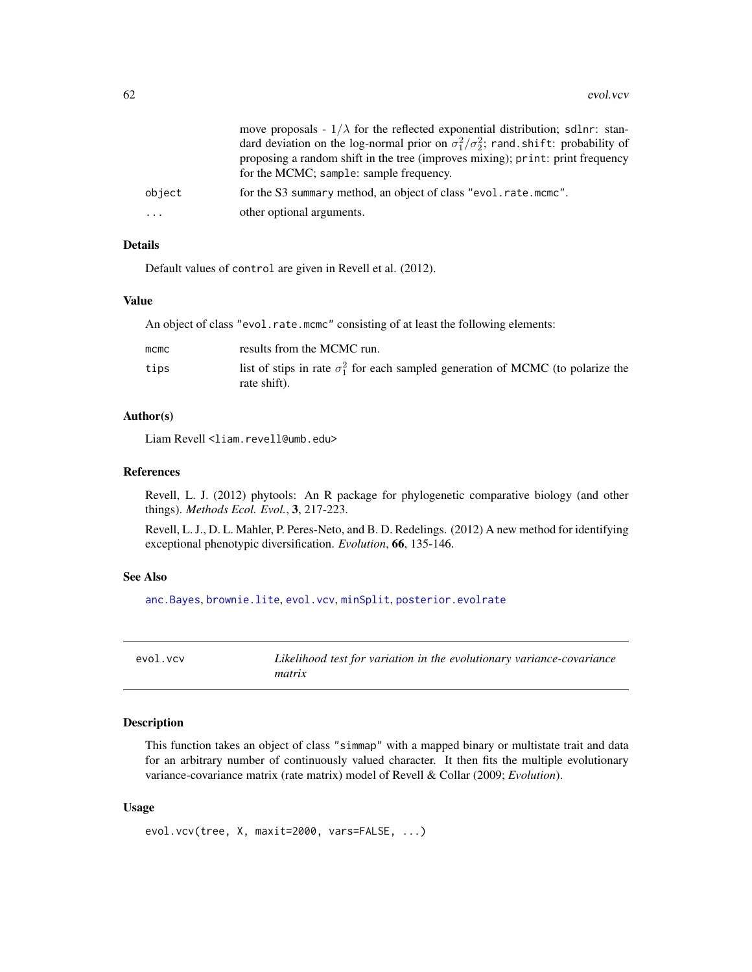|           | move proposals - $1/\lambda$ for the reflected exponential distribution; sdlnr: stan-<br>dard deviation on the log-normal prior on $\sigma_1^2/\sigma_2^2$ ; rand shift: probability of<br>proposing a random shift in the tree (improves mixing); print: print frequency<br>for the MCMC; sample: sample frequency. |
|-----------|----------------------------------------------------------------------------------------------------------------------------------------------------------------------------------------------------------------------------------------------------------------------------------------------------------------------|
| object    | for the S3 summary method, an object of class "evol.rate.mcmc".                                                                                                                                                                                                                                                      |
| $\ddotsc$ | other optional arguments.                                                                                                                                                                                                                                                                                            |

# Details

Default values of control are given in Revell et al. (2012).

#### Value

An object of class "evol.rate.mcmc" consisting of at least the following elements:

| $m$ cmc | results from the MCMC run.                                                                              |
|---------|---------------------------------------------------------------------------------------------------------|
| tips    | list of stips in rate $\sigma_1^2$ for each sampled generation of MCMC (to polarize the<br>rate shift). |

### Author(s)

Liam Revell <liam.revell@umb.edu>

### References

Revell, L. J. (2012) phytools: An R package for phylogenetic comparative biology (and other things). *Methods Ecol. Evol.*, 3, 217-223.

Revell, L. J., D. L. Mahler, P. Peres-Neto, and B. D. Redelings. (2012) A new method for identifying exceptional phenotypic diversification. *Evolution*, 66, 135-146.

#### See Also

[anc.Bayes](#page-13-0), [brownie.lite](#page-31-0), [evol.vcv](#page-61-0), [minSplit](#page-112-0), [posterior.evolrate](#page-160-0)

<span id="page-61-0"></span>evol.vcv *Likelihood test for variation in the evolutionary variance-covariance matrix*

### Description

This function takes an object of class "simmap" with a mapped binary or multistate trait and data for an arbitrary number of continuously valued character. It then fits the multiple evolutionary variance-covariance matrix (rate matrix) model of Revell & Collar (2009; *Evolution*).

#### Usage

```
evol.vcv(tree, X, maxit=2000, vars=FALSE, ...)
```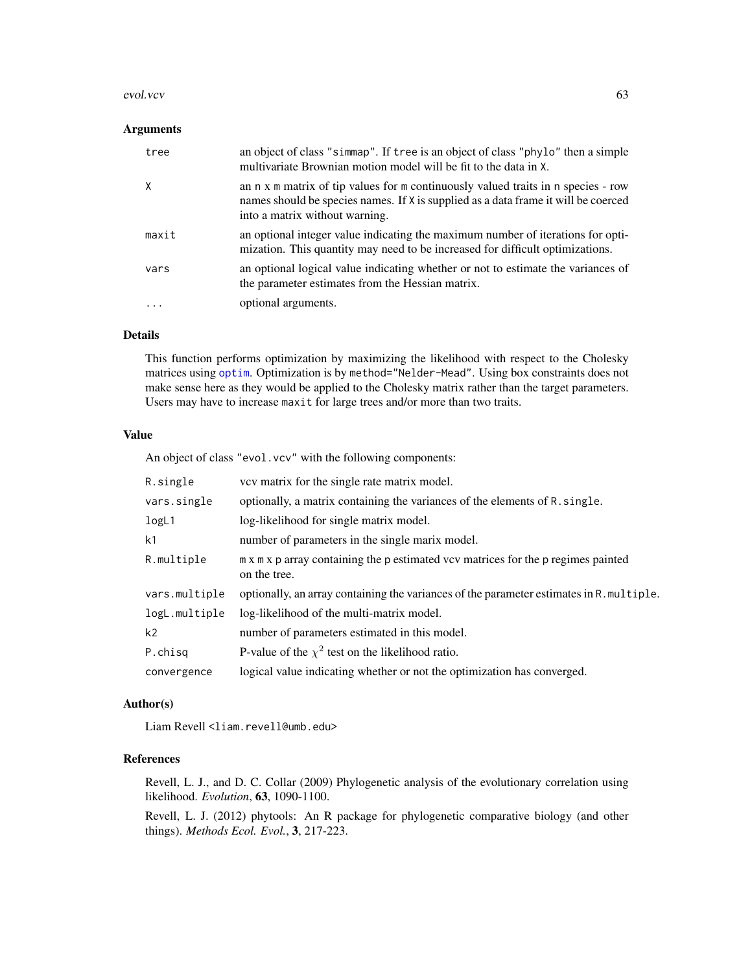#### evol.vcv 63

### Arguments

| tree  | an object of class "simmap". If tree is an object of class "phylo" then a simple<br>multivariate Brownian motion model will be fit to the data in X.                                                      |
|-------|-----------------------------------------------------------------------------------------------------------------------------------------------------------------------------------------------------------|
| χ     | an n x m matrix of tip values for m continuously valued traits in n species - row<br>names should be species names. If X is supplied as a data frame it will be coerced<br>into a matrix without warning. |
| maxit | an optional integer value indicating the maximum number of iterations for opti-<br>mization. This quantity may need to be increased for difficult optimizations.                                          |
| vars  | an optional logical value indicating whether or not to estimate the variances of<br>the parameter estimates from the Hessian matrix.                                                                      |
| .     | optional arguments.                                                                                                                                                                                       |

## Details

This function performs optimization by maximizing the likelihood with respect to the Cholesky matrices using [optim](#page-0-0). Optimization is by method="Nelder-Mead". Using box constraints does not make sense here as they would be applied to the Cholesky matrix rather than the target parameters. Users may have to increase maxit for large trees and/or more than two traits.

## Value

An object of class "evol.vcv" with the following components:

| R.single       | vev matrix for the single rate matrix model.                                                      |
|----------------|---------------------------------------------------------------------------------------------------|
| vars.single    | optionally, a matrix containing the variances of the elements of R. single.                       |
| logL1          | log-likelihood for single matrix model.                                                           |
| k1             | number of parameters in the single marix model.                                                   |
| R.multiple     | m x m x p array containing the p estimated vcv matrices for the p regimes painted<br>on the tree. |
| vars.multiple  | optionally, an array containing the variances of the parameter estimates in R. multiple.          |
| logL.multiple  | log-likelihood of the multi-matrix model.                                                         |
| k <sub>2</sub> | number of parameters estimated in this model.                                                     |
| P.chisq        | P-value of the $\chi^2$ test on the likelihood ratio.                                             |
| convergence    | logical value indicating whether or not the optimization has converged.                           |

### Author(s)

Liam Revell <liam.revell@umb.edu>

## References

Revell, L. J., and D. C. Collar (2009) Phylogenetic analysis of the evolutionary correlation using likelihood. *Evolution*, 63, 1090-1100.

Revell, L. J. (2012) phytools: An R package for phylogenetic comparative biology (and other things). *Methods Ecol. Evol.*, 3, 217-223.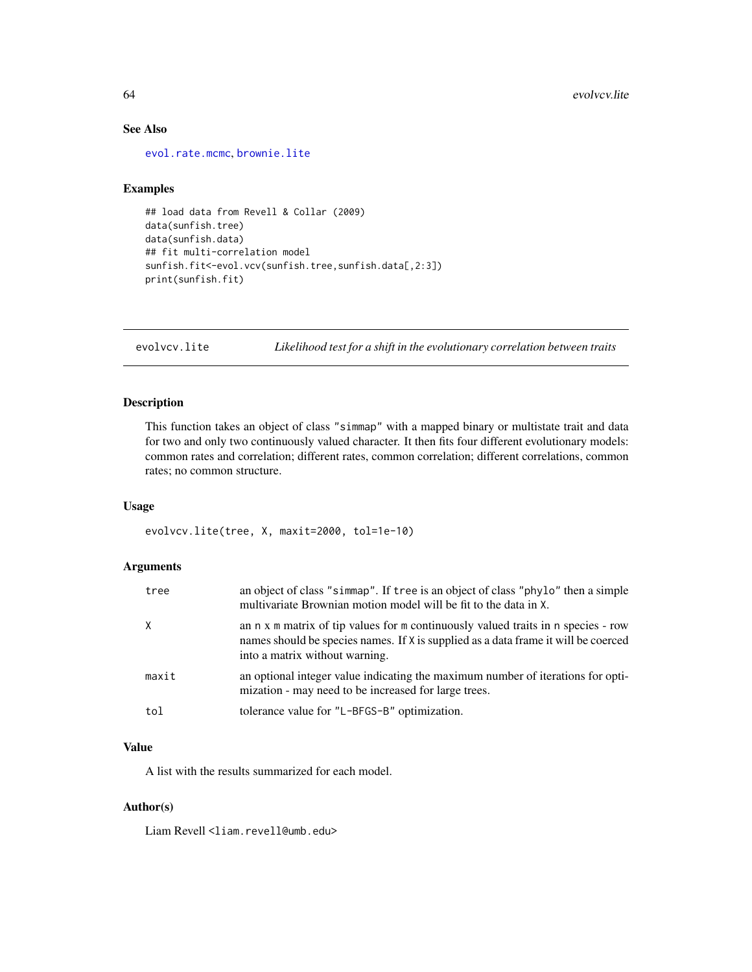# See Also

[evol.rate.mcmc](#page-60-0), [brownie.lite](#page-31-0)

## Examples

```
## load data from Revell & Collar (2009)
data(sunfish.tree)
data(sunfish.data)
## fit multi-correlation model
sunfish.fit<-evol.vcv(sunfish.tree,sunfish.data[,2:3])
print(sunfish.fit)
```
evolvcv.lite *Likelihood test for a shift in the evolutionary correlation between traits*

## Description

This function takes an object of class "simmap" with a mapped binary or multistate trait and data for two and only two continuously valued character. It then fits four different evolutionary models: common rates and correlation; different rates, common correlation; different correlations, common rates; no common structure.

### Usage

evolvcv.lite(tree, X, maxit=2000, tol=1e-10)

## Arguments

| tree  | an object of class "simmap". If tree is an object of class "phylo" then a simple<br>multivariate Brownian motion model will be fit to the data in X.                                                      |
|-------|-----------------------------------------------------------------------------------------------------------------------------------------------------------------------------------------------------------|
| X     | an n x m matrix of tip values for m continuously valued traits in n species - row<br>names should be species names. If X is supplied as a data frame it will be coerced<br>into a matrix without warning. |
| maxit | an optional integer value indicating the maximum number of iterations for opti-<br>mization - may need to be increased for large trees.                                                                   |
| tol   | tolerance value for "L-BFGS-B" optimization.                                                                                                                                                              |

## Value

A list with the results summarized for each model.

### Author(s)

Liam Revell <liam.revell@umb.edu>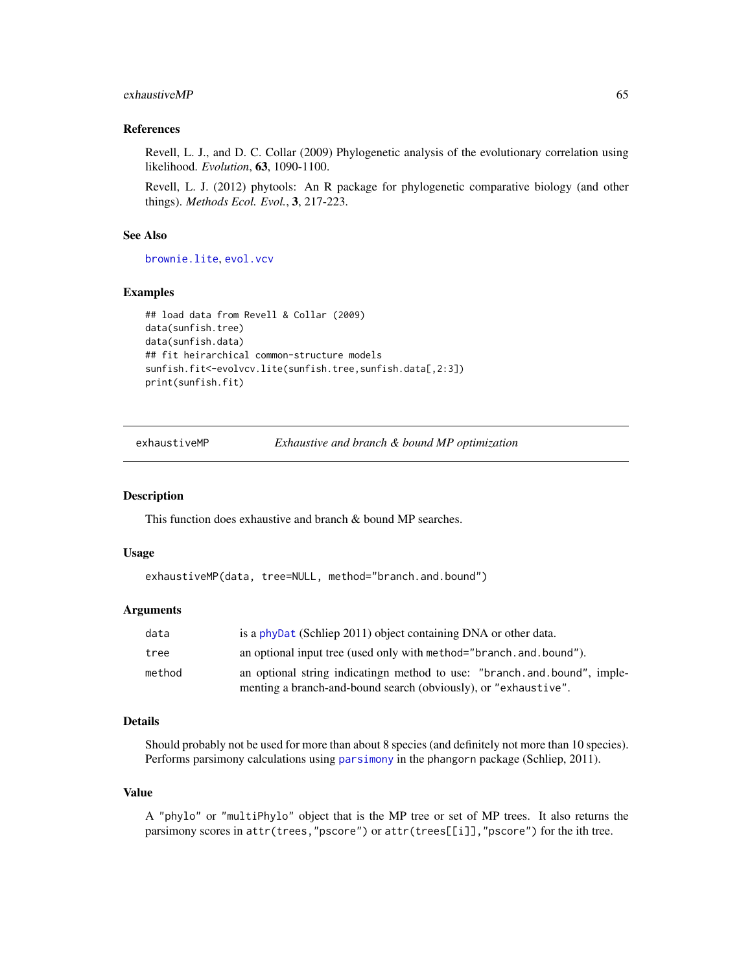### $exhaustive MP$  65

### References

Revell, L. J., and D. C. Collar (2009) Phylogenetic analysis of the evolutionary correlation using likelihood. *Evolution*, 63, 1090-1100.

Revell, L. J. (2012) phytools: An R package for phylogenetic comparative biology (and other things). *Methods Ecol. Evol.*, 3, 217-223.

### See Also

[brownie.lite](#page-31-0), [evol.vcv](#page-61-0)

#### Examples

```
## load data from Revell & Collar (2009)
data(sunfish.tree)
data(sunfish.data)
## fit heirarchical common-structure models
sunfish.fit<-evolvcv.lite(sunfish.tree,sunfish.data[,2:3])
print(sunfish.fit)
```
exhaustiveMP *Exhaustive and branch & bound MP optimization*

#### Description

This function does exhaustive and branch & bound MP searches.

## Usage

```
exhaustiveMP(data, tree=NULL, method="branch.and.bound")
```
#### Arguments

| data   | is a phyDat (Schliep 2011) object containing DNA or other data.         |
|--------|-------------------------------------------------------------------------|
| tree   | an optional input tree (used only with method="branch. and. bound").    |
| method | an optional string indicating method to use: "branch and bound", imple- |
|        | menting a branch-and-bound search (obviously), or "exhaustive".         |

### Details

Should probably not be used for more than about 8 species (and definitely not more than 10 species). Performs parsimony calculations using [parsimony](#page-0-0) in the phangorn package (Schliep, 2011).

#### Value

A "phylo" or "multiPhylo" object that is the MP tree or set of MP trees. It also returns the parsimony scores in attr(trees,"pscore") or attr(trees[[i]],"pscore") for the ith tree.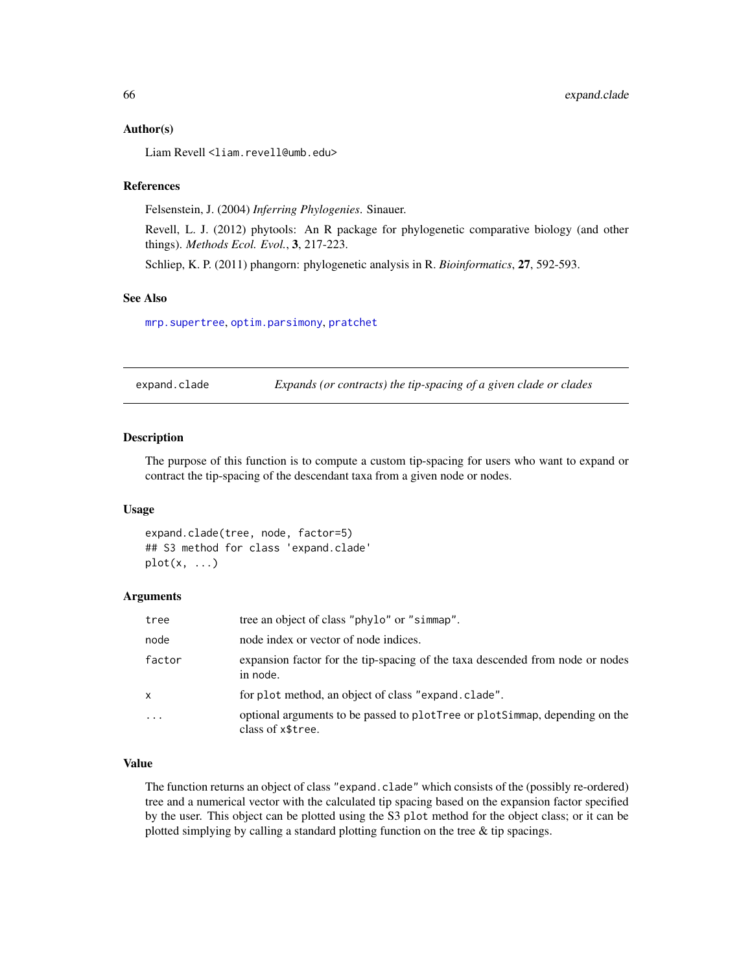#### Author(s)

Liam Revell <liam.revell@umb.edu>

#### References

Felsenstein, J. (2004) *Inferring Phylogenies*. Sinauer.

Revell, L. J. (2012) phytools: An R package for phylogenetic comparative biology (and other things). *Methods Ecol. Evol.*, 3, 217-223.

Schliep, K. P. (2011) phangorn: phylogenetic analysis in R. *Bioinformatics*, 27, 592-593.

## See Also

[mrp.supertree](#page-114-0), [optim.parsimony](#page-0-0), [pratchet](#page-0-0)

expand.clade *Expands (or contracts) the tip-spacing of a given clade or clades*

## Description

The purpose of this function is to compute a custom tip-spacing for users who want to expand or contract the tip-spacing of the descendant taxa from a given node or nodes.

#### Usage

```
expand.clade(tree, node, factor=5)
## S3 method for class 'expand.clade'
plot(x, \ldots)
```
#### **Arguments**

| tree     | tree an object of class "phylo" or "simmap".                                                     |
|----------|--------------------------------------------------------------------------------------------------|
| node     | node index or vector of node indices.                                                            |
| factor   | expansion factor for the tip-spacing of the taxa descended from node or nodes<br>in node.        |
| X        | for plot method, an object of class "expand. clade".                                             |
| $\ddots$ | optional arguments to be passed to plotTree or plotSimmap, depending on the<br>class of x\$tree. |

### Value

The function returns an object of class "expand.clade" which consists of the (possibly re-ordered) tree and a numerical vector with the calculated tip spacing based on the expansion factor specified by the user. This object can be plotted using the S3 plot method for the object class; or it can be plotted simplying by calling a standard plotting function on the tree & tip spacings.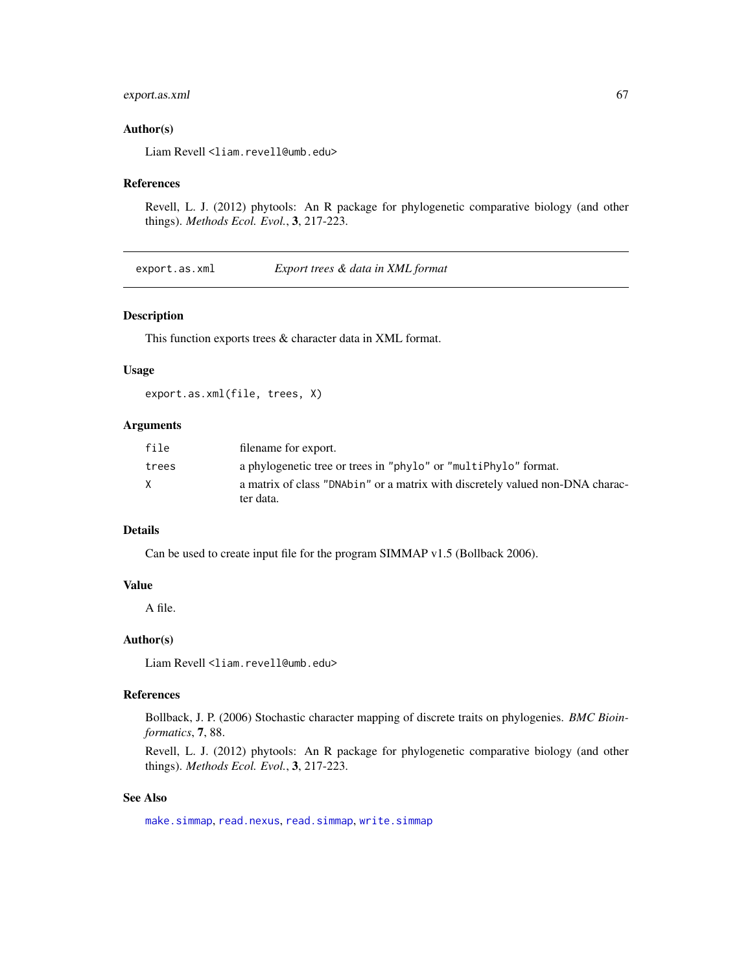## export.as.xml 67

### Author(s)

Liam Revell <liam.revell@umb.edu>

### References

Revell, L. J. (2012) phytools: An R package for phylogenetic comparative biology (and other things). *Methods Ecol. Evol.*, 3, 217-223.

export.as.xml *Export trees & data in XML format*

### Description

This function exports trees & character data in XML format.

### Usage

export.as.xml(file, trees, X)

## Arguments

| file  | filename for export.                                                                       |
|-------|--------------------------------------------------------------------------------------------|
| trees | a phylogenetic tree or trees in "phylo" or "multiPhylo" format.                            |
| X     | a matrix of class "DNAbin" or a matrix with discretely valued non-DNA charac-<br>ter data. |

## Details

Can be used to create input file for the program SIMMAP v1.5 (Bollback 2006).

#### Value

A file.

## Author(s)

Liam Revell <liam.revell@umb.edu>

### References

Bollback, J. P. (2006) Stochastic character mapping of discrete traits on phylogenies. *BMC Bioinformatics*, 7, 88.

Revell, L. J. (2012) phytools: An R package for phylogenetic comparative biology (and other things). *Methods Ecol. Evol.*, 3, 217-223.

## See Also

[make.simmap](#page-101-0), [read.nexus](#page-0-0), [read.simmap](#page-168-0), [write.simmap](#page-200-0)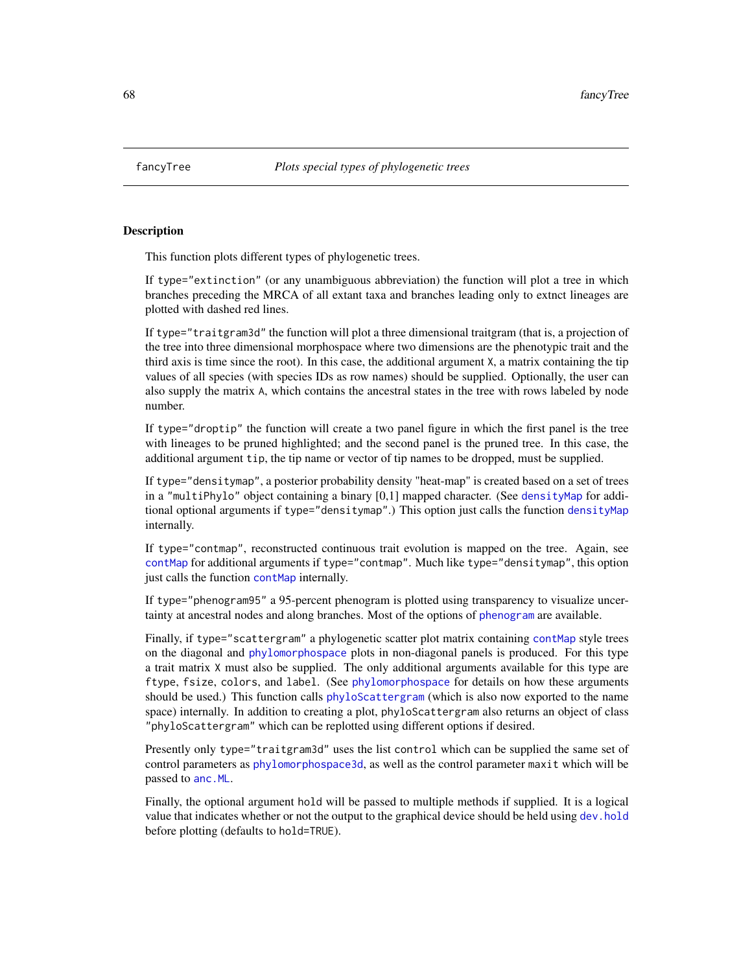<span id="page-67-0"></span>

This function plots different types of phylogenetic trees.

If type="extinction" (or any unambiguous abbreviation) the function will plot a tree in which branches preceding the MRCA of all extant taxa and branches leading only to extnct lineages are plotted with dashed red lines.

If type="traitgram3d" the function will plot a three dimensional traitgram (that is, a projection of the tree into three dimensional morphospace where two dimensions are the phenotypic trait and the third axis is time since the root). In this case, the additional argument X, a matrix containing the tip values of all species (with species IDs as row names) should be supplied. Optionally, the user can also supply the matrix A, which contains the ancestral states in the tree with rows labeled by node number.

If type="droptip" the function will create a two panel figure in which the first panel is the tree with lineages to be pruned highlighted; and the second panel is the pruned tree. In this case, the additional argument tip, the tip name or vector of tip names to be dropped, must be supplied.

If type="densitymap", a posterior probability density "heat-map" is created based on a set of trees in a "multiPhylo" object containing a binary [0,1] mapped character. (See [densityMap](#page-46-0) for additional optional arguments if type="densitymap".) This option just calls the function [densityMap](#page-46-0) internally.

If type="contmap", reconstructed continuous trait evolution is mapped on the tree. Again, see [contMap](#page-38-0) for additional arguments if type="contmap". Much like type="densitymap", this option just calls the function [contMap](#page-38-0) internally.

If type="phenogram95" a 95-percent phenogram is plotted using transparency to visualize uncertainty at ancestral nodes and along branches. Most of the options of [phenogram](#page-127-0) are available.

Finally, if type="scattergram" a phylogenetic scatter plot matrix containing [contMap](#page-38-0) style trees on the diagonal and [phylomorphospace](#page-143-0) plots in non-diagonal panels is produced. For this type a trait matrix X must also be supplied. The only additional arguments available for this type are ftype, fsize, colors, and label. (See [phylomorphospace](#page-143-0) for details on how these arguments should be used.) This function calls [phyloScattergram](#page-67-0) (which is also now exported to the name space) internally. In addition to creating a plot, phyloScattergram also returns an object of class "phyloScattergram" which can be replotted using different options if desired.

Presently only type="traitgram3d" uses the list control which can be supplied the same set of control parameters as [phylomorphospace3d](#page-145-0), as well as the control parameter maxit which will be passed to [anc.ML](#page-15-0).

Finally, the optional argument hold will be passed to multiple methods if supplied. It is a logical value that indicates whether or not the output to the graphical device should be held using [dev.hold](#page-0-0) before plotting (defaults to hold=TRUE).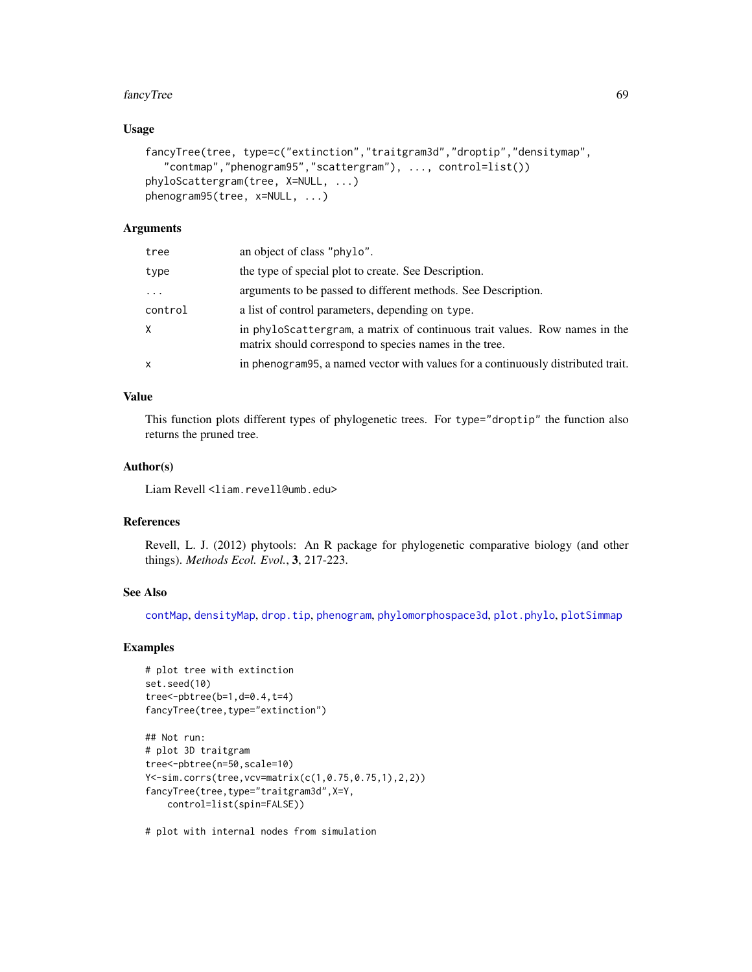#### fancyTree 69

### Usage

```
fancyTree(tree, type=c("extinction","traitgram3d","droptip","densitymap",
   "contmap","phenogram95","scattergram"), ..., control=list())
phyloScattergram(tree, X=NULL, ...)
phenogram95(tree, x=NULL, ...)
```
### Arguments

| tree     | an object of class "phylo".                                                                                                          |
|----------|--------------------------------------------------------------------------------------------------------------------------------------|
| type     | the type of special plot to create. See Description.                                                                                 |
| $\cdots$ | arguments to be passed to different methods. See Description.                                                                        |
| control  | a list of control parameters, depending on type.                                                                                     |
| X.       | in phyloScattergram, a matrix of continuous trait values. Row names in the<br>matrix should correspond to species names in the tree. |
| x        | in phenogram 95, a named vector with values for a continuously distributed trait.                                                    |

## Value

This function plots different types of phylogenetic trees. For type="droptip" the function also returns the pruned tree.

### Author(s)

Liam Revell <liam.revell@umb.edu>

### References

Revell, L. J. (2012) phytools: An R package for phylogenetic comparative biology (and other things). *Methods Ecol. Evol.*, 3, 217-223.

### See Also

[contMap](#page-38-0), [densityMap](#page-46-0), [drop.tip](#page-0-0), [phenogram](#page-127-0), [phylomorphospace3d](#page-145-0), [plot.phylo](#page-0-0), [plotSimmap](#page-151-0)

#### Examples

```
# plot tree with extinction
set.seed(10)
tree<-pbtree(b=1,d=0.4,t=4)
fancyTree(tree,type="extinction")
```

```
## Not run:
# plot 3D traitgram
tree<-pbtree(n=50,scale=10)
Y<-sim.corrs(tree,vcv=matrix(c(1,0.75,0.75,1),2,2))
fancyTree(tree,type="traitgram3d",X=Y,
   control=list(spin=FALSE))
```
# plot with internal nodes from simulation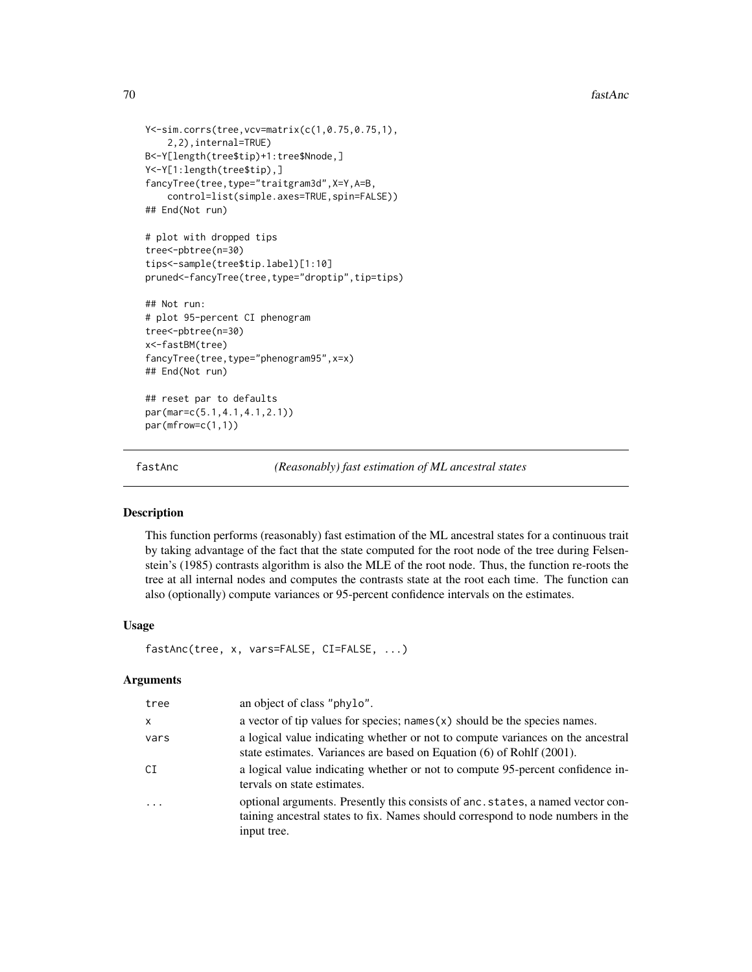```
Y<-sim.corrs(tree,vcv=matrix(c(1,0.75,0.75,1),
    2,2),internal=TRUE)
B<-Y[length(tree$tip)+1:tree$Nnode,]
Y<-Y[1:length(tree$tip),]
fancyTree(tree,type="traitgram3d",X=Y,A=B,
    control=list(simple.axes=TRUE,spin=FALSE))
## End(Not run)
# plot with dropped tips
tree<-pbtree(n=30)
tips<-sample(tree$tip.label)[1:10]
pruned<-fancyTree(tree,type="droptip",tip=tips)
## Not run:
# plot 95-percent CI phenogram
tree<-pbtree(n=30)
x<-fastBM(tree)
fancyTree(tree,type="phenogram95",x=x)
## End(Not run)
## reset par to defaults
par(mar=c(5.1,4.1,4.1,2.1))
```
par(mfrow=c(1,1))

fastAnc *(Reasonably) fast estimation of ML ancestral states*

## **Description**

This function performs (reasonably) fast estimation of the ML ancestral states for a continuous trait by taking advantage of the fact that the state computed for the root node of the tree during Felsenstein's (1985) contrasts algorithm is also the MLE of the root node. Thus, the function re-roots the tree at all internal nodes and computes the contrasts state at the root each time. The function can also (optionally) compute variances or 95-percent confidence intervals on the estimates.

### Usage

```
fastAnc(tree, x, vars=FALSE, CI=FALSE, ...)
```
#### Arguments

| tree     | an object of class "phylo".                                                                                                                                                       |
|----------|-----------------------------------------------------------------------------------------------------------------------------------------------------------------------------------|
| $\times$ | a vector of tip values for species; names $(x)$ should be the species names.                                                                                                      |
| vars     | a logical value indicating whether or not to compute variances on the ancestral<br>state estimates. Variances are based on Equation (6) of Rohlf (2001).                          |
| CT.      | a logical value indicating whether or not to compute 95-percent confidence in-<br>tervals on state estimates.                                                                     |
| $\cdot$  | optional arguments. Presently this consists of anc. states, a named vector con-<br>taining ancestral states to fix. Names should correspond to node numbers in the<br>input tree. |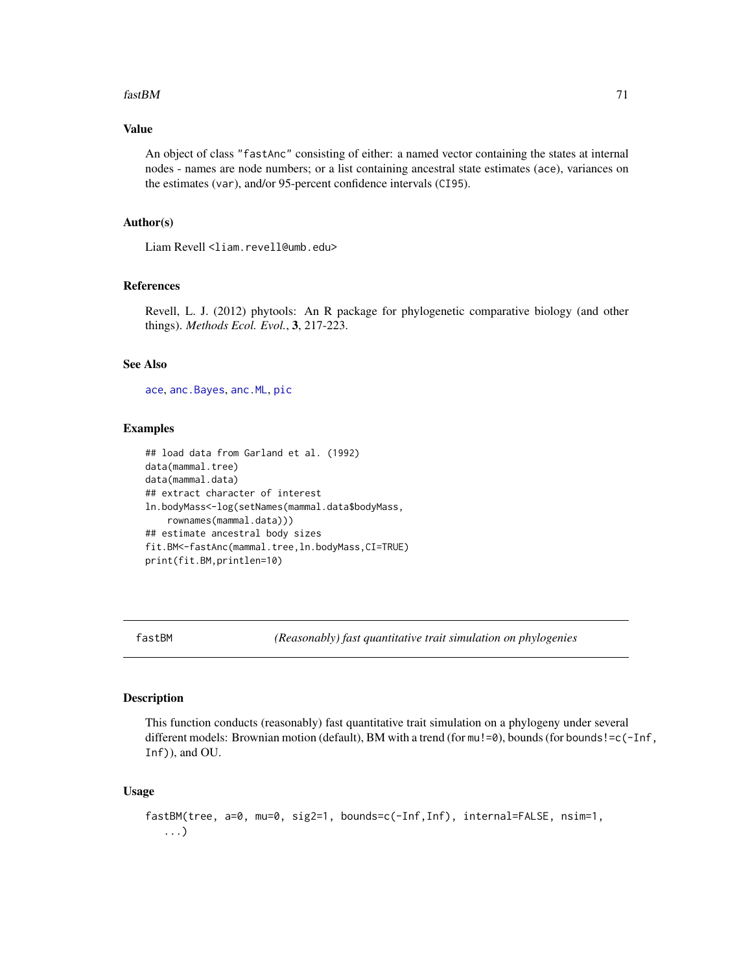#### $fastBM$  71

## Value

An object of class "fastAnc" consisting of either: a named vector containing the states at internal nodes - names are node numbers; or a list containing ancestral state estimates (ace), variances on the estimates (var), and/or 95-percent confidence intervals (CI95).

### Author(s)

Liam Revell <liam.revell@umb.edu>

## References

Revell, L. J. (2012) phytools: An R package for phylogenetic comparative biology (and other things). *Methods Ecol. Evol.*, 3, 217-223.

### See Also

[ace](#page-0-0), [anc.Bayes](#page-13-0), [anc.ML](#page-15-0), [pic](#page-0-0)

### Examples

```
## load data from Garland et al. (1992)
data(mammal.tree)
data(mammal.data)
## extract character of interest
ln.bodyMass<-log(setNames(mammal.data$bodyMass,
    rownames(mammal.data)))
## estimate ancestral body sizes
fit.BM<-fastAnc(mammal.tree,ln.bodyMass,CI=TRUE)
print(fit.BM,printlen=10)
```
fastBM *(Reasonably) fast quantitative trait simulation on phylogenies*

#### Description

This function conducts (reasonably) fast quantitative trait simulation on a phylogeny under several different models: Brownian motion (default), BM with a trend (for mu!=0), bounds (for bounds!=c(-Inf, Inf)), and OU.

### Usage

```
fastBM(tree, a=0, mu=0, sig2=1, bounds=c(-Inf,Inf), internal=FALSE, nsim=1,
   ...)
```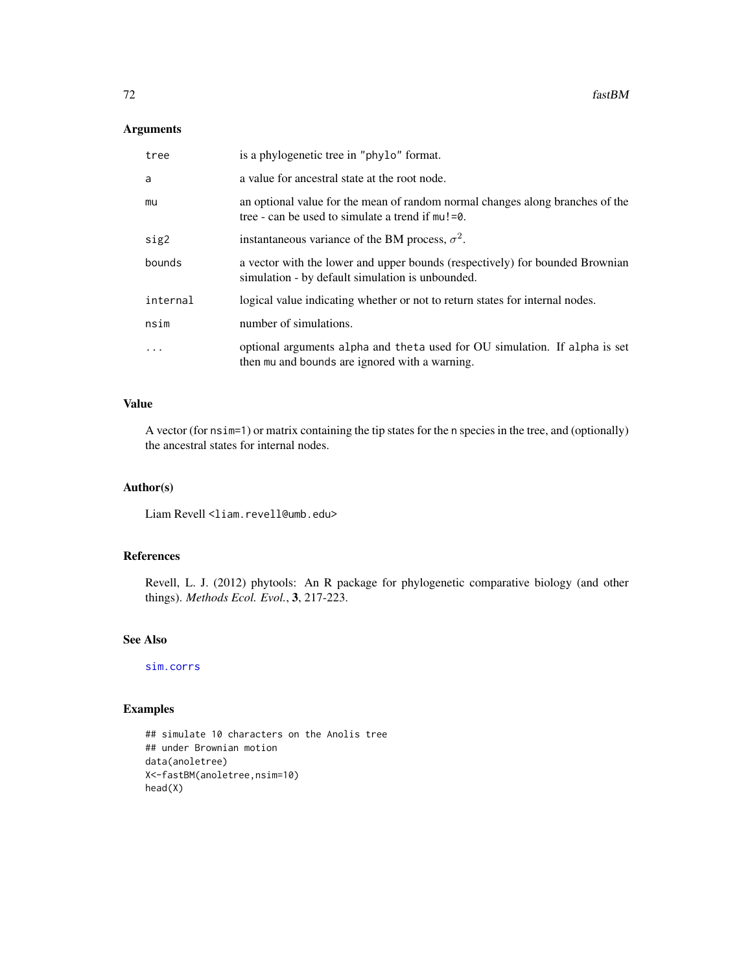## Arguments

| tree      | is a phylogenetic tree in "phylo" format.                                                                                            |
|-----------|--------------------------------------------------------------------------------------------------------------------------------------|
| a         | a value for ancestral state at the root node.                                                                                        |
| mu        | an optional value for the mean of random normal changes along branches of the<br>tree - can be used to simulate a trend if $mu!=0$ . |
| sig2      | instantaneous variance of the BM process, $\sigma^2$ .                                                                               |
| bounds    | a vector with the lower and upper bounds (respectively) for bounded Brownian<br>simulation - by default simulation is unbounded.     |
| internal  | logical value indicating whether or not to return states for internal nodes.                                                         |
| nsim      | number of simulations.                                                                                                               |
| $\ddotsc$ | optional arguments alpha and theta used for OU simulation. If alpha is set<br>then mu and bounds are ignored with a warning.         |

### Value

A vector (for nsim=1) or matrix containing the tip states for the n species in the tree, and (optionally) the ancestral states for internal nodes.

## Author(s)

Liam Revell <liam.revell@umb.edu>

## References

Revell, L. J. (2012) phytools: An R package for phylogenetic comparative biology (and other things). *Methods Ecol. Evol.*, 3, 217-223.

### See Also

[sim.corrs](#page-181-0)

# Examples

```
## simulate 10 characters on the Anolis tree
## under Brownian motion
data(anoletree)
X<-fastBM(anoletree,nsim=10)
head(X)
```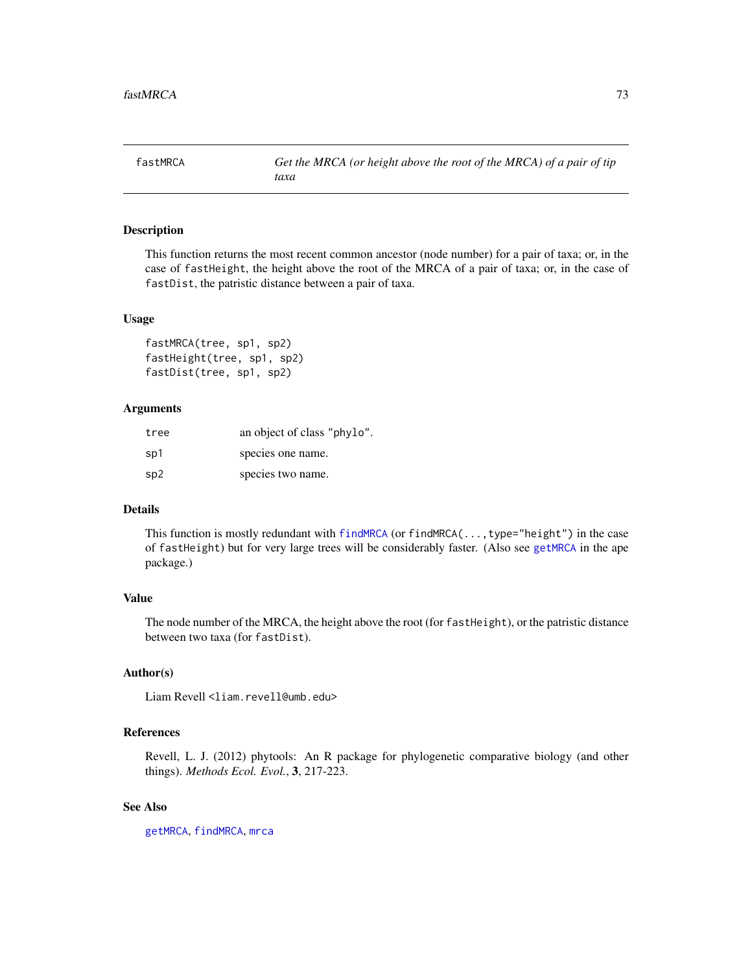This function returns the most recent common ancestor (node number) for a pair of taxa; or, in the case of fastHeight, the height above the root of the MRCA of a pair of taxa; or, in the case of fastDist, the patristic distance between a pair of taxa.

#### Usage

```
fastMRCA(tree, sp1, sp2)
fastHeight(tree, sp1, sp2)
fastDist(tree, sp1, sp2)
```
#### Arguments

| tree | an object of class "phylo". |
|------|-----------------------------|
| sp1  | species one name.           |
| sp2  | species two name.           |

#### Details

This function is mostly redundant with [findMRCA](#page-73-0) (or findMRCA(..., type="height") in the case of fastHeight) but for very large trees will be considerably faster. (Also see [getMRCA](#page-0-0) in the ape package.)

# Value

The node number of the MRCA, the height above the root (for fastHeight), or the patristic distance between two taxa (for fastDist).

## Author(s)

Liam Revell <liam.revell@umb.edu>

## References

Revell, L. J. (2012) phytools: An R package for phylogenetic comparative biology (and other things). *Methods Ecol. Evol.*, 3, 217-223.

## See Also

[getMRCA](#page-0-0), [findMRCA](#page-73-0), [mrca](#page-0-0)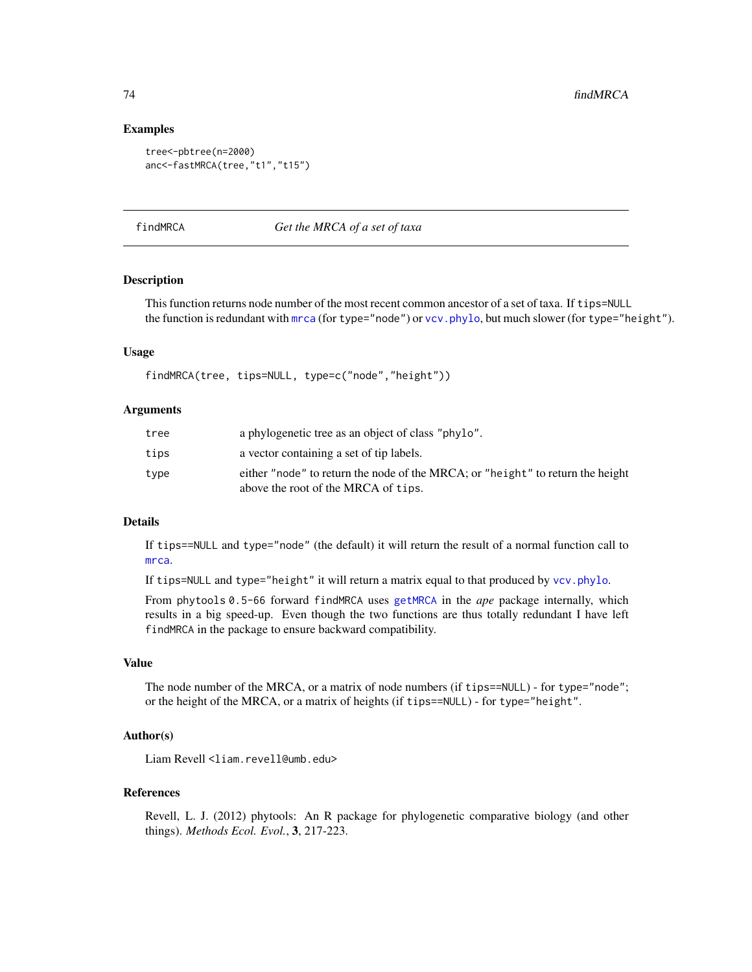## Examples

```
tree<-pbtree(n=2000)
anc<-fastMRCA(tree,"t1","t15")
```
<span id="page-73-0"></span>findMRCA *Get the MRCA of a set of taxa*

## Description

This function returns node number of the most recent common ancestor of a set of taxa. If tips=NULL the function is redundant with [mrca](#page-0-0) (for type="node") or vcv. phylo, but much slower (for type="height").

## Usage

findMRCA(tree, tips=NULL, type=c("node","height"))

#### Arguments

| tree | a phylogenetic tree as an object of class "phylo".                                                                    |
|------|-----------------------------------------------------------------------------------------------------------------------|
| tips | a vector containing a set of tip labels.                                                                              |
| type | either "node" to return the node of the MRCA; or "height" to return the height<br>above the root of the MRCA of tips. |

#### Details

If tips==NULL and type="node" (the default) it will return the result of a normal function call to [mrca](#page-0-0).

If tips=NULL and type="height" it will return a matrix equal to that produced by [vcv.phylo](#page-0-0).

From phytools 0.5-66 forward findMRCA uses [getMRCA](#page-0-0) in the *ape* package internally, which results in a big speed-up. Even though the two functions are thus totally redundant I have left findMRCA in the package to ensure backward compatibility.

#### Value

The node number of the MRCA, or a matrix of node numbers (if tips==NULL) - for type="node"; or the height of the MRCA, or a matrix of heights (if tips==NULL) - for type="height".

## Author(s)

Liam Revell <liam.revell@umb.edu>

#### References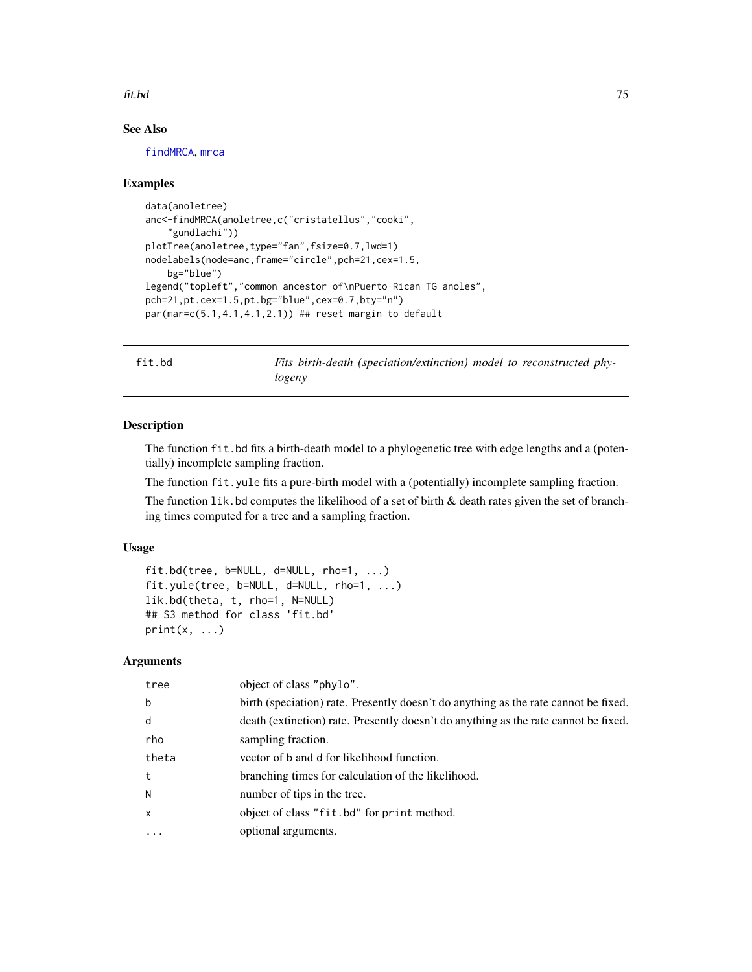#### fit.bd 75

# See Also

[findMRCA](#page-73-0), [mrca](#page-0-0)

## Examples

```
data(anoletree)
anc<-findMRCA(anoletree,c("cristatellus","cooki",
    "gundlachi"))
plotTree(anoletree,type="fan",fsize=0.7,lwd=1)
nodelabels(node=anc,frame="circle",pch=21,cex=1.5,
   bg="blue")
legend("topleft","common ancestor of\nPuerto Rican TG anoles",
pch=21,pt.cex=1.5,pt.bg="blue",cex=0.7,bty="n")
par(mar=c(5.1,4.1,4.1,2.1)) ## reset margin to default
```
fit.bd *Fits birth-death (speciation/extinction) model to reconstructed phylogeny*

# Description

The function fit.bd fits a birth-death model to a phylogenetic tree with edge lengths and a (potentially) incomplete sampling fraction.

The function fit.yule fits a pure-birth model with a (potentially) incomplete sampling fraction.

The function  $1$  ik. bd computes the likelihood of a set of birth  $\&$  death rates given the set of branching times computed for a tree and a sampling fraction.

## Usage

```
fit.bd(tree, b=NULL, d=NULL, rho=1, ...)
fit.yule(tree, b=NULL, d=NULL, rho=1, ...)
lik.bd(theta, t, rho=1, N=NULL)
## S3 method for class 'fit.bd'
print(x, \ldots)
```
# Arguments

| tree         | object of class "phylo".                                                            |
|--------------|-------------------------------------------------------------------------------------|
| b            | birth (speciation) rate. Presently doesn't do anything as the rate cannot be fixed. |
| d            | death (extinction) rate. Presently doesn't do anything as the rate cannot be fixed. |
| rho          | sampling fraction.                                                                  |
| theta        | vector of b and d for likelihood function.                                          |
| t            | branching times for calculation of the likelihood.                                  |
| N            | number of tips in the tree.                                                         |
| $\mathsf{x}$ | object of class "fit.bd" for print method.                                          |
| $\ddotsc$    | optional arguments.                                                                 |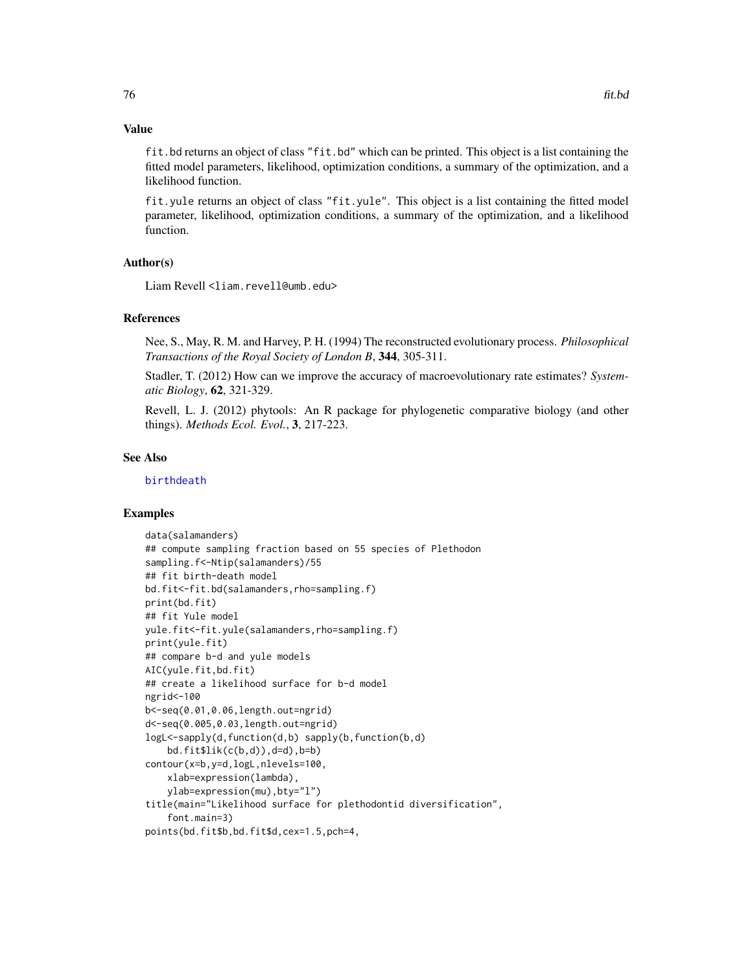#### Value

fit.bd returns an object of class "fit.bd" which can be printed. This object is a list containing the fitted model parameters, likelihood, optimization conditions, a summary of the optimization, and a likelihood function.

fit.yule returns an object of class "fit.yule". This object is a list containing the fitted model parameter, likelihood, optimization conditions, a summary of the optimization, and a likelihood function.

# Author(s)

Liam Revell <liam.revell@umb.edu>

# References

Nee, S., May, R. M. and Harvey, P. H. (1994) The reconstructed evolutionary process. *Philosophical Transactions of the Royal Society of London B*, 344, 305-311.

Stadler, T. (2012) How can we improve the accuracy of macroevolutionary rate estimates? *Systematic Biology*, 62, 321-329.

Revell, L. J. (2012) phytools: An R package for phylogenetic comparative biology (and other things). *Methods Ecol. Evol.*, 3, 217-223.

#### See Also

[birthdeath](#page-0-0)

## Examples

```
data(salamanders)
## compute sampling fraction based on 55 species of Plethodon
sampling.f<-Ntip(salamanders)/55
## fit birth-death model
bd.fit<-fit.bd(salamanders,rho=sampling.f)
print(bd.fit)
## fit Yule model
yule.fit<-fit.yule(salamanders,rho=sampling.f)
print(yule.fit)
## compare b-d and yule models
AIC(yule.fit,bd.fit)
## create a likelihood surface for b-d model
ngrid<-100
b<-seq(0.01,0.06,length.out=ngrid)
d<-seq(0.005,0.03,length.out=ngrid)
logL<-sapply(d,function(d,b) sapply(b,function(b,d)
    bd.fit$lik(c(b,d)),d=d),b=b)contour(x=b,y=d,logL,nlevels=100,
    xlab=expression(lambda),
    ylab=expression(mu),bty="l")
title(main="Likelihood surface for plethodontid diversification",
    font.main=3)
points(bd.fit$b,bd.fit$d,cex=1.5,pch=4,
```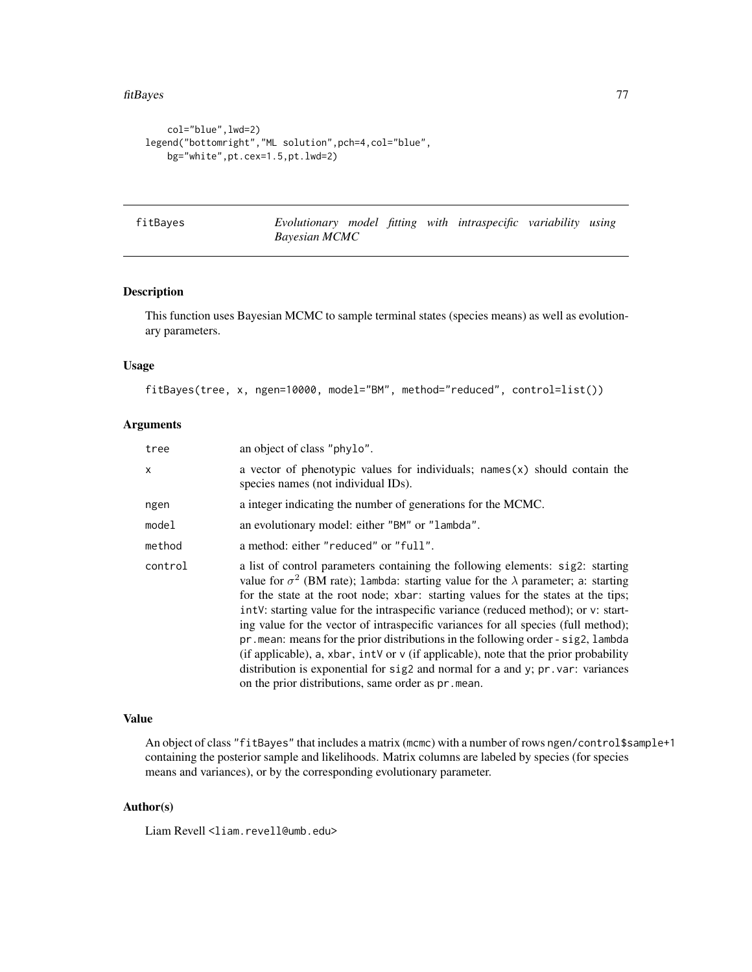```
col="blue",lwd=2)
legend("bottomright","ML solution",pch=4,col="blue",
   bg="white",pt.cex=1.5,pt.lwd=2)
```
fitBayes *Evolutionary model fitting with intraspecific variability using Bayesian MCMC*

## Description

This function uses Bayesian MCMC to sample terminal states (species means) as well as evolutionary parameters.

#### Usage

fitBayes(tree, x, ngen=10000, model="BM", method="reduced", control=list())

# Arguments

| tree    | an object of class "phylo".                                                                                                                                                                                                                                                                                                                                                                                                                                                                                                                                                                                                                                                                                                                                                          |
|---------|--------------------------------------------------------------------------------------------------------------------------------------------------------------------------------------------------------------------------------------------------------------------------------------------------------------------------------------------------------------------------------------------------------------------------------------------------------------------------------------------------------------------------------------------------------------------------------------------------------------------------------------------------------------------------------------------------------------------------------------------------------------------------------------|
| X.      | a vector of phenotypic values for individuals; $names(x)$ should contain the<br>species names (not individual IDs).                                                                                                                                                                                                                                                                                                                                                                                                                                                                                                                                                                                                                                                                  |
| ngen    | a integer indicating the number of generations for the MCMC.                                                                                                                                                                                                                                                                                                                                                                                                                                                                                                                                                                                                                                                                                                                         |
| model   | an evolutionary model: either "BM" or "lambda".                                                                                                                                                                                                                                                                                                                                                                                                                                                                                                                                                                                                                                                                                                                                      |
| method  | a method: either "reduced" or "full".                                                                                                                                                                                                                                                                                                                                                                                                                                                                                                                                                                                                                                                                                                                                                |
| control | a list of control parameters containing the following elements: sig2: starting<br>value for $\sigma^2$ (BM rate); 1 ambda: starting value for the $\lambda$ parameter; a: starting<br>for the state at the root node; xbar: starting values for the states at the tips;<br>intV: starting value for the intraspecific variance (reduced method); or v: start-<br>ing value for the vector of intraspecific variances for all species (full method);<br>$pr$ . mean: means for the prior distributions in the following order - sig2, lambda<br>(if applicable), a, xbar, intv or $\nu$ (if applicable), note that the prior probability<br>distribution is exponential for $sig2$ and normal for a and y; $pr.var: variances$<br>on the prior distributions, same order as pr. mean. |

#### Value

An object of class "fitBayes" that includes a matrix (mcmc) with a number of rows ngen/control\$sample+1 containing the posterior sample and likelihoods. Matrix columns are labeled by species (for species means and variances), or by the corresponding evolutionary parameter.

## Author(s)

Liam Revell <liam.revell@umb.edu>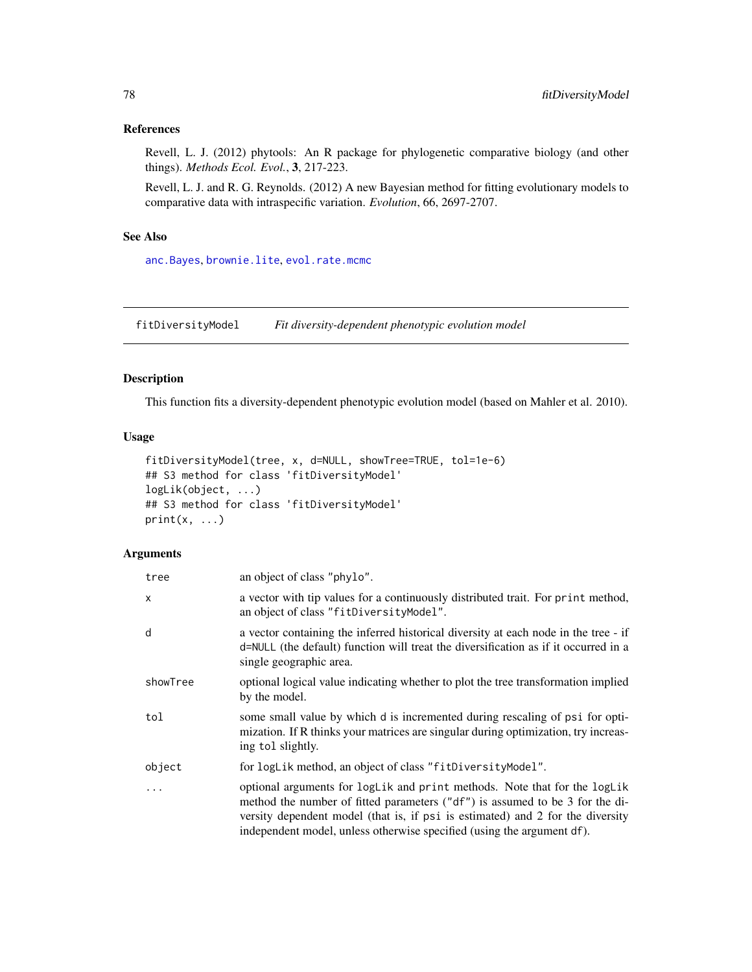#### References

Revell, L. J. (2012) phytools: An R package for phylogenetic comparative biology (and other things). *Methods Ecol. Evol.*, 3, 217-223.

Revell, L. J. and R. G. Reynolds. (2012) A new Bayesian method for fitting evolutionary models to comparative data with intraspecific variation. *Evolution*, 66, 2697-2707.

# See Also

[anc.Bayes](#page-13-0), [brownie.lite](#page-31-0), [evol.rate.mcmc](#page-60-0)

fitDiversityModel *Fit diversity-dependent phenotypic evolution model*

# Description

This function fits a diversity-dependent phenotypic evolution model (based on Mahler et al. 2010).

#### Usage

```
fitDiversityModel(tree, x, d=NULL, showTree=TRUE, tol=1e-6)
## S3 method for class 'fitDiversityModel'
logLik(object, ...)
## S3 method for class 'fitDiversityModel'
print(x, \ldots)
```
# Arguments

| tree                      | an object of class "phylo".                                                                                                                                                                                                                                                                                           |
|---------------------------|-----------------------------------------------------------------------------------------------------------------------------------------------------------------------------------------------------------------------------------------------------------------------------------------------------------------------|
| $\boldsymbol{\mathsf{x}}$ | a vector with tip values for a continuously distributed trait. For print method,<br>an object of class "fitDiversityModel".                                                                                                                                                                                           |
| d                         | a vector containing the inferred historical diversity at each node in the tree - if<br>d=NULL (the default) function will treat the diversification as if it occurred in a<br>single geographic area.                                                                                                                 |
| showTree                  | optional logical value indicating whether to plot the tree transformation implied<br>by the model.                                                                                                                                                                                                                    |
| tol                       | some small value by which d is incremented during rescaling of psi for opti-<br>mization. If R thinks your matrices are singular during optimization, try increas-<br>ing tol slightly.                                                                                                                               |
| object                    | for logLik method, an object of class "fitDiversityModel".                                                                                                                                                                                                                                                            |
| $\ddots$                  | optional arguments for logLik and print methods. Note that for the logLik<br>method the number of fitted parameters ("df") is assumed to be 3 for the di-<br>versity dependent model (that is, if psi is estimated) and 2 for the diversity<br>independent model, unless otherwise specified (using the argument df). |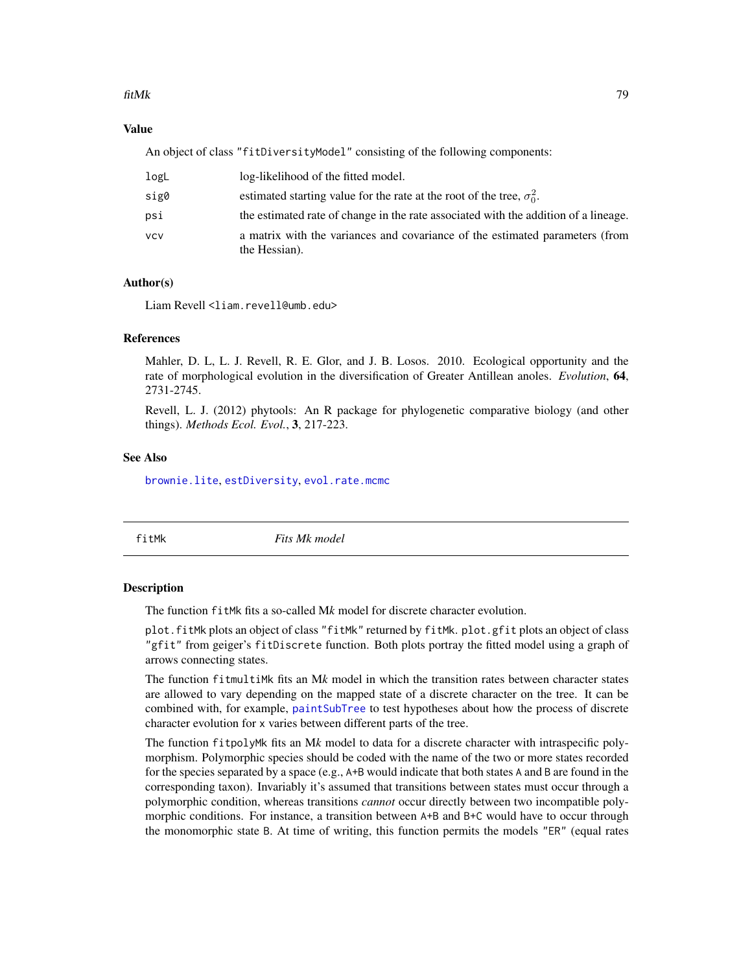#### fitMk 79

## Value

An object of class "fitDiversityModel" consisting of the following components:

| logL | log-likelihood of the fitted model.                                                           |
|------|-----------------------------------------------------------------------------------------------|
| sig0 | estimated starting value for the rate at the root of the tree, $\sigma_0^2$ .                 |
| psi  | the estimated rate of change in the rate associated with the addition of a lineage.           |
| vcv  | a matrix with the variances and covariance of the estimated parameters (from<br>the Hessian). |

# Author(s)

Liam Revell <liam.revell@umb.edu>

# References

Mahler, D. L, L. J. Revell, R. E. Glor, and J. B. Losos. 2010. Ecological opportunity and the rate of morphological evolution in the diversification of Greater Antillean anoles. *Evolution*, 64, 2731-2745.

Revell, L. J. (2012) phytools: An R package for phylogenetic comparative biology (and other things). *Methods Ecol. Evol.*, 3, 217-223.

## See Also

[brownie.lite](#page-31-0), [estDiversity](#page-59-0), [evol.rate.mcmc](#page-60-0)

<span id="page-78-0"></span>

fitMk *Fits Mk model*

#### **Description**

The function fitMk fits a so-called M*k* model for discrete character evolution.

plot.fitMk plots an object of class "fitMk" returned by fitMk. plot.gfit plots an object of class "gfit" from geiger's fitDiscrete function. Both plots portray the fitted model using a graph of arrows connecting states.

The function fitmultiMk fits an M*k* model in which the transition rates between character states are allowed to vary depending on the mapped state of a discrete character on the tree. It can be combined with, for example, [paintSubTree](#page-122-0) to test hypotheses about how the process of discrete character evolution for x varies between different parts of the tree.

The function fitpolyMk fits an M*k* model to data for a discrete character with intraspecific polymorphism. Polymorphic species should be coded with the name of the two or more states recorded for the species separated by a space (e.g., A+B would indicate that both states A and B are found in the corresponding taxon). Invariably it's assumed that transitions between states must occur through a polymorphic condition, whereas transitions *cannot* occur directly between two incompatible polymorphic conditions. For instance, a transition between A+B and B+C would have to occur through the monomorphic state B. At time of writing, this function permits the models "ER" (equal rates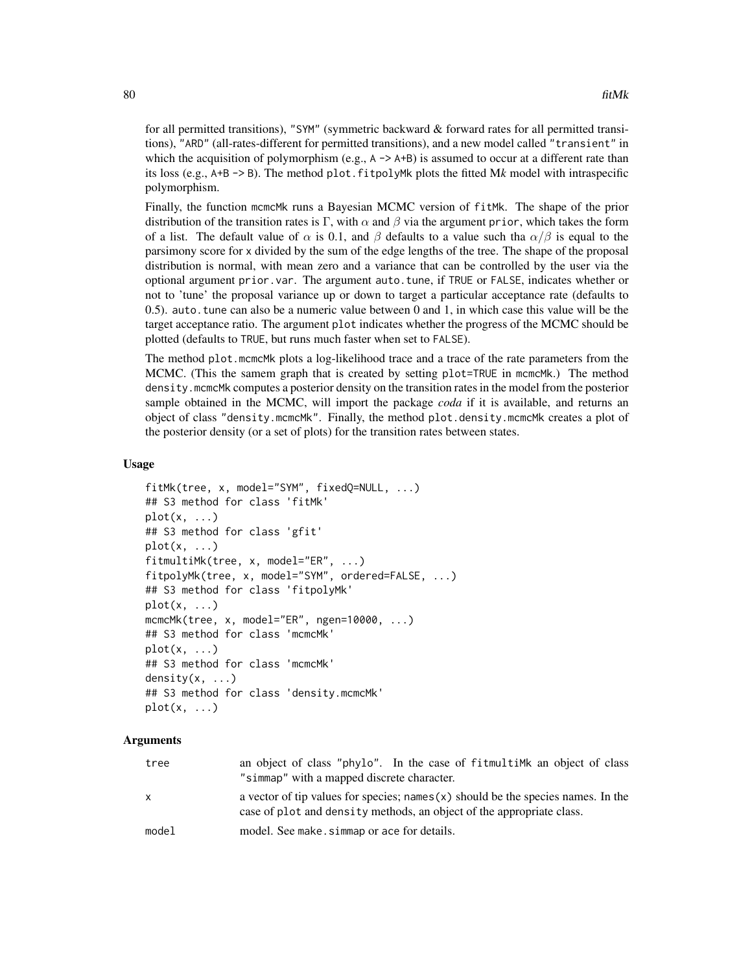for all permitted transitions), "SYM" (symmetric backward & forward rates for all permitted transitions), "ARD" (all-rates-different for permitted transitions), and a new model called "transient" in which the acquisition of polymorphism (e.g.,  $A \rightarrow A+B$ ) is assumed to occur at a different rate than its loss (e.g., A+B -> B). The method plot.fitpolyMk plots the fitted M*k* model with intraspecific polymorphism.

Finally, the function mcmcMk runs a Bayesian MCMC version of fitMk. The shape of the prior distribution of the transition rates is Γ, with  $\alpha$  and  $\beta$  via the argument prior, which takes the form of a list. The default value of  $\alpha$  is 0.1, and  $\beta$  defaults to a value such tha  $\alpha/\beta$  is equal to the parsimony score for x divided by the sum of the edge lengths of the tree. The shape of the proposal distribution is normal, with mean zero and a variance that can be controlled by the user via the optional argument prior.var. The argument auto.tune, if TRUE or FALSE, indicates whether or not to 'tune' the proposal variance up or down to target a particular acceptance rate (defaults to 0.5). auto.tune can also be a numeric value between 0 and 1, in which case this value will be the target acceptance ratio. The argument plot indicates whether the progress of the MCMC should be plotted (defaults to TRUE, but runs much faster when set to FALSE).

The method plot.mcmcMk plots a log-likelihood trace and a trace of the rate parameters from the MCMC. (This the samem graph that is created by setting plot=TRUE in mcmcMk.) The method density.mcmcMk computes a posterior density on the transition rates in the model from the posterior sample obtained in the MCMC, will import the package *coda* if it is available, and returns an object of class "density.mcmcMk". Finally, the method plot.density.mcmcMk creates a plot of the posterior density (or a set of plots) for the transition rates between states.

## Usage

```
fitMk(tree, x, model="SYM", fixedQ=NULL, ...)
## S3 method for class 'fitMk'
plot(x, \ldots)## S3 method for class 'gfit'
plot(x, ...)
fitmultiMk(tree, x, model="ER", ...)
fitpolyMk(tree, x, model="SYM", ordered=FALSE, ...)
## S3 method for class 'fitpolyMk'
plot(x, \ldots)mcmcMk(tree, x, model="ER", ngen=10000, ...)
## S3 method for class 'mcmcMk'
plot(x, \ldots)## S3 method for class 'mcmcMk'
density(x, \ldots)## S3 method for class 'density.mcmcMk'
plot(x, \ldots)
```
## Arguments

| tree         | an object of class "phylo". In the case of fitmultime an object of class<br>"simmap" with a mapped discrete character.                                       |
|--------------|--------------------------------------------------------------------------------------------------------------------------------------------------------------|
| $\mathsf{x}$ | a vector of tip values for species; names $(x)$ should be the species names. In the<br>case of plot and density methods, an object of the appropriate class. |
| model        | model. See make, simmap or ace for details.                                                                                                                  |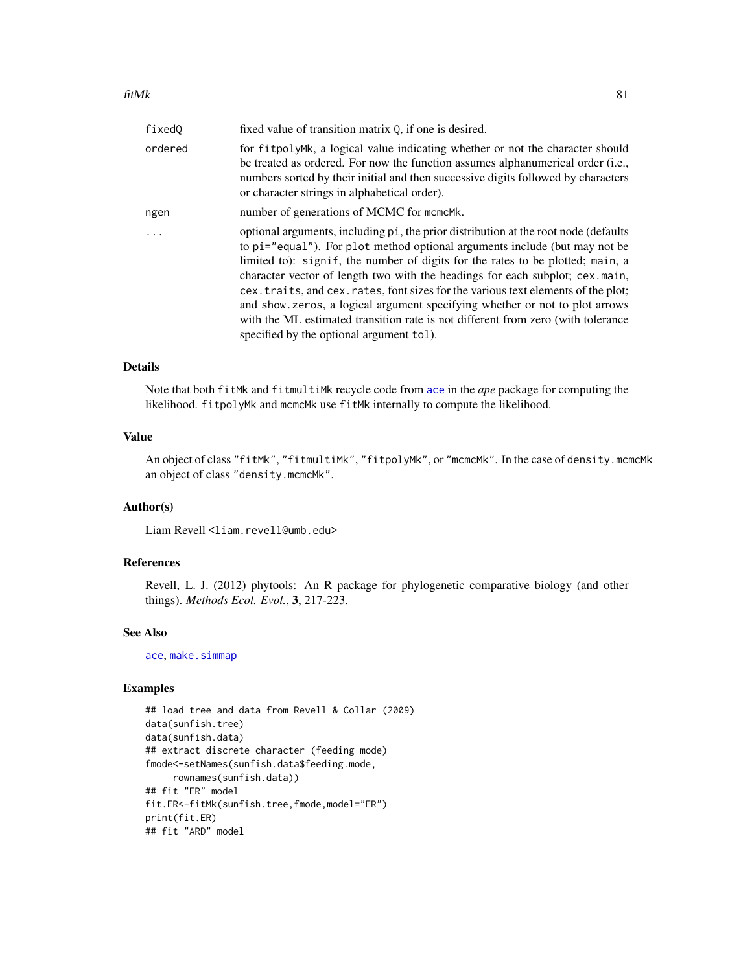| fixedQ  | fixed value of transition matrix 0, if one is desired.                                                                                                                                                                                                                                                                                                                                                                                                                                                                                                                                                                                  |
|---------|-----------------------------------------------------------------------------------------------------------------------------------------------------------------------------------------------------------------------------------------------------------------------------------------------------------------------------------------------------------------------------------------------------------------------------------------------------------------------------------------------------------------------------------------------------------------------------------------------------------------------------------------|
| ordered | for fitpolyMk, a logical value indicating whether or not the character should<br>be treated as ordered. For now the function assumes alphanumerical order (i.e.,<br>numbers sorted by their initial and then successive digits followed by characters<br>or character strings in alphabetical order).                                                                                                                                                                                                                                                                                                                                   |
| ngen    | number of generations of MCMC for mcmcMk.                                                                                                                                                                                                                                                                                                                                                                                                                                                                                                                                                                                               |
|         | optional arguments, including pi, the prior distribution at the root node (defaults<br>to pi="equal"). For plot method optional arguments include (but may not be<br>limited to: signif, the number of digits for the rates to be plotted; main, a<br>character vector of length two with the headings for each subplot; cex.main,<br>cex. traits, and cex. rates, font sizes for the various text elements of the plot;<br>and show zeros, a logical argument specifying whether or not to plot arrows<br>with the ML estimated transition rate is not different from zero (with tolerance<br>specified by the optional argument tol). |

## Details

Note that both fitMk and fitmultiMk recycle code from [ace](#page-0-0) in the *ape* package for computing the likelihood. fitpolyMk and mcmcMk use fitMk internally to compute the likelihood.

#### Value

An object of class "fitMk", "fitmultiMk", "fitpolyMk", or "mcmcMk". In the case of density.mcmcMk an object of class "density.mcmcMk".

# Author(s)

Liam Revell <liam.revell@umb.edu>

### References

Revell, L. J. (2012) phytools: An R package for phylogenetic comparative biology (and other things). *Methods Ecol. Evol.*, 3, 217-223.

## See Also

[ace](#page-0-0), [make.simmap](#page-101-0)

# Examples

```
## load tree and data from Revell & Collar (2009)
data(sunfish.tree)
data(sunfish.data)
## extract discrete character (feeding mode)
fmode<-setNames(sunfish.data$feeding.mode,
     rownames(sunfish.data))
## fit "ER" model
fit.ER<-fitMk(sunfish.tree,fmode,model="ER")
print(fit.ER)
## fit "ARD" model
```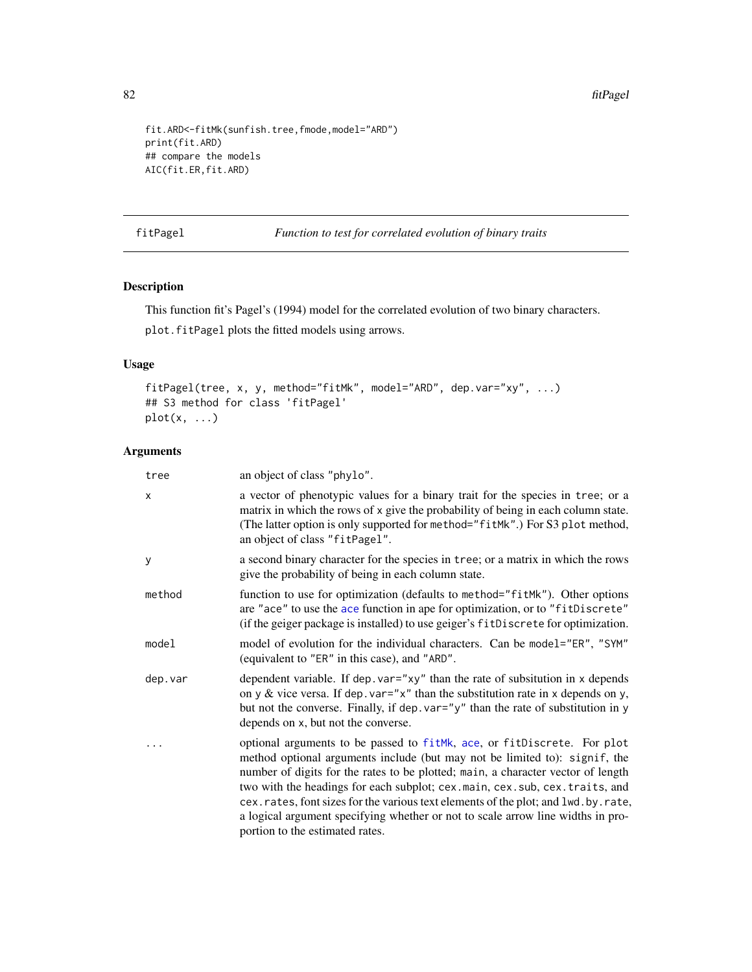```
fit.ARD<-fitMk(sunfish.tree,fmode,model="ARD")
print(fit.ARD)
## compare the models
AIC(fit.ER,fit.ARD)
```
fitPagel *Function to test for correlated evolution of binary traits*

# Description

This function fit's Pagel's (1994) model for the correlated evolution of two binary characters.

plot.fitPagel plots the fitted models using arrows.

# Usage

```
fitPagel(tree, x, y, method="fitMk", model="ARD", dep.var="xy", ...)
## S3 method for class 'fitPagel'
plot(x, ...)
```
# Arguments

| tree    | an object of class "phylo".                                                                                                                                                                                                                                                                                                                                                                                                                                                                                                        |
|---------|------------------------------------------------------------------------------------------------------------------------------------------------------------------------------------------------------------------------------------------------------------------------------------------------------------------------------------------------------------------------------------------------------------------------------------------------------------------------------------------------------------------------------------|
| X       | a vector of phenotypic values for a binary trait for the species in tree; or a<br>matrix in which the rows of x give the probability of being in each column state.<br>(The latter option is only supported for method="fitMk".) For S3 plot method,<br>an object of class "fitPagel".                                                                                                                                                                                                                                             |
| У       | a second binary character for the species in tree; or a matrix in which the rows<br>give the probability of being in each column state.                                                                                                                                                                                                                                                                                                                                                                                            |
| method  | function to use for optimization (defaults to method="fitMk"). Other options<br>are "ace" to use the ace function in ape for optimization, or to "fitDiscrete"<br>(if the geiger package is installed) to use geiger's fitDiscrete for optimization.                                                                                                                                                                                                                                                                               |
| model   | model of evolution for the individual characters. Can be model="ER", "SYM"<br>(equivalent to "ER" in this case), and "ARD".                                                                                                                                                                                                                                                                                                                                                                                                        |
| dep.var | dependent variable. If dep. var="xy" than the rate of subsitution in x depends<br>on y & vice versa. If dep. var=" $x$ " than the substitution rate in x depends on y,<br>but not the converse. Finally, if dep. var="y" than the rate of substitution in y<br>depends on x, but not the converse.                                                                                                                                                                                                                                 |
|         | optional arguments to be passed to fitMk, ace, or fitDiscrete. For plot<br>method optional arguments include (but may not be limited to): signif, the<br>number of digits for the rates to be plotted; main, a character vector of length<br>two with the headings for each subplot; cex.main, cex.sub, cex.traits, and<br>cex.rates, font sizes for the various text elements of the plot; and lwd.by.rate,<br>a logical argument specifying whether or not to scale arrow line widths in pro-<br>portion to the estimated rates. |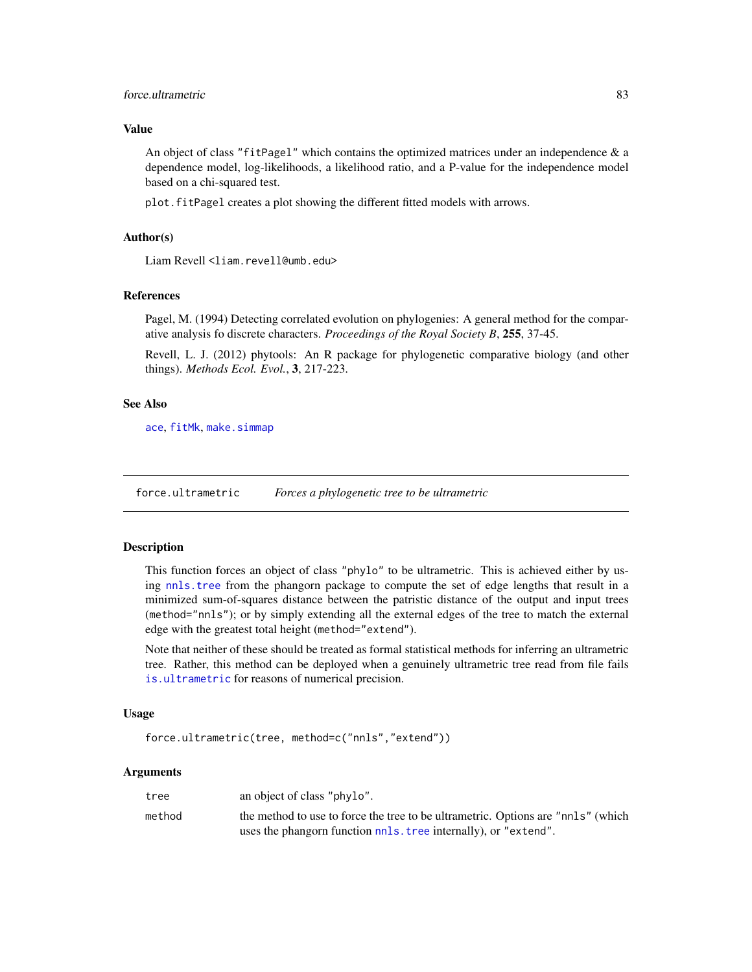# force.ultrametric 83

## Value

An object of class "fitPagel" which contains the optimized matrices under an independence  $\&$  a dependence model, log-likelihoods, a likelihood ratio, and a P-value for the independence model based on a chi-squared test.

plot.fitPagel creates a plot showing the different fitted models with arrows.

# Author(s)

Liam Revell <liam.revell@umb.edu>

#### References

Pagel, M. (1994) Detecting correlated evolution on phylogenies: A general method for the comparative analysis fo discrete characters. *Proceedings of the Royal Society B*, 255, 37-45.

Revell, L. J. (2012) phytools: An R package for phylogenetic comparative biology (and other things). *Methods Ecol. Evol.*, 3, 217-223.

## See Also

[ace](#page-0-0), [fitMk](#page-78-0), [make.simmap](#page-101-0)

force.ultrametric *Forces a phylogenetic tree to be ultrametric*

## Description

This function forces an object of class "phylo" to be ultrametric. This is achieved either by using [nnls.tree](#page-0-0) from the phangorn package to compute the set of edge lengths that result in a minimized sum-of-squares distance between the patristic distance of the output and input trees (method="nnls"); or by simply extending all the external edges of the tree to match the external edge with the greatest total height (method="extend").

Note that neither of these should be treated as formal statistical methods for inferring an ultrametric tree. Rather, this method can be deployed when a genuinely ultrametric tree read from file fails [is.ultrametric](#page-0-0) for reasons of numerical precision.

## Usage

```
force.ultrametric(tree, method=c("nnls","extend"))
```
#### **Arguments**

| tree   | an object of class "phylo".                                                      |
|--------|----------------------------------------------------------------------------------|
| method | the method to use to force the tree to be ultrametric. Options are "nnls" (which |
|        | uses the phangorn function nnls. tree internally), or "extend".                  |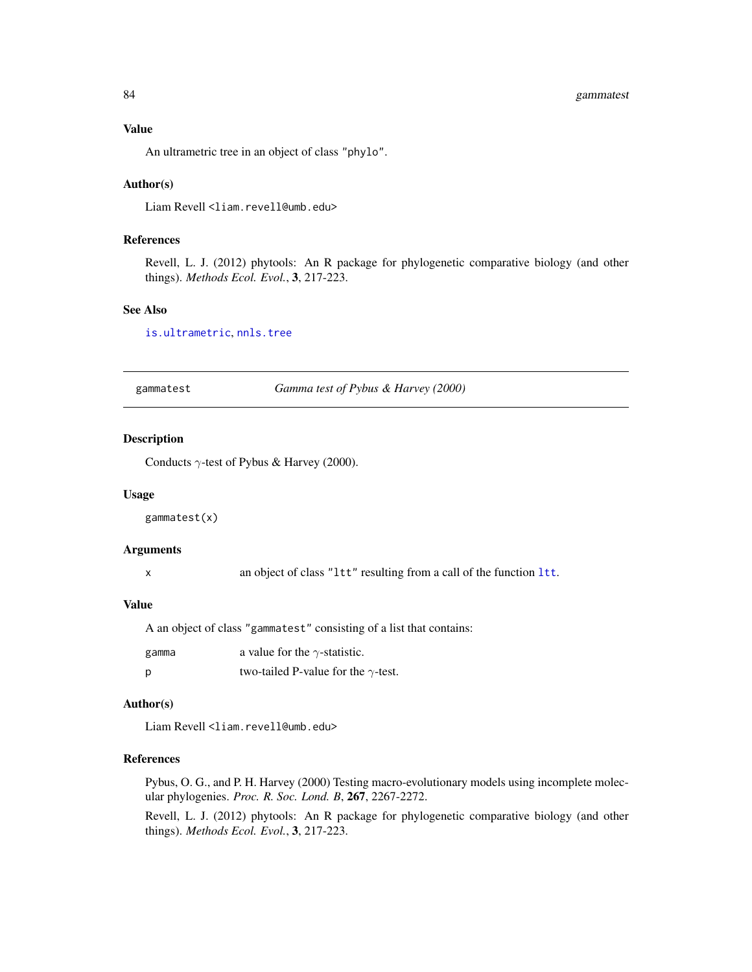# 84 gammatest

## Value

An ultrametric tree in an object of class "phylo".

## Author(s)

Liam Revell <liam.revell@umb.edu>

## References

Revell, L. J. (2012) phytools: An R package for phylogenetic comparative biology (and other things). *Methods Ecol. Evol.*, 3, 217-223.

# See Also

[is.ultrametric](#page-0-0), [nnls.tree](#page-0-0)

<span id="page-83-0"></span>gammatest *Gamma test of Pybus & Harvey (2000)*

# Description

Conducts  $\gamma$ -test of Pybus & Harvey (2000).

#### Usage

gammatest(x)

## Arguments

x an object of class "ltt" resulting from a call of the function [ltt](#page-97-0).

#### Value

A an object of class "gammatest" consisting of a list that contains:

| gamma | a value for the $\gamma$ -statistic.       |
|-------|--------------------------------------------|
| - p   | two-tailed P-value for the $\gamma$ -test. |

## Author(s)

Liam Revell <liam.revell@umb.edu>

# References

Pybus, O. G., and P. H. Harvey (2000) Testing macro-evolutionary models using incomplete molecular phylogenies. *Proc. R. Soc. Lond. B*, 267, 2267-2272.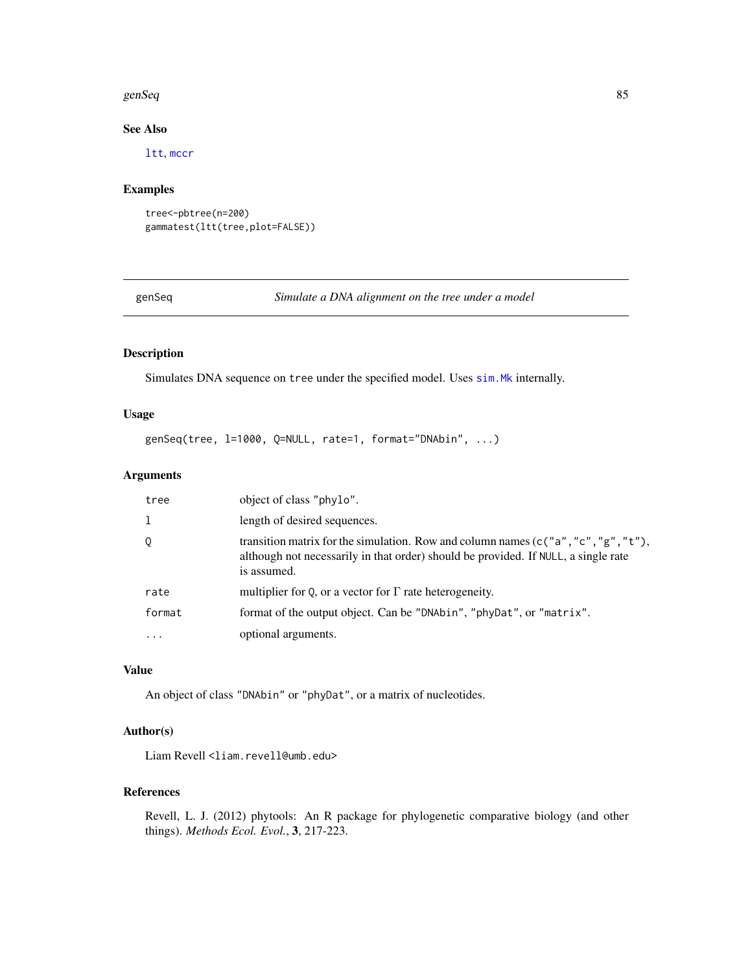#### genSeq 85

# See Also

[ltt](#page-97-0), [mccr](#page-97-1)

# Examples

```
tree<-pbtree(n=200)
gammatest(ltt(tree,plot=FALSE))
```
genSeq *Simulate a DNA alignment on the tree under a model*

# Description

Simulates DNA sequence on tree under the specified model. Uses [sim.Mk](#page-182-0) internally.

## Usage

```
genSeq(tree, l=1000, Q=NULL, rate=1, format="DNAbin", ...)
```
# Arguments

| tree     | object of class "phylo".                                                                                                                                                                   |
|----------|--------------------------------------------------------------------------------------------------------------------------------------------------------------------------------------------|
|          | length of desired sequences.                                                                                                                                                               |
| Q        | transition matrix for the simulation. Row and column names ( $c("a", "c", "g", "t"),$<br>although not necessarily in that order) should be provided. If NULL, a single rate<br>is assumed. |
| rate     | multiplier for Q, or a vector for $\Gamma$ rate heterogeneity.                                                                                                                             |
| format   | format of the output object. Can be "DNAbin", "phyDat", or "matrix".                                                                                                                       |
| $\cdots$ | optional arguments.                                                                                                                                                                        |

## Value

An object of class "DNAbin" or "phyDat", or a matrix of nucleotides.

## Author(s)

Liam Revell <liam.revell@umb.edu>

## References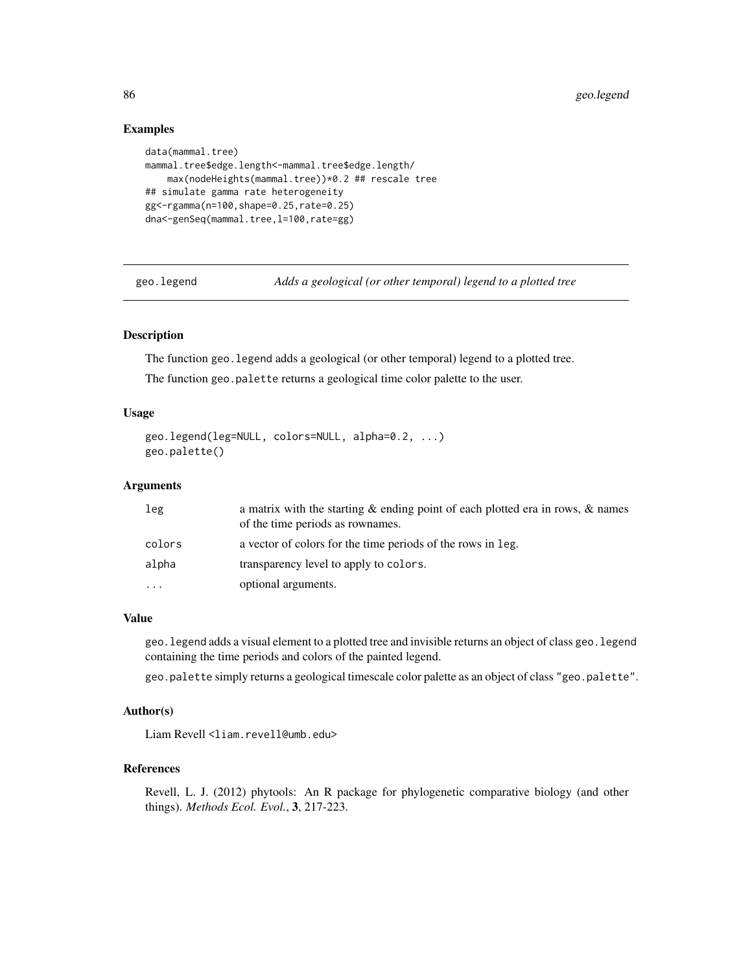## Examples

```
data(mammal.tree)
mammal.tree$edge.length<-mammal.tree$edge.length/
    max(nodeHeights(mammal.tree))*0.2 ## rescale tree
## simulate gamma rate heterogeneity
gg<-rgamma(n=100,shape=0.25,rate=0.25)
dna<-genSeq(mammal.tree, 1=100, rate=gg)
```
geo.legend *Adds a geological (or other temporal) legend to a plotted tree*

## Description

The function geo.legend adds a geological (or other temporal) legend to a plotted tree.

The function geo.palette returns a geological time color palette to the user.

## Usage

```
geo.legend(leg=NULL, colors=NULL, alpha=0.2, ...)
geo.palette()
```
# Arguments

| leg    | a matrix with the starting $\&$ ending point of each plotted era in rows, $\&$ names<br>of the time periods as rownames. |
|--------|--------------------------------------------------------------------------------------------------------------------------|
| colors | a vector of colors for the time periods of the rows in leg.                                                              |
| alpha  | transparency level to apply to colors.                                                                                   |
| .      | optional arguments.                                                                                                      |

#### Value

geo.legend adds a visual element to a plotted tree and invisible returns an object of class geo.legend containing the time periods and colors of the painted legend.

geo.palette simply returns a geological timescale color palette as an object of class "geo.palette".

## Author(s)

Liam Revell <liam.revell@umb.edu>

# References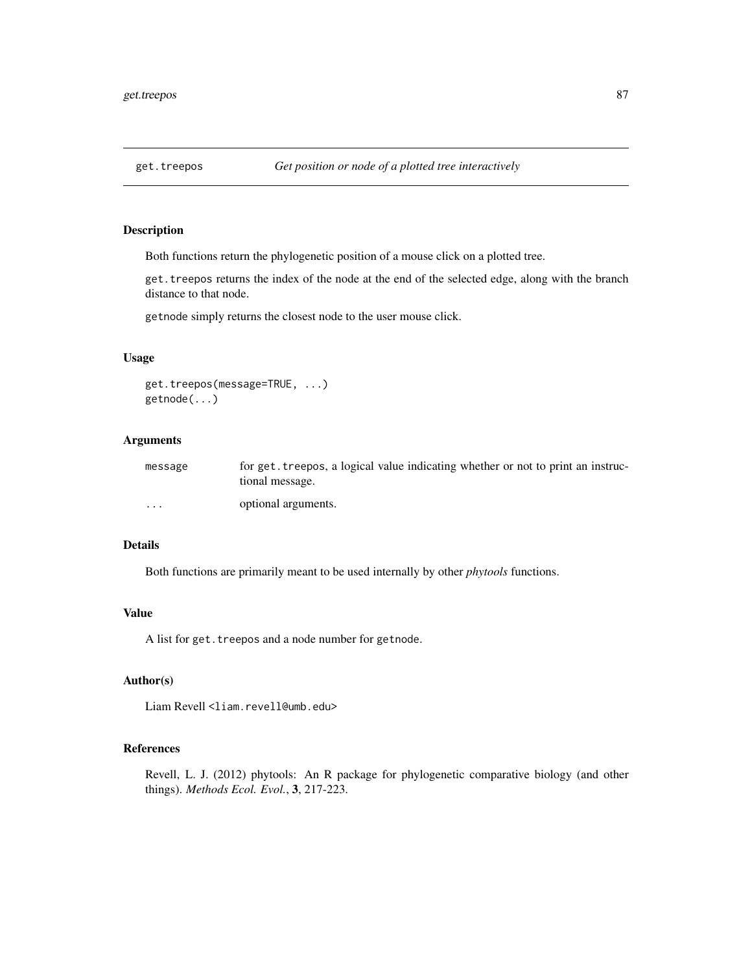Both functions return the phylogenetic position of a mouse click on a plotted tree.

get.treepos returns the index of the node at the end of the selected edge, along with the branch distance to that node.

getnode simply returns the closest node to the user mouse click.

# Usage

```
get.treepos(message=TRUE, ...)
getnode(...)
```
# Arguments

| message              | for get, treepos, a logical value indicating whether or not to print an instruc-<br>tional message. |
|----------------------|-----------------------------------------------------------------------------------------------------|
| $\ddot{\phantom{0}}$ | optional arguments.                                                                                 |

## Details

Both functions are primarily meant to be used internally by other *phytools* functions.

## Value

A list for get.treepos and a node number for getnode.

# Author(s)

Liam Revell <liam.revell@umb.edu>

## References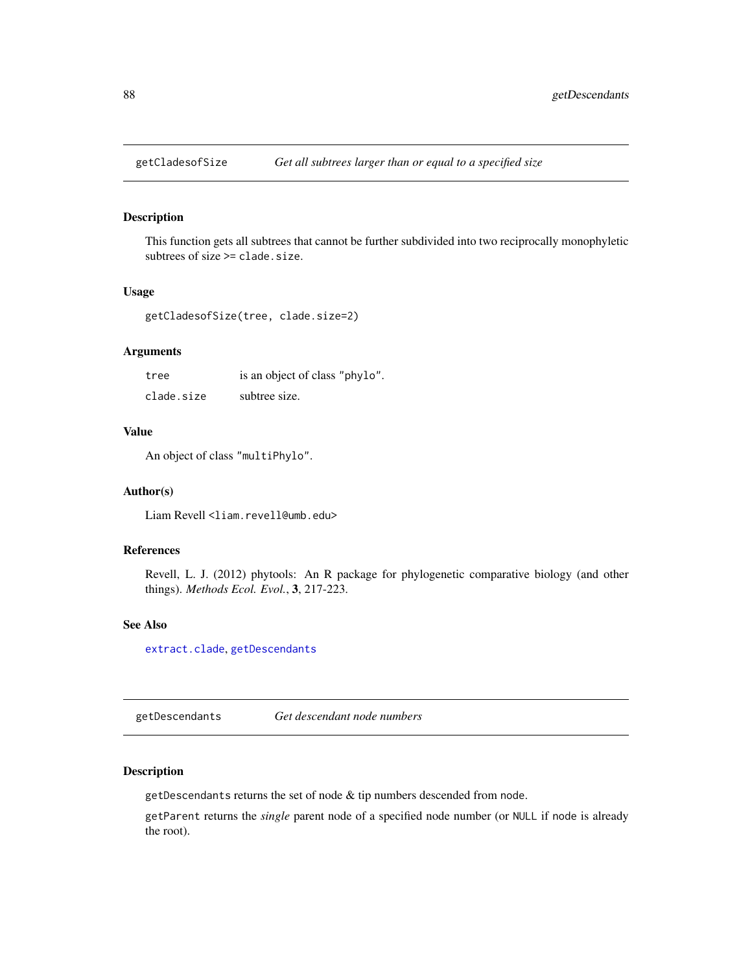This function gets all subtrees that cannot be further subdivided into two reciprocally monophyletic subtrees of size >= clade.size.

#### Usage

getCladesofSize(tree, clade.size=2)

# Arguments

| tree       | is an object of class "phylo". |
|------------|--------------------------------|
| clade.size | subtree size.                  |

# Value

An object of class "multiPhylo".

#### Author(s)

Liam Revell <liam.revell@umb.edu>

#### References

Revell, L. J. (2012) phytools: An R package for phylogenetic comparative biology (and other things). *Methods Ecol. Evol.*, 3, 217-223.

## See Also

[extract.clade](#page-0-0), [getDescendants](#page-87-0)

<span id="page-87-0"></span>getDescendants *Get descendant node numbers*

# Description

getDescendants returns the set of node & tip numbers descended from node.

getParent returns the *single* parent node of a specified node number (or NULL if node is already the root).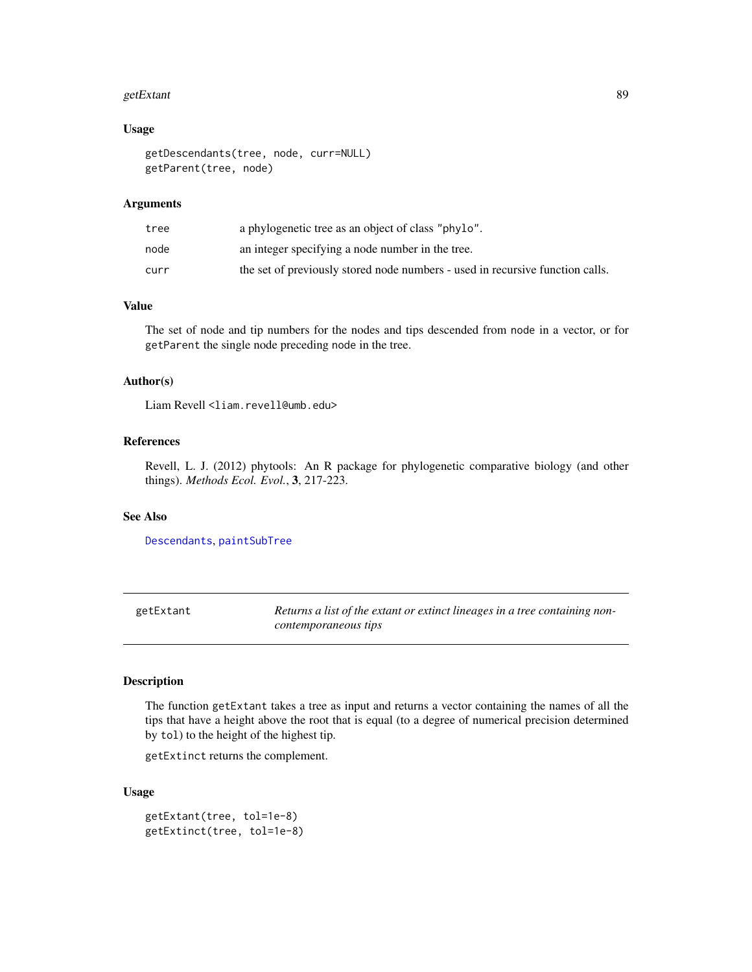#### getExtant 89

## Usage

```
getDescendants(tree, node, curr=NULL)
getParent(tree, node)
```
## Arguments

| tree | a phylogenetic tree as an object of class "phylo".                            |
|------|-------------------------------------------------------------------------------|
| node | an integer specifying a node number in the tree.                              |
| curr | the set of previously stored node numbers - used in recursive function calls. |

# Value

The set of node and tip numbers for the nodes and tips descended from node in a vector, or for getParent the single node preceding node in the tree.

## Author(s)

Liam Revell <liam.revell@umb.edu>

# References

Revell, L. J. (2012) phytools: An R package for phylogenetic comparative biology (and other things). *Methods Ecol. Evol.*, 3, 217-223.

# See Also

[Descendants](#page-0-0), [paintSubTree](#page-122-0)

getExtant *Returns a list of the extant or extinct lineages in a tree containing noncontemporaneous tips*

# Description

The function getExtant takes a tree as input and returns a vector containing the names of all the tips that have a height above the root that is equal (to a degree of numerical precision determined by tol) to the height of the highest tip.

getExtinct returns the complement.

## Usage

```
getExtant(tree, tol=1e-8)
getExtinct(tree, tol=1e-8)
```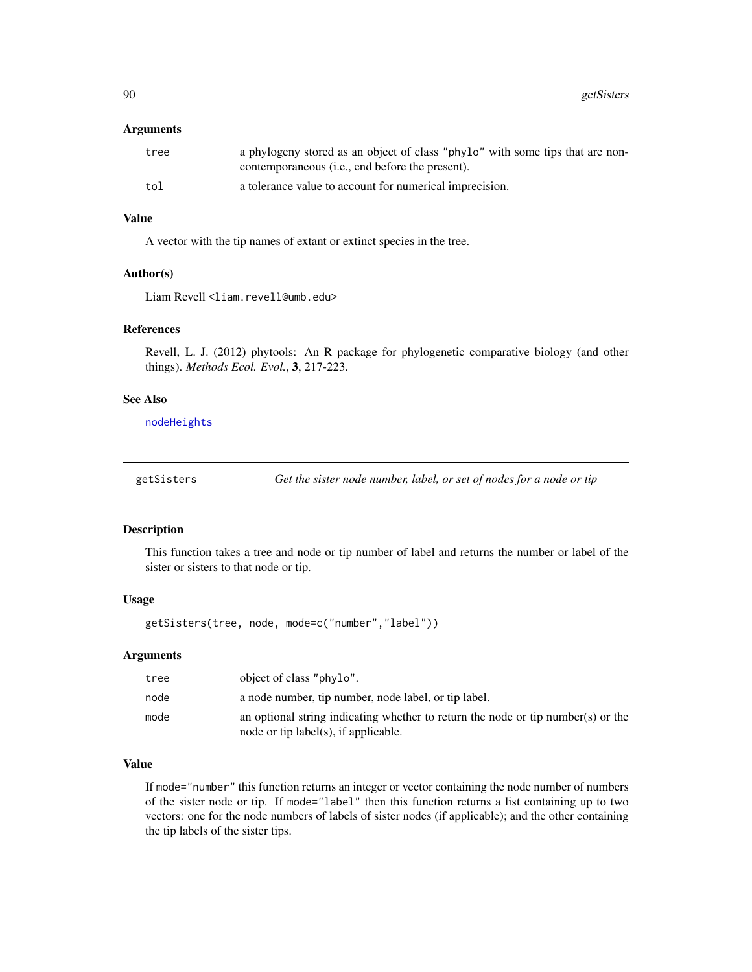#### Arguments

| tree | a phylogeny stored as an object of class "phylo" with some tips that are non-<br>contemporaneous ( <i>i.e.</i> , end before the present). |
|------|-------------------------------------------------------------------------------------------------------------------------------------------|
| tol  | a tolerance value to account for numerical imprecision.                                                                                   |

# Value

A vector with the tip names of extant or extinct species in the tree.

#### Author(s)

Liam Revell <liam.revell@umb.edu>

#### References

Revell, L. J. (2012) phytools: An R package for phylogenetic comparative biology (and other things). *Methods Ecol. Evol.*, 3, 217-223.

# See Also

[nodeHeights](#page-118-0)

getSisters *Get the sister node number, label, or set of nodes for a node or tip*

#### Description

This function takes a tree and node or tip number of label and returns the number or label of the sister or sisters to that node or tip.

# Usage

getSisters(tree, node, mode=c("number","label"))

# Arguments

| tree | object of class "phylo".                                                                                                 |
|------|--------------------------------------------------------------------------------------------------------------------------|
| node | a node number, tip number, node label, or tip label.                                                                     |
| mode | an optional string indicating whether to return the node or tip number(s) or the<br>node or tip label(s), if applicable. |

# Value

If mode="number" this function returns an integer or vector containing the node number of numbers of the sister node or tip. If mode="label" then this function returns a list containing up to two vectors: one for the node numbers of labels of sister nodes (if applicable); and the other containing the tip labels of the sister tips.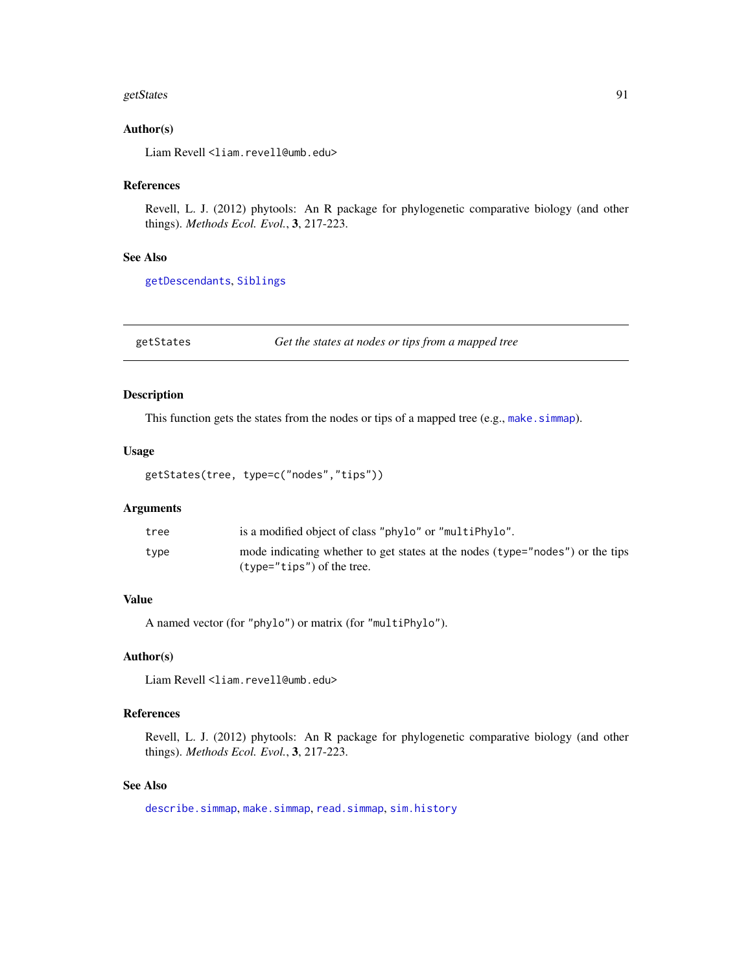#### getStates 91

## Author(s)

Liam Revell <liam.revell@umb.edu>

## References

Revell, L. J. (2012) phytools: An R package for phylogenetic comparative biology (and other things). *Methods Ecol. Evol.*, 3, 217-223.

# See Also

[getDescendants](#page-87-0), [Siblings](#page-0-0)

getStates *Get the states at nodes or tips from a mapped tree*

#### Description

This function gets the states from the nodes or tips of a mapped tree (e.g., make. simmap).

# Usage

```
getStates(tree, type=c("nodes","tips"))
```
#### Arguments

| tree | is a modified object of class "phylo" or "multiPhylo".                        |
|------|-------------------------------------------------------------------------------|
| type | mode indicating whether to get states at the nodes (type="nodes") or the tips |
|      | $(t$ vpe="tips") of the tree.                                                 |

# Value

A named vector (for "phylo") or matrix (for "multiPhylo").

## Author(s)

Liam Revell <liam.revell@umb.edu>

## References

Revell, L. J. (2012) phytools: An R package for phylogenetic comparative biology (and other things). *Methods Ecol. Evol.*, 3, 217-223.

# See Also

[describe.simmap](#page-50-0), [make.simmap](#page-101-0), [read.simmap](#page-168-0), [sim.history](#page-182-1)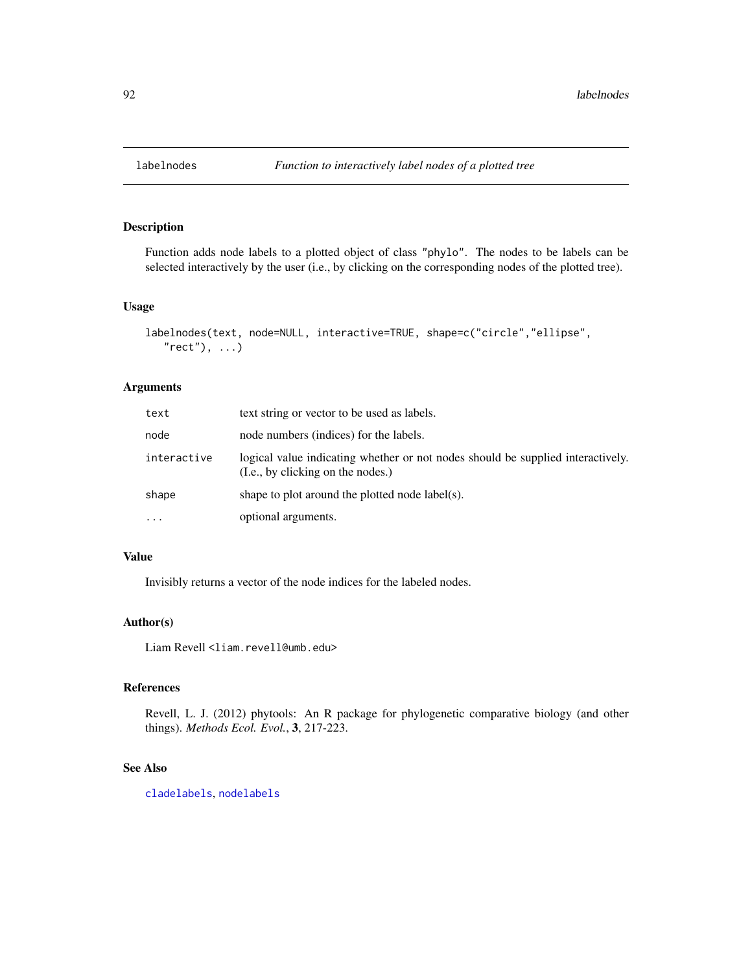Function adds node labels to a plotted object of class "phylo". The nodes to be labels can be selected interactively by the user (i.e., by clicking on the corresponding nodes of the plotted tree).

#### Usage

```
labelnodes(text, node=NULL, interactive=TRUE, shape=c("circle","ellipse",
   "rect"), ...)
```
# Arguments

| text        | text string or vector to be used as labels.                                                                          |
|-------------|----------------------------------------------------------------------------------------------------------------------|
| node        | node numbers (indices) for the labels.                                                                               |
| interactive | logical value indicating whether or not nodes should be supplied interactively.<br>(I.e., by clicking on the nodes.) |
| shape       | shape to plot around the plotted node label(s).                                                                      |
| $\cdots$    | optional arguments.                                                                                                  |

# Value

Invisibly returns a vector of the node indices for the labeled nodes.

# Author(s)

Liam Revell <liam.revell@umb.edu>

# References

Revell, L. J. (2012) phytools: An R package for phylogenetic comparative biology (and other things). *Methods Ecol. Evol.*, 3, 217-223.

# See Also

[cladelabels](#page-34-0), [nodelabels](#page-0-0)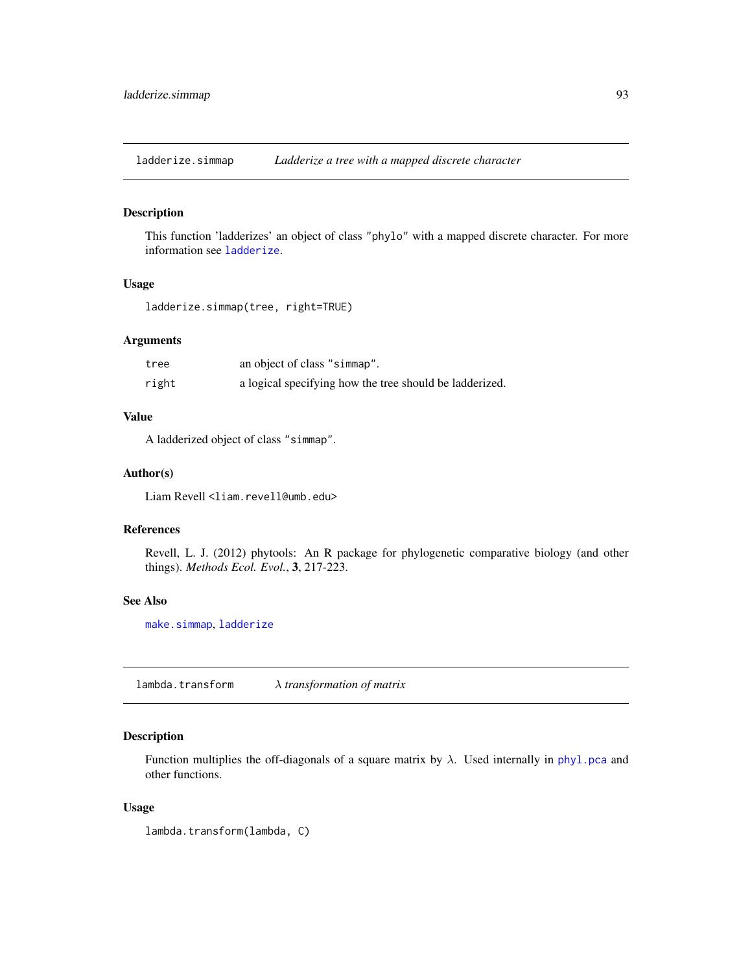ladderize.simmap *Ladderize a tree with a mapped discrete character*

## Description

This function 'ladderizes' an object of class "phylo" with a mapped discrete character. For more information see [ladderize](#page-0-0).

# Usage

```
ladderize.simmap(tree, right=TRUE)
```
## Arguments

| tree  | an object of class "simmap".                            |
|-------|---------------------------------------------------------|
| right | a logical specifying how the tree should be ladderized. |

#### Value

A ladderized object of class "simmap".

# Author(s)

Liam Revell <liam.revell@umb.edu>

# References

Revell, L. J. (2012) phytools: An R package for phylogenetic comparative biology (and other things). *Methods Ecol. Evol.*, 3, 217-223.

# See Also

[make.simmap](#page-101-0), [ladderize](#page-0-0)

lambda.transform λ *transformation of matrix*

# Description

Function multiplies the off-diagonals of a square matrix by  $\lambda$ . Used internally in [phyl.pca](#page-131-0) and other functions.

## Usage

lambda.transform(lambda, C)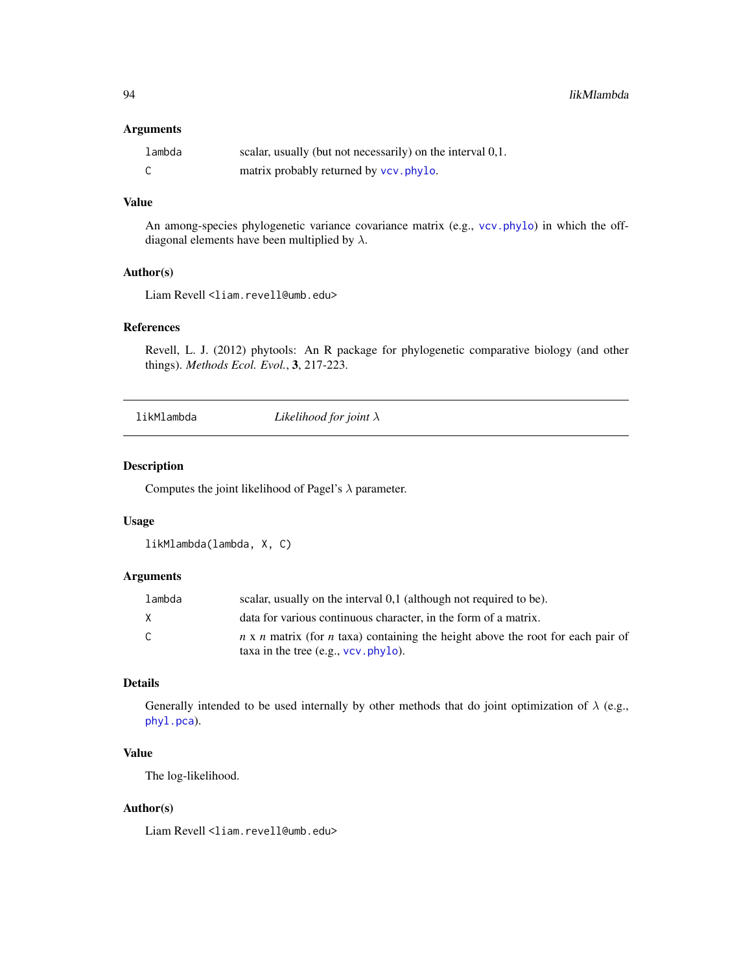# Arguments

| lambda | scalar, usually (but not necessarily) on the interval 0,1. |
|--------|------------------------------------------------------------|
|        | matrix probably returned by vcv. phylo.                    |

# Value

An among-species phylogenetic variance covariance matrix (e.g., [vcv.phylo](#page-0-0)) in which the offdiagonal elements have been multiplied by  $\lambda$ .

# Author(s)

Liam Revell <liam.revell@umb.edu>

#### References

Revell, L. J. (2012) phytools: An R package for phylogenetic comparative biology (and other things). *Methods Ecol. Evol.*, 3, 217-223.

likMlambda *Likelihood for joint* λ

# Description

Computes the joint likelihood of Pagel's  $\lambda$  parameter.

## Usage

likMlambda(lambda, X, C)

#### Arguments

| lambda | scalar, usually on the interval 0,1 (although not required to be).                                                                       |
|--------|------------------------------------------------------------------------------------------------------------------------------------------|
| X      | data for various continuous character, in the form of a matrix.                                                                          |
| C.     | $n \times n$ matrix (for <i>n</i> taxa) containing the height above the root for each pair of<br>taxa in the tree $(e.g., vcv, phylo)$ . |

# Details

Generally intended to be used internally by other methods that do joint optimization of  $\lambda$  (e.g., [phyl.pca](#page-131-0)).

# Value

The log-likelihood.

## Author(s)

Liam Revell <liam.revell@umb.edu>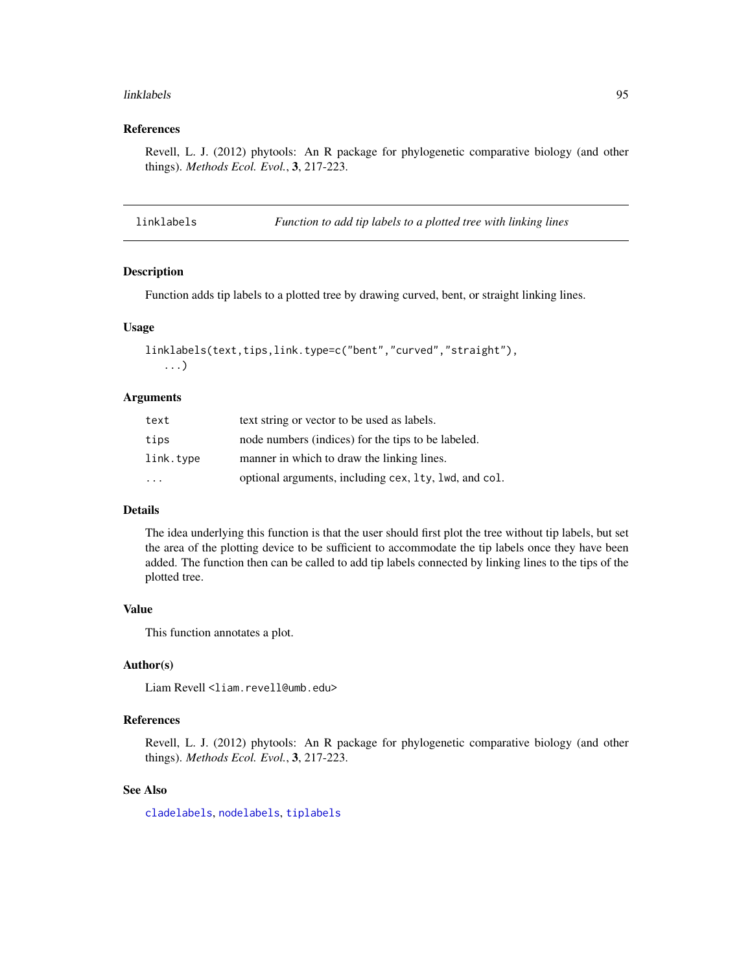#### linklabels 95

#### References

Revell, L. J. (2012) phytools: An R package for phylogenetic comparative biology (and other things). *Methods Ecol. Evol.*, 3, 217-223.

linklabels *Function to add tip labels to a plotted tree with linking lines*

## Description

Function adds tip labels to a plotted tree by drawing curved, bent, or straight linking lines.

### Usage

```
linklabels(text,tips,link.type=c("bent","curved","straight"),
   ...)
```
#### Arguments

| text                    | text string or vector to be used as labels.           |
|-------------------------|-------------------------------------------------------|
| tips                    | node numbers (indices) for the tips to be labeled.    |
| link.type               | manner in which to draw the linking lines.            |
| $\cdot$ $\cdot$ $\cdot$ | optional arguments, including cex, 1ty, 1wd, and col. |

#### Details

The idea underlying this function is that the user should first plot the tree without tip labels, but set the area of the plotting device to be sufficient to accommodate the tip labels once they have been added. The function then can be called to add tip labels connected by linking lines to the tips of the plotted tree.

#### Value

This function annotates a plot.

## Author(s)

Liam Revell <liam.revell@umb.edu>

## References

Revell, L. J. (2012) phytools: An R package for phylogenetic comparative biology (and other things). *Methods Ecol. Evol.*, 3, 217-223.

#### See Also

[cladelabels](#page-34-0), [nodelabels](#page-0-0), [tiplabels](#page-0-0)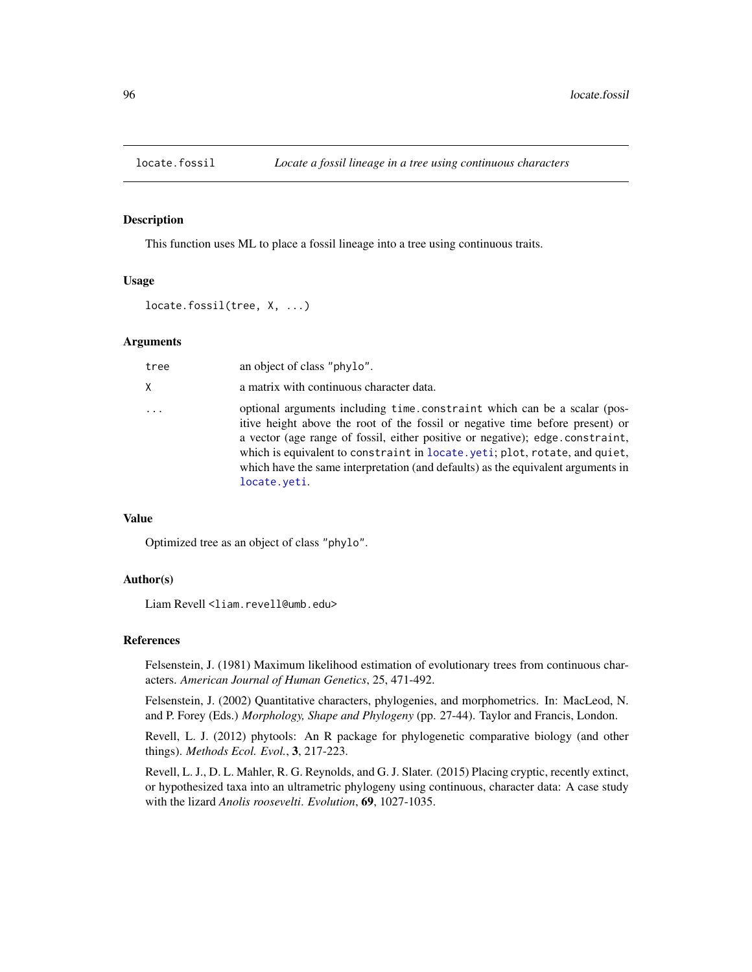This function uses ML to place a fossil lineage into a tree using continuous traits.

# Usage

locate.fossil(tree, X, ...)

## Arguments

| tree | an object of class "phylo".                                                                                                                                                                                                                                                                                                                                                                                                   |
|------|-------------------------------------------------------------------------------------------------------------------------------------------------------------------------------------------------------------------------------------------------------------------------------------------------------------------------------------------------------------------------------------------------------------------------------|
| X.   | a matrix with continuous character data.                                                                                                                                                                                                                                                                                                                                                                                      |
| .    | optional arguments including time.constraint which can be a scalar (pos-<br>itive height above the root of the fossil or negative time before present) or<br>a vector (age range of fossil, either positive or negative); edge.constraint,<br>which is equivalent to constraint in locate. yeti; plot, rotate, and quiet,<br>which have the same interpretation (and defaults) as the equivalent arguments in<br>locate.yeti. |

# Value

Optimized tree as an object of class "phylo".

## Author(s)

Liam Revell <liam.revell@umb.edu>

## References

Felsenstein, J. (1981) Maximum likelihood estimation of evolutionary trees from continuous characters. *American Journal of Human Genetics*, 25, 471-492.

Felsenstein, J. (2002) Quantitative characters, phylogenies, and morphometrics. In: MacLeod, N. and P. Forey (Eds.) *Morphology, Shape and Phylogeny* (pp. 27-44). Taylor and Francis, London.

Revell, L. J. (2012) phytools: An R package for phylogenetic comparative biology (and other things). *Methods Ecol. Evol.*, 3, 217-223.

Revell, L. J., D. L. Mahler, R. G. Reynolds, and G. J. Slater. (2015) Placing cryptic, recently extinct, or hypothesized taxa into an ultrametric phylogeny using continuous, character data: A case study with the lizard *Anolis roosevelti*. *Evolution*, 69, 1027-1035.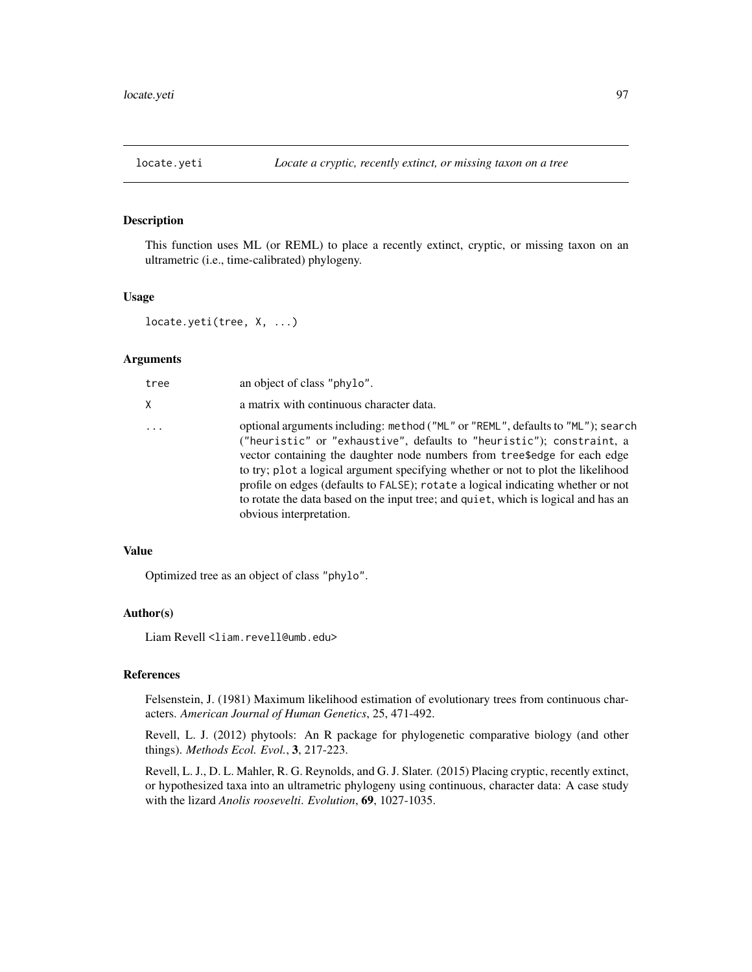<span id="page-96-0"></span>

This function uses ML (or REML) to place a recently extinct, cryptic, or missing taxon on an ultrametric (i.e., time-calibrated) phylogeny.

# Usage

```
locate.yeti(tree, X, ...)
```
## Arguments

| tree     | an object of class "phylo".                                                                                                                                                                                                                                                                                                                                                                                                                                                                                                    |
|----------|--------------------------------------------------------------------------------------------------------------------------------------------------------------------------------------------------------------------------------------------------------------------------------------------------------------------------------------------------------------------------------------------------------------------------------------------------------------------------------------------------------------------------------|
| X.       | a matrix with continuous character data.                                                                                                                                                                                                                                                                                                                                                                                                                                                                                       |
| $\ddots$ | optional arguments including: method ("ML" or "REML", defaults to "ML"); search<br>("heuristic" or "exhaustive", defaults to "heuristic"); constraint, a<br>vector containing the daughter node numbers from tree\$edge for each edge<br>to try; plot a logical argument specifying whether or not to plot the likelihood<br>profile on edges (defaults to FALSE); rotate a logical indicating whether or not<br>to rotate the data based on the input tree; and quiet, which is logical and has an<br>obvious interpretation. |

## Value

Optimized tree as an object of class "phylo".

## Author(s)

Liam Revell <liam.revell@umb.edu>

# References

Felsenstein, J. (1981) Maximum likelihood estimation of evolutionary trees from continuous characters. *American Journal of Human Genetics*, 25, 471-492.

Revell, L. J. (2012) phytools: An R package for phylogenetic comparative biology (and other things). *Methods Ecol. Evol.*, 3, 217-223.

Revell, L. J., D. L. Mahler, R. G. Reynolds, and G. J. Slater. (2015) Placing cryptic, recently extinct, or hypothesized taxa into an ultrametric phylogeny using continuous, character data: A case study with the lizard *Anolis roosevelti*. *Evolution*, 69, 1027-1035.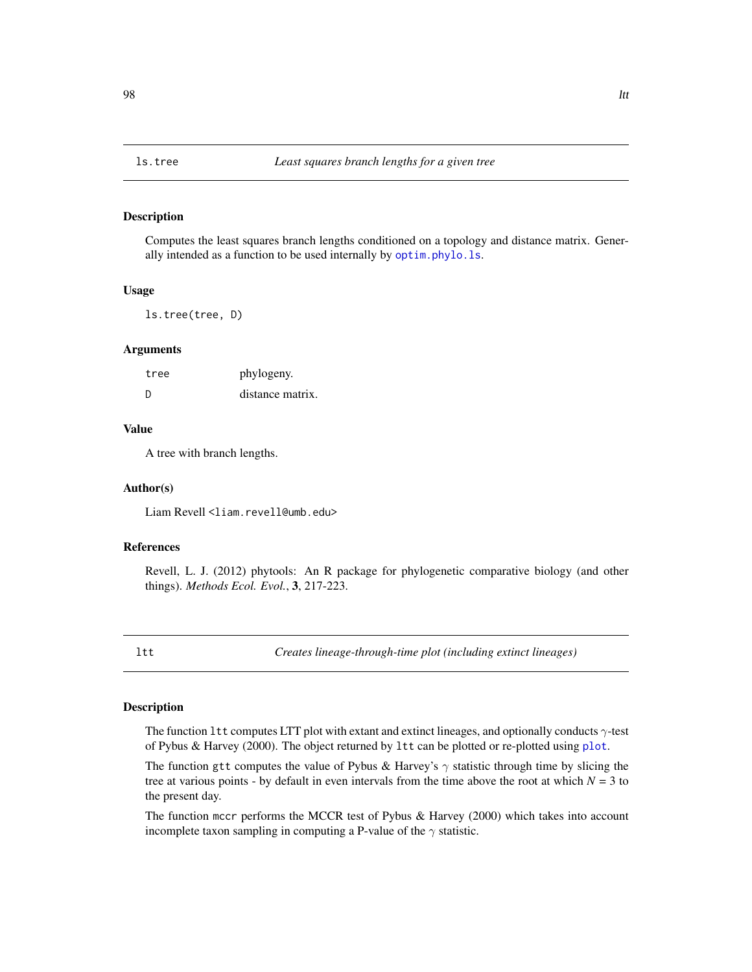Computes the least squares branch lengths conditioned on a topology and distance matrix. Generally intended as a function to be used internally by [optim.phylo.ls](#page-120-0).

## Usage

ls.tree(tree, D)

#### Arguments

| tree | phylogeny.       |
|------|------------------|
| - D  | distance matrix. |

#### Value

A tree with branch lengths.

#### Author(s)

Liam Revell <liam.revell@umb.edu>

### References

Revell, L. J. (2012) phytools: An R package for phylogenetic comparative biology (and other things). *Methods Ecol. Evol.*, 3, 217-223.

<span id="page-97-0"></span>ltt *Creates lineage-through-time plot (including extinct lineages)*

# <span id="page-97-1"></span>Description

The function 1tt computes LTT plot with extant and extinct lineages, and optionally conducts  $\gamma$ -test of Pybus & Harvey (2000). The object returned by ltt can be plotted or re-plotted using [plot](#page-0-0).

The function gtt computes the value of Pybus & Harvey's  $\gamma$  statistic through time by slicing the tree at various points - by default in even intervals from the time above the root at which  $N = 3$  to the present day.

The function mccr performs the MCCR test of Pybus & Harvey (2000) which takes into account incomplete taxon sampling in computing a P-value of the  $\gamma$  statistic.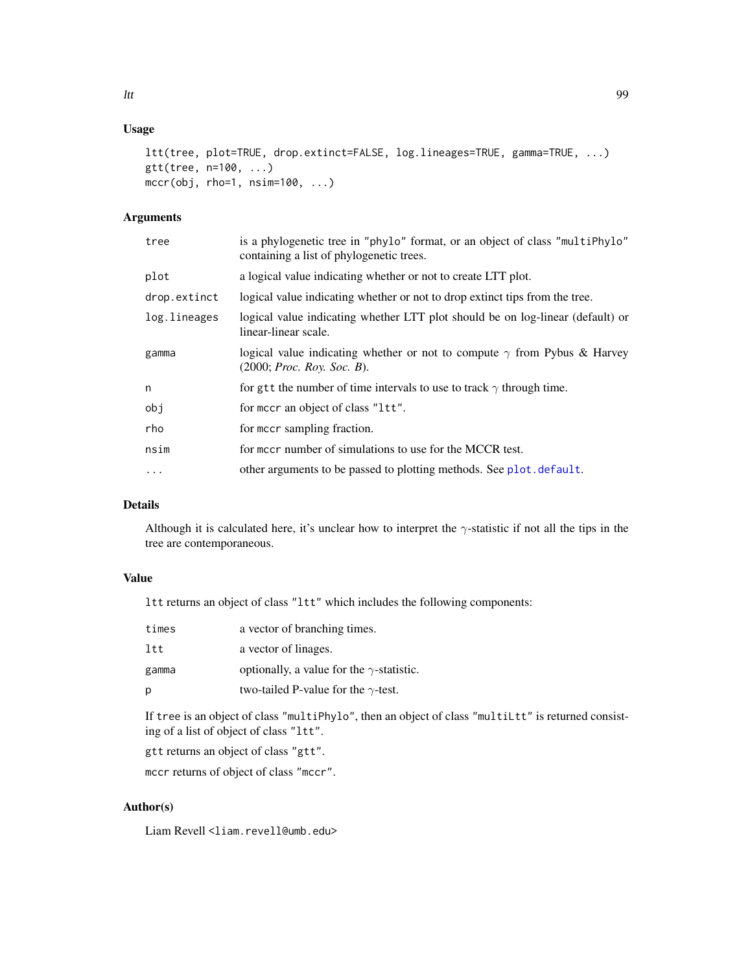# Usage

```
ltt(tree, plot=TRUE, drop.extinct=FALSE, log.lineages=TRUE, gamma=TRUE, ...)
gtt(tree, n=100, ...)
mccr(obj, rho=1, nsim=100, ...)
```
# Arguments

| tree         | is a phylogenetic tree in "phylo" format, or an object of class "multiphylo"<br>containing a list of phylogenetic trees. |
|--------------|--------------------------------------------------------------------------------------------------------------------------|
| plot         | a logical value indicating whether or not to create LTT plot.                                                            |
| drop.extinct | logical value indicating whether or not to drop extinct tips from the tree.                                              |
| log.lineages | logical value indicating whether LTT plot should be on log-linear (default) or<br>linear-linear scale.                   |
| gamma        | logical value indicating whether or not to compute $\gamma$ from Pybus & Harvey<br>(2000; <i>Proc. Roy. Soc. B)</i> .    |
| n            | for gtt the number of time intervals to use to track $\gamma$ through time.                                              |
| obj          | for meer an object of class "1tt".                                                                                       |
| rho          | for meer sampling fraction.                                                                                              |
| nsim         | for mccr number of simulations to use for the MCCR test.                                                                 |
| .            | other arguments to be passed to plotting methods. See plot. default.                                                     |
|              |                                                                                                                          |

# Details

Although it is calculated here, it's unclear how to interpret the  $\gamma$ -statistic if not all the tips in the tree are contemporaneous.

# Value

ltt returns an object of class "ltt" which includes the following components:

| times | a vector of branching times.                     |
|-------|--------------------------------------------------|
| ltt   | a vector of linages.                             |
| gamma | optionally, a value for the $\gamma$ -statistic. |
| р     | two-tailed P-value for the $\gamma$ -test.       |

If tree is an object of class "multiPhylo", then an object of class "multiLtt" is returned consisting of a list of object of class "ltt".

gtt returns an object of class "gtt".

mccr returns of object of class "mccr".

# Author(s)

Liam Revell <liam.revell@umb.edu>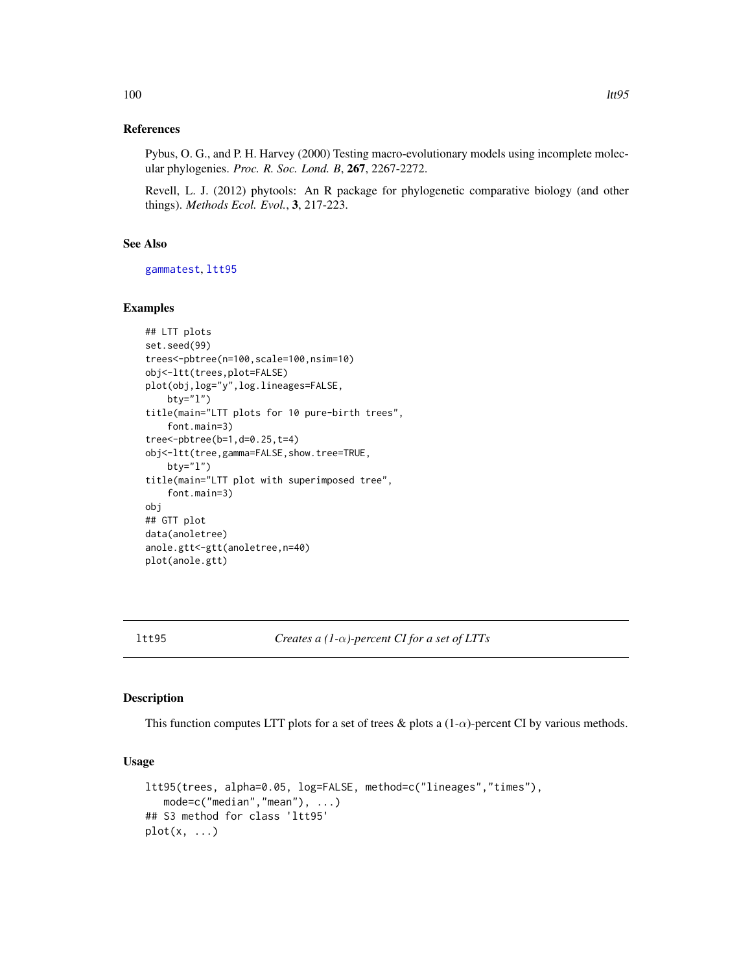## References

Pybus, O. G., and P. H. Harvey (2000) Testing macro-evolutionary models using incomplete molecular phylogenies. *Proc. R. Soc. Lond. B*, 267, 2267-2272.

Revell, L. J. (2012) phytools: An R package for phylogenetic comparative biology (and other things). *Methods Ecol. Evol.*, 3, 217-223.

# See Also

[gammatest](#page-83-0), [ltt95](#page-99-0)

## Examples

```
## LTT plots
set.seed(99)
trees<-pbtree(n=100,scale=100,nsim=10)
obj<-ltt(trees,plot=FALSE)
plot(obj,log="y",log.lineages=FALSE,
   bty="l")
title(main="LTT plots for 10 pure-birth trees",
    font.main=3)
tree<-pbtree(b=1,d=0.25,t=4)
obj<-ltt(tree,gamma=FALSE,show.tree=TRUE,
   bty="l")
title(main="LTT plot with superimposed tree",
    font.main=3)
obj
## GTT plot
data(anoletree)
anole.gtt<-gtt(anoletree,n=40)
plot(anole.gtt)
```
<span id="page-99-0"></span>ltt95 *Creates a (1-*α*)-percent CI for a set of LTTs*

#### Description

This function computes LTT plots for a set of trees & plots a  $(1-\alpha)$ -percent CI by various methods.

## Usage

```
ltt95(trees, alpha=0.05, log=FALSE, method=c("lineages","times"),
   mode=c("median","mean"), ...)
## S3 method for class 'ltt95'
plot(x, \ldots)
```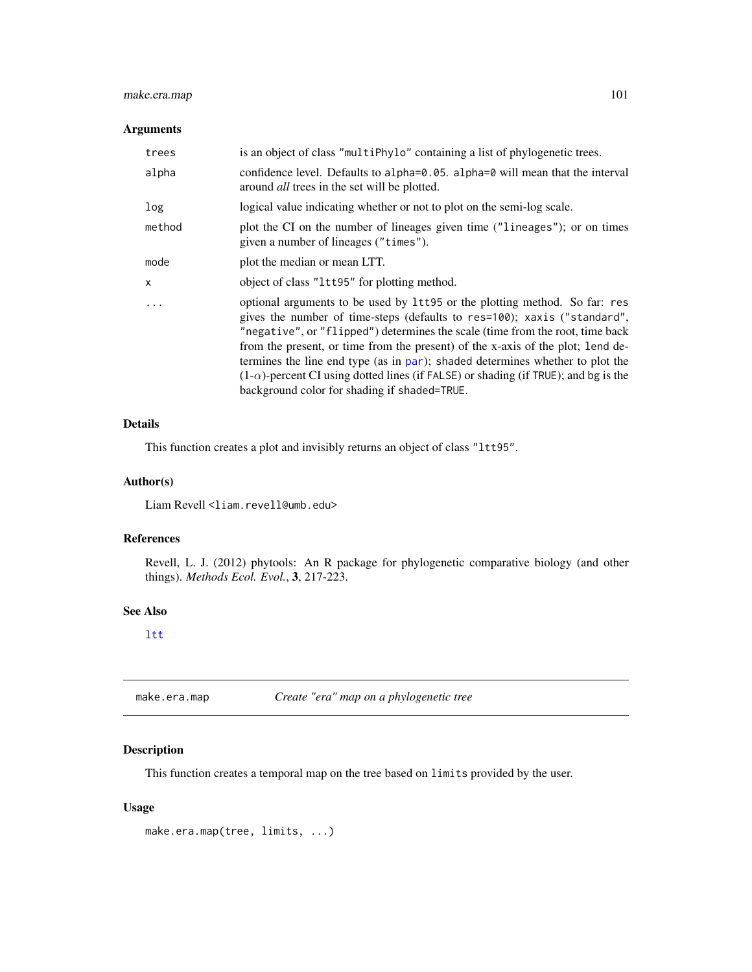# make.era.map 101

## Arguments

| trees   | is an object of class "multiPhylo" containing a list of phylogenetic trees.                                                                                                                                                                                                                                                                                                                                                                                                                                                                               |
|---------|-----------------------------------------------------------------------------------------------------------------------------------------------------------------------------------------------------------------------------------------------------------------------------------------------------------------------------------------------------------------------------------------------------------------------------------------------------------------------------------------------------------------------------------------------------------|
| alpha   | confidence level. Defaults to alpha= $\theta$ . $\theta$ 5. alpha= $\theta$ will mean that the interval<br>around <i>all</i> trees in the set will be plotted.                                                                                                                                                                                                                                                                                                                                                                                            |
| log     | logical value indicating whether or not to plot on the semi-log scale.                                                                                                                                                                                                                                                                                                                                                                                                                                                                                    |
| method  | plot the CI on the number of lineages given time ("lineages"); or on times<br>given a number of lineages ("times").                                                                                                                                                                                                                                                                                                                                                                                                                                       |
| mode    | plot the median or mean LTT.                                                                                                                                                                                                                                                                                                                                                                                                                                                                                                                              |
| X       | object of class "1tt95" for plotting method.                                                                                                                                                                                                                                                                                                                                                                                                                                                                                                              |
| $\cdot$ | optional arguments to be used by 1tt95 or the plotting method. So far: res<br>gives the number of time-steps (defaults to res=100); xaxis ("standard",<br>"negative", or "flipped") determines the scale (time from the root, time back<br>from the present, or time from the present) of the x-axis of the plot; lend de-<br>termines the line end type (as in par); shaded determines whether to plot the<br>$(1-\alpha)$ -percent CI using dotted lines (if FALSE) or shading (if TRUE); and bg is the<br>background color for shading if shaded=TRUE. |

## Details

This function creates a plot and invisibly returns an object of class "ltt95".

# Author(s)

Liam Revell <liam.revell@umb.edu>

## References

Revell, L. J. (2012) phytools: An R package for phylogenetic comparative biology (and other things). *Methods Ecol. Evol.*, 3, 217-223.

## See Also

# [ltt](#page-97-0)

make.era.map *Create "era" map on a phylogenetic tree*

# Description

This function creates a temporal map on the tree based on limits provided by the user.

# Usage

make.era.map(tree, limits, ...)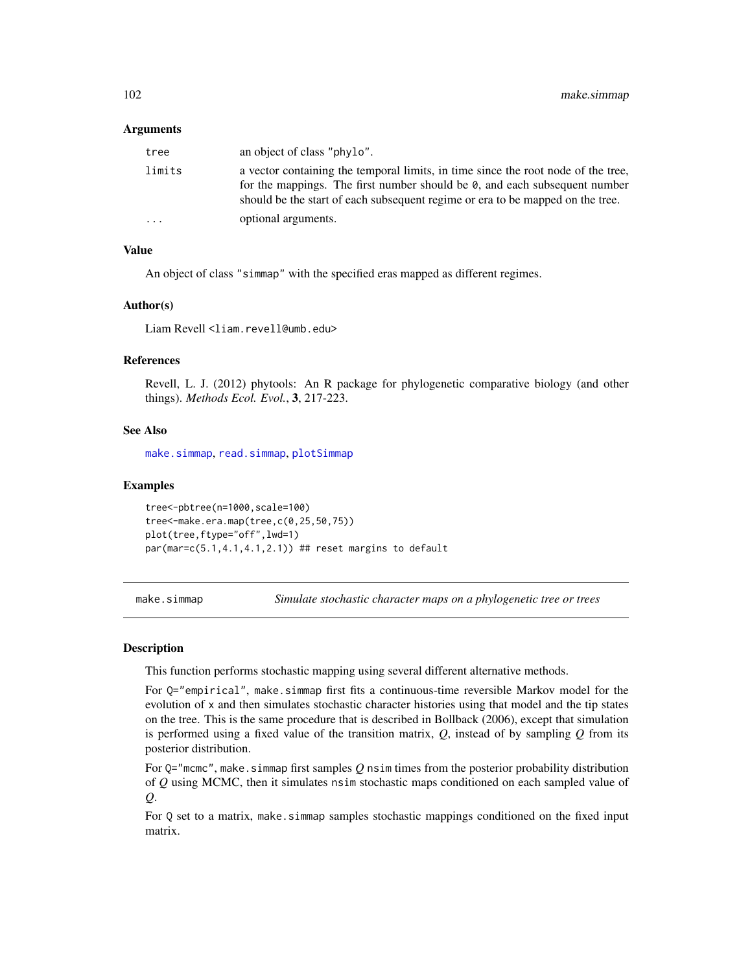#### Arguments

| tree    | an object of class "phylo".                                                                                                                                                                                                                               |
|---------|-----------------------------------------------------------------------------------------------------------------------------------------------------------------------------------------------------------------------------------------------------------|
| limits  | a vector containing the temporal limits, in time since the root node of the tree,<br>for the mappings. The first number should be $\theta$ , and each subsequent number<br>should be the start of each subsequent regime or era to be mapped on the tree. |
| $\cdot$ | optional arguments.                                                                                                                                                                                                                                       |

# Value

An object of class "simmap" with the specified eras mapped as different regimes.

#### Author(s)

Liam Revell <liam.revell@umb.edu>

## References

Revell, L. J. (2012) phytools: An R package for phylogenetic comparative biology (and other things). *Methods Ecol. Evol.*, 3, 217-223.

## See Also

[make.simmap](#page-101-0), [read.simmap](#page-168-0), [plotSimmap](#page-151-0)

#### Examples

```
tree<-pbtree(n=1000,scale=100)
tree<-make.era.map(tree,c(0,25,50,75))
plot(tree,ftype="off",lwd=1)
par(mar=c(5.1,4.1,4.1,2.1)) ## reset margins to default
```
<span id="page-101-0"></span>make.simmap *Simulate stochastic character maps on a phylogenetic tree or trees*

## Description

This function performs stochastic mapping using several different alternative methods.

For Q="empirical", make.simmap first fits a continuous-time reversible Markov model for the evolution of x and then simulates stochastic character histories using that model and the tip states on the tree. This is the same procedure that is described in Bollback (2006), except that simulation is performed using a fixed value of the transition matrix, *Q*, instead of by sampling *Q* from its posterior distribution.

For  $Q="m$ cmc", make.simmap first samples  $Q$  nsim times from the posterior probability distribution of *Q* using MCMC, then it simulates nsim stochastic maps conditioned on each sampled value of *Q*.

For Q set to a matrix, make.simmap samples stochastic mappings conditioned on the fixed input matrix.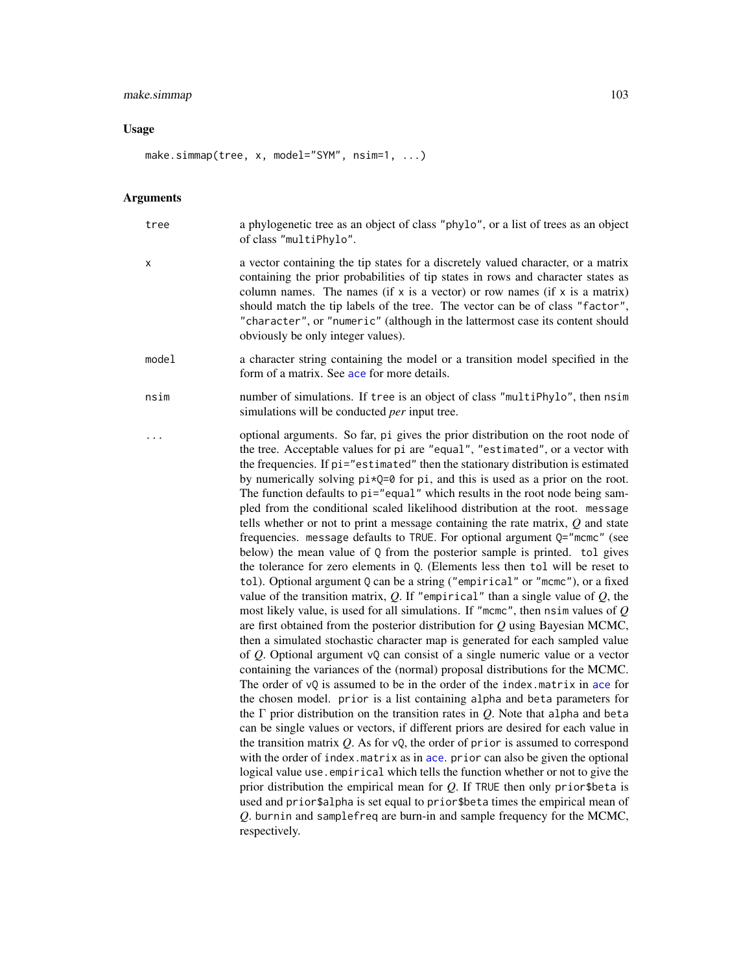#### make.simmap 103

#### Usage

make.simmap(tree, x, model="SYM", nsim=1, ...)

respectively.

#### Arguments

tree a phylogenetic tree as an object of class "phylo", or a list of trees as an object of class "multiPhylo". x a vector containing the tip states for a discretely valued character, or a matrix containing the prior probabilities of tip states in rows and character states as column names. The names (if  $x$  is a vector) or row names (if  $x$  is a matrix) should match the tip labels of the tree. The vector can be of class "factor", "character", or "numeric" (although in the lattermost case its content should obviously be only integer values). model a character string containing the model or a transition model specified in the form of a matrix. See [ace](#page-0-0) for more details. nsim number of simulations. If tree is an object of class "multiPhylo", then nsim simulations will be conducted *per* input tree. ... optional arguments. So far, pi gives the prior distribution on the root node of the tree. Acceptable values for pi are "equal", "estimated", or a vector with the frequencies. If pi="estimated" then the stationary distribution is estimated by numerically solving  $pi*Q=0$  for pi, and this is used as a prior on the root. The function defaults to pi="equal" which results in the root node being sampled from the conditional scaled likelihood distribution at the root. message tells whether or not to print a message containing the rate matrix, *Q* and state frequencies. message defaults to TRUE. For optional argument Q="mcmc" (see below) the mean value of Q from the posterior sample is printed. tol gives the tolerance for zero elements in Q. (Elements less then tol will be reset to tol). Optional argument Q can be a string ("empirical" or "mcmc"), or a fixed value of the transition matrix,  $Q$ . If "empirical" than a single value of  $Q$ , the most likely value, is used for all simulations. If "mcmc", then nsim values of *Q* are first obtained from the posterior distribution for *Q* using Bayesian MCMC, then a simulated stochastic character map is generated for each sampled value of *Q*. Optional argument vQ can consist of a single numeric value or a vector containing the variances of the (normal) proposal distributions for the MCMC. The order of  $vQ$  is assumed to be in the order of the index.matrix in [ace](#page-0-0) for the chosen model. prior is a list containing alpha and beta parameters for the Γ prior distribution on the transition rates in *Q*. Note that alpha and beta

> can be single values or vectors, if different priors are desired for each value in the transition matrix *Q*. As for vQ, the order of prior is assumed to correspond with the order of index.matrix as in [ace](#page-0-0). prior can also be given the optional logical value use.empirical which tells the function whether or not to give the prior distribution the empirical mean for *Q*. If TRUE then only prior\$beta is used and prior\$alpha is set equal to prior\$beta times the empirical mean of *Q*. burnin and samplefreq are burn-in and sample frequency for the MCMC,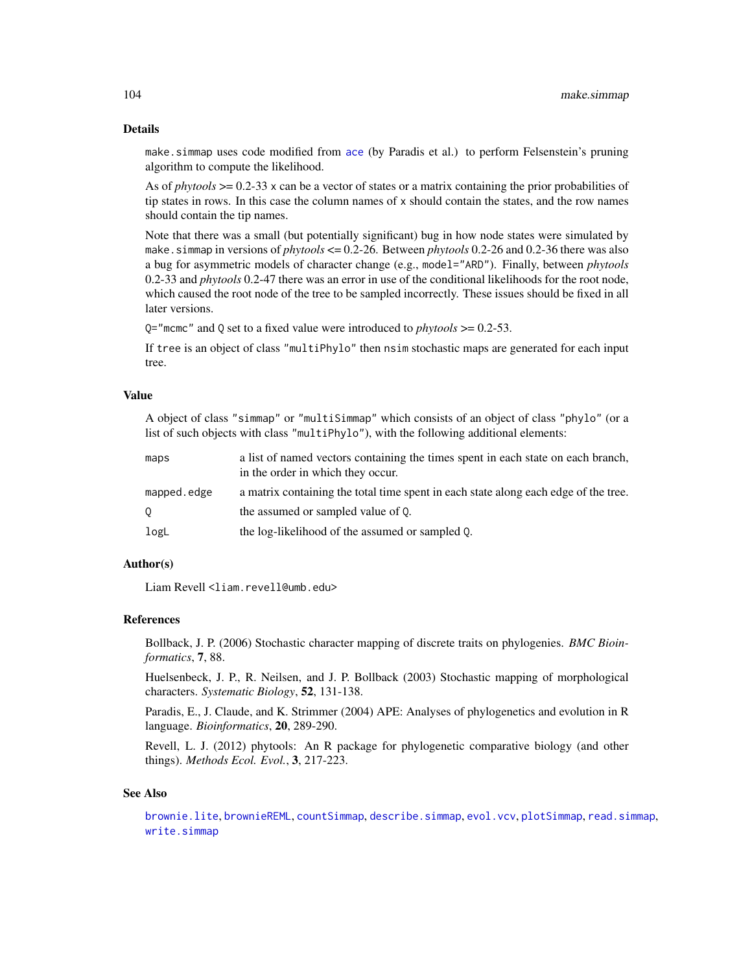#### Details

make.simmap uses code modified from [ace](#page-0-0) (by Paradis et al.) to perform Felsenstein's pruning algorithm to compute the likelihood.

As of *phytools* >= 0.2-33 x can be a vector of states or a matrix containing the prior probabilities of tip states in rows. In this case the column names of  $x$  should contain the states, and the row names should contain the tip names.

Note that there was a small (but potentially significant) bug in how node states were simulated by make.simmap in versions of *phytools* <= 0.2-26. Between *phytools* 0.2-26 and 0.2-36 there was also a bug for asymmetric models of character change (e.g., model="ARD"). Finally, between *phytools* 0.2-33 and *phytools* 0.2-47 there was an error in use of the conditional likelihoods for the root node, which caused the root node of the tree to be sampled incorrectly. These issues should be fixed in all later versions.

Q="mcmc" and Q set to a fixed value were introduced to *phytools* >= 0.2-53.

If tree is an object of class "multiPhylo" then nsim stochastic maps are generated for each input tree.

#### Value

A object of class "simmap" or "multiSimmap" which consists of an object of class "phylo" (or a list of such objects with class "multiPhylo"), with the following additional elements:

| maps        | a list of named vectors containing the times spent in each state on each branch,<br>in the order in which they occur. |
|-------------|-----------------------------------------------------------------------------------------------------------------------|
| mapped.edge | a matrix containing the total time spent in each state along each edge of the tree.                                   |
| $\circ$     | the assumed or sampled value of 0.                                                                                    |
| logL        | the log-likelihood of the assumed or sampled Q.                                                                       |

# Author(s)

Liam Revell <liam.revell@umb.edu>

## References

Bollback, J. P. (2006) Stochastic character mapping of discrete traits on phylogenies. *BMC Bioinformatics*, 7, 88.

Huelsenbeck, J. P., R. Neilsen, and J. P. Bollback (2003) Stochastic mapping of morphological characters. *Systematic Biology*, 52, 131-138.

Paradis, E., J. Claude, and K. Strimmer (2004) APE: Analyses of phylogenetics and evolution in R language. *Bioinformatics*, 20, 289-290.

Revell, L. J. (2012) phytools: An R package for phylogenetic comparative biology (and other things). *Methods Ecol. Evol.*, 3, 217-223.

#### See Also

[brownie.lite](#page-31-0), [brownieREML](#page-33-0), [countSimmap](#page-43-0), [describe.simmap](#page-50-0), [evol.vcv](#page-61-0), [plotSimmap](#page-151-0), [read.simmap](#page-168-0), [write.simmap](#page-200-0)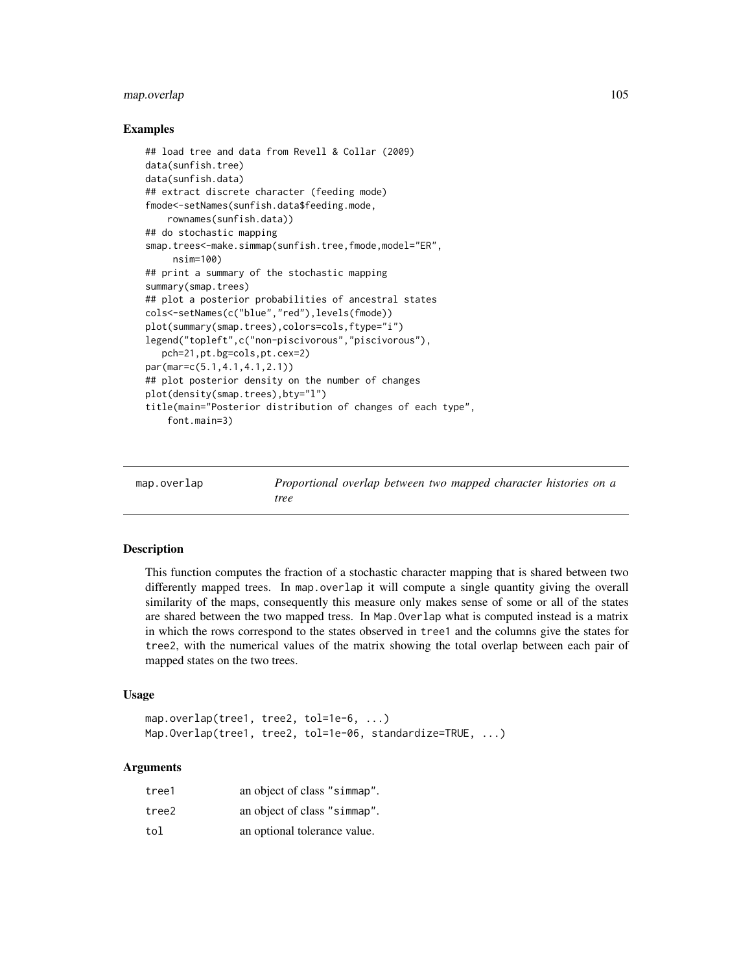# map.overlap 105

## Examples

```
## load tree and data from Revell & Collar (2009)
data(sunfish.tree)
data(sunfish.data)
## extract discrete character (feeding mode)
fmode<-setNames(sunfish.data$feeding.mode,
    rownames(sunfish.data))
## do stochastic mapping
smap.trees<-make.simmap(sunfish.tree,fmode,model="ER",
     nsim=100)
## print a summary of the stochastic mapping
summary(smap.trees)
## plot a posterior probabilities of ancestral states
cols<-setNames(c("blue","red"),levels(fmode))
plot(summary(smap.trees),colors=cols,ftype="i")
legend("topleft",c("non-piscivorous","piscivorous"),
   pch=21,pt.bg=cols,pt.cex=2)
par(mar=c(5.1,4.1,4.1,2.1))
## plot posterior density on the number of changes
plot(density(smap.trees),bty="l")
title(main="Posterior distribution of changes of each type",
    font.main=3)
```

| map.overlap | Proportional overlap between two mapped character histories on a |  |  |  |  |
|-------------|------------------------------------------------------------------|--|--|--|--|
|             | tree                                                             |  |  |  |  |

## **Description**

This function computes the fraction of a stochastic character mapping that is shared between two differently mapped trees. In map.overlap it will compute a single quantity giving the overall similarity of the maps, consequently this measure only makes sense of some or all of the states are shared between the two mapped tress. In Map.Overlap what is computed instead is a matrix in which the rows correspond to the states observed in tree1 and the columns give the states for tree2, with the numerical values of the matrix showing the total overlap between each pair of mapped states on the two trees.

## Usage

```
map.overlap(tree1, tree2, tol=1e-6, ...)
Map.Overlap(tree1, tree2, tol=1e-06, standardize=TRUE, ...)
```
## Arguments

| tree1 | an object of class "simmap". |
|-------|------------------------------|
| tree2 | an object of class "simmap". |
| tol   | an optional tolerance value. |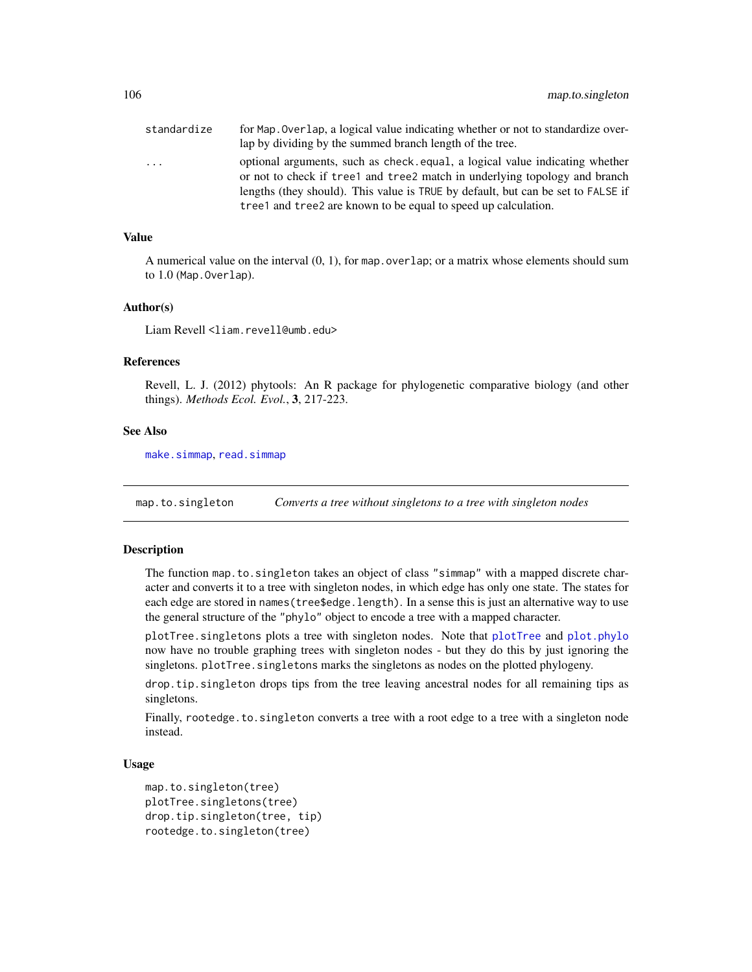| standardize | for Map. Overlap, a logical value indicating whether or not to standardize over-                                                                           |
|-------------|------------------------------------------------------------------------------------------------------------------------------------------------------------|
|             | lap by dividing by the summed branch length of the tree.                                                                                                   |
| .           | optional arguments, such as check, equal, a logical value indicating whether<br>or not to check if tree1 and tree2 match in underlying topology and branch |
|             | lengths (they should). This value is TRUE by default, but can be set to FALSE if                                                                           |
|             | tree1 and tree2 are known to be equal to speed up calculation.                                                                                             |

# Value

A numerical value on the interval  $(0, 1)$ , for map.overlap; or a matrix whose elements should sum to 1.0 (Map. Overlap).

#### Author(s)

Liam Revell <liam.revell@umb.edu>

#### References

Revell, L. J. (2012) phytools: An R package for phylogenetic comparative biology (and other things). *Methods Ecol. Evol.*, 3, 217-223.

# See Also

[make.simmap](#page-101-0), [read.simmap](#page-168-0)

map.to.singleton *Converts a tree without singletons to a tree with singleton nodes*

## **Description**

The function map.to.singleton takes an object of class "simmap" with a mapped discrete character and converts it to a tree with singleton nodes, in which edge has only one state. The states for each edge are stored in names(tree\$edge.length). In a sense this is just an alternative way to use the general structure of the "phylo" object to encode a tree with a mapped character.

[plotTree](#page-155-0).singletons plots a tree with singleton nodes. Note that plotTree and [plot.phylo](#page-0-0) now have no trouble graphing trees with singleton nodes - but they do this by just ignoring the singletons. plotTree. singletons marks the singletons as nodes on the plotted phylogeny.

drop.tip.singleton drops tips from the tree leaving ancestral nodes for all remaining tips as singletons.

Finally, rootedge.to.singleton converts a tree with a root edge to a tree with a singleton node instead.

## Usage

```
map.to.singleton(tree)
plotTree.singletons(tree)
drop.tip.singleton(tree, tip)
rootedge.to.singleton(tree)
```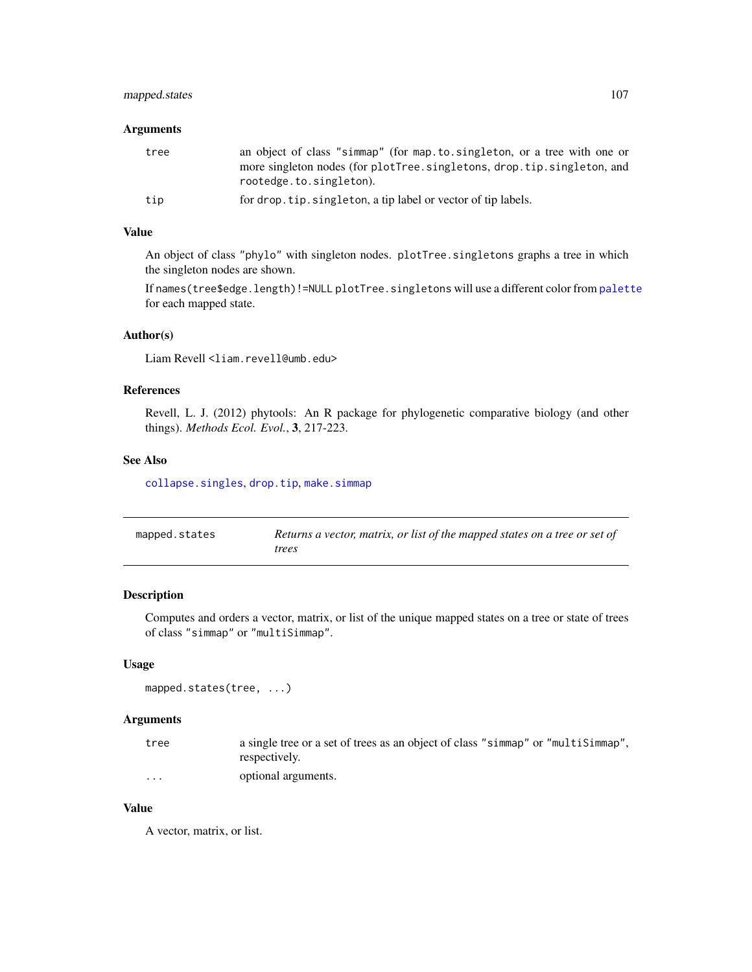# mapped.states 107

# Arguments

| tree | an object of class "simmap" (for map.to.singleton, or a tree with one or<br>more singleton nodes (for plotTree.singletons, drop.tip.singleton, and<br>rootedge.to.singleton). |
|------|-------------------------------------------------------------------------------------------------------------------------------------------------------------------------------|
| tip  | for drop.tip.singleton, a tip label or vector of tip labels.                                                                                                                  |

## Value

An object of class "phylo" with singleton nodes. plotTree.singletons graphs a tree in which the singleton nodes are shown.

If names(tree\$edge.length)!=NULL plotTree.singletons will use a different color from [palette](#page-0-0) for each mapped state.

## Author(s)

Liam Revell <liam.revell@umb.edu>

# References

Revell, L. J. (2012) phytools: An R package for phylogenetic comparative biology (and other things). *Methods Ecol. Evol.*, 3, 217-223.

#### See Also

[collapse.singles](#page-0-0), [drop.tip](#page-0-0), [make.simmap](#page-101-0)

| mapped.states | Returns a vector, matrix, or list of the mapped states on a tree or set of |
|---------------|----------------------------------------------------------------------------|
|               | trees                                                                      |

# Description

Computes and orders a vector, matrix, or list of the unique mapped states on a tree or state of trees of class "simmap" or "multiSimmap".

## Usage

```
mapped.states(tree, ...)
```
## Arguments

| tree | a single tree or a set of trees as an object of class "simmap" or "multisimmap". |
|------|----------------------------------------------------------------------------------|
|      | respectively.                                                                    |
| .    | optional arguments.                                                              |

# Value

A vector, matrix, or list.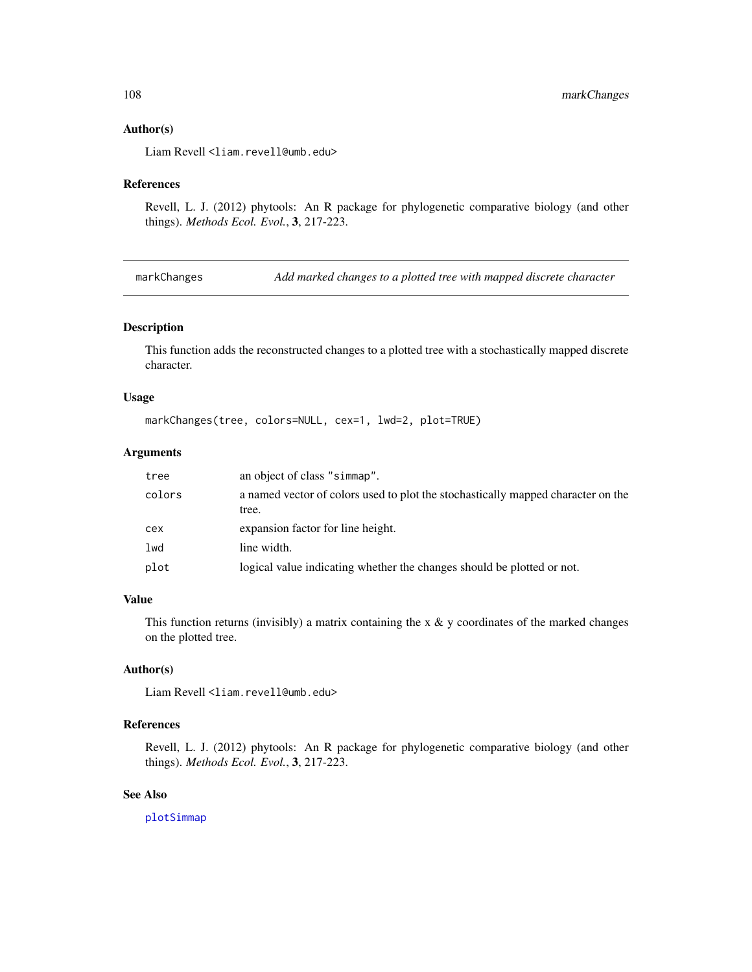#### Author(s)

Liam Revell <liam.revell@umb.edu>

#### References

Revell, L. J. (2012) phytools: An R package for phylogenetic comparative biology (and other things). *Methods Ecol. Evol.*, 3, 217-223.

markChanges *Add marked changes to a plotted tree with mapped discrete character*

#### Description

This function adds the reconstructed changes to a plotted tree with a stochastically mapped discrete character.

## Usage

```
markChanges(tree, colors=NULL, cex=1, lwd=2, plot=TRUE)
```
# Arguments

| tree   | an object of class "simmap".                                                              |
|--------|-------------------------------------------------------------------------------------------|
| colors | a named vector of colors used to plot the stochastically mapped character on the<br>tree. |
| cex    | expansion factor for line height.                                                         |
| lwd    | line width.                                                                               |
| plot   | logical value indicating whether the changes should be plotted or not.                    |

## Value

This function returns (invisibly) a matrix containing the  $x \& y$  coordinates of the marked changes on the plotted tree.

## Author(s)

Liam Revell <liam.revell@umb.edu>

## References

Revell, L. J. (2012) phytools: An R package for phylogenetic comparative biology (and other things). *Methods Ecol. Evol.*, 3, 217-223.

#### See Also

[plotSimmap](#page-151-0)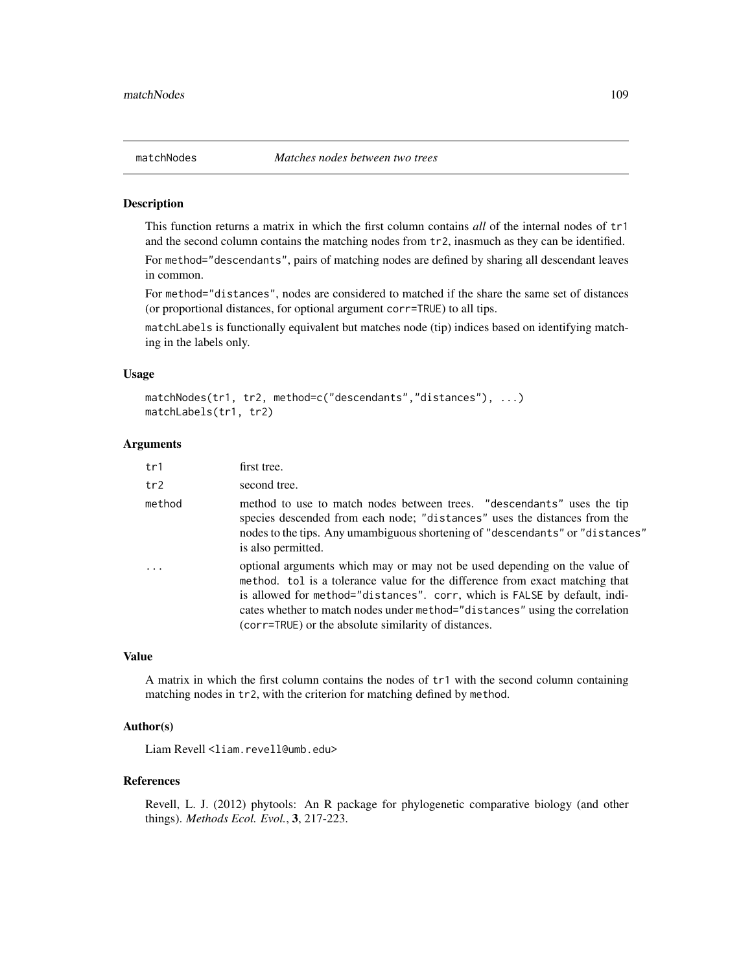This function returns a matrix in which the first column contains *all* of the internal nodes of tr1 and the second column contains the matching nodes from tr2, inasmuch as they can be identified.

For method="descendants", pairs of matching nodes are defined by sharing all descendant leaves in common.

For method="distances", nodes are considered to matched if the share the same set of distances (or proportional distances, for optional argument corr=TRUE) to all tips.

matchLabels is functionally equivalent but matches node (tip) indices based on identifying matching in the labels only.

# Usage

```
matchNodes(tr1, tr2, method=c("descendants","distances"), ...)
matchLabels(tr1, tr2)
```
# Arguments

| tr1      | first tree.                                                                                                                                                                                                                                                                                                                                                                   |
|----------|-------------------------------------------------------------------------------------------------------------------------------------------------------------------------------------------------------------------------------------------------------------------------------------------------------------------------------------------------------------------------------|
| tr2      | second tree.                                                                                                                                                                                                                                                                                                                                                                  |
| method   | method to use to match nodes between trees. "descendants" uses the tip<br>species descended from each node; "distances" uses the distances from the<br>nodes to the tips. Any umambiguous shortening of "descendants" or "distances"<br>is also permitted.                                                                                                                    |
| $\ddots$ | optional arguments which may or may not be used depending on the value of<br>method. tol is a tolerance value for the difference from exact matching that<br>is allowed for method="distances". corr, which is FALSE by default, indi-<br>cates whether to match nodes under method="distances" using the correlation<br>(corr=TRUE) or the absolute similarity of distances. |

# Value

A matrix in which the first column contains the nodes of tr1 with the second column containing matching nodes in tr2, with the criterion for matching defined by method.

# Author(s)

Liam Revell <liam.revell@umb.edu>

#### References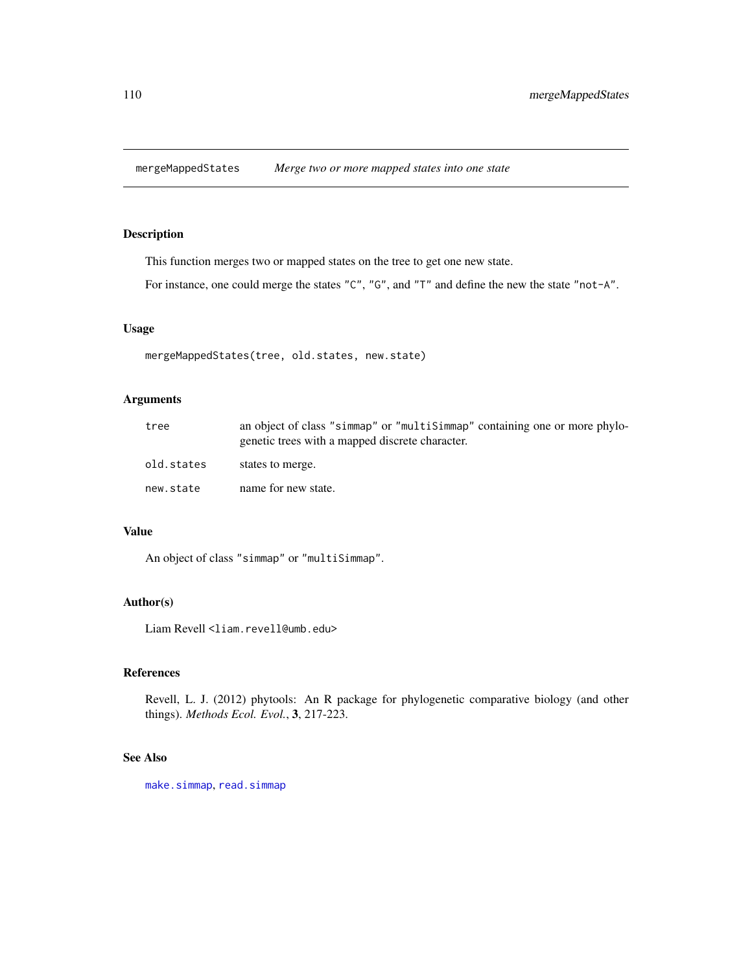mergeMappedStates *Merge two or more mapped states into one state*

# Description

This function merges two or mapped states on the tree to get one new state.

For instance, one could merge the states "C", "G", and "T" and define the new the state "not-A".

# Usage

```
mergeMappedStates(tree, old.states, new.state)
```
# Arguments

| tree       | an object of class "simmap" or "multisimmap" containing one or more phylo-<br>genetic trees with a mapped discrete character. |
|------------|-------------------------------------------------------------------------------------------------------------------------------|
| old.states | states to merge.                                                                                                              |
| new.state  | name for new state.                                                                                                           |

# Value

An object of class "simmap" or "multiSimmap".

# Author(s)

Liam Revell <liam.revell@umb.edu>

# References

Revell, L. J. (2012) phytools: An R package for phylogenetic comparative biology (and other things). *Methods Ecol. Evol.*, 3, 217-223.

# See Also

[make.simmap](#page-101-0), [read.simmap](#page-168-0)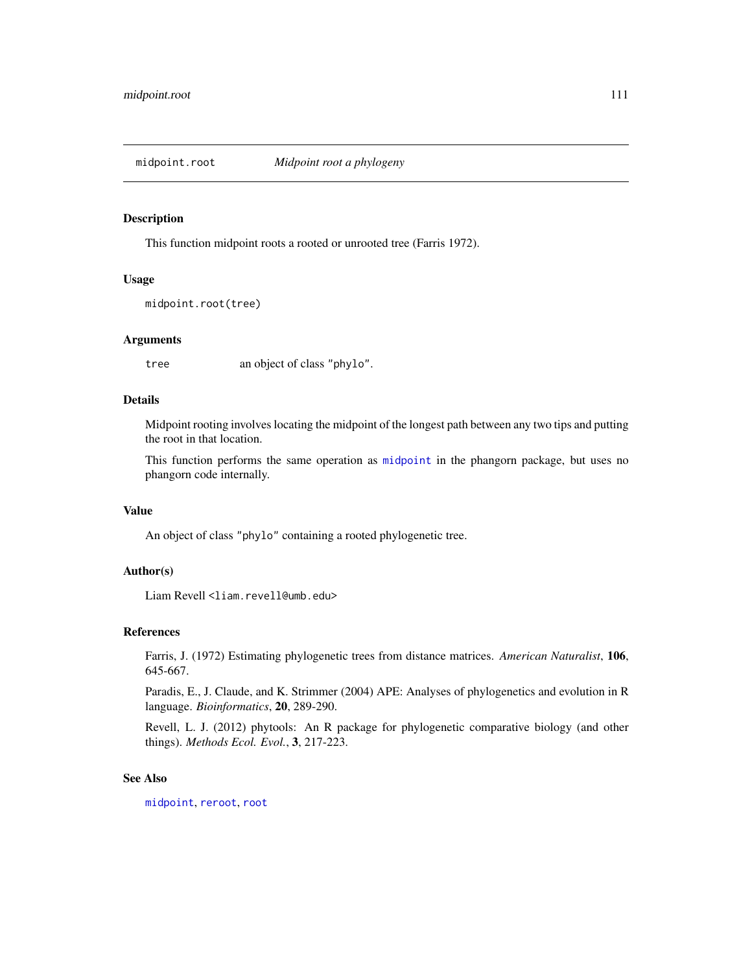This function midpoint roots a rooted or unrooted tree (Farris 1972).

## Usage

```
midpoint.root(tree)
```
## Arguments

tree an object of class "phylo".

# Details

Midpoint rooting involves locating the midpoint of the longest path between any two tips and putting the root in that location.

This function performs the same operation as [midpoint](#page-0-0) in the phangorn package, but uses no phangorn code internally.

## Value

An object of class "phylo" containing a rooted phylogenetic tree.

## Author(s)

Liam Revell <liam.revell@umb.edu>

#### References

Farris, J. (1972) Estimating phylogenetic trees from distance matrices. *American Naturalist*, 106, 645-667.

Paradis, E., J. Claude, and K. Strimmer (2004) APE: Analyses of phylogenetics and evolution in R language. *Bioinformatics*, 20, 289-290.

Revell, L. J. (2012) phytools: An R package for phylogenetic comparative biology (and other things). *Methods Ecol. Evol.*, 3, 217-223.

# See Also

[midpoint](#page-0-0), [reroot](#page-172-0), [root](#page-0-0)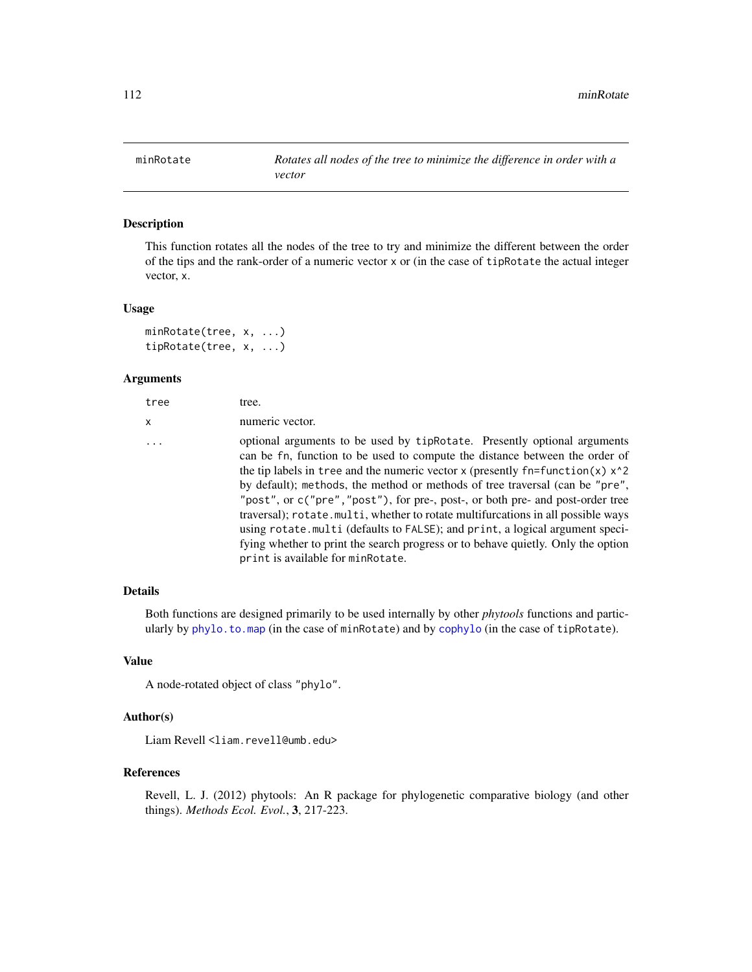This function rotates all the nodes of the tree to try and minimize the different between the order of the tips and the rank-order of a numeric vector x or (in the case of tipRotate the actual integer vector, x.

#### Usage

```
minRotate(tree, x, ...)
tipRotate(tree, x, ...)
```
## Arguments

| tree     | tree.                                                                                                                                                                                                                                                                                                                                                                                                                                                                                                                                                                                                                                                                                                                  |
|----------|------------------------------------------------------------------------------------------------------------------------------------------------------------------------------------------------------------------------------------------------------------------------------------------------------------------------------------------------------------------------------------------------------------------------------------------------------------------------------------------------------------------------------------------------------------------------------------------------------------------------------------------------------------------------------------------------------------------------|
| x        | numeric vector.                                                                                                                                                                                                                                                                                                                                                                                                                                                                                                                                                                                                                                                                                                        |
| $\ddots$ | optional arguments to be used by tipRotate. Presently optional arguments<br>can be fn, function to be used to compute the distance between the order of<br>the tip labels in tree and the numeric vector x (presently $fn = function(x)$ x <sup>2</sup><br>by default); methods, the method or methods of tree traversal (can be "pre",<br>"post", or c("pre", "post"), for pre-, post-, or both pre- and post-order tree<br>traversal); rotate.multi, whether to rotate multifurcations in all possible ways<br>using rotate.multi (defaults to FALSE); and print, a logical argument speci-<br>fying whether to print the search progress or to behave quietly. Only the option<br>print is available for minRotate. |
|          |                                                                                                                                                                                                                                                                                                                                                                                                                                                                                                                                                                                                                                                                                                                        |

## Details

Both functions are designed primarily to be used internally by other *phytools* functions and particularly by [phylo.to.map](#page-140-0) (in the case of minRotate) and by [cophylo](#page-40-0) (in the case of tipRotate).

# Value

A node-rotated object of class "phylo".

# Author(s)

Liam Revell <liam.revell@umb.edu>

## References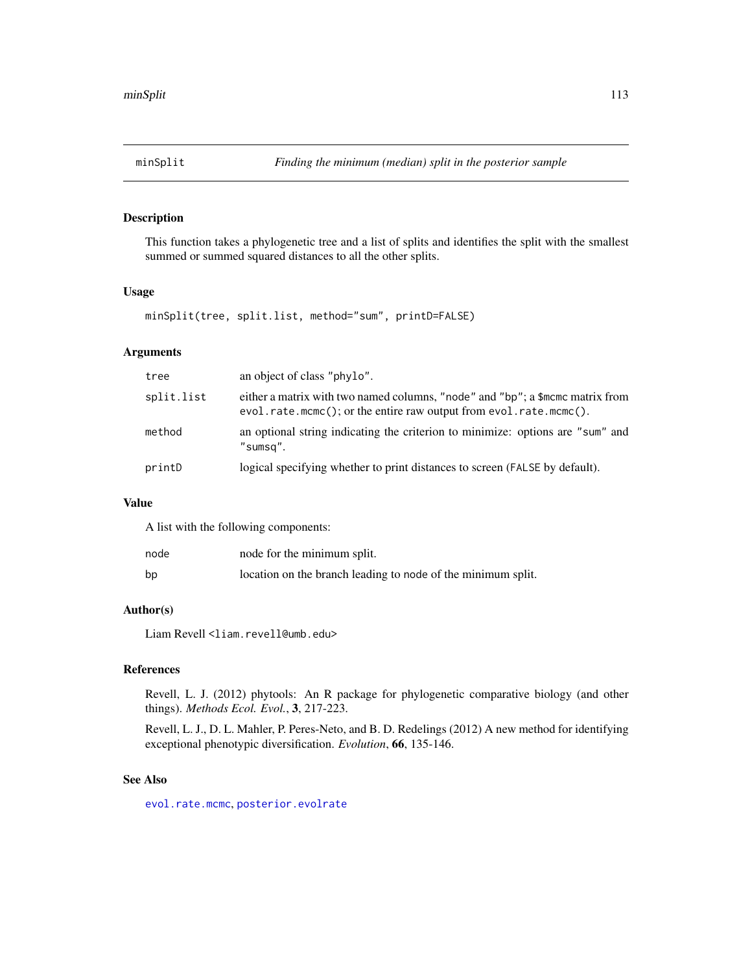This function takes a phylogenetic tree and a list of splits and identifies the split with the smallest summed or summed squared distances to all the other splits.

# Usage

minSplit(tree, split.list, method="sum", printD=FALSE)

# Arguments

| tree       | an object of class "phylo".                                                                                                                        |
|------------|----------------------------------------------------------------------------------------------------------------------------------------------------|
| split.list | either a matrix with two named columns, "node" and "bp"; a \$mcmc matrix from<br>evol.rate.mcmc(); or the entire raw output from evol.rate.mcmc(). |
| method     | an optional string indicating the criterion to minimize: options are "sum" and<br>"sumsq".                                                         |
| printD     | logical specifying whether to print distances to screen (FALSE by default).                                                                        |

# Value

A list with the following components:

| node | node for the minimum split.                                  |
|------|--------------------------------------------------------------|
| bp   | location on the branch leading to node of the minimum split. |

# Author(s)

Liam Revell <liam.revell@umb.edu>

## References

Revell, L. J. (2012) phytools: An R package for phylogenetic comparative biology (and other things). *Methods Ecol. Evol.*, 3, 217-223.

Revell, L. J., D. L. Mahler, P. Peres-Neto, and B. D. Redelings (2012) A new method for identifying exceptional phenotypic diversification. *Evolution*, 66, 135-146.

# See Also

[evol.rate.mcmc](#page-60-0), [posterior.evolrate](#page-160-0)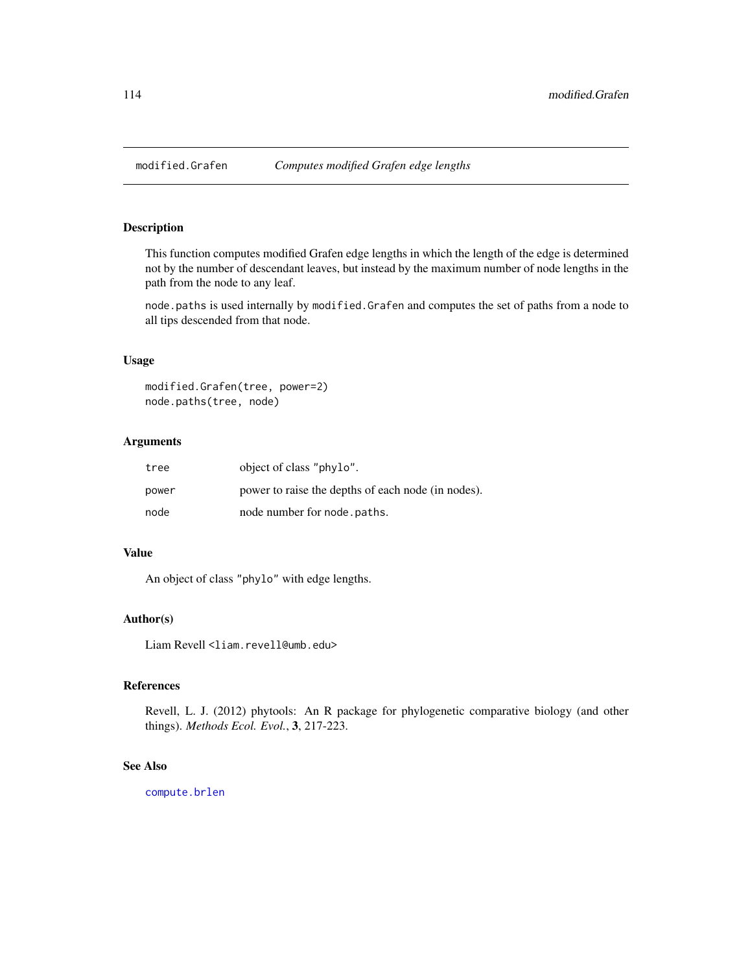This function computes modified Grafen edge lengths in which the length of the edge is determined not by the number of descendant leaves, but instead by the maximum number of node lengths in the path from the node to any leaf.

node.paths is used internally by modified.Grafen and computes the set of paths from a node to all tips descended from that node.

# Usage

```
modified.Grafen(tree, power=2)
node.paths(tree, node)
```
# Arguments

| tree  | object of class "phylo".                           |
|-------|----------------------------------------------------|
| power | power to raise the depths of each node (in nodes). |
| node  | node number for node . paths.                      |

## Value

An object of class "phylo" with edge lengths.

## Author(s)

Liam Revell <liam.revell@umb.edu>

# References

Revell, L. J. (2012) phytools: An R package for phylogenetic comparative biology (and other things). *Methods Ecol. Evol.*, 3, 217-223.

## See Also

[compute.brlen](#page-0-0)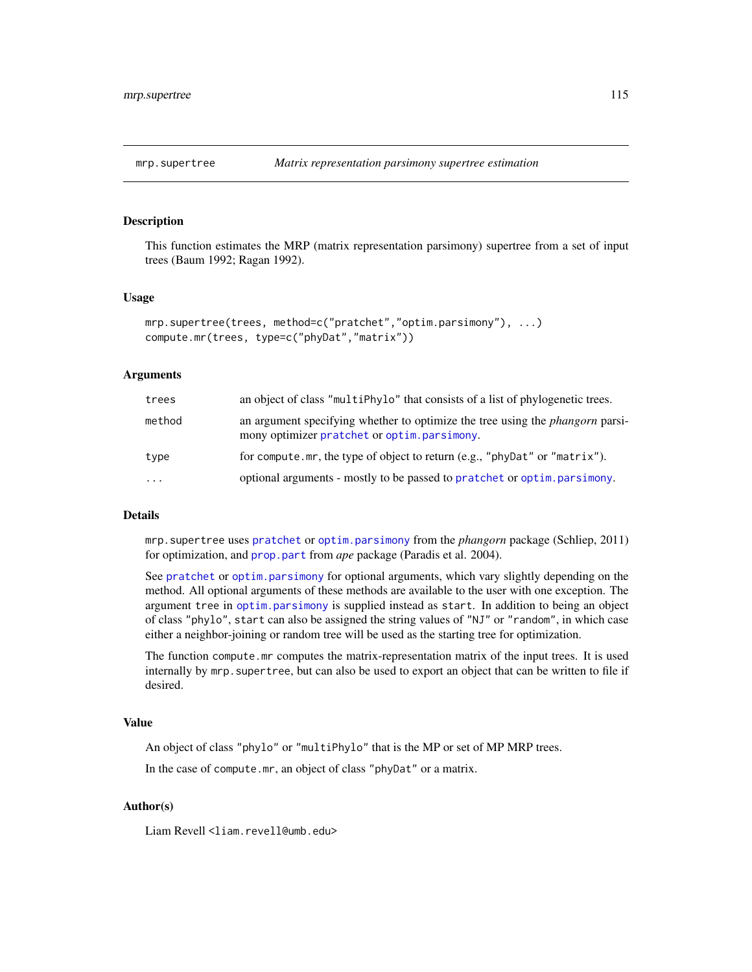This function estimates the MRP (matrix representation parsimony) supertree from a set of input trees (Baum 1992; Ragan 1992).

#### Usage

```
mrp.supertree(trees, method=c("pratchet","optim.parsimony"), ...)
compute.mr(trees, type=c("phyDat","matrix"))
```
## Arguments

| trees     | an object of class "multiPhylo" that consists of a list of phylogenetic trees.                                                      |
|-----------|-------------------------------------------------------------------------------------------------------------------------------------|
| method    | an argument specifying whether to optimize the tree using the <i>phangorn</i> parsi-<br>mony optimizer pratchet or optim.parsimony. |
| type      | for compute.mr, the type of object to return (e.g., "phyDat" or "matrix").                                                          |
| $\ddotsc$ | optional arguments - mostly to be passed to pratchet or optim. parsimony.                                                           |

## Details

mrp.supertree uses [pratchet](#page-0-0) or [optim.parsimony](#page-0-0) from the *phangorn* package (Schliep, 2011) for optimization, and [prop.part](#page-0-0) from *ape* package (Paradis et al. 2004).

See [pratchet](#page-0-0) or [optim.parsimony](#page-0-0) for optional arguments, which vary slightly depending on the method. All optional arguments of these methods are available to the user with one exception. The argument tree in [optim.parsimony](#page-0-0) is supplied instead as start. In addition to being an object of class "phylo", start can also be assigned the string values of "NJ" or "random", in which case either a neighbor-joining or random tree will be used as the starting tree for optimization.

The function compute.mr computes the matrix-representation matrix of the input trees. It is used internally by mrp.supertree, but can also be used to export an object that can be written to file if desired.

## Value

An object of class "phylo" or "multiPhylo" that is the MP or set of MP MRP trees.

In the case of compute.mr, an object of class "phyDat" or a matrix.

## Author(s)

Liam Revell <liam.revell@umb.edu>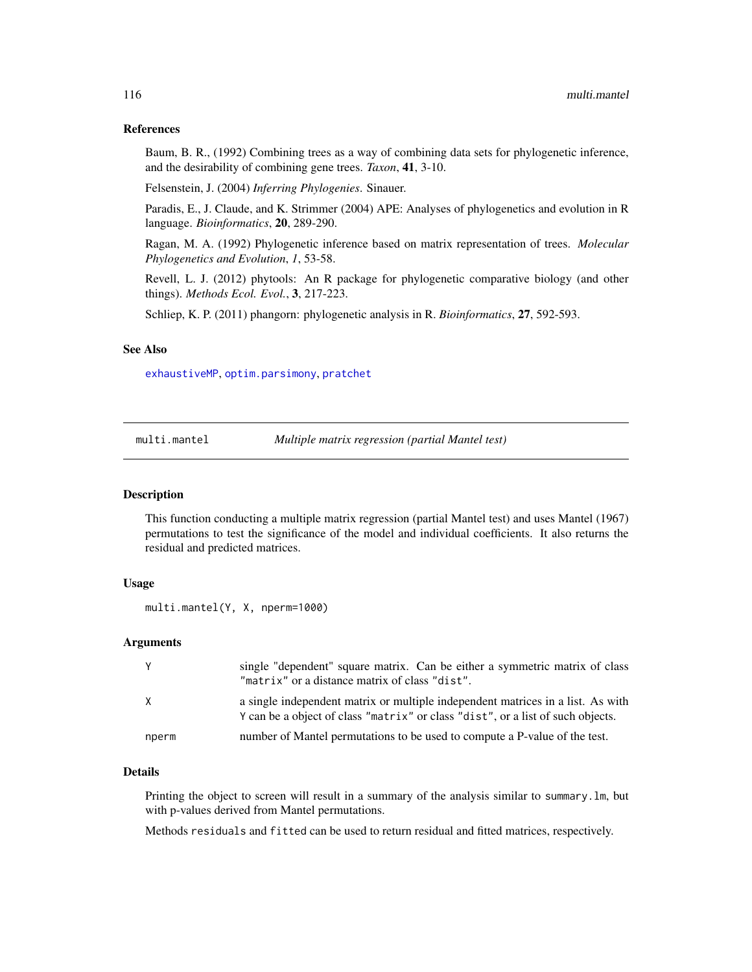## References

Baum, B. R., (1992) Combining trees as a way of combining data sets for phylogenetic inference, and the desirability of combining gene trees. *Taxon*, 41, 3-10.

Felsenstein, J. (2004) *Inferring Phylogenies*. Sinauer.

Paradis, E., J. Claude, and K. Strimmer (2004) APE: Analyses of phylogenetics and evolution in R language. *Bioinformatics*, 20, 289-290.

Ragan, M. A. (1992) Phylogenetic inference based on matrix representation of trees. *Molecular Phylogenetics and Evolution*, *1*, 53-58.

Revell, L. J. (2012) phytools: An R package for phylogenetic comparative biology (and other things). *Methods Ecol. Evol.*, 3, 217-223.

Schliep, K. P. (2011) phangorn: phylogenetic analysis in R. *Bioinformatics*, 27, 592-593.

## See Also

[exhaustiveMP](#page-64-0), [optim.parsimony](#page-0-0), [pratchet](#page-0-0)

multi.mantel *Multiple matrix regression (partial Mantel test)*

## Description

This function conducting a multiple matrix regression (partial Mantel test) and uses Mantel (1967) permutations to test the significance of the model and individual coefficients. It also returns the residual and predicted matrices.

## Usage

```
multi.mantel(Y, X, nperm=1000)
```
# Arguments

| Y     | single "dependent" square matrix. Can be either a symmetric matrix of class<br>"matrix" or a distance matrix of class "dist".                                      |
|-------|--------------------------------------------------------------------------------------------------------------------------------------------------------------------|
| X     | a single independent matrix or multiple independent matrices in a list. As with<br>Y can be a object of class "matrix" or class "dist", or a list of such objects. |
| nperm | number of Mantel permutations to be used to compute a P-value of the test.                                                                                         |

# Details

Printing the object to screen will result in a summary of the analysis similar to summary.lm, but with p-values derived from Mantel permutations.

Methods residuals and fitted can be used to return residual and fitted matrices, respectively.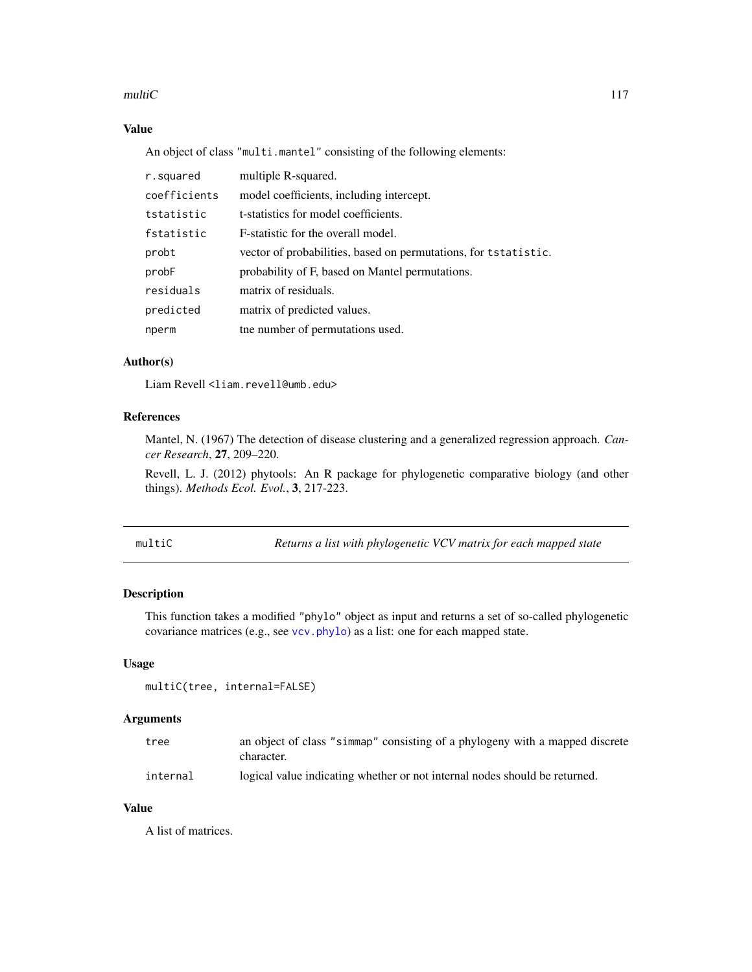## multiC and  $\overline{C}$  117

# Value

An object of class "multi.mantel" consisting of the following elements:

| r.squared    | multiple R-squared.                                             |
|--------------|-----------------------------------------------------------------|
| coefficients | model coefficients, including intercept.                        |
| tstatistic   | t-statistics for model coefficients.                            |
| fstatistic   | F-statistic for the overall model.                              |
| probt        | vector of probabilities, based on permutations, for tstatistic. |
| probF        | probability of F, based on Mantel permutations.                 |
| residuals    | matrix of residuals.                                            |
| predicted    | matrix of predicted values.                                     |
| nperm        | the number of permutations used.                                |

# Author(s)

Liam Revell <liam.revell@umb.edu>

# References

Mantel, N. (1967) The detection of disease clustering and a generalized regression approach. *Cancer Research*, 27, 209–220.

Revell, L. J. (2012) phytools: An R package for phylogenetic comparative biology (and other things). *Methods Ecol. Evol.*, 3, 217-223.

multiC *Returns a list with phylogenetic VCV matrix for each mapped state*

# Description

This function takes a modified "phylo" object as input and returns a set of so-called phylogenetic covariance matrices (e.g., see [vcv.phylo](#page-0-0)) as a list: one for each mapped state.

## Usage

```
multiC(tree, internal=FALSE)
```
# Arguments

| tree     | an object of class "simmap" consisting of a phylogeny with a mapped discrete<br>character. |
|----------|--------------------------------------------------------------------------------------------|
| internal | logical value indicating whether or not internal nodes should be returned.                 |

# Value

A list of matrices.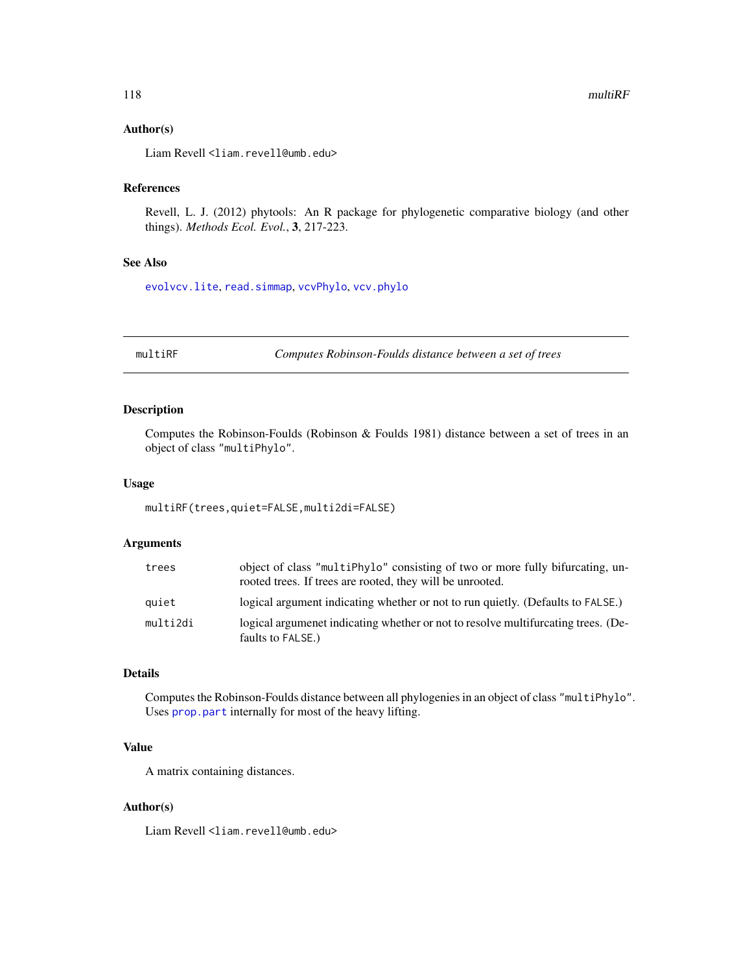## Author(s)

Liam Revell <liam.revell@umb.edu>

# References

Revell, L. J. (2012) phytools: An R package for phylogenetic comparative biology (and other things). *Methods Ecol. Evol.*, 3, 217-223.

# See Also

[evolvcv.lite](#page-63-0), [read.simmap](#page-168-0), [vcvPhylo](#page-199-0), [vcv.phylo](#page-0-0)

multiRF *Computes Robinson-Foulds distance between a set of trees*

# Description

Computes the Robinson-Foulds (Robinson & Foulds 1981) distance between a set of trees in an object of class "multiPhylo".

## Usage

multiRF(trees,quiet=FALSE,multi2di=FALSE)

# Arguments

| trees    | object of class "multiPhylo" consisting of two or more fully bifurcating, un-<br>rooted trees. If trees are rooted, they will be unrooted. |
|----------|--------------------------------------------------------------------------------------------------------------------------------------------|
| quiet    | logical argument indicating whether or not to run quietly. (Defaults to FALSE.)                                                            |
| multi2di | logical argument indicating whether or not to resolve multifurcating trees. (De-<br>faults to FALSE.)                                      |

#### Details

Computes the Robinson-Foulds distance between all phylogenies in an object of class "multiPhylo". Uses [prop.part](#page-0-0) internally for most of the heavy lifting.

# Value

A matrix containing distances.

# Author(s)

Liam Revell <liam.revell@umb.edu>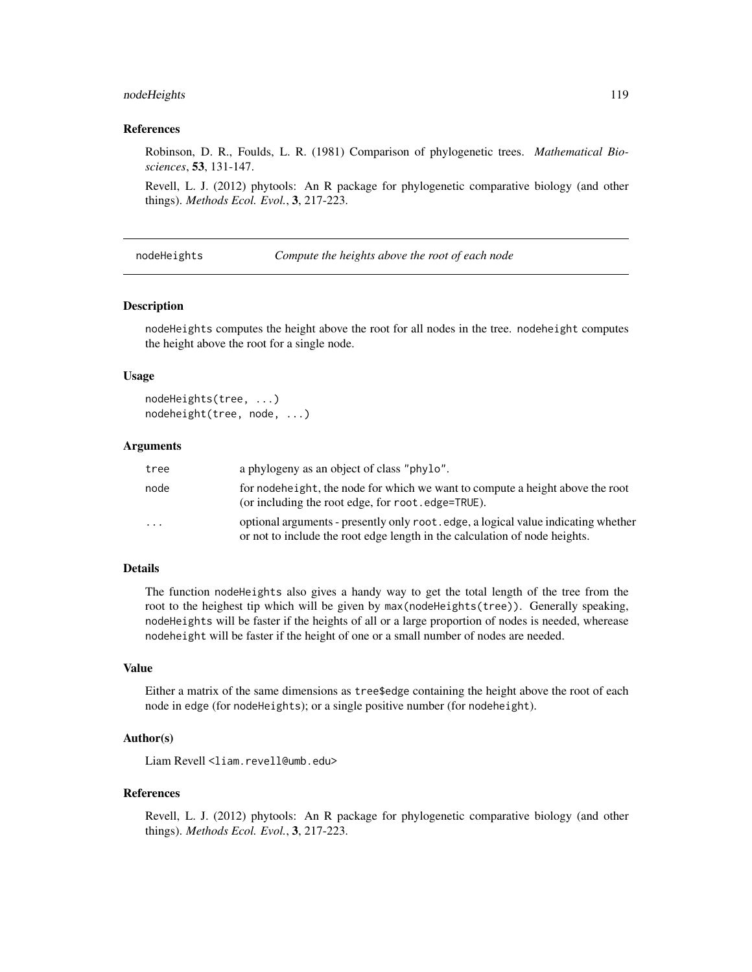# nodeHeights 119

## References

Robinson, D. R., Foulds, L. R. (1981) Comparison of phylogenetic trees. *Mathematical Biosciences*, 53, 131-147.

Revell, L. J. (2012) phytools: An R package for phylogenetic comparative biology (and other things). *Methods Ecol. Evol.*, 3, 217-223.

nodeHeights *Compute the heights above the root of each node*

## Description

nodeHeights computes the height above the root for all nodes in the tree. nodeheight computes the height above the root for a single node.

## Usage

```
nodeHeights(tree, ...)
nodeheight(tree, node, ...)
```
## Arguments

| tree                    | a phylogeny as an object of class "phylo".                                                                                                                      |
|-------------------------|-----------------------------------------------------------------------------------------------------------------------------------------------------------------|
| node                    | for nodeheight, the node for which we want to compute a height above the root<br>(or including the root edge, for root . edge=TRUE).                            |
| $\cdot$ $\cdot$ $\cdot$ | optional arguments - presently only root edge, a logical value indicating whether<br>or not to include the root edge length in the calculation of node heights. |

# Details

The function nodeHeights also gives a handy way to get the total length of the tree from the root to the heighest tip which will be given by max(nodeHeights(tree)). Generally speaking, nodeHeights will be faster if the heights of all or a large proportion of nodes is needed, wherease nodeheight will be faster if the height of one or a small number of nodes are needed.

## Value

Either a matrix of the same dimensions as tree\$edge containing the height above the root of each node in edge (for nodeHeights); or a single positive number (for nodeheight).

## Author(s)

Liam Revell <liam.revell@umb.edu>

#### References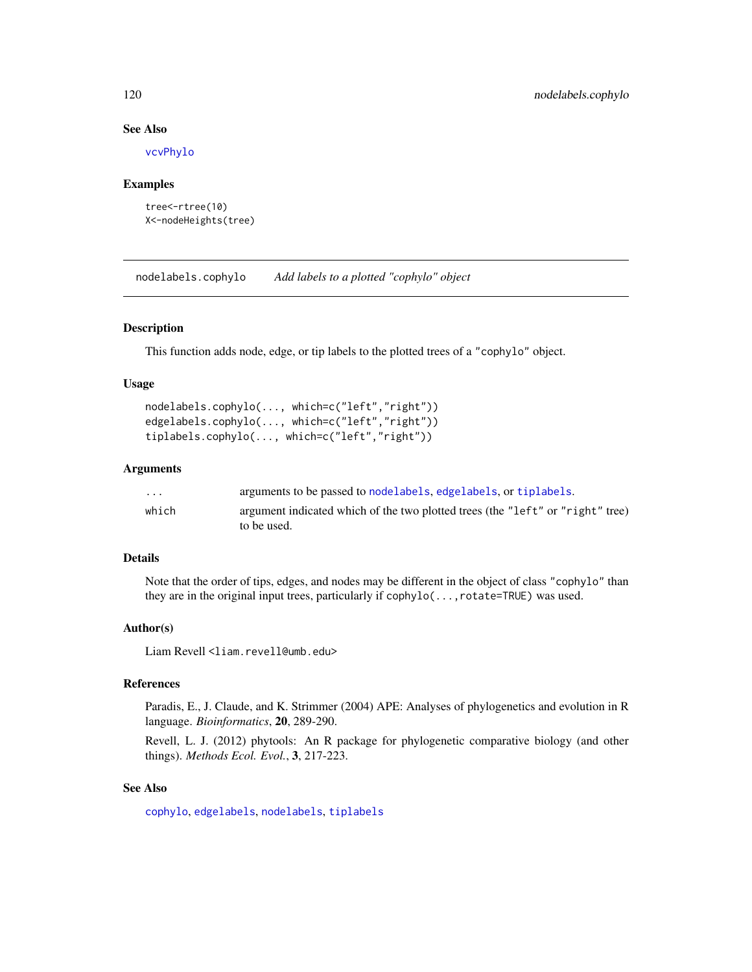# See Also

[vcvPhylo](#page-199-0)

## Examples

```
tree<-rtree(10)
X<-nodeHeights(tree)
```
nodelabels.cophylo *Add labels to a plotted "cophylo" object*

# Description

This function adds node, edge, or tip labels to the plotted trees of a "cophylo" object.

## Usage

```
nodelabels.cophylo(..., which=c("left","right"))
edgelabels.cophylo(..., which=c("left","right"))
tiplabels.cophylo(..., which=c("left","right"))
```
## Arguments

| $\cdots$ | arguments to be passed to nodelabels, edgelabels, or tiplabels.                |
|----------|--------------------------------------------------------------------------------|
| which    | argument indicated which of the two plotted trees (the "left" or "right" tree) |
|          | to be used.                                                                    |

# Details

Note that the order of tips, edges, and nodes may be different in the object of class "cophylo" than they are in the original input trees, particularly if cophylo(...,rotate=TRUE) was used.

#### Author(s)

Liam Revell <liam.revell@umb.edu>

# References

Paradis, E., J. Claude, and K. Strimmer (2004) APE: Analyses of phylogenetics and evolution in R language. *Bioinformatics*, 20, 289-290.

Revell, L. J. (2012) phytools: An R package for phylogenetic comparative biology (and other things). *Methods Ecol. Evol.*, 3, 217-223.

# See Also

[cophylo](#page-40-0), [edgelabels](#page-0-0), [nodelabels](#page-0-0), [tiplabels](#page-0-0)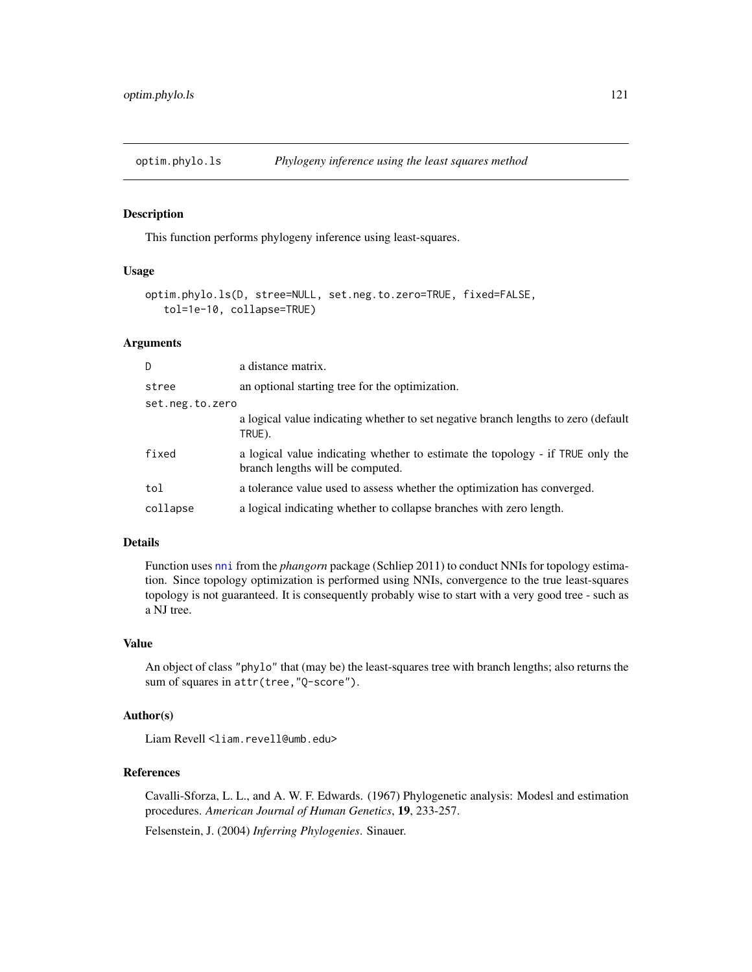<span id="page-120-0"></span>optim.phylo.ls *Phylogeny inference using the least squares method*

## Description

This function performs phylogeny inference using least-squares.

## Usage

```
optim.phylo.ls(D, stree=NULL, set.neg.to.zero=TRUE, fixed=FALSE,
   tol=1e-10, collapse=TRUE)
```
## Arguments

| D               | a distance matrix.                                                                                                 |
|-----------------|--------------------------------------------------------------------------------------------------------------------|
| stree           | an optional starting tree for the optimization.                                                                    |
| set.neg.to.zero |                                                                                                                    |
|                 | a logical value indicating whether to set negative branch lengths to zero (default<br>TRUE).                       |
| fixed           | a logical value indicating whether to estimate the topology - if TRUE only the<br>branch lengths will be computed. |
| tol             | a tolerance value used to assess whether the optimization has converged.                                           |
| collapse        | a logical indicating whether to collapse branches with zero length.                                                |

# Details

Function uses [nni](#page-0-0) from the *phangorn* package (Schliep 2011) to conduct NNIs for topology estimation. Since topology optimization is performed using NNIs, convergence to the true least-squares topology is not guaranteed. It is consequently probably wise to start with a very good tree - such as a NJ tree.

#### Value

An object of class "phylo" that (may be) the least-squares tree with branch lengths; also returns the sum of squares in attr(tree,"Q-score").

# Author(s)

Liam Revell <liam.revell@umb.edu>

# References

Cavalli-Sforza, L. L., and A. W. F. Edwards. (1967) Phylogenetic analysis: Modesl and estimation procedures. *American Journal of Human Genetics*, 19, 233-257.

Felsenstein, J. (2004) *Inferring Phylogenies*. Sinauer.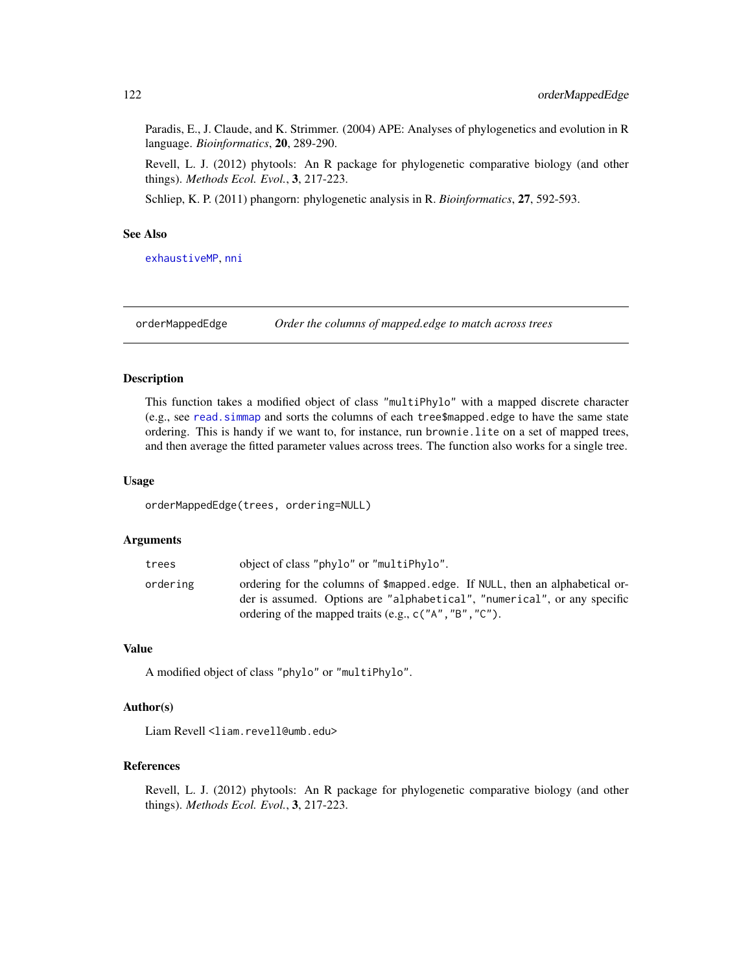Paradis, E., J. Claude, and K. Strimmer. (2004) APE: Analyses of phylogenetics and evolution in R language. *Bioinformatics*, 20, 289-290.

Revell, L. J. (2012) phytools: An R package for phylogenetic comparative biology (and other things). *Methods Ecol. Evol.*, 3, 217-223.

Schliep, K. P. (2011) phangorn: phylogenetic analysis in R. *Bioinformatics*, 27, 592-593.

# See Also

[exhaustiveMP](#page-64-0), [nni](#page-0-0)

orderMappedEdge *Order the columns of mapped.edge to match across trees*

## Description

This function takes a modified object of class "multiPhylo" with a mapped discrete character (e.g., see [read.simmap](#page-168-0) and sorts the columns of each tree\$mapped.edge to have the same state ordering. This is handy if we want to, for instance, run brownie.lite on a set of mapped trees, and then average the fitted parameter values across trees. The function also works for a single tree.

## Usage

orderMappedEdge(trees, ordering=NULL)

## Arguments

| trees    | object of class "phylo" or "multiPhylo".                                                                                                                 |
|----------|----------------------------------------------------------------------------------------------------------------------------------------------------------|
| ordering | ordering for the columns of \$mapped.edge. If NULL, then an alphabetical or-<br>der is assumed. Options are "alphabetical", "numerical", or any specific |
|          | ordering of the mapped traits (e.g., $c("A", "B", "C").$                                                                                                 |

# Value

A modified object of class "phylo" or "multiPhylo".

# Author(s)

Liam Revell <liam.revell@umb.edu>

## References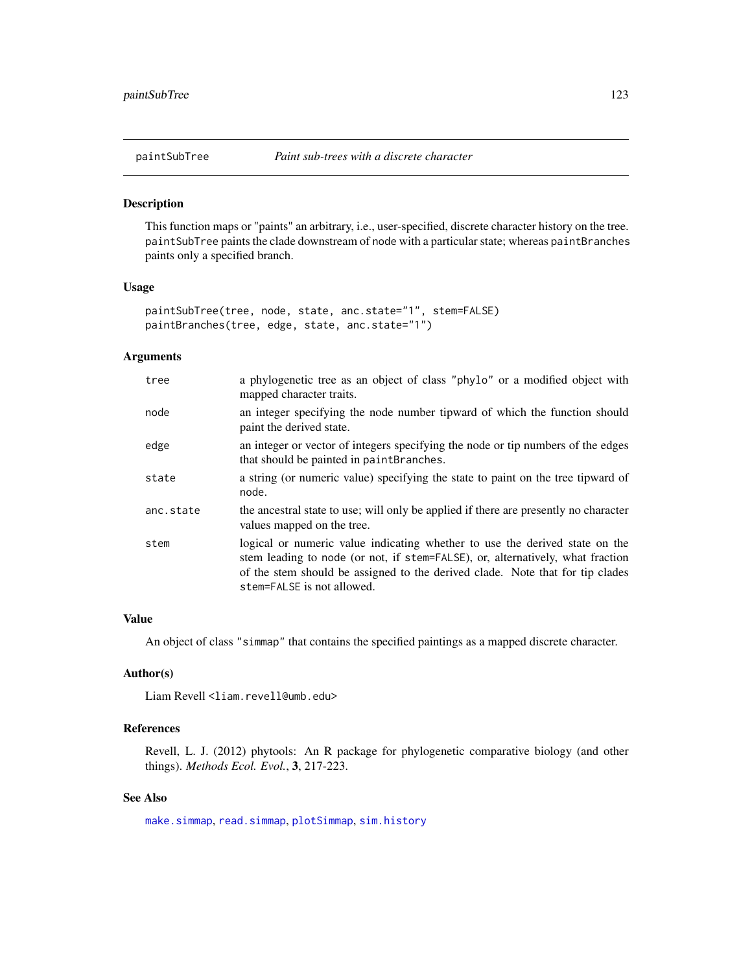This function maps or "paints" an arbitrary, i.e., user-specified, discrete character history on the tree. paintSubTree paints the clade downstream of node with a particular state; whereas paintBranches paints only a specified branch.

## Usage

```
paintSubTree(tree, node, state, anc.state="1", stem=FALSE)
paintBranches(tree, edge, state, anc.state="1")
```
# Arguments

| tree      | a phylogenetic tree as an object of class "phylo" or a modified object with<br>mapped character traits.                                                                                                                                                                      |
|-----------|------------------------------------------------------------------------------------------------------------------------------------------------------------------------------------------------------------------------------------------------------------------------------|
| node      | an integer specifying the node number tipward of which the function should<br>paint the derived state.                                                                                                                                                                       |
| edge      | an integer or vector of integers specifying the node or tip numbers of the edges<br>that should be painted in paintBranches.                                                                                                                                                 |
| state     | a string (or numeric value) specifying the state to paint on the tree tipward of<br>node.                                                                                                                                                                                    |
| anc.state | the ancestral state to use; will only be applied if there are presently no character<br>values mapped on the tree.                                                                                                                                                           |
| stem      | logical or numeric value indicating whether to use the derived state on the<br>stem leading to node (or not, if stem=FALSE), or, alternatively, what fraction<br>of the stem should be assigned to the derived clade. Note that for tip clades<br>stem=FALSE is not allowed. |

#### Value

An object of class "simmap" that contains the specified paintings as a mapped discrete character.

# Author(s)

Liam Revell <liam.revell@umb.edu>

# References

Revell, L. J. (2012) phytools: An R package for phylogenetic comparative biology (and other things). *Methods Ecol. Evol.*, 3, 217-223.

# See Also

[make.simmap](#page-101-0), [read.simmap](#page-168-0), [plotSimmap](#page-151-0), [sim.history](#page-182-0)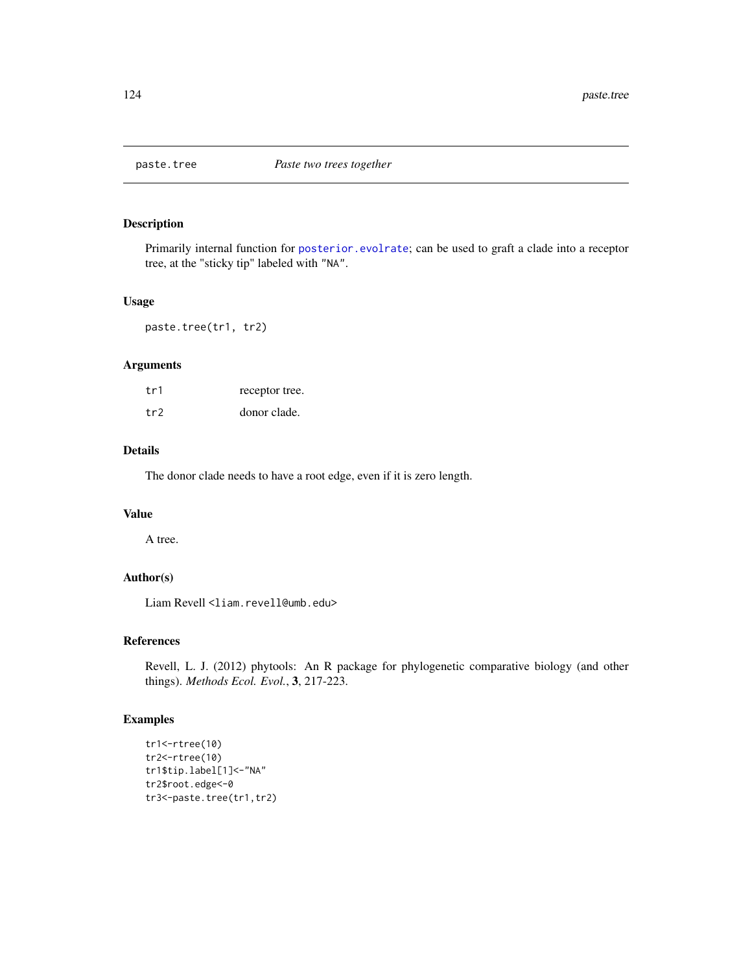Primarily internal function for [posterior.evolrate](#page-160-0); can be used to graft a clade into a receptor tree, at the "sticky tip" labeled with "NA".

#### Usage

paste.tree(tr1, tr2)

## Arguments

| tr1 | receptor tree. |
|-----|----------------|
| tr2 | donor clade.   |

# Details

The donor clade needs to have a root edge, even if it is zero length.

# Value

A tree.

# Author(s)

Liam Revell <liam.revell@umb.edu>

# References

Revell, L. J. (2012) phytools: An R package for phylogenetic comparative biology (and other things). *Methods Ecol. Evol.*, 3, 217-223.

## Examples

```
tr1<-rtree(10)
tr2<-rtree(10)
tr1$tip.label[1]<-"NA"
tr2$root.edge<-0
tr3<-paste.tree(tr1,tr2)
```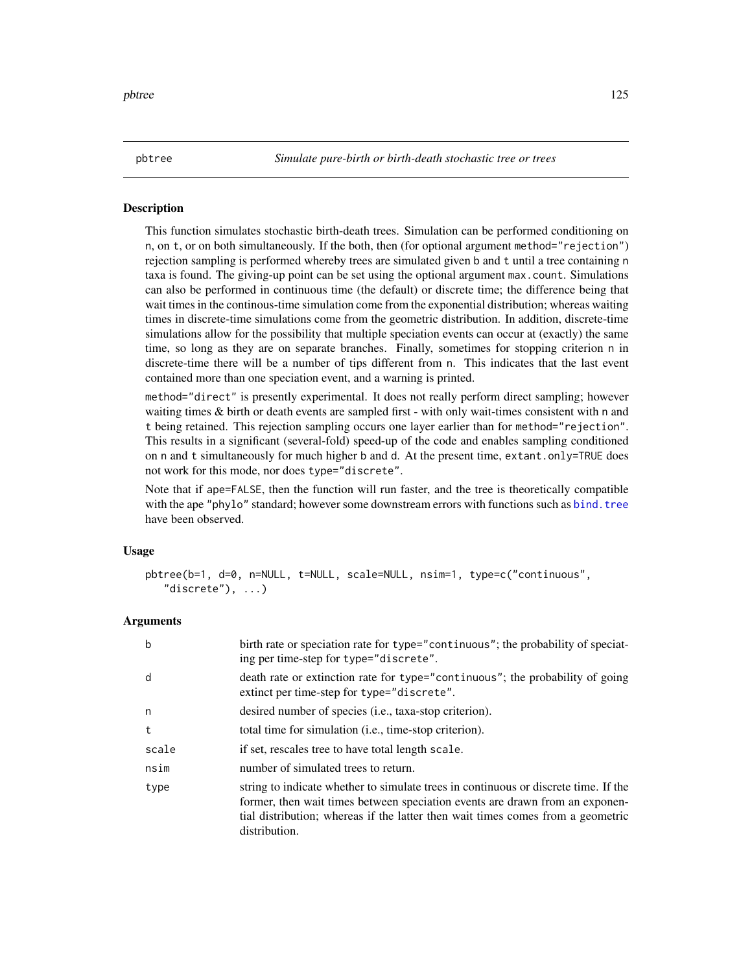pbtree *Simulate pure-birth or birth-death stochastic tree or trees*

## Description

This function simulates stochastic birth-death trees. Simulation can be performed conditioning on n, on t, or on both simultaneously. If the both, then (for optional argument method="rejection") rejection sampling is performed whereby trees are simulated given b and t until a tree containing n taxa is found. The giving-up point can be set using the optional argument max.count. Simulations can also be performed in continuous time (the default) or discrete time; the difference being that wait times in the continous-time simulation come from the exponential distribution; whereas waiting times in discrete-time simulations come from the geometric distribution. In addition, discrete-time simulations allow for the possibility that multiple speciation events can occur at (exactly) the same time, so long as they are on separate branches. Finally, sometimes for stopping criterion n in discrete-time there will be a number of tips different from n. This indicates that the last event contained more than one speciation event, and a warning is printed.

method="direct" is presently experimental. It does not really perform direct sampling; however waiting times & birth or death events are sampled first - with only wait-times consistent with n and t being retained. This rejection sampling occurs one layer earlier than for method="rejection". This results in a significant (several-fold) speed-up of the code and enables sampling conditioned on n and t simultaneously for much higher b and d. At the present time, extant.only=TRUE does not work for this mode, nor does type="discrete".

Note that if ape=FALSE, then the function will run faster, and the tree is theoretically compatible with the ape "phylo" standard; however some downstream errors with functions such as [bind.tree](#page-0-0) have been observed.

## Usage

```
pbtree(b=1, d=0, n=NULL, t=NULL, scale=NULL, nsim=1, type=c("continuous",
   "discrete"), ...)
```
## Arguments

| b     | birth rate or speciation rate for type="continuous"; the probability of speciat-<br>ing per time-step for type="discrete".                                                                                                                                              |
|-------|-------------------------------------------------------------------------------------------------------------------------------------------------------------------------------------------------------------------------------------------------------------------------|
| d     | death rate or extinction rate for type="continuous"; the probability of going<br>extinct per time-step for type="discrete".                                                                                                                                             |
| n     | desired number of species ( <i>i.e.</i> , taxa-stop criterion).                                                                                                                                                                                                         |
| t     | total time for simulation ( <i>i.e.</i> , time-stop criterion).                                                                                                                                                                                                         |
| scale | if set, rescales tree to have total length scale.                                                                                                                                                                                                                       |
| nsim  | number of simulated trees to return.                                                                                                                                                                                                                                    |
| type  | string to indicate whether to simulate trees in continuous or discrete time. If the<br>former, then wait times between speciation events are drawn from an exponen-<br>tial distribution; whereas if the latter then wait times comes from a geometric<br>distribution. |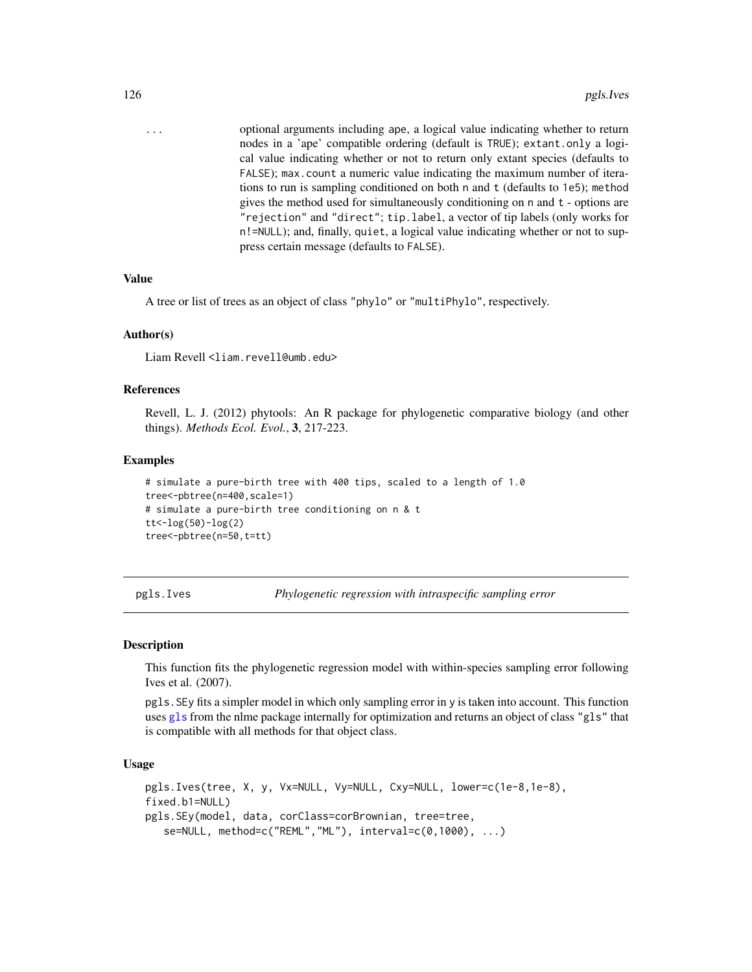... optional arguments including ape, a logical value indicating whether to return nodes in a 'ape' compatible ordering (default is TRUE); extant.only a logical value indicating whether or not to return only extant species (defaults to FALSE); max.count a numeric value indicating the maximum number of iterations to run is sampling conditioned on both n and t (defaults to 1e5); method gives the method used for simultaneously conditioning on n and t - options are "rejection" and "direct"; tip.label, a vector of tip labels (only works for n!=NULL); and, finally, quiet, a logical value indicating whether or not to suppress certain message (defaults to FALSE).

#### Value

A tree or list of trees as an object of class "phylo" or "multiPhylo", respectively.

#### Author(s)

Liam Revell <liam.revell@umb.edu>

#### References

Revell, L. J. (2012) phytools: An R package for phylogenetic comparative biology (and other things). *Methods Ecol. Evol.*, 3, 217-223.

#### Examples

```
# simulate a pure-birth tree with 400 tips, scaled to a length of 1.0
tree<-pbtree(n=400,scale=1)
# simulate a pure-birth tree conditioning on n & t
tt<-log(50)-log(2)
tree<-pbtree(n=50,t=tt)
```
pgls.Ives *Phylogenetic regression with intraspecific sampling error*

#### Description

This function fits the phylogenetic regression model with within-species sampling error following Ives et al. (2007).

pgls.SEy fits a simpler model in which only sampling error in y is taken into account. This function uses [gls](#page-0-0) from the nlme package internally for optimization and returns an object of class "gls" that is compatible with all methods for that object class.

#### Usage

```
pgls.Ives(tree, X, y, Vx=NULL, Vy=NULL, Cxy=NULL, lower=c(1e-8,1e-8),
fixed.b1=NULL)
pgls.SEy(model, data, corClass=corBrownian, tree=tree,
   se=NULL, method=c("REML","ML"), interval=c(0,1000), ...)
```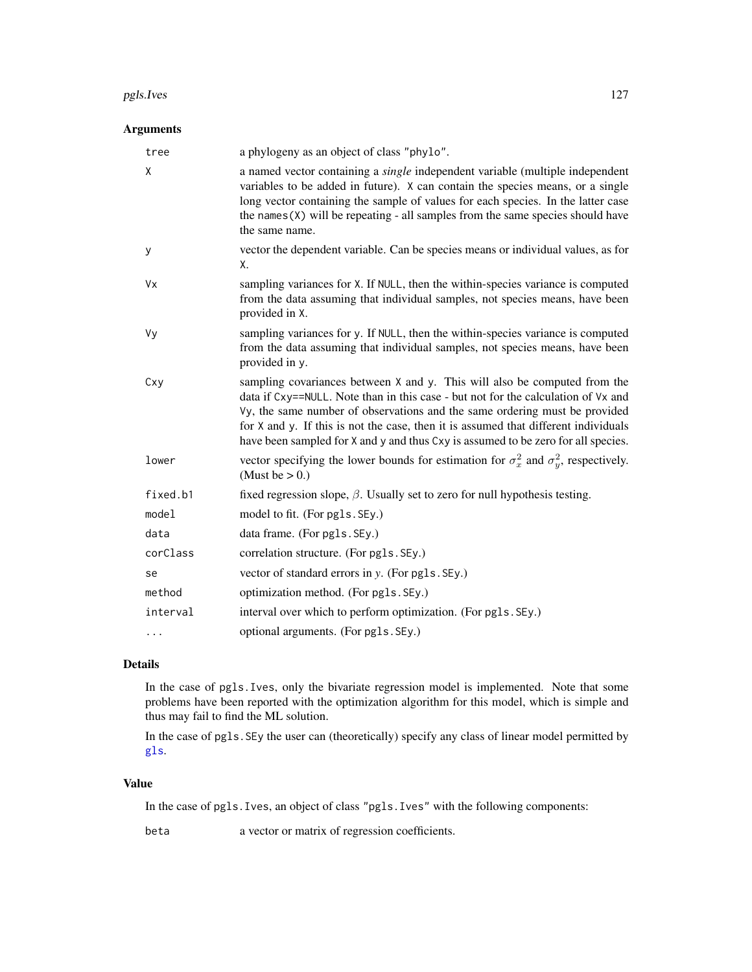#### pgls.Ives 127

# Arguments

| tree     | a phylogeny as an object of class "phylo".                                                                                                                                                                                                                                                                                                                                                                               |
|----------|--------------------------------------------------------------------------------------------------------------------------------------------------------------------------------------------------------------------------------------------------------------------------------------------------------------------------------------------------------------------------------------------------------------------------|
| X        | a named vector containing a <i>single</i> independent variable (multiple independent<br>variables to be added in future). X can contain the species means, or a single<br>long vector containing the sample of values for each species. In the latter case<br>the names $(X)$ will be repeating - all samples from the same species should have<br>the same name.                                                        |
| У        | vector the dependent variable. Can be species means or individual values, as for<br>Χ.                                                                                                                                                                                                                                                                                                                                   |
| Vx       | sampling variances for X. If NULL, then the within-species variance is computed<br>from the data assuming that individual samples, not species means, have been<br>provided in X.                                                                                                                                                                                                                                        |
| Vy       | sampling variances for y. If NULL, then the within-species variance is computed<br>from the data assuming that individual samples, not species means, have been<br>provided in y.                                                                                                                                                                                                                                        |
| Cxy      | sampling covariances between X and y. This will also be computed from the<br>data if Cxy==NULL. Note than in this case - but not for the calculation of Vx and<br>Vy, the same number of observations and the same ordering must be provided<br>for X and y. If this is not the case, then it is assumed that different individuals<br>have been sampled for X and y and thus Cxy is assumed to be zero for all species. |
| lower    | vector specifying the lower bounds for estimation for $\sigma_x^2$ and $\sigma_y^2$ , respectively.<br>(Must be $> 0.$ )                                                                                                                                                                                                                                                                                                 |
| fixed.b1 | fixed regression slope, $\beta$ . Usually set to zero for null hypothesis testing.                                                                                                                                                                                                                                                                                                                                       |
| model    | model to fit. (For pgls. SEy.)                                                                                                                                                                                                                                                                                                                                                                                           |
| data     | data frame. (For pgls. SEy.)                                                                                                                                                                                                                                                                                                                                                                                             |
| corClass | correlation structure. (For pgls. SEy.)                                                                                                                                                                                                                                                                                                                                                                                  |
| se       | vector of standard errors in y. (For pgls. SEy.)                                                                                                                                                                                                                                                                                                                                                                         |
| method   | optimization method. (For pgls. SEy.)                                                                                                                                                                                                                                                                                                                                                                                    |
| interval | interval over which to perform optimization. (For pgls. SEy.)                                                                                                                                                                                                                                                                                                                                                            |
| $\cdots$ | optional arguments. (For pgls. SEy.)                                                                                                                                                                                                                                                                                                                                                                                     |

# Details

In the case of pgls.Ives, only the bivariate regression model is implemented. Note that some problems have been reported with the optimization algorithm for this model, which is simple and thus may fail to find the ML solution.

In the case of pgls.SEy the user can (theoretically) specify any class of linear model permitted by [gls](#page-0-0).

# Value

In the case of pgls.Ives, an object of class "pgls.Ives" with the following components:

beta a vector or matrix of regression coefficients.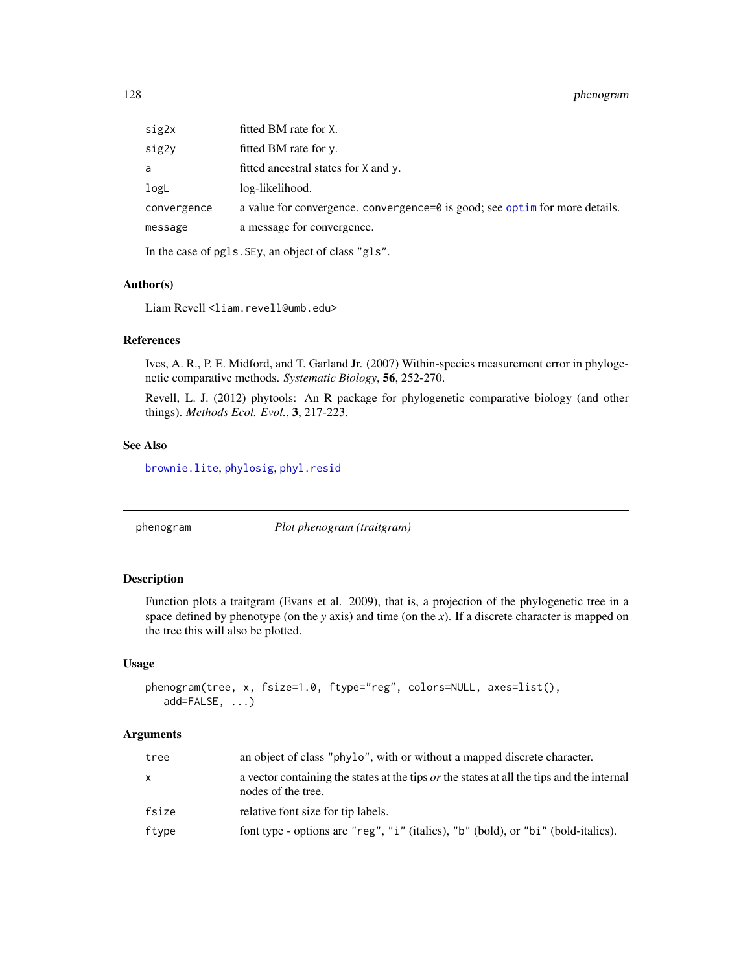| sig2x       | fitted BM rate for X.                                                        |
|-------------|------------------------------------------------------------------------------|
| sig2y       | fitted BM rate for y.                                                        |
| a           | fitted ancestral states for X and y.                                         |
| logL        | log-likelihood.                                                              |
| convergence | a value for convergence. convergence=0 is good; see optime for more details. |
| message     | a message for convergence.                                                   |
|             |                                                                              |

In the case of pgls.SEy, an object of class "gls".

## Author(s)

Liam Revell <liam.revell@umb.edu>

#### References

Ives, A. R., P. E. Midford, and T. Garland Jr. (2007) Within-species measurement error in phylogenetic comparative methods. *Systematic Biology*, 56, 252-270.

Revell, L. J. (2012) phytools: An R package for phylogenetic comparative biology (and other things). *Methods Ecol. Evol.*, 3, 217-223.

# See Also

[brownie.lite](#page-31-0), [phylosig](#page-147-0), [phyl.resid](#page-133-0)

phenogram *Plot phenogram (traitgram)*

# Description

Function plots a traitgram (Evans et al. 2009), that is, a projection of the phylogenetic tree in a space defined by phenotype (on the *y* axis) and time (on the *x*). If a discrete character is mapped on the tree this will also be plotted.

## Usage

```
phenogram(tree, x, fsize=1.0, ftype="reg", colors=NULL, axes=list(),
  add=FALSE, ...)
```
## Arguments

| tree  | an object of class "phylo", with or without a mapped discrete character.                                               |
|-------|------------------------------------------------------------------------------------------------------------------------|
| X     | a vector containing the states at the tips <i>or</i> the states at all the tips and the internal<br>nodes of the tree. |
| fsize | relative font size for tip labels.                                                                                     |
| ftype | font type - options are "reg", "i" (italics), "b" (bold), or "bi" (bold-italics).                                      |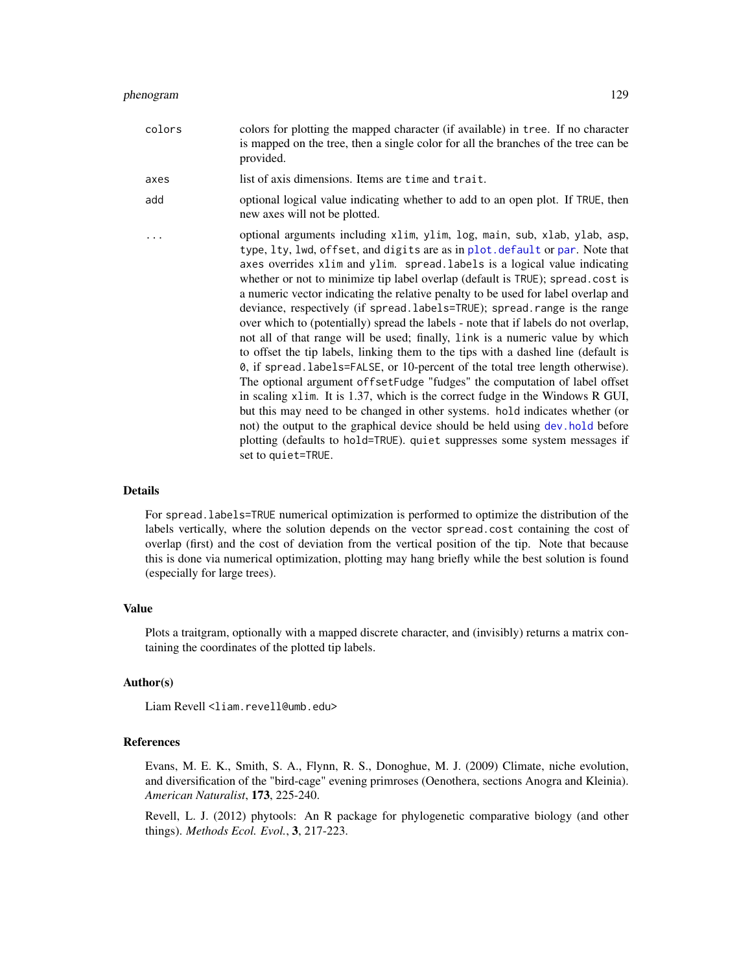| colors | colors for plotting the mapped character (if available) in tree. If no character<br>is mapped on the tree, then a single color for all the branches of the tree can be<br>provided.                                                                                                                                                                                                                                                                                                                                                                                                                                                                                                                                                                                                                                                                                                                                                                                                                                                                                                                                                                                                                                                                                              |
|--------|----------------------------------------------------------------------------------------------------------------------------------------------------------------------------------------------------------------------------------------------------------------------------------------------------------------------------------------------------------------------------------------------------------------------------------------------------------------------------------------------------------------------------------------------------------------------------------------------------------------------------------------------------------------------------------------------------------------------------------------------------------------------------------------------------------------------------------------------------------------------------------------------------------------------------------------------------------------------------------------------------------------------------------------------------------------------------------------------------------------------------------------------------------------------------------------------------------------------------------------------------------------------------------|
| axes   | list of axis dimensions. Items are time and trait.                                                                                                                                                                                                                                                                                                                                                                                                                                                                                                                                                                                                                                                                                                                                                                                                                                                                                                                                                                                                                                                                                                                                                                                                                               |
| add    | optional logical value indicating whether to add to an open plot. If TRUE, then<br>new axes will not be plotted.                                                                                                                                                                                                                                                                                                                                                                                                                                                                                                                                                                                                                                                                                                                                                                                                                                                                                                                                                                                                                                                                                                                                                                 |
| .      | optional arguments including xlim, ylim, log, main, sub, xlab, ylab, asp,<br>type, lty, lwd, offset, and digits are as in plot. default or par. Note that<br>axes overrides xlim and ylim. spread. labels is a logical value indicating<br>whether or not to minimize tip label overlap (default is TRUE); spread.cost is<br>a numeric vector indicating the relative penalty to be used for label overlap and<br>deviance, respectively (if spread.labels=TRUE); spread.range is the range<br>over which to (potentially) spread the labels - note that if labels do not overlap,<br>not all of that range will be used; finally, link is a numeric value by which<br>to offset the tip labels, linking them to the tips with a dashed line (default is<br>0, if spread. labels=FALSE, or 10-percent of the total tree length otherwise).<br>The optional argument of fset Fudge "fudges" the computation of label offset<br>in scaling x1im. It is 1.37, which is the correct fudge in the Windows R GUI,<br>but this may need to be changed in other systems. hold indicates whether (or<br>not) the output to the graphical device should be held using dev. hold before<br>plotting (defaults to hold=TRUE). quiet suppresses some system messages if<br>set to quiet=TRUE. |

# Details

For spread.labels=TRUE numerical optimization is performed to optimize the distribution of the labels vertically, where the solution depends on the vector spread.cost containing the cost of overlap (first) and the cost of deviation from the vertical position of the tip. Note that because this is done via numerical optimization, plotting may hang briefly while the best solution is found (especially for large trees).

## Value

Plots a traitgram, optionally with a mapped discrete character, and (invisibly) returns a matrix containing the coordinates of the plotted tip labels.

# Author(s)

Liam Revell <liam.revell@umb.edu>

# References

Evans, M. E. K., Smith, S. A., Flynn, R. S., Donoghue, M. J. (2009) Climate, niche evolution, and diversification of the "bird-cage" evening primroses (Oenothera, sections Anogra and Kleinia). *American Naturalist*, 173, 225-240.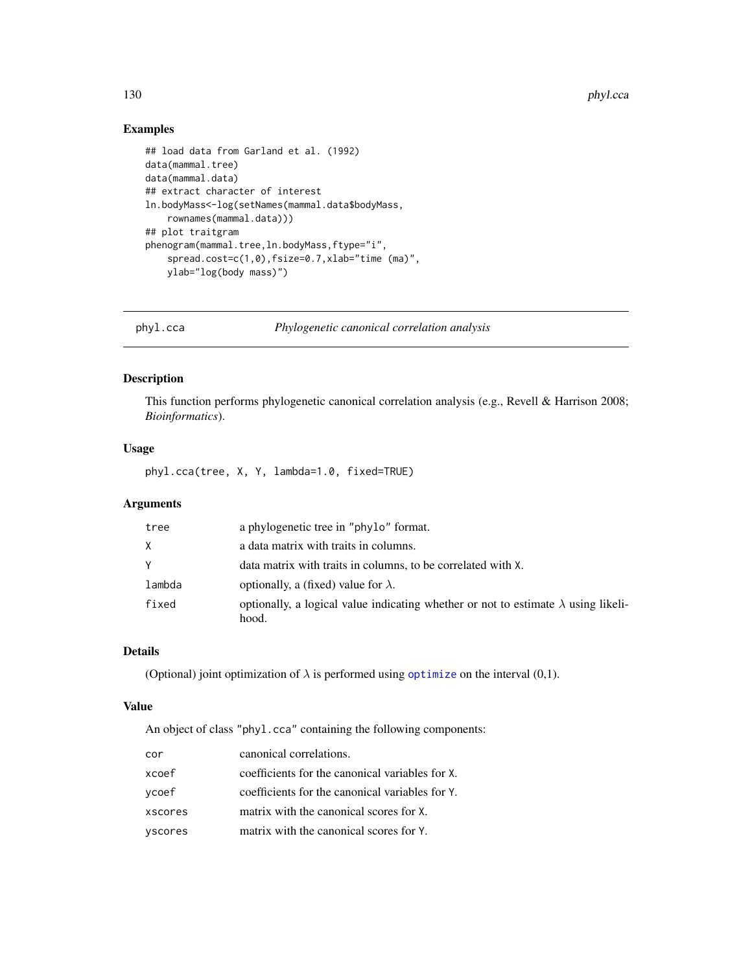# Examples

```
## load data from Garland et al. (1992)
data(mammal.tree)
data(mammal.data)
## extract character of interest
ln.bodyMass<-log(setNames(mammal.data$bodyMass,
    rownames(mammal.data)))
## plot traitgram
phenogram(mammal.tree,ln.bodyMass,ftype="i",
    spread.cost=c(1,0),fsize=0.7,xlab="time (ma)",
   ylab="log(body mass)")
```
<span id="page-129-0"></span>phyl.cca *Phylogenetic canonical correlation analysis*

# Description

This function performs phylogenetic canonical correlation analysis (e.g., Revell & Harrison 2008; *Bioinformatics*).

# Usage

phyl.cca(tree, X, Y, lambda=1.0, fixed=TRUE)

# Arguments

| tree   | a phylogenetic tree in "phylo" format.                                                    |
|--------|-------------------------------------------------------------------------------------------|
| X      | a data matrix with traits in columns.                                                     |
| Y      | data matrix with traits in columns, to be correlated with X.                              |
| lambda | optionally, a (fixed) value for $\lambda$ .                                               |
| fixed  | optionally, a logical value indicating whether or not to estimate $\lambda$ using likeli- |
|        | hood.                                                                                     |

# Details

(Optional) joint optimization of  $\lambda$  is performed using [optimize](#page-0-0) on the interval (0,1).

## Value

An object of class "phyl.cca" containing the following components:

| cor     | canonical correlations.                         |
|---------|-------------------------------------------------|
| xcoef   | coefficients for the canonical variables for X. |
| vcoef   | coefficients for the canonical variables for Y. |
| xscores | matrix with the canonical scores for X.         |
| yscores | matrix with the canonical scores for Y.         |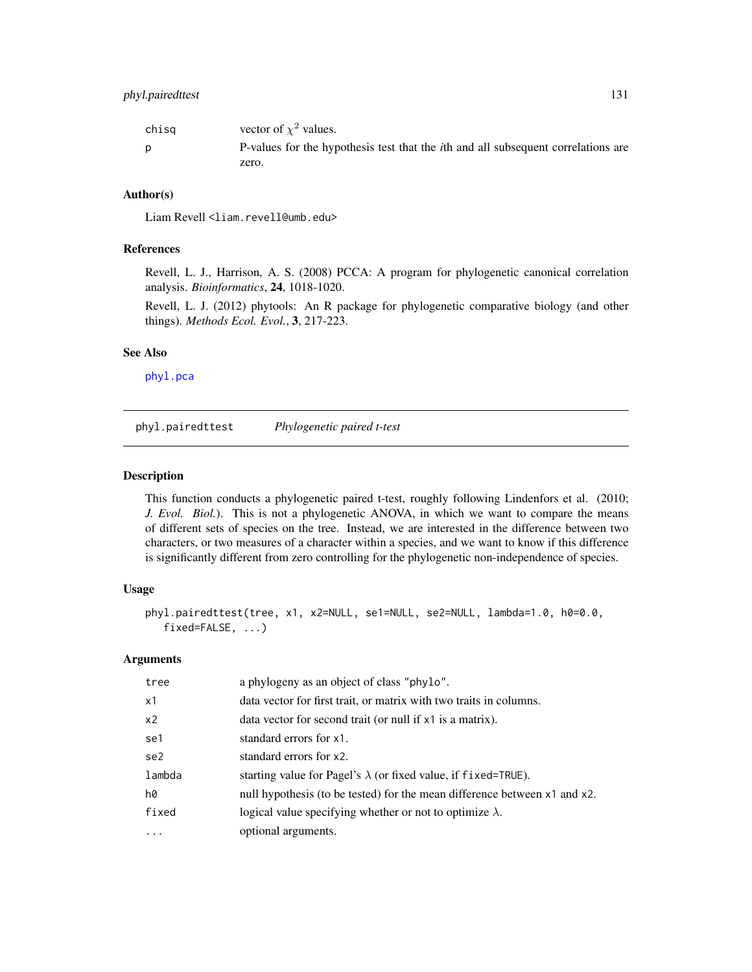| chisg | vector of $\chi^2$ values.                                                                |
|-------|-------------------------------------------------------------------------------------------|
| D     | P-values for the hypothesis test that the <i>i</i> th and all subsequent correlations are |
|       | zero.                                                                                     |

## Author(s)

Liam Revell <liam.revell@umb.edu>

## References

Revell, L. J., Harrison, A. S. (2008) PCCA: A program for phylogenetic canonical correlation analysis. *Bioinformatics*, 24, 1018-1020.

Revell, L. J. (2012) phytools: An R package for phylogenetic comparative biology (and other things). *Methods Ecol. Evol.*, 3, 217-223.

## See Also

[phyl.pca](#page-131-0)

phyl.pairedttest *Phylogenetic paired t-test*

## Description

This function conducts a phylogenetic paired t-test, roughly following Lindenfors et al. (2010; *J. Evol. Biol.*). This is not a phylogenetic ANOVA, in which we want to compare the means of different sets of species on the tree. Instead, we are interested in the difference between two characters, or two measures of a character within a species, and we want to know if this difference is significantly different from zero controlling for the phylogenetic non-independence of species.

## Usage

```
phyl.pairedttest(tree, x1, x2=NULL, se1=NULL, se2=NULL, lambda=1.0, h0=0.0,
   fixed=FALSE, ...)
```
## Arguments

| tree           | a phylogeny as an object of class "phylo".                                |
|----------------|---------------------------------------------------------------------------|
| x1             | data vector for first trait, or matrix with two traits in columns.        |
| x <sub>2</sub> | data vector for second trait (or null if x1 is a matrix).                 |
| se1            | standard errors for x1.                                                   |
| se2            | standard errors for x2.                                                   |
| lambda         | starting value for Pagel's $\lambda$ (or fixed value, if fixed=TRUE).     |
| h0             | null hypothesis (to be tested) for the mean difference between x1 and x2. |
| fixed          | logical value specifying whether or not to optimize $\lambda$ .           |
| $\cdots$       | optional arguments.                                                       |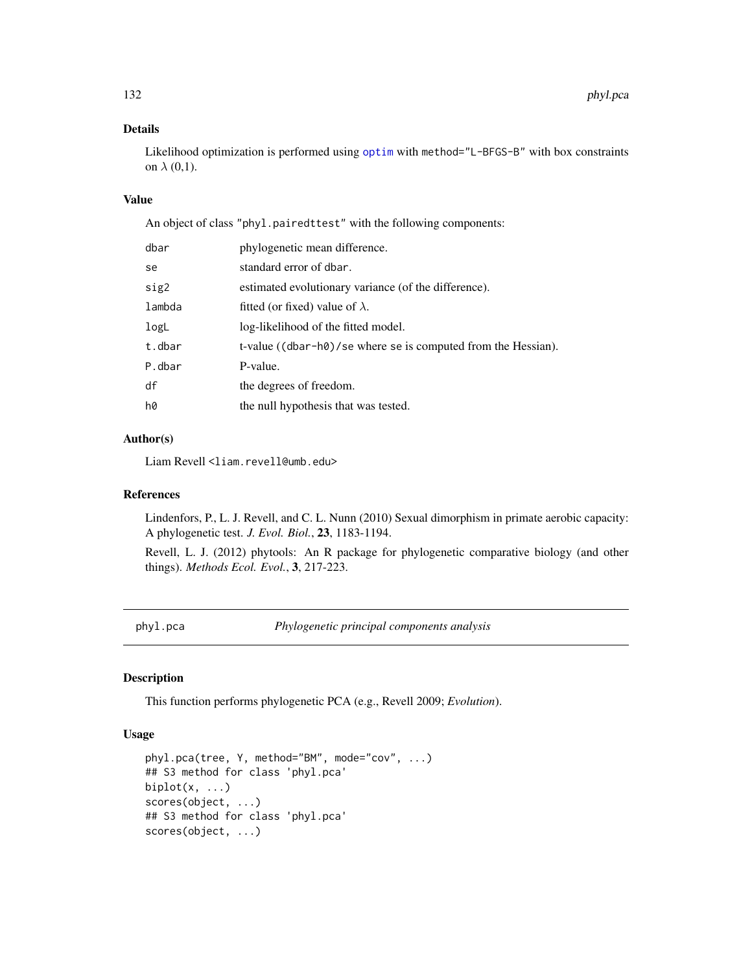# Details

Likelihood [optim](#page-0-0)ization is performed using optim with method="L-BFGS-B" with box constraints on  $\lambda$  (0,1).

# Value

An object of class "phyl.pairedttest" with the following components:

| dbar   | phylogenetic mean difference.                                 |
|--------|---------------------------------------------------------------|
| se     | standard error of dbar.                                       |
| sig2   | estimated evolutionary variance (of the difference).          |
| lambda | fitted (or fixed) value of $\lambda$ .                        |
| logL   | log-likelihood of the fitted model.                           |
| t.dbar | t-value ((dbar-h0)/se where se is computed from the Hessian). |
| P.dbar | P-value.                                                      |
| df     | the degrees of freedom.                                       |
| hØ     | the null hypothesis that was tested.                          |

# Author(s)

Liam Revell <liam.revell@umb.edu>

## References

Lindenfors, P., L. J. Revell, and C. L. Nunn (2010) Sexual dimorphism in primate aerobic capacity: A phylogenetic test. *J. Evol. Biol.*, 23, 1183-1194.

Revell, L. J. (2012) phytools: An R package for phylogenetic comparative biology (and other things). *Methods Ecol. Evol.*, 3, 217-223.

<span id="page-131-0"></span>phyl.pca *Phylogenetic principal components analysis*

# Description

This function performs phylogenetic PCA (e.g., Revell 2009; *Evolution*).

# Usage

```
phyl.pca(tree, Y, method="BM", mode="cov", ...)
## S3 method for class 'phyl.pca'
biplot(x, \ldots)scores(object, ...)
## S3 method for class 'phyl.pca'
scores(object, ...)
```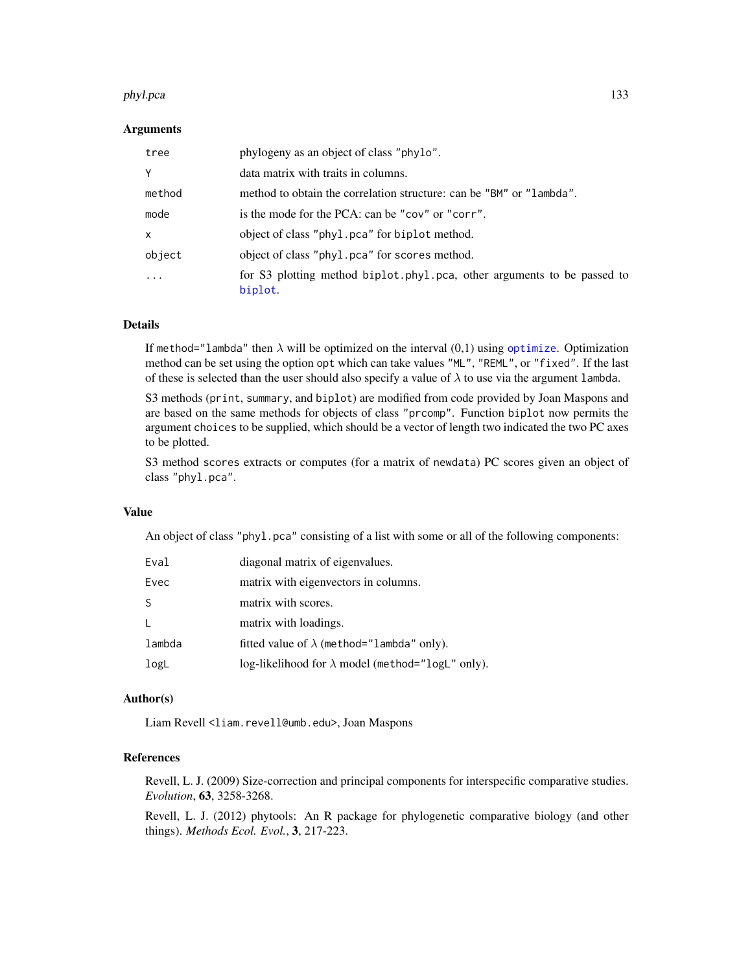#### phyl.pca 133

## Arguments

| tree         | phylogeny as an object of class "phylo".                                           |
|--------------|------------------------------------------------------------------------------------|
| Y            | data matrix with traits in columns.                                                |
| method       | method to obtain the correlation structure: can be "BM" or "lambda".               |
| mode         | is the mode for the PCA: can be "cov" or "corr".                                   |
| $\mathsf{x}$ | object of class "phyl.pca" for biplot method.                                      |
| object       | object of class "phyl.pca" for scores method.                                      |
|              | for S3 plotting method biplot.phyl.pca, other arguments to be passed to<br>biplot. |

# Details

If method="lambda" then  $\lambda$  will be [optimize](#page-0-0)d on the interval  $(0,1)$  using optimize. Optimization method can be set using the option opt which can take values "ML", "REML", or "fixed". If the last of these is selected than the user should also specify a value of  $\lambda$  to use via the argument lambda.

S3 methods (print, summary, and biplot) are modified from code provided by Joan Maspons and are based on the same methods for objects of class "prcomp". Function biplot now permits the argument choices to be supplied, which should be a vector of length two indicated the two PC axes to be plotted.

S3 method scores extracts or computes (for a matrix of newdata) PC scores given an object of class "phyl.pca".

# Value

An object of class "phyl.pca" consisting of a list with some or all of the following components:

| Eval         | diagonal matrix of eigenvalues.                          |
|--------------|----------------------------------------------------------|
| Evec         | matrix with eigenvectors in columns.                     |
| <sub>S</sub> | matrix with scores.                                      |
| $\mathbf{I}$ | matrix with loadings.                                    |
| lambda       | fitted value of $\lambda$ (method="lambda" only).        |
| logL         | log-likelihood for $\lambda$ model (method="logL" only). |

#### Author(s)

Liam Revell <liam.revell@umb.edu>, Joan Maspons

# References

Revell, L. J. (2009) Size-correction and principal components for interspecific comparative studies. *Evolution*, 63, 3258-3268.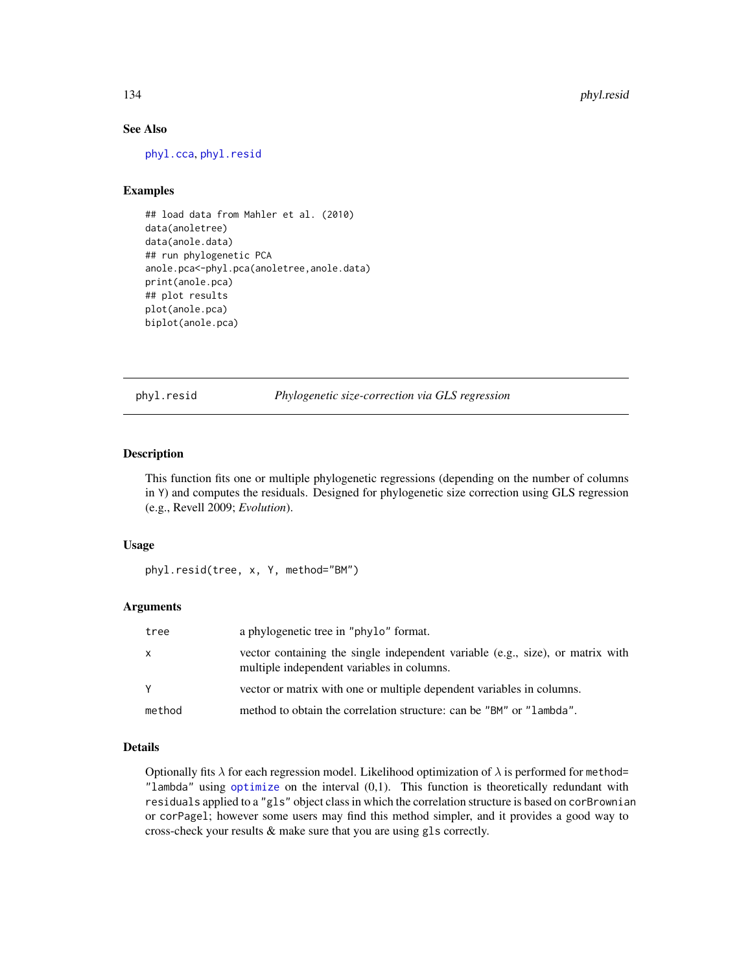# See Also

[phyl.cca](#page-129-0), [phyl.resid](#page-133-0)

## Examples

```
## load data from Mahler et al. (2010)
data(anoletree)
data(anole.data)
## run phylogenetic PCA
anole.pca<-phyl.pca(anoletree,anole.data)
print(anole.pca)
## plot results
plot(anole.pca)
biplot(anole.pca)
```
<span id="page-133-0"></span>phyl.resid *Phylogenetic size-correction via GLS regression*

# Description

This function fits one or multiple phylogenetic regressions (depending on the number of columns in Y) and computes the residuals. Designed for phylogenetic size correction using GLS regression (e.g., Revell 2009; *Evolution*).

## Usage

```
phyl.resid(tree, x, Y, method="BM")
```
# Arguments

| tree         | a phylogenetic tree in "phylo" format.                                                                                       |
|--------------|------------------------------------------------------------------------------------------------------------------------------|
| $\mathsf{x}$ | vector containing the single independent variable (e.g., size), or matrix with<br>multiple independent variables in columns. |
| Y            | vector or matrix with one or multiple dependent variables in columns.                                                        |
| method       | method to obtain the correlation structure: can be "BM" or "lambda".                                                         |

# Details

Optionally fits  $\lambda$  for each regression model. Likelihood optimization of  $\lambda$  is performed for method= "lambda" using [optimize](#page-0-0) on the interval  $(0,1)$ . This function is theoretically redundant with residuals applied to a "gls" object class in which the correlation structure is based on corBrownian or corPagel; however some users may find this method simpler, and it provides a good way to cross-check your results & make sure that you are using gls correctly.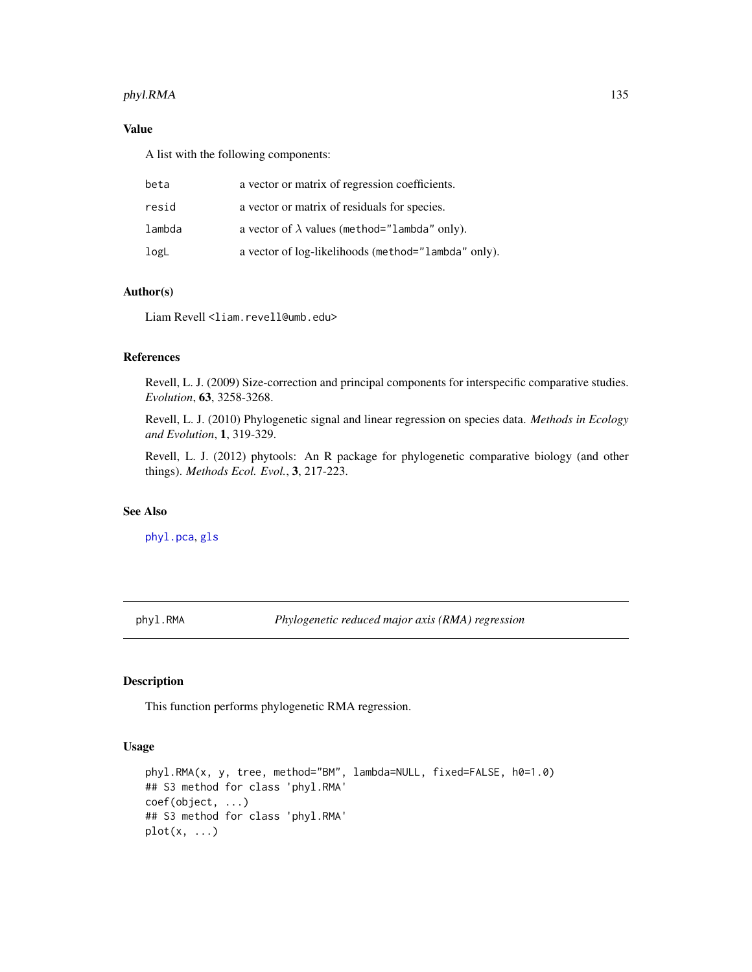# phyl.RMA 135

# Value

A list with the following components:

| beta   | a vector or matrix of regression coefficients.       |
|--------|------------------------------------------------------|
| resid  | a vector or matrix of residuals for species.         |
| lambda | a vector of $\lambda$ values (method="lambda" only). |
| logL   | a vector of log-likelihoods (method="lambda" only).  |

# Author(s)

Liam Revell <liam.revell@umb.edu>

# References

Revell, L. J. (2009) Size-correction and principal components for interspecific comparative studies. *Evolution*, 63, 3258-3268.

Revell, L. J. (2010) Phylogenetic signal and linear regression on species data. *Methods in Ecology and Evolution*, 1, 319-329.

Revell, L. J. (2012) phytools: An R package for phylogenetic comparative biology (and other things). *Methods Ecol. Evol.*, 3, 217-223.

## See Also

[phyl.pca](#page-131-0), [gls](#page-0-0)

phyl.RMA *Phylogenetic reduced major axis (RMA) regression*

# Description

This function performs phylogenetic RMA regression.

## Usage

```
phyl.RMA(x, y, tree, method="BM", lambda=NULL, fixed=FALSE, h0=1.0)
## S3 method for class 'phyl.RMA'
coef(object, ...)
## S3 method for class 'phyl.RMA'
plot(x, \ldots)
```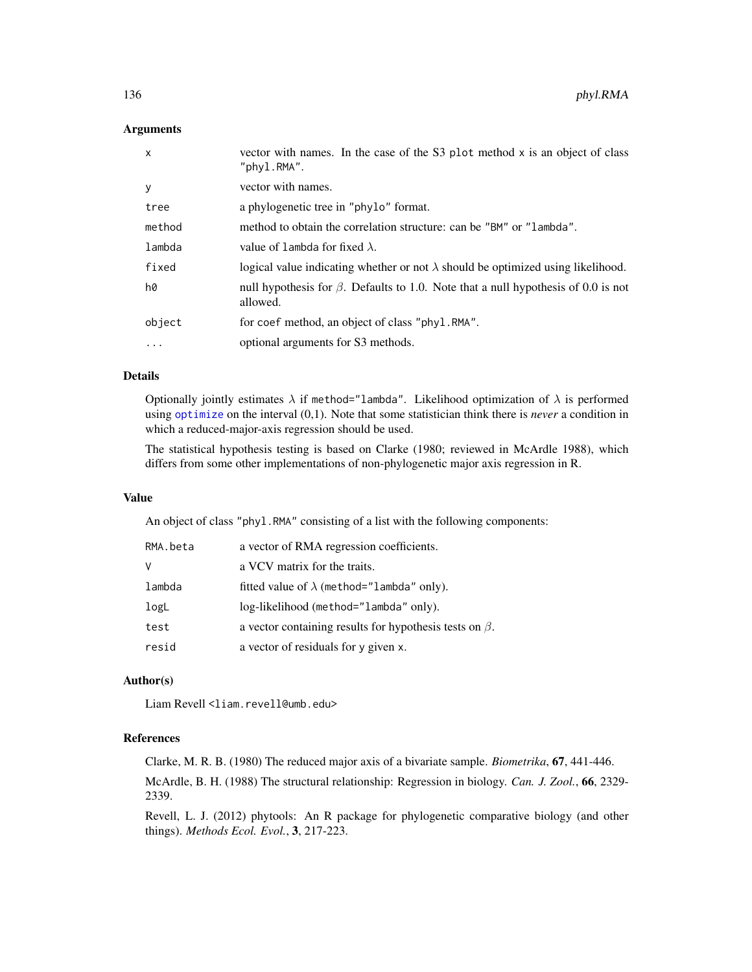## Arguments

| $\mathsf{x}$ | vector with names. In the case of the S3 plot method x is an object of class<br>"phyl.RMA".          |
|--------------|------------------------------------------------------------------------------------------------------|
| y            | vector with names.                                                                                   |
| tree         | a phylogenetic tree in "phylo" format.                                                               |
| method       | method to obtain the correlation structure: can be "BM" or "lambda".                                 |
| lambda       | value of lambda for fixed $\lambda$ .                                                                |
| fixed        | logical value indicating whether or not $\lambda$ should be optimized using likelihood.              |
| hØ           | null hypothesis for $\beta$ . Defaults to 1.0. Note that a null hypothesis of 0.0 is not<br>allowed. |
| object       | for coef method, an object of class "phyl.RMA".                                                      |
| $\ddots$     | optional arguments for S3 methods.                                                                   |

## Details

Optionally jointly estimates  $\lambda$  if method="lambda". Likelihood optimization of  $\lambda$  is performed using [optimize](#page-0-0) on the interval (0,1). Note that some statistician think there is *never* a condition in which a reduced-major-axis regression should be used.

The statistical hypothesis testing is based on Clarke (1980; reviewed in McArdle 1988), which differs from some other implementations of non-phylogenetic major axis regression in R.

#### Value

An object of class "phyl.RMA" consisting of a list with the following components:

| RMA.beta | a vector of RMA regression coefficients.                      |
|----------|---------------------------------------------------------------|
| v        | a VCV matrix for the traits.                                  |
| lambda   | fitted value of $\lambda$ (method="lambda" only).             |
| logL     | log-likelihood (method="lambda" only).                        |
| test     | a vector containing results for hypothesis tests on $\beta$ . |
| resid    | a vector of residuals for y given x.                          |

# Author(s)

Liam Revell <liam.revell@umb.edu>

## References

Clarke, M. R. B. (1980) The reduced major axis of a bivariate sample. *Biometrika*, 67, 441-446.

McArdle, B. H. (1988) The structural relationship: Regression in biology. *Can. J. Zool.*, 66, 2329- 2339.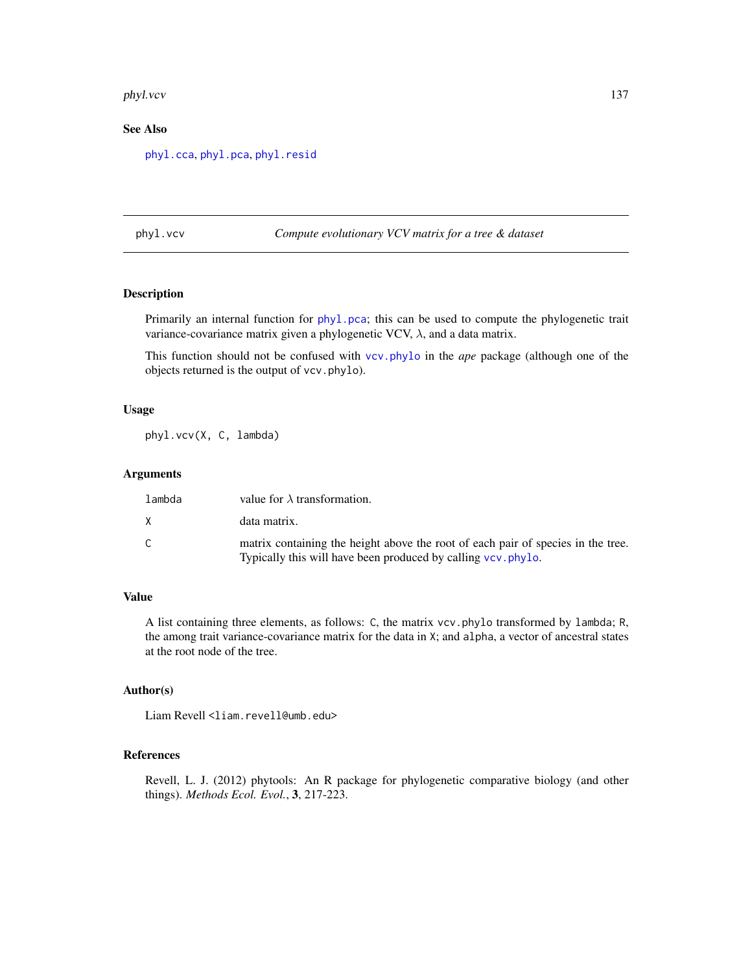#### phyl.vcv 137

# See Also

[phyl.cca](#page-129-0), [phyl.pca](#page-131-0), [phyl.resid](#page-133-0)

phyl.vcv *Compute evolutionary VCV matrix for a tree & dataset*

## Description

Primarily an internal function for [phyl.pca](#page-131-0); this can be used to compute the phylogenetic trait variance-covariance matrix given a phylogenetic VCV,  $\lambda$ , and a data matrix.

This function should not be confused with [vcv.phylo](#page-0-0) in the *ape* package (although one of the objects returned is the output of vcv.phylo).

## Usage

phyl.vcv(X, C, lambda)

# Arguments

| lambda | value for $\lambda$ transformation.                                                                                                               |
|--------|---------------------------------------------------------------------------------------------------------------------------------------------------|
| X.     | data matrix.                                                                                                                                      |
|        | matrix containing the height above the root of each pair of species in the tree.<br>Typically this will have been produced by calling vcv. phylo. |

# Value

A list containing three elements, as follows: C, the matrix vcv.phylo transformed by lambda; R, the among trait variance-covariance matrix for the data in X; and alpha, a vector of ancestral states at the root node of the tree.

## Author(s)

Liam Revell <liam.revell@umb.edu>

# References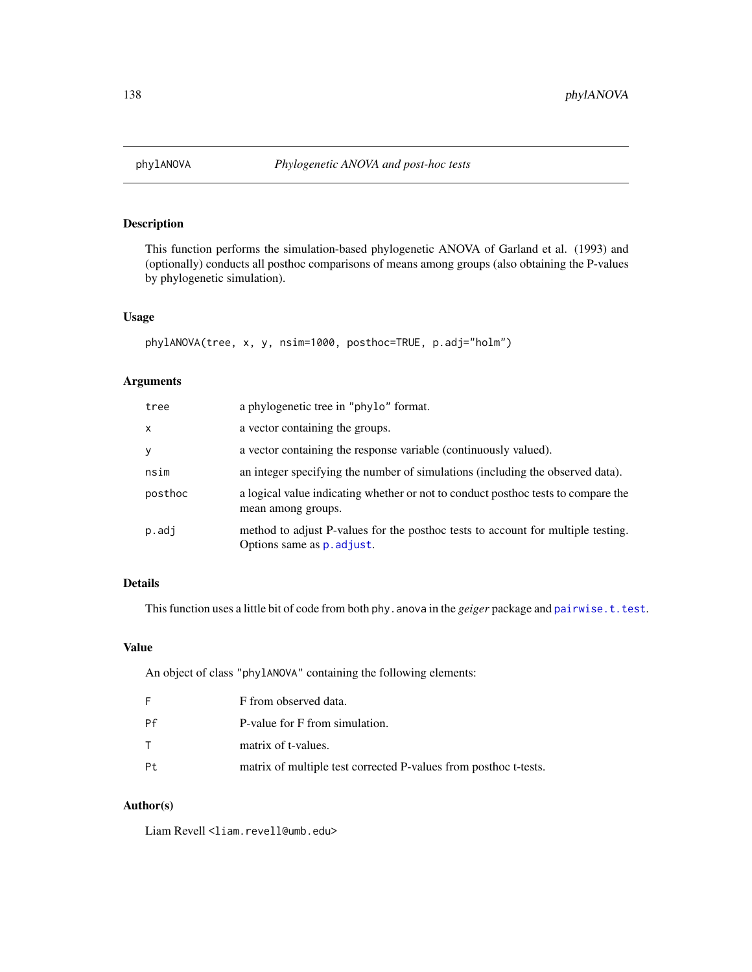This function performs the simulation-based phylogenetic ANOVA of Garland et al. (1993) and (optionally) conducts all posthoc comparisons of means among groups (also obtaining the P-values by phylogenetic simulation).

# Usage

```
phylANOVA(tree, x, y, nsim=1000, posthoc=TRUE, p.adj="holm")
```
## Arguments

| tree    | a phylogenetic tree in "phylo" format.                                                                         |
|---------|----------------------------------------------------------------------------------------------------------------|
| X       | a vector containing the groups.                                                                                |
| y       | a vector containing the response variable (continuously valued).                                               |
| nsim    | an integer specifying the number of simulations (including the observed data).                                 |
| posthoc | a logical value indicating whether or not to conduct posthoc tests to compare the<br>mean among groups.        |
| p.addj  | method to adjust P-values for the posthoc tests to account for multiple testing.<br>Options same as p. adjust. |

# Details

This function uses a little bit of code from both phy. anova in the *geiger* package and [pairwise.t.test](#page-0-0).

# Value

An object of class "phylANOVA" containing the following elements:

| F            | F from observed data.                                            |
|--------------|------------------------------------------------------------------|
| Pf           | P-value for F from simulation.                                   |
| $\mathsf{T}$ | matrix of t-values.                                              |
| Pt           | matrix of multiple test corrected P-values from posthoc t-tests. |

# Author(s)

Liam Revell <liam.revell@umb.edu>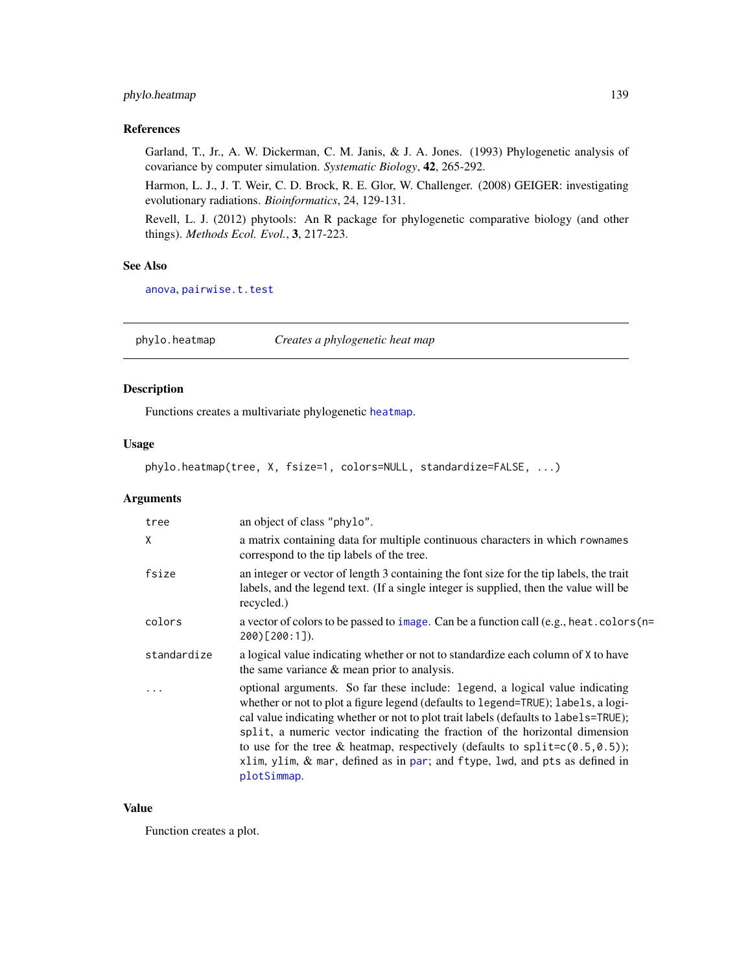# phylo.heatmap 139

# References

Garland, T., Jr., A. W. Dickerman, C. M. Janis, & J. A. Jones. (1993) Phylogenetic analysis of covariance by computer simulation. *Systematic Biology*, 42, 265-292.

Harmon, L. J., J. T. Weir, C. D. Brock, R. E. Glor, W. Challenger. (2008) GEIGER: investigating evolutionary radiations. *Bioinformatics*, 24, 129-131.

Revell, L. J. (2012) phytools: An R package for phylogenetic comparative biology (and other things). *Methods Ecol. Evol.*, 3, 217-223.

### See Also

[anova](#page-0-0), [pairwise.t.test](#page-0-0)

phylo.heatmap *Creates a phylogenetic heat map*

## Description

Functions creates a multivariate phylogenetic [heatmap](#page-0-0).

## Usage

phylo.heatmap(tree, X, fsize=1, colors=NULL, standardize=FALSE, ...)

## Arguments

| tree        | an object of class "phylo".                                                                                                                                                                                                                                                                                                                                                                                                                                                                                               |
|-------------|---------------------------------------------------------------------------------------------------------------------------------------------------------------------------------------------------------------------------------------------------------------------------------------------------------------------------------------------------------------------------------------------------------------------------------------------------------------------------------------------------------------------------|
| X           | a matrix containing data for multiple continuous characters in which rownames<br>correspond to the tip labels of the tree.                                                                                                                                                                                                                                                                                                                                                                                                |
| fsize       | an integer or vector of length 3 containing the font size for the tip labels, the trait<br>labels, and the legend text. (If a single integer is supplied, then the value will be<br>recycled.)                                                                                                                                                                                                                                                                                                                            |
| colors      | a vector of colors to be passed to image. Can be a function call (e.g., heat. colors (n=<br>200)[200:1]).                                                                                                                                                                                                                                                                                                                                                                                                                 |
| standardize | a logical value indicating whether or not to standardize each column of X to have<br>the same variance $\&$ mean prior to analysis.                                                                                                                                                                                                                                                                                                                                                                                       |
|             | optional arguments. So far these include: legend, a logical value indicating<br>whether or not to plot a figure legend (defaults to legend=TRUE); labels, a logi-<br>cal value indicating whether or not to plot trait labels (defaults to labels=TRUE);<br>split, a numeric vector indicating the fraction of the horizontal dimension<br>to use for the tree & heatmap, respectively (defaults to split= $c(0.5, 0.5)$ );<br>xlim, ylim, & mar, defined as in par; and ftype, lwd, and pts as defined in<br>plotSimmap. |

# Value

Function creates a plot.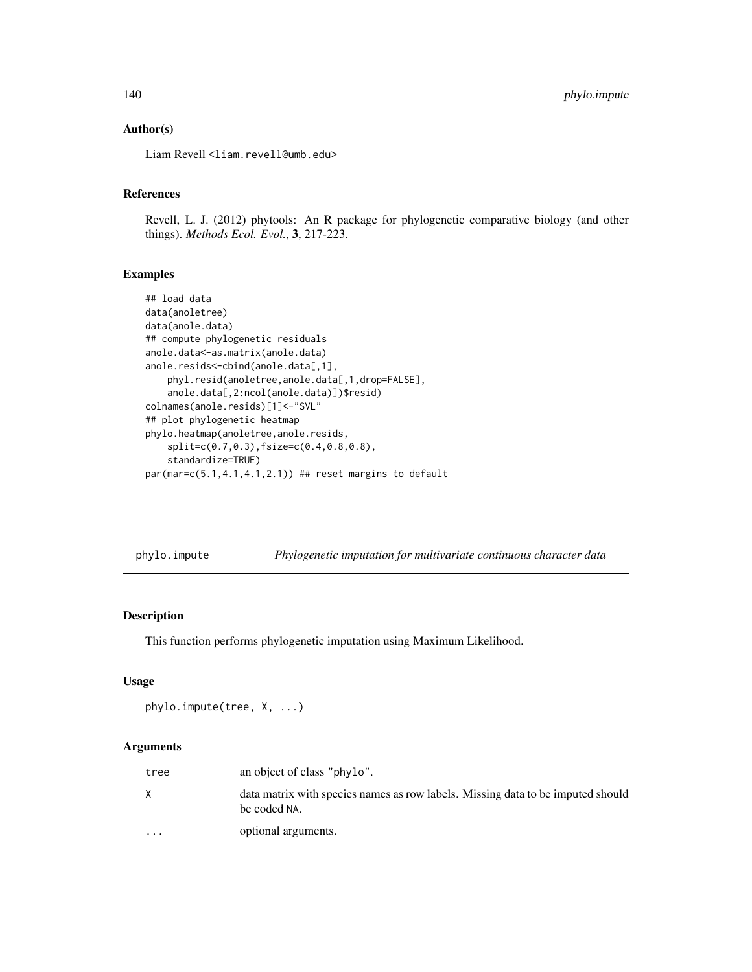## Author(s)

Liam Revell <liam.revell@umb.edu>

## References

Revell, L. J. (2012) phytools: An R package for phylogenetic comparative biology (and other things). *Methods Ecol. Evol.*, 3, 217-223.

#### Examples

```
## load data
data(anoletree)
data(anole.data)
## compute phylogenetic residuals
anole.data<-as.matrix(anole.data)
anole.resids<-cbind(anole.data[,1],
   phyl.resid(anoletree,anole.data[,1,drop=FALSE],
    anole.data[,2:ncol(anole.data)])$resid)
colnames(anole.resids)[1]<-"SVL"
## plot phylogenetic heatmap
phylo.heatmap(anoletree,anole.resids,
    split=c(0.7,0.3),fsize=c(0.4,0.8,0.8),
    standardize=TRUE)
par(max=c(5.1,4.1,4.1,2.1)) ## reset margins to default
```
phylo.impute *Phylogenetic imputation for multivariate continuous character data*

# Description

This function performs phylogenetic imputation using Maximum Likelihood.

## Usage

```
phylo.impute(tree, X, ...)
```
# Arguments

| tree                    | an object of class "phylo".                                                                     |
|-------------------------|-------------------------------------------------------------------------------------------------|
|                         | data matrix with species names as row labels. Missing data to be imputed should<br>be coded NA. |
| $\cdot$ $\cdot$ $\cdot$ | optional arguments.                                                                             |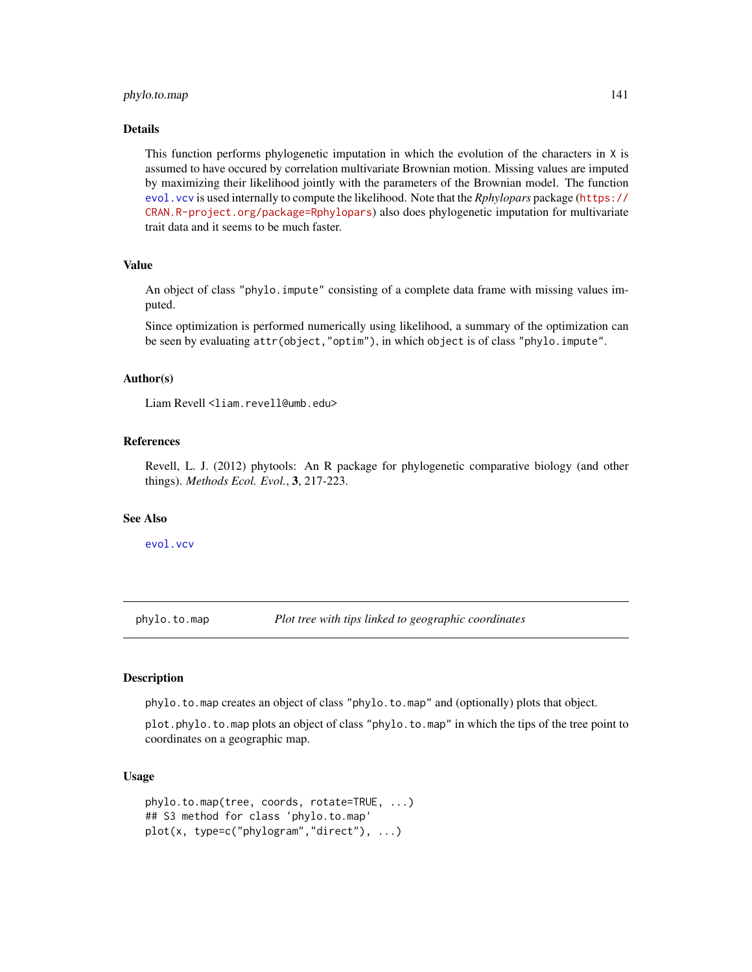# phylo.to.map 141

#### Details

This function performs phylogenetic imputation in which the evolution of the characters in X is assumed to have occured by correlation multivariate Brownian motion. Missing values are imputed by maximizing their likelihood jointly with the parameters of the Brownian model. The function [evol.vcv](#page-61-0) is used internally to compute the likelihood. Note that the *Rphylopars* package ([https://](https://CRAN.R-project.org/package=Rphylopars) [CRAN.R-project.org/package=Rphylopars](https://CRAN.R-project.org/package=Rphylopars)) also does phylogenetic imputation for multivariate trait data and it seems to be much faster.

# Value

An object of class "phylo.impute" consisting of a complete data frame with missing values imputed.

Since optimization is performed numerically using likelihood, a summary of the optimization can be seen by evaluating attr(object,"optim"), in which object is of class "phylo.impute".

## Author(s)

Liam Revell <liam.revell@umb.edu>

# References

Revell, L. J. (2012) phytools: An R package for phylogenetic comparative biology (and other things). *Methods Ecol. Evol.*, 3, 217-223.

# See Also

[evol.vcv](#page-61-0)

<span id="page-140-0"></span>phylo.to.map *Plot tree with tips linked to geographic coordinates*

## **Description**

phylo.to.map creates an object of class "phylo.to.map" and (optionally) plots that object.

plot.phylo.to.map plots an object of class "phylo.to.map" in which the tips of the tree point to coordinates on a geographic map.

## Usage

```
phylo.to.map(tree, coords, rotate=TRUE, ...)
## S3 method for class 'phylo.to.map'
plot(x, type=c("phylogram","direct"), ...)
```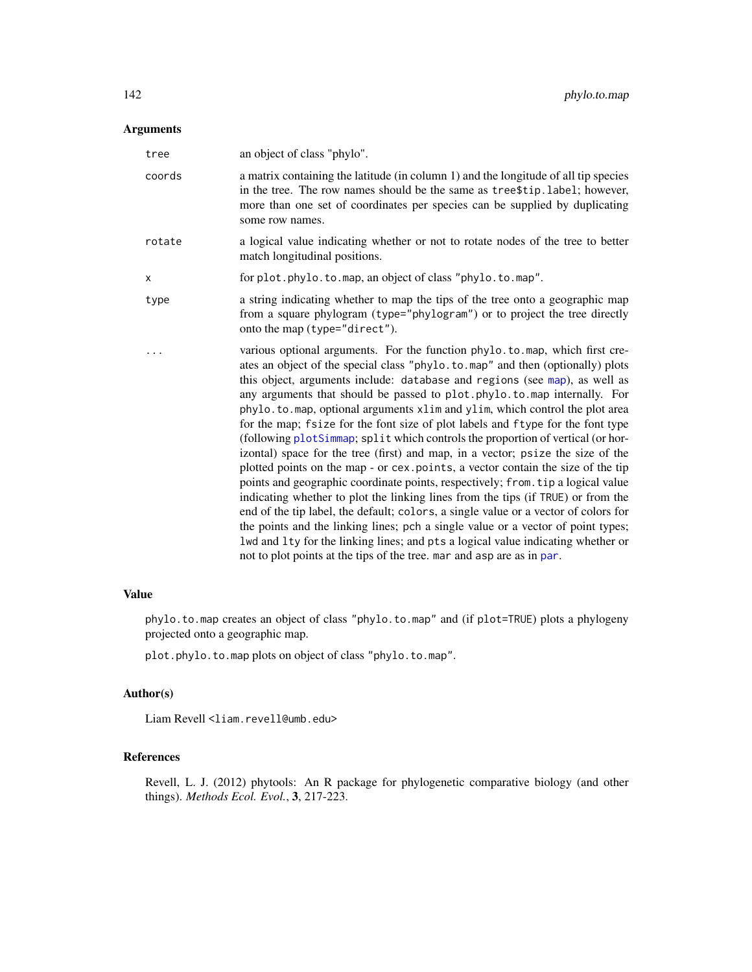# Arguments

| tree   | an object of class "phylo".                                                                                                                                                                                                                                                                                                                                                                                                                                                                                                                                                                                                                                                                                                                                                                                                                                                                                                                                                                                                                                                                                                                                                                                                                                          |
|--------|----------------------------------------------------------------------------------------------------------------------------------------------------------------------------------------------------------------------------------------------------------------------------------------------------------------------------------------------------------------------------------------------------------------------------------------------------------------------------------------------------------------------------------------------------------------------------------------------------------------------------------------------------------------------------------------------------------------------------------------------------------------------------------------------------------------------------------------------------------------------------------------------------------------------------------------------------------------------------------------------------------------------------------------------------------------------------------------------------------------------------------------------------------------------------------------------------------------------------------------------------------------------|
| coords | a matrix containing the latitude (in column 1) and the longitude of all tip species<br>in the tree. The row names should be the same as tree\$tip.label; however,<br>more than one set of coordinates per species can be supplied by duplicating<br>some row names.                                                                                                                                                                                                                                                                                                                                                                                                                                                                                                                                                                                                                                                                                                                                                                                                                                                                                                                                                                                                  |
| rotate | a logical value indicating whether or not to rotate nodes of the tree to better<br>match longitudinal positions.                                                                                                                                                                                                                                                                                                                                                                                                                                                                                                                                                                                                                                                                                                                                                                                                                                                                                                                                                                                                                                                                                                                                                     |
| х      | for plot.phylo.to.map, an object of class "phylo.to.map".                                                                                                                                                                                                                                                                                                                                                                                                                                                                                                                                                                                                                                                                                                                                                                                                                                                                                                                                                                                                                                                                                                                                                                                                            |
| type   | a string indicating whether to map the tips of the tree onto a geographic map<br>from a square phylogram (type="phylogram") or to project the tree directly<br>onto the map (type="direct").                                                                                                                                                                                                                                                                                                                                                                                                                                                                                                                                                                                                                                                                                                                                                                                                                                                                                                                                                                                                                                                                         |
|        | various optional arguments. For the function phylo.to.map, which first cre-<br>ates an object of the special class "phylo.to.map" and then (optionally) plots<br>this object, arguments include: database and regions (see map), as well as<br>any arguments that should be passed to plot.phylo.to.map internally. For<br>phylo.to.map, optional arguments xlim and ylim, which control the plot area<br>for the map; fsize for the font size of plot labels and ftype for the font type<br>(following plotSimmap; split which controls the proportion of vertical (or hor-<br>izontal) space for the tree (first) and map, in a vector; psize the size of the<br>plotted points on the map - or cex. points, a vector contain the size of the tip<br>points and geographic coordinate points, respectively; from. tip a logical value<br>indicating whether to plot the linking lines from the tips (if TRUE) or from the<br>end of the tip label, the default; colors, a single value or a vector of colors for<br>the points and the linking lines; pch a single value or a vector of point types;<br>lwd and lty for the linking lines; and pts a logical value indicating whether or<br>not to plot points at the tips of the tree. mar and asp are as in par. |

# Value

phylo.to.map creates an object of class "phylo.to.map" and (if plot=TRUE) plots a phylogeny projected onto a geographic map.

plot.phylo.to.map plots on object of class "phylo.to.map".

# Author(s)

Liam Revell <liam.revell@umb.edu>

# References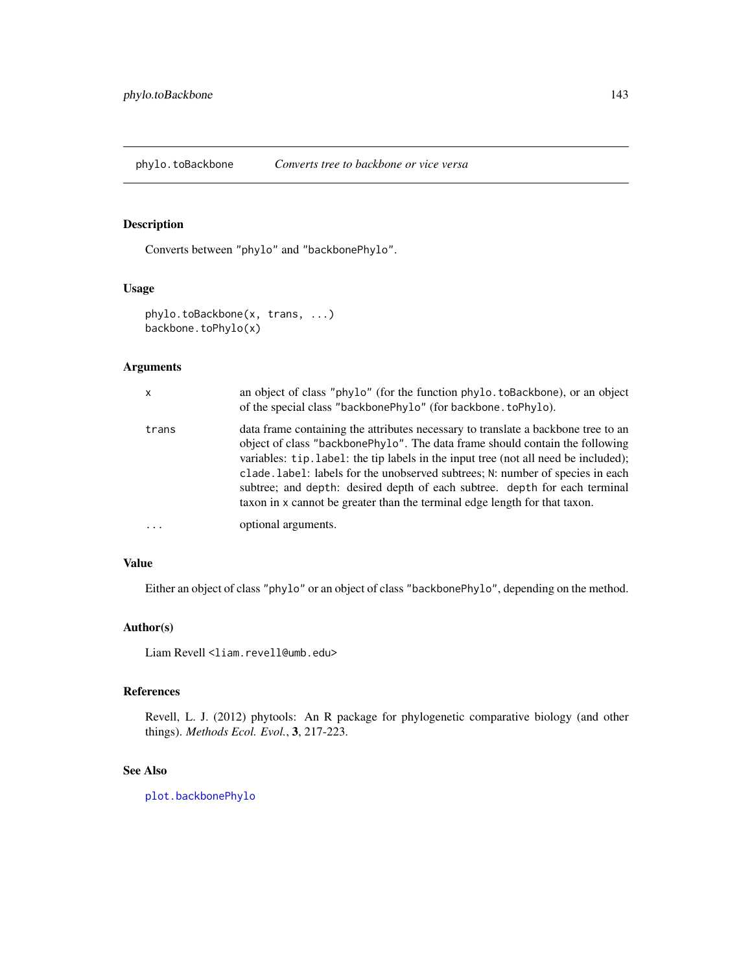Converts between "phylo" and "backbonePhylo".

## Usage

```
phylo.toBackbone(x, trans, ...)
backbone.toPhylo(x)
```
# Arguments

| $\mathsf{x}$ | an object of class "phylo" (for the function phylo.toBackbone), or an object<br>of the special class "backbonePhylo" (for backbone.toPhylo).                                                                                                                                                                                                                                                                                                                                                          |
|--------------|-------------------------------------------------------------------------------------------------------------------------------------------------------------------------------------------------------------------------------------------------------------------------------------------------------------------------------------------------------------------------------------------------------------------------------------------------------------------------------------------------------|
| trans        | data frame containing the attributes necessary to translate a backbone tree to an<br>object of class "backbonePhylo". The data frame should contain the following<br>variables: tip.label: the tip labels in the input tree (not all need be included);<br>clade. Label: labels for the unobserved subtrees; N: number of species in each<br>subtree; and depth: desired depth of each subtree. depth for each terminal<br>taxon in x cannot be greater than the terminal edge length for that taxon. |
|              | optional arguments.                                                                                                                                                                                                                                                                                                                                                                                                                                                                                   |

# Value

Either an object of class "phylo" or an object of class "backbonePhylo", depending on the method.

# Author(s)

Liam Revell <liam.revell@umb.edu>

## References

Revell, L. J. (2012) phytools: An R package for phylogenetic comparative biology (and other things). *Methods Ecol. Evol.*, 3, 217-223.

# See Also

[plot.backbonePhylo](#page-149-0)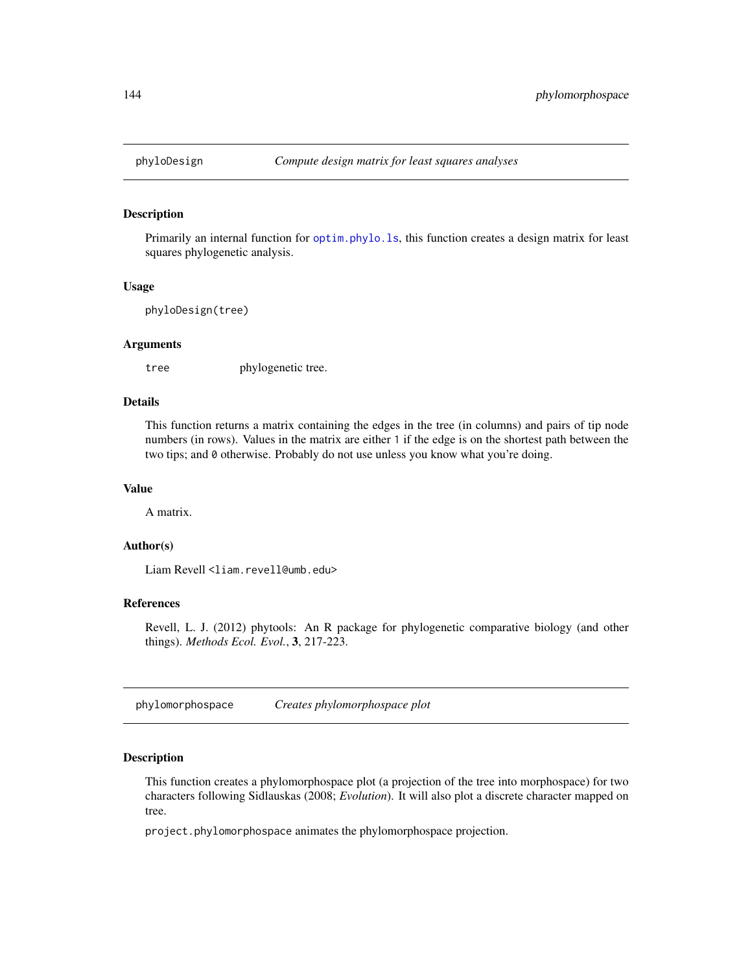Primarily an internal function for [optim.phylo.ls](#page-120-0), this function creates a design matrix for least squares phylogenetic analysis.

#### Usage

phyloDesign(tree)

# Arguments

tree phylogenetic tree.

## Details

This function returns a matrix containing the edges in the tree (in columns) and pairs of tip node numbers (in rows). Values in the matrix are either 1 if the edge is on the shortest path between the two tips; and 0 otherwise. Probably do not use unless you know what you're doing.

## Value

A matrix.

## Author(s)

Liam Revell <liam.revell@umb.edu>

# References

Revell, L. J. (2012) phytools: An R package for phylogenetic comparative biology (and other things). *Methods Ecol. Evol.*, 3, 217-223.

phylomorphospace *Creates phylomorphospace plot*

# Description

This function creates a phylomorphospace plot (a projection of the tree into morphospace) for two characters following Sidlauskas (2008; *Evolution*). It will also plot a discrete character mapped on tree.

project.phylomorphospace animates the phylomorphospace projection.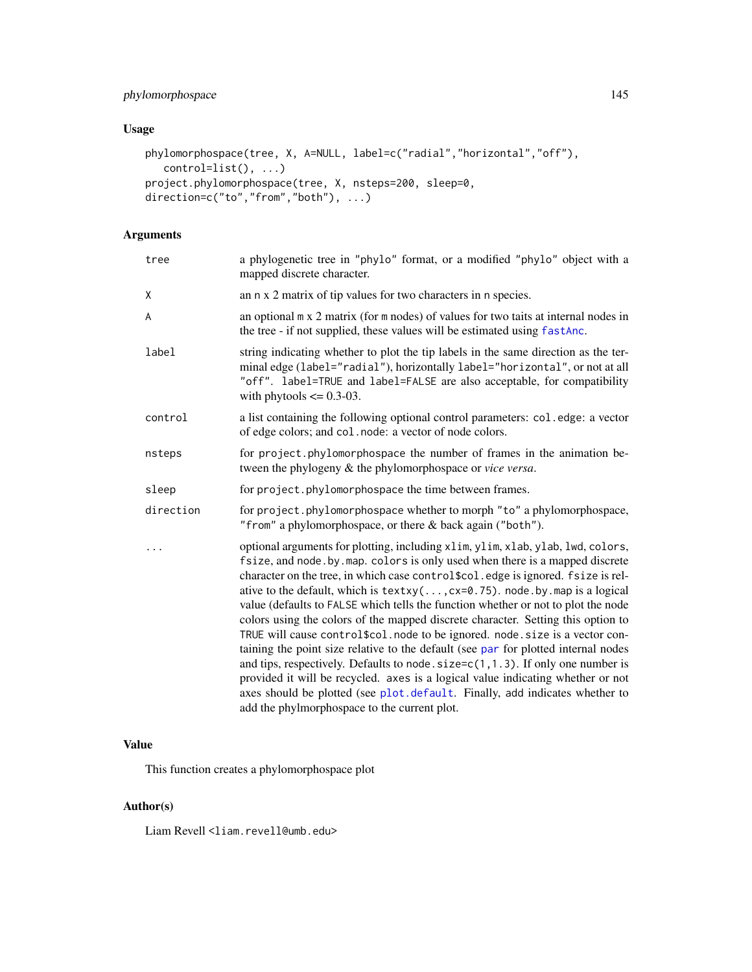# phylomorphospace 145

# Usage

```
phylomorphospace(tree, X, A=NULL, label=c("radial","horizontal","off"),
  control=list(), ...)
project.phylomorphospace(tree, X, nsteps=200, sleep=0,
direction=c("to","from","both"), ...)
```
# Arguments

| tree      | a phylogenetic tree in "phylo" format, or a modified "phylo" object with a<br>mapped discrete character.                                                                                                                                                                                                                                                                                                                                                                                                                                                                                                                                                                                                                                                                                                                                                                                                                                                                                                   |
|-----------|------------------------------------------------------------------------------------------------------------------------------------------------------------------------------------------------------------------------------------------------------------------------------------------------------------------------------------------------------------------------------------------------------------------------------------------------------------------------------------------------------------------------------------------------------------------------------------------------------------------------------------------------------------------------------------------------------------------------------------------------------------------------------------------------------------------------------------------------------------------------------------------------------------------------------------------------------------------------------------------------------------|
| χ         | an n x 2 matrix of tip values for two characters in n species.                                                                                                                                                                                                                                                                                                                                                                                                                                                                                                                                                                                                                                                                                                                                                                                                                                                                                                                                             |
| A         | an optional m x 2 matrix (for m nodes) of values for two taits at internal nodes in<br>the tree - if not supplied, these values will be estimated using fastAnc.                                                                                                                                                                                                                                                                                                                                                                                                                                                                                                                                                                                                                                                                                                                                                                                                                                           |
| label     | string indicating whether to plot the tip labels in the same direction as the ter-<br>minal edge (label="radial"), horizontally label="horizontal", or not at all<br>"off". label=TRUE and label=FALSE are also acceptable, for compatibility<br>with phytools $\leq$ 0.3-03.                                                                                                                                                                                                                                                                                                                                                                                                                                                                                                                                                                                                                                                                                                                              |
| control   | a list containing the following optional control parameters: col.edge: a vector<br>of edge colors; and col. node: a vector of node colors.                                                                                                                                                                                                                                                                                                                                                                                                                                                                                                                                                                                                                                                                                                                                                                                                                                                                 |
| nsteps    | for project.phylomorphospace the number of frames in the animation be-<br>tween the phylogeny & the phylomorphospace or vice versa.                                                                                                                                                                                                                                                                                                                                                                                                                                                                                                                                                                                                                                                                                                                                                                                                                                                                        |
| sleep     | for project.phylomorphospace the time between frames.                                                                                                                                                                                                                                                                                                                                                                                                                                                                                                                                                                                                                                                                                                                                                                                                                                                                                                                                                      |
| direction | for project.phylomorphospace whether to morph "to" a phylomorphospace,<br>"from" a phylomorphospace, or there & back again ("both").                                                                                                                                                                                                                                                                                                                                                                                                                                                                                                                                                                                                                                                                                                                                                                                                                                                                       |
| .         | optional arguments for plotting, including xlim, ylim, xlab, ylab, lwd, colors,<br>fsize, and node. by map. colors is only used when there is a mapped discrete<br>character on the tree, in which case control\$col.edge is ignored. fsize is rel-<br>ative to the default, which is $text{texty}(\ldots, \text{cx=0.75})$ . node.by.map is a logical<br>value (defaults to FALSE which tells the function whether or not to plot the node<br>colors using the colors of the mapped discrete character. Setting this option to<br>TRUE will cause control\$col.node to be ignored.node.size is a vector con-<br>taining the point size relative to the default (see par for plotted internal nodes<br>and tips, respectively. Defaults to node. $size=c(1,1.3)$ . If only one number is<br>provided it will be recycled. axes is a logical value indicating whether or not<br>axes should be plotted (see plot.default. Finally, add indicates whether to<br>add the phylmorphospace to the current plot. |

# Value

This function creates a phylomorphospace plot

# Author(s)

Liam Revell <liam.revell@umb.edu>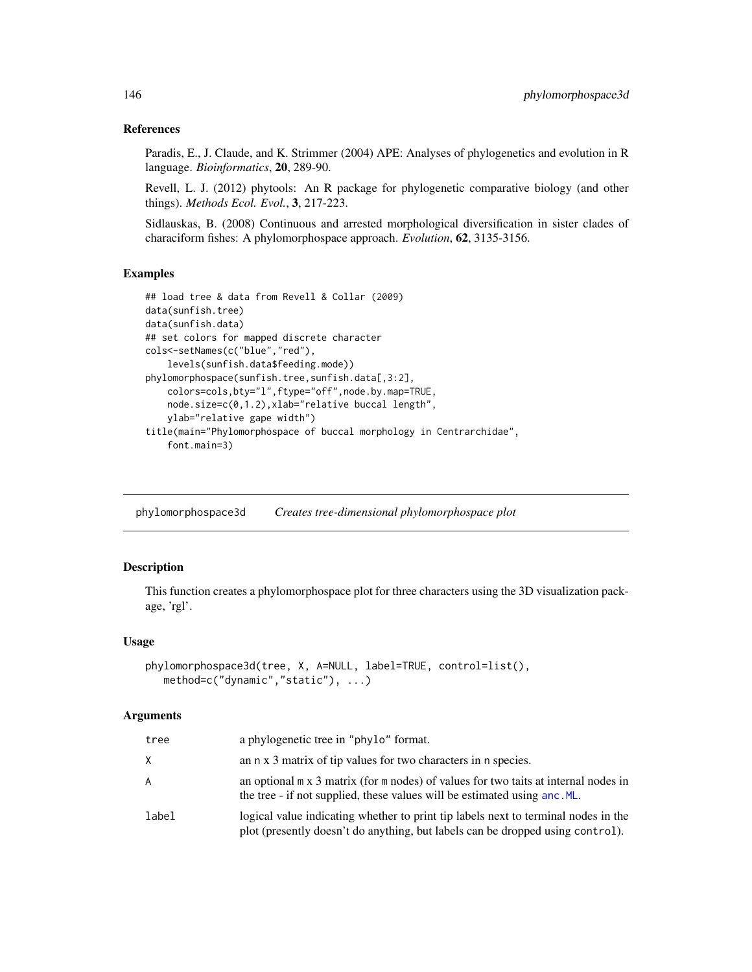## References

Paradis, E., J. Claude, and K. Strimmer (2004) APE: Analyses of phylogenetics and evolution in R language. *Bioinformatics*, 20, 289-90.

Revell, L. J. (2012) phytools: An R package for phylogenetic comparative biology (and other things). *Methods Ecol. Evol.*, 3, 217-223.

Sidlauskas, B. (2008) Continuous and arrested morphological diversification in sister clades of characiform fishes: A phylomorphospace approach. *Evolution*, 62, 3135-3156.

#### Examples

```
## load tree & data from Revell & Collar (2009)
data(sunfish.tree)
data(sunfish.data)
## set colors for mapped discrete character
cols<-setNames(c("blue","red"),
    levels(sunfish.data$feeding.mode))
phylomorphospace(sunfish.tree,sunfish.data[,3:2],
    colors=cols,bty="l",ftype="off",node.by.map=TRUE,
    node.size=c(0,1.2),xlab="relative buccal length",
    ylab="relative gape width")
title(main="Phylomorphospace of buccal morphology in Centrarchidae",
    font.main=3)
```
phylomorphospace3d *Creates tree-dimensional phylomorphospace plot*

# Description

This function creates a phylomorphospace plot for three characters using the 3D visualization package, 'rgl'.

### Usage

```
phylomorphospace3d(tree, X, A=NULL, label=TRUE, control=list(),
   method=c("dynamic","static"), ...)
```
#### Arguments

| tree  | a phylogenetic tree in "phylo" format.                                                                                                                                    |
|-------|---------------------------------------------------------------------------------------------------------------------------------------------------------------------------|
| X.    | an n x 3 matrix of tip values for two characters in n species.                                                                                                            |
| A     | an optional $m \times 3$ matrix (for $m$ nodes) of values for two taits at internal nodes in<br>the tree - if not supplied, these values will be estimated using anc. ML. |
| label | logical value indicating whether to print tip labels next to terminal nodes in the<br>plot (presently doesn't do anything, but labels can be dropped using control).      |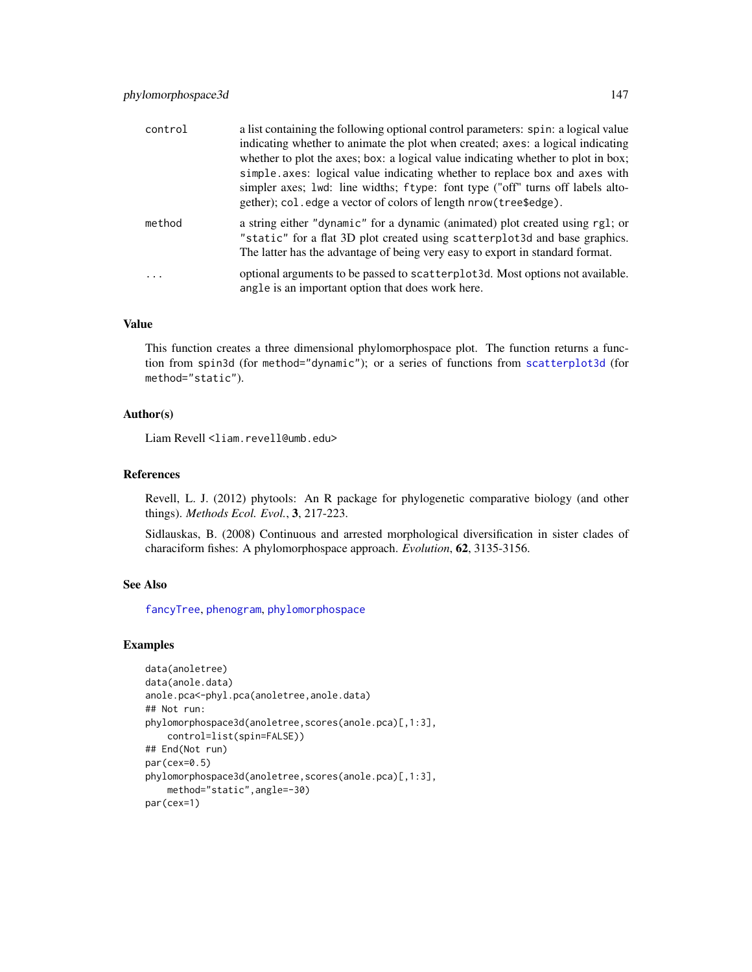| control | a list containing the following optional control parameters: spin: a logical value<br>indicating whether to animate the plot when created; axes: a logical indicating<br>whether to plot the axes; box: a logical value indicating whether to plot in box;<br>simple.axes: logical value indicating whether to replace box and axes with<br>simpler axes; 1 wd: line widths; ftype: font type ("off" turns off labels alto-<br>gether); col.edge a vector of colors of length nrow (tree \$edge). |
|---------|---------------------------------------------------------------------------------------------------------------------------------------------------------------------------------------------------------------------------------------------------------------------------------------------------------------------------------------------------------------------------------------------------------------------------------------------------------------------------------------------------|
| method  | a string either "dynamic" for a dynamic (animated) plot created using rg1; or<br>"static" for a flat 3D plot created using scatterplot3d and base graphics.<br>The latter has the advantage of being very easy to export in standard format.                                                                                                                                                                                                                                                      |
| .       | optional arguments to be passed to scatter plot 3d. Most options not available.<br>angle is an important option that does work here.                                                                                                                                                                                                                                                                                                                                                              |

## Value

This function creates a three dimensional phylomorphospace plot. The function returns a function from spin3d (for method="dynamic"); or a series of functions from [scatterplot3d](#page-0-0) (for method="static").

#### Author(s)

Liam Revell <liam.revell@umb.edu>

## References

Revell, L. J. (2012) phytools: An R package for phylogenetic comparative biology (and other things). *Methods Ecol. Evol.*, 3, 217-223.

Sidlauskas, B. (2008) Continuous and arrested morphological diversification in sister clades of characiform fishes: A phylomorphospace approach. *Evolution*, 62, 3135-3156.

## See Also

[fancyTree](#page-67-0), [phenogram](#page-127-0), [phylomorphospace](#page-143-0)

#### Examples

```
data(anoletree)
data(anole.data)
anole.pca<-phyl.pca(anoletree,anole.data)
## Not run:
phylomorphospace3d(anoletree,scores(anole.pca)[,1:3],
    control=list(spin=FALSE))
## End(Not run)
par(cex=0.5)
phylomorphospace3d(anoletree,scores(anole.pca)[,1:3],
    method="static",angle=-30)
par(cex=1)
```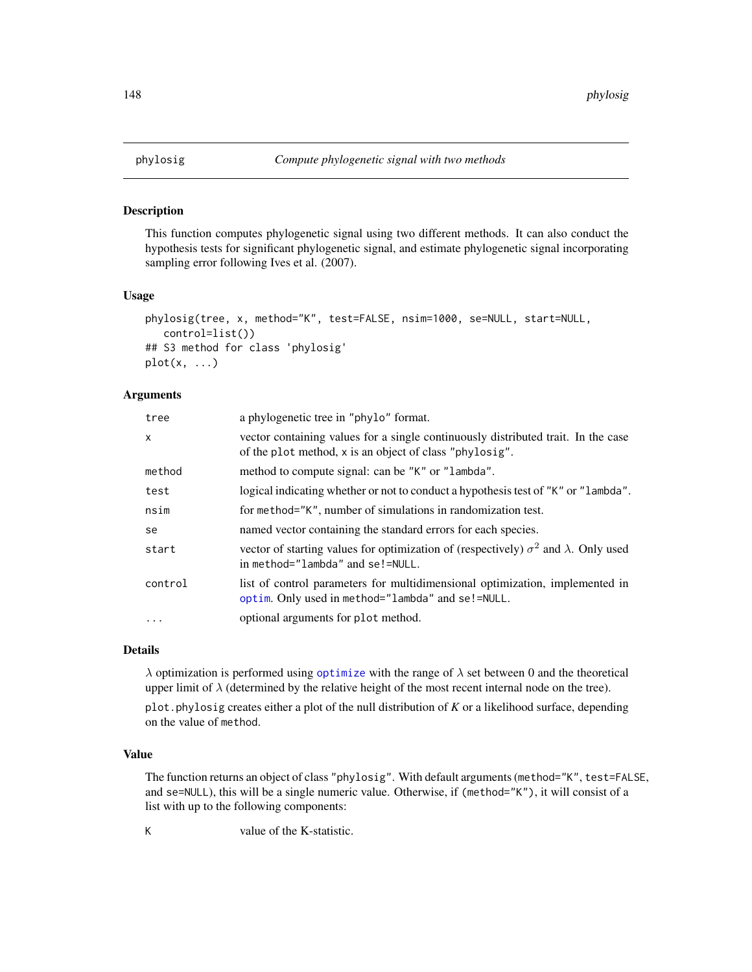This function computes phylogenetic signal using two different methods. It can also conduct the hypothesis tests for significant phylogenetic signal, and estimate phylogenetic signal incorporating sampling error following Ives et al. (2007).

#### Usage

```
phylosig(tree, x, method="K", test=FALSE, nsim=1000, se=NULL, start=NULL,
   control=list())
## S3 method for class 'phylosig'
plot(x, \ldots)
```
## Arguments

| tree         | a phylogenetic tree in "phylo" format.                                                                                                       |
|--------------|----------------------------------------------------------------------------------------------------------------------------------------------|
| $\mathsf{x}$ | vector containing values for a single continuously distributed trait. In the case<br>of the plot method, x is an object of class "phylosig". |
| method       | method to compute signal: can be "K" or "lambda".                                                                                            |
| test         | logical indicating whether or not to conduct a hypothesis test of "K" or "lambda".                                                           |
| nsim         | for method="K", number of simulations in randomization test.                                                                                 |
| se           | named vector containing the standard errors for each species.                                                                                |
| start        | vector of starting values for optimization of (respectively) $\sigma^2$ and $\lambda$ . Only used<br>in method="lambda" and se!=NULL.        |
| control      | list of control parameters for multidimensional optimization, implemented in<br>optim. Only used in method="lambda" and se!=NULL.            |
| $\ddotsc$    | optional arguments for plot method.                                                                                                          |

#### Details

 $\lambda$  optimization is performed using [optimize](#page-0-0) with the range of  $\lambda$  set between 0 and the theoretical upper limit of  $\lambda$  (determined by the relative height of the most recent internal node on the tree).

plot.phylosig creates either a plot of the null distribution of *K* or a likelihood surface, depending on the value of method.

#### Value

The function returns an object of class "phylosig". With default arguments (method="K", test=FALSE, and se=NULL), this will be a single numeric value. Otherwise, if (method="K"), it will consist of a list with up to the following components:

K value of the K-statistic.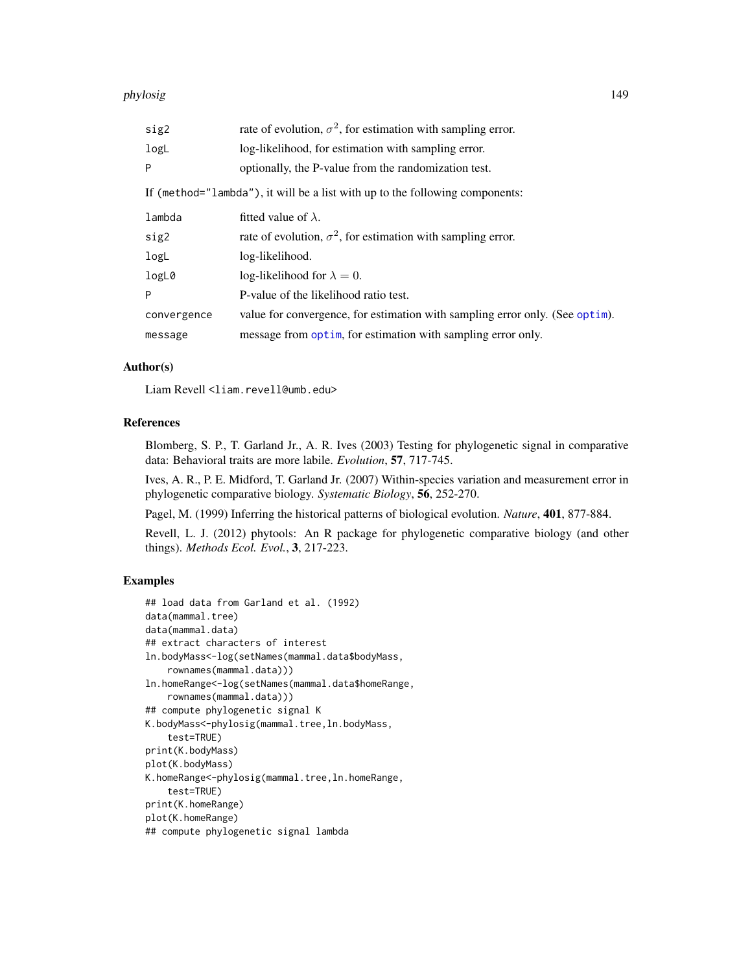#### phylosig 149

| sig2        | rate of evolution, $\sigma^2$ , for estimation with sampling error.          |
|-------------|------------------------------------------------------------------------------|
| logL        | log-likelihood, for estimation with sampling error.                          |
| P           | optionally, the P-value from the randomization test.                         |
|             | If (method="lambda"), it will be a list with up to the following components: |
| lambda      | fitted value of $\lambda$ .                                                  |
| sig2        | rate of evolution, $\sigma^2$ , for estimation with sampling error.          |
| logL        | log-likelihood.                                                              |
| logL0       | log-likelihood for $\lambda = 0$ .                                           |
| P           | P-value of the likelihood ratio test.                                        |
| convergence | value for convergence, for estimation with sampling error only. (See optim). |
| message     | message from optim, for estimation with sampling error only.                 |

## Author(s)

Liam Revell <liam.revell@umb.edu>

# References

Blomberg, S. P., T. Garland Jr., A. R. Ives (2003) Testing for phylogenetic signal in comparative data: Behavioral traits are more labile. *Evolution*, 57, 717-745.

Ives, A. R., P. E. Midford, T. Garland Jr. (2007) Within-species variation and measurement error in phylogenetic comparative biology. *Systematic Biology*, 56, 252-270.

Pagel, M. (1999) Inferring the historical patterns of biological evolution. *Nature*, 401, 877-884.

Revell, L. J. (2012) phytools: An R package for phylogenetic comparative biology (and other things). *Methods Ecol. Evol.*, 3, 217-223.

# Examples

```
## load data from Garland et al. (1992)
data(mammal.tree)
data(mammal.data)
## extract characters of interest
ln.bodyMass<-log(setNames(mammal.data$bodyMass,
    rownames(mammal.data)))
ln.homeRange<-log(setNames(mammal.data$homeRange,
   rownames(mammal.data)))
## compute phylogenetic signal K
K.bodyMass<-phylosig(mammal.tree,ln.bodyMass,
    test=TRUE)
print(K.bodyMass)
plot(K.bodyMass)
K.homeRange<-phylosig(mammal.tree,ln.homeRange,
    test=TRUE)
print(K.homeRange)
plot(K.homeRange)
## compute phylogenetic signal lambda
```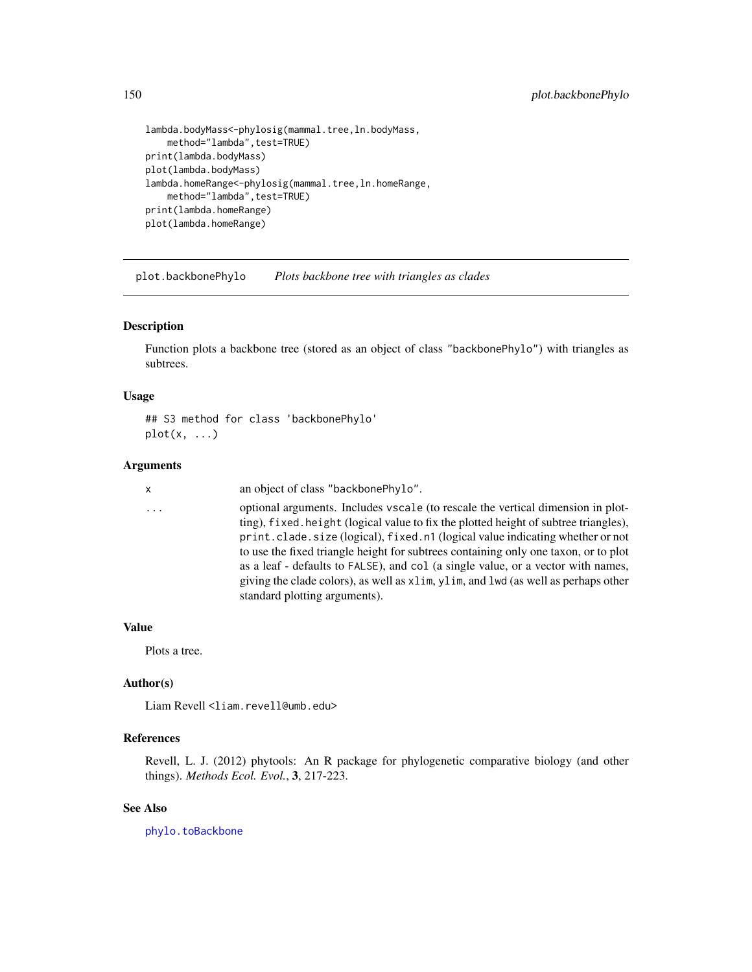```
lambda.bodyMass<-phylosig(mammal.tree,ln.bodyMass,
    method="lambda", test=TRUE)
print(lambda.bodyMass)
plot(lambda.bodyMass)
lambda.homeRange<-phylosig(mammal.tree,ln.homeRange,
    method="lambda", test=TRUE)
print(lambda.homeRange)
plot(lambda.homeRange)
```
plot.backbonePhylo *Plots backbone tree with triangles as clades*

## Description

Function plots a backbone tree (stored as an object of class "backbonePhylo") with triangles as subtrees.

#### Usage

## S3 method for class 'backbonePhylo'  $plot(x, \ldots)$ 

#### Arguments

x an object of class "backbonePhylo".

... optional arguments. Includes vscale (to rescale the vertical dimension in plotting), fixed.height (logical value to fix the plotted height of subtree triangles), print.clade.size (logical), fixed.n1 (logical value indicating whether or not to use the fixed triangle height for subtrees containing only one taxon, or to plot as a leaf - defaults to FALSE), and col (a single value, or a vector with names, giving the clade colors), as well as xlim, ylim, and lwd (as well as perhaps other standard plotting arguments).

# Value

Plots a tree.

## Author(s)

Liam Revell <liam.revell@umb.edu>

## References

Revell, L. J. (2012) phytools: An R package for phylogenetic comparative biology (and other things). *Methods Ecol. Evol.*, 3, 217-223.

## See Also

[phylo.toBackbone](#page-142-0)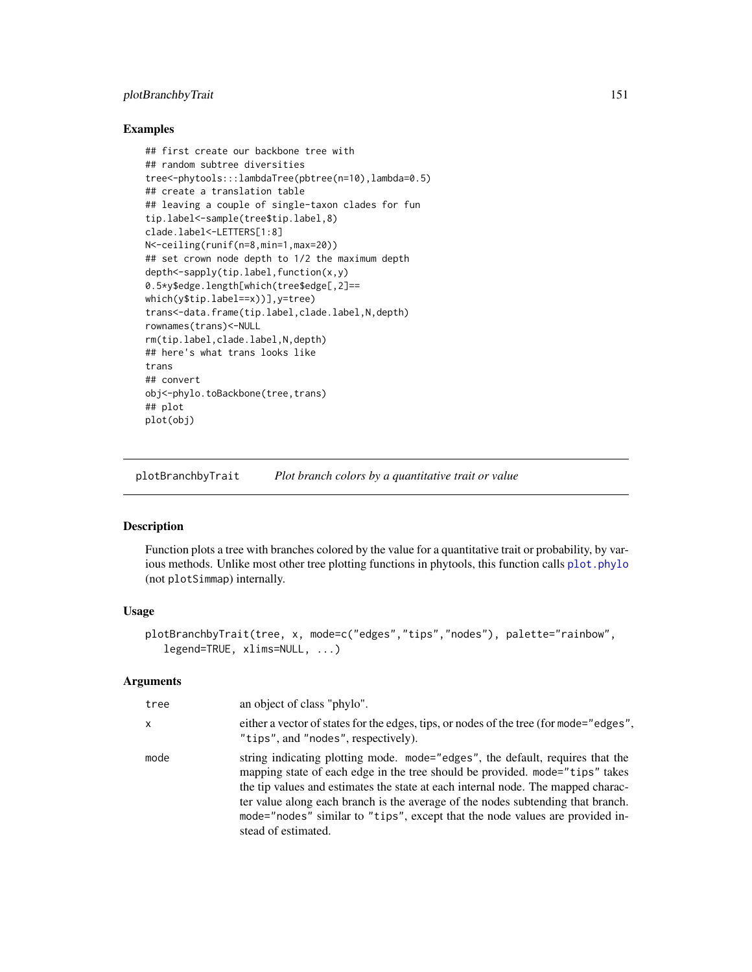# plotBranchbyTrait 151

## Examples

```
## first create our backbone tree with
## random subtree diversities
tree<-phytools:::lambdaTree(pbtree(n=10),lambda=0.5)
## create a translation table
## leaving a couple of single-taxon clades for fun
tip.label<-sample(tree$tip.label,8)
clade.label<-LETTERS[1:8]
N<-ceiling(runif(n=8,min=1,max=20))
## set crown node depth to 1/2 the maximum depth
depth<-sapply(tip.label,function(x,y)
0.5*y$edge.length[which(tree$edge[,2]==
which(y$tip.label==x))],y=tree)
trans<-data.frame(tip.label,clade.label,N,depth)
rownames(trans)<-NULL
rm(tip.label,clade.label,N,depth)
## here's what trans looks like
trans
## convert
obj<-phylo.toBackbone(tree,trans)
## plot
plot(obj)
```
plotBranchbyTrait *Plot branch colors by a quantitative trait or value*

## Description

Function plots a tree with branches colored by the value for a quantitative trait or probability, by various methods. Unlike most other tree plotting functions in phytools, this function calls plot. phylo (not plotSimmap) internally.

### Usage

```
plotBranchbyTrait(tree, x, mode=c("edges","tips","nodes"), palette="rainbow",
   legend=TRUE, xlims=NULL, ...)
```
## Arguments

| tree         | an object of class "phylo".                                                                                                                                                                                                                                                                                                                                                                                                                 |
|--------------|---------------------------------------------------------------------------------------------------------------------------------------------------------------------------------------------------------------------------------------------------------------------------------------------------------------------------------------------------------------------------------------------------------------------------------------------|
| $\mathsf{x}$ | either a vector of states for the edges, tips, or nodes of the tree (for mode="edges",<br>"tips", and "nodes", respectively).                                                                                                                                                                                                                                                                                                               |
| mode         | string indicating plotting mode. mode="edges", the default, requires that the<br>mapping state of each edge in the tree should be provided. mode="tips" takes<br>the tip values and estimates the state at each internal node. The mapped charac-<br>ter value along each branch is the average of the nodes subtending that branch.<br>mode="nodes" similar to "tips", except that the node values are provided in-<br>stead of estimated. |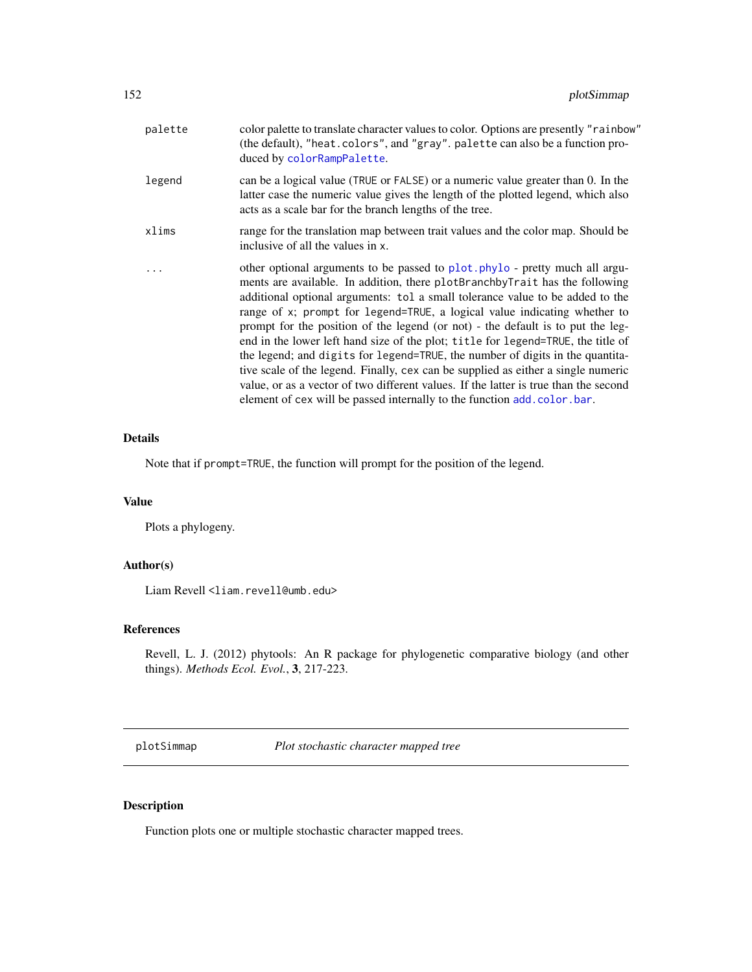| palette | color palette to translate character values to color. Options are presently "rainbow"<br>(the default), "heat.colors", and "gray". palette can also be a function pro-<br>duced by colorRampPalette.                                                                                                                                                                                                                                                                                                                                                                                                                                                                                                                                                                                                                                        |
|---------|---------------------------------------------------------------------------------------------------------------------------------------------------------------------------------------------------------------------------------------------------------------------------------------------------------------------------------------------------------------------------------------------------------------------------------------------------------------------------------------------------------------------------------------------------------------------------------------------------------------------------------------------------------------------------------------------------------------------------------------------------------------------------------------------------------------------------------------------|
| legend  | can be a logical value (TRUE or FALSE) or a numeric value greater than 0. In the<br>latter case the numeric value gives the length of the plotted legend, which also<br>acts as a scale bar for the branch lengths of the tree.                                                                                                                                                                                                                                                                                                                                                                                                                                                                                                                                                                                                             |
| xlims   | range for the translation map between trait values and the color map. Should be<br>inclusive of all the values in x.                                                                                                                                                                                                                                                                                                                                                                                                                                                                                                                                                                                                                                                                                                                        |
|         | other optional arguments to be passed to plot. phylo - pretty much all argu-<br>ments are available. In addition, there plotBranchbyTrait has the following<br>additional optional arguments: tol a small tolerance value to be added to the<br>range of x; prompt for legend=TRUE, a logical value indicating whether to<br>prompt for the position of the legend (or not) - the default is to put the leg-<br>end in the lower left hand size of the plot; title for legend=TRUE, the title of<br>the legend; and digits for legend=TRUE, the number of digits in the quantita-<br>tive scale of the legend. Finally, cex can be supplied as either a single numeric<br>value, or as a vector of two different values. If the latter is true than the second<br>element of cex will be passed internally to the function add. color. bar. |

## Details

Note that if prompt=TRUE, the function will prompt for the position of the legend.

## Value

Plots a phylogeny.

# Author(s)

Liam Revell <liam.revell@umb.edu>

# References

Revell, L. J. (2012) phytools: An R package for phylogenetic comparative biology (and other things). *Methods Ecol. Evol.*, 3, 217-223.

<span id="page-151-0"></span>plotSimmap *Plot stochastic character mapped tree*

# Description

Function plots one or multiple stochastic character mapped trees.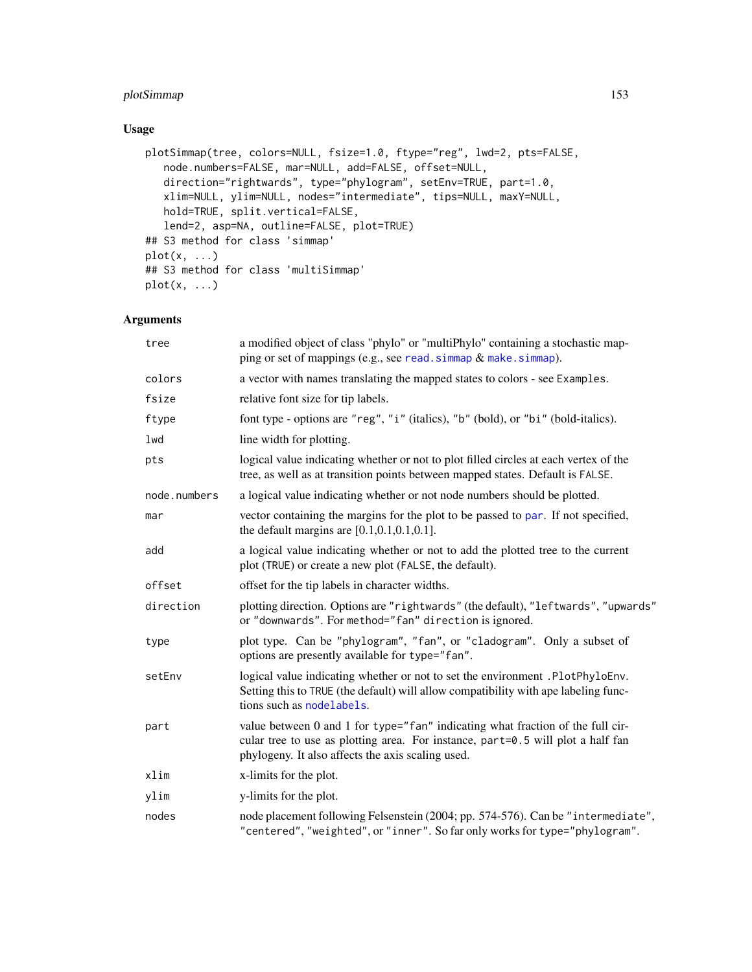# plotSimmap 153

# Usage

```
plotSimmap(tree, colors=NULL, fsize=1.0, ftype="reg", lwd=2, pts=FALSE,
   node.numbers=FALSE, mar=NULL, add=FALSE, offset=NULL,
   direction="rightwards", type="phylogram", setEnv=TRUE, part=1.0,
   xlim=NULL, ylim=NULL, nodes="intermediate", tips=NULL, maxY=NULL,
   hold=TRUE, split.vertical=FALSE,
   lend=2, asp=NA, outline=FALSE, plot=TRUE)
## S3 method for class 'simmap'
plot(x, \ldots)## S3 method for class 'multiSimmap'
plot(x, \ldots)
```
# Arguments

| tree         | a modified object of class "phylo" or "multiPhylo" containing a stochastic map-<br>ping or set of mappings (e.g., see read. simmap $&$ make. simmap).                                                                  |
|--------------|------------------------------------------------------------------------------------------------------------------------------------------------------------------------------------------------------------------------|
| colors       | a vector with names translating the mapped states to colors - see Examples.                                                                                                                                            |
| fsize        | relative font size for tip labels.                                                                                                                                                                                     |
| ftype        | font type - options are "reg", "i" (italics), "b" (bold), or "bi" (bold-italics).                                                                                                                                      |
| lwd          | line width for plotting.                                                                                                                                                                                               |
| pts          | logical value indicating whether or not to plot filled circles at each vertex of the<br>tree, as well as at transition points between mapped states. Default is FALSE.                                                 |
| node.numbers | a logical value indicating whether or not node numbers should be plotted.                                                                                                                                              |
| mar          | vector containing the margins for the plot to be passed to par. If not specified,<br>the default margins are $[0.1, 0.1, 0.1, 0.1]$ .                                                                                  |
| add          | a logical value indicating whether or not to add the plotted tree to the current<br>plot (TRUE) or create a new plot (FALSE, the default).                                                                             |
| offset       | offset for the tip labels in character widths.                                                                                                                                                                         |
| direction    | plotting direction. Options are "rightwards" (the default), "leftwards", "upwards"<br>or "downwards". For method="fan" direction is ignored.                                                                           |
| type         | plot type. Can be "phylogram", "fan", or "cladogram". Only a subset of<br>options are presently available for type="fan".                                                                                              |
| setEnv       | logical value indicating whether or not to set the environment .PlotPhyloEnv.<br>Setting this to TRUE (the default) will allow compatibility with ape labeling func-<br>tions such as nodelabels.                      |
| part         | value between 0 and 1 for type="fan" indicating what fraction of the full cir-<br>cular tree to use as plotting area. For instance, part=0.5 will plot a half fan<br>phylogeny. It also affects the axis scaling used. |
| xlim         | x-limits for the plot.                                                                                                                                                                                                 |
| ylim         | y-limits for the plot.                                                                                                                                                                                                 |
| nodes        | node placement following Felsenstein (2004; pp. 574-576). Can be "intermediate",<br>"centered", "weighted", or "inner". So far only works for type="phylogram".                                                        |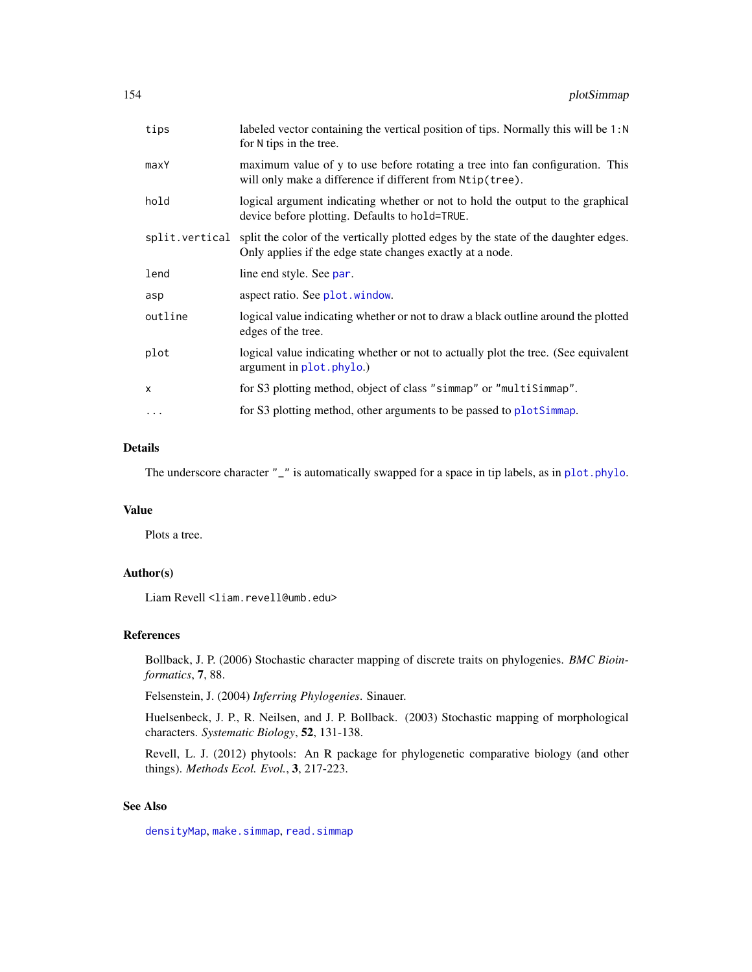| labeled vector containing the vertical position of tips. Normally this will be 1:N<br>for N tips in the tree.                                                   |
|-----------------------------------------------------------------------------------------------------------------------------------------------------------------|
| maximum value of y to use before rotating a tree into fan configuration. This<br>will only make a difference if different from $Ntip(tree)$ .                   |
| logical argument indicating whether or not to hold the output to the graphical<br>device before plotting. Defaults to hold=TRUE.                                |
| split vertical split the color of the vertically plotted edges by the state of the daughter edges.<br>Only applies if the edge state changes exactly at a node. |
| line end style. See par.                                                                                                                                        |
| aspect ratio. See plot window.                                                                                                                                  |
| logical value indicating whether or not to draw a black outline around the plotted<br>edges of the tree.                                                        |
| logical value indicating whether or not to actually plot the tree. (See equivalent<br>argument in plot. phylo.)                                                 |
| for S3 plotting method, object of class "simmap" or "multiSimmap".                                                                                              |
| for S3 plotting method, other arguments to be passed to plotSimmap.                                                                                             |
|                                                                                                                                                                 |

## Details

The underscore character "\_" is automatically swapped for a space in tip labels, as in [plot.phylo](#page-0-0).

## Value

Plots a tree.

# Author(s)

Liam Revell <liam.revell@umb.edu>

## References

Bollback, J. P. (2006) Stochastic character mapping of discrete traits on phylogenies. *BMC Bioinformatics*, 7, 88.

Felsenstein, J. (2004) *Inferring Phylogenies*. Sinauer.

Huelsenbeck, J. P., R. Neilsen, and J. P. Bollback. (2003) Stochastic mapping of morphological characters. *Systematic Biology*, 52, 131-138.

Revell, L. J. (2012) phytools: An R package for phylogenetic comparative biology (and other things). *Methods Ecol. Evol.*, 3, 217-223.

# See Also

[densityMap](#page-46-0), [make.simmap](#page-101-0), [read.simmap](#page-168-0)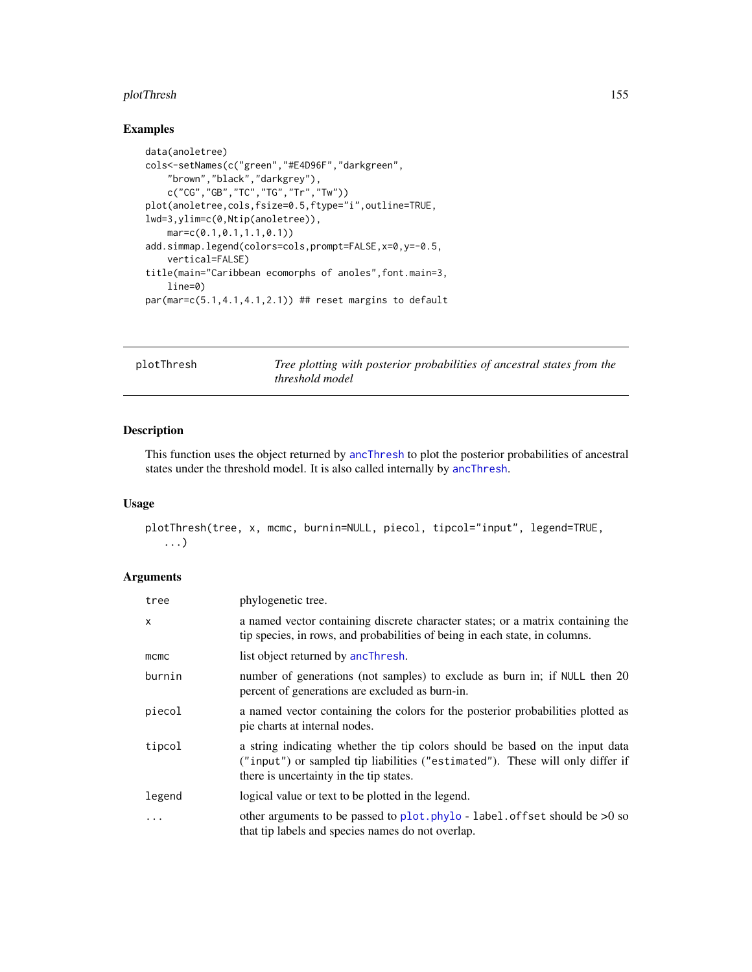#### plotThresh 155

# Examples

```
data(anoletree)
cols<-setNames(c("green","#E4D96F","darkgreen",
    "brown","black","darkgrey"),
   c("CG","GB","TC","TG","Tr","Tw"))
plot(anoletree,cols,fsize=0.5,ftype="i",outline=TRUE,
lwd=3,ylim=c(0,Ntip(anoletree)),
    mar=c(0.1,0.1,1.1,0.1))
add.simmap.legend(colors=cols,prompt=FALSE,x=0,y=-0.5,
    vertical=FALSE)
title(main="Caribbean ecomorphs of anoles",font.main=3,
   line=0)
par(mar=c(5.1,4.1,4.1,2.1)) ## reset margins to default
```
plotThresh *Tree plotting with posterior probabilities of ancestral states from the threshold model*

## Description

This function uses the object returned by [ancThresh](#page-18-0) to plot the posterior probabilities of ancestral states under the threshold model. It is also called internally by [ancThresh](#page-18-0).

# Usage

```
plotThresh(tree, x, mcmc, burnin=NULL, piecol, tipcol="input", legend=TRUE,
   ...)
```
## Arguments

| tree         | phylogenetic tree.                                                                                                                                                                                       |
|--------------|----------------------------------------------------------------------------------------------------------------------------------------------------------------------------------------------------------|
| $\mathsf{x}$ | a named vector containing discrete character states; or a matrix containing the<br>tip species, in rows, and probabilities of being in each state, in columns.                                           |
| mcmc         | list object returned by ancThresh.                                                                                                                                                                       |
| burnin       | number of generations (not samples) to exclude as burn in; if NULL then 20<br>percent of generations are excluded as burn-in.                                                                            |
| piecol       | a named vector containing the colors for the posterior probabilities plotted as<br>pie charts at internal nodes.                                                                                         |
| tipcol       | a string indicating whether the tip colors should be based on the input data<br>("input") or sampled tip liabilities ("estimated"). These will only differ if<br>there is uncertainty in the tip states. |
| legend       | logical value or text to be plotted in the legend.                                                                                                                                                       |
| .            | other arguments to be passed to plot. phylo - label. offset should be $>0$ so<br>that tip labels and species names do not overlap.                                                                       |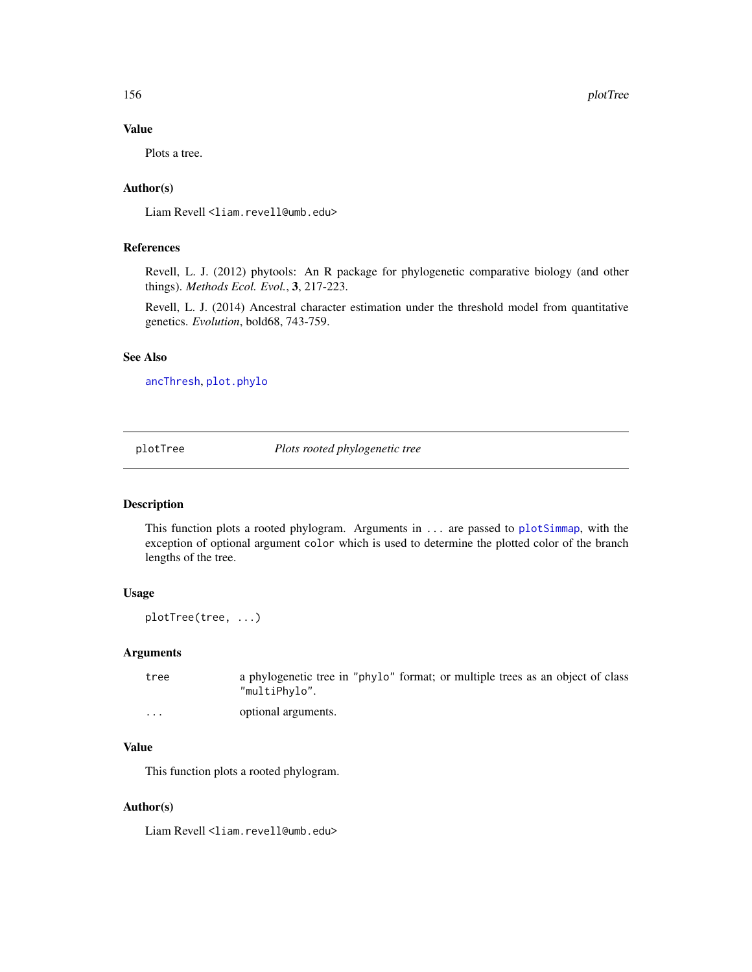## Value

Plots a tree.

# Author(s)

Liam Revell <liam.revell@umb.edu>

## References

Revell, L. J. (2012) phytools: An R package for phylogenetic comparative biology (and other things). *Methods Ecol. Evol.*, 3, 217-223.

Revell, L. J. (2014) Ancestral character estimation under the threshold model from quantitative genetics. *Evolution*, bold68, 743-759.

## See Also

[ancThresh](#page-18-0), [plot.phylo](#page-0-0)

<span id="page-155-0"></span>plotTree *Plots rooted phylogenetic tree*

### Description

This function plots a rooted phylogram. Arguments in ... are passed to [plotSimmap](#page-151-0), with the exception of optional argument color which is used to determine the plotted color of the branch lengths of the tree.

# Usage

plotTree(tree, ...)

#### Arguments

tree a phylogenetic tree in "phylo" format; or multiple trees as an object of class "multiPhylo".

... optional arguments.

## Value

This function plots a rooted phylogram.

#### Author(s)

Liam Revell <liam.revell@umb.edu>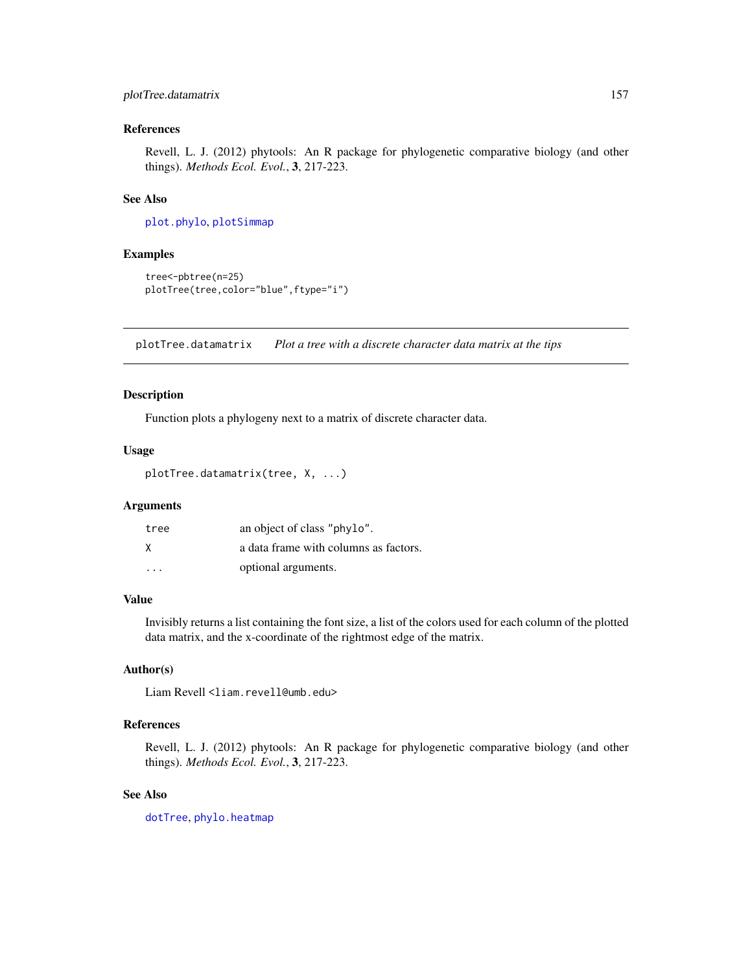# plotTree.datamatrix 157

### References

Revell, L. J. (2012) phytools: An R package for phylogenetic comparative biology (and other things). *Methods Ecol. Evol.*, 3, 217-223.

# See Also

[plot.phylo](#page-0-0), [plotSimmap](#page-151-0)

#### Examples

```
tree<-pbtree(n=25)
plotTree(tree,color="blue",ftype="i")
```
plotTree.datamatrix *Plot a tree with a discrete character data matrix at the tips*

#### Description

Function plots a phylogeny next to a matrix of discrete character data.

## Usage

```
plotTree.datamatrix(tree, X, ...)
```
# Arguments

| tree                    | an object of class "phylo".           |
|-------------------------|---------------------------------------|
| X                       | a data frame with columns as factors. |
| $\cdot$ $\cdot$ $\cdot$ | optional arguments.                   |

## Value

Invisibly returns a list containing the font size, a list of the colors used for each column of the plotted data matrix, and the x-coordinate of the rightmost edge of the matrix.

# Author(s)

Liam Revell <liam.revell@umb.edu>

## References

Revell, L. J. (2012) phytools: An R package for phylogenetic comparative biology (and other things). *Methods Ecol. Evol.*, 3, 217-223.

#### See Also

[dotTree](#page-52-0), [phylo.heatmap](#page-138-0)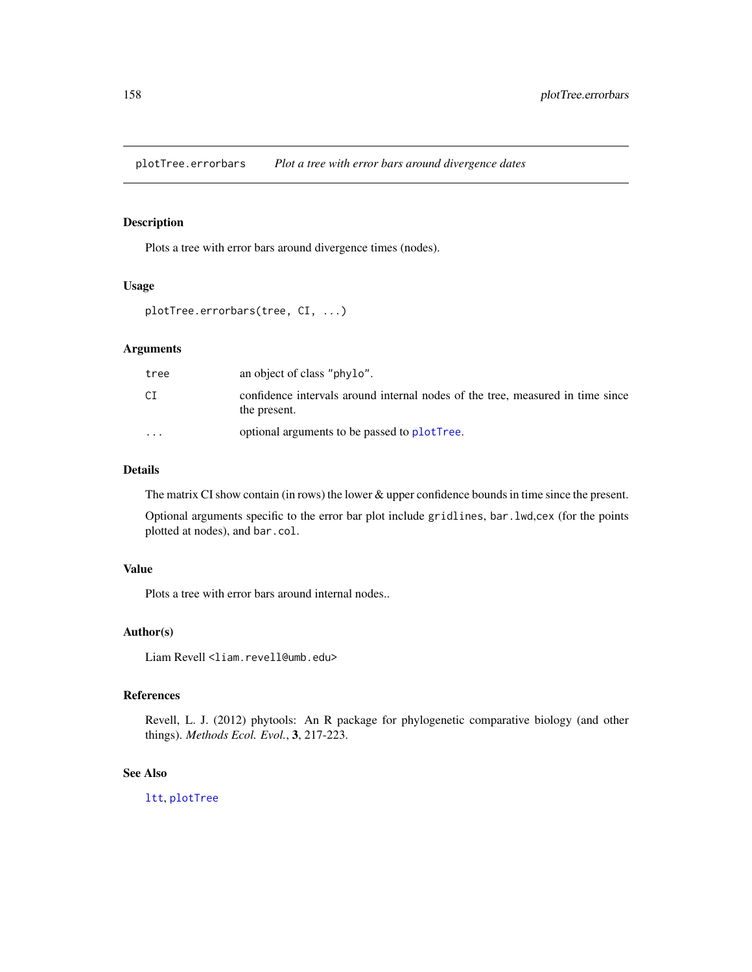plotTree.errorbars *Plot a tree with error bars around divergence dates*

# Description

Plots a tree with error bars around divergence times (nodes).

#### Usage

```
plotTree.errorbars(tree, CI, ...)
```
# Arguments

| tree                    | an object of class "phylo".                                                                    |
|-------------------------|------------------------------------------------------------------------------------------------|
| СI                      | confidence intervals around internal nodes of the tree, measured in time since<br>the present. |
| $\cdot$ $\cdot$ $\cdot$ | optional arguments to be passed to plotTree.                                                   |

#### Details

The matrix CI show contain (in rows) the lower & upper confidence bounds in time since the present.

Optional arguments specific to the error bar plot include gridlines, bar.lwd,cex (for the points plotted at nodes), and bar.col.

## Value

Plots a tree with error bars around internal nodes..

#### Author(s)

Liam Revell <liam.revell@umb.edu>

# References

Revell, L. J. (2012) phytools: An R package for phylogenetic comparative biology (and other things). *Methods Ecol. Evol.*, 3, 217-223.

## See Also

[ltt](#page-97-0), [plotTree](#page-155-0)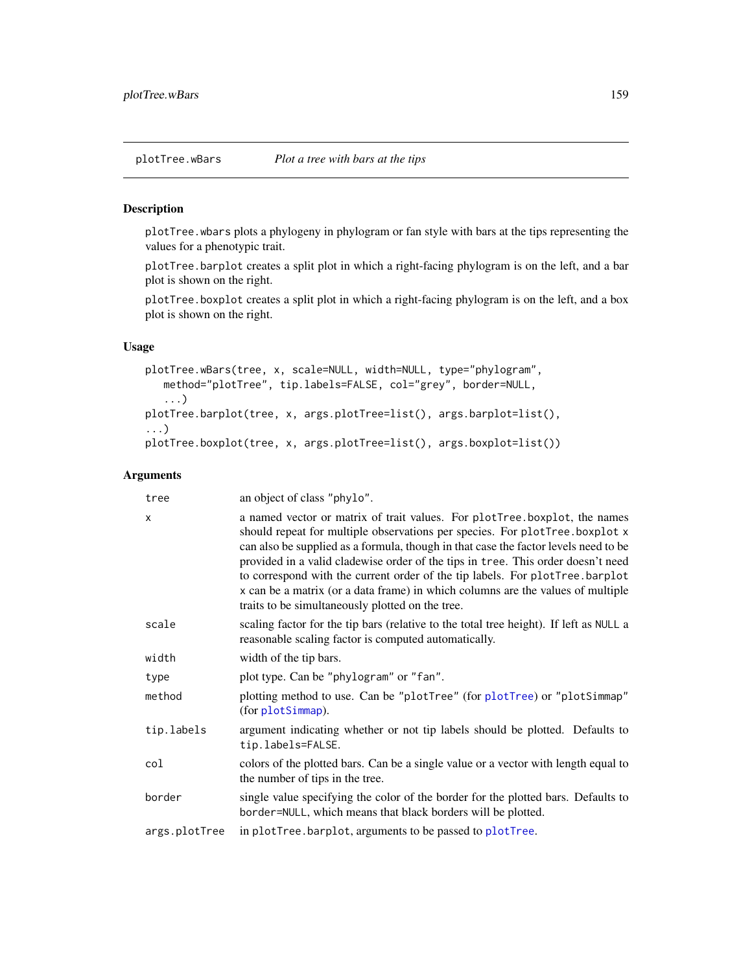plotTree.wbars plots a phylogeny in phylogram or fan style with bars at the tips representing the values for a phenotypic trait.

plotTree.barplot creates a split plot in which a right-facing phylogram is on the left, and a bar plot is shown on the right.

plotTree.boxplot creates a split plot in which a right-facing phylogram is on the left, and a box plot is shown on the right.

# Usage

```
plotTree.wBars(tree, x, scale=NULL, width=NULL, type="phylogram",
   method="plotTree", tip.labels=FALSE, col="grey", border=NULL,
   ...)
plotTree.barplot(tree, x, args.plotTree=list(), args.barplot=list(),
...)
plotTree.boxplot(tree, x, args.plotTree=list(), args.boxplot=list())
```
## Arguments

| tree          | an object of class "phylo".                                                                                                                                                                                                                                                                                                                                                                                                                                                                                                                                |
|---------------|------------------------------------------------------------------------------------------------------------------------------------------------------------------------------------------------------------------------------------------------------------------------------------------------------------------------------------------------------------------------------------------------------------------------------------------------------------------------------------------------------------------------------------------------------------|
| $\mathsf{x}$  | a named vector or matrix of trait values. For plotTree boxplot, the names<br>should repeat for multiple observations per species. For plotTree.boxplot x<br>can also be supplied as a formula, though in that case the factor levels need to be<br>provided in a valid cladewise order of the tips in tree. This order doesn't need<br>to correspond with the current order of the tip labels. For plotTree.barplot<br>x can be a matrix (or a data frame) in which columns are the values of multiple<br>traits to be simultaneously plotted on the tree. |
| scale         | scaling factor for the tip bars (relative to the total tree height). If left as NULL a<br>reasonable scaling factor is computed automatically.                                                                                                                                                                                                                                                                                                                                                                                                             |
| width         | width of the tip bars.                                                                                                                                                                                                                                                                                                                                                                                                                                                                                                                                     |
| type          | plot type. Can be "phylogram" or "fan".                                                                                                                                                                                                                                                                                                                                                                                                                                                                                                                    |
| method        | plotting method to use. Can be "plotTree" (for plotTree) or "plotSimmap"<br>(for plotSimmap).                                                                                                                                                                                                                                                                                                                                                                                                                                                              |
| tip.labels    | argument indicating whether or not tip labels should be plotted. Defaults to<br>tip.labels=FALSE.                                                                                                                                                                                                                                                                                                                                                                                                                                                          |
| col           | colors of the plotted bars. Can be a single value or a vector with length equal to<br>the number of tips in the tree.                                                                                                                                                                                                                                                                                                                                                                                                                                      |
| border        | single value specifying the color of the border for the plotted bars. Defaults to<br>border=NULL, which means that black borders will be plotted.                                                                                                                                                                                                                                                                                                                                                                                                          |
| args.plotTree | in plotTree.barplot, arguments to be passed to plotTree.                                                                                                                                                                                                                                                                                                                                                                                                                                                                                                   |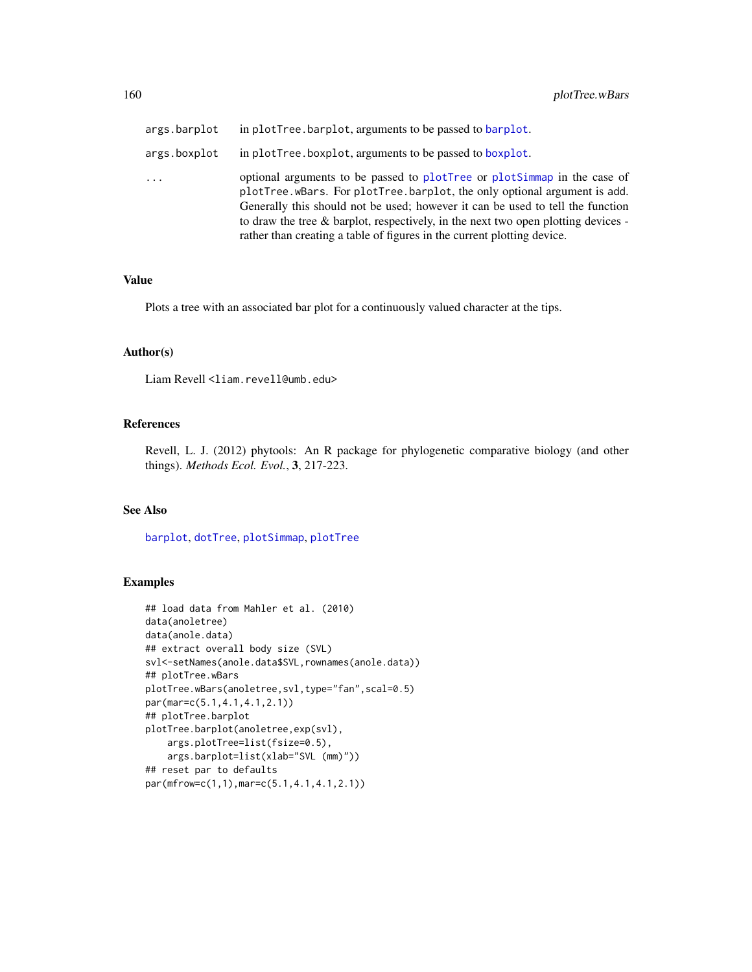| args.barplot            | in plotTree.barplot, arguments to be passed to barplot.                                                                                                                                                                                                                                                                                                                                                   |
|-------------------------|-----------------------------------------------------------------------------------------------------------------------------------------------------------------------------------------------------------------------------------------------------------------------------------------------------------------------------------------------------------------------------------------------------------|
| args.boxplot            | in plotTree.boxplot, arguments to be passed to boxplot.                                                                                                                                                                                                                                                                                                                                                   |
| $\cdot$ $\cdot$ $\cdot$ | optional arguments to be passed to plotTree or plotSimmap in the case of<br>plotTree.wBars. For plotTree.barplot, the only optional argument is add.<br>Generally this should not be used; however it can be used to tell the function<br>to draw the tree $\&$ barplot, respectively, in the next two open plotting devices -<br>rather than creating a table of figures in the current plotting device. |

## Value

Plots a tree with an associated bar plot for a continuously valued character at the tips.

# Author(s)

Liam Revell <liam.revell@umb.edu>

## References

Revell, L. J. (2012) phytools: An R package for phylogenetic comparative biology (and other things). *Methods Ecol. Evol.*, 3, 217-223.

## See Also

[barplot](#page-0-0), [dotTree](#page-52-0), [plotSimmap](#page-151-0), [plotTree](#page-155-0)

# Examples

```
## load data from Mahler et al. (2010)
data(anoletree)
data(anole.data)
## extract overall body size (SVL)
svl<-setNames(anole.data$SVL,rownames(anole.data))
## plotTree.wBars
plotTree.wBars(anoletree,svl,type="fan",scal=0.5)
par(mar=c(5.1,4.1,4.1,2.1))
## plotTree.barplot
plotTree.barplot(anoletree,exp(svl),
    args.plotTree=list(fsize=0.5),
    args.barplot=list(xlab="SVL (mm)"))
## reset par to defaults
par(mfrow=c(1,1),mar=c(5.1,4.1,4.1,2.1))
```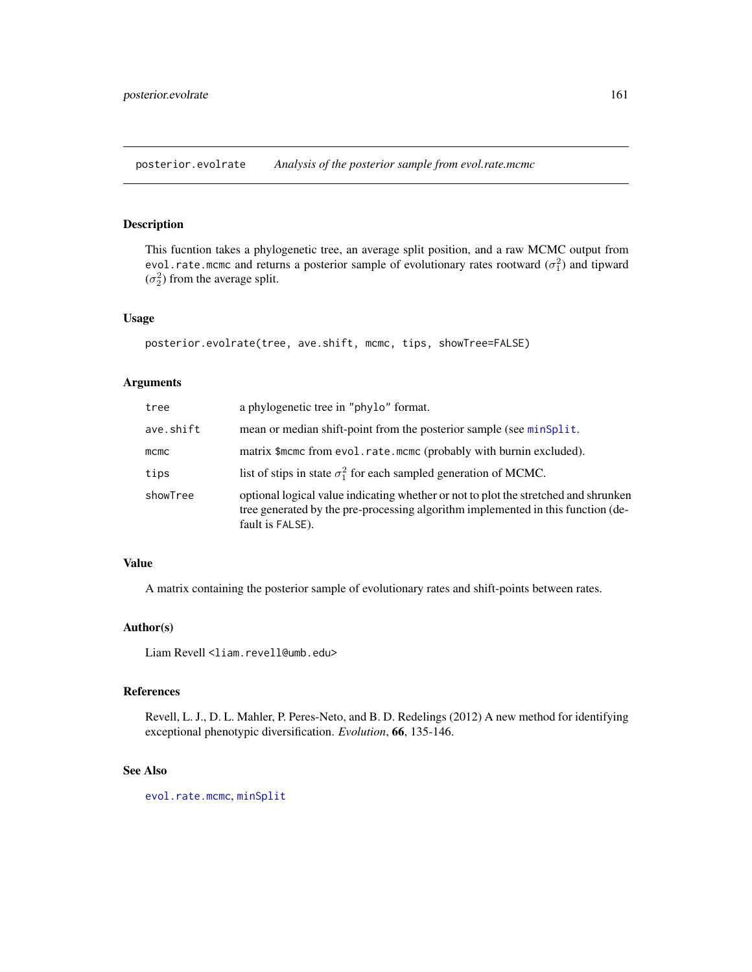posterior.evolrate *Analysis of the posterior sample from evol.rate.mcmc*

# Description

This fucntion takes a phylogenetic tree, an average split position, and a raw MCMC output from evol.rate.mcmc and returns a posterior sample of evolutionary rates rootward  $(\sigma_1^2)$  and tipward  $(\sigma_2^2)$  from the average split.

# Usage

```
posterior.evolrate(tree, ave.shift, mcmc, tips, showTree=FALSE)
```
#### Arguments

| tree      | a phylogenetic tree in "phylo" format.                                                                                                                                                      |
|-----------|---------------------------------------------------------------------------------------------------------------------------------------------------------------------------------------------|
| ave.shift | mean or median shift-point from the posterior sample (see minsplit.                                                                                                                         |
| $m$ cmc   | matrix \$mcmc from evol.rate.mcmc (probably with burnin excluded).                                                                                                                          |
| tips      | list of stips in state $\sigma_1^2$ for each sampled generation of MCMC.                                                                                                                    |
| showTree  | optional logical value indicating whether or not to plot the stretched and shrunken<br>tree generated by the pre-processing algorithm implemented in this function (de-<br>fault is FALSE). |

#### Value

A matrix containing the posterior sample of evolutionary rates and shift-points between rates.

## Author(s)

Liam Revell <liam.revell@umb.edu>

## References

Revell, L. J., D. L. Mahler, P. Peres-Neto, and B. D. Redelings (2012) A new method for identifying exceptional phenotypic diversification. *Evolution*, 66, 135-146.

#### See Also

[evol.rate.mcmc](#page-60-0), [minSplit](#page-112-0)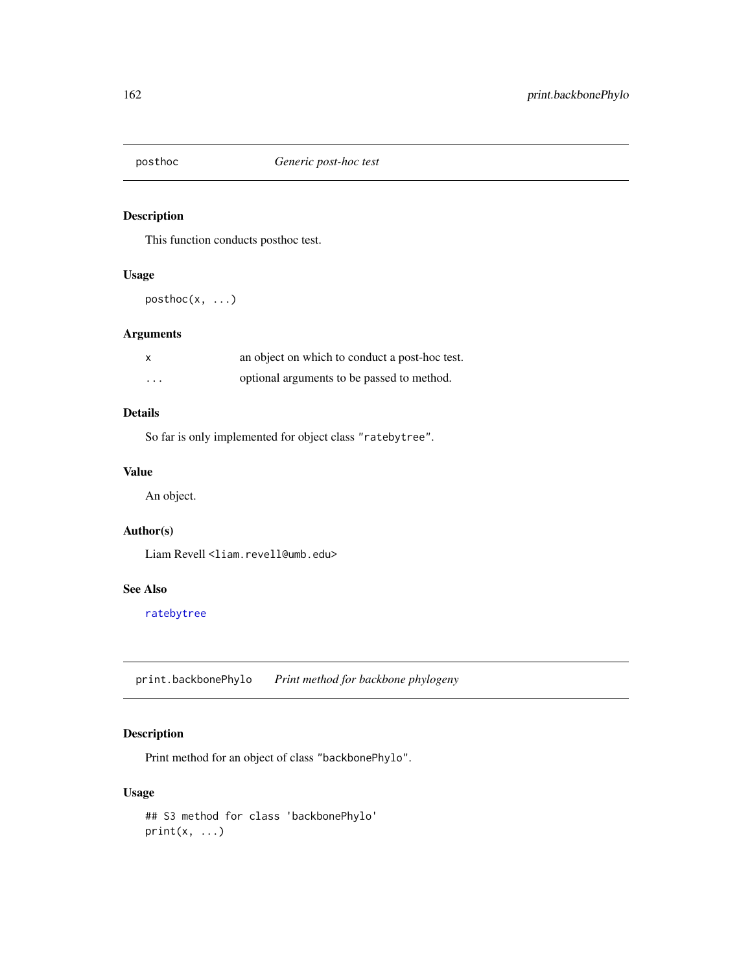This function conducts posthoc test.

#### Usage

posthoc(x, ...)

# Arguments

| $\times$ | an object on which to conduct a post-hoc test. |
|----------|------------------------------------------------|
| $\cdots$ | optional arguments to be passed to method.     |

# Details

So far is only implemented for object class "ratebytree".

# Value

An object.

# Author(s)

Liam Revell <liam.revell@umb.edu>

## See Also

[ratebytree](#page-163-0)

print.backbonePhylo *Print method for backbone phylogeny*

# Description

Print method for an object of class "backbonePhylo".

## Usage

```
## S3 method for class 'backbonePhylo'
print(x, \ldots)
```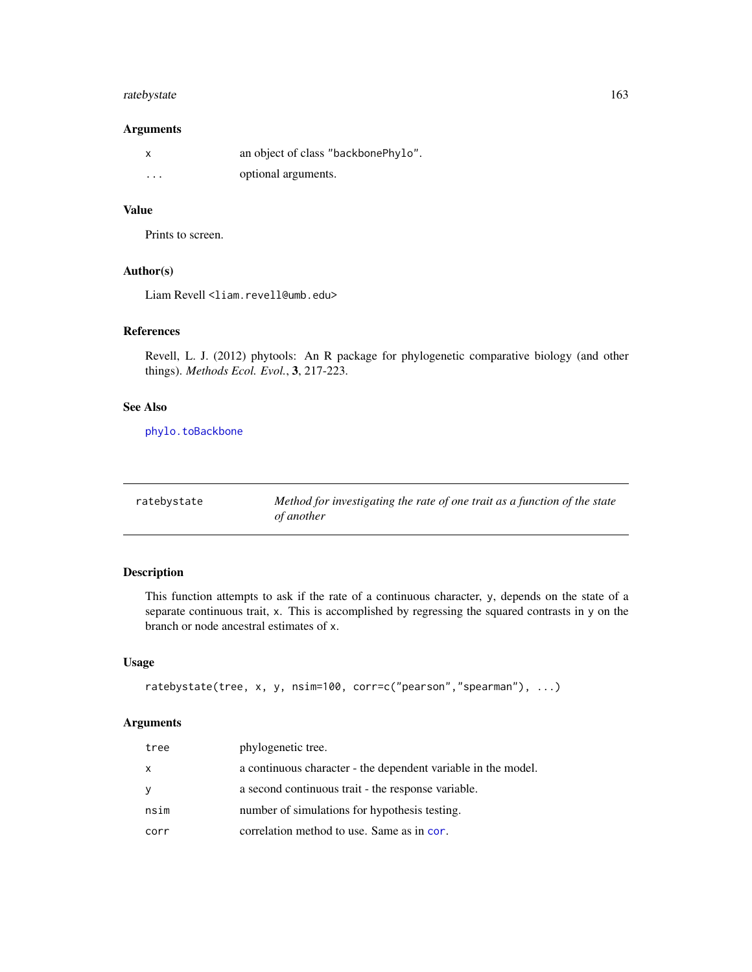# ratebystate 163

## Arguments

|         | an object of class "backbonePhylo". |
|---------|-------------------------------------|
| $\cdot$ | optional arguments.                 |

# Value

Prints to screen.

## Author(s)

Liam Revell <liam.revell@umb.edu>

# References

Revell, L. J. (2012) phytools: An R package for phylogenetic comparative biology (and other things). *Methods Ecol. Evol.*, 3, 217-223.

# See Also

[phylo.toBackbone](#page-142-0)

| ratebystate | Method for investigating the rate of one trait as a function of the state |
|-------------|---------------------------------------------------------------------------|
|             | <i>of another</i>                                                         |

# Description

This function attempts to ask if the rate of a continuous character, y, depends on the state of a separate continuous trait, x. This is accomplished by regressing the squared contrasts in y on the branch or node ancestral estimates of x.

## Usage

```
ratebystate(tree, x, y, nsim=100, corr=c("pearson","spearman"), ...)
```
## Arguments

| tree | phylogenetic tree.                                            |
|------|---------------------------------------------------------------|
| X    | a continuous character - the dependent variable in the model. |
| У    | a second continuous trait - the response variable.            |
| nsim | number of simulations for hypothesis testing.                 |
| corr | correlation method to use. Same as in cor.                    |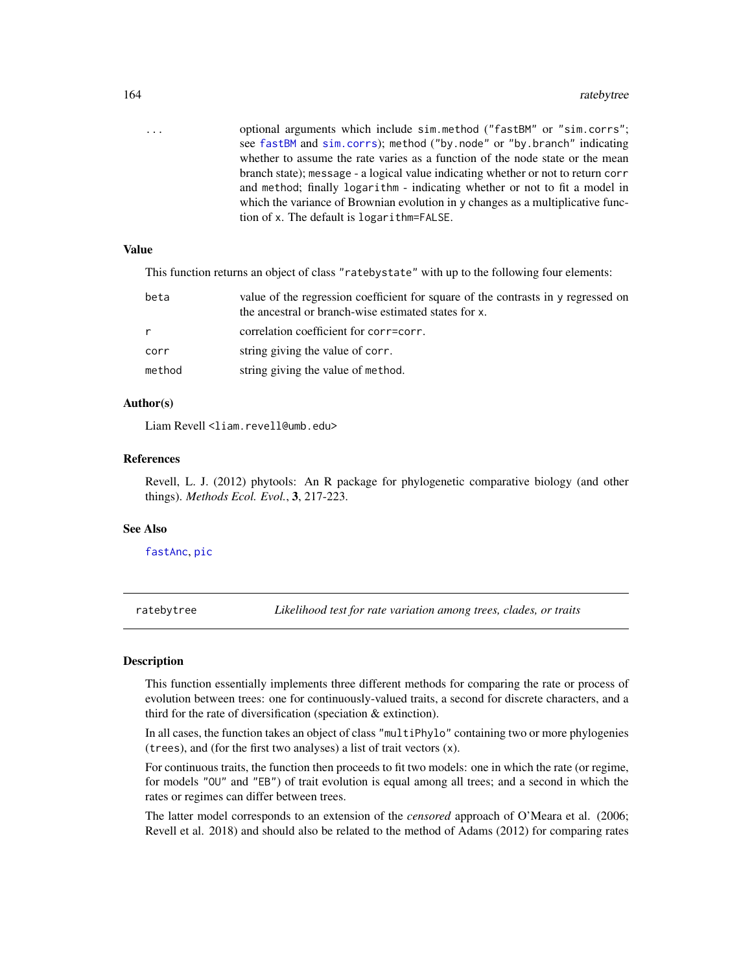| $\cdots$ | optional arguments which include sim.method ("fastBM" or "sim.corrs";                  |
|----------|----------------------------------------------------------------------------------------|
|          | see fastBM and sim.corrs); method ("by.node" or "by.branch" indicating                 |
|          | whether to assume the rate varies as a function of the node state or the mean          |
|          | branch state); message - a logical value indicating whether or not to return corr      |
|          | and method; finally logarithm - indicating whether or not to fit a model in            |
|          | which the variance of Brownian evolution in $\gamma$ changes as a multiplicative func- |
|          | tion of x. The default is logarithm=FALSE.                                             |

# Value

This function returns an object of class "ratebystate" with up to the following four elements:

| beta   | value of the regression coefficient for square of the contrasts in y regressed on<br>the ancestral or branch-wise estimated states for x. |
|--------|-------------------------------------------------------------------------------------------------------------------------------------------|
| r      | correlation coefficient for corr=corr.                                                                                                    |
| corr   | string giving the value of corr.                                                                                                          |
| method | string giving the value of method.                                                                                                        |

## Author(s)

Liam Revell <liam.revell@umb.edu>

#### References

Revell, L. J. (2012) phytools: An R package for phylogenetic comparative biology (and other things). *Methods Ecol. Evol.*, 3, 217-223.

## See Also

[fastAnc](#page-69-0), [pic](#page-0-0)

<span id="page-163-0"></span>ratebytree *Likelihood test for rate variation among trees, clades, or traits*

# Description

This function essentially implements three different methods for comparing the rate or process of evolution between trees: one for continuously-valued traits, a second for discrete characters, and a third for the rate of diversification (speciation & extinction).

In all cases, the function takes an object of class "multiPhylo" containing two or more phylogenies (trees), and (for the first two analyses) a list of trait vectors (x).

For continuous traits, the function then proceeds to fit two models: one in which the rate (or regime, for models "OU" and "EB") of trait evolution is equal among all trees; and a second in which the rates or regimes can differ between trees.

The latter model corresponds to an extension of the *censored* approach of O'Meara et al. (2006; Revell et al. 2018) and should also be related to the method of Adams (2012) for comparing rates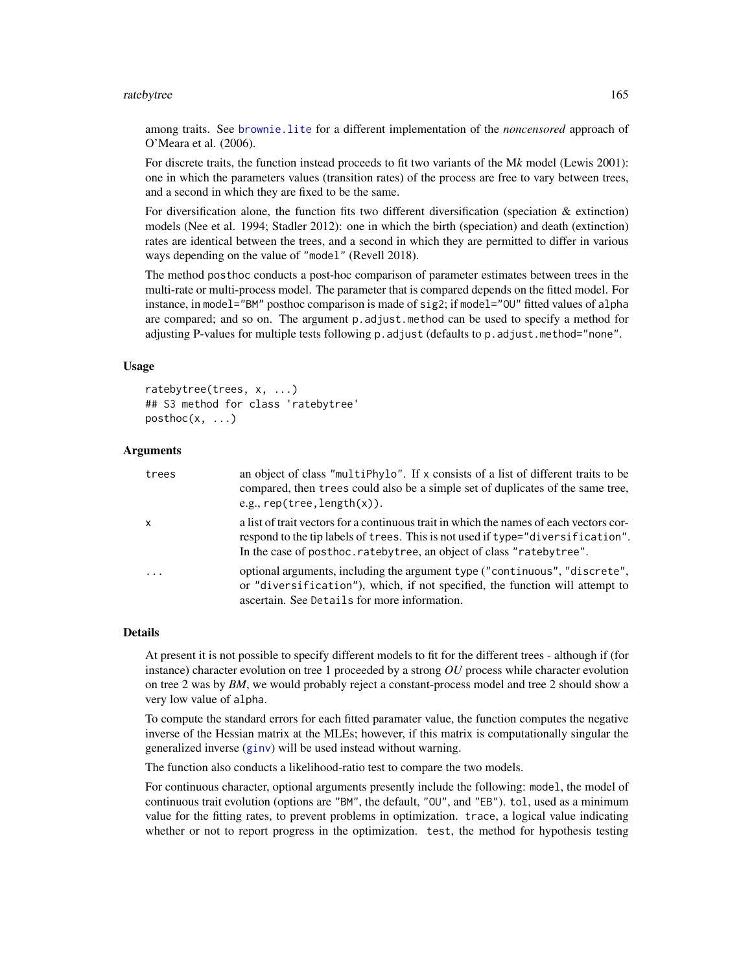#### ratebytree and the state of the state of the state of the state of the state of the state of the state of the state of the state of the state of the state of the state of the state of the state of the state of the state of

among traits. See [brownie.lite](#page-31-0) for a different implementation of the *noncensored* approach of O'Meara et al. (2006).

For discrete traits, the function instead proceeds to fit two variants of the M*k* model (Lewis 2001): one in which the parameters values (transition rates) of the process are free to vary between trees, and a second in which they are fixed to be the same.

For diversification alone, the function fits two different diversification (speciation & extinction) models (Nee et al. 1994; Stadler 2012): one in which the birth (speciation) and death (extinction) rates are identical between the trees, and a second in which they are permitted to differ in various ways depending on the value of "model" (Revell 2018).

The method posthoc conducts a post-hoc comparison of parameter estimates between trees in the multi-rate or multi-process model. The parameter that is compared depends on the fitted model. For instance, in model="BM" posthoc comparison is made of sig2; if model="0U" fitted values of alpha are compared; and so on. The argument p.adjust.method can be used to specify a method for adjusting P-values for multiple tests following p.adjust (defaults to p.adjust.method="none".

#### Usage

```
ratebytree(trees, x, ...)
## S3 method for class 'ratebytree'
posthoc(x, \ldots)
```
## Arguments

| trees    | an object of class "multiphylo". If x consists of a list of different traits to be<br>compared, then trees could also be a simple set of duplicates of the same tree,<br>e.g., $rep(tree, length(x)).$                                              |
|----------|-----------------------------------------------------------------------------------------------------------------------------------------------------------------------------------------------------------------------------------------------------|
| x        | a list of trait vectors for a continuous trait in which the names of each vectors cor-<br>respond to the tip labels of trees. This is not used if type="diversification".<br>In the case of posthoc. rateby tree, an object of class "rateby tree". |
| $\ddots$ | optional arguments, including the argument type ("continuous", "discrete",<br>or "diversification"), which, if not specified, the function will attempt to<br>ascertain. See Details for more information.                                          |

#### Details

At present it is not possible to specify different models to fit for the different trees - although if (for instance) character evolution on tree 1 proceeded by a strong *OU* process while character evolution on tree 2 was by *BM*, we would probably reject a constant-process model and tree 2 should show a very low value of alpha.

To compute the standard errors for each fitted paramater value, the function computes the negative inverse of the Hessian matrix at the MLEs; however, if this matrix is computationally singular the generalized inverse ([ginv](#page-0-0)) will be used instead without warning.

The function also conducts a likelihood-ratio test to compare the two models.

For continuous character, optional arguments presently include the following: model, the model of continuous trait evolution (options are "BM", the default, "OU", and "EB"). tol, used as a minimum value for the fitting rates, to prevent problems in optimization. trace, a logical value indicating whether or not to report progress in the optimization. test, the method for hypothesis testing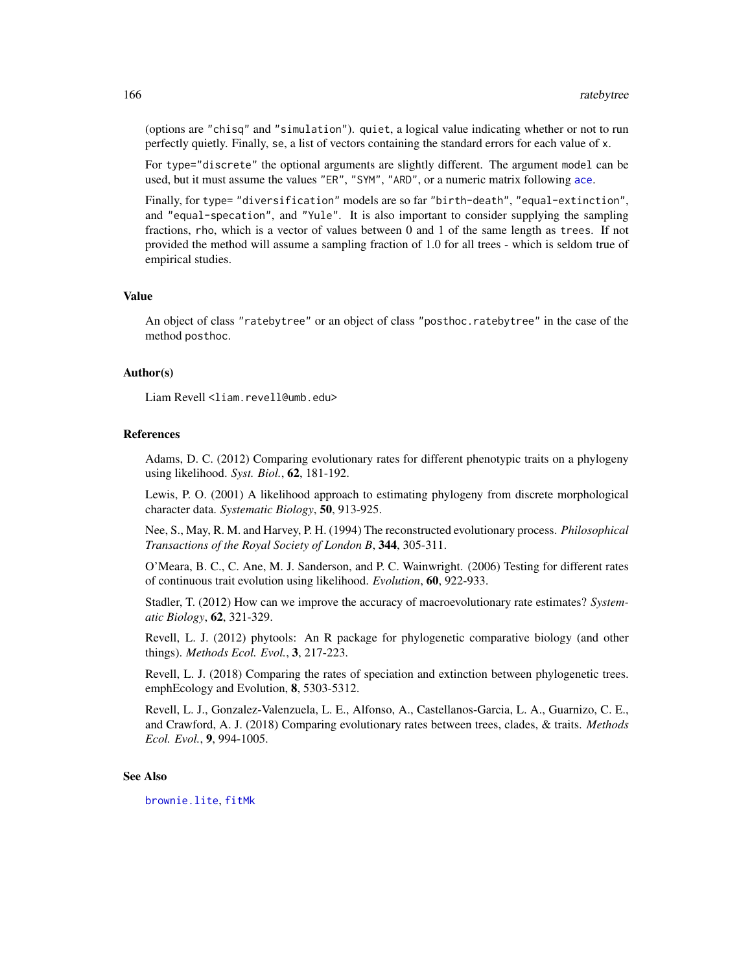(options are "chisq" and "simulation"). quiet, a logical value indicating whether or not to run perfectly quietly. Finally, se, a list of vectors containing the standard errors for each value of x.

For type="discrete" the optional arguments are slightly different. The argument model can be used, but it must assume the values "ER", "SYM", "ARD", or a numeric matrix following [ace](#page-0-0).

Finally, for type= "diversification" models are so far "birth-death", "equal-extinction", and "equal-specation", and "Yule". It is also important to consider supplying the sampling fractions, rho, which is a vector of values between 0 and 1 of the same length as trees. If not provided the method will assume a sampling fraction of 1.0 for all trees - which is seldom true of empirical studies.

## Value

An object of class "ratebytree" or an object of class "posthoc.ratebytree" in the case of the method posthoc.

#### Author(s)

Liam Revell <liam.revell@umb.edu>

#### References

Adams, D. C. (2012) Comparing evolutionary rates for different phenotypic traits on a phylogeny using likelihood. *Syst. Biol.*, 62, 181-192.

Lewis, P. O. (2001) A likelihood approach to estimating phylogeny from discrete morphological character data. *Systematic Biology*, 50, 913-925.

Nee, S., May, R. M. and Harvey, P. H. (1994) The reconstructed evolutionary process. *Philosophical Transactions of the Royal Society of London B*, 344, 305-311.

O'Meara, B. C., C. Ane, M. J. Sanderson, and P. C. Wainwright. (2006) Testing for different rates of continuous trait evolution using likelihood. *Evolution*, 60, 922-933.

Stadler, T. (2012) How can we improve the accuracy of macroevolutionary rate estimates? *Systematic Biology*, 62, 321-329.

Revell, L. J. (2012) phytools: An R package for phylogenetic comparative biology (and other things). *Methods Ecol. Evol.*, 3, 217-223.

Revell, L. J. (2018) Comparing the rates of speciation and extinction between phylogenetic trees. emphEcology and Evolution, 8, 5303-5312.

Revell, L. J., Gonzalez-Valenzuela, L. E., Alfonso, A., Castellanos-Garcia, L. A., Guarnizo, C. E., and Crawford, A. J. (2018) Comparing evolutionary rates between trees, clades, & traits. *Methods Ecol. Evol.*, 9, 994-1005.

#### See Also

[brownie.lite](#page-31-0), [fitMk](#page-78-0)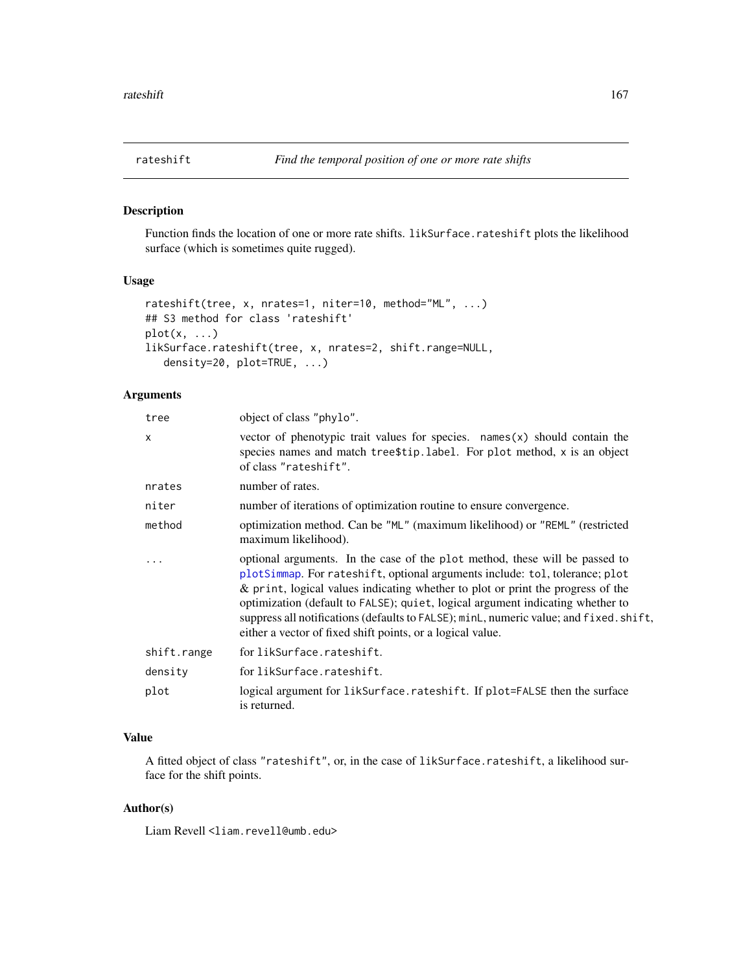Function finds the location of one or more rate shifts. likSurface.rateshift plots the likelihood surface (which is sometimes quite rugged).

#### Usage

```
rateshift(tree, x, nrates=1, niter=10, method="ML", ...)
## S3 method for class 'rateshift'
plot(x, \ldots)likSurface.rateshift(tree, x, nrates=2, shift.range=NULL,
   density=20, plot=TRUE, ...)
```
## Arguments

| tree                    | object of class "phylo".                                                                                                                                                                                                                                                                                                                                                                                                                                                                |
|-------------------------|-----------------------------------------------------------------------------------------------------------------------------------------------------------------------------------------------------------------------------------------------------------------------------------------------------------------------------------------------------------------------------------------------------------------------------------------------------------------------------------------|
| X                       | vector of phenotypic trait values for species. $names(x)$ should contain the<br>species names and match tree\$tip.label. For plot method, x is an object<br>of class "rateshift".                                                                                                                                                                                                                                                                                                       |
| nrates                  | number of rates.                                                                                                                                                                                                                                                                                                                                                                                                                                                                        |
| niter                   | number of iterations of optimization routine to ensure convergence.                                                                                                                                                                                                                                                                                                                                                                                                                     |
| method                  | optimization method. Can be "ML" (maximum likelihood) or "REML" (restricted<br>maximum likelihood).                                                                                                                                                                                                                                                                                                                                                                                     |
| $\cdot$ $\cdot$ $\cdot$ | optional arguments. In the case of the plot method, these will be passed to<br>plotSimmap. For rateshift, optional arguments include: tol, tolerance; plot<br>& print, logical values indicating whether to plot or print the progress of the<br>optimization (default to FALSE); quiet, logical argument indicating whether to<br>suppress all notifications (defaults to FALSE); minL, numeric value; and fixed. shift,<br>either a vector of fixed shift points, or a logical value. |
| shift.range             | for likSurface.rateshift.                                                                                                                                                                                                                                                                                                                                                                                                                                                               |
| density                 | for likSurface.rateshift.                                                                                                                                                                                                                                                                                                                                                                                                                                                               |
| plot                    | logical argument for likSurface.rateshift. If plot=FALSE then the surface<br>is returned.                                                                                                                                                                                                                                                                                                                                                                                               |

# Value

A fitted object of class "rateshift", or, in the case of likSurface.rateshift, a likelihood surface for the shift points.

# Author(s)

Liam Revell <liam.revell@umb.edu>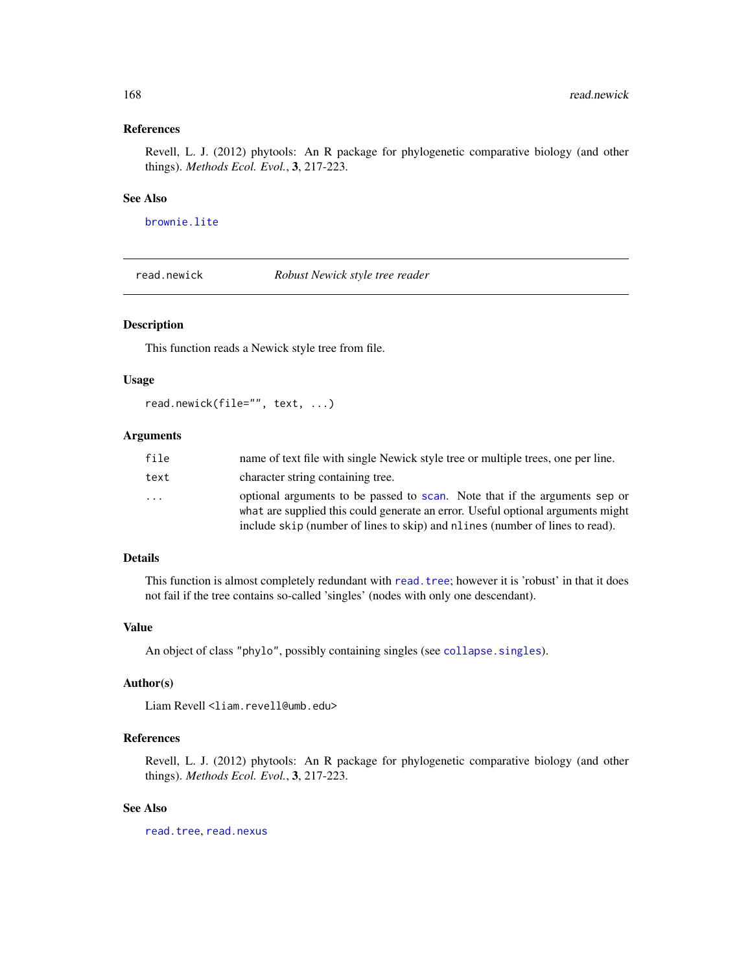# References

Revell, L. J. (2012) phytools: An R package for phylogenetic comparative biology (and other things). *Methods Ecol. Evol.*, 3, 217-223.

## See Also

[brownie.lite](#page-31-0)

read.newick *Robust Newick style tree reader*

# Description

This function reads a Newick style tree from file.

# Usage

```
read.newick(file="", text, ...)
```
## Arguments

| file                    | name of text file with single Newick style tree or multiple trees, one per line.                                                                                                                                                              |
|-------------------------|-----------------------------------------------------------------------------------------------------------------------------------------------------------------------------------------------------------------------------------------------|
| text                    | character string containing tree.                                                                                                                                                                                                             |
| $\cdot$ $\cdot$ $\cdot$ | optional arguments to be passed to scan. Note that if the arguments sep or<br>what are supplied this could generate an error. Useful optional arguments might<br>include skip (number of lines to skip) and nlines (number of lines to read). |

## Details

This function is almost completely redundant with read. tree; however it is 'robust' in that it does not fail if the tree contains so-called 'singles' (nodes with only one descendant).

## Value

An object of class "phylo", possibly containing singles (see [collapse.singles](#page-0-0)).

# Author(s)

Liam Revell <liam.revell@umb.edu>

# References

Revell, L. J. (2012) phytools: An R package for phylogenetic comparative biology (and other things). *Methods Ecol. Evol.*, 3, 217-223.

# See Also

[read.tree](#page-0-0), [read.nexus](#page-0-0)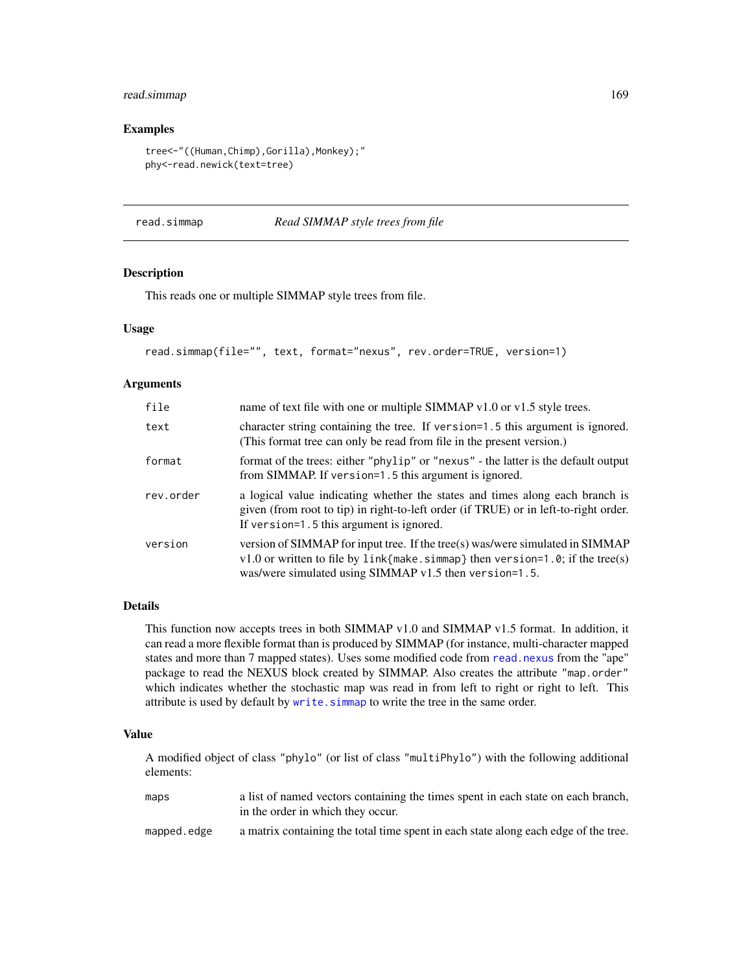# read.simmap 169

#### Examples

```
tree<-"((Human,Chimp),Gorilla),Monkey);"
phy<-read.newick(text=tree)
```
<span id="page-168-0"></span>read.simmap *Read SIMMAP style trees from file*

# Description

This reads one or multiple SIMMAP style trees from file.

## Usage

read.simmap(file="", text, format="nexus", rev.order=TRUE, version=1)

# Arguments

| file      | name of text file with one or multiple SIMMAP v1.0 or v1.5 style trees.                                                                                                                                                    |
|-----------|----------------------------------------------------------------------------------------------------------------------------------------------------------------------------------------------------------------------------|
| text      | character string containing the tree. If version=1.5 this argument is ignored.<br>(This format tree can only be read from file in the present version.)                                                                    |
| format    | format of the trees: either "phylip" or "nexus" - the latter is the default output<br>from SIMMAP. If version=1.5 this argument is ignored.                                                                                |
| rev.order | a logical value indicating whether the states and times along each branch is<br>given (from root to tip) in right-to-left order (if TRUE) or in left-to-right order.<br>If version=1.5 this argument is ignored.           |
| version   | version of SIMMAP for input tree. If the tree(s) was/were simulated in SIMMAP<br>$v1.0$ or written to file by link{make.simmap} then version=1.0; if the tree(s)<br>was/were simulated using SIMMAP v1.5 then version=1.5. |

# Details

This function now accepts trees in both SIMMAP v1.0 and SIMMAP v1.5 format. In addition, it can read a more flexible format than is produced by SIMMAP (for instance, multi-character mapped states and more than 7 mapped states). Uses some modified code from [read.nexus](#page-0-0) from the "ape" package to read the NEXUS block created by SIMMAP. Also creates the attribute "map.order" which indicates whether the stochastic map was read in from left to right or right to left. This attribute is used by default by [write.simmap](#page-200-0) to write the tree in the same order.

## Value

A modified object of class "phylo" (or list of class "multiPhylo") with the following additional elements:

| maps        | a list of named vectors containing the times spent in each state on each branch,    |
|-------------|-------------------------------------------------------------------------------------|
|             | in the order in which they occur.                                                   |
| mapped.edge | a matrix containing the total time spent in each state along each edge of the tree. |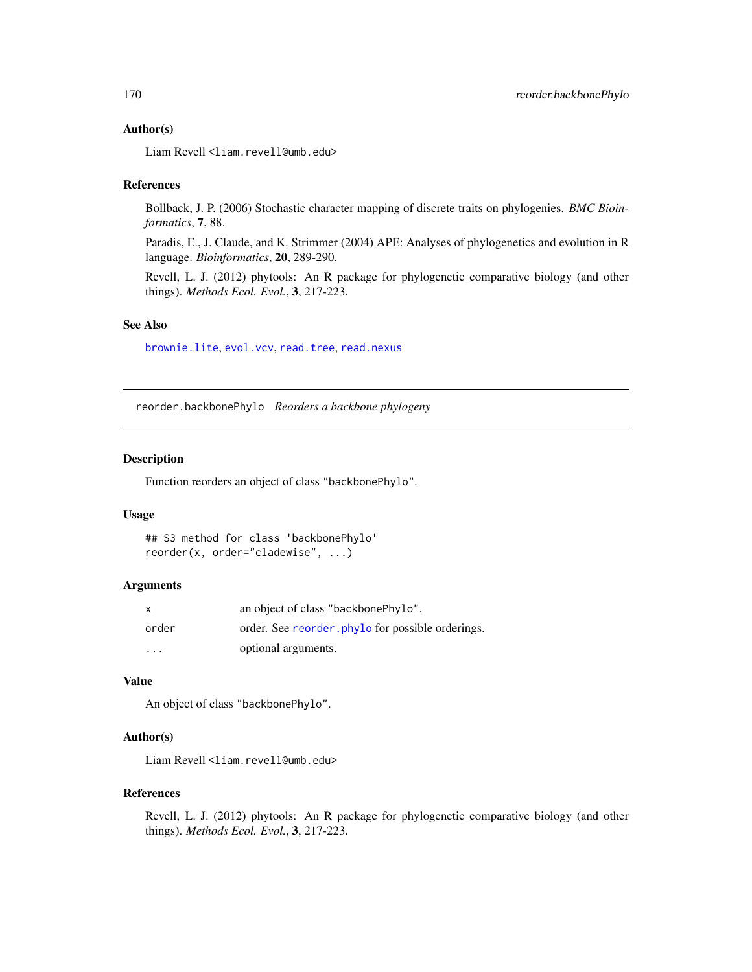### Author(s)

Liam Revell <liam.revell@umb.edu>

#### References

Bollback, J. P. (2006) Stochastic character mapping of discrete traits on phylogenies. *BMC Bioinformatics*, 7, 88.

Paradis, E., J. Claude, and K. Strimmer (2004) APE: Analyses of phylogenetics and evolution in R language. *Bioinformatics*, 20, 289-290.

Revell, L. J. (2012) phytools: An R package for phylogenetic comparative biology (and other things). *Methods Ecol. Evol.*, 3, 217-223.

## See Also

[brownie.lite](#page-31-0), [evol.vcv](#page-61-0), [read.tree](#page-0-0), [read.nexus](#page-0-0)

reorder.backbonePhylo *Reorders a backbone phylogeny*

## Description

Function reorders an object of class "backbonePhylo".

#### Usage

```
## S3 method for class 'backbonePhylo'
reorder(x, order="cladewise", ...)
```
#### **Arguments**

| $\mathsf{x}$ | an object of class "backbonePhylo".              |
|--------------|--------------------------------------------------|
| order        | order. See reorder phylo for possible orderings. |
| $\cdot$      | optional arguments.                              |

## Value

An object of class "backbonePhylo".

# Author(s)

Liam Revell <liam.revell@umb.edu>

#### References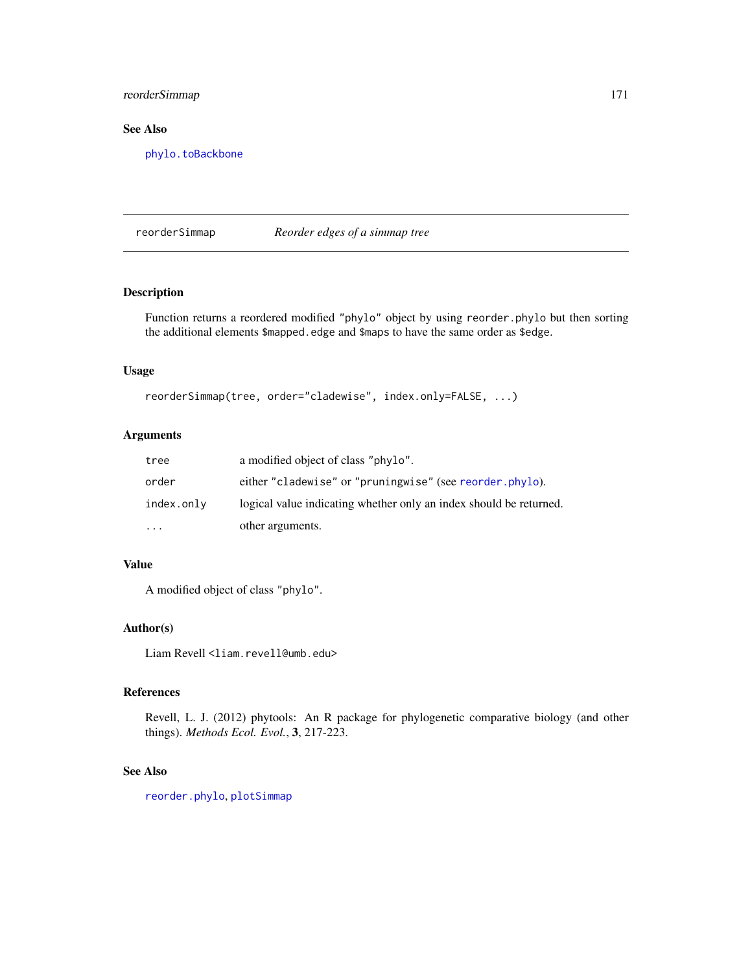# reorderSimmap 171

# See Also

[phylo.toBackbone](#page-142-0)

reorderSimmap *Reorder edges of a simmap tree*

## Description

Function returns a reordered modified "phylo" object by using reorder.phylo but then sorting the additional elements \$mapped.edge and \$maps to have the same order as \$edge.

# Usage

```
reorderSimmap(tree, order="cladewise", index.only=FALSE, ...)
```
## Arguments

| tree       | a modified object of class "phylo".                                |
|------------|--------------------------------------------------------------------|
| order      | either "cladewise" or "pruningwise" (see reorder.phylo).           |
| index.only | logical value indicating whether only an index should be returned. |
| $\cdots$   | other arguments.                                                   |

# Value

A modified object of class "phylo".

## Author(s)

Liam Revell <liam.revell@umb.edu>

#### References

Revell, L. J. (2012) phytools: An R package for phylogenetic comparative biology (and other things). *Methods Ecol. Evol.*, 3, 217-223.

## See Also

[reorder.phylo](#page-0-0), [plotSimmap](#page-151-0)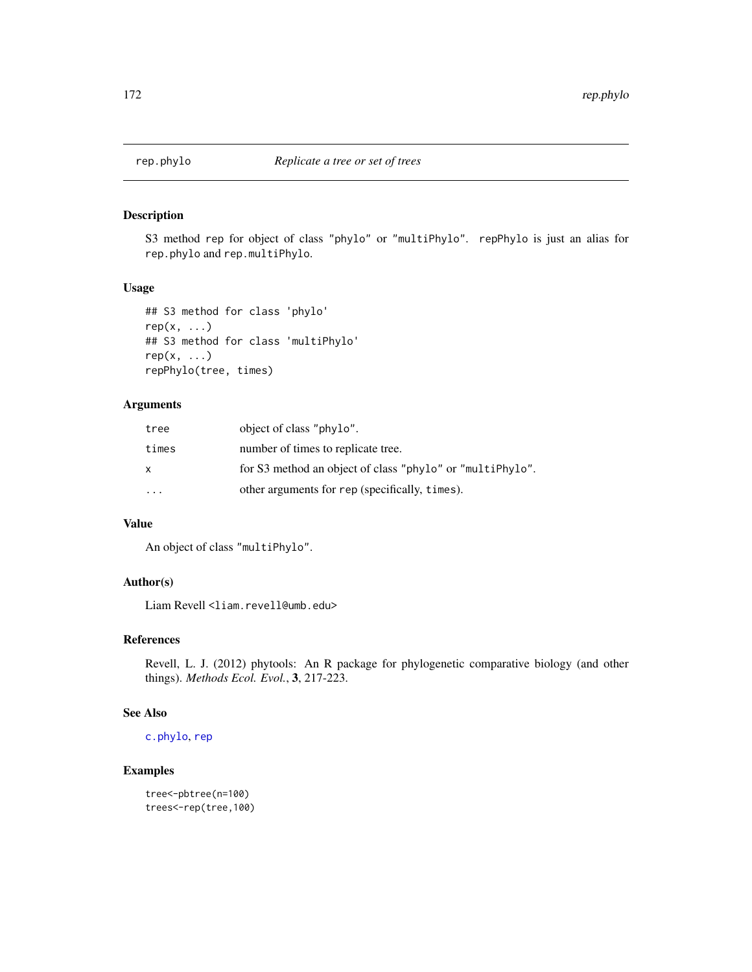S3 method rep for object of class "phylo" or "multiPhylo". repPhylo is just an alias for rep.phylo and rep.multiPhylo.

## Usage

```
## S3 method for class 'phylo'
rep(x, \ldots)## S3 method for class 'multiPhylo'
rep(x, \ldots)repPhylo(tree, times)
```
# Arguments

| tree                    | object of class "phylo".                                  |
|-------------------------|-----------------------------------------------------------|
| times                   | number of times to replicate tree.                        |
| x                       | for S3 method an object of class "phylo" or "multiPhylo". |
| $\cdot$ $\cdot$ $\cdot$ | other arguments for rep (specifically, times).            |

# Value

An object of class "multiPhylo".

# Author(s)

Liam Revell <liam.revell@umb.edu>

## References

Revell, L. J. (2012) phytools: An R package for phylogenetic comparative biology (and other things). *Methods Ecol. Evol.*, 3, 217-223.

#### See Also

# [c.phylo](#page-0-0), [rep](#page-0-0)

## Examples

tree<-pbtree(n=100) trees<-rep(tree,100)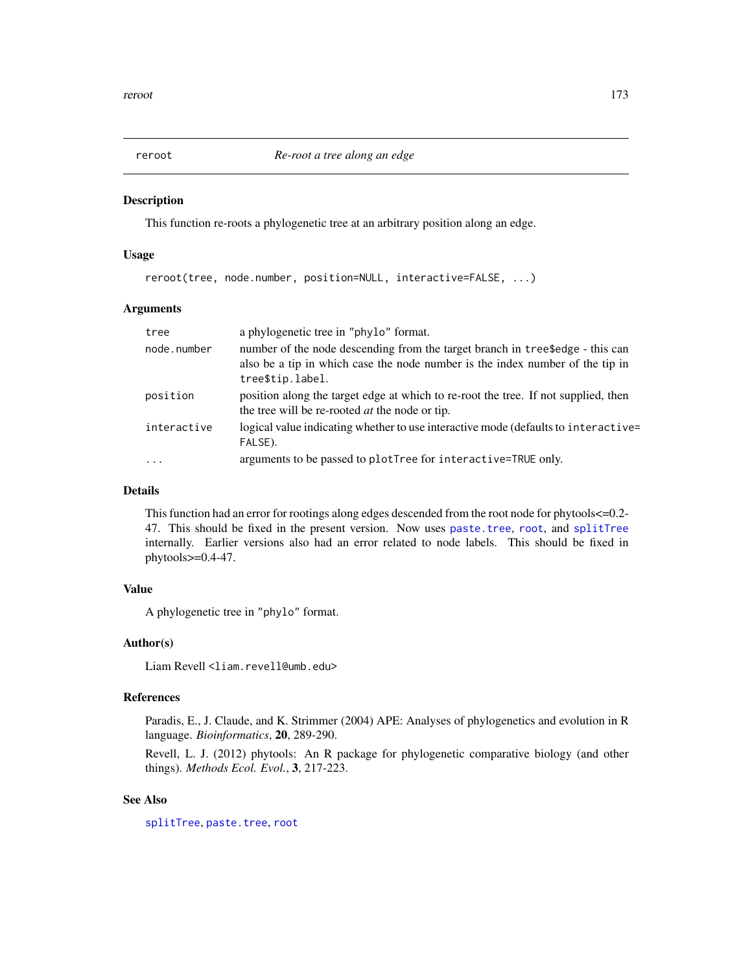This function re-roots a phylogenetic tree at an arbitrary position along an edge.

## Usage

```
reroot(tree, node.number, position=NULL, interactive=FALSE, ...)
```
# Arguments

| tree        | a phylogenetic tree in "phylo" format.                                                                                                                                             |
|-------------|------------------------------------------------------------------------------------------------------------------------------------------------------------------------------------|
| node.number | number of the node descending from the target branch in tree\$edge - this can<br>also be a tip in which case the node number is the index number of the tip in<br>tree\$tip.label. |
| position    | position along the target edge at which to re-root the tree. If not supplied, then<br>the tree will be re-rooted <i>at</i> the node or tip.                                        |
| interactive | logical value indicating whether to use interactive mode (defaults to interactive=<br>FALSE).                                                                                      |
| $\cdots$    | arguments to be passed to plotTree for interactive=TRUE only.                                                                                                                      |

# Details

This function had an error for rootings along edges descended from the root node for phytools<=0.2- 47. This should be fixed in the present version. Now uses [paste.tree](#page-123-0), [root](#page-0-0), and [splitTree](#page-190-0) internally. Earlier versions also had an error related to node labels. This should be fixed in phytools>=0.4-47.

## Value

A phylogenetic tree in "phylo" format.

#### Author(s)

Liam Revell <liam.revell@umb.edu>

## References

Paradis, E., J. Claude, and K. Strimmer (2004) APE: Analyses of phylogenetics and evolution in R language. *Bioinformatics*, 20, 289-290.

Revell, L. J. (2012) phytools: An R package for phylogenetic comparative biology (and other things). *Methods Ecol. Evol.*, 3, 217-223.

## See Also

[splitTree](#page-190-0), [paste.tree](#page-123-0), [root](#page-0-0)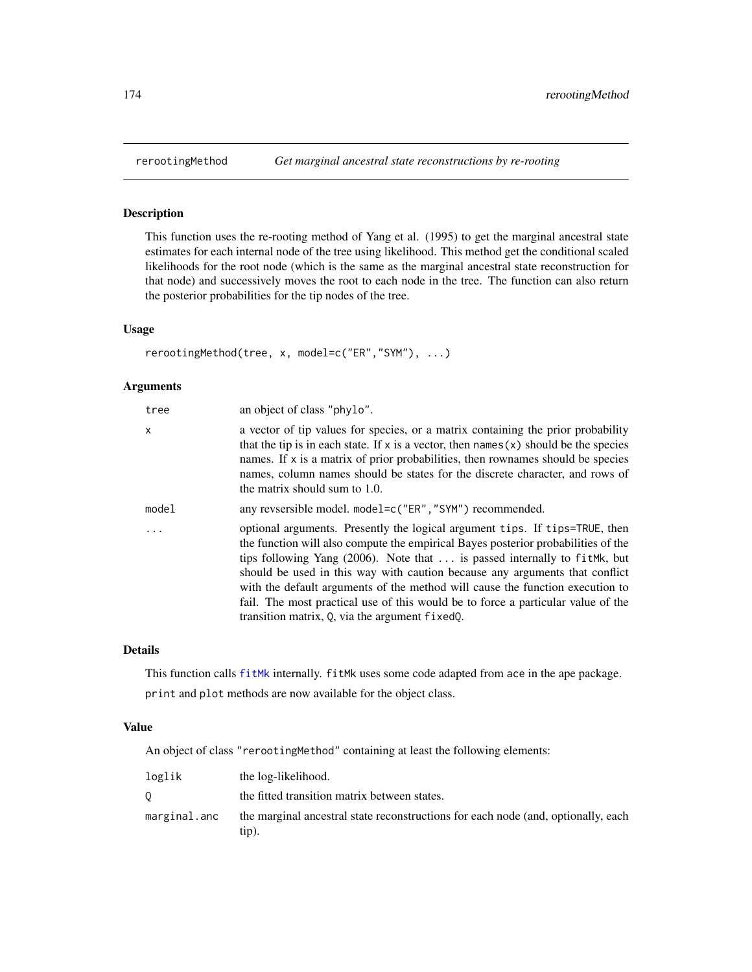This function uses the re-rooting method of Yang et al. (1995) to get the marginal ancestral state estimates for each internal node of the tree using likelihood. This method get the conditional scaled likelihoods for the root node (which is the same as the marginal ancestral state reconstruction for that node) and successively moves the root to each node in the tree. The function can also return the posterior probabilities for the tip nodes of the tree.

## Usage

```
rerootingMethod(tree, x, model=c("ER","SYM"), ...)
```
# Arguments

| tree     | an object of class "phylo".                                                                                                                                                                                                                                                                                                                                                                                                                                                                                                                             |
|----------|---------------------------------------------------------------------------------------------------------------------------------------------------------------------------------------------------------------------------------------------------------------------------------------------------------------------------------------------------------------------------------------------------------------------------------------------------------------------------------------------------------------------------------------------------------|
| x        | a vector of tip values for species, or a matrix containing the prior probability<br>that the tip is in each state. If x is a vector, then names $(x)$ should be the species<br>names. If x is a matrix of prior probabilities, then rownames should be species<br>names, column names should be states for the discrete character, and rows of<br>the matrix should sum to 1.0.                                                                                                                                                                         |
| model    | any revsersible model. model=c("ER", "SYM") recommended.                                                                                                                                                                                                                                                                                                                                                                                                                                                                                                |
| $\cdots$ | optional arguments. Presently the logical argument tips. If tips=TRUE, then<br>the function will also compute the empirical Bayes posterior probabilities of the<br>tips following Yang $(2006)$ . Note that  is passed internally to fit Mk, but<br>should be used in this way with caution because any arguments that conflict<br>with the default arguments of the method will cause the function execution to<br>fail. The most practical use of this would be to force a particular value of the<br>transition matrix, Q, via the argument fixedQ. |

#### Details

This function calls [fitMk](#page-78-0) internally. fitMk uses some code adapted from ace in the ape package.

print and plot methods are now available for the object class.

#### Value

An object of class "rerootingMethod" containing at least the following elements:

| loglik       | the log-likelihood.                                                                           |
|--------------|-----------------------------------------------------------------------------------------------|
|              | the fitted transition matrix between states.                                                  |
| marginal.anc | the marginal ancestral state reconstructions for each node (and, optionally, each<br>$tip)$ . |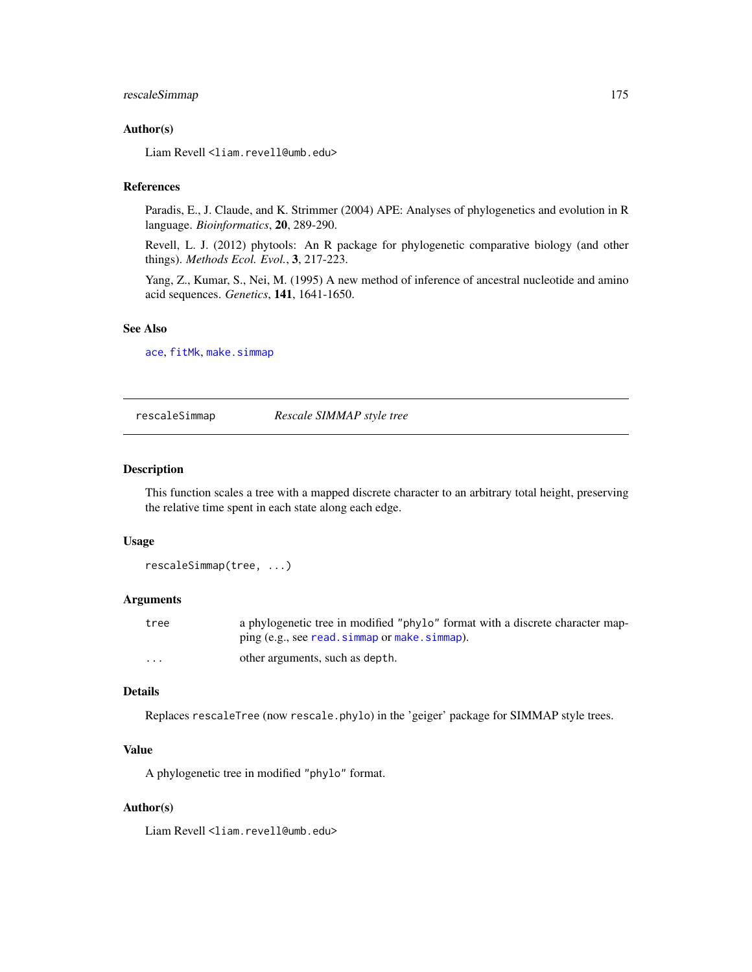# rescaleSimmap 175

## Author(s)

Liam Revell <liam.revell@umb.edu>

#### References

Paradis, E., J. Claude, and K. Strimmer (2004) APE: Analyses of phylogenetics and evolution in R language. *Bioinformatics*, 20, 289-290.

Revell, L. J. (2012) phytools: An R package for phylogenetic comparative biology (and other things). *Methods Ecol. Evol.*, 3, 217-223.

Yang, Z., Kumar, S., Nei, M. (1995) A new method of inference of ancestral nucleotide and amino acid sequences. *Genetics*, 141, 1641-1650.

#### See Also

[ace](#page-0-0), [fitMk](#page-78-0), [make.simmap](#page-101-0)

rescaleSimmap *Rescale SIMMAP style tree*

#### Description

This function scales a tree with a mapped discrete character to an arbitrary total height, preserving the relative time spent in each state along each edge.

#### Usage

```
rescaleSimmap(tree, ...)
```
#### Arguments

| tree     | a phylogenetic tree in modified "phylo" format with a discrete character map- |
|----------|-------------------------------------------------------------------------------|
|          | ping (e.g., see read. simmap or make. simmap).                                |
| $\cdots$ | other arguments, such as depth.                                               |

## Details

Replaces rescaleTree (now rescale.phylo) in the 'geiger' package for SIMMAP style trees.

# Value

A phylogenetic tree in modified "phylo" format.

## Author(s)

Liam Revell <liam.revell@umb.edu>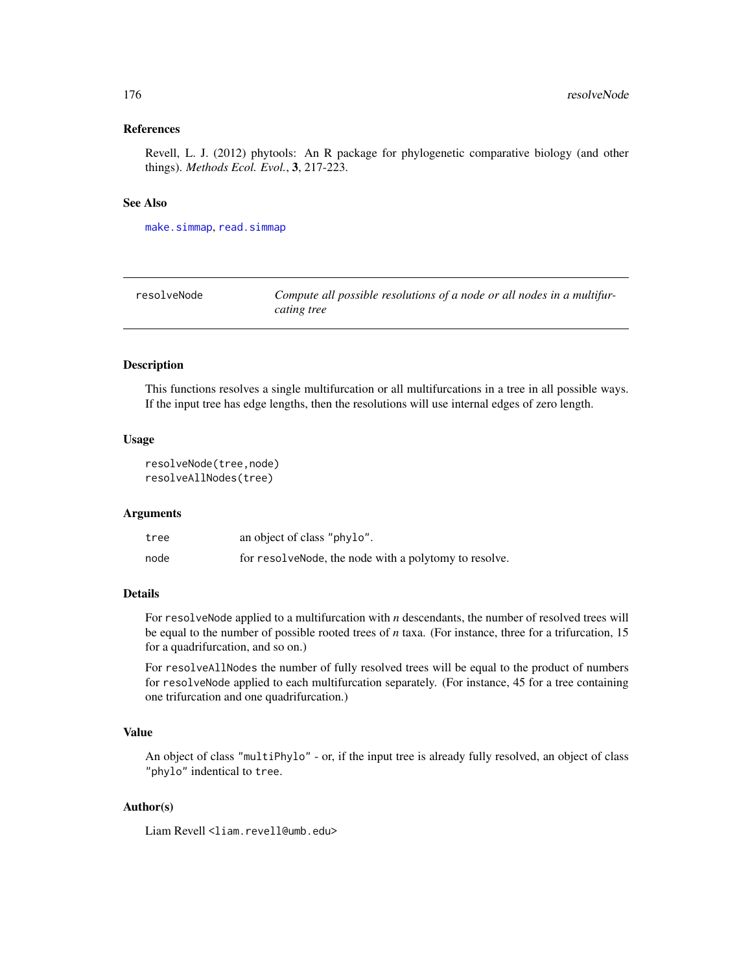#### References

Revell, L. J. (2012) phytools: An R package for phylogenetic comparative biology (and other things). *Methods Ecol. Evol.*, 3, 217-223.

## See Also

[make.simmap](#page-101-0), [read.simmap](#page-168-0)

| resolveNode | Compute all possible resolutions of a node or all nodes in a multifur- |
|-------------|------------------------------------------------------------------------|
|             | cating tree                                                            |

#### Description

This functions resolves a single multifurcation or all multifurcations in a tree in all possible ways. If the input tree has edge lengths, then the resolutions will use internal edges of zero length.

#### Usage

```
resolveNode(tree,node)
resolveAllNodes(tree)
```
#### Arguments

| tree | an object of class "phylo".                            |
|------|--------------------------------------------------------|
| node | for resolve Node, the node with a polytomy to resolve. |

# Details

For resolveNode applied to a multifurcation with *n* descendants, the number of resolved trees will be equal to the number of possible rooted trees of *n* taxa. (For instance, three for a trifurcation, 15 for a quadrifurcation, and so on.)

For resolveAllNodes the number of fully resolved trees will be equal to the product of numbers for resolveNode applied to each multifurcation separately. (For instance, 45 for a tree containing one trifurcation and one quadrifurcation.)

## Value

An object of class "multiPhylo" - or, if the input tree is already fully resolved, an object of class "phylo" indentical to tree.

# Author(s)

Liam Revell <liam.revell@umb.edu>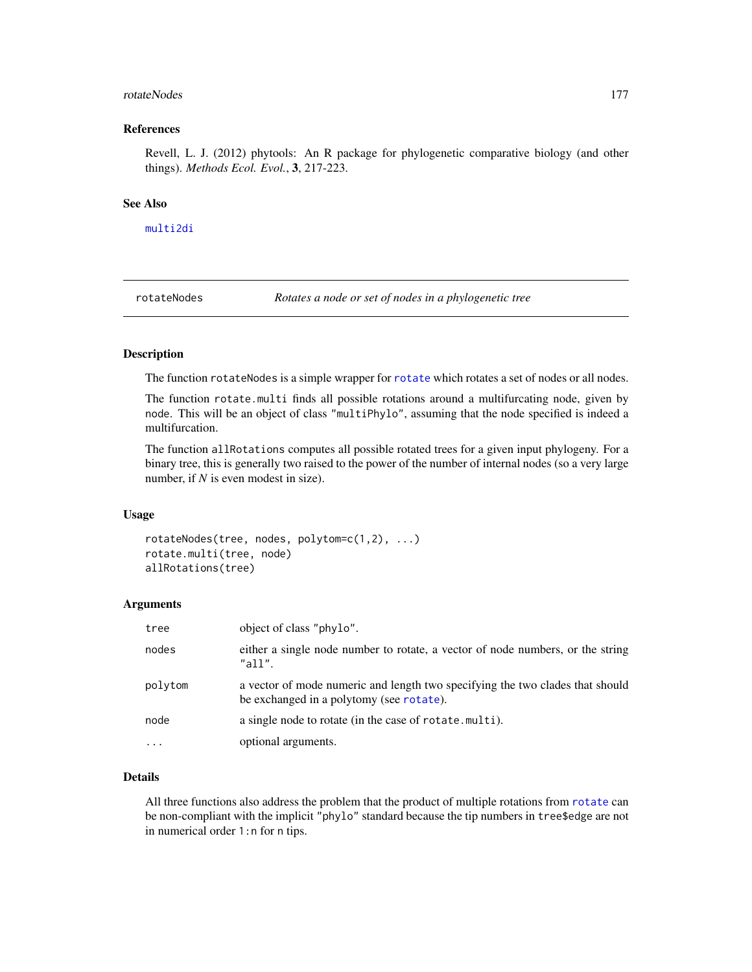#### rotateNodes and the state of the state of the state of the state of the state of the state of the state of the state of the state of the state of the state of the state of the state of the state of the state of the state o

#### References

Revell, L. J. (2012) phytools: An R package for phylogenetic comparative biology (and other things). *Methods Ecol. Evol.*, 3, 217-223.

#### See Also

[multi2di](#page-0-0)

rotateNodes *Rotates a node or set of nodes in a phylogenetic tree*

## Description

The function [rotate](#page-0-0)Nodes is a simple wrapper for rotate which rotates a set of nodes or all nodes.

The function rotate.multi finds all possible rotations around a multifurcating node, given by node. This will be an object of class "multiPhylo", assuming that the node specified is indeed a multifurcation.

The function allRotations computes all possible rotated trees for a given input phylogeny. For a binary tree, this is generally two raised to the power of the number of internal nodes (so a very large number, if *N* is even modest in size).

#### Usage

```
rotateNodes(tree, nodes, polytom=c(1,2), ...)
rotate.multi(tree, node)
allRotations(tree)
```
#### Arguments

| tree      | object of class "phylo".                                                                                                  |
|-----------|---------------------------------------------------------------------------------------------------------------------------|
| nodes     | either a single node number to rotate, a vector of node numbers, or the string<br>"all".                                  |
| polytom   | a vector of mode numeric and length two specifying the two clades that should<br>be exchanged in a polytomy (see rotate). |
| node      | a single node to rotate (in the case of rotate multi).                                                                    |
| $\ddotsc$ | optional arguments.                                                                                                       |

### Details

All three functions also address the problem that the product of multiple rotations from [rotate](#page-0-0) can be non-compliant with the implicit "phylo" standard because the tip numbers in tree\$edge are not in numerical order 1:n for n tips.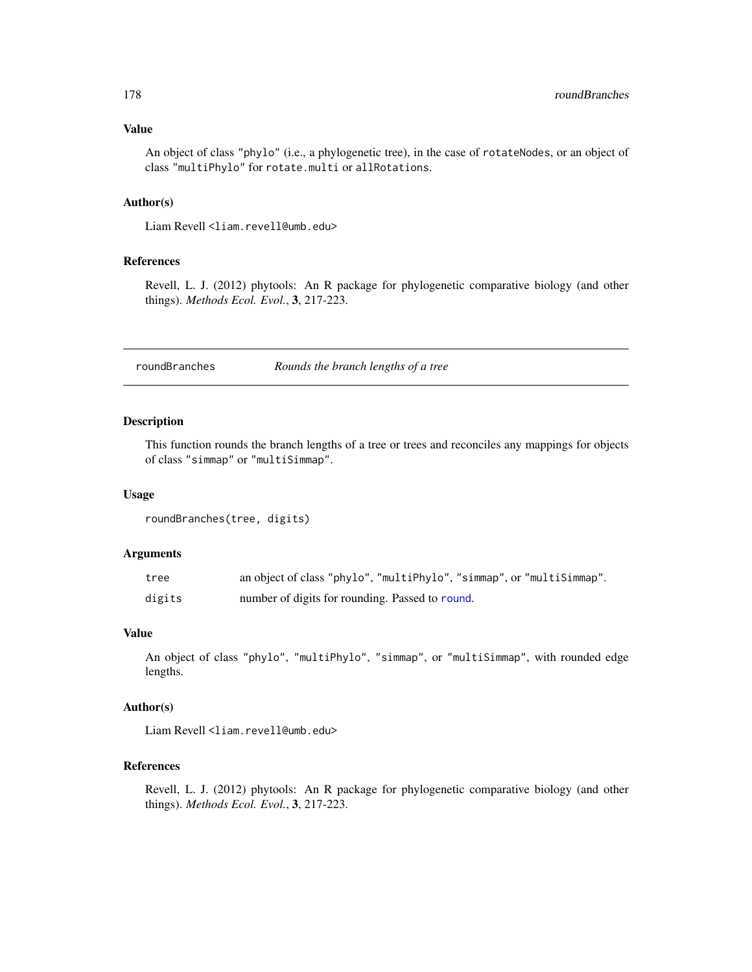An object of class "phylo" (i.e., a phylogenetic tree), in the case of rotateNodes, or an object of class "multiPhylo" for rotate.multi or allRotations.

## Author(s)

Liam Revell <liam.revell@umb.edu>

## References

Revell, L. J. (2012) phytools: An R package for phylogenetic comparative biology (and other things). *Methods Ecol. Evol.*, 3, 217-223.

roundBranches *Rounds the branch lengths of a tree*

## Description

This function rounds the branch lengths of a tree or trees and reconciles any mappings for objects of class "simmap" or "multiSimmap".

#### Usage

```
roundBranches(tree, digits)
```
## Arguments

| tree   | an object of class "phylo", "multiPhylo", "simmap", or "multiSimmap". |
|--------|-----------------------------------------------------------------------|
| digits | number of digits for rounding. Passed to round.                       |

## Value

An object of class "phylo", "multiPhylo", "simmap", or "multiSimmap", with rounded edge lengths.

## Author(s)

Liam Revell <liam.revell@umb.edu>

# References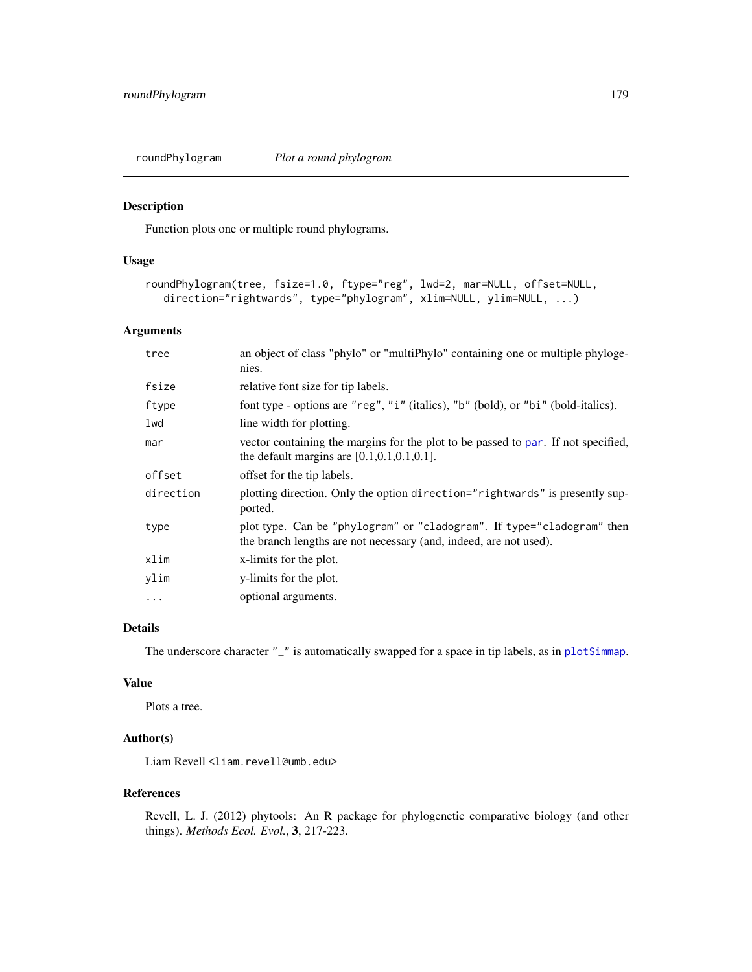Function plots one or multiple round phylograms.

#### Usage

```
roundPhylogram(tree, fsize=1.0, ftype="reg", lwd=2, mar=NULL, offset=NULL,
   direction="rightwards", type="phylogram", xlim=NULL, ylim=NULL, ...)
```
# Arguments

| tree      | an object of class "phylo" or "multiPhylo" containing one or multiple phyloge-<br>nies.                                                     |
|-----------|---------------------------------------------------------------------------------------------------------------------------------------------|
| fsize     | relative font size for tip labels.                                                                                                          |
| ftype     | font type - options are "reg", "i" (italics), "b" (bold), or "bi" (bold-italics).                                                           |
| lwd       | line width for plotting.                                                                                                                    |
| mar       | vector containing the margins for the plot to be passed to par. If not specified,<br>the default margins are $[0.1, 0.1, 0.1, 0.1]$ .       |
| offset    | offset for the tip labels.                                                                                                                  |
| direction | plotting direction. Only the option direction="rightwards" is presently sup-<br>ported.                                                     |
| type      | plot type. Can be "phylogram" or "cladogram". If type="cladogram" then<br>the branch lengths are not necessary (and, indeed, are not used). |
| xlim      | x-limits for the plot.                                                                                                                      |
| ylim      | y-limits for the plot.                                                                                                                      |
| $\cdots$  | optional arguments.                                                                                                                         |

# Details

The underscore character "\_" is automatically swapped for a space in tip labels, as in [plotSimmap](#page-151-0).

# Value

Plots a tree.

## Author(s)

Liam Revell <liam.revell@umb.edu>

#### References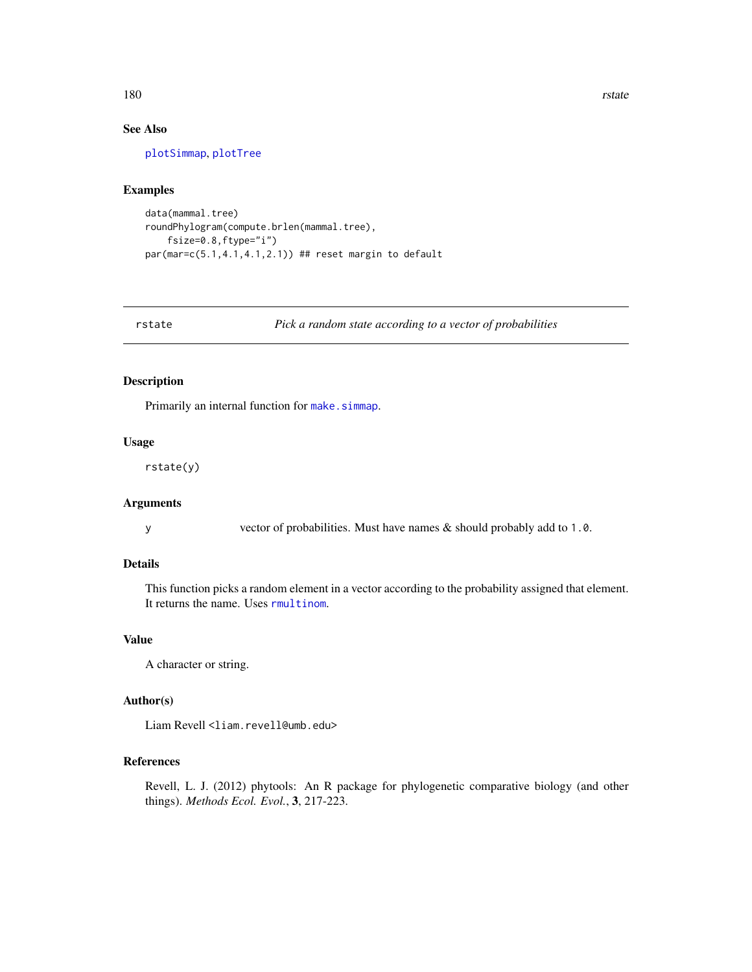180 rstate and the state of the state of the state and the state of the state of the state of the state of the state of the state of the state of the state of the state of the state of the state of the state of the state o

# See Also

[plotSimmap](#page-151-0), [plotTree](#page-155-0)

## Examples

```
data(mammal.tree)
roundPhylogram(compute.brlen(mammal.tree),
    fsize=0.8,ftype="i")
par(mar=c(5.1,4.1,4.1,2.1)) ## reset margin to default
```
rstate *Pick a random state according to a vector of probabilities*

## Description

Primarily an internal function for [make.simmap](#page-101-0).

## Usage

rstate(y)

## Arguments

y vector of probabilities. Must have names & should probably add to 1.0.

#### Details

This function picks a random element in a vector according to the probability assigned that element. It returns the name. Uses [rmultinom](#page-0-0).

## Value

A character or string.

## Author(s)

Liam Revell <liam.revell@umb.edu>

# References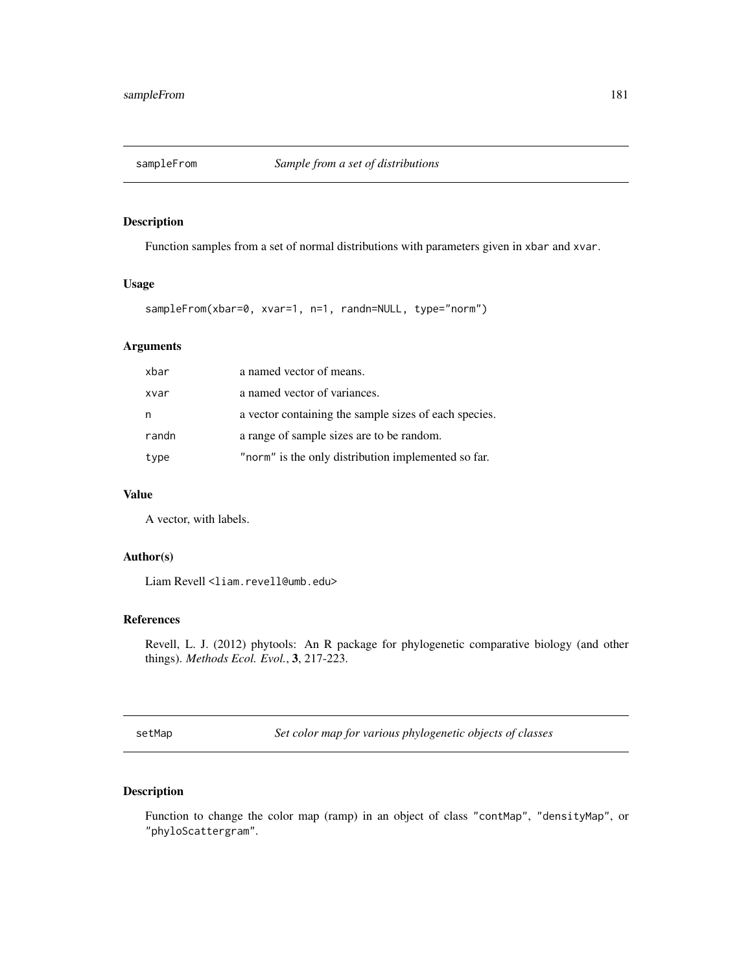<span id="page-180-0"></span>

Function samples from a set of normal distributions with parameters given in xbar and xvar.

# Usage

```
sampleFrom(xbar=0, xvar=1, n=1, randn=NULL, type="norm")
```
# Arguments

| xbar  | a named vector of means.                              |
|-------|-------------------------------------------------------|
| xvar  | a named vector of variances.                          |
| n     | a vector containing the sample sizes of each species. |
| randn | a range of sample sizes are to be random.             |
| type  | "norm" is the only distribution implemented so far.   |

### Value

A vector, with labels.

#### Author(s)

Liam Revell <liam.revell@umb.edu>

#### References

Revell, L. J. (2012) phytools: An R package for phylogenetic comparative biology (and other things). *Methods Ecol. Evol.*, 3, 217-223.

setMap *Set color map for various phylogenetic objects of classes*

# Description

Function to change the color map (ramp) in an object of class "contMap", "densityMap", or "phyloScattergram".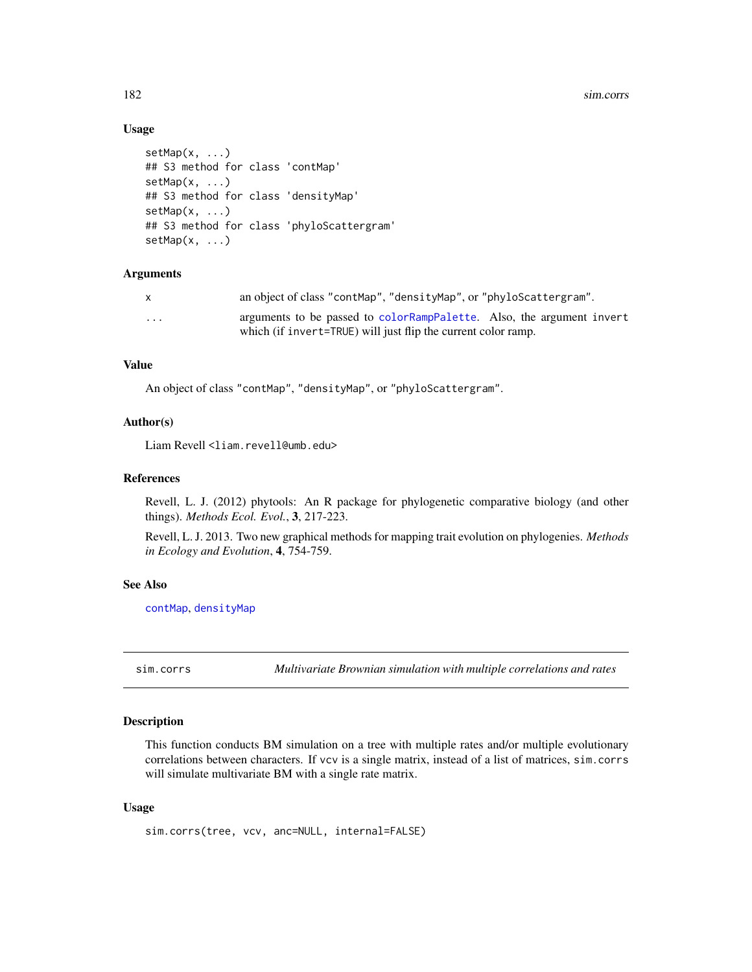<span id="page-181-0"></span>182 sim.corrs

#### Usage

```
setMap(x, ...)
## S3 method for class 'contMap'
setMap(x, ...)
## S3 method for class 'densityMap'
setMap(x, ...)
## S3 method for class 'phyloScattergram'
setMap(x, ...)
```
# Arguments

| X | an object of class "contMap", "densityMap", or "phyloScattergram".    |
|---|-----------------------------------------------------------------------|
| . | arguments to be passed to colorRampPalette. Also, the argument invert |
|   | which (if invert=TRUE) will just flip the current color ramp.         |

#### Value

An object of class "contMap", "densityMap", or "phyloScattergram".

#### Author(s)

Liam Revell <liam.revell@umb.edu>

#### References

Revell, L. J. (2012) phytools: An R package for phylogenetic comparative biology (and other things). *Methods Ecol. Evol.*, 3, 217-223.

Revell, L. J. 2013. Two new graphical methods for mapping trait evolution on phylogenies. *Methods in Ecology and Evolution*, 4, 754-759.

#### See Also

[contMap](#page-38-0), [densityMap](#page-46-0)

sim.corrs *Multivariate Brownian simulation with multiple correlations and rates*

# Description

This function conducts BM simulation on a tree with multiple rates and/or multiple evolutionary correlations between characters. If vcv is a single matrix, instead of a list of matrices, sim.corrs will simulate multivariate BM with a single rate matrix.

#### Usage

sim.corrs(tree, vcv, anc=NULL, internal=FALSE)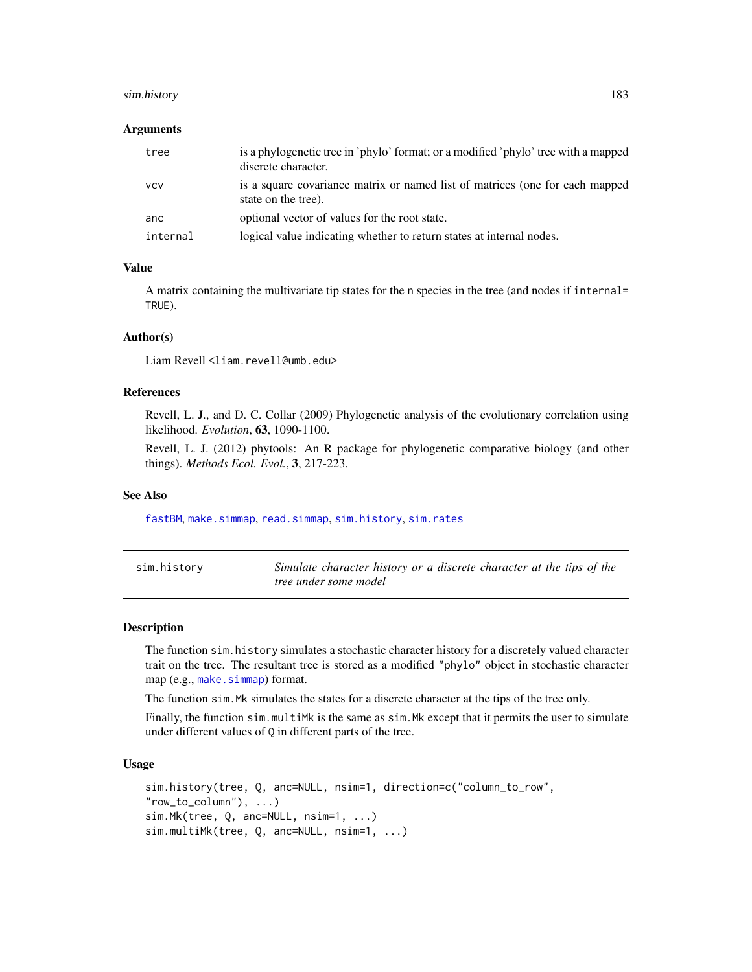## <span id="page-182-1"></span>sim.history 183

#### Arguments

| tree       | is a phylogenetic tree in 'phylo' format; or a modified 'phylo' tree with a mapped<br>discrete character. |
|------------|-----------------------------------------------------------------------------------------------------------|
| <b>VCV</b> | is a square covariance matrix or named list of matrices (one for each mapped<br>state on the tree).       |
| anc        | optional vector of values for the root state.                                                             |
| internal   | logical value indicating whether to return states at internal nodes.                                      |

# Value

A matrix containing the multivariate tip states for the n species in the tree (and nodes if internal= TRUE).

# Author(s)

Liam Revell <liam.revell@umb.edu>

# References

Revell, L. J., and D. C. Collar (2009) Phylogenetic analysis of the evolutionary correlation using likelihood. *Evolution*, 63, 1090-1100.

Revell, L. J. (2012) phytools: An R package for phylogenetic comparative biology (and other things). *Methods Ecol. Evol.*, 3, 217-223.

#### See Also

[fastBM](#page-70-0), [make.simmap](#page-101-0), [read.simmap](#page-168-0), [sim.history](#page-182-0), [sim.rates](#page-185-0)

<span id="page-182-0"></span>

| sim.history | Simulate character history or a discrete character at the tips of the |  |  |  |  |
|-------------|-----------------------------------------------------------------------|--|--|--|--|
|             | tree under some model                                                 |  |  |  |  |

#### **Description**

The function sim.history simulates a stochastic character history for a discretely valued character trait on the tree. The resultant tree is stored as a modified "phylo" object in stochastic character map (e.g., [make.simmap](#page-101-0)) format.

The function sim.Mk simulates the states for a discrete character at the tips of the tree only.

Finally, the function sim.multiMk is the same as sim.Mk except that it permits the user to simulate under different values of Q in different parts of the tree.

#### Usage

```
sim.history(tree, Q, anc=NULL, nsim=1, direction=c("column_to_row",
"row_to_tosim.Mk(tree, Q, anc=NULL, nsim=1, ...)
sim.multiMk(tree, Q, anc=NULL, nsim=1, ...)
```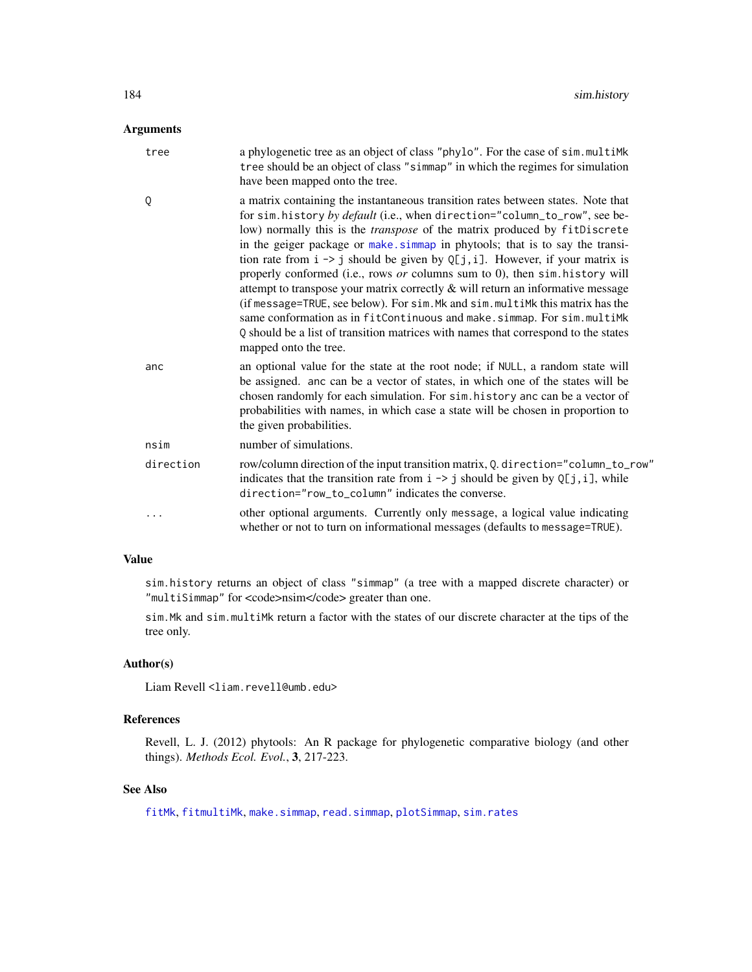# <span id="page-183-0"></span>Arguments

| tree      | a phylogenetic tree as an object of class "phylo". For the case of sim.multiMk<br>tree should be an object of class "simmap" in which the regimes for simulation<br>have been mapped onto the tree.                                                                                                                                                                                                                                                                                                                                                                                                                                                                                                                                                                                                                                                                           |
|-----------|-------------------------------------------------------------------------------------------------------------------------------------------------------------------------------------------------------------------------------------------------------------------------------------------------------------------------------------------------------------------------------------------------------------------------------------------------------------------------------------------------------------------------------------------------------------------------------------------------------------------------------------------------------------------------------------------------------------------------------------------------------------------------------------------------------------------------------------------------------------------------------|
| Q         | a matrix containing the instantaneous transition rates between states. Note that<br>for sim. history by default (i.e., when direction="column_to_row", see be-<br>low) normally this is the <i>transpose</i> of the matrix produced by fitDiscrete<br>in the geiger package or make simmap in phytools; that is to say the transi-<br>tion rate from $i \rightarrow j$ should be given by Q[j, i]. However, if your matrix is<br>properly conformed (i.e., rows or columns sum to 0), then sim. history will<br>attempt to transpose your matrix correctly $\&$ will return an informative message<br>(if message=TRUE, see below). For sim. Mk and sim. multiMk this matrix has the<br>same conformation as in fitContinuous and make.simmap. For sim.multiMk<br>Q should be a list of transition matrices with names that correspond to the states<br>mapped onto the tree. |
| anc       | an optional value for the state at the root node; if NULL, a random state will<br>be assigned. anc can be a vector of states, in which one of the states will be<br>chosen randomly for each simulation. For sim. history anc can be a vector of<br>probabilities with names, in which case a state will be chosen in proportion to<br>the given probabilities.                                                                                                                                                                                                                                                                                                                                                                                                                                                                                                               |
| nsim      | number of simulations.                                                                                                                                                                                                                                                                                                                                                                                                                                                                                                                                                                                                                                                                                                                                                                                                                                                        |
| direction | row/column direction of the input transition matrix, Q. direction="column_to_row"<br>indicates that the transition rate from $i \rightarrow j$ should be given by Q[j, i], while<br>direction="row_to_column" indicates the converse.                                                                                                                                                                                                                                                                                                                                                                                                                                                                                                                                                                                                                                         |
| $\cdots$  | other optional arguments. Currently only message, a logical value indicating<br>whether or not to turn on informational messages (defaults to message=TRUE).                                                                                                                                                                                                                                                                                                                                                                                                                                                                                                                                                                                                                                                                                                                  |

#### Value

sim.history returns an object of class "simmap" (a tree with a mapped discrete character) or "multiSimmap" for <code>nsim</code> greater than one.

sim.Mk and sim.multiMk return a factor with the states of our discrete character at the tips of the tree only.

# Author(s)

Liam Revell <liam.revell@umb.edu>

# References

Revell, L. J. (2012) phytools: An R package for phylogenetic comparative biology (and other things). *Methods Ecol. Evol.*, 3, 217-223.

# See Also

[fitMk](#page-78-0), [fitmultiMk](#page-78-1), [make.simmap](#page-101-0), [read.simmap](#page-168-0), [plotSimmap](#page-151-0), [sim.rates](#page-185-0)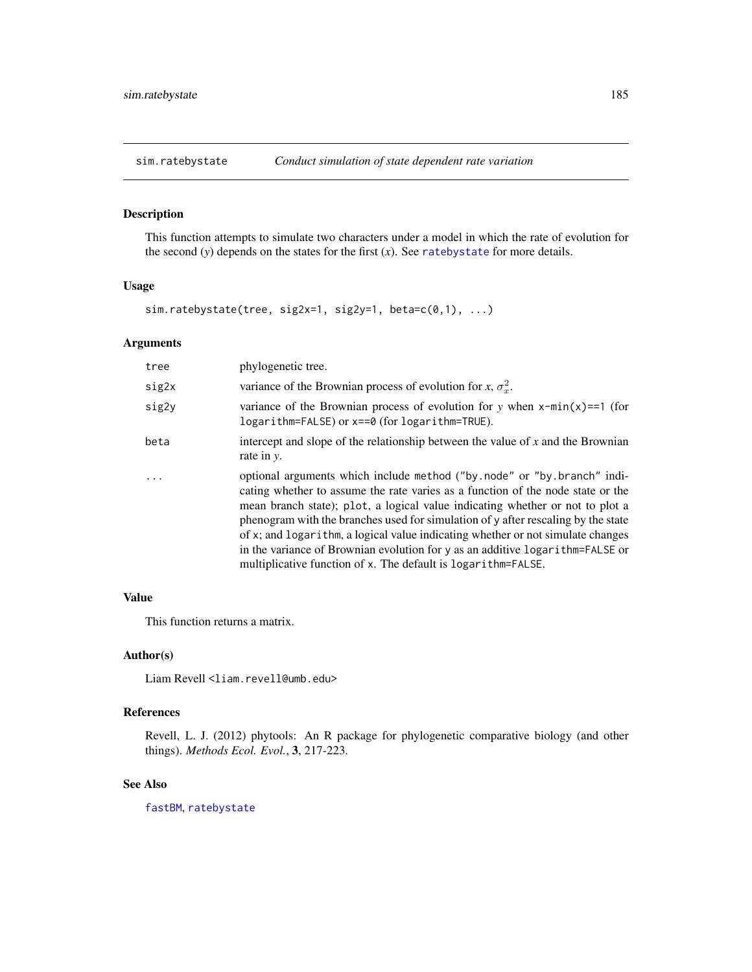<span id="page-184-0"></span>

This function attempts to simulate two characters under a model in which the rate of evolution for the second  $(y)$  depends on the states for the first  $(x)$ . See [ratebystate](#page-162-0) for more details.

#### Usage

sim.ratebystate(tree, sig2x=1, sig2y=1, beta=c(0,1), ...)

# Arguments

| tree  | phylogenetic tree.                                                                                                                                                                                                                                                                                                                                                                                                                                                                                                                                                    |
|-------|-----------------------------------------------------------------------------------------------------------------------------------------------------------------------------------------------------------------------------------------------------------------------------------------------------------------------------------------------------------------------------------------------------------------------------------------------------------------------------------------------------------------------------------------------------------------------|
| sig2x | variance of the Brownian process of evolution for x, $\sigma_r^2$ .                                                                                                                                                                                                                                                                                                                                                                                                                                                                                                   |
| sig2y | variance of the Brownian process of evolution for y when $x$ -min $(x)$ ==1 (for<br>logarithm=FALSE) or x==0 (for logarithm=TRUE).                                                                                                                                                                                                                                                                                                                                                                                                                                    |
| beta  | intercept and slope of the relationship between the value of $x$ and the Brownian<br>rate in y.                                                                                                                                                                                                                                                                                                                                                                                                                                                                       |
| .     | optional arguments which include method ("by.node" or "by.branch" indi-<br>cating whether to assume the rate varies as a function of the node state or the<br>mean branch state); plot, a logical value indicating whether or not to plot a<br>phenogram with the branches used for simulation of y after rescaling by the state<br>of x; and logarithm, a logical value indicating whether or not simulate changes<br>in the variance of Brownian evolution for y as an additive logarithm=FALSE or<br>multiplicative function of x. The default is logarithm=FALSE. |

#### Value

This function returns a matrix.

#### Author(s)

Liam Revell <liam.revell@umb.edu>

#### References

Revell, L. J. (2012) phytools: An R package for phylogenetic comparative biology (and other things). *Methods Ecol. Evol.*, 3, 217-223.

# See Also

[fastBM](#page-70-0), [ratebystate](#page-162-0)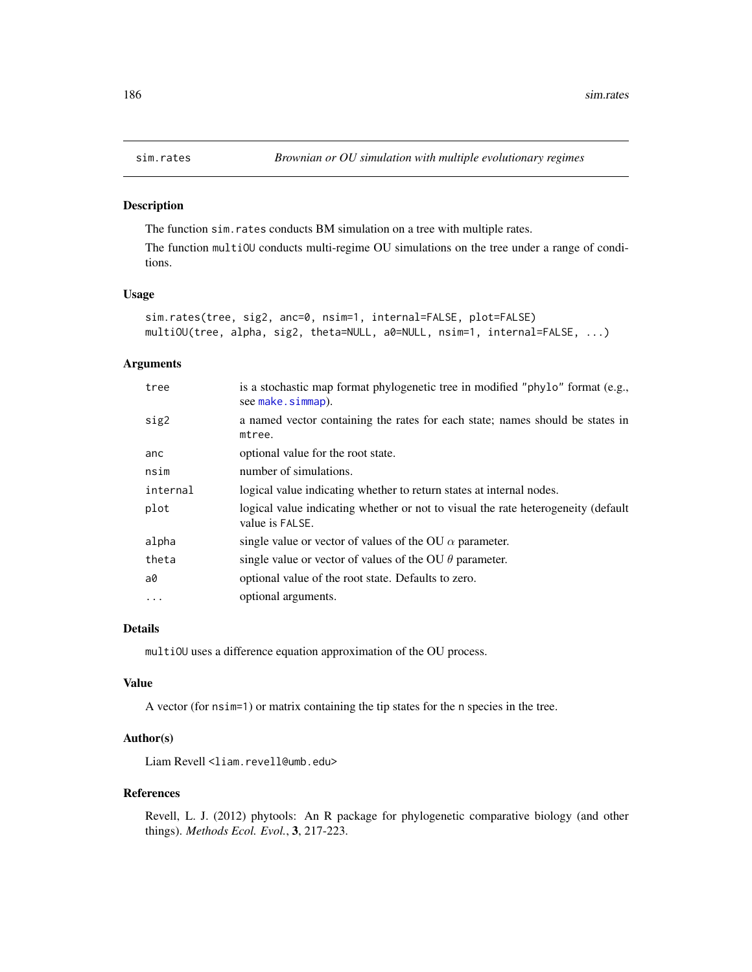<span id="page-185-1"></span><span id="page-185-0"></span>

The function sim.rates conducts BM simulation on a tree with multiple rates.

The function multiOU conducts multi-regime OU simulations on the tree under a range of conditions.

#### Usage

```
sim.rates(tree, sig2, anc=0, nsim=1, internal=FALSE, plot=FALSE)
multiOU(tree, alpha, sig2, theta=NULL, a0=NULL, nsim=1, internal=FALSE, ...)
```
# Arguments

| tree     | is a stochastic map format phylogenetic tree in modified "phylo" format (e.g.,<br>see make.simmap).  |
|----------|------------------------------------------------------------------------------------------------------|
| sig2     | a named vector containing the rates for each state; names should be states in<br>mtree.              |
| anc      | optional value for the root state.                                                                   |
| nsim     | number of simulations.                                                                               |
| internal | logical value indicating whether to return states at internal nodes.                                 |
| plot     | logical value indicating whether or not to visual the rate heterogeneity (default<br>value is FALSE. |
| alpha    | single value or vector of values of the OU $\alpha$ parameter.                                       |
| theta    | single value or vector of values of the OU $\theta$ parameter.                                       |
| a0       | optional value of the root state. Defaults to zero.                                                  |
| $\cdot$  | optional arguments.                                                                                  |

#### Details

multiOU uses a difference equation approximation of the OU process.

#### Value

A vector (for nsim=1) or matrix containing the tip states for the n species in the tree.

#### Author(s)

Liam Revell <liam.revell@umb.edu>

#### References

Revell, L. J. (2012) phytools: An R package for phylogenetic comparative biology (and other things). *Methods Ecol. Evol.*, 3, 217-223.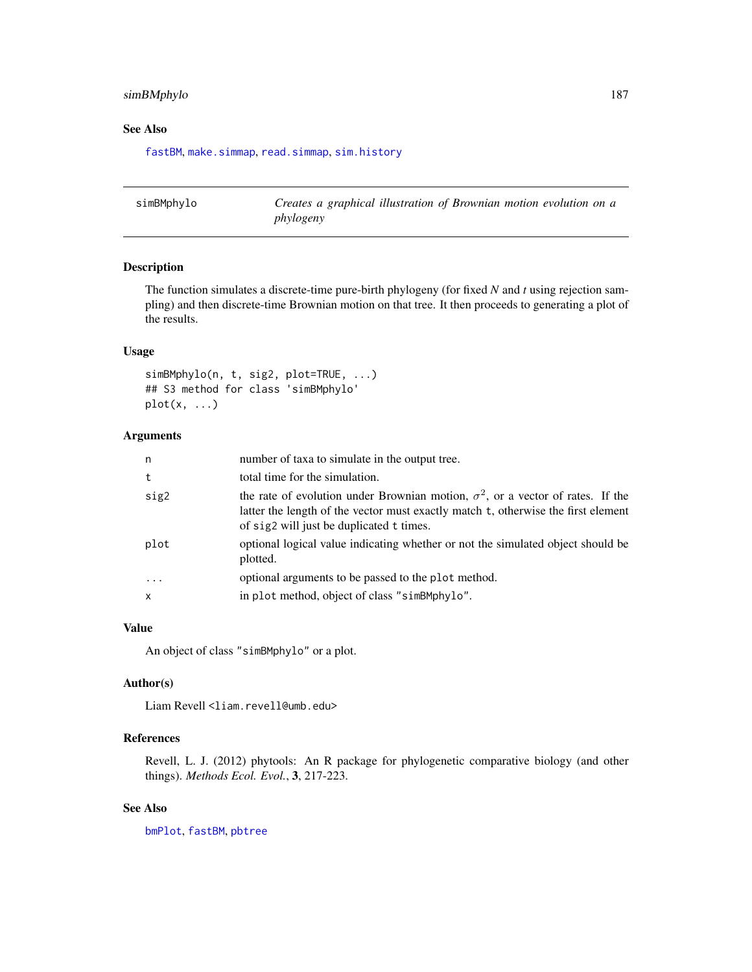# <span id="page-186-0"></span>simBMphylo 187

## See Also

[fastBM](#page-70-0), [make.simmap](#page-101-0), [read.simmap](#page-168-0), [sim.history](#page-182-0)

simBMphylo *Creates a graphical illustration of Brownian motion evolution on a phylogeny*

# Description

The function simulates a discrete-time pure-birth phylogeny (for fixed *N* and *t* using rejection sampling) and then discrete-time Brownian motion on that tree. It then proceeds to generating a plot of the results.

# Usage

```
simBMphylo(n, t, sig2, plot=TRUE, ...)
## S3 method for class 'simBMphylo'
plot(x, \ldots)
```
# Arguments

| n            | number of taxa to simulate in the output tree.                                                                                                                                                                          |
|--------------|-------------------------------------------------------------------------------------------------------------------------------------------------------------------------------------------------------------------------|
| t            | total time for the simulation.                                                                                                                                                                                          |
| sig2         | the rate of evolution under Brownian motion, $\sigma^2$ , or a vector of rates. If the<br>latter the length of the vector must exactly match t, otherwise the first element<br>of sig2 will just be duplicated t times. |
| plot         | optional logical value indicating whether or not the simulated object should be<br>plotted.                                                                                                                             |
| $\ddots$     | optional arguments to be passed to the plot method.                                                                                                                                                                     |
| $\mathsf{x}$ | in plot method, object of class "simBMphylo".                                                                                                                                                                           |
|              |                                                                                                                                                                                                                         |

#### Value

An object of class "simBMphylo" or a plot.

# Author(s)

Liam Revell <liam.revell@umb.edu>

### References

Revell, L. J. (2012) phytools: An R package for phylogenetic comparative biology (and other things). *Methods Ecol. Evol.*, 3, 217-223.

# See Also

[bmPlot](#page-28-0), [fastBM](#page-70-0), [pbtree](#page-124-0)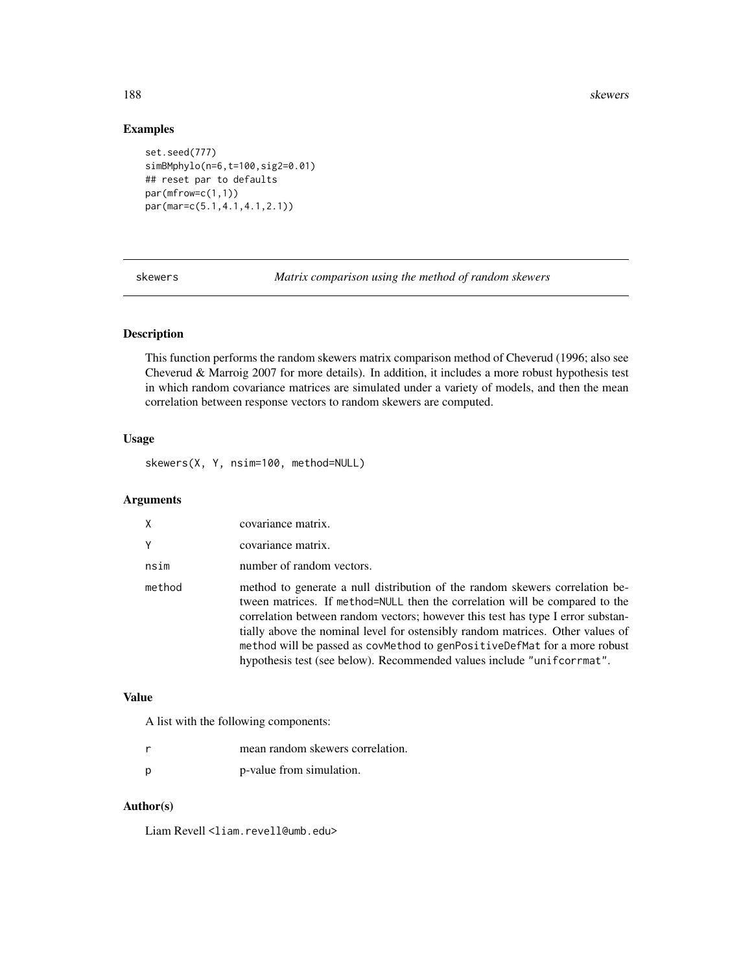<span id="page-187-0"></span>188 skewers

# Examples

```
set.seed(777)
simBMphylo(n=6,t=100,sig2=0.01)
## reset par to defaults
par(mfrow=c(1,1))
par(mar=c(5.1,4.1,4.1,2.1))
```
skewers *Matrix comparison using the method of random skewers*

# Description

This function performs the random skewers matrix comparison method of Cheverud (1996; also see Cheverud & Marroig 2007 for more details). In addition, it includes a more robust hypothesis test in which random covariance matrices are simulated under a variety of models, and then the mean correlation between response vectors to random skewers are computed.

# Usage

skewers(X, Y, nsim=100, method=NULL)

# Arguments

| X      | covariance matrix.                                                                                                                                                                                                                                                                                                                                                                                                                                                                      |
|--------|-----------------------------------------------------------------------------------------------------------------------------------------------------------------------------------------------------------------------------------------------------------------------------------------------------------------------------------------------------------------------------------------------------------------------------------------------------------------------------------------|
| Y      | covariance matrix.                                                                                                                                                                                                                                                                                                                                                                                                                                                                      |
| nsim   | number of random vectors.                                                                                                                                                                                                                                                                                                                                                                                                                                                               |
| method | method to generate a null distribution of the random skewers correlation be-<br>tween matrices. If method=NULL then the correlation will be compared to the<br>correlation between random vectors; however this test has type I error substan-<br>tially above the nominal level for ostensibly random matrices. Other values of<br>method will be passed as covmethod to genPositiveDefMat for a more robust<br>hypothesis test (see below). Recommended values include "unifcorrmat". |

# Value

A list with the following components:

|   | mean random skewers correlation. |
|---|----------------------------------|
| D | p-value from simulation.         |

#### Author(s)

Liam Revell <liam.revell@umb.edu>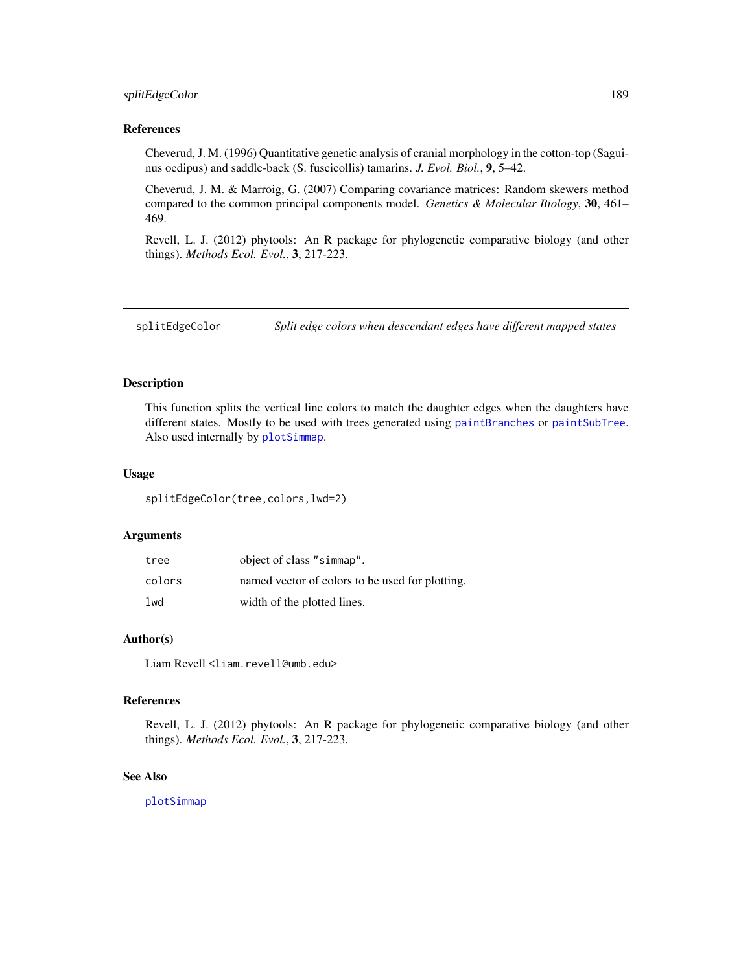# <span id="page-188-0"></span>splitEdgeColor 189

#### References

Cheverud, J. M. (1996) Quantitative genetic analysis of cranial morphology in the cotton-top (Saguinus oedipus) and saddle-back (S. fuscicollis) tamarins. *J. Evol. Biol.*, 9, 5–42.

Cheverud, J. M. & Marroig, G. (2007) Comparing covariance matrices: Random skewers method compared to the common principal components model. *Genetics & Molecular Biology*, 30, 461– 469.

Revell, L. J. (2012) phytools: An R package for phylogenetic comparative biology (and other things). *Methods Ecol. Evol.*, 3, 217-223.

splitEdgeColor *Split edge colors when descendant edges have different mapped states*

# Description

This function splits the vertical line colors to match the daughter edges when the daughters have different states. Mostly to be used with trees generated using [paintBranches](#page-122-0) or [paintSubTree](#page-122-1). Also used internally by [plotSimmap](#page-151-0).

#### Usage

splitEdgeColor(tree,colors,lwd=2)

#### Arguments

| tree   | object of class "simmap".                       |
|--------|-------------------------------------------------|
| colors | named vector of colors to be used for plotting. |
| lwd    | width of the plotted lines.                     |

#### Author(s)

Liam Revell <liam.revell@umb.edu>

#### References

Revell, L. J. (2012) phytools: An R package for phylogenetic comparative biology (and other things). *Methods Ecol. Evol.*, 3, 217-223.

# See Also

[plotSimmap](#page-151-0)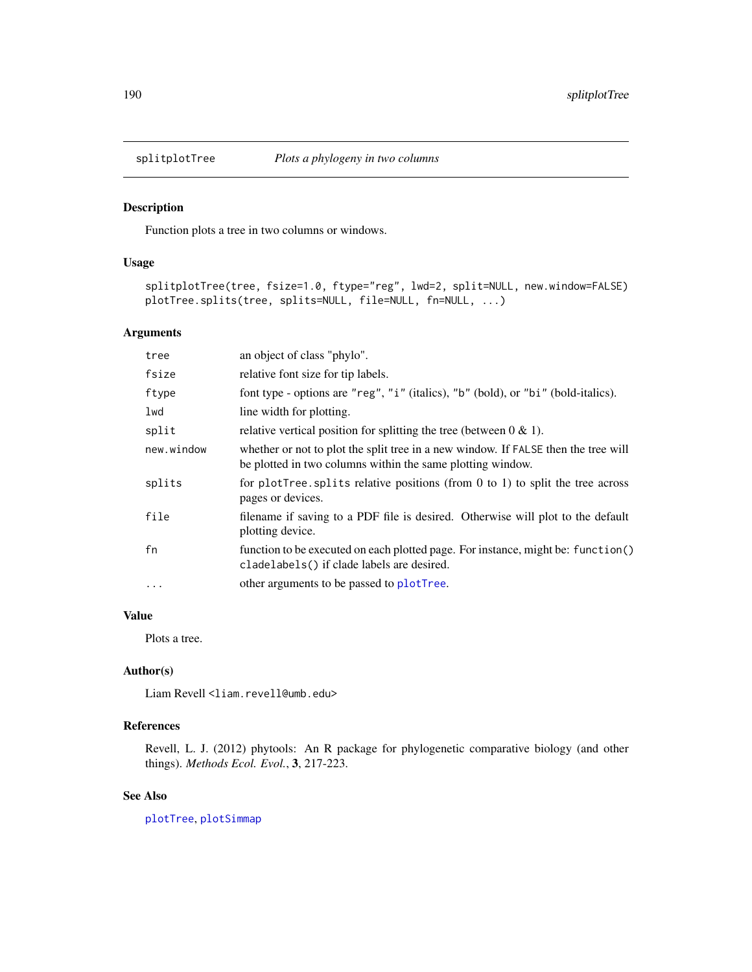<span id="page-189-0"></span>

Function plots a tree in two columns or windows.

# Usage

```
splitplotTree(tree, fsize=1.0, ftype="reg", lwd=2, split=NULL, new.window=FALSE)
plotTree.splits(tree, splits=NULL, file=NULL, fn=NULL, ...)
```
#### Arguments

| tree       | an object of class "phylo".                                                                                                                      |
|------------|--------------------------------------------------------------------------------------------------------------------------------------------------|
| fsize      | relative font size for tip labels.                                                                                                               |
| ftype      | font type - options are "reg", "i" (italics), "b" (bold), or "bi" (bold-italics).                                                                |
| lwd        | line width for plotting.                                                                                                                         |
| split      | relative vertical position for splitting the tree (between $0 \& 1$ ).                                                                           |
| new.window | whether or not to plot the split tree in a new window. If FALSE then the tree will<br>be plotted in two columns within the same plotting window. |
| splits     | for plotTree. splits relative positions (from $0$ to $1$ ) to split the tree across<br>pages or devices.                                         |
| file       | filename if saving to a PDF file is desired. Otherwise will plot to the default<br>plotting device.                                              |
| fn         | function to be executed on each plotted page. For instance, might be: function()<br>cladelabels() if clade labels are desired.                   |
| $\cdots$   | other arguments to be passed to plotTree.                                                                                                        |

# Value

Plots a tree.

#### Author(s)

Liam Revell <liam.revell@umb.edu>

# References

Revell, L. J. (2012) phytools: An R package for phylogenetic comparative biology (and other things). *Methods Ecol. Evol.*, 3, 217-223.

#### See Also

[plotTree](#page-155-0), [plotSimmap](#page-151-0)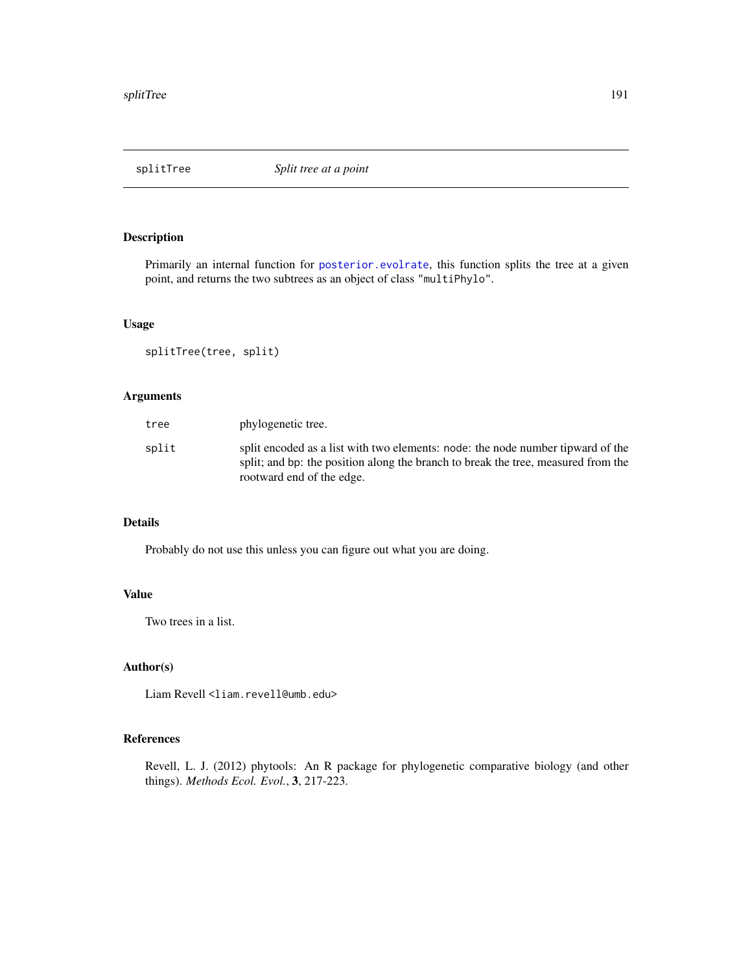<span id="page-190-0"></span>

Primarily an internal function for [posterior.evolrate](#page-160-0), this function splits the tree at a given point, and returns the two subtrees as an object of class "multiPhylo".

#### Usage

splitTree(tree, split)

# Arguments

| tree  | phylogenetic tree.                                                                                                                                                                                |
|-------|---------------------------------------------------------------------------------------------------------------------------------------------------------------------------------------------------|
| split | split encoded as a list with two elements: node: the node number tipward of the<br>split; and bp: the position along the branch to break the tree, measured from the<br>rootward end of the edge. |

# Details

Probably do not use this unless you can figure out what you are doing.

# Value

Two trees in a list.

#### Author(s)

Liam Revell <liam.revell@umb.edu>

### References

Revell, L. J. (2012) phytools: An R package for phylogenetic comparative biology (and other things). *Methods Ecol. Evol.*, 3, 217-223.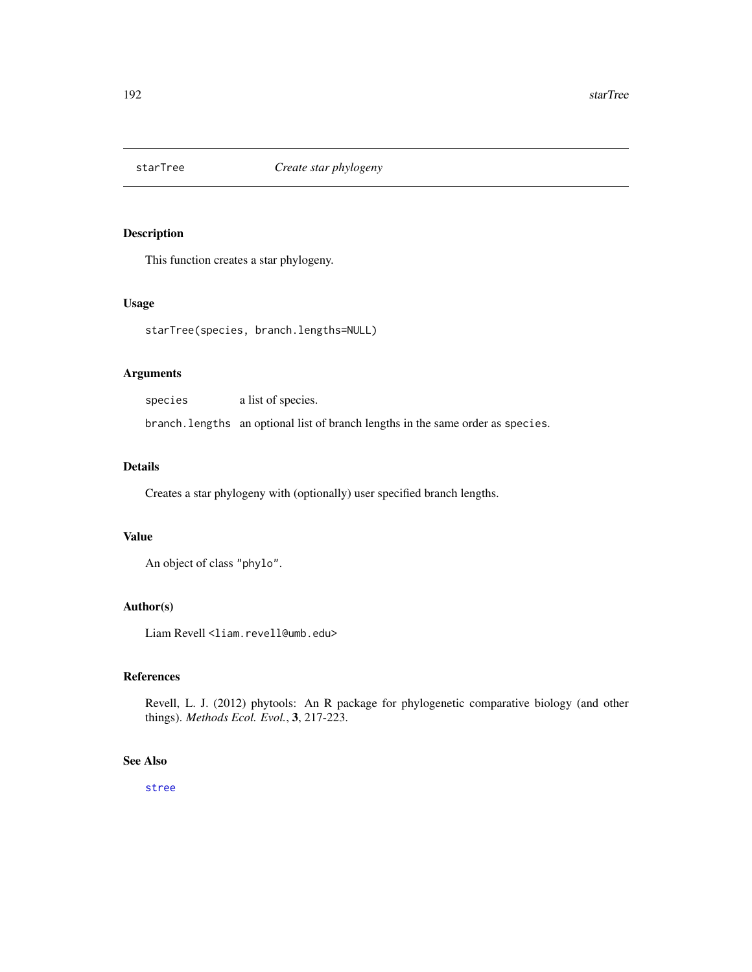<span id="page-191-0"></span>

This function creates a star phylogeny.

#### Usage

starTree(species, branch.lengths=NULL)

### Arguments

species a list of species. branch.lengths an optional list of branch lengths in the same order as species.

#### Details

Creates a star phylogeny with (optionally) user specified branch lengths.

#### Value

An object of class "phylo".

#### Author(s)

Liam Revell <liam.revell@umb.edu>

# References

Revell, L. J. (2012) phytools: An R package for phylogenetic comparative biology (and other things). *Methods Ecol. Evol.*, 3, 217-223.

#### See Also

[stree](#page-0-0)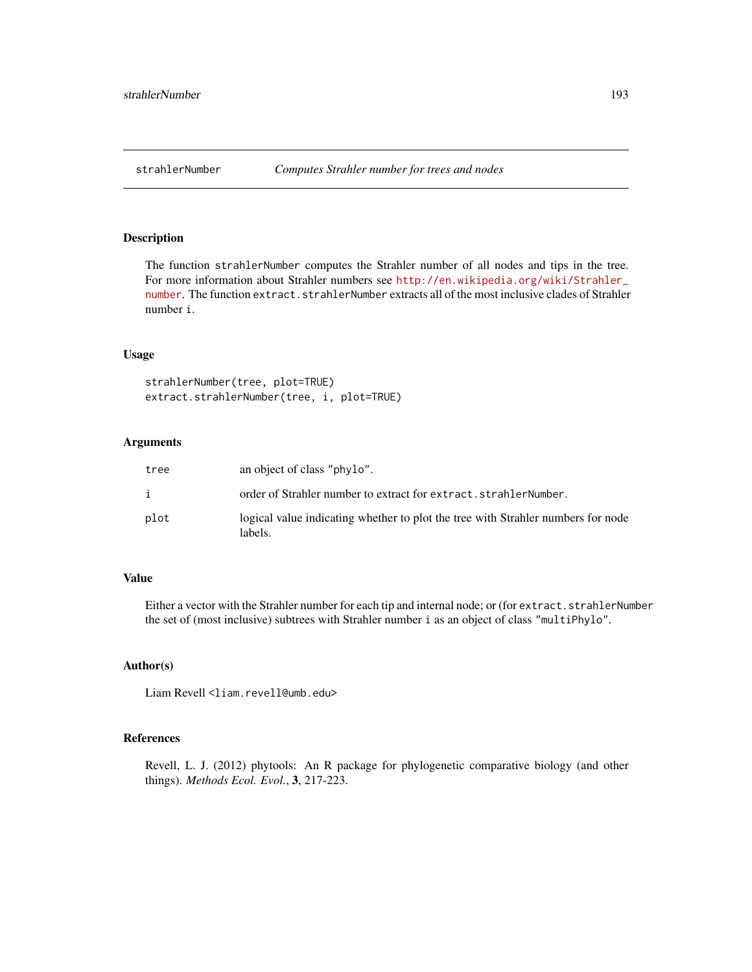<span id="page-192-0"></span>

The function strahlerNumber computes the Strahler number of all nodes and tips in the tree. For more information about Strahler numbers see [http://en.wikipedia.org/wiki/Strahler\\_](http://en.wikipedia.org/wiki/Strahler_number) [number](http://en.wikipedia.org/wiki/Strahler_number). The function extract.strahlerNumber extracts all of the most inclusive clades of Strahler number i.

#### Usage

```
strahlerNumber(tree, plot=TRUE)
extract.strahlerNumber(tree, i, plot=TRUE)
```
#### Arguments

| tree | an object of class "phylo".                                                                 |
|------|---------------------------------------------------------------------------------------------|
| i    | order of Strahler number to extract for extract.strahlerNumber.                             |
| plot | logical value indicating whether to plot the tree with Strahler numbers for node<br>labels. |

# Value

Either a vector with the Strahler number for each tip and internal node; or (for extract.strahlerNumber the set of (most inclusive) subtrees with Strahler number i as an object of class "multiPhylo".

#### Author(s)

Liam Revell <liam.revell@umb.edu>

#### References

Revell, L. J. (2012) phytools: An R package for phylogenetic comparative biology (and other things). *Methods Ecol. Evol.*, 3, 217-223.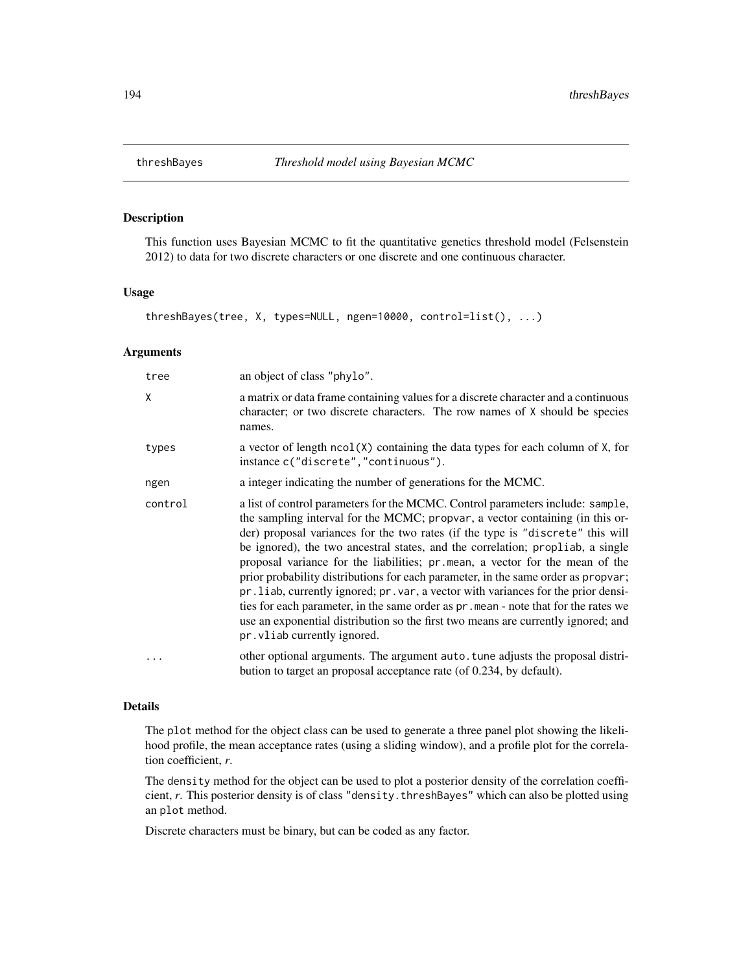<span id="page-193-0"></span>This function uses Bayesian MCMC to fit the quantitative genetics threshold model (Felsenstein 2012) to data for two discrete characters or one discrete and one continuous character.

# Usage

```
threshBayes(tree, X, types=NULL, ngen=10000, control=list(), ...)
```
#### Arguments

| tree    | an object of class "phylo".                                                                                                                                                                                                                                                                                                                                                                                                                                                                                                                                                                                                                                                                                                                                                                                 |
|---------|-------------------------------------------------------------------------------------------------------------------------------------------------------------------------------------------------------------------------------------------------------------------------------------------------------------------------------------------------------------------------------------------------------------------------------------------------------------------------------------------------------------------------------------------------------------------------------------------------------------------------------------------------------------------------------------------------------------------------------------------------------------------------------------------------------------|
| X       | a matrix or data frame containing values for a discrete character and a continuous<br>character; or two discrete characters. The row names of X should be species<br>names.                                                                                                                                                                                                                                                                                                                                                                                                                                                                                                                                                                                                                                 |
| types   | a vector of length $ncol(X)$ containing the data types for each column of $X$ , for<br>instance c("discrete", "continuous").                                                                                                                                                                                                                                                                                                                                                                                                                                                                                                                                                                                                                                                                                |
| ngen    | a integer indicating the number of generations for the MCMC.                                                                                                                                                                                                                                                                                                                                                                                                                                                                                                                                                                                                                                                                                                                                                |
| control | a list of control parameters for the MCMC. Control parameters include: sample,<br>the sampling interval for the MCMC; propvar, a vector containing (in this or-<br>der) proposal variances for the two rates (if the type is "discrete" this will<br>be ignored), the two ancestral states, and the correlation; propliab, a single<br>proposal variance for the liabilities; pr. mean, a vector for the mean of the<br>prior probability distributions for each parameter, in the same order as propvar;<br>pr. liab, currently ignored; pr. var, a vector with variances for the prior densi-<br>ties for each parameter, in the same order as pr. mean - note that for the rates we<br>use an exponential distribution so the first two means are currently ignored; and<br>pr. vliab currently ignored. |
|         | other optional arguments. The argument auto tune adjusts the proposal distri-<br>bution to target an proposal acceptance rate (of 0.234, by default).                                                                                                                                                                                                                                                                                                                                                                                                                                                                                                                                                                                                                                                       |

#### Details

The plot method for the object class can be used to generate a three panel plot showing the likelihood profile, the mean acceptance rates (using a sliding window), and a profile plot for the correlation coefficient, *r*.

The density method for the object can be used to plot a posterior density of the correlation coefficient, *r*. This posterior density is of class "density.threshBayes" which can also be plotted using an plot method.

Discrete characters must be binary, but can be coded as any factor.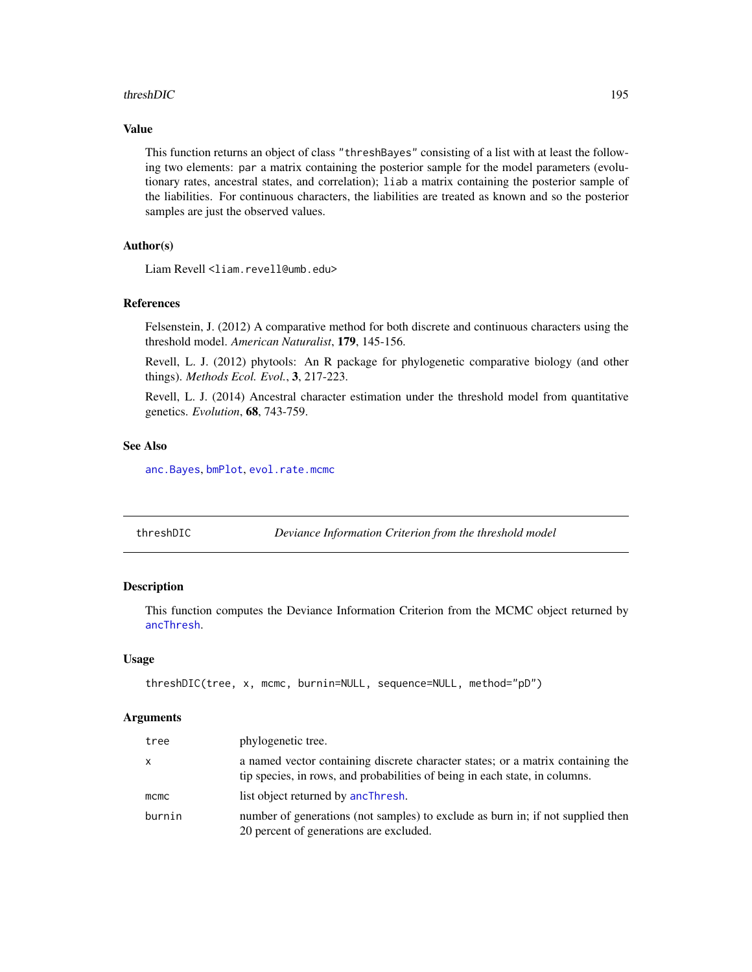#### <span id="page-194-1"></span>threshDIC 195

#### Value

This function returns an object of class "threshBayes" consisting of a list with at least the following two elements: par a matrix containing the posterior sample for the model parameters (evolutionary rates, ancestral states, and correlation); liab a matrix containing the posterior sample of the liabilities. For continuous characters, the liabilities are treated as known and so the posterior samples are just the observed values.

#### Author(s)

Liam Revell <liam.revell@umb.edu>

#### References

Felsenstein, J. (2012) A comparative method for both discrete and continuous characters using the threshold model. *American Naturalist*, 179, 145-156.

Revell, L. J. (2012) phytools: An R package for phylogenetic comparative biology (and other things). *Methods Ecol. Evol.*, 3, 217-223.

Revell, L. J. (2014) Ancestral character estimation under the threshold model from quantitative genetics. *Evolution*, 68, 743-759.

# See Also

[anc.Bayes](#page-13-0), [bmPlot](#page-28-0), [evol.rate.mcmc](#page-60-0)

<span id="page-194-0"></span>

| threshDIC | Deviance Information Criterion from the threshold model |  |
|-----------|---------------------------------------------------------|--|
|           |                                                         |  |

# Description

This function computes the Deviance Information Criterion from the MCMC object returned by [ancThresh](#page-18-0).

#### Usage

```
threshDIC(tree, x, mcmc, burnin=NULL, sequence=NULL, method="pD")
```
#### Arguments

| tree         | phylogenetic tree.                                                                                                                                             |
|--------------|----------------------------------------------------------------------------------------------------------------------------------------------------------------|
| $\mathsf{X}$ | a named vector containing discrete character states; or a matrix containing the<br>tip species, in rows, and probabilities of being in each state, in columns. |
| mcmc         | list object returned by ancThresh.                                                                                                                             |
| burnin       | number of generations (not samples) to exclude as burn in; if not supplied then<br>20 percent of generations are excluded.                                     |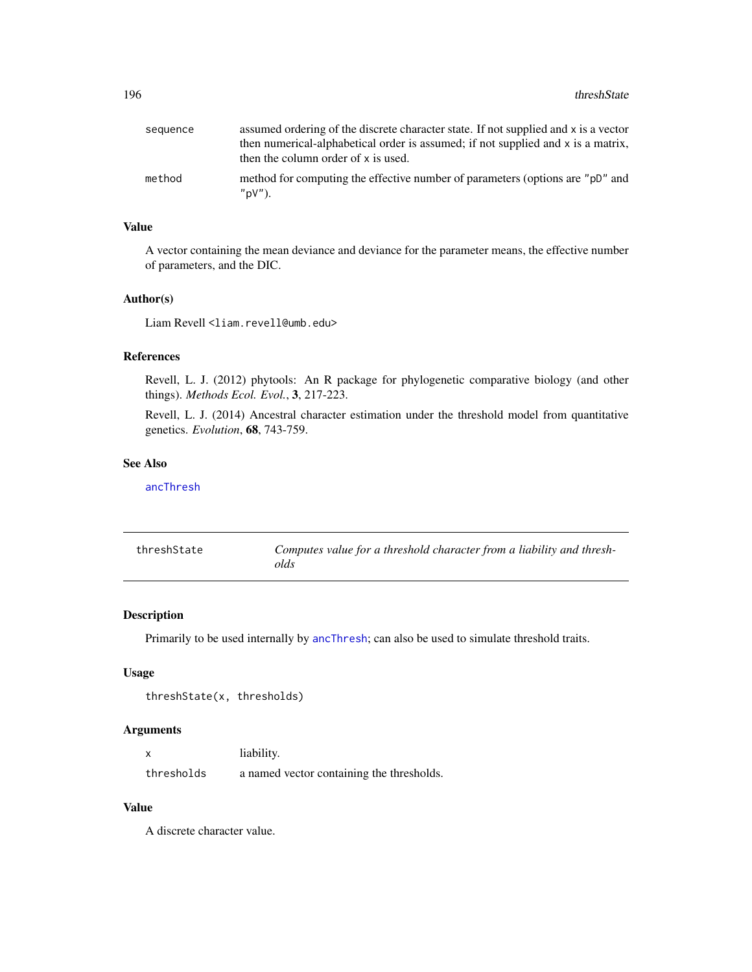<span id="page-195-0"></span>

| sequence | assumed ordering of the discrete character state. If not supplied and x is a vector        |
|----------|--------------------------------------------------------------------------------------------|
|          | then numerical-alphabetical order is assumed; if not supplied and x is a matrix,           |
|          | then the column order of x is used.                                                        |
| method   | method for computing the effective number of parameters (options are "pD" and<br>$"pV"$ ). |

#### Value

A vector containing the mean deviance and deviance for the parameter means, the effective number of parameters, and the DIC.

#### Author(s)

Liam Revell <liam.revell@umb.edu>

# References

Revell, L. J. (2012) phytools: An R package for phylogenetic comparative biology (and other things). *Methods Ecol. Evol.*, 3, 217-223.

Revell, L. J. (2014) Ancestral character estimation under the threshold model from quantitative genetics. *Evolution*, 68, 743-759.

#### See Also

[ancThresh](#page-18-0)

| threshState | Computes value for a threshold character from a liability and thresh- |
|-------------|-----------------------------------------------------------------------|
|             | olds                                                                  |

#### Description

Primarily to be used internally by [ancThresh](#page-18-0); can also be used to simulate threshold traits.

#### Usage

```
threshState(x, thresholds)
```
# Arguments

| $\boldsymbol{\mathsf{x}}$ | liability.                                |
|---------------------------|-------------------------------------------|
| thresholds                | a named vector containing the thresholds. |

# Value

A discrete character value.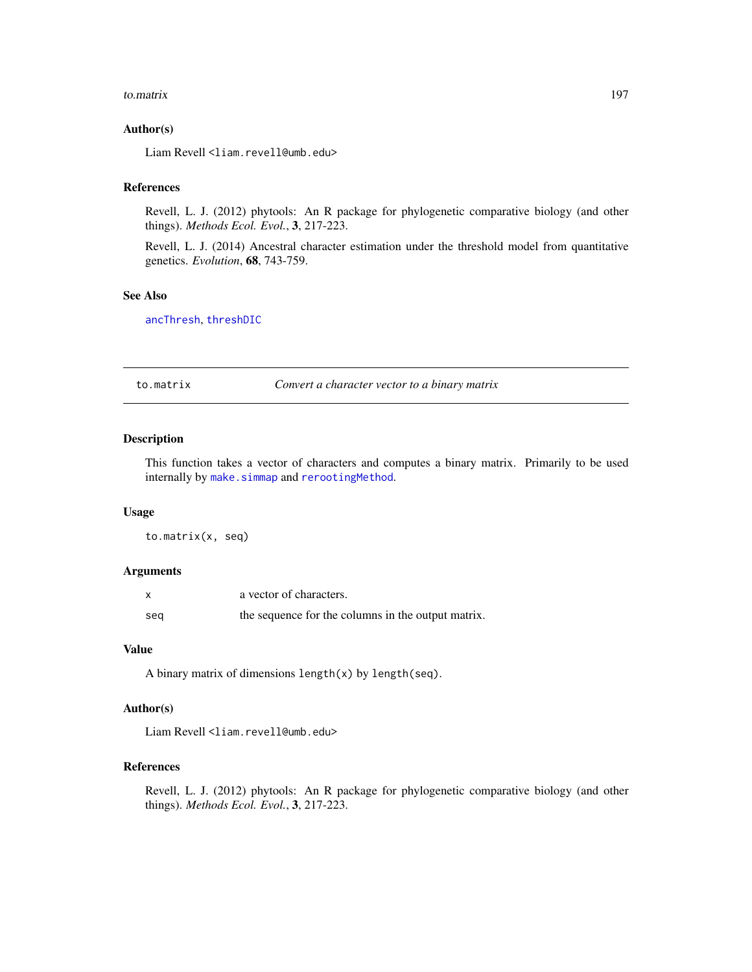#### <span id="page-196-0"></span>to.matrix 197

#### Author(s)

Liam Revell <liam.revell@umb.edu>

#### References

Revell, L. J. (2012) phytools: An R package for phylogenetic comparative biology (and other things). *Methods Ecol. Evol.*, 3, 217-223.

Revell, L. J. (2014) Ancestral character estimation under the threshold model from quantitative genetics. *Evolution*, 68, 743-759.

# See Also

[ancThresh](#page-18-0), [threshDIC](#page-194-0)

to.matrix *Convert a character vector to a binary matrix*

# Description

This function takes a vector of characters and computes a binary matrix. Primarily to be used internally by [make.simmap](#page-101-0) and [rerootingMethod](#page-173-0).

#### Usage

to.matrix(x, seq)

#### Arguments

| X   | a vector of characters.                            |
|-----|----------------------------------------------------|
| seg | the sequence for the columns in the output matrix. |

#### Value

A binary matrix of dimensions length(x) by length(seq).

# Author(s)

Liam Revell <liam.revell@umb.edu>

# References

Revell, L. J. (2012) phytools: An R package for phylogenetic comparative biology (and other things). *Methods Ecol. Evol.*, 3, 217-223.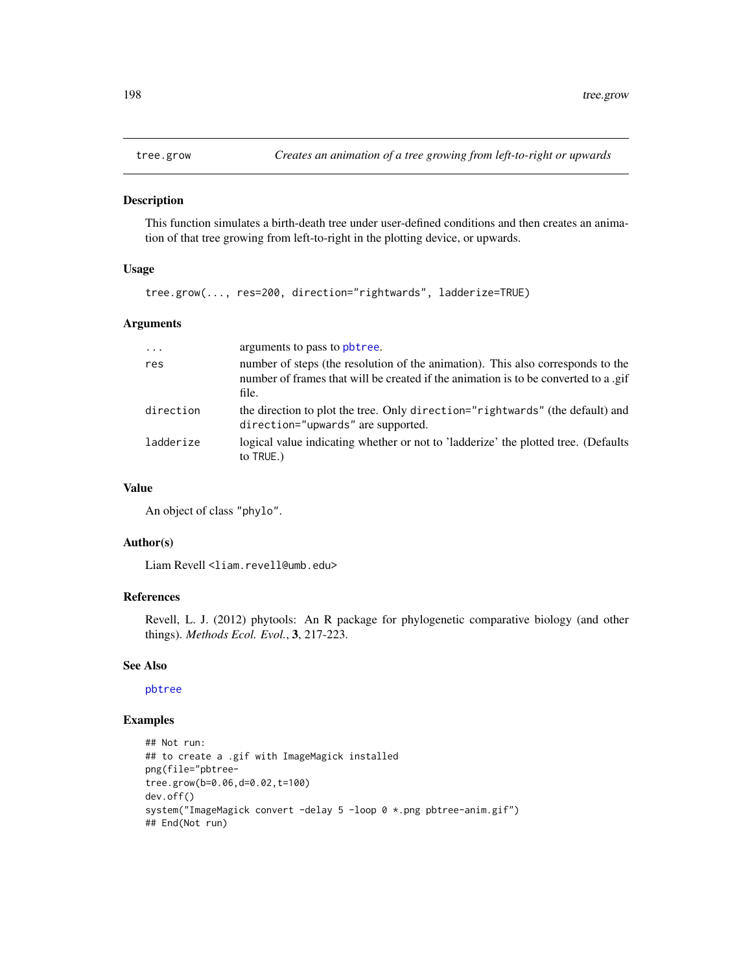<span id="page-197-0"></span>

This function simulates a birth-death tree under user-defined conditions and then creates an animation of that tree growing from left-to-right in the plotting device, or upwards.

# Usage

tree.grow(..., res=200, direction="rightwards", ladderize=TRUE)

# Arguments

| $\ddotsc$ | arguments to pass to pbtree.                                                                                                                                                    |
|-----------|---------------------------------------------------------------------------------------------------------------------------------------------------------------------------------|
| res       | number of steps (the resolution of the animation). This also corresponds to the<br>number of frames that will be created if the animation is to be converted to a .gif<br>file. |
| direction | the direction to plot the tree. Only direction="rightwards" (the default) and<br>direction="upwards" are supported.                                                             |
| ladderize | logical value indicating whether or not to 'ladderize' the plotted tree. (Defaults<br>to TRUE.)                                                                                 |

#### Value

An object of class "phylo".

# Author(s)

Liam Revell <liam.revell@umb.edu>

# References

Revell, L. J. (2012) phytools: An R package for phylogenetic comparative biology (and other things). *Methods Ecol. Evol.*, 3, 217-223.

#### See Also

[pbtree](#page-124-0)

# Examples

```
## Not run:
## to create a .gif with ImageMagick installed
png(file="pbtree-
tree.grow(b=0.06,d=0.02,t=100)
dev.off()
system("ImageMagick convert -delay 5 -loop 0 *.png pbtree-anim.gif")
## End(Not run)
```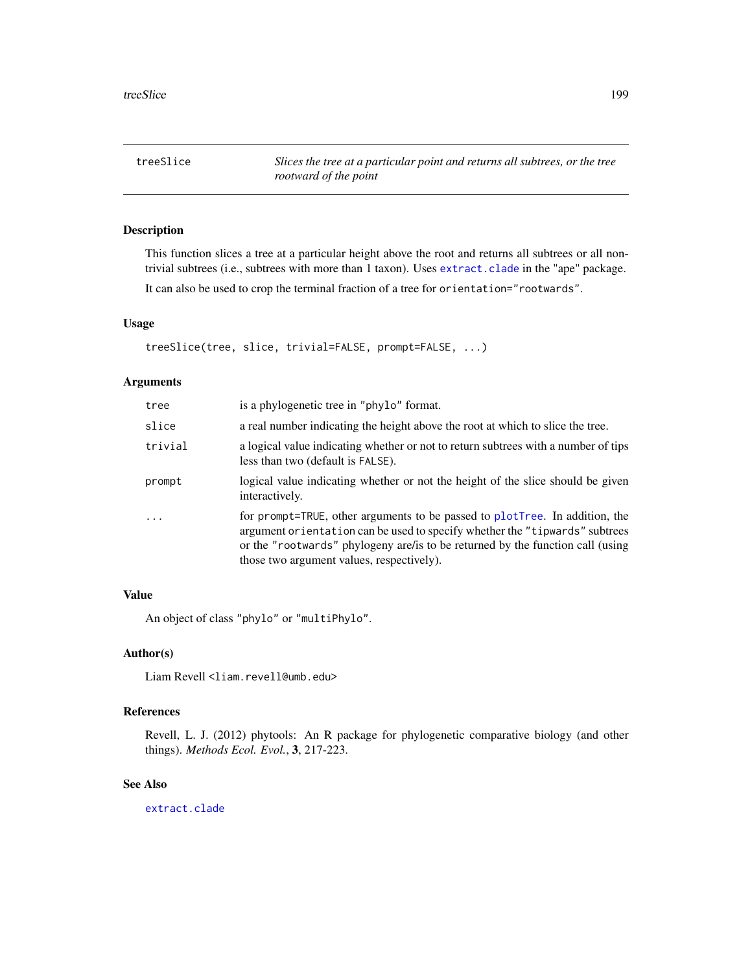<span id="page-198-0"></span>treeSlice *Slices the tree at a particular point and returns all subtrees, or the tree rootward of the point*

# Description

This function slices a tree at a particular height above the root and returns all subtrees or all nontrivial subtrees (i.e., subtrees with more than 1 taxon). Uses [extract.clade](#page-0-0) in the "ape" package.

It can also be used to crop the terminal fraction of a tree for orientation="rootwards".

# Usage

treeSlice(tree, slice, trivial=FALSE, prompt=FALSE, ...)

#### Arguments

| tree     | is a phylogenetic tree in "phylo" format.                                                                                                                                                                                                                                                  |
|----------|--------------------------------------------------------------------------------------------------------------------------------------------------------------------------------------------------------------------------------------------------------------------------------------------|
| slice    | a real number indicating the height above the root at which to slice the tree.                                                                                                                                                                                                             |
| trivial  | a logical value indicating whether or not to return subtrees with a number of tips<br>less than two (default is FALSE).                                                                                                                                                                    |
| prompt   | logical value indicating whether or not the height of the slice should be given<br>interactively.                                                                                                                                                                                          |
| $\ddots$ | for prompt=TRUE, other arguments to be passed to plotTree. In addition, the<br>argument orientation can be used to specify whether the "tipwards" subtrees<br>or the "rootwards" phylogeny are/ is to be returned by the function call (using<br>those two argument values, respectively). |

#### Value

An object of class "phylo" or "multiPhylo".

#### Author(s)

Liam Revell <liam.revell@umb.edu>

# References

Revell, L. J. (2012) phytools: An R package for phylogenetic comparative biology (and other things). *Methods Ecol. Evol.*, 3, 217-223.

### See Also

[extract.clade](#page-0-0)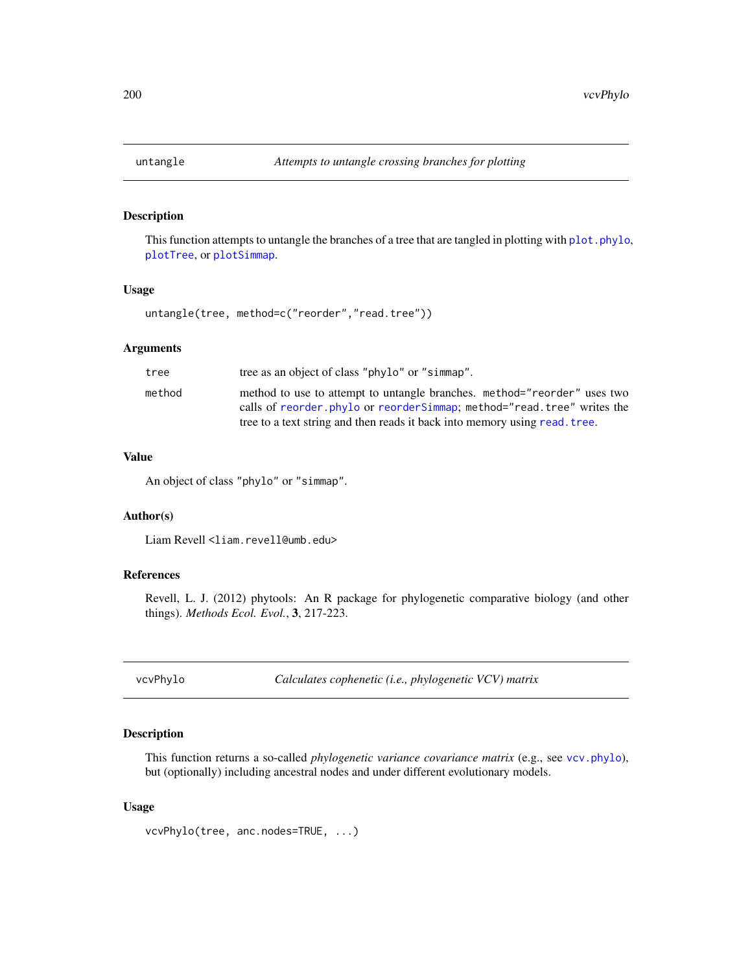<span id="page-199-0"></span>

This function attempts to untangle the branches of a tree that are tangled in plotting with plot. phylo, [plotTree](#page-155-0), or [plotSimmap](#page-151-0).

# Usage

untangle(tree, method=c("reorder","read.tree"))

# Arguments

| tree   | tree as an object of class "phylo" or "simmap".                            |
|--------|----------------------------------------------------------------------------|
| method | method to use to attempt to untangle branches. method="reorder" uses two   |
|        | calls of reorder phylo or reorder Simmap; method="read.tree" writes the    |
|        | tree to a text string and then reads it back into memory using read. tree. |

#### Value

An object of class "phylo" or "simmap".

# Author(s)

Liam Revell <liam.revell@umb.edu>

# References

Revell, L. J. (2012) phytools: An R package for phylogenetic comparative biology (and other things). *Methods Ecol. Evol.*, 3, 217-223.

vcvPhylo *Calculates cophenetic (i.e., phylogenetic VCV) matrix*

# Description

This function returns a so-called *phylogenetic variance covariance matrix* (e.g., see [vcv.phylo](#page-0-0)), but (optionally) including ancestral nodes and under different evolutionary models.

#### Usage

```
vcvPhylo(tree, anc.nodes=TRUE, ...)
```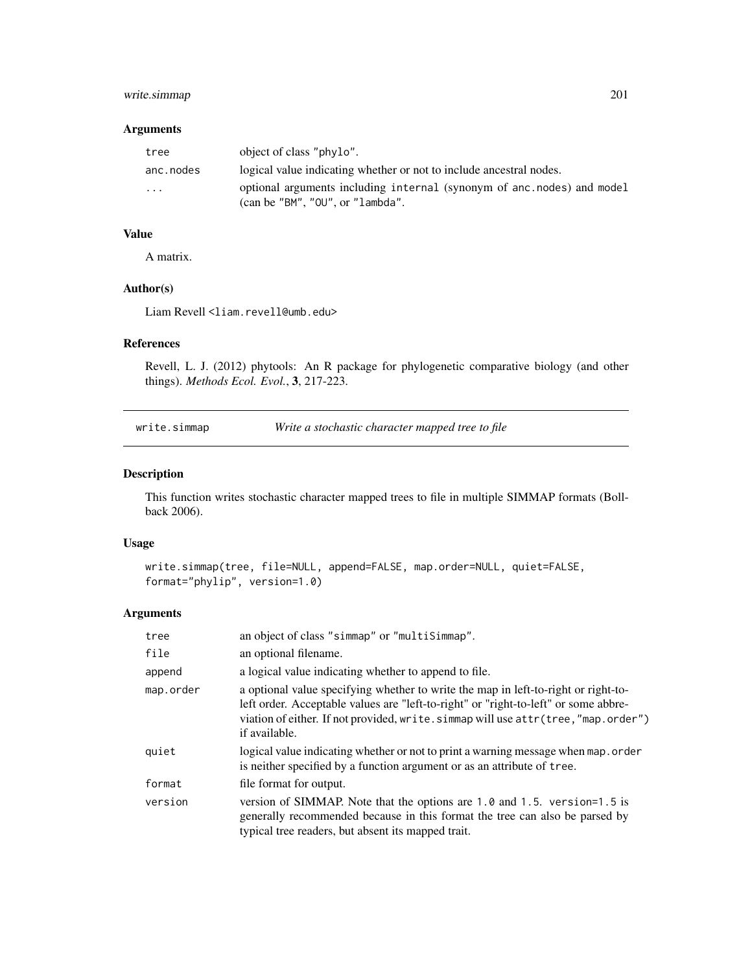# <span id="page-200-1"></span>write.simmap 201

#### Arguments

| tree      | object of class "phylo".                                                                                            |
|-----------|---------------------------------------------------------------------------------------------------------------------|
| anc.nodes | logical value indicating whether or not to include ancestral nodes.                                                 |
| $\cdots$  | optional arguments including internal (synonym of anc.nodes) and model<br>$\alpha$ (can be "BM", "OU", or "lambda". |

# Value

A matrix.

#### Author(s)

Liam Revell <liam.revell@umb.edu>

# References

Revell, L. J. (2012) phytools: An R package for phylogenetic comparative biology (and other things). *Methods Ecol. Evol.*, 3, 217-223.

<span id="page-200-0"></span>write.simmap *Write a stochastic character mapped tree to file*

#### Description

This function writes stochastic character mapped trees to file in multiple SIMMAP formats (Bollback 2006).

#### Usage

```
write.simmap(tree, file=NULL, append=FALSE, map.order=NULL, quiet=FALSE,
format="phylip", version=1.0)
```
# Arguments

| tree      | an object of class "simmap" or "multiSimmap".                                                                                                                                                                                                                                   |  |
|-----------|---------------------------------------------------------------------------------------------------------------------------------------------------------------------------------------------------------------------------------------------------------------------------------|--|
| file      | an optional filename.                                                                                                                                                                                                                                                           |  |
| append    | a logical value indicating whether to append to file.                                                                                                                                                                                                                           |  |
| map.order | a optional value specifying whether to write the map in left-to-right or right-to-<br>left order. Acceptable values are "left-to-right" or "right-to-left" or some abbre-<br>viation of either. If not provided, write.simmap will use attr(tree, "map.order")<br>if available. |  |
| quiet     | logical value indicating whether or not to print a warning message when map.order<br>is neither specified by a function argument or as an attribute of tree.                                                                                                                    |  |
| format    | file format for output.                                                                                                                                                                                                                                                         |  |
| version   | version of SIMMAP. Note that the options are 1.0 and 1.5. version=1.5 is<br>generally recommended because in this format the tree can also be parsed by<br>typical tree readers, but absent its mapped trait.                                                                   |  |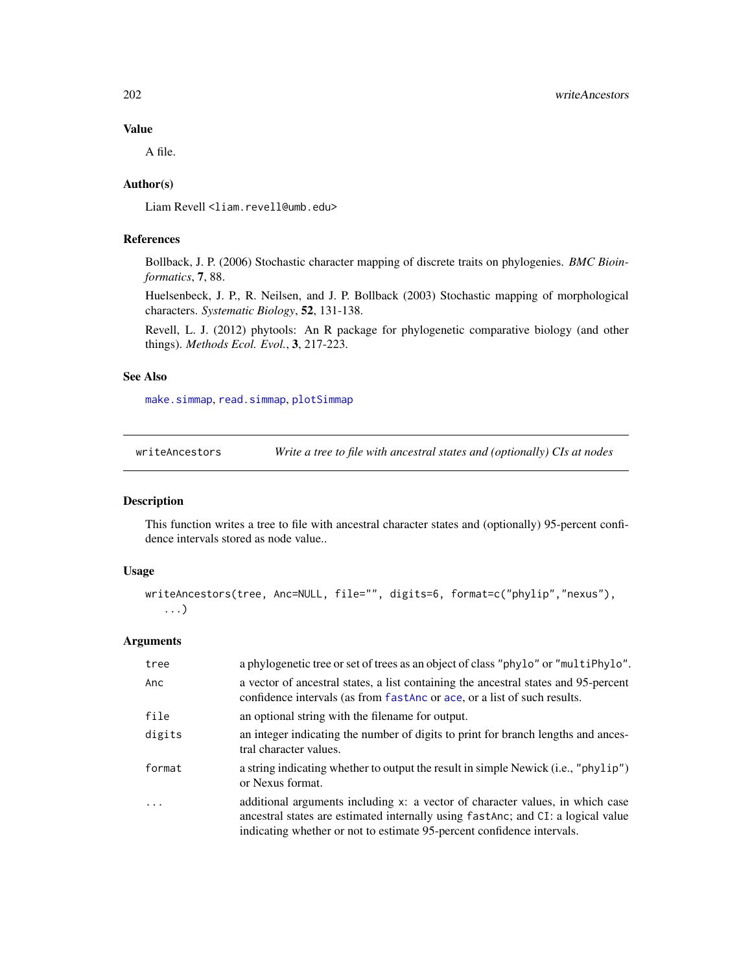# Value

A file.

### Author(s)

Liam Revell <liam.revell@umb.edu>

# References

Bollback, J. P. (2006) Stochastic character mapping of discrete traits on phylogenies. *BMC Bioinformatics*, 7, 88.

Huelsenbeck, J. P., R. Neilsen, and J. P. Bollback (2003) Stochastic mapping of morphological characters. *Systematic Biology*, 52, 131-138.

Revell, L. J. (2012) phytools: An R package for phylogenetic comparative biology (and other things). *Methods Ecol. Evol.*, 3, 217-223.

# See Also

[make.simmap](#page-101-0), [read.simmap](#page-168-0), [plotSimmap](#page-151-0)

writeAncestors *Write a tree to file with ancestral states and (optionally) CIs at nodes*

#### Description

This function writes a tree to file with ancestral character states and (optionally) 95-percent confidence intervals stored as node value..

#### Usage

```
writeAncestors(tree, Anc=NULL, file="", digits=6, format=c("phylip","nexus"),
   ...)
```
# Arguments

| tree    | a phylogenetic tree or set of trees as an object of class "phylo" or "multiPhylo".                                                                                                                                                           |
|---------|----------------------------------------------------------------------------------------------------------------------------------------------------------------------------------------------------------------------------------------------|
| Anc     | a vector of ancestral states, a list containing the ancestral states and 95-percent<br>confidence intervals (as from fastAnc or ace, or a list of such results.                                                                              |
| file    | an optional string with the filename for output.                                                                                                                                                                                             |
| digits  | an integer indicating the number of digits to print for branch lengths and ances-<br>tral character values.                                                                                                                                  |
| format  | a string indicating whether to output the result in simple Newick (i.e., "phylip")<br>or Nexus format.                                                                                                                                       |
| $\cdot$ | additional arguments including x: a vector of character values, in which case<br>ancestral states are estimated internally using fast Anc; and CI: a logical value<br>indicating whether or not to estimate 95-percent confidence intervals. |

<span id="page-201-0"></span>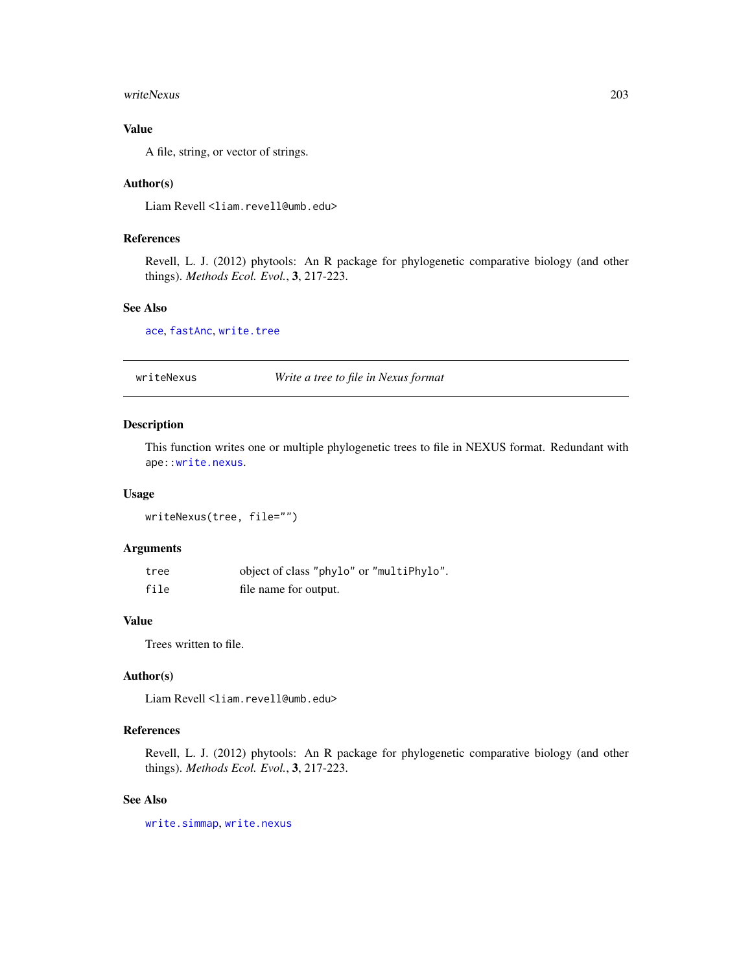#### <span id="page-202-0"></span>writeNexus 203

# Value

A file, string, or vector of strings.

#### Author(s)

Liam Revell <liam.revell@umb.edu>

# References

Revell, L. J. (2012) phytools: An R package for phylogenetic comparative biology (and other things). *Methods Ecol. Evol.*, 3, 217-223.

#### See Also

[ace](#page-0-0), [fastAnc](#page-69-0), [write.tree](#page-0-0)

writeNexus *Write a tree to file in Nexus format*

# Description

This function writes one or multiple phylogenetic trees to file in NEXUS format. Redundant with ape:[:write.nexus](#page-0-0).

#### Usage

writeNexus(tree, file="")

#### Arguments

| tree | object of class "phylo" or "multiPhylo". |
|------|------------------------------------------|
| file | file name for output.                    |

# Value

Trees written to file.

### Author(s)

Liam Revell <liam.revell@umb.edu>

# References

Revell, L. J. (2012) phytools: An R package for phylogenetic comparative biology (and other things). *Methods Ecol. Evol.*, 3, 217-223.

#### See Also

[write.simmap](#page-200-0), [write.nexus](#page-0-0)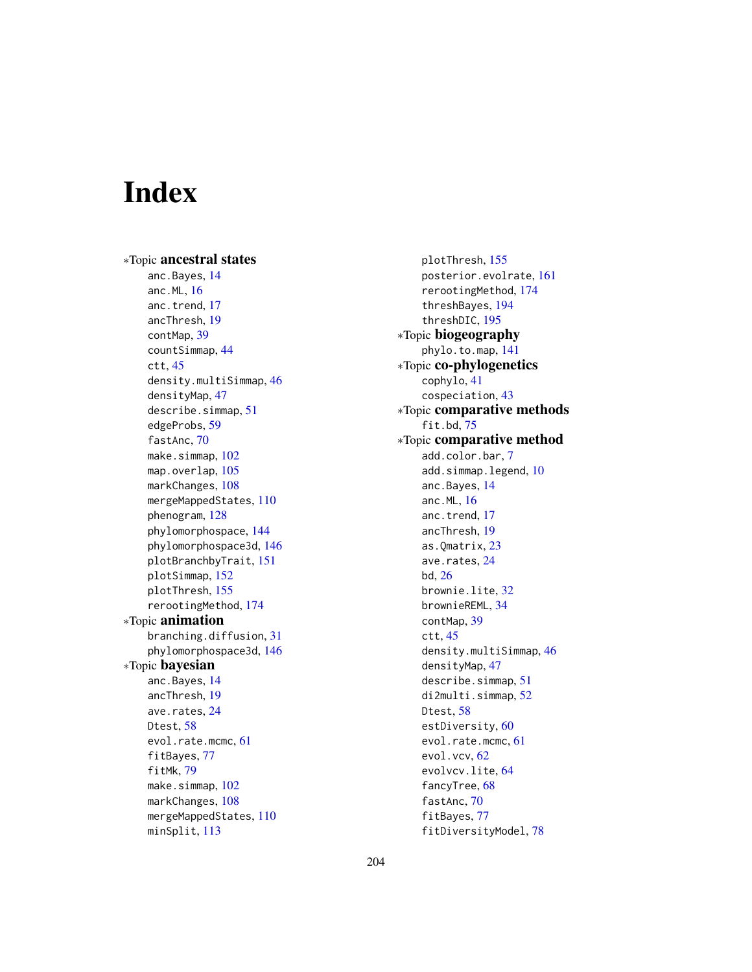# **Index**

∗Topic ancestral states anc.Bayes, [14](#page-13-1) anc.ML, [16](#page-15-0) anc.trend, [17](#page-16-0) ancThresh, [19](#page-18-1) contMap, [39](#page-38-1) countSimmap, [44](#page-43-0) ctt, [45](#page-44-0) density.multiSimmap, [46](#page-45-0) densityMap, [47](#page-46-1) describe.simmap, [51](#page-50-0) edgeProbs, [59](#page-58-0) fastAnc, [70](#page-69-1) make.simmap, [102](#page-101-1) map.overlap, [105](#page-104-0) markChanges, [108](#page-107-0) mergeMappedStates, [110](#page-109-0) phenogram, [128](#page-127-0) phylomorphospace, [144](#page-143-0) phylomorphospace3d, [146](#page-145-0) plotBranchbyTrait, [151](#page-150-0) plotSimmap, [152](#page-151-1) plotThresh, [155](#page-154-0) rerootingMethod, [174](#page-173-1) ∗Topic animation branching.diffusion, [31](#page-30-0) phylomorphospace3d, [146](#page-145-0) ∗Topic bayesian anc.Bayes, [14](#page-13-1) ancThresh, [19](#page-18-1) ave.rates, [24](#page-23-0) Dtest, [58](#page-57-0) evol.rate.mcmc, [61](#page-60-1) fitBayes, [77](#page-76-0) fitMk, [79](#page-78-2) make.simmap, [102](#page-101-1) markChanges, [108](#page-107-0) mergeMappedStates, [110](#page-109-0) minSplit, [113](#page-112-0)

plotThresh, [155](#page-154-0) posterior.evolrate, [161](#page-160-1) rerootingMethod, [174](#page-173-1) threshBayes, [194](#page-193-0) threshDIC, [195](#page-194-1) ∗Topic biogeography phylo.to.map, [141](#page-140-0) ∗Topic co-phylogenetics cophylo, [41](#page-40-0) cospeciation, [43](#page-42-0) ∗Topic comparative methods fit.bd, [75](#page-74-0) ∗Topic comparative method add.color.bar, [7](#page-6-0) add.simmap.legend, [10](#page-9-0) anc.Bayes, [14](#page-13-1) anc.ML, [16](#page-15-0) anc.trend, [17](#page-16-0) ancThresh, [19](#page-18-1) as.Qmatrix, [23](#page-22-0) ave.rates, [24](#page-23-0) bd, [26](#page-25-0) brownie.lite, [32](#page-31-0) brownieREML, [34](#page-33-0) contMap, [39](#page-38-1) ctt, [45](#page-44-0) density.multiSimmap, [46](#page-45-0) densityMap, [47](#page-46-1) describe.simmap, [51](#page-50-0) di2multi.simmap, [52](#page-51-0) Dtest, [58](#page-57-0) estDiversity, [60](#page-59-0) evol.rate.mcmc, [61](#page-60-1) evol.vcv, [62](#page-61-0) evolvcv.lite, [64](#page-63-0) fancyTree, [68](#page-67-0) fastAnc, [70](#page-69-1) fitBayes, [77](#page-76-0) fitDiversityModel, [78](#page-77-0)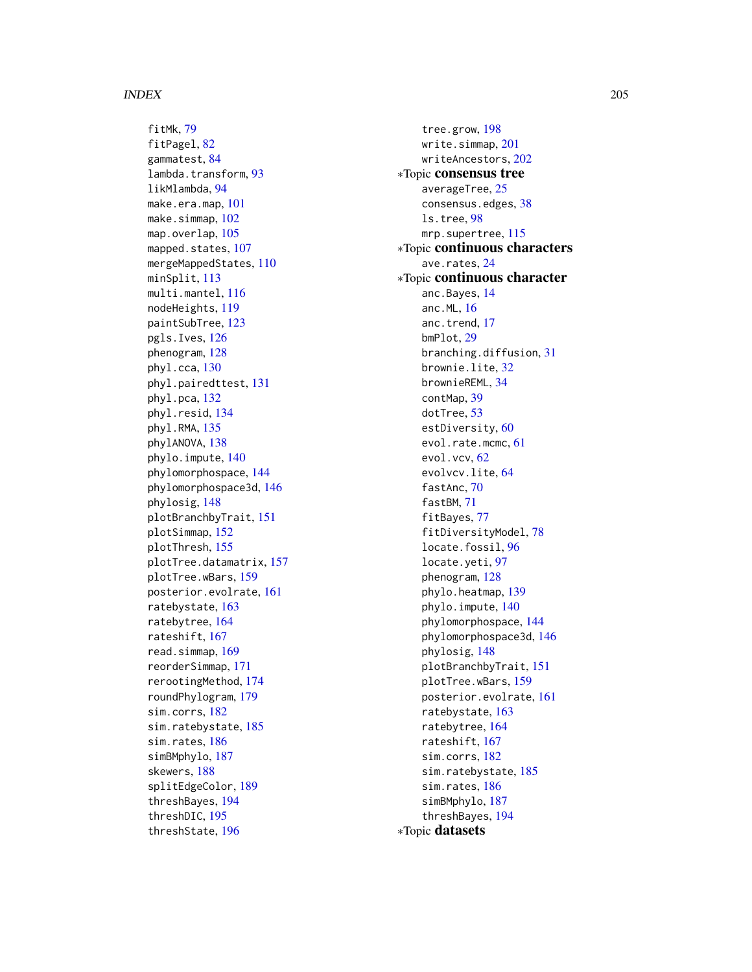fitMk, [79](#page-78-2) fitPagel, [82](#page-81-0) gammatest, [84](#page-83-0) lambda.transform, [93](#page-92-0) likMlambda, [94](#page-93-0) make.era.map, [101](#page-100-0) make.simmap, [102](#page-101-1) map.overlap, [105](#page-104-0) mapped.states, [107](#page-106-0) mergeMappedStates, [110](#page-109-0) minSplit, [113](#page-112-0) multi.mantel, [116](#page-115-0) nodeHeights, [119](#page-118-0) paintSubTree, [123](#page-122-2) pgls.Ives, [126](#page-125-0) phenogram, [128](#page-127-0) phyl.cca, [130](#page-129-0) phyl.pairedttest, [131](#page-130-0) phyl.pca, [132](#page-131-0) phyl.resid, [134](#page-133-0) phyl.RMA, [135](#page-134-0) phylANOVA, [138](#page-137-0) phylo.impute, [140](#page-139-0) phylomorphospace, [144](#page-143-0) phylomorphospace3d, [146](#page-145-0) phylosig, [148](#page-147-0) plotBranchbyTrait, [151](#page-150-0) plotSimmap, [152](#page-151-1) plotThresh, [155](#page-154-0) plotTree.datamatrix, [157](#page-156-0) plotTree.wBars, [159](#page-158-0) posterior.evolrate, [161](#page-160-1) ratebystate, [163](#page-162-1) ratebytree, [164](#page-163-0) rateshift, [167](#page-166-0) read.simmap, [169](#page-168-1) reorderSimmap, [171](#page-170-1) rerootingMethod, [174](#page-173-1) roundPhylogram, [179](#page-178-0) sim.corrs, [182](#page-181-0) sim.ratebystate, [185](#page-184-0) sim.rates, [186](#page-185-1) simBMphylo, [187](#page-186-0) skewers, [188](#page-187-0) splitEdgeColor, [189](#page-188-0) threshBayes, [194](#page-193-0) threshDIC, [195](#page-194-1) threshState, [196](#page-195-0)

tree.grow, [198](#page-197-0) write.simmap, [201](#page-200-1) writeAncestors, [202](#page-201-0) ∗Topic consensus tree averageTree, [25](#page-24-0) consensus.edges, [38](#page-37-0) ls.tree, [98](#page-97-0) mrp.supertree, [115](#page-114-0) ∗Topic continuous characters ave.rates, [24](#page-23-0) ∗Topic continuous character anc.Bayes, [14](#page-13-1) anc.ML, [16](#page-15-0) anc.trend, [17](#page-16-0) bmPlot, [29](#page-28-1) branching.diffusion, [31](#page-30-0) brownie.lite, [32](#page-31-0) brownieREML, [34](#page-33-0) contMap, [39](#page-38-1) dotTree, [53](#page-52-0) estDiversity, [60](#page-59-0) evol.rate.mcmc, [61](#page-60-1) evol.vcv, [62](#page-61-0) evolvcv.lite, [64](#page-63-0) fastAnc, [70](#page-69-1) fastBM, [71](#page-70-1) fitBayes, [77](#page-76-0) fitDiversityModel, [78](#page-77-0) locate.fossil, [96](#page-95-0) locate.yeti, [97](#page-96-0) phenogram, [128](#page-127-0) phylo.heatmap, [139](#page-138-0) phylo.impute, [140](#page-139-0) phylomorphospace, [144](#page-143-0) phylomorphospace3d, [146](#page-145-0) phylosig, [148](#page-147-0) plotBranchbyTrait, [151](#page-150-0) plotTree.wBars, [159](#page-158-0) posterior.evolrate, [161](#page-160-1) ratebystate, [163](#page-162-1) ratebytree, [164](#page-163-0) rateshift, [167](#page-166-0) sim.corrs, [182](#page-181-0) sim.ratebystate, [185](#page-184-0) sim.rates, [186](#page-185-1) simBMphylo, [187](#page-186-0) threshBayes, [194](#page-193-0) ∗Topic datasets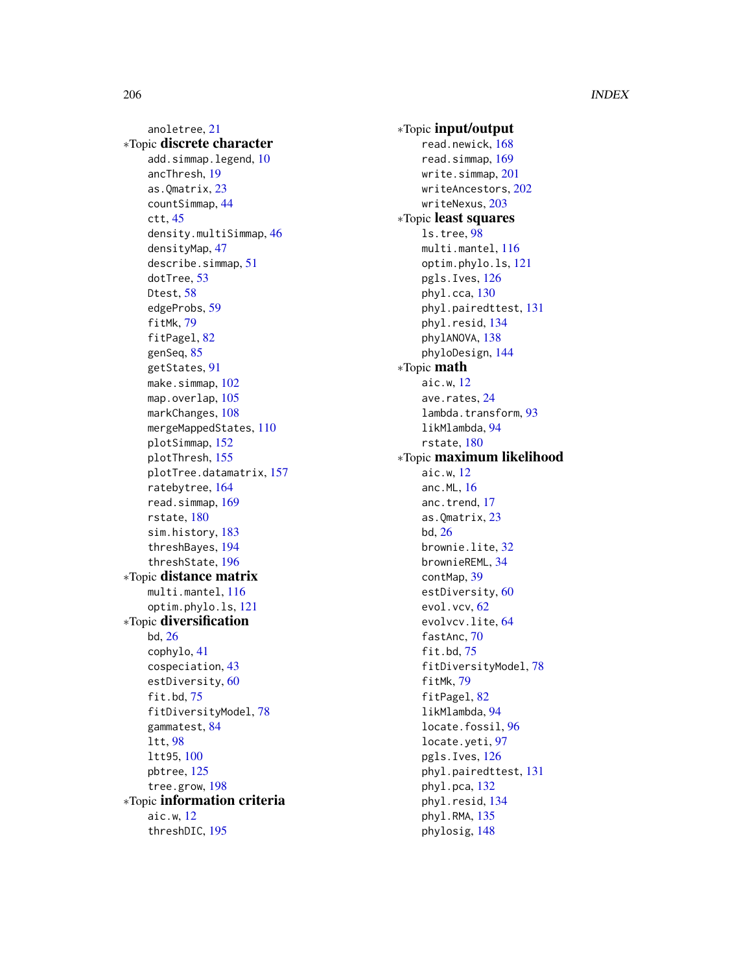anoletree, [21](#page-20-0) ∗Topic discrete character add.simmap.legend, [10](#page-9-0) ancThresh, [19](#page-18-1) as.Qmatrix, [23](#page-22-0) countSimmap, [44](#page-43-0) ctt, [45](#page-44-0) density.multiSimmap, [46](#page-45-0) densityMap, [47](#page-46-1) describe.simmap, [51](#page-50-0) dotTree, [53](#page-52-0) Dtest, [58](#page-57-0) edgeProbs, [59](#page-58-0) fitMk, [79](#page-78-2) fitPagel, [82](#page-81-0) genSeq, [85](#page-84-0) getStates, [91](#page-90-0) make.simmap, [102](#page-101-1) map.overlap, [105](#page-104-0) markChanges, [108](#page-107-0) mergeMappedStates, [110](#page-109-0) plotSimmap, [152](#page-151-1) plotThresh, [155](#page-154-0) plotTree.datamatrix, [157](#page-156-0) ratebytree, [164](#page-163-0) read.simmap, [169](#page-168-1) rstate, [180](#page-179-0) sim.history, [183](#page-182-1) threshBayes, [194](#page-193-0) threshState, [196](#page-195-0) ∗Topic distance matrix multi.mantel, [116](#page-115-0) optim.phylo.ls, [121](#page-120-0) ∗Topic diversification bd, [26](#page-25-0) cophylo, [41](#page-40-0) cospeciation, [43](#page-42-0) estDiversity, [60](#page-59-0) fit.bd, [75](#page-74-0) fitDiversityModel, [78](#page-77-0) gammatest, [84](#page-83-0) ltt, [98](#page-97-0) ltt95, [100](#page-99-0) pbtree, [125](#page-124-1) tree.grow, [198](#page-197-0) ∗Topic information criteria aic.w, [12](#page-11-0) threshDIC, [195](#page-194-1)

∗Topic input/output read.newick, [168](#page-167-0) read.simmap, [169](#page-168-1) write.simmap, [201](#page-200-1) writeAncestors, [202](#page-201-0) writeNexus, [203](#page-202-0) ∗Topic least squares ls.tree, [98](#page-97-0) multi.mantel, [116](#page-115-0) optim.phylo.ls, [121](#page-120-0) pgls.Ives, [126](#page-125-0) phyl.cca, [130](#page-129-0) phyl.pairedttest, [131](#page-130-0) phyl.resid, [134](#page-133-0) phylANOVA, [138](#page-137-0) phyloDesign, [144](#page-143-0) ∗Topic math aic.w, [12](#page-11-0) ave.rates, [24](#page-23-0) lambda.transform, [93](#page-92-0) likMlambda, [94](#page-93-0) rstate, [180](#page-179-0) ∗Topic maximum likelihood aic.w, [12](#page-11-0) anc.ML, [16](#page-15-0) anc.trend, [17](#page-16-0) as.Qmatrix, [23](#page-22-0) bd, [26](#page-25-0) brownie.lite, [32](#page-31-0) brownieREML, [34](#page-33-0) contMap, [39](#page-38-1) estDiversity, [60](#page-59-0) evol.vcv, [62](#page-61-0) evolvcv.lite, [64](#page-63-0) fastAnc, [70](#page-69-1) fit.bd, [75](#page-74-0) fitDiversityModel, [78](#page-77-0) fitMk, [79](#page-78-2) fitPagel, [82](#page-81-0) likMlambda, [94](#page-93-0) locate.fossil, [96](#page-95-0) locate.yeti, [97](#page-96-0) pgls.Ives, [126](#page-125-0) phyl.pairedttest, [131](#page-130-0) phyl.pca, [132](#page-131-0) phyl.resid, [134](#page-133-0) phyl.RMA, [135](#page-134-0) phylosig, [148](#page-147-0)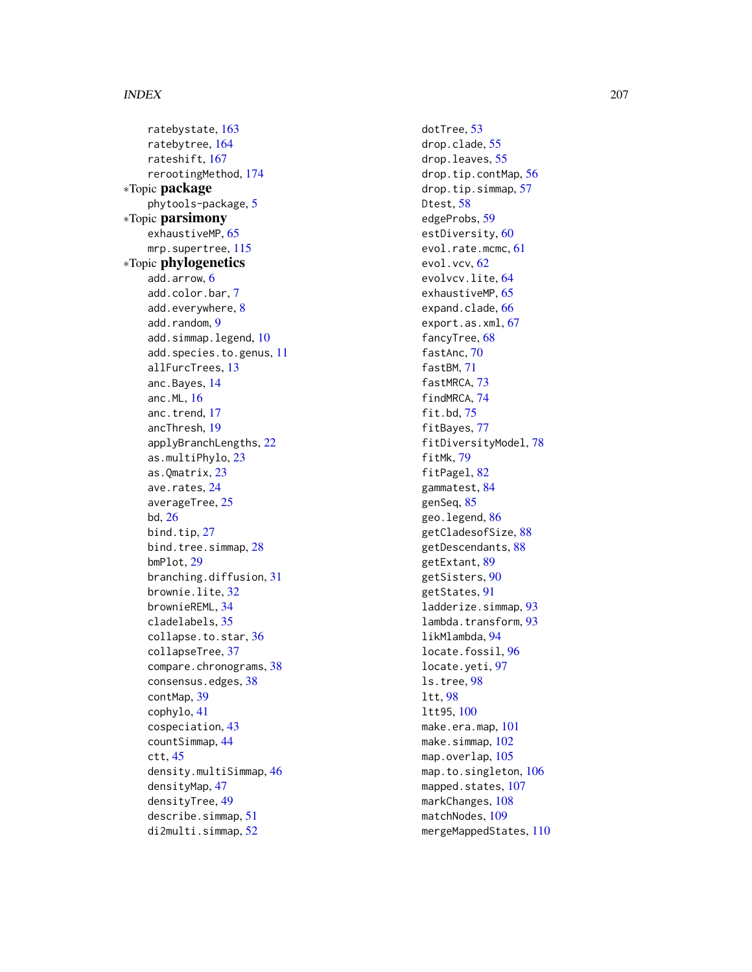ratebystate , [163](#page-162-1) ratebytree , [164](#page-163-0) rateshift , [167](#page-166-0) rerootingMethod , [174](#page-173-1) ∗Topic package phytools-package , [5](#page-4-0) ∗Topic parsimony exhaustiveMP, [65](#page-64-0) mrp.supertree, [115](#page-114-0) ∗Topic phylogenetics add.arrow , [6](#page-5-0) add.color.bar , [7](#page-6-0) add.everywhere , [8](#page-7-0) add.random, [9](#page-8-0) add.simmap.legend, [10](#page-9-0) add.species.to.genus , [11](#page-10-0) allFurcTrees , [13](#page-12-0) anc.Bayes , [14](#page-13-1) anc.ML , [16](#page-15-0) anc.trend , [17](#page-16-0) ancThresh , [19](#page-18-1) applyBranchLengths , [22](#page-21-0) as.multiPhylo , [23](#page-22-0) as.Qmatrix , [23](#page-22-0) ave.rates, [24](#page-23-0) averageTree, [25](#page-24-0) bd , [26](#page-25-0) bind.tip, [27](#page-26-0) bind.tree.simmap, [28](#page-27-0) bmPlot , [29](#page-28-1) branching.diffusion , [31](#page-30-0) brownie.lite, <mark>[32](#page-31-0)</mark> brownieREML , [34](#page-33-0) cladelabels , [35](#page-34-0) collapse.to.star , [36](#page-35-0) collapseTree , [37](#page-36-0) compare.chronograms, [38](#page-37-0) consensus.edges, [38](#page-37-0) contMap , [39](#page-38-1) cophylo , [41](#page-40-0) cospeciation , [43](#page-42-0) countSimmap , [44](#page-43-0) ctt , [45](#page-44-0) density.multiSimmap , [46](#page-45-0) densityMap , [47](#page-46-1) densityTree , [49](#page-48-0) describe.simmap , [51](#page-50-0) di2multi.simmap , [52](#page-51-0)

dotTree, [53](#page-52-0) drop.clade , [55](#page-54-0) drop.leaves, [55](#page-54-0) drop.tip.contMap , [56](#page-55-0) drop.tip.simmap , [57](#page-56-0) Dtest, <mark>[58](#page-57-0)</mark> edgeProbs , [59](#page-58-0) estDiversity, <mark>6</mark>0 evol.rate.mcmc , [61](#page-60-1) evol.vcv, <mark>[62](#page-61-0)</mark> evolvcv.lite, <mark>[64](#page-63-0)</mark> exhaustiveMP, [65](#page-64-0) expand.clade, [66](#page-65-0) export.as.xml, [67](#page-66-0) fancyTree, [68](#page-67-0) fastAnc, [70](#page-69-1) fastBM , [71](#page-70-1) fastMRCA, [73](#page-72-0) findMRCA , [74](#page-73-0) fit.bd , [75](#page-74-0) fitBayes , [77](#page-76-0) fitDiversityModel , [78](#page-77-0) fitMk , [79](#page-78-2) fitPagel, [82](#page-81-0) gammatest , [84](#page-83-0) genSeq, [85](#page-84-0) geo.legend, [86](#page-85-0) getCladesofSize , [88](#page-87-0) getDescendants , [88](#page-87-0) getExtant , [89](#page-88-0) getSisters , [90](#page-89-0) getStates , [91](#page-90-0) ladderize.simmap , [93](#page-92-0) lambda.transform , [93](#page-92-0) likMlambda , [94](#page-93-0) locate.fossil, [96](#page-95-0) locate.yeti, [97](#page-96-0) ls.tree , [98](#page-97-0) ltt , [98](#page-97-0) ltt95 , [100](#page-99-0) make.era.map , [101](#page-100-0) make.simmap,1<mark>02</mark> map.overlap, [105](#page-104-0) <code>map.to.singleton</code>,  $106$ mapped.states, [107](#page-106-0) markChanges, [108](#page-107-0) matchNodes, [109](#page-108-0) <code>mergeMappedStates</code>,  $110$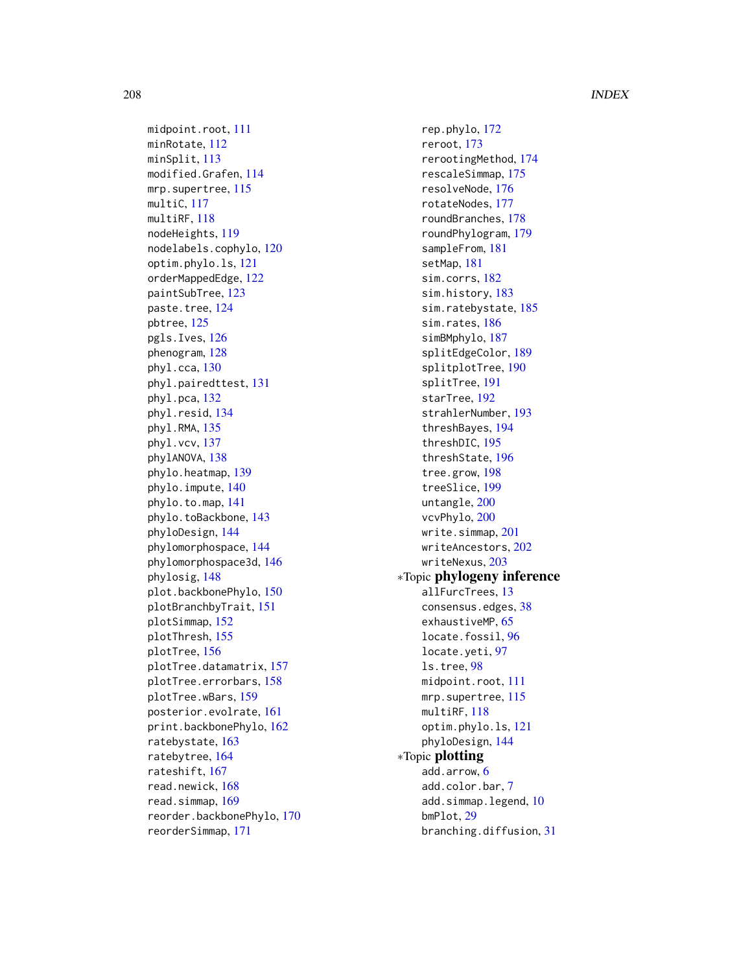midpoint.root, [111](#page-110-0) minRotate, [112](#page-111-0) minSplit, [113](#page-112-0) modified.Grafen, [114](#page-113-0) mrp.supertree, [115](#page-114-0) multiC, [117](#page-116-0) multiRF, [118](#page-117-0) nodeHeights, [119](#page-118-0) nodelabels.cophylo, [120](#page-119-0) optim.phylo.ls, [121](#page-120-0) orderMappedEdge, [122](#page-121-0) paintSubTree, [123](#page-122-2) paste.tree, [124](#page-123-0) pbtree, [125](#page-124-1) pgls.Ives, [126](#page-125-0) phenogram, [128](#page-127-0) phyl.cca, [130](#page-129-0) phyl.pairedttest, [131](#page-130-0) phyl.pca, [132](#page-131-0) phyl.resid, [134](#page-133-0) phyl.RMA, [135](#page-134-0) phyl.vcv, [137](#page-136-0) phylANOVA, [138](#page-137-0) phylo.heatmap, [139](#page-138-0) phylo.impute, [140](#page-139-0) phylo.to.map, [141](#page-140-0) phylo.toBackbone, [143](#page-142-0) phyloDesign, [144](#page-143-0) phylomorphospace, [144](#page-143-0) phylomorphospace3d, [146](#page-145-0) phylosig, [148](#page-147-0) plot.backbonePhylo, [150](#page-149-0) plotBranchbyTrait, [151](#page-150-0) plotSimmap, [152](#page-151-1) plotThresh, [155](#page-154-0) plotTree, [156](#page-155-1) plotTree.datamatrix, [157](#page-156-0) plotTree.errorbars, [158](#page-157-0) plotTree.wBars, [159](#page-158-0) posterior.evolrate, [161](#page-160-1) print.backbonePhylo, [162](#page-161-0) ratebystate, [163](#page-162-1) ratebytree, [164](#page-163-0) rateshift, [167](#page-166-0) read.newick, [168](#page-167-0) read.simmap, [169](#page-168-1) reorder.backbonePhylo, [170](#page-169-0) reorderSimmap, [171](#page-170-1)

rep.phylo, [172](#page-171-0) reroot, [173](#page-172-0) rerootingMethod, [174](#page-173-1) rescaleSimmap, [175](#page-174-0) resolveNode, [176](#page-175-0) rotateNodes, [177](#page-176-0) roundBranches, [178](#page-177-0) roundPhylogram, [179](#page-178-0) sampleFrom, [181](#page-180-0) setMap, [181](#page-180-0) sim.corrs, [182](#page-181-0) sim.history, [183](#page-182-1) sim.ratebystate, [185](#page-184-0) sim.rates, [186](#page-185-1) simBMphylo, [187](#page-186-0) splitEdgeColor, [189](#page-188-0) splitplotTree, [190](#page-189-0) splitTree, [191](#page-190-0) starTree, [192](#page-191-0) strahlerNumber, [193](#page-192-0) threshBayes, [194](#page-193-0) threshDIC, [195](#page-194-1) threshState, [196](#page-195-0) tree.grow, [198](#page-197-0) treeSlice, [199](#page-198-0) untangle, [200](#page-199-0) vcvPhylo, [200](#page-199-0) write.simmap, [201](#page-200-1) writeAncestors, [202](#page-201-0) writeNexus, [203](#page-202-0) ∗Topic phylogeny inference allFurcTrees, [13](#page-12-0) consensus.edges, [38](#page-37-0) exhaustiveMP, [65](#page-64-0) locate.fossil, [96](#page-95-0) locate.yeti, [97](#page-96-0) ls.tree, [98](#page-97-0) midpoint.root, [111](#page-110-0) mrp.supertree, [115](#page-114-0) multiRF, [118](#page-117-0) optim.phylo.ls, [121](#page-120-0) phyloDesign, [144](#page-143-0) ∗Topic plotting add.arrow, [6](#page-5-0) add.color.bar, [7](#page-6-0) add.simmap.legend, [10](#page-9-0) bmPlot, [29](#page-28-1) branching.diffusion, [31](#page-30-0)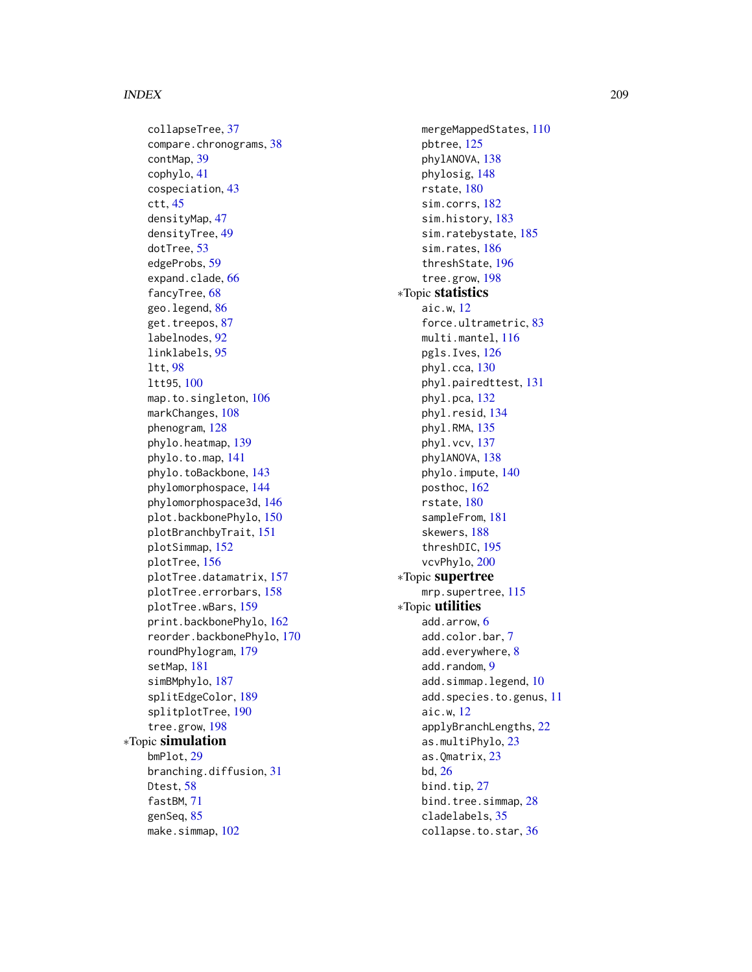collapseTree, [37](#page-36-0) compare.chronograms, [38](#page-37-0) contMap, [39](#page-38-1) cophylo, [41](#page-40-0) cospeciation, [43](#page-42-0) ctt, [45](#page-44-0) densityMap, [47](#page-46-1) densityTree, [49](#page-48-0) dotTree, [53](#page-52-0) edgeProbs, [59](#page-58-0) expand.clade, [66](#page-65-0) fancyTree, [68](#page-67-0) geo.legend, [86](#page-85-0) get.treepos, [87](#page-86-0) labelnodes, [92](#page-91-0) linklabels, [95](#page-94-0) ltt, [98](#page-97-0) ltt95, [100](#page-99-0) map.to.singleton, [106](#page-105-0) markChanges, [108](#page-107-0) phenogram, [128](#page-127-0) phylo.heatmap, [139](#page-138-0) phylo.to.map, [141](#page-140-0) phylo.toBackbone, [143](#page-142-0) phylomorphospace, [144](#page-143-0) phylomorphospace3d, [146](#page-145-0) plot.backbonePhylo, [150](#page-149-0) plotBranchbyTrait, [151](#page-150-0) plotSimmap, [152](#page-151-1) plotTree, [156](#page-155-1) plotTree.datamatrix, [157](#page-156-0) plotTree.errorbars, [158](#page-157-0) plotTree.wBars, [159](#page-158-0) print.backbonePhylo, [162](#page-161-0) reorder.backbonePhylo, [170](#page-169-0) roundPhylogram, [179](#page-178-0) setMap, [181](#page-180-0) simBMphylo, [187](#page-186-0) splitEdgeColor, [189](#page-188-0) splitplotTree, [190](#page-189-0) tree.grow, [198](#page-197-0) ∗Topic simulation bmPlot, [29](#page-28-1) branching.diffusion, [31](#page-30-0) Dtest, [58](#page-57-0) fastBM, [71](#page-70-1) genSeq, [85](#page-84-0) make.simmap, [102](#page-101-1)

mergeMappedStates, [110](#page-109-0) pbtree, [125](#page-124-1) phylANOVA, [138](#page-137-0) phylosig, [148](#page-147-0) rstate, [180](#page-179-0) sim.corrs, [182](#page-181-0) sim.history, [183](#page-182-1) sim.ratebystate, [185](#page-184-0) sim.rates, [186](#page-185-1) threshState, [196](#page-195-0) tree.grow, [198](#page-197-0) ∗Topic statistics aic.w, [12](#page-11-0) force.ultrametric, [83](#page-82-0) multi.mantel, [116](#page-115-0) pgls.Ives, [126](#page-125-0) phyl.cca, [130](#page-129-0) phyl.pairedttest, [131](#page-130-0) phyl.pca, [132](#page-131-0) phyl.resid, [134](#page-133-0) phyl.RMA, [135](#page-134-0) phyl.vcv, [137](#page-136-0) phylANOVA, [138](#page-137-0) phylo.impute, [140](#page-139-0) posthoc, [162](#page-161-0) rstate, [180](#page-179-0) sampleFrom, [181](#page-180-0) skewers, [188](#page-187-0) threshDIC, [195](#page-194-1) vcvPhylo, [200](#page-199-0) ∗Topic supertree mrp.supertree, [115](#page-114-0) ∗Topic utilities add.arrow, [6](#page-5-0) add.color.bar, [7](#page-6-0) add.everywhere, [8](#page-7-0) add.random, [9](#page-8-0) add.simmap.legend, [10](#page-9-0) add.species.to.genus, [11](#page-10-0) aic.w, [12](#page-11-0) applyBranchLengths, [22](#page-21-0) as.multiPhylo, [23](#page-22-0) as.Qmatrix, [23](#page-22-0) bd, [26](#page-25-0) bind.tip, [27](#page-26-0) bind.tree.simmap, [28](#page-27-0) cladelabels, [35](#page-34-0) collapse.to.star, [36](#page-35-0)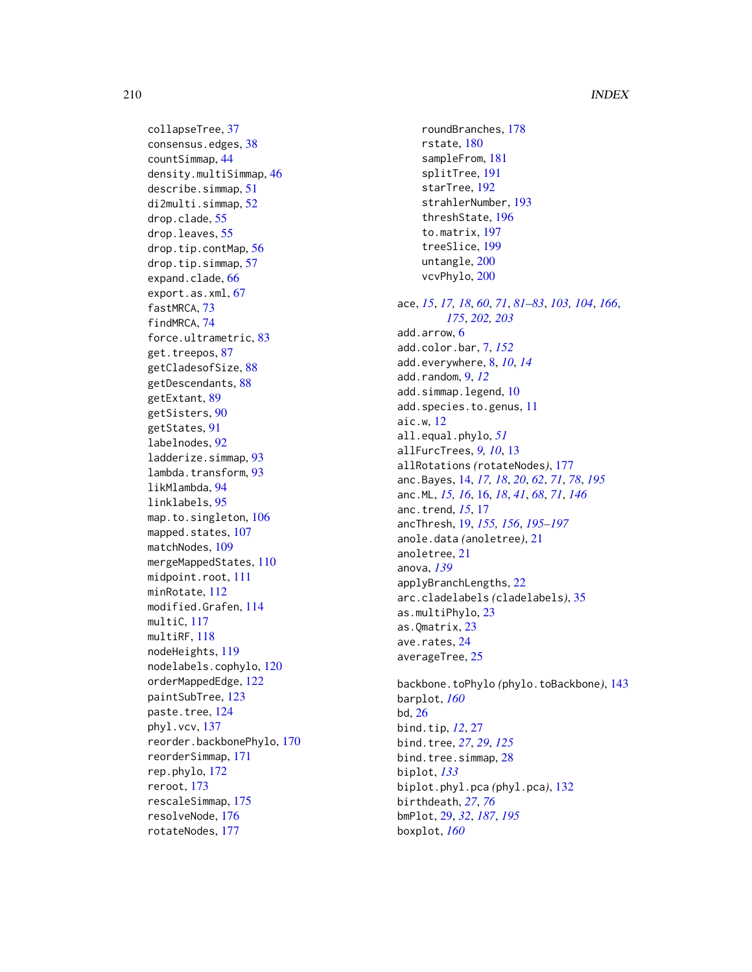collapseTree , [37](#page-36-0) consensus.edges , [38](#page-37-0) countSimmap , [44](#page-43-0) density.multiSimmap , [46](#page-45-0) describe.simmap , [51](#page-50-0) di2multi.simmap , [52](#page-51-0) drop.clade , [55](#page-54-0) drop.leaves , [55](#page-54-0) drop.tip.contMap , [56](#page-55-0) drop.tip.simmap , [57](#page-56-0) expand.clade, [66](#page-65-0) export.as.xml, [67](#page-66-0) fastMRCA , [73](#page-72-0) findMRCA , [74](#page-73-0) force.ultrametric , [83](#page-82-0) get.treepos, [87](#page-86-0) getCladesofSize , [88](#page-87-0) getDescendants , [88](#page-87-0) getExtant , [89](#page-88-0) getSisters , [90](#page-89-0) getStates , [91](#page-90-0) labelnodes , [92](#page-91-0) ladderize.simmap , [93](#page-92-0) lambda.transform , [93](#page-92-0) likMlambda , [94](#page-93-0) linklabels , [95](#page-94-0) map.to.singleton, [106](#page-105-0) mapped.states, [107](#page-106-0) matchNodes, [109](#page-108-0) mergeMappedStates , [110](#page-109-0) midpoint.root , [111](#page-110-0) minRotate , [112](#page-111-0) modified.Grafen , [114](#page-113-0) multiC , [117](#page-116-0) multiRF , [118](#page-117-0) nodeHeights , [119](#page-118-0) nodelabels.cophylo , [120](#page-119-0) orderMappedEdge , [122](#page-121-0) paintSubTree , [123](#page-122-2) paste.tree, [124](#page-123-0) phyl.vcv , [137](#page-136-0) reorder.backbonePhylo , [170](#page-169-0) reorderSimmap , [171](#page-170-1) rep.phylo , [172](#page-171-0) reroot , [173](#page-172-0) rescaleSimmap , [175](#page-174-0) resolveNode , [176](#page-175-0) rotateNodes , [177](#page-176-0)

roundBranches , [178](#page-177-0) rstate , [180](#page-179-0) sampleFrom , [181](#page-180-0) splitTree , [191](#page-190-0) starTree, [192](#page-191-0) strahlerNumber , [193](#page-192-0) threshState , [196](#page-195-0) to.matrix , [197](#page-196-0) treeSlice , [199](#page-198-0) untangle, [200](#page-199-0) vcvPhylo, [200](#page-199-0) ace , *[15](#page-14-0)* , *[17,](#page-16-0) [18](#page-17-0)* , *[60](#page-59-0)* , *[71](#page-70-1)* , *[81](#page-80-0) [–83](#page-82-0)* , *[103](#page-102-0) , [104](#page-103-0)* , *[166](#page-165-0)* , *[175](#page-174-0)* , *[202](#page-201-0) , [203](#page-202-0)* add.arrow , [6](#page-5-0) add.color.bar , [7](#page-6-0) , *[152](#page-151-1)* add.everywhere , [8](#page-7-0) , *[10](#page-9-0)* , *[14](#page-13-1)* add.random , [9](#page-8-0) , *[12](#page-11-0)* add.simmap.legend, [10](#page-9-0) add.species.to.genus, [11](#page-10-0) aic.w , [12](#page-11-0) all.equal.phylo , *[51](#page-50-0)* allFurcTrees, [9](#page-8-0), [10](#page-9-0), [13](#page-12-0) allRotations *(*rotateNodes *)* , [177](#page-176-0) anc.Bayes , [14](#page-13-1) , *[17,](#page-16-0) [18](#page-17-0)* , *[20](#page-19-0)* , *[62](#page-61-0)* , *[71](#page-70-1)* , *[78](#page-77-0)* , *[195](#page-194-1)* anc.ML , *[15](#page-14-0) , [16](#page-15-0)* , [16](#page-15-0) , *[18](#page-17-0)* , *[41](#page-40-0)* , *[68](#page-67-0)* , *[71](#page-70-1)* , *[146](#page-145-0)* anc.trend , *[15](#page-14-0)* , [17](#page-16-0) ancThresh , [19](#page-18-1) , *[155](#page-154-0) , [156](#page-155-1)* , *[195](#page-194-1) [–197](#page-196-0)* anole.data *(*anoletree *)* , [21](#page-20-0) anoletree , [21](#page-20-0) anova , *[139](#page-138-0)* applyBranchLengths , [22](#page-21-0) arc.cladelabels *(*cladelabels *)* , [35](#page-34-0) as.multiPhylo,[23](#page-22-0) as.Qmatrix , [23](#page-22-0) ave.rates , [24](#page-23-0) averageTree, [25](#page-24-0) backbone.toPhylo *(*phylo.toBackbone *)* , [143](#page-142-0) barplot , *[160](#page-159-0)* bd , [26](#page-25-0) bind.tip , *[12](#page-11-0)* , [27](#page-26-0) bind.tree , *[27](#page-26-0)* , *[29](#page-28-1)* , *[125](#page-124-1)* bind.tree.simmap, [28](#page-27-0) biplot , *[133](#page-132-0)* biplot.phyl.pca *(*phyl.pca *)* , [132](#page-131-0) birthdeath , *[27](#page-26-0)* , *[76](#page-75-0)* bmPlot , [29](#page-28-1) , *[32](#page-31-0)* , *[187](#page-186-0)* , *[195](#page-194-1)*

boxplot , *[160](#page-159-0)*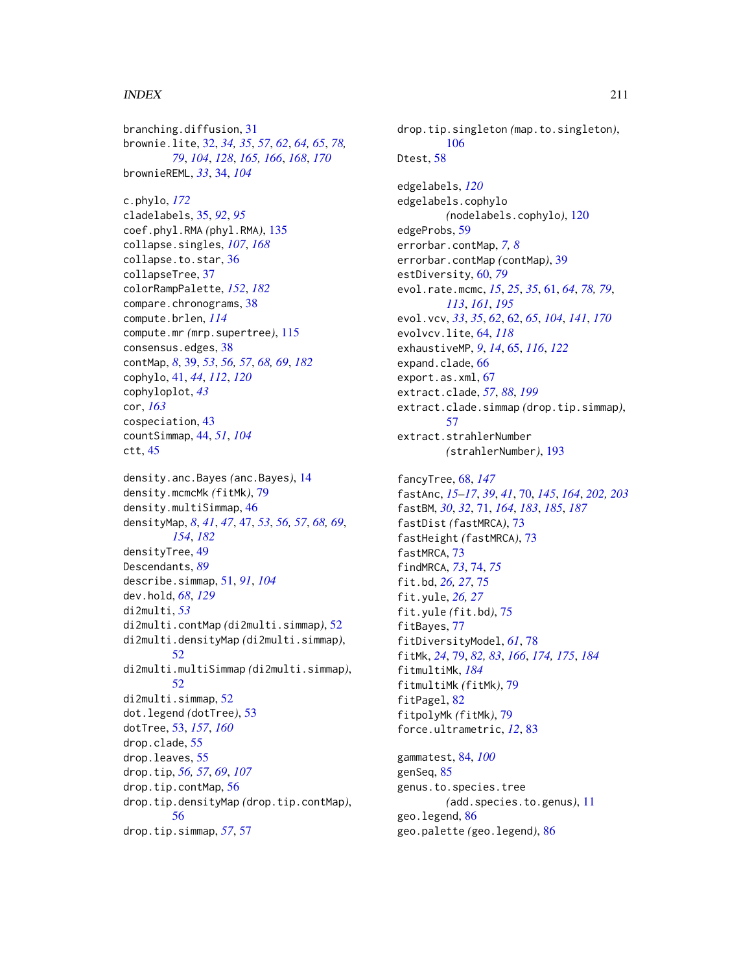branching.diffusion, [31](#page-30-0) brownie.lite, [32,](#page-31-0) *[34,](#page-33-0) [35](#page-34-0)*, *[57](#page-56-0)*, *[62](#page-61-0)*, *[64,](#page-63-0) [65](#page-64-0)*, *[78,](#page-77-0) [79](#page-78-2)*, *[104](#page-103-0)*, *[128](#page-127-0)*, *[165,](#page-164-0) [166](#page-165-0)*, *[168](#page-167-0)*, *[170](#page-169-0)* brownieREML, *[33](#page-32-0)*, [34,](#page-33-0) *[104](#page-103-0)* c.phylo, *[172](#page-171-0)* cladelabels, [35,](#page-34-0) *[92](#page-91-0)*, *[95](#page-94-0)* coef.phyl.RMA *(*phyl.RMA*)*, [135](#page-134-0) collapse.singles, *[107](#page-106-0)*, *[168](#page-167-0)* collapse.to.star, [36](#page-35-0) collapseTree, [37](#page-36-0) colorRampPalette, *[152](#page-151-1)*, *[182](#page-181-0)* compare.chronograms, [38](#page-37-0) compute.brlen, *[114](#page-113-0)* compute.mr *(*mrp.supertree*)*, [115](#page-114-0) consensus.edges, [38](#page-37-0) contMap, *[8](#page-7-0)*, [39,](#page-38-1) *[53](#page-52-0)*, *[56,](#page-55-0) [57](#page-56-0)*, *[68,](#page-67-0) [69](#page-68-0)*, *[182](#page-181-0)* cophylo, [41,](#page-40-0) *[44](#page-43-0)*, *[112](#page-111-0)*, *[120](#page-119-0)* cophyloplot, *[43](#page-42-0)* cor, *[163](#page-162-1)* cospeciation, [43](#page-42-0) countSimmap, [44,](#page-43-0) *[51](#page-50-0)*, *[104](#page-103-0)* ctt, [45](#page-44-0) density.anc.Bayes *(*anc.Bayes*)*, [14](#page-13-1) density.mcmcMk *(*fitMk*)*, [79](#page-78-2) density.multiSimmap, [46](#page-45-0) densityMap, *[8](#page-7-0)*, *[41](#page-40-0)*, *[47](#page-46-1)*, [47,](#page-46-1) *[53](#page-52-0)*, *[56,](#page-55-0) [57](#page-56-0)*, *[68,](#page-67-0) [69](#page-68-0)*, *[154](#page-153-0)*, *[182](#page-181-0)* densityTree, [49](#page-48-0) Descendants, *[89](#page-88-0)* describe.simmap, [51,](#page-50-0) *[91](#page-90-0)*, *[104](#page-103-0)* dev.hold, *[68](#page-67-0)*, *[129](#page-128-0)* di2multi, *[53](#page-52-0)* di2multi.contMap *(*di2multi.simmap*)*, [52](#page-51-0) di2multi.densityMap *(*di2multi.simmap*)*, [52](#page-51-0) di2multi.multiSimmap *(*di2multi.simmap*)*, [52](#page-51-0) di2multi.simmap, [52](#page-51-0) dot.legend *(*dotTree*)*, [53](#page-52-0) dotTree, [53,](#page-52-0) *[157](#page-156-0)*, *[160](#page-159-0)* drop.clade, [55](#page-54-0) drop.leaves, [55](#page-54-0) drop.tip, *[56,](#page-55-0) [57](#page-56-0)*, *[69](#page-68-0)*, *[107](#page-106-0)* drop.tip.contMap, [56](#page-55-0) drop.tip.densityMap *(*drop.tip.contMap*)*, [56](#page-55-0) drop.tip.simmap, *[57](#page-56-0)*, [57](#page-56-0)

drop.tip.singleton *(*map.to.singleton*)*, [106](#page-105-0) Dtest, [58](#page-57-0) edgelabels, *[120](#page-119-0)* edgelabels.cophylo *(*nodelabels.cophylo*)*, [120](#page-119-0) edgeProbs, [59](#page-58-0) errorbar.contMap, *[7,](#page-6-0) [8](#page-7-0)* errorbar.contMap *(*contMap*)*, [39](#page-38-1) estDiversity, [60,](#page-59-0) *[79](#page-78-2)* evol.rate.mcmc, *[15](#page-14-0)*, *[25](#page-24-0)*, *[35](#page-34-0)*, [61,](#page-60-1) *[64](#page-63-0)*, *[78,](#page-77-0) [79](#page-78-2)*, *[113](#page-112-0)*, *[161](#page-160-1)*, *[195](#page-194-1)* evol.vcv, *[33](#page-32-0)*, *[35](#page-34-0)*, *[62](#page-61-0)*, [62,](#page-61-0) *[65](#page-64-0)*, *[104](#page-103-0)*, *[141](#page-140-0)*, *[170](#page-169-0)* evolvcv.lite, [64,](#page-63-0) *[118](#page-117-0)* exhaustiveMP, *[9](#page-8-0)*, *[14](#page-13-1)*, [65,](#page-64-0) *[116](#page-115-0)*, *[122](#page-121-0)* expand.clade, [66](#page-65-0) export.as.xml, [67](#page-66-0) extract.clade, *[57](#page-56-0)*, *[88](#page-87-0)*, *[199](#page-198-0)* extract.clade.simmap *(*drop.tip.simmap*)*, [57](#page-56-0) extract.strahlerNumber *(*strahlerNumber*)*, [193](#page-192-0) fancyTree, [68,](#page-67-0) *[147](#page-146-0)* fastAnc, *[15](#page-14-0)[–17](#page-16-0)*, *[39](#page-38-1)*, *[41](#page-40-0)*, [70,](#page-69-1) *[145](#page-144-0)*, *[164](#page-163-0)*, *[202,](#page-201-0) [203](#page-202-0)* fastBM, *[30](#page-29-0)*, *[32](#page-31-0)*, [71,](#page-70-1) *[164](#page-163-0)*, *[183](#page-182-1)*, *[185](#page-184-0)*, *[187](#page-186-0)* fastDist *(*fastMRCA*)*, [73](#page-72-0) fastHeight *(*fastMRCA*)*, [73](#page-72-0) fastMRCA, [73](#page-72-0) findMRCA, *[73](#page-72-0)*, [74,](#page-73-0) *[75](#page-74-0)* fit.bd, *[26,](#page-25-0) [27](#page-26-0)*, [75](#page-74-0) fit.yule, *[26,](#page-25-0) [27](#page-26-0)*

fit.yule *(*fit.bd*)*, [75](#page-74-0) fitBayes, [77](#page-76-0) fitDiversityModel, *[61](#page-60-1)*, [78](#page-77-0) fitMk, *[24](#page-23-0)*, [79,](#page-78-2) *[82,](#page-81-0) [83](#page-82-0)*, *[166](#page-165-0)*, *[174,](#page-173-1) [175](#page-174-0)*, *[184](#page-183-0)* fitmultiMk, *[184](#page-183-0)* fitmultiMk *(*fitMk*)*, [79](#page-78-2) fitPagel, [82](#page-81-0) fitpolyMk *(*fitMk*)*, [79](#page-78-2) force.ultrametric, *[12](#page-11-0)*, [83](#page-82-0)

gammatest, [84,](#page-83-0) *[100](#page-99-0)* genSeq, [85](#page-84-0) genus.to.species.tree *(*add.species.to.genus*)*, [11](#page-10-0) geo.legend, [86](#page-85-0) geo.palette *(*geo.legend*)*, [86](#page-85-0)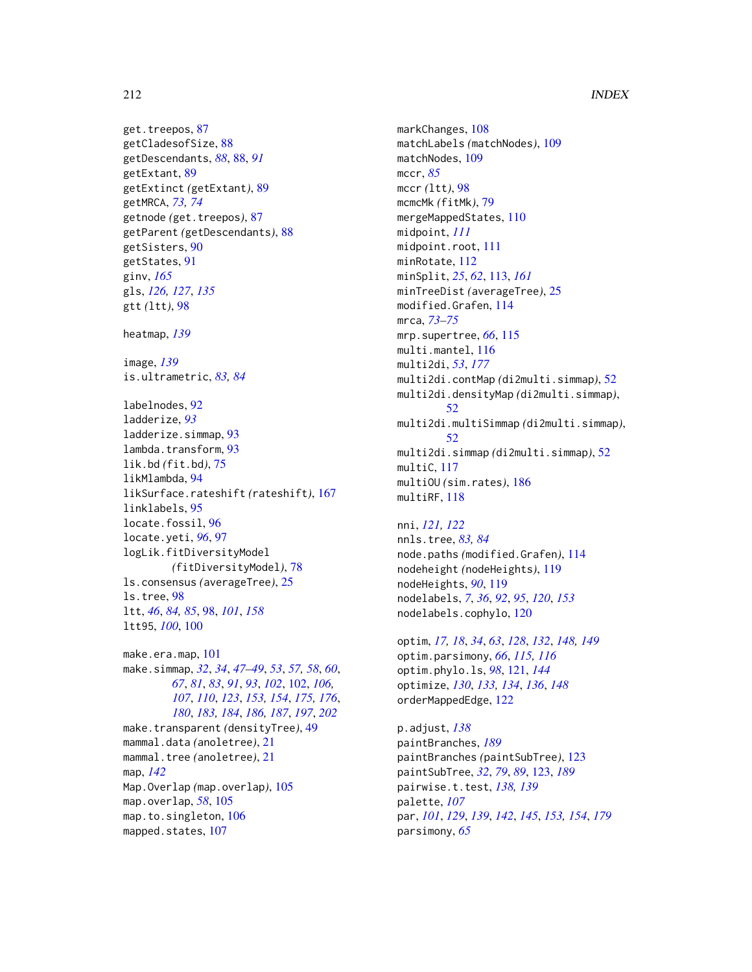get.treepos, [87](#page-86-0) getCladesofSize, [88](#page-87-0) getDescendants, *[88](#page-87-0)*, [88,](#page-87-0) *[91](#page-90-0)* getExtant, [89](#page-88-0) getExtinct *(*getExtant*)*, [89](#page-88-0) getMRCA, *[73,](#page-72-0) [74](#page-73-0)* getnode *(*get.treepos*)*, [87](#page-86-0) getParent *(*getDescendants*)*, [88](#page-87-0) getSisters, [90](#page-89-0) getStates, [91](#page-90-0) ginv, *[165](#page-164-0)* gls, *[126,](#page-125-0) [127](#page-126-0)*, *[135](#page-134-0)* gtt *(*ltt*)*, [98](#page-97-0) heatmap, *[139](#page-138-0)* image, *[139](#page-138-0)* is.ultrametric, *[83,](#page-82-0) [84](#page-83-0)* labelnodes, [92](#page-91-0) ladderize, *[93](#page-92-0)* ladderize.simmap, [93](#page-92-0) lambda.transform, [93](#page-92-0) lik.bd *(*fit.bd*)*, [75](#page-74-0) likMlambda, [94](#page-93-0) likSurface.rateshift *(*rateshift*)*, [167](#page-166-0) linklabels, [95](#page-94-0) locate.fossil, [96](#page-95-0) locate.yeti, *[96](#page-95-0)*, [97](#page-96-0) logLik.fitDiversityModel *(*fitDiversityModel*)*, [78](#page-77-0) ls.consensus *(*averageTree*)*, [25](#page-24-0) ls.tree, [98](#page-97-0) ltt, *[46](#page-45-0)*, *[84,](#page-83-0) [85](#page-84-0)*, [98,](#page-97-0) *[101](#page-100-0)*, *[158](#page-157-0)* ltt95, *[100](#page-99-0)*, [100](#page-99-0) make.era.map, [101](#page-100-0) make.simmap, *[32](#page-31-0)*, *[34](#page-33-0)*, *[47–](#page-46-1)[49](#page-48-0)*, *[53](#page-52-0)*, *[57,](#page-56-0) [58](#page-57-0)*, *[60](#page-59-0)*, *[67](#page-66-0)*, *[81](#page-80-0)*, *[83](#page-82-0)*, *[91](#page-90-0)*, *[93](#page-92-0)*, *[102](#page-101-1)*, [102,](#page-101-1) *[106,](#page-105-0) [107](#page-106-0)*, *[110](#page-109-0)*, *[123](#page-122-2)*, *[153,](#page-152-0) [154](#page-153-0)*, *[175,](#page-174-0) [176](#page-175-0)*, *[180](#page-179-0)*, *[183,](#page-182-1) [184](#page-183-0)*, *[186,](#page-185-1) [187](#page-186-0)*, *[197](#page-196-0)*, *[202](#page-201-0)* make.transparent *(*densityTree*)*, [49](#page-48-0) mammal.data *(*anoletree*)*, [21](#page-20-0) mammal.tree *(*anoletree*)*, [21](#page-20-0) map, *[142](#page-141-0)* Map.Overlap *(*map.overlap*)*, [105](#page-104-0) map.overlap, *[58](#page-57-0)*, [105](#page-104-0) map.to.singleton, [106](#page-105-0) mapped.states, [107](#page-106-0)

markChanges, [108](#page-107-0) matchLabels *(*matchNodes*)*, [109](#page-108-0) matchNodes, [109](#page-108-0) mccr, *[85](#page-84-0)* mccr *(*ltt*)*, [98](#page-97-0) mcmcMk *(*fitMk*)*, [79](#page-78-2) mergeMappedStates, [110](#page-109-0) midpoint, *[111](#page-110-0)* midpoint.root, [111](#page-110-0) minRotate, [112](#page-111-0) minSplit, *[25](#page-24-0)*, *[62](#page-61-0)*, [113,](#page-112-0) *[161](#page-160-1)* minTreeDist *(*averageTree*)*, [25](#page-24-0) modified.Grafen, [114](#page-113-0) mrca, *[73–](#page-72-0)[75](#page-74-0)* mrp.supertree, *[66](#page-65-0)*, [115](#page-114-0) multi.mantel, [116](#page-115-0) multi2di, *[53](#page-52-0)*, *[177](#page-176-0)* multi2di.contMap *(*di2multi.simmap*)*, [52](#page-51-0) multi2di.densityMap *(*di2multi.simmap*)*, [52](#page-51-0) multi2di.multiSimmap *(*di2multi.simmap*)*, [52](#page-51-0) multi2di.simmap *(*di2multi.simmap*)*, [52](#page-51-0) multiC, [117](#page-116-0) multiOU *(*sim.rates*)*, [186](#page-185-1) multiRF, [118](#page-117-0)

nni, *[121,](#page-120-0) [122](#page-121-0)* nnls.tree, *[83,](#page-82-0) [84](#page-83-0)* node.paths *(*modified.Grafen*)*, [114](#page-113-0) nodeheight *(*nodeHeights*)*, [119](#page-118-0) nodeHeights, *[90](#page-89-0)*, [119](#page-118-0) nodelabels, *[7](#page-6-0)*, *[36](#page-35-0)*, *[92](#page-91-0)*, *[95](#page-94-0)*, *[120](#page-119-0)*, *[153](#page-152-0)* nodelabels.cophylo, [120](#page-119-0)

optim, *[17,](#page-16-0) [18](#page-17-0)*, *[34](#page-33-0)*, *[63](#page-62-0)*, *[128](#page-127-0)*, *[132](#page-131-0)*, *[148,](#page-147-0) [149](#page-148-0)* optim.parsimony, *[66](#page-65-0)*, *[115,](#page-114-0) [116](#page-115-0)* optim.phylo.ls, *[98](#page-97-0)*, [121,](#page-120-0) *[144](#page-143-0)* optimize, *[130](#page-129-0)*, *[133,](#page-132-0) [134](#page-133-0)*, *[136](#page-135-0)*, *[148](#page-147-0)* orderMappedEdge, [122](#page-121-0)

p.adjust, *[138](#page-137-0)* paintBranches, *[189](#page-188-0)* paintBranches *(*paintSubTree*)*, [123](#page-122-2) paintSubTree, *[32](#page-31-0)*, *[79](#page-78-2)*, *[89](#page-88-0)*, [123,](#page-122-2) *[189](#page-188-0)* pairwise.t.test, *[138,](#page-137-0) [139](#page-138-0)* palette, *[107](#page-106-0)* par, *[101](#page-100-0)*, *[129](#page-128-0)*, *[139](#page-138-0)*, *[142](#page-141-0)*, *[145](#page-144-0)*, *[153,](#page-152-0) [154](#page-153-0)*, *[179](#page-178-0)* parsimony, *[65](#page-64-0)*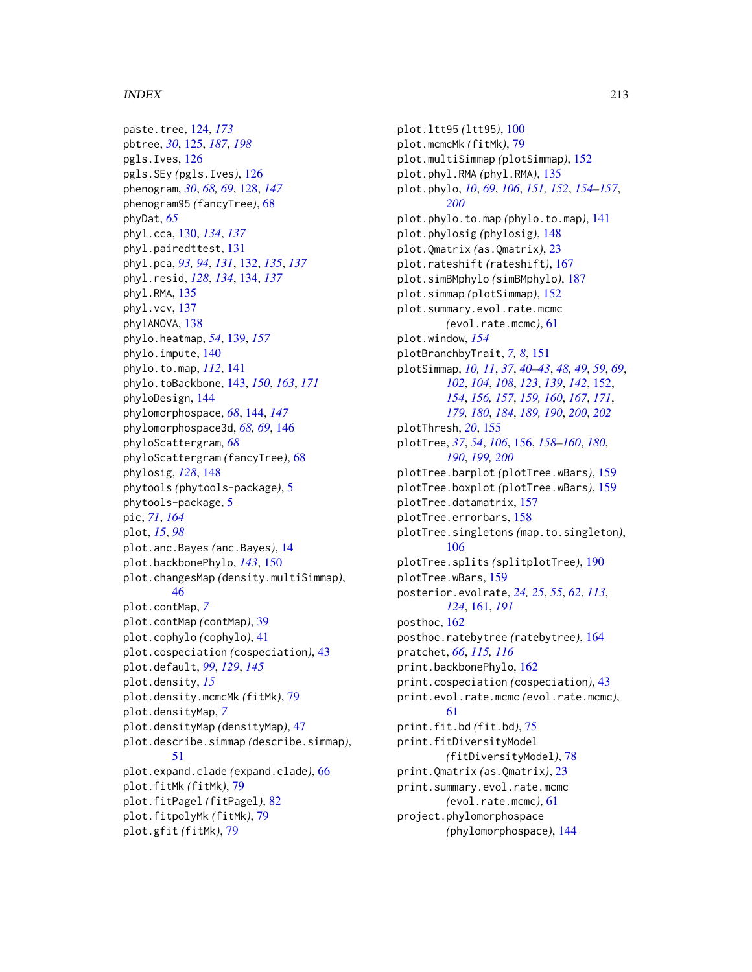paste.tree, [124,](#page-123-0) *[173](#page-172-0)* pbtree, *[30](#page-29-0)*, [125,](#page-124-1) *[187](#page-186-0)*, *[198](#page-197-0)* pgls.Ives, [126](#page-125-0) pgls.SEy *(*pgls.Ives*)*, [126](#page-125-0) phenogram, *[30](#page-29-0)*, *[68,](#page-67-0) [69](#page-68-0)*, [128,](#page-127-0) *[147](#page-146-0)* phenogram95 *(*fancyTree*)*, [68](#page-67-0) phyDat, *[65](#page-64-0)* phyl.cca, [130,](#page-129-0) *[134](#page-133-0)*, *[137](#page-136-0)* phyl.pairedttest, [131](#page-130-0) phyl.pca, *[93,](#page-92-0) [94](#page-93-0)*, *[131](#page-130-0)*, [132,](#page-131-0) *[135](#page-134-0)*, *[137](#page-136-0)* phyl.resid, *[128](#page-127-0)*, *[134](#page-133-0)*, [134,](#page-133-0) *[137](#page-136-0)* phyl.RMA, [135](#page-134-0) phyl.vcv, [137](#page-136-0) phylANOVA, [138](#page-137-0) phylo.heatmap, *[54](#page-53-0)*, [139,](#page-138-0) *[157](#page-156-0)* phylo.impute, [140](#page-139-0) phylo.to.map, *[112](#page-111-0)*, [141](#page-140-0) phylo.toBackbone, [143,](#page-142-0) *[150](#page-149-0)*, *[163](#page-162-1)*, *[171](#page-170-1)* phyloDesign, [144](#page-143-0) phylomorphospace, *[68](#page-67-0)*, [144,](#page-143-0) *[147](#page-146-0)* phylomorphospace3d, *[68,](#page-67-0) [69](#page-68-0)*, [146](#page-145-0) phyloScattergram, *[68](#page-67-0)* phyloScattergram *(*fancyTree*)*, [68](#page-67-0) phylosig, *[128](#page-127-0)*, [148](#page-147-0) phytools *(*phytools-package*)*, [5](#page-4-0) phytools-package, [5](#page-4-0) pic, *[71](#page-70-1)*, *[164](#page-163-0)* plot, *[15](#page-14-0)*, *[98](#page-97-0)* plot.anc.Bayes *(*anc.Bayes*)*, [14](#page-13-1) plot.backbonePhylo, *[143](#page-142-0)*, [150](#page-149-0) plot.changesMap *(*density.multiSimmap*)*, [46](#page-45-0) plot.contMap, *[7](#page-6-0)* plot.contMap *(*contMap*)*, [39](#page-38-1) plot.cophylo *(*cophylo*)*, [41](#page-40-0) plot.cospeciation *(*cospeciation*)*, [43](#page-42-0) plot.default, *[99](#page-98-0)*, *[129](#page-128-0)*, *[145](#page-144-0)* plot.density, *[15](#page-14-0)* plot.density.mcmcMk *(*fitMk*)*, [79](#page-78-2) plot.densityMap, *[7](#page-6-0)* plot.densityMap *(*densityMap*)*, [47](#page-46-1) plot.describe.simmap *(*describe.simmap*)*, [51](#page-50-0) plot.expand.clade *(*expand.clade*)*, [66](#page-65-0) plot.fitMk *(*fitMk*)*, [79](#page-78-2) plot.fitPagel *(*fitPagel*)*, [82](#page-81-0) plot.fitpolyMk *(*fitMk*)*, [79](#page-78-2) plot.gfit *(*fitMk*)*, [79](#page-78-2)

plot.ltt95 *(*ltt95*)*, [100](#page-99-0) plot.mcmcMk *(*fitMk*)*, [79](#page-78-2) plot.multiSimmap *(*plotSimmap*)*, [152](#page-151-1) plot.phyl.RMA *(*phyl.RMA*)*, [135](#page-134-0) plot.phylo, *[10](#page-9-0)*, *[69](#page-68-0)*, *[106](#page-105-0)*, *[151,](#page-150-0) [152](#page-151-1)*, *[154](#page-153-0)[–157](#page-156-0)*, *[200](#page-199-0)* plot.phylo.to.map *(*phylo.to.map*)*, [141](#page-140-0) plot.phylosig *(*phylosig*)*, [148](#page-147-0) plot.Qmatrix *(*as.Qmatrix*)*, [23](#page-22-0) plot.rateshift *(*rateshift*)*, [167](#page-166-0) plot.simBMphylo *(*simBMphylo*)*, [187](#page-186-0) plot.simmap *(*plotSimmap*)*, [152](#page-151-1) plot.summary.evol.rate.mcmc *(*evol.rate.mcmc*)*, [61](#page-60-1) plot.window, *[154](#page-153-0)* plotBranchbyTrait, *[7,](#page-6-0) [8](#page-7-0)*, [151](#page-150-0) plotSimmap, *[10,](#page-9-0) [11](#page-10-0)*, *[37](#page-36-0)*, *[40](#page-39-0)[–43](#page-42-0)*, *[48,](#page-47-0) [49](#page-48-0)*, *[59](#page-58-0)*, *[69](#page-68-0)*, *[102](#page-101-1)*, *[104](#page-103-0)*, *[108](#page-107-0)*, *[123](#page-122-2)*, *[139](#page-138-0)*, *[142](#page-141-0)*, [152,](#page-151-1) *[154](#page-153-0)*, *[156,](#page-155-1) [157](#page-156-0)*, *[159,](#page-158-0) [160](#page-159-0)*, *[167](#page-166-0)*, *[171](#page-170-1)*, *[179,](#page-178-0) [180](#page-179-0)*, *[184](#page-183-0)*, *[189,](#page-188-0) [190](#page-189-0)*, *[200](#page-199-0)*, *[202](#page-201-0)* plotThresh, *[20](#page-19-0)*, [155](#page-154-0) plotTree, *[37](#page-36-0)*, *[54](#page-53-0)*, *[106](#page-105-0)*, [156,](#page-155-1) *[158](#page-157-0)[–160](#page-159-0)*, *[180](#page-179-0)*, *[190](#page-189-0)*, *[199,](#page-198-0) [200](#page-199-0)* plotTree.barplot *(*plotTree.wBars*)*, [159](#page-158-0) plotTree.boxplot *(*plotTree.wBars*)*, [159](#page-158-0) plotTree.datamatrix, [157](#page-156-0) plotTree.errorbars, [158](#page-157-0) plotTree.singletons *(*map.to.singleton*)*, [106](#page-105-0) plotTree.splits *(*splitplotTree*)*, [190](#page-189-0) plotTree.wBars, [159](#page-158-0) posterior.evolrate, *[24,](#page-23-0) [25](#page-24-0)*, *[55](#page-54-0)*, *[62](#page-61-0)*, *[113](#page-112-0)*, *[124](#page-123-0)*, [161,](#page-160-1) *[191](#page-190-0)* posthoc, [162](#page-161-0) posthoc.ratebytree *(*ratebytree*)*, [164](#page-163-0) pratchet, *[66](#page-65-0)*, *[115,](#page-114-0) [116](#page-115-0)* print.backbonePhylo, [162](#page-161-0) print.cospeciation *(*cospeciation*)*, [43](#page-42-0) print.evol.rate.mcmc *(*evol.rate.mcmc*)*, [61](#page-60-1) print.fit.bd *(*fit.bd*)*, [75](#page-74-0) print.fitDiversityModel *(*fitDiversityModel*)*, [78](#page-77-0) print.Qmatrix *(*as.Qmatrix*)*, [23](#page-22-0) print.summary.evol.rate.mcmc *(*evol.rate.mcmc*)*, [61](#page-60-1) project.phylomorphospace *(*phylomorphospace*)*, [144](#page-143-0)